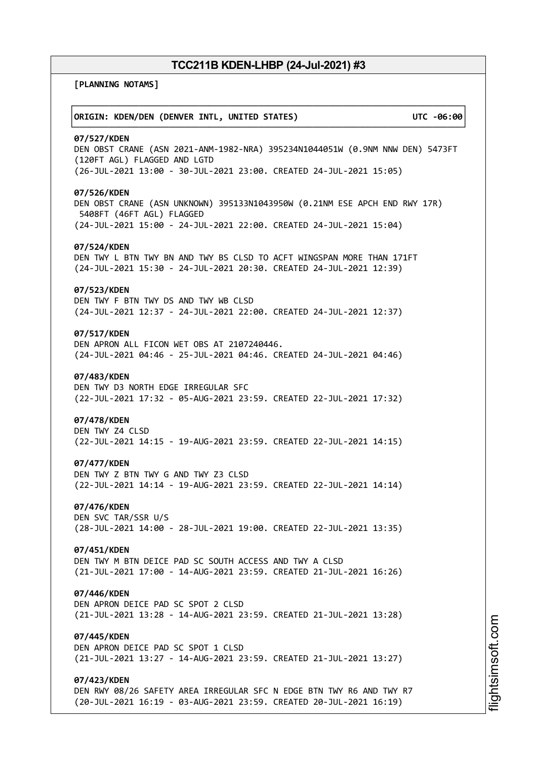┌──────────────────────────────────────────────────────────────────────────────┐

└──────────────────────────────────────────────────────────────────────────────┘

**[PLANNING NOTAMS]**

# │**ORIGIN: KDEN/DEN (DENVER INTL, UNITED STATES) UTC -06:00**│

#### **07/527/KDEN**

DEN OBST CRANE (ASN 2021-ANM-1982-NRA) 395234N1044051W (0.9NM NNW DEN) 5473FT (120FT AGL) FLAGGED AND LGTD (26-JUL-2021 13:00 - 30-JUL-2021 23:00. CREATED 24-JUL-2021 15:05)

# **07/526/KDEN**

DEN OBST CRANE (ASN UNKNOWN) 395133N1043950W (0.21NM ESE APCH END RWY 17R) 5408FT (46FT AGL) FLAGGED (24-JUL-2021 15:00 - 24-JUL-2021 22:00. CREATED 24-JUL-2021 15:04)

#### **07/524/KDEN**

DEN TWY L BTN TWY BN AND TWY BS CLSD TO ACFT WINGSPAN MORE THAN 171FT (24-JUL-2021 15:30 - 24-JUL-2021 20:30. CREATED 24-JUL-2021 12:39)

# **07/523/KDEN**

DEN TWY F BTN TWY DS AND TWY WB CLSD (24-JUL-2021 12:37 - 24-JUL-2021 22:00. CREATED 24-JUL-2021 12:37)

# **07/517/KDEN**

DEN APRON ALL FICON WET OBS AT 2107240446. (24-JUL-2021 04:46 - 25-JUL-2021 04:46. CREATED 24-JUL-2021 04:46)

### **07/483/KDEN**

DEN TWY D3 NORTH EDGE IRREGULAR SFC (22-JUL-2021 17:32 - 05-AUG-2021 23:59. CREATED 22-JUL-2021 17:32)

#### **07/478/KDEN**

DEN TWY Z4 CLSD (22-JUL-2021 14:15 - 19-AUG-2021 23:59. CREATED 22-JUL-2021 14:15)

#### **07/477/KDEN**

DEN TWY Z BTN TWY G AND TWY Z3 CLSD (22-JUL-2021 14:14 - 19-AUG-2021 23:59. CREATED 22-JUL-2021 14:14)

# **07/476/KDEN**

DEN SVC TAR/SSR U/S (28-JUL-2021 14:00 - 28-JUL-2021 19:00. CREATED 22-JUL-2021 13:35)

# **07/451/KDEN**

DEN TWY M BTN DEICE PAD SC SOUTH ACCESS AND TWY A CLSD (21-JUL-2021 17:00 - 14-AUG-2021 23:59. CREATED 21-JUL-2021 16:26)

#### **07/446/KDEN**

DEN APRON DEICE PAD SC SPOT 2 CLSD (21-JUL-2021 13:28 - 14-AUG-2021 23:59. CREATED 21-JUL-2021 13:28)

# **07/445/KDEN**

DEN APRON DEICE PAD SC SPOT 1 CLSD (21-JUL-2021 13:27 - 14-AUG-2021 23:59. CREATED 21-JUL-2021 13:27)

### **07/423/KDEN**

DEN RWY 08/26 SAFETY AREA IRREGULAR SFC N EDGE BTN TWY R6 AND TWY R7 (20-JUL-2021 16:19 - 03-AUG-2021 23:59. CREATED 20-JUL-2021 16:19)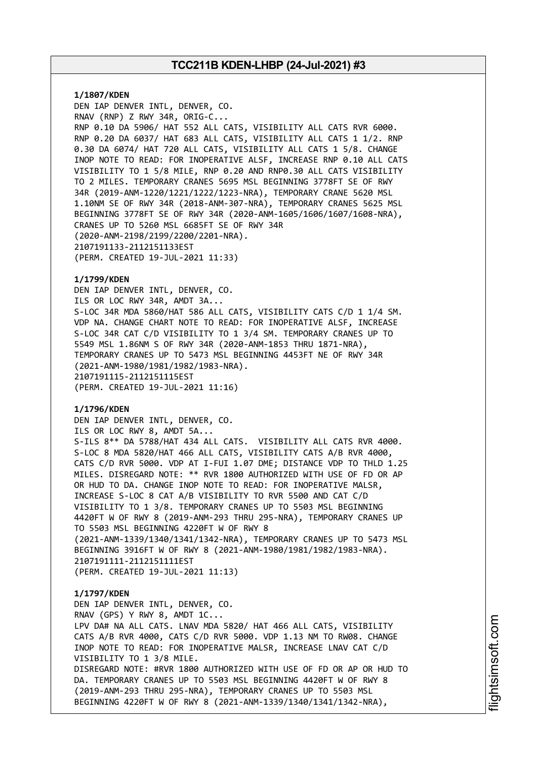**1/1807/KDEN** DEN IAP DENVER INTL, DENVER, CO. RNAV (RNP) Z RWY 34R, ORIG-C... RNP 0.10 DA 5906/ HAT 552 ALL CATS, VISIBILITY ALL CATS RVR 6000. RNP 0.20 DA 6037/ HAT 683 ALL CATS, VISIBILITY ALL CATS 1 1/2. RNP 0.30 DA 6074/ HAT 720 ALL CATS, VISIBILITY ALL CATS 1 5/8. CHANGE INOP NOTE TO READ: FOR INOPERATIVE ALSF, INCREASE RNP 0.10 ALL CATS VISIBILITY TO 1 5/8 MILE, RNP 0.20 AND RNP0.30 ALL CATS VISIBILITY TO 2 MILES. TEMPORARY CRANES 5695 MSL BEGINNING 3778FT SE OF RWY 34R (2019-ANM-1220/1221/1222/1223-NRA), TEMPORARY CRANE 5620 MSL 1.10NM SE OF RWY 34R (2018-ANM-307-NRA), TEMPORARY CRANES 5625 MSL BEGINNING 3778FT SE OF RWY 34R (2020-ANM-1605/1606/1607/1608-NRA), CRANES UP TO 5260 MSL 6685FT SE OF RWY 34R (2020-ANM-2198/2199/2200/2201-NRA). 2107191133-2112151133EST (PERM. CREATED 19-JUL-2021 11:33)

### **1/1799/KDEN**

DEN IAP DENVER INTL, DENVER, CO. ILS OR LOC RWY 34R, AMDT 3A... S-LOC 34R MDA 5860/HAT 586 ALL CATS, VISIBILITY CATS C/D 1 1/4 SM. VDP NA. CHANGE CHART NOTE TO READ: FOR INOPERATIVE ALSF, INCREASE S-LOC 34R CAT C/D VISIBILITY TO 1 3/4 SM. TEMPORARY CRANES UP TO 5549 MSL 1.86NM S OF RWY 34R (2020-ANM-1853 THRU 1871-NRA), TEMPORARY CRANES UP TO 5473 MSL BEGINNING 4453FT NE OF RWY 34R (2021-ANM-1980/1981/1982/1983-NRA). 2107191115-2112151115EST (PERM. CREATED 19-JUL-2021 11:16)

# **1/1796/KDEN**

DEN IAP DENVER INTL, DENVER, CO. ILS OR LOC RWY 8, AMDT 5A... S-ILS 8\*\* DA 5788/HAT 434 ALL CATS. VISIBILITY ALL CATS RVR 4000. S-LOC 8 MDA 5820/HAT 466 ALL CATS, VISIBILITY CATS A/B RVR 4000, CATS C/D RVR 5000. VDP AT I-FUI 1.07 DME; DISTANCE VDP TO THLD 1.25 MILES. DISREGARD NOTE: \*\* RVR 1800 AUTHORIZED WITH USE OF FD OR AP OR HUD TO DA. CHANGE INOP NOTE TO READ: FOR INOPERATIVE MALSR, INCREASE S-LOC 8 CAT A/B VISIBILITY TO RVR 5500 AND CAT C/D VISIBILITY TO 1 3/8. TEMPORARY CRANES UP TO 5503 MSL BEGINNING 4420FT W OF RWY 8 (2019-ANM-293 THRU 295-NRA), TEMPORARY CRANES UP TO 5503 MSL BEGINNING 4220FT W OF RWY 8 (2021-ANM-1339/1340/1341/1342-NRA), TEMPORARY CRANES UP TO 5473 MSL BEGINNING 3916FT W OF RWY 8 (2021-ANM-1980/1981/1982/1983-NRA). 2107191111-2112151111EST (PERM. CREATED 19-JUL-2021 11:13)

#### **1/1797/KDEN**

DEN IAP DENVER INTL, DENVER, CO. RNAV (GPS) Y RWY 8, AMDT 1C... LPV DA# NA ALL CATS. LNAV MDA 5820/ HAT 466 ALL CATS, VISIBILITY CATS A/B RVR 4000, CATS C/D RVR 5000. VDP 1.13 NM TO RW08. CHANGE INOP NOTE TO READ: FOR INOPERATIVE MALSR, INCREASE LNAV CAT C/D VISIBILITY TO 1 3/8 MILE. DISREGARD NOTE: #RVR 1800 AUTHORIZED WITH USE OF FD OR AP OR HUD TO DA. TEMPORARY CRANES UP TO 5503 MSL BEGINNING 4420FT W OF RWY 8 (2019-ANM-293 THRU 295-NRA), TEMPORARY CRANES UP TO 5503 MSL BEGINNING 4220FT W OF RWY 8 (2021-ANM-1339/1340/1341/1342-NRA),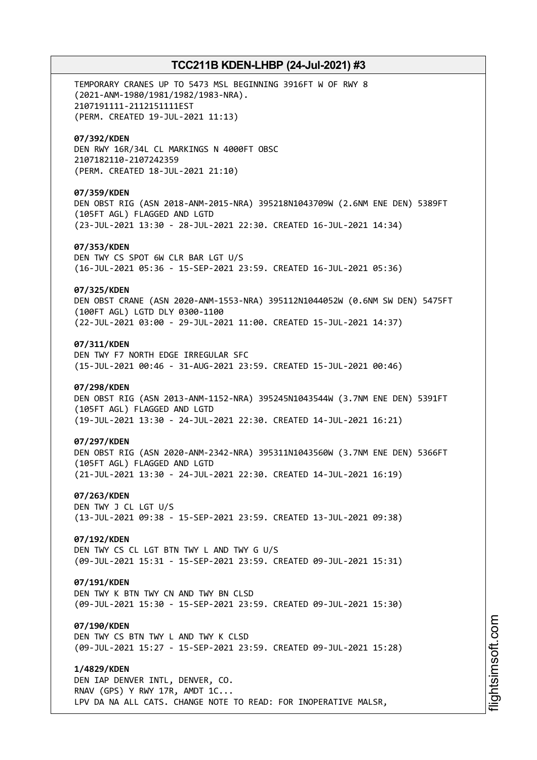TEMPORARY CRANES UP TO 5473 MSL BEGINNING 3916FT W OF RWY 8 (2021-ANM-1980/1981/1982/1983-NRA). 2107191111-2112151111EST (PERM. CREATED 19-JUL-2021 11:13) **07/392/KDEN** DEN RWY 16R/34L CL MARKINGS N 4000FT OBSC 2107182110-2107242359 (PERM. CREATED 18-JUL-2021 21:10) **07/359/KDEN** DEN OBST RIG (ASN 2018-ANM-2015-NRA) 395218N1043709W (2.6NM ENE DEN) 5389FT (105FT AGL) FLAGGED AND LGTD (23-JUL-2021 13:30 - 28-JUL-2021 22:30. CREATED 16-JUL-2021 14:34) **07/353/KDEN** DEN TWY CS SPOT 6W CLR BAR LGT U/S (16-JUL-2021 05:36 - 15-SEP-2021 23:59. CREATED 16-JUL-2021 05:36) **07/325/KDEN** DEN OBST CRANE (ASN 2020-ANM-1553-NRA) 395112N1044052W (0.6NM SW DEN) 5475FT (100FT AGL) LGTD DLY 0300-1100 (22-JUL-2021 03:00 - 29-JUL-2021 11:00. CREATED 15-JUL-2021 14:37) **07/311/KDEN** DEN TWY F7 NORTH EDGE IRREGULAR SFC (15-JUL-2021 00:46 - 31-AUG-2021 23:59. CREATED 15-JUL-2021 00:46) **07/298/KDEN** DEN OBST RIG (ASN 2013-ANM-1152-NRA) 395245N1043544W (3.7NM ENE DEN) 5391FT (105FT AGL) FLAGGED AND LGTD (19-JUL-2021 13:30 - 24-JUL-2021 22:30. CREATED 14-JUL-2021 16:21) **07/297/KDEN** DEN OBST RIG (ASN 2020-ANM-2342-NRA) 395311N1043560W (3.7NM ENE DEN) 5366FT (105FT AGL) FLAGGED AND LGTD (21-JUL-2021 13:30 - 24-JUL-2021 22:30. CREATED 14-JUL-2021 16:19) **07/263/KDEN** DEN TWY J CL LGT U/S (13-JUL-2021 09:38 - 15-SEP-2021 23:59. CREATED 13-JUL-2021 09:38) **07/192/KDEN** DEN TWY CS CL LGT BTN TWY L AND TWY G U/S (09-JUL-2021 15:31 - 15-SEP-2021 23:59. CREATED 09-JUL-2021 15:31) **07/191/KDEN** DEN TWY K BTN TWY CN AND TWY BN CLSD (09-JUL-2021 15:30 - 15-SEP-2021 23:59. CREATED 09-JUL-2021 15:30) **07/190/KDEN** DEN TWY CS BTN TWY L AND TWY K CLSD (09-JUL-2021 15:27 - 15-SEP-2021 23:59. CREATED 09-JUL-2021 15:28) **1/4829/KDEN** DEN IAP DENVER INTL, DENVER, CO. RNAV (GPS) Y RWY 17R, AMDT 1C... LPV DA NA ALL CATS. CHANGE NOTE TO READ: FOR INOPERATIVE MALSR,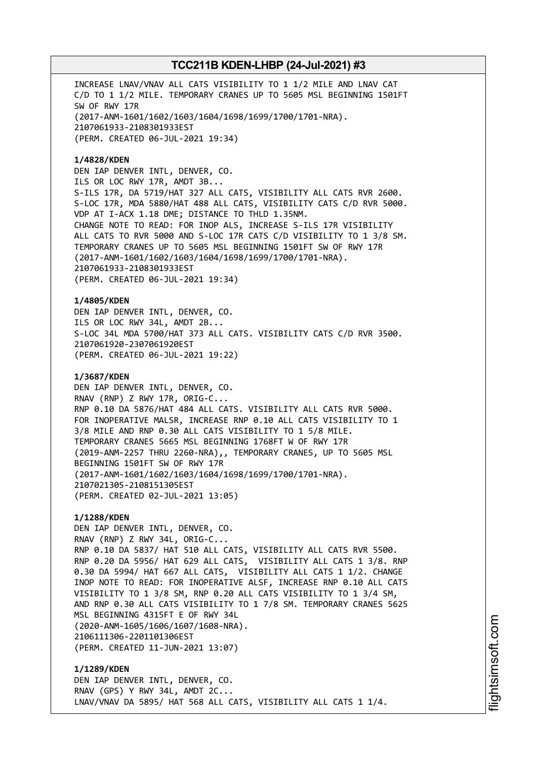INCREASE LNAV/VNAV ALL CATS VISIBILITY TO 1 1/2 MILE AND LNAV CAT C/D TO 1 1/2 MILE. TEMPORARY CRANES UP TO 5605 MSL BEGINNING 1501FT SW OF RWY 17R (2017-ANM-1601/1602/1603/1604/1698/1699/1700/1701-NRA). 2107061933-2108301933EST (PERM. CREATED 06-JUL-2021 19:34)

# **1/4828/KDEN**

DEN IAP DENVER INTL, DENVER, CO. ILS OR LOC RWY 17R, AMDT 3B... S-ILS 17R, DA 5719/HAT 327 ALL CATS, VISIBILITY ALL CATS RVR 2600. S-LOC 17R, MDA 5880/HAT 488 ALL CATS, VISIBILITY CATS C/D RVR 5000. VDP AT I-ACX 1.18 DME; DISTANCE TO THLD 1.35NM. CHANGE NOTE TO READ: FOR INOP ALS, INCREASE S-ILS 17R VISIBILITY ALL CATS TO RVR 5000 AND S-LOC 17R CATS C/D VISIBILITY TO 1 3/8 SM. TEMPORARY CRANES UP TO 5605 MSL BEGINNING 1501FT SW OF RWY 17R (2017-ANM-1601/1602/1603/1604/1698/1699/1700/1701-NRA). 2107061933-2108301933EST (PERM. CREATED 06-JUL-2021 19:34)

**1/4805/KDEN** DEN IAP DENVER INTL, DENVER, CO. ILS OR LOC RWY 34L, AMDT 2B... S-LOC 34L MDA 5700/HAT 373 ALL CATS. VISIBILITY CATS C/D RVR 3500. 2107061920-2307061920EST (PERM. CREATED 06-JUL-2021 19:22)

# **1/3687/KDEN**

DEN IAP DENVER INTL, DENVER, CO. RNAV (RNP) Z RWY 17R, ORIG-C... RNP 0.10 DA 5876/HAT 484 ALL CATS. VISIBILITY ALL CATS RVR 5000. FOR INOPERATIVE MALSR, INCREASE RNP 0.10 ALL CATS VISIBILITY TO 1 3/8 MILE AND RNP 0.30 ALL CATS VISIBILITY TO 1 5/8 MILE. TEMPORARY CRANES 5665 MSL BEGINNING 1768FT W OF RWY 17R (2019-ANM-2257 THRU 2260-NRA),, TEMPORARY CRANES, UP TO 5605 MSL BEGINNING 1501FT SW OF RWY 17R (2017-ANM-1601/1602/1603/1604/1698/1699/1700/1701-NRA). 2107021305-2108151305EST (PERM. CREATED 02-JUL-2021 13:05)

# **1/1288/KDEN**

DEN IAP DENVER INTL, DENVER, CO. RNAV (RNP) Z RWY 34L, ORIG-C... RNP 0.10 DA 5837/ HAT 510 ALL CATS, VISIBILITY ALL CATS RVR 5500. RNP 0.20 DA 5956/ HAT 629 ALL CATS, VISIBILITY ALL CATS 1 3/8. RNP 0.30 DA 5994/ HAT 667 ALL CATS, VISIBILITY ALL CATS 1 1/2. CHANGE INOP NOTE TO READ: FOR INOPERATIVE ALSF, INCREASE RNP 0.10 ALL CATS VISIBILITY TO 1 3/8 SM, RNP 0.20 ALL CATS VISIBILITY TO 1 3/4 SM, AND RNP 0.30 ALL CATS VISIBILITY TO 1 7/8 SM. TEMPORARY CRANES 5625 MSL BEGINNING 4315FT E OF RWY 34L (2020-ANM-1605/1606/1607/1608-NRA). 2106111306-2201101306EST (PERM. CREATED 11-JUN-2021 13:07)

**1/1289/KDEN** DEN IAP DENVER INTL, DENVER, CO. RNAV (GPS) Y RWY 34L, AMDT 2C... LNAV/VNAV DA 5895/ HAT 568 ALL CATS, VISIBILITY ALL CATS 1 1/4.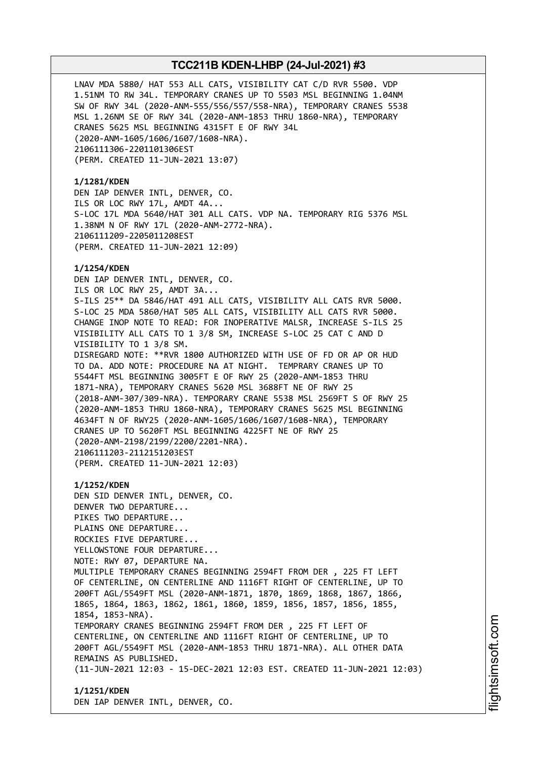LNAV MDA 5880/ HAT 553 ALL CATS, VISIBILITY CAT C/D RVR 5500. VDP 1.51NM TO RW 34L. TEMPORARY CRANES UP TO 5503 MSL BEGINNING 1.04NM SW OF RWY 34L (2020-ANM-555/556/557/558-NRA), TEMPORARY CRANES 5538 MSL 1.26NM SE OF RWY 34L (2020-ANM-1853 THRU 1860-NRA), TEMPORARY CRANES 5625 MSL BEGINNING 4315FT E OF RWY 34L (2020-ANM-1605/1606/1607/1608-NRA). 2106111306-2201101306EST (PERM. CREATED 11-JUN-2021 13:07)

# **1/1281/KDEN**

DEN IAP DENVER INTL, DENVER, CO. ILS OR LOC RWY 17L, AMDT 4A... S-LOC 17L MDA 5640/HAT 301 ALL CATS. VDP NA. TEMPORARY RIG 5376 MSL 1.38NM N OF RWY 17L (2020-ANM-2772-NRA). 2106111209-2205011208EST (PERM. CREATED 11-JUN-2021 12:09)

# **1/1254/KDEN**

DEN IAP DENVER INTL, DENVER, CO. ILS OR LOC RWY 25, AMDT 3A... S-ILS 25\*\* DA 5846/HAT 491 ALL CATS, VISIBILITY ALL CATS RVR 5000. S-LOC 25 MDA 5860/HAT 505 ALL CATS, VISIBILITY ALL CATS RVR 5000. CHANGE INOP NOTE TO READ: FOR INOPERATIVE MALSR, INCREASE S-ILS 25 VISIBILITY ALL CATS TO 1 3/8 SM, INCREASE S-LOC 25 CAT C AND D VISIBILITY TO 1 3/8 SM. DISREGARD NOTE: \*\*RVR 1800 AUTHORIZED WITH USE OF FD OR AP OR HUD TO DA. ADD NOTE: PROCEDURE NA AT NIGHT. TEMPRARY CRANES UP TO 5544FT MSL BEGINNING 3005FT E OF RWY 25 (2020-ANM-1853 THRU 1871-NRA), TEMPORARY CRANES 5620 MSL 3688FT NE OF RWY 25 (2018-ANM-307/309-NRA). TEMPORARY CRANE 5538 MSL 2569FT S OF RWY 25 (2020-ANM-1853 THRU 1860-NRA), TEMPORARY CRANES 5625 MSL BEGINNING 4634FT N OF RWY25 (2020-ANM-1605/1606/1607/1608-NRA), TEMPORARY CRANES UP TO 5620FT MSL BEGINNING 4225FT NE OF RWY 25 (2020-ANM-2198/2199/2200/2201-NRA). 2106111203-2112151203EST (PERM. CREATED 11-JUN-2021 12:03)

**1/1252/KDEN** DEN SID DENVER INTL, DENVER, CO. DENVER TWO DEPARTURE... PIKES TWO DEPARTURE... PLAINS ONE DEPARTURE... ROCKIES FIVE DEPARTURE... YELLOWSTONE FOUR DEPARTURE... NOTE: RWY 07, DEPARTURE NA. MULTIPLE TEMPORARY CRANES BEGINNING 2594FT FROM DER , 225 FT LEFT OF CENTERLINE, ON CENTERLINE AND 1116FT RIGHT OF CENTERLINE, UP TO 200FT AGL/5549FT MSL (2020-ANM-1871, 1870, 1869, 1868, 1867, 1866, 1865, 1864, 1863, 1862, 1861, 1860, 1859, 1856, 1857, 1856, 1855, 1854, 1853-NRA). TEMPORARY CRANES BEGINNING 2594FT FROM DER , 225 FT LEFT OF CENTERLINE, ON CENTERLINE AND 1116FT RIGHT OF CENTERLINE, UP TO 200FT AGL/5549FT MSL (2020-ANM-1853 THRU 1871-NRA). ALL OTHER DATA REMAINS AS PUBLISHED. (11-JUN-2021 12:03 - 15-DEC-2021 12:03 EST. CREATED 11-JUN-2021 12:03)

**1/1251/KDEN** DEN IAP DENVER INTL, DENVER, CO.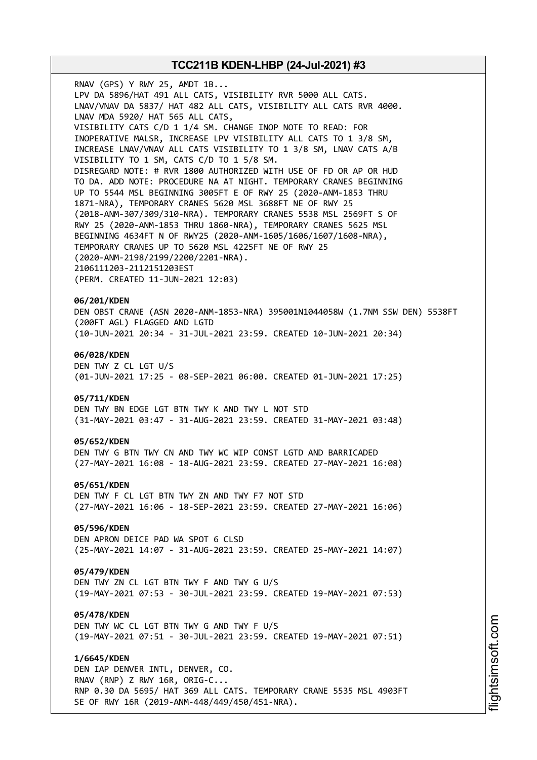RNAV (GPS) Y RWY 25, AMDT 1B... LPV DA 5896/HAT 491 ALL CATS, VISIBILITY RVR 5000 ALL CATS. LNAV/VNAV DA 5837/ HAT 482 ALL CATS, VISIBILITY ALL CATS RVR 4000. LNAV MDA 5920/ HAT 565 ALL CATS, VISIBILITY CATS C/D 1 1/4 SM. CHANGE INOP NOTE TO READ: FOR INOPERATIVE MALSR, INCREASE LPV VISIBILITY ALL CATS TO 1 3/8 SM, INCREASE LNAV/VNAV ALL CATS VISIBILITY TO 1 3/8 SM, LNAV CATS A/B VISIBILITY TO 1 SM, CATS C/D TO 1 5/8 SM. DISREGARD NOTE: # RVR 1800 AUTHORIZED WITH USE OF FD OR AP OR HUD TO DA. ADD NOTE: PROCEDURE NA AT NIGHT. TEMPORARY CRANES BEGINNING UP TO 5544 MSL BEGINNING 3005FT E OF RWY 25 (2020-ANM-1853 THRU 1871-NRA), TEMPORARY CRANES 5620 MSL 3688FT NE OF RWY 25 (2018-ANM-307/309/310-NRA). TEMPORARY CRANES 5538 MSL 2569FT S OF RWY 25 (2020-ANM-1853 THRU 1860-NRA), TEMPORARY CRANES 5625 MSL BEGINNING 4634FT N OF RWY25 (2020-ANM-1605/1606/1607/1608-NRA), TEMPORARY CRANES UP TO 5620 MSL 4225FT NE OF RWY 25 (2020-ANM-2198/2199/2200/2201-NRA). 2106111203-2112151203EST (PERM. CREATED 11-JUN-2021 12:03) **06/201/KDEN**

DEN OBST CRANE (ASN 2020-ANM-1853-NRA) 395001N1044058W (1.7NM SSW DEN) 5538FT (200FT AGL) FLAGGED AND LGTD (10-JUN-2021 20:34 - 31-JUL-2021 23:59. CREATED 10-JUN-2021 20:34)

# **06/028/KDEN**

DEN TWY Z CL LGT U/S (01-JUN-2021 17:25 - 08-SEP-2021 06:00. CREATED 01-JUN-2021 17:25)

### **05/711/KDEN**

DEN TWY BN EDGE LGT BTN TWY K AND TWY L NOT STD (31-MAY-2021 03:47 - 31-AUG-2021 23:59. CREATED 31-MAY-2021 03:48)

### **05/652/KDEN**

DEN TWY G BTN TWY CN AND TWY WC WIP CONST LGTD AND BARRICADED (27-MAY-2021 16:08 - 18-AUG-2021 23:59. CREATED 27-MAY-2021 16:08)

#### **05/651/KDEN**

DEN TWY F CL LGT BTN TWY ZN AND TWY F7 NOT STD (27-MAY-2021 16:06 - 18-SEP-2021 23:59. CREATED 27-MAY-2021 16:06)

# **05/596/KDEN**

DEN APRON DEICE PAD WA SPOT 6 CLSD (25-MAY-2021 14:07 - 31-AUG-2021 23:59. CREATED 25-MAY-2021 14:07)

### **05/479/KDEN**

DEN TWY ZN CL LGT BTN TWY F AND TWY G U/S (19-MAY-2021 07:53 - 30-JUL-2021 23:59. CREATED 19-MAY-2021 07:53)

#### **05/478/KDEN**

DEN TWY WC CL LGT BTN TWY G AND TWY F U/S (19-MAY-2021 07:51 - 30-JUL-2021 23:59. CREATED 19-MAY-2021 07:51)

#### **1/6645/KDEN**

DEN IAP DENVER INTL, DENVER, CO. RNAV (RNP) Z RWY 16R, ORIG-C... RNP 0.30 DA 5695/ HAT 369 ALL CATS. TEMPORARY CRANE 5535 MSL 4903FT SE OF RWY 16R (2019-ANM-448/449/450/451-NRA).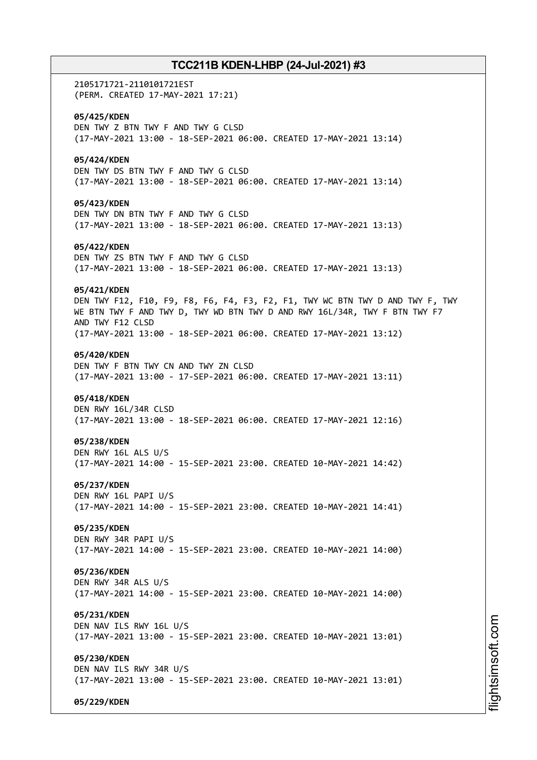2105171721-2110101721EST (PERM. CREATED 17-MAY-2021 17:21) **05/425/KDEN** DEN TWY Z BTN TWY F AND TWY G CLSD (17-MAY-2021 13:00 - 18-SEP-2021 06:00. CREATED 17-MAY-2021 13:14) **05/424/KDEN** DEN TWY DS BTN TWY F AND TWY G CLSD (17-MAY-2021 13:00 - 18-SEP-2021 06:00. CREATED 17-MAY-2021 13:14) **05/423/KDEN** DEN TWY DN BTN TWY F AND TWY G CLSD (17-MAY-2021 13:00 - 18-SEP-2021 06:00. CREATED 17-MAY-2021 13:13) **05/422/KDEN** DEN TWY ZS BTN TWY F AND TWY G CLSD (17-MAY-2021 13:00 - 18-SEP-2021 06:00. CREATED 17-MAY-2021 13:13) **05/421/KDEN** DEN TWY F12, F10, F9, F8, F6, F4, F3, F2, F1, TWY WC BTN TWY D AND TWY F, TWY WE BTN TWY F AND TWY D, TWY WD BTN TWY D AND RWY 16L/34R, TWY F BTN TWY F7 AND TWY F12 CLSD (17-MAY-2021 13:00 - 18-SEP-2021 06:00. CREATED 17-MAY-2021 13:12) **05/420/KDEN** DEN TWY F BTN TWY CN AND TWY ZN CLSD (17-MAY-2021 13:00 - 17-SEP-2021 06:00. CREATED 17-MAY-2021 13:11) **05/418/KDEN** DEN RWY 16L/34R CLSD (17-MAY-2021 13:00 - 18-SEP-2021 06:00. CREATED 17-MAY-2021 12:16) **05/238/KDEN** DEN RWY 16L ALS U/S (17-MAY-2021 14:00 - 15-SEP-2021 23:00. CREATED 10-MAY-2021 14:42) **05/237/KDEN** DEN RWY 16L PAPI U/S (17-MAY-2021 14:00 - 15-SEP-2021 23:00. CREATED 10-MAY-2021 14:41) **05/235/KDEN** DEN RWY 34R PAPI U/S (17-MAY-2021 14:00 - 15-SEP-2021 23:00. CREATED 10-MAY-2021 14:00) **05/236/KDEN** DEN RWY 34R ALS U/S (17-MAY-2021 14:00 - 15-SEP-2021 23:00. CREATED 10-MAY-2021 14:00) **05/231/KDEN** DEN NAV ILS RWY 16L U/S (17-MAY-2021 13:00 - 15-SEP-2021 23:00. CREATED 10-MAY-2021 13:01) **05/230/KDEN** DEN NAV ILS RWY 34R U/S (17-MAY-2021 13:00 - 15-SEP-2021 23:00. CREATED 10-MAY-2021 13:01) **05/229/KDEN**

m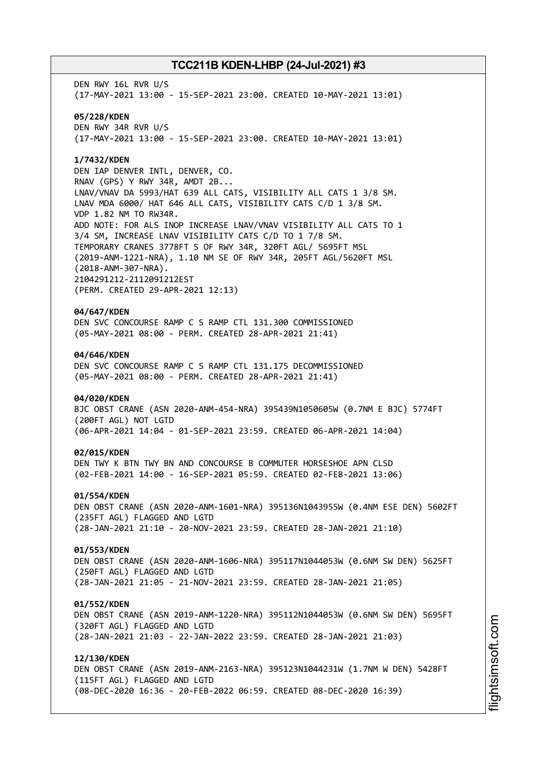DEN RWY 16L RVR U/S (17-MAY-2021 13:00 - 15-SEP-2021 23:00. CREATED 10-MAY-2021 13:01) **05/228/KDEN** DEN RWY 34R RVR U/S (17-MAY-2021 13:00 - 15-SEP-2021 23:00. CREATED 10-MAY-2021 13:01)

# **1/7432/KDEN**

DEN IAP DENVER INTL, DENVER, CO. RNAV (GPS) Y RWY 34R, AMDT 2B... LNAV/VNAV DA 5993/HAT 639 ALL CATS, VISIBILITY ALL CATS 1 3/8 SM. LNAV MDA 6000/ HAT 646 ALL CATS, VISIBILITY CATS C/D 1 3/8 SM. VDP 1.82 NM TO RW34R. ADD NOTE: FOR ALS INOP INCREASE LNAV/VNAV VISIBILITY ALL CATS TO 1 3/4 SM, INCREASE LNAV VISIBILITY CATS C/D TO 1 7/8 SM. TEMPORARY CRANES 3778FT S OF RWY 34R, 320FT AGL/ 5695FT MSL (2019-ANM-1221-NRA), 1.10 NM SE OF RWY 34R, 205FT AGL/5620FT MSL (2018-ANM-307-NRA). 2104291212-2112091212EST (PERM. CREATED 29-APR-2021 12:13)

# **04/647/KDEN**

DEN SVC CONCOURSE RAMP C S RAMP CTL 131.300 COMMISSIONED (05-MAY-2021 08:00 - PERM. CREATED 28-APR-2021 21:41)

### **04/646/KDEN**

DEN SVC CONCOURSE RAMP C S RAMP CTL 131.175 DECOMMISSIONED (05-MAY-2021 08:00 - PERM. CREATED 28-APR-2021 21:41)

### **04/020/KDEN**

BJC OBST CRANE (ASN 2020-ANM-454-NRA) 395439N1050605W (0.7NM E BJC) 5774FT (200FT AGL) NOT LGTD (06-APR-2021 14:04 - 01-SEP-2021 23:59. CREATED 06-APR-2021 14:04)

#### **02/015/KDEN**

DEN TWY K BTN TWY BN AND CONCOURSE B COMMUTER HORSESHOE APN CLSD (02-FEB-2021 14:00 - 16-SEP-2021 05:59. CREATED 02-FEB-2021 13:06)

#### **01/554/KDEN**

DEN OBST CRANE (ASN 2020-ANM-1601-NRA) 395136N1043955W (0.4NM ESE DEN) 5602FT (235FT AGL) FLAGGED AND LGTD (28-JAN-2021 21:10 - 20-NOV-2021 23:59. CREATED 28-JAN-2021 21:10)

# **01/553/KDEN**

DEN OBST CRANE (ASN 2020-ANM-1606-NRA) 395117N1044053W (0.6NM SW DEN) 5625FT (250FT AGL) FLAGGED AND LGTD (28-JAN-2021 21:05 - 21-NOV-2021 23:59. CREATED 28-JAN-2021 21:05)

#### **01/552/KDEN**

DEN OBST CRANE (ASN 2019-ANM-1220-NRA) 395112N1044053W (0.6NM SW DEN) 5695FT (320FT AGL) FLAGGED AND LGTD (28-JAN-2021 21:03 - 22-JAN-2022 23:59. CREATED 28-JAN-2021 21:03)

# **12/130/KDEN**

DEN OBST CRANE (ASN 2019-ANM-2163-NRA) 395123N1044231W (1.7NM W DEN) 5428FT (115FT AGL) FLAGGED AND LGTD (08-DEC-2020 16:36 - 20-FEB-2022 06:59. CREATED 08-DEC-2020 16:39)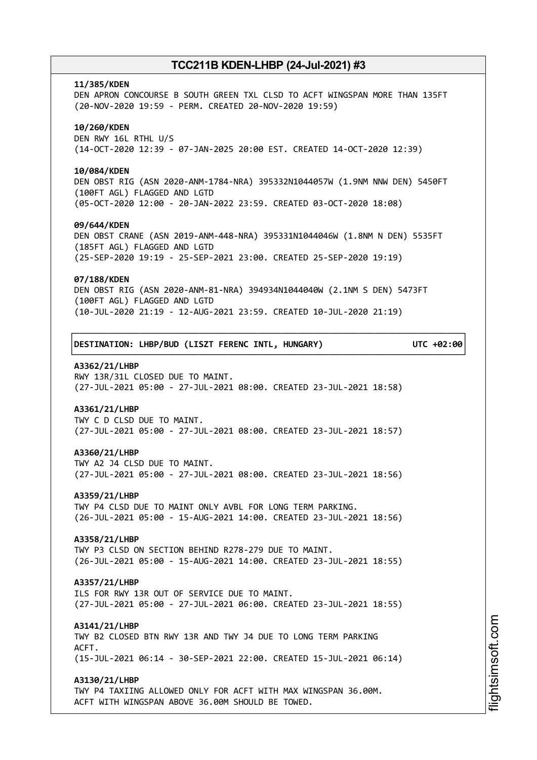#### **11/385/KDEN**

DEN APRON CONCOURSE B SOUTH GREEN TXL CLSD TO ACFT WINGSPAN MORE THAN 135FT (20-NOV-2020 19:59 - PERM. CREATED 20-NOV-2020 19:59)

# **10/260/KDEN**

DEN RWY 16L RTHL U/S (14-OCT-2020 12:39 - 07-JAN-2025 20:00 EST. CREATED 14-OCT-2020 12:39)

#### **10/084/KDEN**

DEN OBST RIG (ASN 2020-ANM-1784-NRA) 395332N1044057W (1.9NM NNW DEN) 5450FT (100FT AGL) FLAGGED AND LGTD (05-OCT-2020 12:00 - 20-JAN-2022 23:59. CREATED 03-OCT-2020 18:08)

### **09/644/KDEN**

DEN OBST CRANE (ASN 2019-ANM-448-NRA) 395331N1044046W (1.8NM N DEN) 5535FT (185FT AGL) FLAGGED AND LGTD (25-SEP-2020 19:19 - 25-SEP-2021 23:00. CREATED 25-SEP-2020 19:19)

#### **07/188/KDEN**

DEN OBST RIG (ASN 2020-ANM-81-NRA) 394934N1044040W (2.1NM S DEN) 5473FT (100FT AGL) FLAGGED AND LGTD (10-JUL-2020 21:19 - 12-AUG-2021 23:59. CREATED 10-JUL-2020 21:19)

┌──────────────────────────────────────────────────────────────────────────────┐

└──────────────────────────────────────────────────────────────────────────────┘

│**DESTINATION: LHBP/BUD (LISZT FERENC INTL, HUNGARY) UTC +02:00**│

### **A3362/21/LHBP**

RWY 13R/31L CLOSED DUE TO MAINT. (27-JUL-2021 05:00 - 27-JUL-2021 08:00. CREATED 23-JUL-2021 18:58)

# **A3361/21/LHBP**

TWY C D CLSD DUE TO MAINT. (27-JUL-2021 05:00 - 27-JUL-2021 08:00. CREATED 23-JUL-2021 18:57)

#### **A3360/21/LHBP**

TWY A2 J4 CLSD DUE TO MAINT. (27-JUL-2021 05:00 - 27-JUL-2021 08:00. CREATED 23-JUL-2021 18:56)

#### **A3359/21/LHBP**

TWY P4 CLSD DUE TO MAINT ONLY AVBL FOR LONG TERM PARKING. (26-JUL-2021 05:00 - 15-AUG-2021 14:00. CREATED 23-JUL-2021 18:56)

#### **A3358/21/LHBP**

TWY P3 CLSD ON SECTION BEHIND R278-279 DUE TO MAINT. (26-JUL-2021 05:00 - 15-AUG-2021 14:00. CREATED 23-JUL-2021 18:55)

### **A3357/21/LHBP**

ILS FOR RWY 13R OUT OF SERVICE DUE TO MAINT. (27-JUL-2021 05:00 - 27-JUL-2021 06:00. CREATED 23-JUL-2021 18:55)

### **A3141/21/LHBP**

TWY B2 CLOSED BTN RWY 13R AND TWY J4 DUE TO LONG TERM PARKING ACFT. (15-JUL-2021 06:14 - 30-SEP-2021 22:00. CREATED 15-JUL-2021 06:14)

#### **A3130/21/LHBP**

TWY P4 TAXIING ALLOWED ONLY FOR ACFT WITH MAX WINGSPAN 36.00M. ACFT WITH WINGSPAN ABOVE 36.00M SHOULD BE TOWED.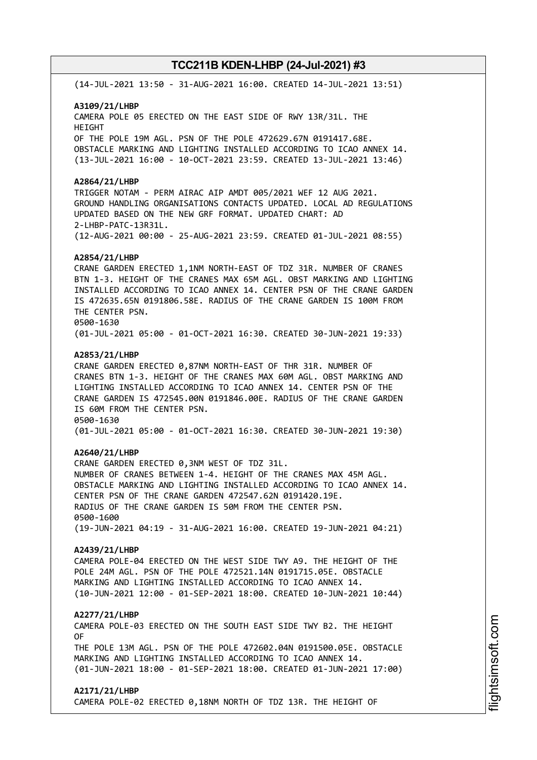(14-JUL-2021 13:50 - 31-AUG-2021 16:00. CREATED 14-JUL-2021 13:51)

### **A3109/21/LHBP**

CAMERA POLE 05 ERECTED ON THE EAST SIDE OF RWY 13R/31L. THE HEIGHT OF THE POLE 19M AGL. PSN OF THE POLE 472629.67N 0191417.68E. OBSTACLE MARKING AND LIGHTING INSTALLED ACCORDING TO ICAO ANNEX 14. (13-JUL-2021 16:00 - 10-OCT-2021 23:59. CREATED 13-JUL-2021 13:46)

### **A2864/21/LHBP**

TRIGGER NOTAM - PERM AIRAC AIP AMDT 005/2021 WEF 12 AUG 2021. GROUND HANDLING ORGANISATIONS CONTACTS UPDATED. LOCAL AD REGULATIONS UPDATED BASED ON THE NEW GRF FORMAT. UPDATED CHART: AD 2-LHBP-PATC-13R31L. (12-AUG-2021 00:00 - 25-AUG-2021 23:59. CREATED 01-JUL-2021 08:55)

### **A2854/21/LHBP**

CRANE GARDEN ERECTED 1,1NM NORTH-EAST OF TDZ 31R. NUMBER OF CRANES BTN 1-3. HEIGHT OF THE CRANES MAX 65M AGL. OBST MARKING AND LIGHTING INSTALLED ACCORDING TO ICAO ANNEX 14. CENTER PSN OF THE CRANE GARDEN IS 472635.65N 0191806.58E. RADIUS OF THE CRANE GARDEN IS 100M FROM THE CENTER PSN. 0500-1630 (01-JUL-2021 05:00 - 01-OCT-2021 16:30. CREATED 30-JUN-2021 19:33)

**A2853/21/LHBP**

CRANE GARDEN ERECTED 0,87NM NORTH-EAST OF THR 31R. NUMBER OF CRANES BTN 1-3. HEIGHT OF THE CRANES MAX 60M AGL. OBST MARKING AND LIGHTING INSTALLED ACCORDING TO ICAO ANNEX 14. CENTER PSN OF THE CRANE GARDEN IS 472545.00N 0191846.00E. RADIUS OF THE CRANE GARDEN IS 60M FROM THE CENTER PSN. 0500-1630 (01-JUL-2021 05:00 - 01-OCT-2021 16:30. CREATED 30-JUN-2021 19:30)

#### **A2640/21/LHBP**

CRANE GARDEN ERECTED 0,3NM WEST OF TDZ 31L. NUMBER OF CRANES BETWEEN 1-4. HEIGHT OF THE CRANES MAX 45M AGL. OBSTACLE MARKING AND LIGHTING INSTALLED ACCORDING TO ICAO ANNEX 14. CENTER PSN OF THE CRANE GARDEN 472547.62N 0191420.19E. RADIUS OF THE CRANE GARDEN IS 50M FROM THE CENTER PSN. 0500-1600 (19-JUN-2021 04:19 - 31-AUG-2021 16:00. CREATED 19-JUN-2021 04:21)

# **A2439/21/LHBP**

CAMERA POLE-04 ERECTED ON THE WEST SIDE TWY A9. THE HEIGHT OF THE POLE 24M AGL. PSN OF THE POLE 472521.14N 0191715.05E. OBSTACLE MARKING AND LIGHTING INSTALLED ACCORDING TO ICAO ANNEX 14. (10-JUN-2021 12:00 - 01-SEP-2021 18:00. CREATED 10-JUN-2021 10:44)

#### **A2277/21/LHBP**

CAMERA POLE-03 ERECTED ON THE SOUTH EAST SIDE TWY B2. THE HEIGHT OF

THE POLE 13M AGL. PSN OF THE POLE 472602.04N 0191500.05E. OBSTACLE MARKING AND LIGHTING INSTALLED ACCORDING TO ICAO ANNEX 14. (01-JUN-2021 18:00 - 01-SEP-2021 18:00. CREATED 01-JUN-2021 17:00)

### **A2171/21/LHBP**

CAMERA POLE-02 ERECTED 0,18NM NORTH OF TDZ 13R. THE HEIGHT OF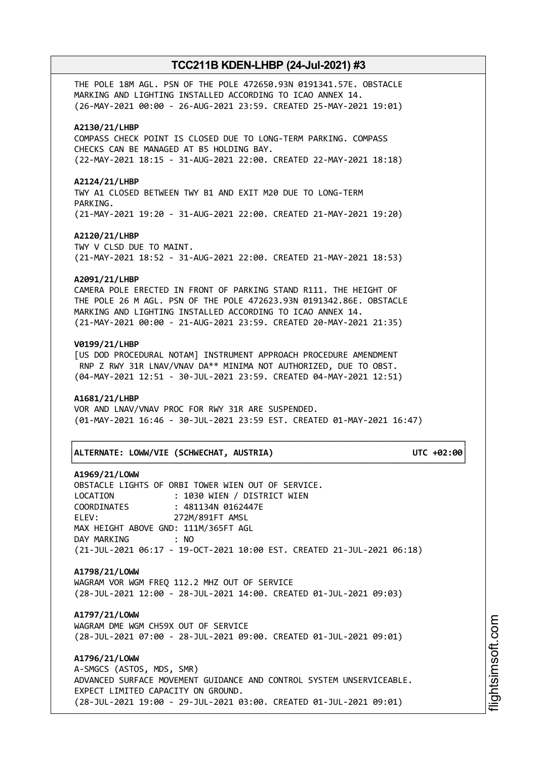THE POLE 18M AGL. PSN OF THE POLE 472650.93N 0191341.57E. OBSTACLE MARKING AND LIGHTING INSTALLED ACCORDING TO ICAO ANNEX 14. (26-MAY-2021 00:00 - 26-AUG-2021 23:59. CREATED 25-MAY-2021 19:01)

### **A2130/21/LHBP**

COMPASS CHECK POINT IS CLOSED DUE TO LONG-TERM PARKING. COMPASS CHECKS CAN BE MANAGED AT B5 HOLDING BAY. (22-MAY-2021 18:15 - 31-AUG-2021 22:00. CREATED 22-MAY-2021 18:18)

#### **A2124/21/LHBP**

TWY A1 CLOSED BETWEEN TWY B1 AND EXIT M20 DUE TO LONG-TERM PARKING. (21-MAY-2021 19:20 - 31-AUG-2021 22:00. CREATED 21-MAY-2021 19:20)

#### **A2120/21/LHBP**

TWY V CLSD DUE TO MAINT. (21-MAY-2021 18:52 - 31-AUG-2021 22:00. CREATED 21-MAY-2021 18:53)

#### **A2091/21/LHBP**

CAMERA POLE ERECTED IN FRONT OF PARKING STAND R111. THE HEIGHT OF THE POLE 26 M AGL. PSN OF THE POLE 472623.93N 0191342.86E. OBSTACLE MARKING AND LIGHTING INSTALLED ACCORDING TO ICAO ANNEX 14. (21-MAY-2021 00:00 - 21-AUG-2021 23:59. CREATED 20-MAY-2021 21:35)

### **V0199/21/LHBP**

[US DOD PROCEDURAL NOTAM] INSTRUMENT APPROACH PROCEDURE AMENDMENT RNP Z RWY 31R LNAV/VNAV DA\*\* MINIMA NOT AUTHORIZED, DUE TO OBST. (04-MAY-2021 12:51 - 30-JUL-2021 23:59. CREATED 04-MAY-2021 12:51)

### **A1681/21/LHBP**

VOR AND LNAV/VNAV PROC FOR RWY 31R ARE SUSPENDED. (01-MAY-2021 16:46 - 30-JUL-2021 23:59 EST. CREATED 01-MAY-2021 16:47)

└──────────────────────────────────────────────────────────────────────────────┘

#### │**ALTERNATE: LOWW/VIE (SCHWECHAT, AUSTRIA) UTC +02:00**│

┌──────────────────────────────────────────────────────────────────────────────┐

# **A1969/21/LOWW**

OBSTACLE LIGHTS OF ORBI TOWER WIEN OUT OF SERVICE. LOCATION : 1030 WIEN / DISTRICT WIEN COORDINATES : 481134N 0162447E ELEV: 272M/891FT AMSL MAX HEIGHT ABOVE GND: 111M/365FT AGL DAY MARKING : NO (21-JUL-2021 06:17 - 19-OCT-2021 10:00 EST. CREATED 21-JUL-2021 06:18)

# **A1798/21/LOWW**

WAGRAM VOR WGM FREQ 112.2 MHZ OUT OF SERVICE (28-JUL-2021 12:00 - 28-JUL-2021 14:00. CREATED 01-JUL-2021 09:03)

# **A1797/21/LOWW**

WAGRAM DME WGM CH59X OUT OF SERVICE (28-JUL-2021 07:00 - 28-JUL-2021 09:00. CREATED 01-JUL-2021 09:01)

**A1796/21/LOWW**

A-SMGCS (ASTOS, MDS, SMR) ADVANCED SURFACE MOVEMENT GUIDANCE AND CONTROL SYSTEM UNSERVICEABLE. EXPECT LIMITED CAPACITY ON GROUND. (28-JUL-2021 19:00 - 29-JUL-2021 03:00. CREATED 01-JUL-2021 09:01)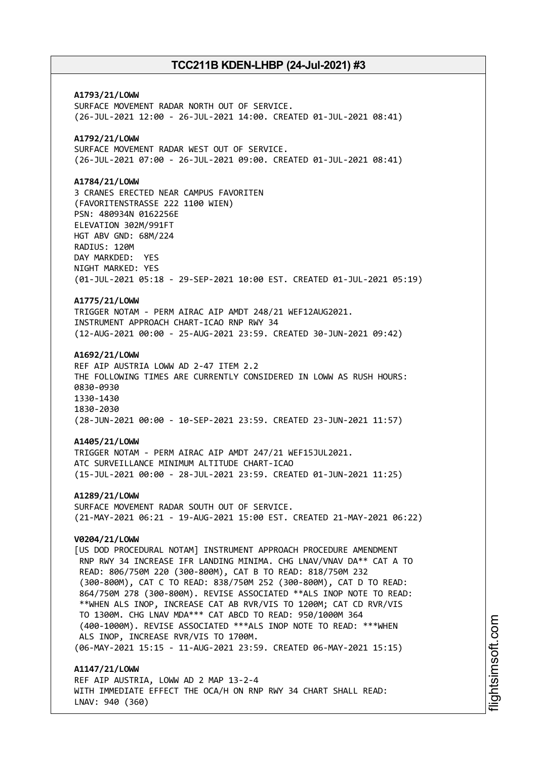**A1793/21/LOWW** SURFACE MOVEMENT RADAR NORTH OUT OF SERVICE. (26-JUL-2021 12:00 - 26-JUL-2021 14:00. CREATED 01-JUL-2021 08:41) **A1792/21/LOWW** SURFACE MOVEMENT RADAR WEST OUT OF SERVICE. (26-JUL-2021 07:00 - 26-JUL-2021 09:00. CREATED 01-JUL-2021 08:41) **A1784/21/LOWW** 3 CRANES ERECTED NEAR CAMPUS FAVORITEN (FAVORITENSTRASSE 222 1100 WIEN) PSN: 480934N 0162256E ELEVATION 302M/991FT HGT ABV GND: 68M/224 RADIUS: 120M DAY MARKDED: YES NIGHT MARKED: YES (01-JUL-2021 05:18 - 29-SEP-2021 10:00 EST. CREATED 01-JUL-2021 05:19) **A1775/21/LOWW** TRIGGER NOTAM - PERM AIRAC AIP AMDT 248/21 WEF12AUG2021. INSTRUMENT APPROACH CHART-ICAO RNP RWY 34 (12-AUG-2021 00:00 - 25-AUG-2021 23:59. CREATED 30-JUN-2021 09:42) **A1692/21/LOWW** REF AIP AUSTRIA LOWW AD 2-47 ITEM 2.2 THE FOLLOWING TIMES ARE CURRENTLY CONSIDERED IN LOWW AS RUSH HOURS: 0830-0930 1330-1430 1830-2030 (28-JUN-2021 00:00 - 10-SEP-2021 23:59. CREATED 23-JUN-2021 11:57) **A1405/21/LOWW** TRIGGER NOTAM - PERM AIRAC AIP AMDT 247/21 WEF15JUL2021. ATC SURVEILLANCE MINIMUM ALTITUDE CHART-ICAO (15-JUL-2021 00:00 - 28-JUL-2021 23:59. CREATED 01-JUN-2021 11:25) **A1289/21/LOWW** SURFACE MOVEMENT RADAR SOUTH OUT OF SERVICE. (21-MAY-2021 06:21 - 19-AUG-2021 15:00 EST. CREATED 21-MAY-2021 06:22) **V0204/21/LOWW** [US DOD PROCEDURAL NOTAM] INSTRUMENT APPROACH PROCEDURE AMENDMENT RNP RWY 34 INCREASE IFR LANDING MINIMA. CHG LNAV/VNAV DA\*\* CAT A TO READ: 806/750M 220 (300-800M), CAT B TO READ: 818/750M 232 (300-800M), CAT C TO READ: 838/750M 252 (300-800M), CAT D TO READ: 864/750M 278 (300-800M). REVISE ASSOCIATED \*\*ALS INOP NOTE TO READ: \*\*WHEN ALS INOP, INCREASE CAT AB RVR/VIS TO 1200M; CAT CD RVR/VIS TO 1300M. CHG LNAV MDA\*\*\* CAT ABCD TO READ: 950/1000M 364 (400-1000M). REVISE ASSOCIATED \*\*\*ALS INOP NOTE TO READ: \*\*\*WHEN ALS INOP, INCREASE RVR/VIS TO 1700M. (06-MAY-2021 15:15 - 11-AUG-2021 23:59. CREATED 06-MAY-2021 15:15) **A1147/21/LOWW** REF AIP AUSTRIA, LOWW AD 2 MAP 13-2-4

WITH IMMEDIATE EFFECT THE OCA/H ON RNP RWY 34 CHART SHALL READ: LNAV: 940 (360)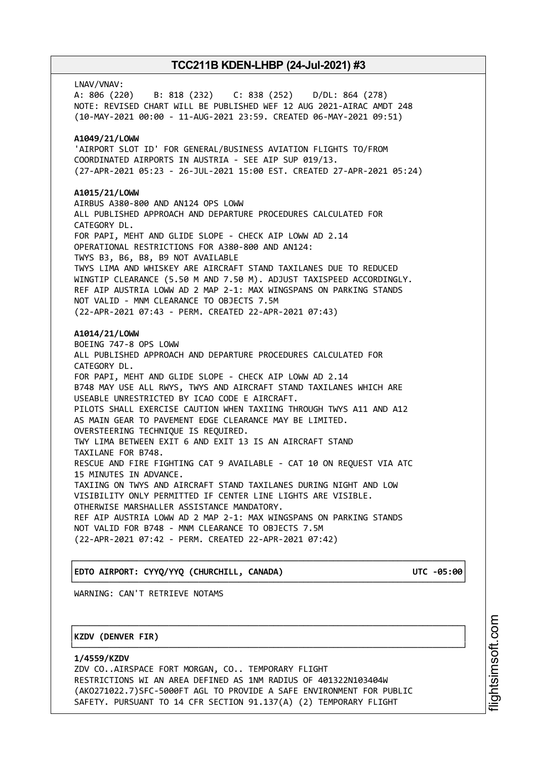LNAV/VNAV: A: 806 (220) B: 818 (232) C: 838 (252) D/DL: 864 (278) NOTE: REVISED CHART WILL BE PUBLISHED WEF 12 AUG 2021-AIRAC AMDT 248 (10-MAY-2021 00:00 - 11-AUG-2021 23:59. CREATED 06-MAY-2021 09:51) **A1049/21/LOWW** 'AIRPORT SLOT ID' FOR GENERAL/BUSINESS AVIATION FLIGHTS TO/FROM COORDINATED AIRPORTS IN AUSTRIA - SEE AIP SUP 019/13. (27-APR-2021 05:23 - 26-JUL-2021 15:00 EST. CREATED 27-APR-2021 05:24) **A1015/21/LOWW** AIRBUS A380-800 AND AN124 OPS LOWW ALL PUBLISHED APPROACH AND DEPARTURE PROCEDURES CALCULATED FOR CATEGORY DL. FOR PAPI, MEHT AND GLIDE SLOPE - CHECK AIP LOWW AD 2.14 OPERATIONAL RESTRICTIONS FOR A380-800 AND AN124: TWYS B3, B6, B8, B9 NOT AVAILABLE TWYS LIMA AND WHISKEY ARE AIRCRAFT STAND TAXILANES DUE TO REDUCED WINGTIP CLEARANCE (5.50 M AND 7.50 M). ADJUST TAXISPEED ACCORDINGLY. REF AIP AUSTRIA LOWW AD 2 MAP 2-1: MAX WINGSPANS ON PARKING STANDS NOT VALID - MNM CLEARANCE TO OBJECTS 7.5M (22-APR-2021 07:43 - PERM. CREATED 22-APR-2021 07:43) **A1014/21/LOWW** BOEING 747-8 OPS LOWW ALL PUBLISHED APPROACH AND DEPARTURE PROCEDURES CALCULATED FOR CATEGORY DL. FOR PAPI, MEHT AND GLIDE SLOPE - CHECK AIP LOWW AD 2.14 B748 MAY USE ALL RWYS, TWYS AND AIRCRAFT STAND TAXILANES WHICH ARE USEABLE UNRESTRICTED BY ICAO CODE E AIRCRAFT. PILOTS SHALL EXERCISE CAUTION WHEN TAXIING THROUGH TWYS A11 AND A12 AS MAIN GEAR TO PAVEMENT EDGE CLEARANCE MAY BE LIMITED. OVERSTEERING TECHNIQUE IS REQUIRED. TWY LIMA BETWEEN EXIT 6 AND EXIT 13 IS AN AIRCRAFT STAND TAXILANE FOR B748. RESCUE AND FIRE FIGHTING CAT 9 AVAILABLE - CAT 10 ON REQUEST VIA ATC 15 MINUTES IN ADVANCE. TAXIING ON TWYS AND AIRCRAFT STAND TAXILANES DURING NIGHT AND LOW VISIBILITY ONLY PERMITTED IF CENTER LINE LIGHTS ARE VISIBLE. OTHERWISE MARSHALLER ASSISTANCE MANDATORY. REF AIP AUSTRIA LOWW AD 2 MAP 2-1: MAX WINGSPANS ON PARKING STANDS NOT VALID FOR B748 - MNM CLEARANCE TO OBJECTS 7.5M (22-APR-2021 07:42 - PERM. CREATED 22-APR-2021 07:42)

# │**EDTO AIRPORT: CYYQ/YYQ (CHURCHILL, CANADA) UTC -05:00**│

┌──────────────────────────────────────────────────────────────────────────────┐

└──────────────────────────────────────────────────────────────────────────────┘ WARNING: CAN'T RETRIEVE NOTAMS

# │**KZDV (DENVER FIR)** │

**1/4559/KZDV** ZDV CO..AIRSPACE FORT MORGAN, CO.. TEMPORARY FLIGHT RESTRICTIONS WI AN AREA DEFINED AS 1NM RADIUS OF 401322N103404W (AKO271022.7)SFC-5000FT AGL TO PROVIDE A SAFE ENVIRONMENT FOR PUBLIC SAFETY. PURSUANT TO 14 CFR SECTION 91.137(A) (2) TEMPORARY FLIGHT

┌──────────────────────────────────────────────────────────────────────────────┐

└──────────────────────────────────────────────────────────────────────────────┘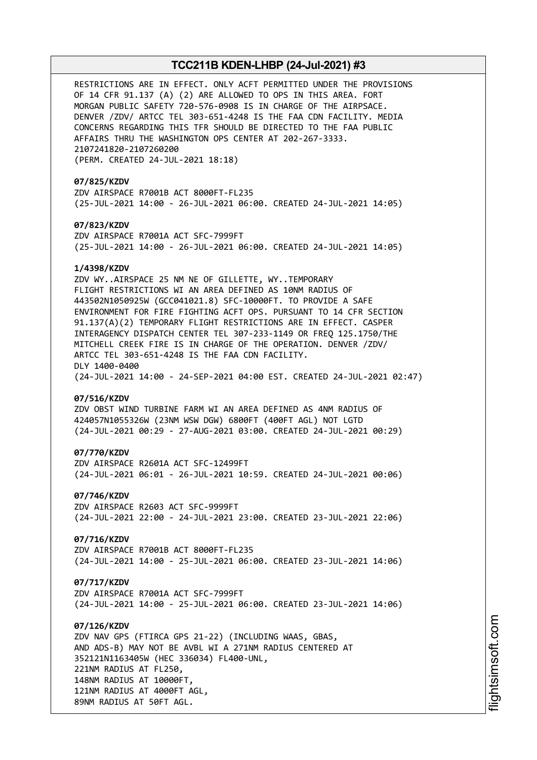RESTRICTIONS ARE IN EFFECT. ONLY ACFT PERMITTED UNDER THE PROVISIONS OF 14 CFR 91.137 (A) (2) ARE ALLOWED TO OPS IN THIS AREA. FORT MORGAN PUBLIC SAFETY 720-576-0908 IS IN CHARGE OF THE AIRPSACE. DENVER /ZDV/ ARTCC TEL 303-651-4248 IS THE FAA CDN FACILITY. MEDIA CONCERNS REGARDING THIS TFR SHOULD BE DIRECTED TO THE FAA PUBLIC AFFAIRS THRU THE WASHINGTON OPS CENTER AT 202-267-3333. 2107241820-2107260200 (PERM. CREATED 24-JUL-2021 18:18)

**07/825/KZDV** ZDV AIRSPACE R7001B ACT 8000FT-FL235 (25-JUL-2021 14:00 - 26-JUL-2021 06:00. CREATED 24-JUL-2021 14:05)

**07/823/KZDV** ZDV AIRSPACE R7001A ACT SFC-7999FT (25-JUL-2021 14:00 - 26-JUL-2021 06:00. CREATED 24-JUL-2021 14:05)

#### **1/4398/KZDV**

ZDV WY..AIRSPACE 25 NM NE OF GILLETTE, WY..TEMPORARY FLIGHT RESTRICTIONS WI AN AREA DEFINED AS 10NM RADIUS OF 443502N1050925W (GCC041021.8) SFC-10000FT. TO PROVIDE A SAFE ENVIRONMENT FOR FIRE FIGHTING ACFT OPS. PURSUANT TO 14 CFR SECTION 91.137(A)(2) TEMPORARY FLIGHT RESTRICTIONS ARE IN EFFECT. CASPER INTERAGENCY DISPATCH CENTER TEL 307-233-1149 OR FREQ 125.1750/THE MITCHELL CREEK FIRE IS IN CHARGE OF THE OPERATION. DENVER /ZDV/ ARTCC TEL 303-651-4248 IS THE FAA CDN FACILITY. DLY 1400-0400 (24-JUL-2021 14:00 - 24-SEP-2021 04:00 EST. CREATED 24-JUL-2021 02:47)

# **07/516/KZDV**

ZDV OBST WIND TURBINE FARM WI AN AREA DEFINED AS 4NM RADIUS OF 424057N1055326W (23NM WSW DGW) 6800FT (400FT AGL) NOT LGTD (24-JUL-2021 00:29 - 27-AUG-2021 03:00. CREATED 24-JUL-2021 00:29)

#### **07/770/KZDV**

ZDV AIRSPACE R2601A ACT SFC-12499FT (24-JUL-2021 06:01 - 26-JUL-2021 10:59. CREATED 24-JUL-2021 00:06)

### **07/746/KZDV**

ZDV AIRSPACE R2603 ACT SFC-9999FT (24-JUL-2021 22:00 - 24-JUL-2021 23:00. CREATED 23-JUL-2021 22:06)

# **07/716/KZDV**

ZDV AIRSPACE R7001B ACT 8000FT-FL235 (24-JUL-2021 14:00 - 25-JUL-2021 06:00. CREATED 23-JUL-2021 14:06)

### **07/717/KZDV**

ZDV AIRSPACE R7001A ACT SFC-7999FT (24-JUL-2021 14:00 - 25-JUL-2021 06:00. CREATED 23-JUL-2021 14:06)

# **07/126/KZDV**

ZDV NAV GPS (FTIRCA GPS 21-22) (INCLUDING WAAS, GBAS, AND ADS-B) MAY NOT BE AVBL WI A 271NM RADIUS CENTERED AT 352121N1163405W (HEC 336034) FL400-UNL, 221NM RADIUS AT FL250, 148NM RADIUS AT 10000FT, 121NM RADIUS AT 4000FT AGL, 89NM RADIUS AT 50FT AGL.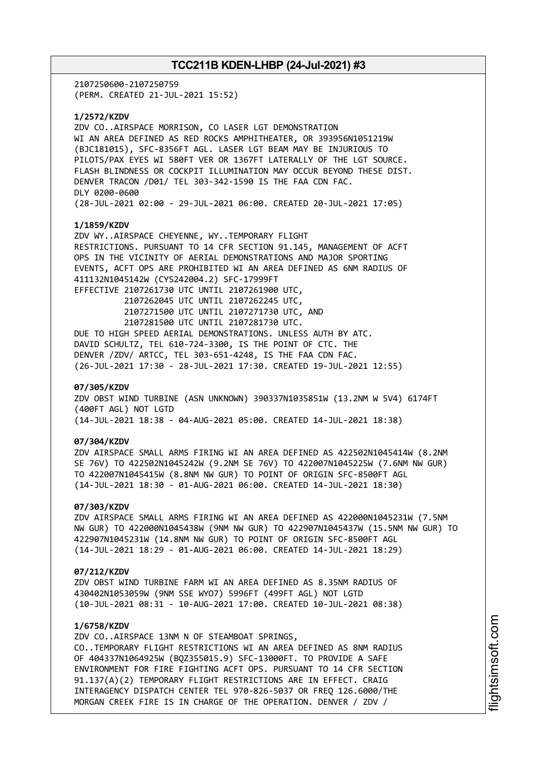2107250600-2107250759 (PERM. CREATED 21-JUL-2021 15:52)

**1/2572/KZDV**

ZDV CO..AIRSPACE MORRISON, CO LASER LGT DEMONSTRATION WI AN AREA DEFINED AS RED ROCKS AMPHITHEATER, OR 393956N1051219W (BJC181015), SFC-8356FT AGL. LASER LGT BEAM MAY BE INJURIOUS TO PILOTS/PAX EYES WI 580FT VER OR 1367FT LATERALLY OF THE LGT SOURCE. FLASH BLINDNESS OR COCKPIT ILLUMINATION MAY OCCUR BEYOND THESE DIST. DENVER TRACON /D01/ TEL 303-342-1590 IS THE FAA CDN FAC. DLY 0200-0600 (28-JUL-2021 02:00 - 29-JUL-2021 06:00. CREATED 20-JUL-2021 17:05)

### **1/1859/KZDV**

ZDV WY..AIRSPACE CHEYENNE, WY..TEMPORARY FLIGHT RESTRICTIONS. PURSUANT TO 14 CFR SECTION 91.145, MANAGEMENT OF ACFT OPS IN THE VICINITY OF AERIAL DEMONSTRATIONS AND MAJOR SPORTING EVENTS, ACFT OPS ARE PROHIBITED WI AN AREA DEFINED AS 6NM RADIUS OF 411132N1045142W (CYS242004.2) SFC-17999FT EFFECTIVE 2107261730 UTC UNTIL 2107261900 UTC, 2107262045 UTC UNTIL 2107262245 UTC, 2107271500 UTC UNTIL 2107271730 UTC, AND 2107281500 UTC UNTIL 2107281730 UTC. DUE TO HIGH SPEED AERIAL DEMONSTRATIONS. UNLESS AUTH BY ATC. DAVID SCHULTZ, TEL 610-724-3300, IS THE POINT OF CTC. THE DENVER /ZDV/ ARTCC, TEL 303-651-4248, IS THE FAA CDN FAC. (26-JUL-2021 17:30 - 28-JUL-2021 17:30. CREATED 19-JUL-2021 12:55)

#### **07/305/KZDV**

ZDV OBST WIND TURBINE (ASN UNKNOWN) 390337N1035851W (13.2NM W 5V4) 6174FT (400FT AGL) NOT LGTD (14-JUL-2021 18:38 - 04-AUG-2021 05:00. CREATED 14-JUL-2021 18:38)

# **07/304/KZDV**

ZDV AIRSPACE SMALL ARMS FIRING WI AN AREA DEFINED AS 422502N1045414W (8.2NM SE 76V) TO 422502N1045242W (9.2NM SE 76V) TO 422007N1045225W (7.6NM NW GUR) TO 422007N1045415W (8.8NM NW GUR) TO POINT OF ORIGIN SFC-8500FT AGL (14-JUL-2021 18:30 - 01-AUG-2021 06:00. CREATED 14-JUL-2021 18:30)

### **07/303/KZDV**

ZDV AIRSPACE SMALL ARMS FIRING WI AN AREA DEFINED AS 422000N1045231W (7.5NM NW GUR) TO 422000N1045438W (9NM NW GUR) TO 422907N1045437W (15.5NM NW GUR) TO 422907N1045231W (14.8NM NW GUR) TO POINT OF ORIGIN SFC-8500FT AGL (14-JUL-2021 18:29 - 01-AUG-2021 06:00. CREATED 14-JUL-2021 18:29)

#### **07/212/KZDV**

ZDV OBST WIND TURBINE FARM WI AN AREA DEFINED AS 8.35NM RADIUS OF 430402N1053059W (9NM SSE WYO7) 5996FT (499FT AGL) NOT LGTD (10-JUL-2021 08:31 - 10-AUG-2021 17:00. CREATED 10-JUL-2021 08:38)

# **1/6758/KZDV**

ZDV CO..AIRSPACE 13NM N OF STEAMBOAT SPRINGS, CO..TEMPORARY FLIGHT RESTRICTIONS WI AN AREA DEFINED AS 8NM RADIUS OF 404337N1064925W (BQZ355015.9) SFC-13000FT. TO PROVIDE A SAFE ENVIRONMENT FOR FIRE FIGHTING ACFT OPS. PURSUANT TO 14 CFR SECTION 91.137(A)(2) TEMPORARY FLIGHT RESTRICTIONS ARE IN EFFECT. CRAIG INTERAGENCY DISPATCH CENTER TEL 970-826-5037 OR FREQ 126.6000/THE MORGAN CREEK FIRE IS IN CHARGE OF THE OPERATION. DENVER / ZDV /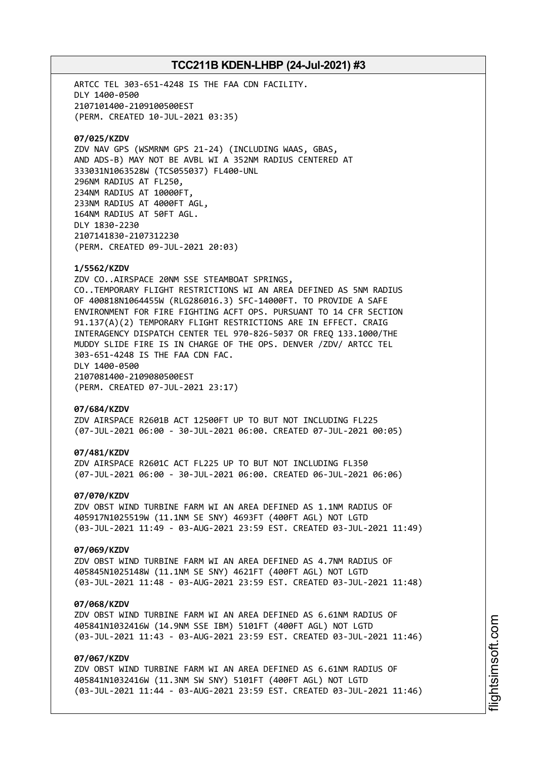ARTCC TEL 303-651-4248 IS THE FAA CDN FACILITY. DLY 1400-0500 2107101400-2109100500EST (PERM. CREATED 10-JUL-2021 03:35) **07/025/KZDV** ZDV NAV GPS (WSMRNM GPS 21-24) (INCLUDING WAAS, GBAS, AND ADS-B) MAY NOT BE AVBL WI A 352NM RADIUS CENTERED AT 333031N1063528W (TCS055037) FL400-UNL 296NM RADIUS AT FL250, 234NM RADIUS AT 10000FT, 233NM RADIUS AT 4000FT AGL, 164NM RADIUS AT 50FT AGL. DLY 1830-2230 2107141830-2107312230 (PERM. CREATED 09-JUL-2021 20:03) **1/5562/KZDV** ZDV CO..AIRSPACE 20NM SSE STEAMBOAT SPRINGS, CO..TEMPORARY FLIGHT RESTRICTIONS WI AN AREA DEFINED AS 5NM RADIUS OF 400818N1064455W (RLG286016.3) SFC-14000FT. TO PROVIDE A SAFE ENVIRONMENT FOR FIRE FIGHTING ACFT OPS. PURSUANT TO 14 CFR SECTION 91.137(A)(2) TEMPORARY FLIGHT RESTRICTIONS ARE IN EFFECT. CRAIG INTERAGENCY DISPATCH CENTER TEL 970-826-5037 OR FREQ 133.1000/THE MUDDY SLIDE FIRE IS IN CHARGE OF THE OPS. DENVER /ZDV/ ARTCC TEL 303-651-4248 IS THE FAA CDN FAC. DLY 1400-0500 2107081400-2109080500EST (PERM. CREATED 07-JUL-2021 23:17) **07/684/KZDV** ZDV AIRSPACE R2601B ACT 12500FT UP TO BUT NOT INCLUDING FL225 (07-JUL-2021 06:00 - 30-JUL-2021 06:00. CREATED 07-JUL-2021 00:05) **07/481/KZDV** ZDV AIRSPACE R2601C ACT FL225 UP TO BUT NOT INCLUDING FL350 (07-JUL-2021 06:00 - 30-JUL-2021 06:00. CREATED 06-JUL-2021 06:06) **07/070/KZDV** ZDV OBST WIND TURBINE FARM WI AN AREA DEFINED AS 1.1NM RADIUS OF 405917N1025519W (11.1NM SE SNY) 4693FT (400FT AGL) NOT LGTD (03-JUL-2021 11:49 - 03-AUG-2021 23:59 EST. CREATED 03-JUL-2021 11:49) **07/069/KZDV** ZDV OBST WIND TURBINE FARM WI AN AREA DEFINED AS 4.7NM RADIUS OF 405845N1025148W (11.1NM SE SNY) 4621FT (400FT AGL) NOT LGTD (03-JUL-2021 11:48 - 03-AUG-2021 23:59 EST. CREATED 03-JUL-2021 11:48) **07/068/KZDV** ZDV OBST WIND TURBINE FARM WI AN AREA DEFINED AS 6.61NM RADIUS OF

405841N1032416W (14.9NM SSE IBM) 5101FT (400FT AGL) NOT LGTD (03-JUL-2021 11:43 - 03-AUG-2021 23:59 EST. CREATED 03-JUL-2021 11:46)

# **07/067/KZDV**

ZDV OBST WIND TURBINE FARM WI AN AREA DEFINED AS 6.61NM RADIUS OF 405841N1032416W (11.3NM SW SNY) 5101FT (400FT AGL) NOT LGTD (03-JUL-2021 11:44 - 03-AUG-2021 23:59 EST. CREATED 03-JUL-2021 11:46)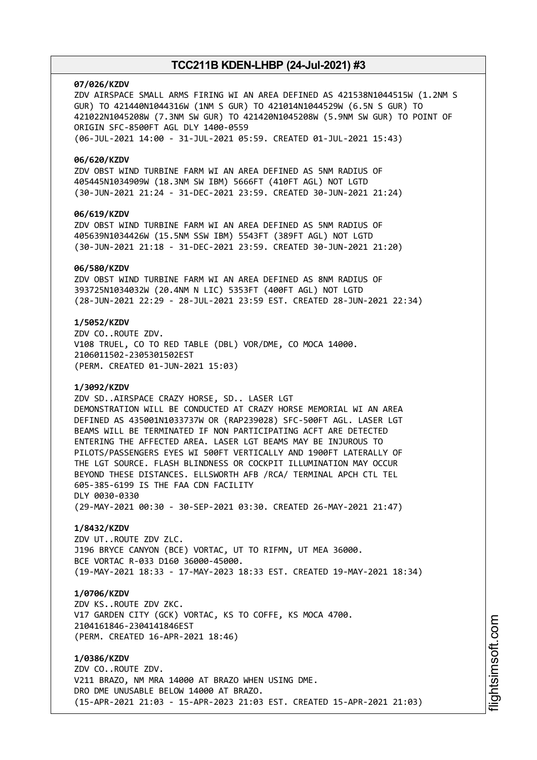#### **07/026/KZDV**

ZDV AIRSPACE SMALL ARMS FIRING WI AN AREA DEFINED AS 421538N1044515W (1.2NM S GUR) TO 421440N1044316W (1NM S GUR) TO 421014N1044529W (6.5N S GUR) TO 421022N1045208W (7.3NM SW GUR) TO 421420N1045208W (5.9NM SW GUR) TO POINT OF ORIGIN SFC-8500FT AGL DLY 1400-0559 (06-JUL-2021 14:00 - 31-JUL-2021 05:59. CREATED 01-JUL-2021 15:43)

#### **06/620/KZDV**

ZDV OBST WIND TURBINE FARM WI AN AREA DEFINED AS 5NM RADIUS OF 405445N1034909W (18.3NM SW IBM) 5666FT (410FT AGL) NOT LGTD (30-JUN-2021 21:24 - 31-DEC-2021 23:59. CREATED 30-JUN-2021 21:24)

# **06/619/KZDV**

ZDV OBST WIND TURBINE FARM WI AN AREA DEFINED AS 5NM RADIUS OF 405639N1034426W (15.5NM SSW IBM) 5543FT (389FT AGL) NOT LGTD (30-JUN-2021 21:18 - 31-DEC-2021 23:59. CREATED 30-JUN-2021 21:20)

#### **06/580/KZDV**

ZDV OBST WIND TURBINE FARM WI AN AREA DEFINED AS 8NM RADIUS OF 393725N1034032W (20.4NM N LIC) 5353FT (400FT AGL) NOT LGTD (28-JUN-2021 22:29 - 28-JUL-2021 23:59 EST. CREATED 28-JUN-2021 22:34)

# **1/5052/KZDV**

ZDV CO..ROUTE ZDV. V108 TRUEL, CO TO RED TABLE (DBL) VOR/DME, CO MOCA 14000. 2106011502-2305301502EST (PERM. CREATED 01-JUN-2021 15:03)

### **1/3092/KZDV**

ZDV SD..AIRSPACE CRAZY HORSE, SD.. LASER LGT DEMONSTRATION WILL BE CONDUCTED AT CRAZY HORSE MEMORIAL WI AN AREA DEFINED AS 435001N1033737W OR (RAP239028) SFC-500FT AGL. LASER LGT BEAMS WILL BE TERMINATED IF NON PARTICIPATING ACFT ARE DETECTED ENTERING THE AFFECTED AREA. LASER LGT BEAMS MAY BE INJUROUS TO PILOTS/PASSENGERS EYES WI 500FT VERTICALLY AND 1900FT LATERALLY OF THE LGT SOURCE. FLASH BLINDNESS OR COCKPIT ILLUMINATION MAY OCCUR BEYOND THESE DISTANCES. ELLSWORTH AFB /RCA/ TERMINAL APCH CTL TEL 605-385-6199 IS THE FAA CDN FACILITY DLY 0030-0330 (29-MAY-2021 00:30 - 30-SEP-2021 03:30. CREATED 26-MAY-2021 21:47)

#### **1/8432/KZDV**

ZDV UT..ROUTE ZDV ZLC. J196 BRYCE CANYON (BCE) VORTAC, UT TO RIFMN, UT MEA 36000. BCE VORTAC R-033 D160 36000-45000. (19-MAY-2021 18:33 - 17-MAY-2023 18:33 EST. CREATED 19-MAY-2021 18:34)

# **1/0706/KZDV**

ZDV KS..ROUTE ZDV ZKC. V17 GARDEN CITY (GCK) VORTAC, KS TO COFFE, KS MOCA 4700. 2104161846-2304141846EST (PERM. CREATED 16-APR-2021 18:46)

**1/0386/KZDV** ZDV CO..ROUTE ZDV. V211 BRAZO, NM MRA 14000 AT BRAZO WHEN USING DME. DRO DME UNUSABLE BELOW 14000 AT BRAZO. (15-APR-2021 21:03 - 15-APR-2023 21:03 EST. CREATED 15-APR-2021 21:03)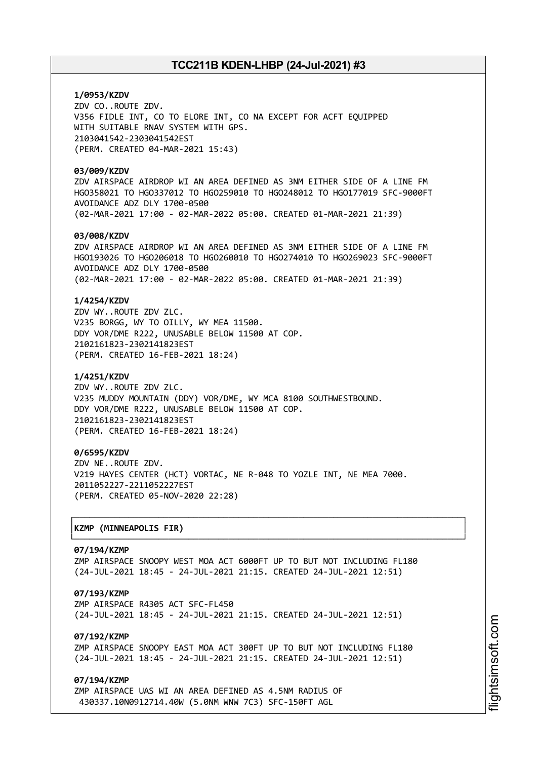# **1/0953/KZDV** ZDV CO..ROUTE ZDV. V356 FIDLE INT, CO TO ELORE INT, CO NA EXCEPT FOR ACFT EQUIPPED WITH SUITABLE RNAV SYSTEM WITH GPS. 2103041542-2303041542EST (PERM. CREATED 04-MAR-2021 15:43)

# **03/009/KZDV**

ZDV AIRSPACE AIRDROP WI AN AREA DEFINED AS 3NM EITHER SIDE OF A LINE FM HGO358021 TO HGO337012 TO HGO259010 TO HGO248012 TO HGO177019 SFC-9000FT AVOIDANCE ADZ DLY 1700-0500 (02-MAR-2021 17:00 - 02-MAR-2022 05:00. CREATED 01-MAR-2021 21:39)

# **03/008/KZDV**

ZDV AIRSPACE AIRDROP WI AN AREA DEFINED AS 3NM EITHER SIDE OF A LINE FM HGO193026 TO HGO206018 TO HGO260010 TO HGO274010 TO HGO269023 SFC-9000FT AVOIDANCE ADZ DLY 1700-0500 (02-MAR-2021 17:00 - 02-MAR-2022 05:00. CREATED 01-MAR-2021 21:39)

## **1/4254/KZDV**

ZDV WY..ROUTE ZDV ZLC. V235 BORGG, WY TO OILLY, WY MEA 11500. DDY VOR/DME R222, UNUSABLE BELOW 11500 AT COP. 2102161823-2302141823EST (PERM. CREATED 16-FEB-2021 18:24)

### **1/4251/KZDV**

ZDV WY..ROUTE ZDV ZLC. V235 MUDDY MOUNTAIN (DDY) VOR/DME, WY MCA 8100 SOUTHWESTBOUND. DDY VOR/DME R222, UNUSABLE BELOW 11500 AT COP. 2102161823-2302141823EST (PERM. CREATED 16-FEB-2021 18:24)

# **0/6595/KZDV**

ZDV NE..ROUTE ZDV. V219 HAYES CENTER (HCT) VORTAC, NE R-048 TO YOZLE INT, NE MEA 7000. 2011052227-2211052227EST (PERM. CREATED 05-NOV-2020 22:28)

# │**KZMP (MINNEAPOLIS FIR)** │

#### **07/194/KZMP**

ZMP AIRSPACE SNOOPY WEST MOA ACT 6000FT UP TO BUT NOT INCLUDING FL180 (24-JUL-2021 18:45 - 24-JUL-2021 21:15. CREATED 24-JUL-2021 12:51)

┌──────────────────────────────────────────────────────────────────────────────┐

└──────────────────────────────────────────────────────────────────────────────┘

# **07/193/KZMP**

ZMP AIRSPACE R4305 ACT SFC-FL450 (24-JUL-2021 18:45 - 24-JUL-2021 21:15. CREATED 24-JUL-2021 12:51)

# **07/192/KZMP**

ZMP AIRSPACE SNOOPY EAST MOA ACT 300FT UP TO BUT NOT INCLUDING FL180 (24-JUL-2021 18:45 - 24-JUL-2021 21:15. CREATED 24-JUL-2021 12:51)

### **07/194/KZMP**

ZMP AIRSPACE UAS WI AN AREA DEFINED AS 4.5NM RADIUS OF 430337.10N0912714.40W (5.0NM WNW 7C3) SFC-150FT AGL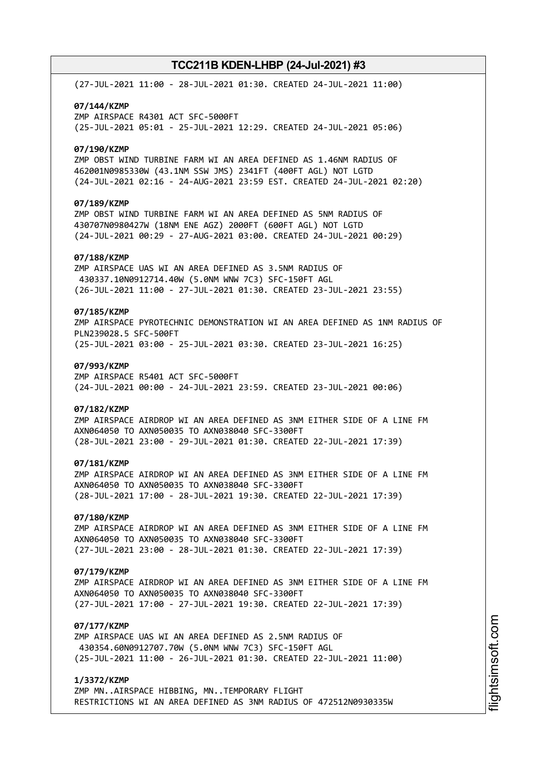(27-JUL-2021 11:00 - 28-JUL-2021 01:30. CREATED 24-JUL-2021 11:00) **07/144/KZMP** ZMP AIRSPACE R4301 ACT SFC-5000FT (25-JUL-2021 05:01 - 25-JUL-2021 12:29. CREATED 24-JUL-2021 05:06) **07/190/KZMP** ZMP OBST WIND TURBINE FARM WI AN AREA DEFINED AS 1.46NM RADIUS OF 462001N0985330W (43.1NM SSW JMS) 2341FT (400FT AGL) NOT LGTD (24-JUL-2021 02:16 - 24-AUG-2021 23:59 EST. CREATED 24-JUL-2021 02:20) **07/189/KZMP** ZMP OBST WIND TURBINE FARM WI AN AREA DEFINED AS 5NM RADIUS OF 430707N0980427W (18NM ENE AGZ) 2000FT (600FT AGL) NOT LGTD (24-JUL-2021 00:29 - 27-AUG-2021 03:00. CREATED 24-JUL-2021 00:29) **07/188/KZMP** ZMP AIRSPACE UAS WI AN AREA DEFINED AS 3.5NM RADIUS OF 430337.10N0912714.40W (5.0NM WNW 7C3) SFC-150FT AGL (26-JUL-2021 11:00 - 27-JUL-2021 01:30. CREATED 23-JUL-2021 23:55) **07/185/KZMP** ZMP AIRSPACE PYROTECHNIC DEMONSTRATION WI AN AREA DEFINED AS 1NM RADIUS OF PLN239028.5 SFC-500FT (25-JUL-2021 03:00 - 25-JUL-2021 03:30. CREATED 23-JUL-2021 16:25) **07/993/KZMP** ZMP AIRSPACE R5401 ACT SFC-5000FT (24-JUL-2021 00:00 - 24-JUL-2021 23:59. CREATED 23-JUL-2021 00:06) **07/182/KZMP** ZMP AIRSPACE AIRDROP WI AN AREA DEFINED AS 3NM EITHER SIDE OF A LINE FM AXN064050 TO AXN050035 TO AXN038040 SFC-3300FT (28-JUL-2021 23:00 - 29-JUL-2021 01:30. CREATED 22-JUL-2021 17:39) **07/181/KZMP** ZMP AIRSPACE AIRDROP WI AN AREA DEFINED AS 3NM EITHER SIDE OF A LINE FM AXN064050 TO AXN050035 TO AXN038040 SFC-3300FT (28-JUL-2021 17:00 - 28-JUL-2021 19:30. CREATED 22-JUL-2021 17:39) **07/180/KZMP** ZMP AIRSPACE AIRDROP WI AN AREA DEFINED AS 3NM EITHER SIDE OF A LINE FM AXN064050 TO AXN050035 TO AXN038040 SFC-3300FT (27-JUL-2021 23:00 - 28-JUL-2021 01:30. CREATED 22-JUL-2021 17:39) **07/179/KZMP** ZMP AIRSPACE AIRDROP WI AN AREA DEFINED AS 3NM EITHER SIDE OF A LINE FM AXN064050 TO AXN050035 TO AXN038040 SFC-3300FT (27-JUL-2021 17:00 - 27-JUL-2021 19:30. CREATED 22-JUL-2021 17:39) **07/177/KZMP** ZMP AIRSPACE UAS WI AN AREA DEFINED AS 2.5NM RADIUS OF 430354.60N0912707.70W (5.0NM WNW 7C3) SFC-150FT AGL (25-JUL-2021 11:00 - 26-JUL-2021 01:30. CREATED 22-JUL-2021 11:00) **1/3372/KZMP**

ZMP MN..AIRSPACE HIBBING, MN..TEMPORARY FLIGHT

RESTRICTIONS WI AN AREA DEFINED AS 3NM RADIUS OF 472512N0930335W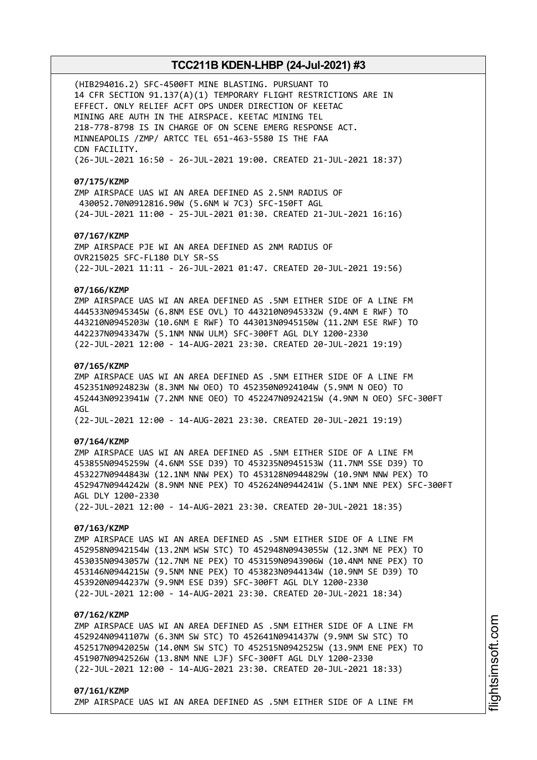(HIB294016.2) SFC-4500FT MINE BLASTING. PURSUANT TO 14 CFR SECTION 91.137(A)(1) TEMPORARY FLIGHT RESTRICTIONS ARE IN EFFECT. ONLY RELIEF ACFT OPS UNDER DIRECTION OF KEETAC MINING ARE AUTH IN THE AIRSPACE. KEETAC MINING TEL 218-778-8798 IS IN CHARGE OF ON SCENE EMERG RESPONSE ACT. MINNEAPOLIS /ZMP/ ARTCC TEL 651-463-5580 IS THE FAA CDN FACILITY. (26-JUL-2021 16:50 - 26-JUL-2021 19:00. CREATED 21-JUL-2021 18:37)

#### **07/175/KZMP**

ZMP AIRSPACE UAS WI AN AREA DEFINED AS 2.5NM RADIUS OF 430052.70N0912816.90W (5.6NM W 7C3) SFC-150FT AGL (24-JUL-2021 11:00 - 25-JUL-2021 01:30. CREATED 21-JUL-2021 16:16)

# **07/167/KZMP**

ZMP AIRSPACE PJE WI AN AREA DEFINED AS 2NM RADIUS OF OVR215025 SFC-FL180 DLY SR-SS (22-JUL-2021 11:11 - 26-JUL-2021 01:47. CREATED 20-JUL-2021 19:56)

# **07/166/KZMP**

ZMP AIRSPACE UAS WI AN AREA DEFINED AS .5NM EITHER SIDE OF A LINE FM 444533N0945345W (6.8NM ESE OVL) TO 443210N0945332W (9.4NM E RWF) TO 443210N0945203W (10.6NM E RWF) TO 443013N0945150W (11.2NM ESE RWF) TO 442237N0943347W (5.1NM NNW ULM) SFC-300FT AGL DLY 1200-2330 (22-JUL-2021 12:00 - 14-AUG-2021 23:30. CREATED 20-JUL-2021 19:19)

### **07/165/KZMP**

ZMP AIRSPACE UAS WI AN AREA DEFINED AS .5NM EITHER SIDE OF A LINE FM 452351N0924823W (8.3NM NW OEO) TO 452350N0924104W (5.9NM N OEO) TO 452443N0923941W (7.2NM NNE OEO) TO 452247N0924215W (4.9NM N OEO) SFC-300FT AGL

(22-JUL-2021 12:00 - 14-AUG-2021 23:30. CREATED 20-JUL-2021 19:19)

#### **07/164/KZMP**

ZMP AIRSPACE UAS WI AN AREA DEFINED AS .5NM EITHER SIDE OF A LINE FM 453855N0945259W (4.6NM SSE D39) TO 453235N0945153W (11.7NM SSE D39) TO 453227N0944843W (12.1NM NNW PEX) TO 453128N0944829W (10.9NM NNW PEX) TO 452947N0944242W (8.9NM NNE PEX) TO 452624N0944241W (5.1NM NNE PEX) SFC-300FT AGL DLY 1200-2330 (22-JUL-2021 12:00 - 14-AUG-2021 23:30. CREATED 20-JUL-2021 18:35)

### **07/163/KZMP**

ZMP AIRSPACE UAS WI AN AREA DEFINED AS .5NM EITHER SIDE OF A LINE FM 452958N0942154W (13.2NM WSW STC) TO 452948N0943055W (12.3NM NE PEX) TO 453035N0943057W (12.7NM NE PEX) TO 453159N0943906W (10.4NM NNE PEX) TO 453146N0944215W (9.5NM NNE PEX) TO 453823N0944134W (10.9NM SE D39) TO 453920N0944237W (9.9NM ESE D39) SFC-300FT AGL DLY 1200-2330 (22-JUL-2021 12:00 - 14-AUG-2021 23:30. CREATED 20-JUL-2021 18:34)

# **07/162/KZMP**

ZMP AIRSPACE UAS WI AN AREA DEFINED AS .5NM EITHER SIDE OF A LINE FM 452924N0941107W (6.3NM SW STC) TO 452641N0941437W (9.9NM SW STC) TO 452517N0942025W (14.0NM SW STC) TO 452515N0942525W (13.9NM ENE PEX) TO 451907N0942526W (13.8NM NNE LJF) SFC-300FT AGL DLY 1200-2330 (22-JUL-2021 12:00 - 14-AUG-2021 23:30. CREATED 20-JUL-2021 18:33)

#### **07/161/KZMP**

ZMP AIRSPACE UAS WI AN AREA DEFINED AS .5NM EITHER SIDE OF A LINE FM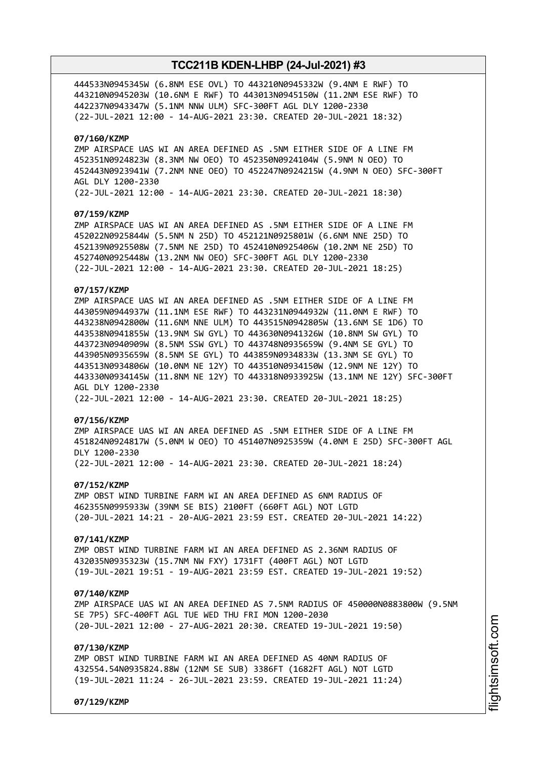444533N0945345W (6.8NM ESE OVL) TO 443210N0945332W (9.4NM E RWF) TO 443210N0945203W (10.6NM E RWF) TO 443013N0945150W (11.2NM ESE RWF) TO 442237N0943347W (5.1NM NNW ULM) SFC-300FT AGL DLY 1200-2330 (22-JUL-2021 12:00 - 14-AUG-2021 23:30. CREATED 20-JUL-2021 18:32)

### **07/160/KZMP**

ZMP AIRSPACE UAS WI AN AREA DEFINED AS .5NM EITHER SIDE OF A LINE FM 452351N0924823W (8.3NM NW OEO) TO 452350N0924104W (5.9NM N OEO) TO 452443N0923941W (7.2NM NNE OEO) TO 452247N0924215W (4.9NM N OEO) SFC-300FT AGL DLY 1200-2330 (22-JUL-2021 12:00 - 14-AUG-2021 23:30. CREATED 20-JUL-2021 18:30)

#### **07/159/KZMP**

ZMP AIRSPACE UAS WI AN AREA DEFINED AS .5NM EITHER SIDE OF A LINE FM 452022N0925844W (5.5NM N 25D) TO 452121N0925801W (6.6NM NNE 25D) TO 452139N0925508W (7.5NM NE 25D) TO 452410N0925406W (10.2NM NE 25D) TO 452740N0925448W (13.2NM NW OEO) SFC-300FT AGL DLY 1200-2330 (22-JUL-2021 12:00 - 14-AUG-2021 23:30. CREATED 20-JUL-2021 18:25)

# **07/157/KZMP**

ZMP AIRSPACE UAS WI AN AREA DEFINED AS .5NM EITHER SIDE OF A LINE FM 443059N0944937W (11.1NM ESE RWF) TO 443231N0944932W (11.0NM E RWF) TO 443238N0942800W (11.6NM NNE ULM) TO 443515N0942805W (13.6NM SE 1D6) TO 443538N0941855W (13.9NM SW GYL) TO 443630N0941326W (10.8NM SW GYL) TO 443723N0940909W (8.5NM SSW GYL) TO 443748N0935659W (9.4NM SE GYL) TO 443905N0935659W (8.5NM SE GYL) TO 443859N0934833W (13.3NM SE GYL) TO 443513N0934806W (10.0NM NE 12Y) TO 443510N0934150W (12.9NM NE 12Y) TO 443330N0934145W (11.8NM NE 12Y) TO 443318N0933925W (13.1NM NE 12Y) SFC-300FT AGL DLY 1200-2330 (22-JUL-2021 12:00 - 14-AUG-2021 23:30. CREATED 20-JUL-2021 18:25)

#### **07/156/KZMP**

ZMP AIRSPACE UAS WI AN AREA DEFINED AS .5NM EITHER SIDE OF A LINE FM 451824N0924817W (5.0NM W OEO) TO 451407N0925359W (4.0NM E 25D) SFC-300FT AGL DLY 1200-2330 (22-JUL-2021 12:00 - 14-AUG-2021 23:30. CREATED 20-JUL-2021 18:24)

#### **07/152/KZMP**

ZMP OBST WIND TURBINE FARM WI AN AREA DEFINED AS 6NM RADIUS OF 462355N0995933W (39NM SE BIS) 2100FT (660FT AGL) NOT LGTD (20-JUL-2021 14:21 - 20-AUG-2021 23:59 EST. CREATED 20-JUL-2021 14:22)

#### **07/141/KZMP**

ZMP OBST WIND TURBINE FARM WI AN AREA DEFINED AS 2.36NM RADIUS OF 432035N0935323W (15.7NM NW FXY) 1731FT (400FT AGL) NOT LGTD (19-JUL-2021 19:51 - 19-AUG-2021 23:59 EST. CREATED 19-JUL-2021 19:52)

#### **07/140/KZMP**

ZMP AIRSPACE UAS WI AN AREA DEFINED AS 7.5NM RADIUS OF 450000N0883800W (9.5NM SE 7P5) SFC-400FT AGL TUE WED THU FRI MON 1200-2030 (20-JUL-2021 12:00 - 27-AUG-2021 20:30. CREATED 19-JUL-2021 19:50)

#### **07/130/KZMP**

ZMP OBST WIND TURBINE FARM WI AN AREA DEFINED AS 40NM RADIUS OF 432554.54N0935824.88W (12NM SE SUB) 3386FT (1682FT AGL) NOT LGTD (19-JUL-2021 11:24 - 26-JUL-2021 23:59. CREATED 19-JUL-2021 11:24)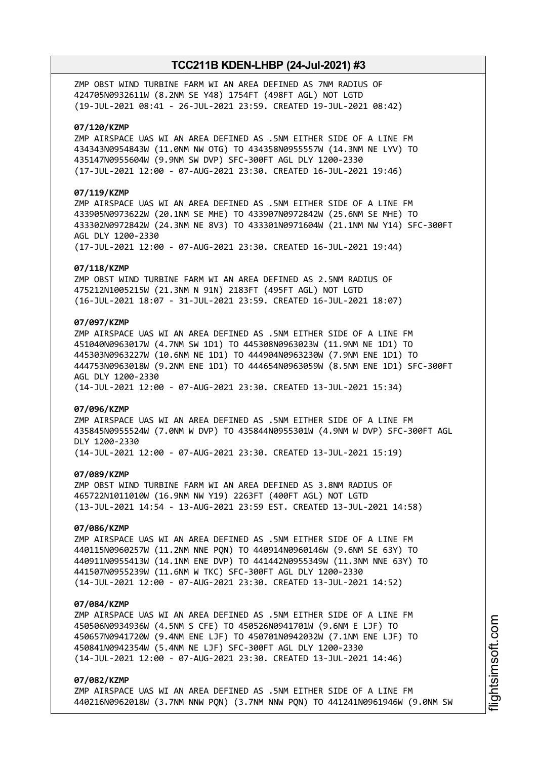ZMP OBST WIND TURBINE FARM WI AN AREA DEFINED AS 7NM RADIUS OF 424705N0932611W (8.2NM SE Y48) 1754FT (498FT AGL) NOT LGTD (19-JUL-2021 08:41 - 26-JUL-2021 23:59. CREATED 19-JUL-2021 08:42)

### **07/120/KZMP**

ZMP AIRSPACE UAS WI AN AREA DEFINED AS .5NM EITHER SIDE OF A LINE FM 434343N0954843W (11.0NM NW OTG) TO 434358N0955557W (14.3NM NE LYV) TO 435147N0955604W (9.9NM SW DVP) SFC-300FT AGL DLY 1200-2330 (17-JUL-2021 12:00 - 07-AUG-2021 23:30. CREATED 16-JUL-2021 19:46)

# **07/119/KZMP**

ZMP AIRSPACE UAS WI AN AREA DEFINED AS .5NM EITHER SIDE OF A LINE FM 433905N0973622W (20.1NM SE MHE) TO 433907N0972842W (25.6NM SE MHE) TO 433302N0972842W (24.3NM NE 8V3) TO 433301N0971604W (21.1NM NW Y14) SFC-300FT AGL DLY 1200-2330

(17-JUL-2021 12:00 - 07-AUG-2021 23:30. CREATED 16-JUL-2021 19:44)

### **07/118/KZMP**

ZMP OBST WIND TURBINE FARM WI AN AREA DEFINED AS 2.5NM RADIUS OF 475212N1005215W (21.3NM N 91N) 2183FT (495FT AGL) NOT LGTD (16-JUL-2021 18:07 - 31-JUL-2021 23:59. CREATED 16-JUL-2021 18:07)

# **07/097/KZMP**

ZMP AIRSPACE UAS WI AN AREA DEFINED AS .5NM EITHER SIDE OF A LINE FM 451040N0963017W (4.7NM SW 1D1) TO 445308N0963023W (11.9NM NE 1D1) TO 445303N0963227W (10.6NM NE 1D1) TO 444904N0963230W (7.9NM ENE 1D1) TO 444753N0963018W (9.2NM ENE 1D1) TO 444654N0963059W (8.5NM ENE 1D1) SFC-300FT AGL DLY 1200-2330 (14-JUL-2021 12:00 - 07-AUG-2021 23:30. CREATED 13-JUL-2021 15:34)

# **07/096/KZMP**

ZMP AIRSPACE UAS WI AN AREA DEFINED AS .5NM EITHER SIDE OF A LINE FM 435845N0955524W (7.0NM W DVP) TO 435844N0955301W (4.9NM W DVP) SFC-300FT AGL DLY 1200-2330

(14-JUL-2021 12:00 - 07-AUG-2021 23:30. CREATED 13-JUL-2021 15:19)

# **07/089/KZMP**

ZMP OBST WIND TURBINE FARM WI AN AREA DEFINED AS 3.8NM RADIUS OF 465722N1011010W (16.9NM NW Y19) 2263FT (400FT AGL) NOT LGTD (13-JUL-2021 14:54 - 13-AUG-2021 23:59 EST. CREATED 13-JUL-2021 14:58)

# **07/086/KZMP**

ZMP AIRSPACE UAS WI AN AREA DEFINED AS .5NM EITHER SIDE OF A LINE FM 440115N0960257W (11.2NM NNE PQN) TO 440914N0960146W (9.6NM SE 63Y) TO 440911N0955413W (14.1NM ENE DVP) TO 441442N0955349W (11.3NM NNE 63Y) TO 441507N0955239W (11.6NM W TKC) SFC-300FT AGL DLY 1200-2330 (14-JUL-2021 12:00 - 07-AUG-2021 23:30. CREATED 13-JUL-2021 14:52)

#### **07/084/KZMP**

ZMP AIRSPACE UAS WI AN AREA DEFINED AS .5NM EITHER SIDE OF A LINE FM 450506N0934936W (4.5NM S CFE) TO 450526N0941701W (9.6NM E LJF) TO 450657N0941720W (9.4NM ENE LJF) TO 450701N0942032W (7.1NM ENE LJF) TO 450841N0942354W (5.4NM NE LJF) SFC-300FT AGL DLY 1200-2330 (14-JUL-2021 12:00 - 07-AUG-2021 23:30. CREATED 13-JUL-2021 14:46)

#### **07/082/KZMP**

ZMP AIRSPACE UAS WI AN AREA DEFINED AS .5NM EITHER SIDE OF A LINE FM 440216N0962018W (3.7NM NNW PQN) (3.7NM NNW PQN) TO 441241N0961946W (9.0NM SW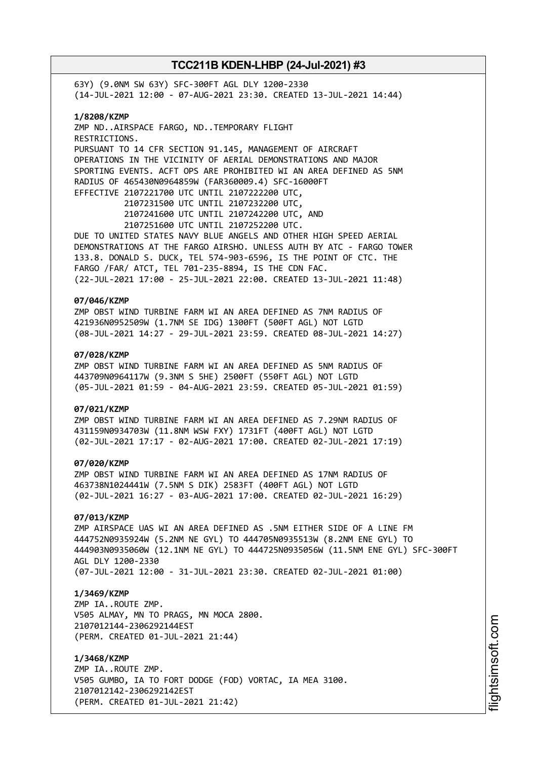63Y) (9.0NM SW 63Y) SFC-300FT AGL DLY 1200-2330 (14-JUL-2021 12:00 - 07-AUG-2021 23:30. CREATED 13-JUL-2021 14:44) **1/8208/KZMP** ZMP ND..AIRSPACE FARGO, ND..TEMPORARY FLIGHT RESTRICTIONS. PURSUANT TO 14 CFR SECTION 91.145, MANAGEMENT OF AIRCRAFT OPERATIONS IN THE VICINITY OF AERIAL DEMONSTRATIONS AND MAJOR SPORTING EVENTS. ACFT OPS ARE PROHIBITED WI AN AREA DEFINED AS 5NM RADIUS OF 465430N0964859W (FAR360009.4) SFC-16000FT EFFECTIVE 2107221700 UTC UNTIL 2107222200 UTC, 2107231500 UTC UNTIL 2107232200 UTC, 2107241600 UTC UNTIL 2107242200 UTC, AND 2107251600 UTC UNTIL 2107252200 UTC. DUE TO UNITED STATES NAVY BLUE ANGELS AND OTHER HIGH SPEED AERIAL DEMONSTRATIONS AT THE FARGO AIRSHO. UNLESS AUTH BY ATC - FARGO TOWER 133.8. DONALD S. DUCK, TEL 574-903-6596, IS THE POINT OF CTC. THE FARGO /FAR/ ATCT, TEL 701-235-8894, IS THE CDN FAC. (22-JUL-2021 17:00 - 25-JUL-2021 22:00. CREATED 13-JUL-2021 11:48) **07/046/KZMP** ZMP OBST WIND TURBINE FARM WI AN AREA DEFINED AS 7NM RADIUS OF 421936N0952509W (1.7NM SE IDG) 1300FT (500FT AGL) NOT LGTD (08-JUL-2021 14:27 - 29-JUL-2021 23:59. CREATED 08-JUL-2021 14:27) **07/028/KZMP** ZMP OBST WIND TURBINE FARM WI AN AREA DEFINED AS 5NM RADIUS OF 443709N0964117W (9.3NM S 5HE) 2500FT (550FT AGL) NOT LGTD (05-JUL-2021 01:59 - 04-AUG-2021 23:59. CREATED 05-JUL-2021 01:59) **07/021/KZMP** ZMP OBST WIND TURBINE FARM WI AN AREA DEFINED AS 7.29NM RADIUS OF 431159N0934703W (11.8NM WSW FXY) 1731FT (400FT AGL) NOT LGTD (02-JUL-2021 17:17 - 02-AUG-2021 17:00. CREATED 02-JUL-2021 17:19) **07/020/KZMP** ZMP OBST WIND TURBINE FARM WI AN AREA DEFINED AS 17NM RADIUS OF 463738N1024441W (7.5NM S DIK) 2583FT (400FT AGL) NOT LGTD (02-JUL-2021 16:27 - 03-AUG-2021 17:00. CREATED 02-JUL-2021 16:29) **07/013/KZMP** ZMP AIRSPACE UAS WI AN AREA DEFINED AS .5NM EITHER SIDE OF A LINE FM 444752N0935924W (5.2NM NE GYL) TO 444705N0935513W (8.2NM ENE GYL) TO 444903N0935060W (12.1NM NE GYL) TO 444725N0935056W (11.5NM ENE GYL) SFC-300FT AGL DLY 1200-2330 (07-JUL-2021 12:00 - 31-JUL-2021 23:30. CREATED 02-JUL-2021 01:00) **1/3469/KZMP** ZMP IA..ROUTE ZMP. V505 ALMAY, MN TO PRAGS, MN MOCA 2800. 2107012144-2306292144EST (PERM. CREATED 01-JUL-2021 21:44) **1/3468/KZMP** ZMP IA..ROUTE ZMP. V505 GUMBO, IA TO FORT DODGE (FOD) VORTAC, IA MEA 3100.

2107012142-2306292142EST (PERM. CREATED 01-JUL-2021 21:42)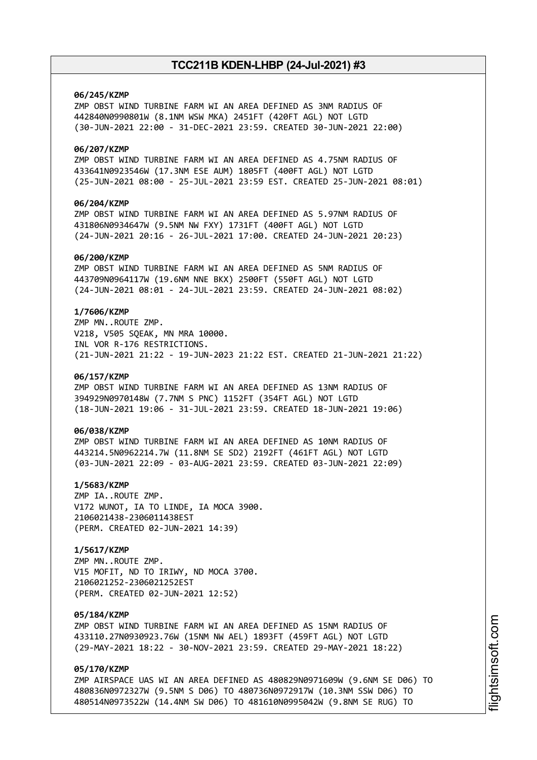### **06/245/KZMP**

ZMP OBST WIND TURBINE FARM WI AN AREA DEFINED AS 3NM RADIUS OF 442840N0990801W (8.1NM WSW MKA) 2451FT (420FT AGL) NOT LGTD (30-JUN-2021 22:00 - 31-DEC-2021 23:59. CREATED 30-JUN-2021 22:00)

# **06/207/KZMP**

ZMP OBST WIND TURBINE FARM WI AN AREA DEFINED AS 4.75NM RADIUS OF 433641N0923546W (17.3NM ESE AUM) 1805FT (400FT AGL) NOT LGTD (25-JUN-2021 08:00 - 25-JUL-2021 23:59 EST. CREATED 25-JUN-2021 08:01)

# **06/204/KZMP**

ZMP OBST WIND TURBINE FARM WI AN AREA DEFINED AS 5.97NM RADIUS OF 431806N0934647W (9.5NM NW FXY) 1731FT (400FT AGL) NOT LGTD (24-JUN-2021 20:16 - 26-JUL-2021 17:00. CREATED 24-JUN-2021 20:23)

### **06/200/KZMP**

ZMP OBST WIND TURBINE FARM WI AN AREA DEFINED AS 5NM RADIUS OF 443709N0964117W (19.6NM NNE BKX) 2500FT (550FT AGL) NOT LGTD (24-JUN-2021 08:01 - 24-JUL-2021 23:59. CREATED 24-JUN-2021 08:02)

# **1/7606/KZMP**

ZMP MN..ROUTE ZMP. V218, V505 SQEAK, MN MRA 10000. INL VOR R-176 RESTRICTIONS. (21-JUN-2021 21:22 - 19-JUN-2023 21:22 EST. CREATED 21-JUN-2021 21:22)

#### **06/157/KZMP**

ZMP OBST WIND TURBINE FARM WI AN AREA DEFINED AS 13NM RADIUS OF 394929N0970148W (7.7NM S PNC) 1152FT (354FT AGL) NOT LGTD (18-JUN-2021 19:06 - 31-JUL-2021 23:59. CREATED 18-JUN-2021 19:06)

# **06/038/KZMP**

ZMP OBST WIND TURBINE FARM WI AN AREA DEFINED AS 10NM RADIUS OF 443214.5N0962214.7W (11.8NM SE SD2) 2192FT (461FT AGL) NOT LGTD (03-JUN-2021 22:09 - 03-AUG-2021 23:59. CREATED 03-JUN-2021 22:09)

# **1/5683/KZMP**

ZMP IA..ROUTE ZMP. V172 WUNOT, IA TO LINDE, IA MOCA 3900. 2106021438-2306011438EST (PERM. CREATED 02-JUN-2021 14:39)

# **1/5617/KZMP**

ZMP MN..ROUTE ZMP. V15 MOFIT, ND TO IRIWY, ND MOCA 3700. 2106021252-2306021252EST (PERM. CREATED 02-JUN-2021 12:52)

#### **05/184/KZMP**

ZMP OBST WIND TURBINE FARM WI AN AREA DEFINED AS 15NM RADIUS OF 433110.27N0930923.76W (15NM NW AEL) 1893FT (459FT AGL) NOT LGTD (29-MAY-2021 18:22 - 30-NOV-2021 23:59. CREATED 29-MAY-2021 18:22)

# **05/170/KZMP**

ZMP AIRSPACE UAS WI AN AREA DEFINED AS 480829N0971609W (9.6NM SE D06) TO 480836N0972327W (9.5NM S D06) TO 480736N0972917W (10.3NM SSW D06) TO 480514N0973522W (14.4NM SW D06) TO 481610N0995042W (9.8NM SE RUG) TO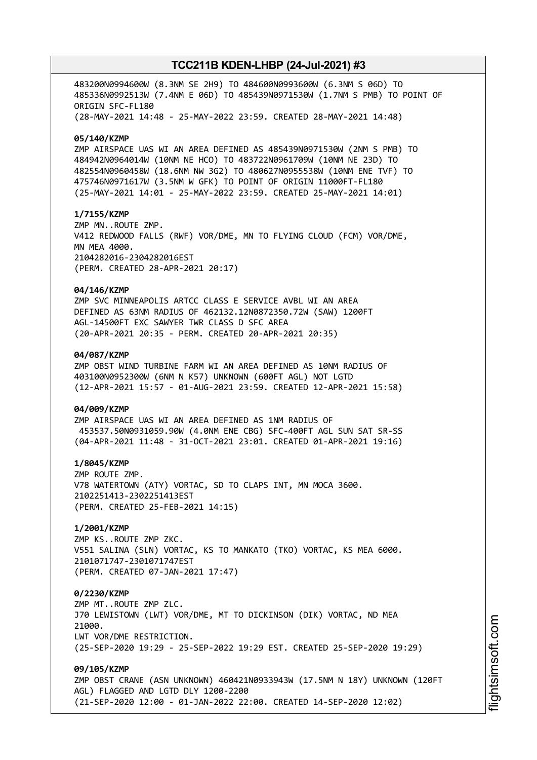483200N0994600W (8.3NM SE 2H9) TO 484600N0993600W (6.3NM S 06D) TO 485336N0992513W (7.4NM E 06D) TO 485439N0971530W (1.7NM S PMB) TO POINT OF ORIGIN SFC-FL180 (28-MAY-2021 14:48 - 25-MAY-2022 23:59. CREATED 28-MAY-2021 14:48) **05/140/KZMP** ZMP AIRSPACE UAS WI AN AREA DEFINED AS 485439N0971530W (2NM S PMB) TO 484942N0964014W (10NM NE HCO) TO 483722N0961709W (10NM NE 23D) TO 482554N0960458W (18.6NM NW 3G2) TO 480627N0955538W (10NM ENE TVF) TO 475746N0971617W (3.5NM W GFK) TO POINT OF ORIGIN 11000FT-FL180 (25-MAY-2021 14:01 - 25-MAY-2022 23:59. CREATED 25-MAY-2021 14:01) **1/7155/KZMP** ZMP MN..ROUTE ZMP. V412 REDWOOD FALLS (RWF) VOR/DME, MN TO FLYING CLOUD (FCM) VOR/DME, MN MEA 4000. 2104282016-2304282016EST (PERM. CREATED 28-APR-2021 20:17) **04/146/KZMP** ZMP SVC MINNEAPOLIS ARTCC CLASS E SERVICE AVBL WI AN AREA DEFINED AS 63NM RADIUS OF 462132.12N0872350.72W (SAW) 1200FT AGL-14500FT EXC SAWYER TWR CLASS D SFC AREA (20-APR-2021 20:35 - PERM. CREATED 20-APR-2021 20:35) **04/087/KZMP** ZMP OBST WIND TURBINE FARM WI AN AREA DEFINED AS 10NM RADIUS OF 403100N0952300W (6NM N K57) UNKNOWN (600FT AGL) NOT LGTD (12-APR-2021 15:57 - 01-AUG-2021 23:59. CREATED 12-APR-2021 15:58) **04/009/KZMP** ZMP AIRSPACE UAS WI AN AREA DEFINED AS 1NM RADIUS OF 453537.50N0931059.90W (4.0NM ENE CBG) SFC-400FT AGL SUN SAT SR-SS (04-APR-2021 11:48 - 31-OCT-2021 23:01. CREATED 01-APR-2021 19:16) **1/8045/KZMP** ZMP ROUTE ZMP. V78 WATERTOWN (ATY) VORTAC, SD TO CLAPS INT, MN MOCA 3600. 2102251413-2302251413EST (PERM. CREATED 25-FEB-2021 14:15) **1/2001/KZMP** ZMP KS..ROUTE ZMP ZKC. V551 SALINA (SLN) VORTAC, KS TO MANKATO (TKO) VORTAC, KS MEA 6000. 2101071747-2301071747EST (PERM. CREATED 07-JAN-2021 17:47) **0/2230/KZMP** ZMP MT..ROUTE ZMP ZLC. J70 LEWISTOWN (LWT) VOR/DME, MT TO DICKINSON (DIK) VORTAC, ND MEA 21000 LWT VOR/DME RESTRICTION. (25-SEP-2020 19:29 - 25-SEP-2022 19:29 EST. CREATED 25-SEP-2020 19:29) **09/105/KZMP** ZMP OBST CRANE (ASN UNKNOWN) 460421N0933943W (17.5NM N 18Y) UNKNOWN (120FT AGL) FLAGGED AND LGTD DLY 1200-2200 (21-SEP-2020 12:00 - 01-JAN-2022 22:00. CREATED 14-SEP-2020 12:02)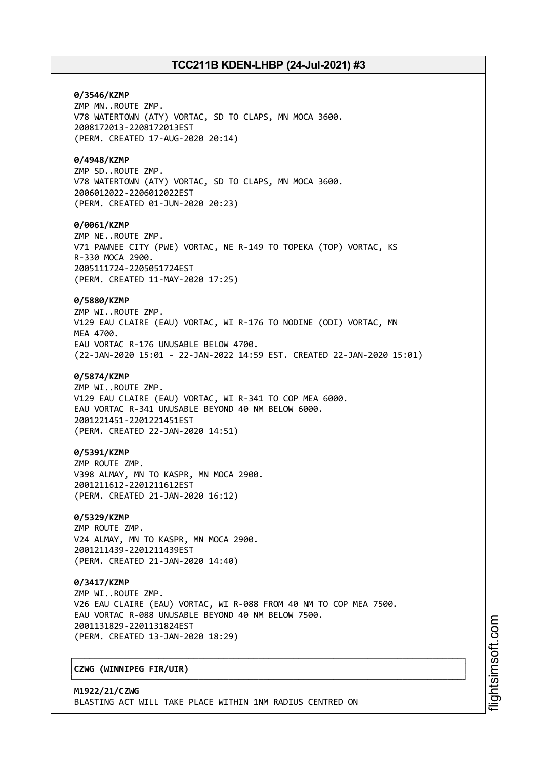**0/3546/KZMP** ZMP MN..ROUTE ZMP. V78 WATERTOWN (ATY) VORTAC, SD TO CLAPS, MN MOCA 3600. 2008172013-2208172013EST (PERM. CREATED 17-AUG-2020 20:14)

### **0/4948/KZMP**

ZMP SD..ROUTE ZMP. V78 WATERTOWN (ATY) VORTAC, SD TO CLAPS, MN MOCA 3600. 2006012022-2206012022EST (PERM. CREATED 01-JUN-2020 20:23)

#### **0/0061/KZMP**

ZMP NE..ROUTE ZMP. V71 PAWNEE CITY (PWE) VORTAC, NE R-149 TO TOPEKA (TOP) VORTAC, KS R-330 MOCA 2900. 2005111724-2205051724EST (PERM. CREATED 11-MAY-2020 17:25)

## **0/5880/KZMP**

ZMP WI..ROUTE ZMP. V129 EAU CLAIRE (EAU) VORTAC, WI R-176 TO NODINE (ODI) VORTAC, MN **MFA 4700.** EAU VORTAC R-176 UNUSABLE BELOW 4700. (22-JAN-2020 15:01 - 22-JAN-2022 14:59 EST. CREATED 22-JAN-2020 15:01)

### **0/5874/KZMP**

ZMP WI..ROUTE ZMP. V129 EAU CLAIRE (EAU) VORTAC, WI R-341 TO COP MEA 6000. EAU VORTAC R-341 UNUSABLE BEYOND 40 NM BELOW 6000. 2001221451-2201221451EST (PERM. CREATED 22-JAN-2020 14:51)

# **0/5391/KZMP**

ZMP ROUTE ZMP. V398 ALMAY, MN TO KASPR, MN MOCA 2900. 2001211612-2201211612EST (PERM. CREATED 21-JAN-2020 16:12)

# **0/5329/KZMP**

ZMP ROUTE ZMP. V24 ALMAY, MN TO KASPR, MN MOCA 2900. 2001211439-2201211439EST (PERM. CREATED 21-JAN-2020 14:40)

#### **0/3417/KZMP**

ZMP WI..ROUTE ZMP. V26 EAU CLAIRE (EAU) VORTAC, WI R-088 FROM 40 NM TO COP MEA 7500. EAU VORTAC R-088 UNUSABLE BEYOND 40 NM BELOW 7500. 2001131829-2201131824EST (PERM. CREATED 13-JAN-2020 18:29)

┌──────────────────────────────────────────────────────────────────────────────┐

└──────────────────────────────────────────────────────────────────────────────┘

# │**CZWG (WINNIPEG FIR/UIR)** │

**M1922/21/CZWG** BLASTING ACT WILL TAKE PLACE WITHIN 1NM RADIUS CENTRED ON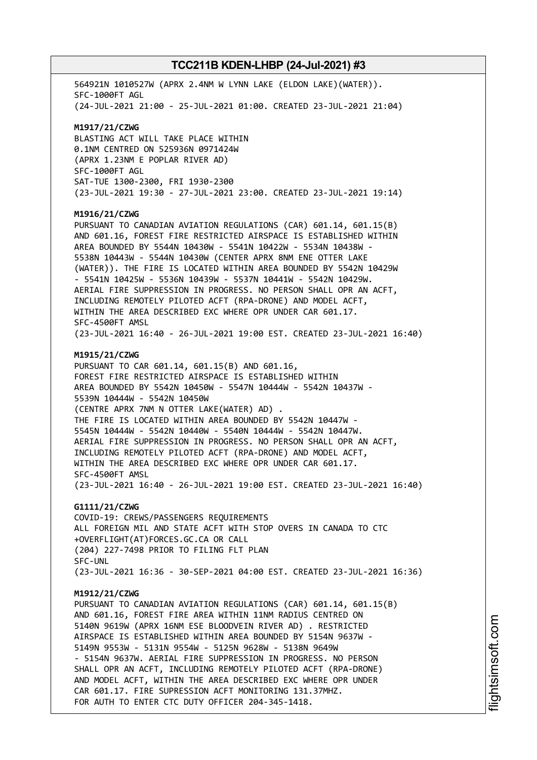564921N 1010527W (APRX 2.4NM W LYNN LAKE (ELDON LAKE)(WATER)). SFC-1000FT AGL (24-JUL-2021 21:00 - 25-JUL-2021 01:00. CREATED 23-JUL-2021 21:04) **M1917/21/CZWG** BLASTING ACT WILL TAKE PLACE WITHIN 0.1NM CENTRED ON 525936N 0971424W (APRX 1.23NM E POPLAR RIVER AD) SFC-1000FT AGL SAT-TUE 1300-2300, FRI 1930-2300 (23-JUL-2021 19:30 - 27-JUL-2021 23:00. CREATED 23-JUL-2021 19:14) **M1916/21/CZWG** PURSUANT TO CANADIAN AVIATION REGULATIONS (CAR) 601.14, 601.15(B) AND 601.16, FOREST FIRE RESTRICTED AIRSPACE IS ESTABLISHED WITHIN AREA BOUNDED BY 5544N 10430W - 5541N 10422W - 5534N 10438W - 5538N 10443W - 5544N 10430W (CENTER APRX 8NM ENE OTTER LAKE (WATER)). THE FIRE IS LOCATED WITHIN AREA BOUNDED BY 5542N 10429W - 5541N 10425W - 5536N 10439W - 5537N 10441W - 5542N 10429W. AERIAL FIRE SUPPRESSION IN PROGRESS. NO PERSON SHALL OPR AN ACFT, INCLUDING REMOTELY PILOTED ACFT (RPA-DRONE) AND MODEL ACFT, WITHIN THE AREA DESCRIBED EXC WHERE OPR UNDER CAR 601.17. SFC-4500FT AMSL (23-JUL-2021 16:40 - 26-JUL-2021 19:00 EST. CREATED 23-JUL-2021 16:40) **M1915/21/CZWG** PURSUANT TO CAR 601.14, 601.15(B) AND 601.16, FOREST FIRE RESTRICTED AIRSPACE IS ESTABLISHED WITHIN AREA BOUNDED BY 5542N 10450W - 5547N 10444W - 5542N 10437W - 5539N 10444W - 5542N 10450W (CENTRE APRX 7NM N OTTER LAKE(WATER) AD) . THE FIRE IS LOCATED WITHIN AREA BOUNDED BY 5542N 10447W - 5545N 10444W - 5542N 10440W - 5540N 10444W - 5542N 10447W. AERIAL FIRE SUPPRESSION IN PROGRESS. NO PERSON SHALL OPR AN ACFT, INCLUDING REMOTELY PILOTED ACFT (RPA-DRONE) AND MODEL ACFT, WITHIN THE AREA DESCRIBED EXC WHERE OPR UNDER CAR 601.17. SFC-4500FT AMSL (23-JUL-2021 16:40 - 26-JUL-2021 19:00 EST. CREATED 23-JUL-2021 16:40) **G1111/21/CZWG** COVID-19: CREWS/PASSENGERS REQUIREMENTS ALL FOREIGN MIL AND STATE ACFT WITH STOP OVERS IN CANADA TO CTC +OVERFLIGHT(AT)FORCES.GC.CA OR CALL (204) 227-7498 PRIOR TO FILING FLT PLAN SFC-UNL (23-JUL-2021 16:36 - 30-SEP-2021 04:00 EST. CREATED 23-JUL-2021 16:36) **M1912/21/CZWG** PURSUANT TO CANADIAN AVIATION REGULATIONS (CAR) 601.14, 601.15(B) AND 601.16, FOREST FIRE AREA WITHIN 11NM RADIUS CENTRED ON 5140N 9619W (APRX 16NM ESE BLOODVEIN RIVER AD) . RESTRICTED AIRSPACE IS ESTABLISHED WITHIN AREA BOUNDED BY 5154N 9637W - 5149N 9553W - 5131N 9554W - 5125N 9628W - 5138N 9649W - 5154N 9637W. AERIAL FIRE SUPPRESSION IN PROGRESS. NO PERSON SHALL OPR AN ACFT, INCLUDING REMOTELY PILOTED ACFT (RPA-DRONE) AND MODEL ACFT, WITHIN THE AREA DESCRIBED EXC WHERE OPR UNDER CAR 601.17. FIRE SUPRESSION ACFT MONITORING 131.37MHZ. FOR AUTH TO ENTER CTC DUTY OFFICER 204-345-1418.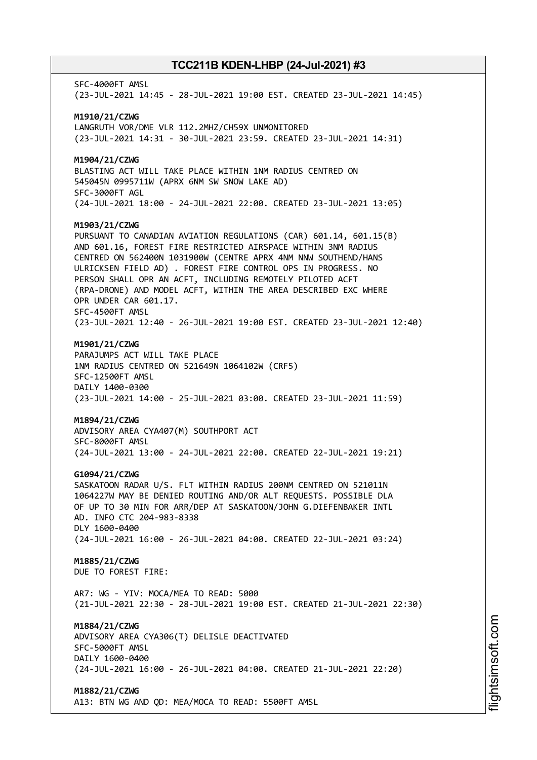SFC-4000FT AMSL (23-JUL-2021 14:45 - 28-JUL-2021 19:00 EST. CREATED 23-JUL-2021 14:45) **M1910/21/CZWG** LANGRUTH VOR/DME VLR 112.2MHZ/CH59X UNMONITORED (23-JUL-2021 14:31 - 30-JUL-2021 23:59. CREATED 23-JUL-2021 14:31) **M1904/21/CZWG** BLASTING ACT WILL TAKE PLACE WITHIN 1NM RADIUS CENTRED ON 545045N 0995711W (APRX 6NM SW SNOW LAKE AD) SFC-3000FT AGL (24-JUL-2021 18:00 - 24-JUL-2021 22:00. CREATED 23-JUL-2021 13:05) **M1903/21/CZWG** PURSUANT TO CANADIAN AVIATION REGULATIONS (CAR) 601.14, 601.15(B) AND 601.16, FOREST FIRE RESTRICTED AIRSPACE WITHIN 3NM RADIUS CENTRED ON 562400N 1031900W (CENTRE APRX 4NM NNW SOUTHEND/HANS ULRICKSEN FIELD AD) . FOREST FIRE CONTROL OPS IN PROGRESS. NO PERSON SHALL OPR AN ACFT, INCLUDING REMOTELY PILOTED ACFT (RPA-DRONE) AND MODEL ACFT, WITHIN THE AREA DESCRIBED EXC WHERE OPR UNDER CAR 601.17. SFC-4500FT AMSL (23-JUL-2021 12:40 - 26-JUL-2021 19:00 EST. CREATED 23-JUL-2021 12:40) **M1901/21/CZWG** PARAJUMPS ACT WILL TAKE PLACE 1NM RADIUS CENTRED ON 521649N 1064102W (CRF5) SFC-12500FT AMSL DAILY 1400-0300 (23-JUL-2021 14:00 - 25-JUL-2021 03:00. CREATED 23-JUL-2021 11:59) **M1894/21/CZWG** ADVISORY AREA CYA407(M) SOUTHPORT ACT SFC-8000FT AMSL (24-JUL-2021 13:00 - 24-JUL-2021 22:00. CREATED 22-JUL-2021 19:21) **G1094/21/CZWG** SASKATOON RADAR U/S. FLT WITHIN RADIUS 200NM CENTRED ON 521011N 1064227W MAY BE DENIED ROUTING AND/OR ALT REQUESTS. POSSIBLE DLA OF UP TO 30 MIN FOR ARR/DEP AT SASKATOON/JOHN G.DIEFENBAKER INTL AD. INFO CTC 204-983-8338 DLY 1600-0400 (24-JUL-2021 16:00 - 26-JUL-2021 04:00. CREATED 22-JUL-2021 03:24) **M1885/21/CZWG** DUE TO FOREST FIRE: AR7: WG - YIV: MOCA/MEA TO READ: 5000 (21-JUL-2021 22:30 - 28-JUL-2021 19:00 EST. CREATED 21-JUL-2021 22:30) **M1884/21/CZWG** ADVISORY AREA CYA306(T) DELISLE DEACTIVATED SFC-5000FT AMSL DAILY 1600-0400 (24-JUL-2021 16:00 - 26-JUL-2021 04:00. CREATED 21-JUL-2021 22:20) **M1882/21/CZWG** A13: BTN WG AND QD: MEA/MOCA TO READ: 5500FT AMSL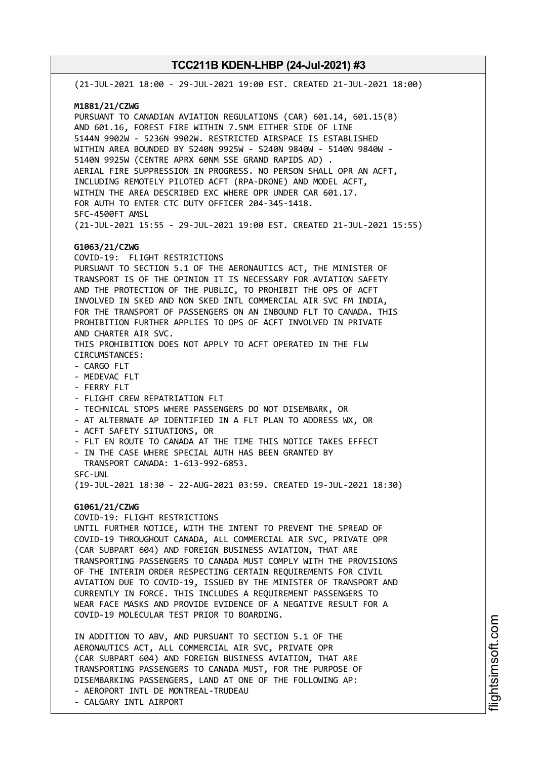(21-JUL-2021 18:00 - 29-JUL-2021 19:00 EST. CREATED 21-JUL-2021 18:00) **M1881/21/CZWG** PURSUANT TO CANADIAN AVIATION REGULATIONS (CAR) 601.14, 601.15(B) AND 601.16, FOREST FIRE WITHIN 7.5NM EITHER SIDE OF LINE 5144N 9902W - 5236N 9902W. RESTRICTED AIRSPACE IS ESTABLISHED WITHIN AREA BOUNDED BY 5240N 9925W - 5240N 9840W - 5140N 9840W - 5140N 9925W (CENTRE APRX 60NM SSE GRAND RAPIDS AD) . AERIAL FIRE SUPPRESSION IN PROGRESS. NO PERSON SHALL OPR AN ACFT, INCLUDING REMOTELY PILOTED ACFT (RPA-DRONE) AND MODEL ACFT, WITHIN THE AREA DESCRIBED EXC WHERE OPR UNDER CAR 601.17. FOR AUTH TO ENTER CTC DUTY OFFICER 204-345-1418. SFC-4500FT AMSL (21-JUL-2021 15:55 - 29-JUL-2021 19:00 EST. CREATED 21-JUL-2021 15:55) **G1063/21/CZWG** COVID-19: FLIGHT RESTRICTIONS PURSUANT TO SECTION 5.1 OF THE AERONAUTICS ACT, THE MINISTER OF TRANSPORT IS OF THE OPINION IT IS NECESSARY FOR AVIATION SAFETY AND THE PROTECTION OF THE PUBLIC, TO PROHIBIT THE OPS OF ACFT INVOLVED IN SKED AND NON SKED INTL COMMERCIAL AIR SVC FM INDIA, FOR THE TRANSPORT OF PASSENGERS ON AN INBOUND FLT TO CANADA. THIS PROHIBITION FURTHER APPLIES TO OPS OF ACFT INVOLVED IN PRIVATE AND CHARTER AIR SVC. THIS PROHIBITION DOES NOT APPLY TO ACFT OPERATED IN THE FLW CIRCUMSTANCES: - CARGO FLT - MEDEVAC FLT - FERRY FLT - FLIGHT CREW REPATRIATION FLT - TECHNICAL STOPS WHERE PASSENGERS DO NOT DISEMBARK, OR - AT ALTERNATE AP IDENTIFIED IN A FLT PLAN TO ADDRESS WX, OR - ACFT SAFETY SITUATIONS, OR - FLT EN ROUTE TO CANADA AT THE TIME THIS NOTICE TAKES EFFECT - IN THE CASE WHERE SPECIAL AUTH HAS BEEN GRANTED BY TRANSPORT CANADA: 1-613-992-6853. SFC-UNL (19-JUL-2021 18:30 - 22-AUG-2021 03:59. CREATED 19-JUL-2021 18:30) **G1061/21/CZWG** COVID-19: FLIGHT RESTRICTIONS UNTIL FURTHER NOTICE, WITH THE INTENT TO PREVENT THE SPREAD OF COVID-19 THROUGHOUT CANADA, ALL COMMERCIAL AIR SVC, PRIVATE OPR (CAR SUBPART 604) AND FOREIGN BUSINESS AVIATION, THAT ARE TRANSPORTING PASSENGERS TO CANADA MUST COMPLY WITH THE PROVISIONS OF THE INTERIM ORDER RESPECTING CERTAIN REQUIREMENTS FOR CIVIL AVIATION DUE TO COVID-19, ISSUED BY THE MINISTER OF TRANSPORT AND CURRENTLY IN FORCE. THIS INCLUDES A REQUIREMENT PASSENGERS TO WEAR FACE MASKS AND PROVIDE EVIDENCE OF A NEGATIVE RESULT FOR A COVID-19 MOLECULAR TEST PRIOR TO BOARDING. IN ADDITION TO ABV, AND PURSUANT TO SECTION 5.1 OF THE AERONAUTICS ACT, ALL COMMERCIAL AIR SVC, PRIVATE OPR

(CAR SUBPART 604) AND FOREIGN BUSINESS AVIATION, THAT ARE TRANSPORTING PASSENGERS TO CANADA MUST, FOR THE PURPOSE OF DISEMBARKING PASSENGERS, LAND AT ONE OF THE FOLLOWING AP: - AEROPORT INTL DE MONTREAL-TRUDEAU

- CALGARY INTL AIRPORT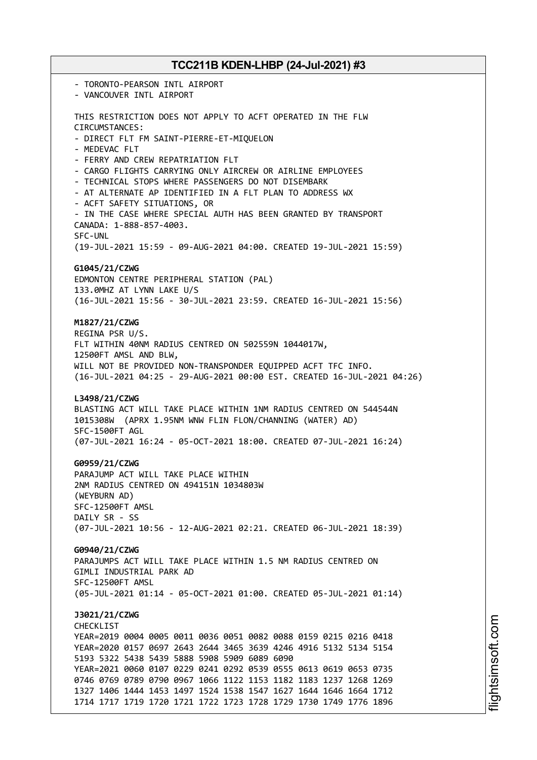- TORONTO-PEARSON INTL AIRPORT - VANCOUVER INTL AIRPORT THIS RESTRICTION DOES NOT APPLY TO ACFT OPERATED IN THE FLW CIRCUMSTANCES: - DIRECT FLT FM SAINT-PIERRE-ET-MIQUELON - MEDEVAC FLT - FERRY AND CREW REPATRIATION FLT - CARGO FLIGHTS CARRYING ONLY AIRCREW OR AIRLINE EMPLOYEES - TECHNICAL STOPS WHERE PASSENGERS DO NOT DISEMBARK - AT ALTERNATE AP IDENTIFIED IN A FLT PLAN TO ADDRESS WX - ACFT SAFETY SITUATIONS, OR - IN THE CASE WHERE SPECIAL AUTH HAS BEEN GRANTED BY TRANSPORT CANADA: 1-888-857-4003. SFC-UNL (19-JUL-2021 15:59 - 09-AUG-2021 04:00. CREATED 19-JUL-2021 15:59) **G1045/21/CZWG** EDMONTON CENTRE PERIPHERAL STATION (PAL) 133.0MHZ AT LYNN LAKE U/S (16-JUL-2021 15:56 - 30-JUL-2021 23:59. CREATED 16-JUL-2021 15:56) **M1827/21/CZWG** REGINA PSR U/S. FLT WITHIN 40NM RADIUS CENTRED ON 502559N 1044017W, 12500FT AMSL AND BLW, WILL NOT BE PROVIDED NON-TRANSPONDER EQUIPPED ACFT TFC INFO. (16-JUL-2021 04:25 - 29-AUG-2021 00:00 EST. CREATED 16-JUL-2021 04:26) **L3498/21/CZWG** BLASTING ACT WILL TAKE PLACE WITHIN 1NM RADIUS CENTRED ON 544544N 1015308W (APRX 1.95NM WNW FLIN FLON/CHANNING (WATER) AD) SFC-1500FT AGL (07-JUL-2021 16:24 - 05-OCT-2021 18:00. CREATED 07-JUL-2021 16:24) **G0959/21/CZWG** PARAJUMP ACT WILL TAKE PLACE WITHIN 2NM RADIUS CENTRED ON 494151N 1034803W (WEYBURN AD) SFC-12500FT AMSL DAILY SR - SS (07-JUL-2021 10:56 - 12-AUG-2021 02:21. CREATED 06-JUL-2021 18:39) **G0940/21/CZWG** PARAJUMPS ACT WILL TAKE PLACE WITHIN 1.5 NM RADIUS CENTRED ON GIMLI INDUSTRIAL PARK AD SFC-12500FT AMSL (05-JUL-2021 01:14 - 05-OCT-2021 01:00. CREATED 05-JUL-2021 01:14) **J3021/21/CZWG** CHECKL<sub>TST</sub> YEAR=2019 0004 0005 0011 0036 0051 0082 0088 0159 0215 0216 0418 YEAR=2020 0157 0697 2643 2644 3465 3639 4246 4916 5132 5134 5154 5193 5322 5438 5439 5888 5908 5909 6089 6090 YEAR=2021 0060 0107 0229 0241 0292 0539 0555 0613 0619 0653 0735 0746 0769 0789 0790 0967 1066 1122 1153 1182 1183 1237 1268 1269 1327 1406 1444 1453 1497 1524 1538 1547 1627 1644 1646 1664 1712 1714 1717 1719 1720 1721 1722 1723 1728 1729 1730 1749 1776 1896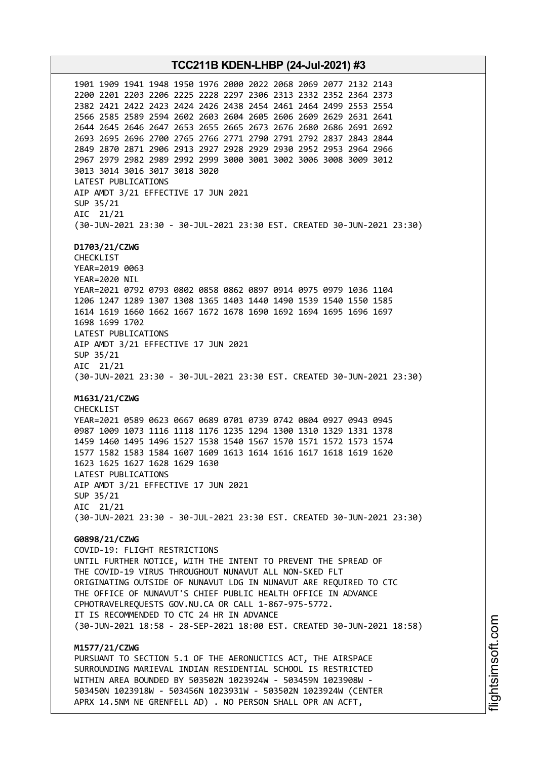**TCC211B KDEN-LHBP (24-Jul-2021) #3** 1901 1909 1941 1948 1950 1976 2000 2022 2068 2069 2077 2132 2143 2200 2201 2203 2206 2225 2228 2297 2306 2313 2332 2352 2364 2373 2382 2421 2422 2423 2424 2426 2438 2454 2461 2464 2499 2553 2554 2566 2585 2589 2594 2602 2603 2604 2605 2606 2609 2629 2631 2641 2644 2645 2646 2647 2653 2655 2665 2673 2676 2680 2686 2691 2692 2693 2695 2696 2700 2765 2766 2771 2790 2791 2792 2837 2843 2844 2849 2870 2871 2906 2913 2927 2928 2929 2930 2952 2953 2964 2966 2967 2979 2982 2989 2992 2999 3000 3001 3002 3006 3008 3009 3012 3013 3014 3016 3017 3018 3020 LATEST PUBLICATIONS AIP AMDT 3/21 EFFECTIVE 17 JUN 2021 SUP 35/21 AIC 21/21 (30-JUN-2021 23:30 - 30-JUL-2021 23:30 EST. CREATED 30-JUN-2021 23:30) **D1703/21/CZWG** CHECKLIST YEAR=2019 0063 YEAR=2020 NIL YEAR=2021 0792 0793 0802 0858 0862 0897 0914 0975 0979 1036 1104 1206 1247 1289 1307 1308 1365 1403 1440 1490 1539 1540 1550 1585 1614 1619 1660 1662 1667 1672 1678 1690 1692 1694 1695 1696 1697 1698 1699 1702 LATEST PUBLICATIONS AIP AMDT 3/21 EFFECTIVE 17 JUN 2021 SUP 35/21 AIC 21/21 (30-JUN-2021 23:30 - 30-JUL-2021 23:30 EST. CREATED 30-JUN-2021 23:30) **M1631/21/CZWG** CHECKLIST YEAR=2021 0589 0623 0667 0689 0701 0739 0742 0804 0927 0943 0945 0987 1009 1073 1116 1118 1176 1235 1294 1300 1310 1329 1331 1378 1459 1460 1495 1496 1527 1538 1540 1567 1570 1571 1572 1573 1574 1577 1582 1583 1584 1607 1609 1613 1614 1616 1617 1618 1619 1620 1623 1625 1627 1628 1629 1630 LATEST PUBLICATIONS AIP AMDT 3/21 EFFECTIVE 17 JUN 2021 SUP 35/21 AIC 21/21 (30-JUN-2021 23:30 - 30-JUL-2021 23:30 EST. CREATED 30-JUN-2021 23:30) **G0898/21/CZWG** COVID-19: FLIGHT RESTRICTIONS UNTIL FURTHER NOTICE, WITH THE INTENT TO PREVENT THE SPREAD OF THE COVID-19 VIRUS THROUGHOUT NUNAVUT ALL NON-SKED FLT ORIGINATING OUTSIDE OF NUNAVUT LDG IN NUNAVUT ARE REQUIRED TO CTC THE OFFICE OF NUNAVUT'S CHIEF PUBLIC HEALTH OFFICE IN ADVANCE CPHOTRAVELREQUESTS GOV.NU.CA OR CALL 1-867-975-5772. IT IS RECOMMENDED TO CTC 24 HR IN ADVANCE (30-JUN-2021 18:58 - 28-SEP-2021 18:00 EST. CREATED 30-JUN-2021 18:58) **M1577/21/CZWG** PURSUANT TO SECTION 5.1 OF THE AERONUCTICS ACT, THE AIRSPACE SURROUNDING MARIEVAL INDIAN RESIDENTIAL SCHOOL IS RESTRICTED WITHIN AREA BOUNDED BY 503502N 1023924W - 503459N 1023908W - 503450N 1023918W - 503456N 1023931W - 503502N 1023924W (CENTER

APRX 14.5NM NE GRENFELL AD) . NO PERSON SHALL OPR AN ACFT,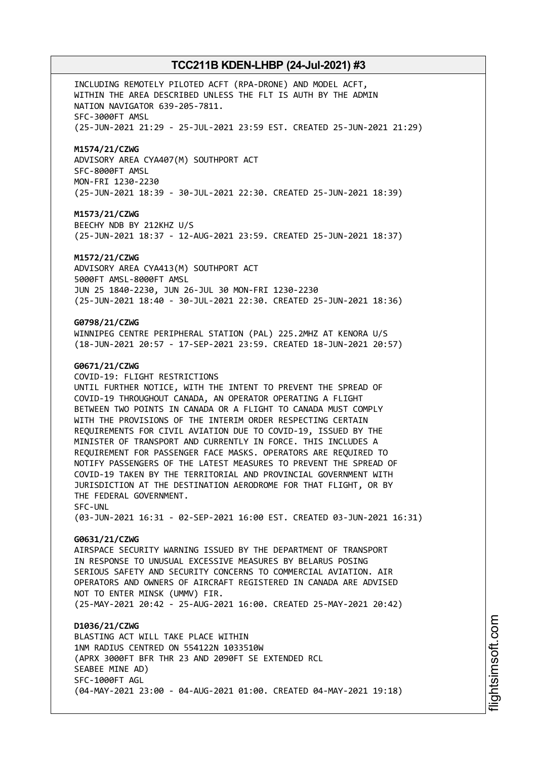INCLUDING REMOTELY PILOTED ACFT (RPA-DRONE) AND MODEL ACFT, WITHIN THE AREA DESCRIBED UNLESS THE FLT IS AUTH BY THE ADMIN NATION NAVIGATOR 639-205-7811. SFC-3000FT AMSL (25-JUN-2021 21:29 - 25-JUL-2021 23:59 EST. CREATED 25-JUN-2021 21:29)

# **M1574/21/CZWG**

ADVISORY AREA CYA407(M) SOUTHPORT ACT SFC-8000FT AMSL MON-FRI 1230-2230 (25-JUN-2021 18:39 - 30-JUL-2021 22:30. CREATED 25-JUN-2021 18:39)

### **M1573/21/CZWG**

BEECHY NDB BY 212KHZ U/S (25-JUN-2021 18:37 - 12-AUG-2021 23:59. CREATED 25-JUN-2021 18:37)

#### **M1572/21/CZWG**

ADVISORY AREA CYA413(M) SOUTHPORT ACT 5000FT AMSL-8000FT AMSL JUN 25 1840-2230, JUN 26-JUL 30 MON-FRI 1230-2230 (25-JUN-2021 18:40 - 30-JUL-2021 22:30. CREATED 25-JUN-2021 18:36)

# **G0798/21/CZWG**

WINNIPEG CENTRE PERIPHERAL STATION (PAL) 225.2MHZ AT KENORA U/S (18-JUN-2021 20:57 - 17-SEP-2021 23:59. CREATED 18-JUN-2021 20:57)

### **G0671/21/CZWG**

COVID-19: FLIGHT RESTRICTIONS UNTIL FURTHER NOTICE, WITH THE INTENT TO PREVENT THE SPREAD OF COVID-19 THROUGHOUT CANADA, AN OPERATOR OPERATING A FLIGHT BETWEEN TWO POINTS IN CANADA OR A FLIGHT TO CANADA MUST COMPLY WITH THE PROVISIONS OF THE INTERIM ORDER RESPECTING CERTAIN REQUIREMENTS FOR CIVIL AVIATION DUE TO COVID-19, ISSUED BY THE MINISTER OF TRANSPORT AND CURRENTLY IN FORCE. THIS INCLUDES A REQUIREMENT FOR PASSENGER FACE MASKS. OPERATORS ARE REQUIRED TO NOTIFY PASSENGERS OF THE LATEST MEASURES TO PREVENT THE SPREAD OF COVID-19 TAKEN BY THE TERRITORIAL AND PROVINCIAL GOVERNMENT WITH JURISDICTION AT THE DESTINATION AERODROME FOR THAT FLIGHT, OR BY THE FEDERAL GOVERNMENT. SFC-UNL

(03-JUN-2021 16:31 - 02-SEP-2021 16:00 EST. CREATED 03-JUN-2021 16:31)

#### **G0631/21/CZWG**

AIRSPACE SECURITY WARNING ISSUED BY THE DEPARTMENT OF TRANSPORT IN RESPONSE TO UNUSUAL EXCESSIVE MEASURES BY BELARUS POSING SERIOUS SAFETY AND SECURITY CONCERNS TO COMMERCIAL AVIATION. AIR OPERATORS AND OWNERS OF AIRCRAFT REGISTERED IN CANADA ARE ADVISED NOT TO ENTER MINSK (UMMV) FIR. (25-MAY-2021 20:42 - 25-AUG-2021 16:00. CREATED 25-MAY-2021 20:42)

# **D1036/21/CZWG**

BLASTING ACT WILL TAKE PLACE WITHIN 1NM RADIUS CENTRED ON 554122N 1033510W (APRX 3000FT BFR THR 23 AND 2090FT SE EXTENDED RCL SEABEE MINE AD) SFC-1000FT AGL (04-MAY-2021 23:00 - 04-AUG-2021 01:00. CREATED 04-MAY-2021 19:18)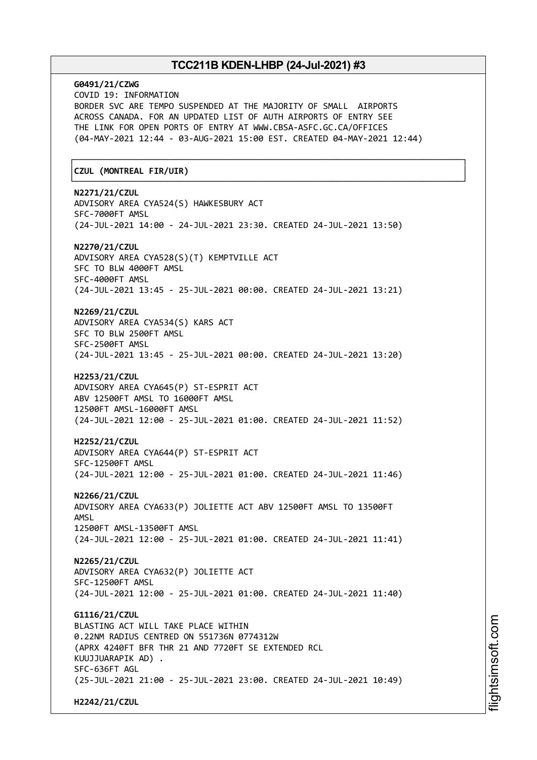# **G0491/21/CZWG** COVID 19: INFORMATION BORDER SVC ARE TEMPO SUSPENDED AT THE MAJORITY OF SMALL AIRPORTS ACROSS CANADA. FOR AN UPDATED LIST OF AUTH AIRPORTS OF ENTRY SEE THE LINK FOR OPEN PORTS OF ENTRY AT WWW.CBSA-ASFC.GC.CA/OFFICES (04-MAY-2021 12:44 - 03-AUG-2021 15:00 EST. CREATED 04-MAY-2021 12:44) ┌──────────────────────────────────────────────────────────────────────────────┐ │**CZUL (MONTREAL FIR/UIR)** │ └──────────────────────────────────────────────────────────────────────────────┘ **N2271/21/CZUL** ADVISORY AREA CYA524(S) HAWKESBURY ACT SFC-7000FT AMSL (24-JUL-2021 14:00 - 24-JUL-2021 23:30. CREATED 24-JUL-2021 13:50) **N2270/21/CZUL** ADVISORY AREA CYA528(S)(T) KEMPTVILLE ACT SFC TO BLW 4000FT AMSL SFC-4000FT AMSL (24-JUL-2021 13:45 - 25-JUL-2021 00:00. CREATED 24-JUL-2021 13:21) **N2269/21/CZUL** ADVISORY AREA CYA534(S) KARS ACT SFC TO BLW 2500FT AMSL SFC-2500FT AMSL (24-JUL-2021 13:45 - 25-JUL-2021 00:00. CREATED 24-JUL-2021 13:20) **H2253/21/CZUL** ADVISORY AREA CYA645(P) ST-ESPRIT ACT ABV 12500FT AMSL TO 16000FT AMSL 12500FT AMSL-16000FT AMSL (24-JUL-2021 12:00 - 25-JUL-2021 01:00. CREATED 24-JUL-2021 11:52) **H2252/21/CZUL** ADVISORY AREA CYA644(P) ST-ESPRIT ACT SFC-12500FT AMSL (24-JUL-2021 12:00 - 25-JUL-2021 01:00. CREATED 24-JUL-2021 11:46) **N2266/21/CZUL** ADVISORY AREA CYA633(P) JOLIETTE ACT ABV 12500FT AMSL TO 13500FT AMSL 12500FT AMSL-13500FT AMSL (24-JUL-2021 12:00 - 25-JUL-2021 01:00. CREATED 24-JUL-2021 11:41) **N2265/21/CZUL** ADVISORY AREA CYA632(P) JOLIETTE ACT SFC-12500FT AMSL (24-JUL-2021 12:00 - 25-JUL-2021 01:00. CREATED 24-JUL-2021 11:40) **G1116/21/CZUL** BLASTING ACT WILL TAKE PLACE WITHIN 0.22NM RADIUS CENTRED ON 551736N 0774312W (APRX 4240FT BFR THR 21 AND 7720FT SE EXTENDED RCL KUUJJUARAPIK AD) . SFC-636FT AGL (25-JUL-2021 21:00 - 25-JUL-2021 23:00. CREATED 24-JUL-2021 10:49) **H2242/21/CZUL**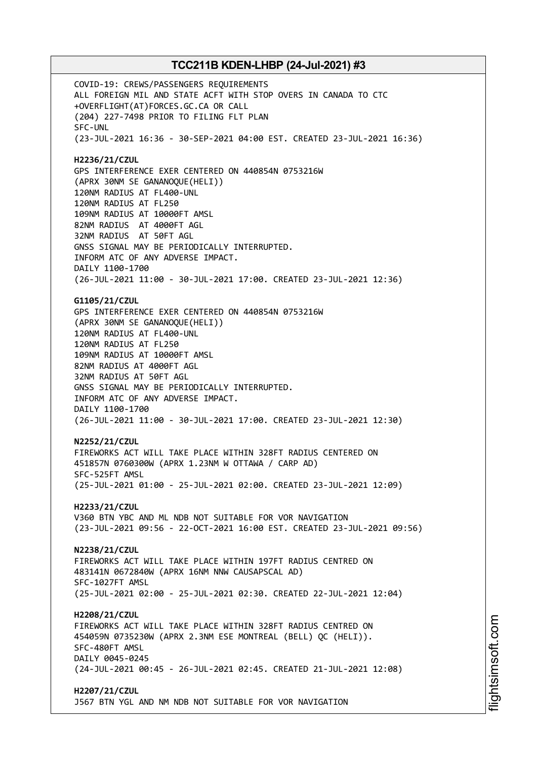COVID-19: CREWS/PASSENGERS REQUIREMENTS ALL FOREIGN MIL AND STATE ACFT WITH STOP OVERS IN CANADA TO CTC +OVERFLIGHT(AT)FORCES.GC.CA OR CALL (204) 227-7498 PRIOR TO FILING FLT PLAN SFC-UNL (23-JUL-2021 16:36 - 30-SEP-2021 04:00 EST. CREATED 23-JUL-2021 16:36) **H2236/21/CZUL** GPS INTERFERENCE EXER CENTERED ON 440854N 0753216W (APRX 30NM SE GANANOQUE(HELI)) 120NM RADIUS AT FL400-UNL 120NM RADIUS AT FL250 109NM RADIUS AT 10000FT AMSL 82NM RADIUS AT 4000FT AGL 32NM RADIUS AT 50FT AGL GNSS SIGNAL MAY BE PERIODICALLY INTERRUPTED. INFORM ATC OF ANY ADVERSE IMPACT. DAILY 1100-1700 (26-JUL-2021 11:00 - 30-JUL-2021 17:00. CREATED 23-JUL-2021 12:36) **G1105/21/CZUL** GPS INTERFERENCE EXER CENTERED ON 440854N 0753216W (APRX 30NM SE GANANOQUE(HELI)) 120NM RADIUS AT FL400-UNL 120NM RADIUS AT FL250 109NM RADIUS AT 10000FT AMSL 82NM RADIUS AT 4000FT AGL 32NM RADIUS AT 50FT AGL GNSS SIGNAL MAY BE PERIODICALLY INTERRUPTED. INFORM ATC OF ANY ADVERSE IMPACT. DAILY 1100-1700 (26-JUL-2021 11:00 - 30-JUL-2021 17:00. CREATED 23-JUL-2021 12:30) **N2252/21/CZUL** FIREWORKS ACT WILL TAKE PLACE WITHIN 328FT RADIUS CENTERED ON 451857N 0760300W (APRX 1.23NM W OTTAWA / CARP AD) SFC-525FT AMSL (25-JUL-2021 01:00 - 25-JUL-2021 02:00. CREATED 23-JUL-2021 12:09) **H2233/21/CZUL** V360 BTN YBC AND ML NDB NOT SUITABLE FOR VOR NAVIGATION (23-JUL-2021 09:56 - 22-OCT-2021 16:00 EST. CREATED 23-JUL-2021 09:56) **N2238/21/CZUL** FIREWORKS ACT WILL TAKE PLACE WITHIN 197FT RADIUS CENTRED ON 483141N 0672840W (APRX 16NM NNW CAUSAPSCAL AD) SFC-1027FT AMSL (25-JUL-2021 02:00 - 25-JUL-2021 02:30. CREATED 22-JUL-2021 12:04) **H2208/21/CZUL** FIREWORKS ACT WILL TAKE PLACE WITHIN 328FT RADIUS CENTRED ON 454059N 0735230W (APRX 2.3NM ESE MONTREAL (BELL) QC (HELI)). SFC-480FT AMSL DAILY 0045-0245 (24-JUL-2021 00:45 - 26-JUL-2021 02:45. CREATED 21-JUL-2021 12:08) **H2207/21/CZUL** J567 BTN YGL AND NM NDB NOT SUITABLE FOR VOR NAVIGATION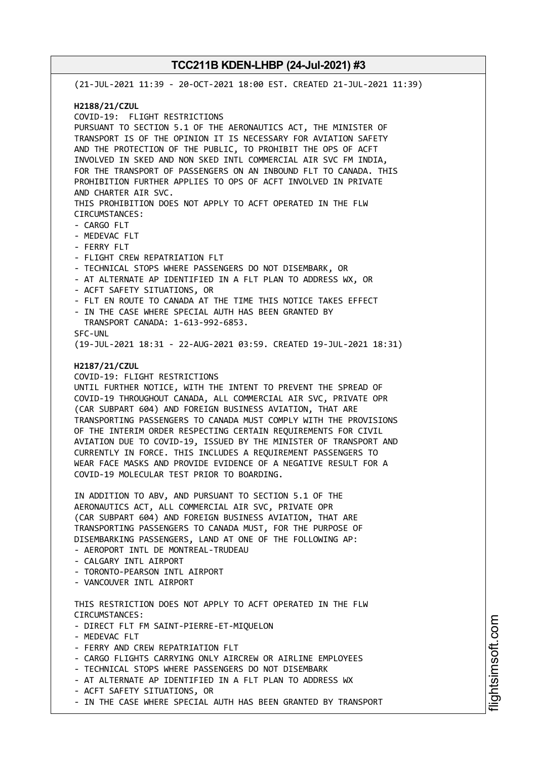(21-JUL-2021 11:39 - 20-OCT-2021 18:00 EST. CREATED 21-JUL-2021 11:39) **H2188/21/CZUL** COVID-19: FLIGHT RESTRICTIONS PURSUANT TO SECTION 5.1 OF THE AERONAUTICS ACT, THE MINISTER OF TRANSPORT IS OF THE OPINION IT IS NECESSARY FOR AVIATION SAFETY AND THE PROTECTION OF THE PUBLIC, TO PROHIBIT THE OPS OF ACFT INVOLVED IN SKED AND NON SKED INTL COMMERCIAL AIR SVC FM INDIA, FOR THE TRANSPORT OF PASSENGERS ON AN INBOUND FLT TO CANADA. THIS PROHIBITION FURTHER APPLIES TO OPS OF ACFT INVOLVED IN PRIVATE AND CHARTER AIR SVC. THIS PROHIBITION DOES NOT APPLY TO ACFT OPERATED IN THE FLW CIRCUMSTANCES: - CARGO FLT - MEDEVAC FLT - FERRY FLT - FLIGHT CREW REPATRIATION FLT - TECHNICAL STOPS WHERE PASSENGERS DO NOT DISEMBARK, OR - AT ALTERNATE AP IDENTIFIED IN A FLT PLAN TO ADDRESS WX, OR - ACFT SAFETY SITUATIONS, OR - FLT EN ROUTE TO CANADA AT THE TIME THIS NOTICE TAKES EFFECT - IN THE CASE WHERE SPECIAL AUTH HAS BEEN GRANTED BY TRANSPORT CANADA: 1-613-992-6853. SFC-UNL (19-JUL-2021 18:31 - 22-AUG-2021 03:59. CREATED 19-JUL-2021 18:31) **H2187/21/CZUL** COVID-19: FLIGHT RESTRICTIONS UNTIL FURTHER NOTICE, WITH THE INTENT TO PREVENT THE SPREAD OF COVID-19 THROUGHOUT CANADA, ALL COMMERCIAL AIR SVC, PRIVATE OPR (CAR SUBPART 604) AND FOREIGN BUSINESS AVIATION, THAT ARE TRANSPORTING PASSENGERS TO CANADA MUST COMPLY WITH THE PROVISIONS OF THE INTERIM ORDER RESPECTING CERTAIN REQUIREMENTS FOR CIVIL AVIATION DUE TO COVID-19, ISSUED BY THE MINISTER OF TRANSPORT AND CURRENTLY IN FORCE. THIS INCLUDES A REQUIREMENT PASSENGERS TO WEAR FACE MASKS AND PROVIDE EVIDENCE OF A NEGATIVE RESULT FOR A COVID-19 MOLECULAR TEST PRIOR TO BOARDING. IN ADDITION TO ABV, AND PURSUANT TO SECTION 5.1 OF THE AERONAUTICS ACT, ALL COMMERCIAL AIR SVC, PRIVATE OPR (CAR SUBPART 604) AND FOREIGN BUSINESS AVIATION, THAT ARE TRANSPORTING PASSENGERS TO CANADA MUST, FOR THE PURPOSE OF DISEMBARKING PASSENGERS, LAND AT ONE OF THE FOLLOWING AP: - AEROPORT INTL DE MONTREAL-TRUDEAU - CALGARY INTL AIRPORT - TORONTO-PEARSON INTL AIRPORT - VANCOUVER INTL AIRPORT THIS RESTRICTION DOES NOT APPLY TO ACFT OPERATED IN THE FLW CIRCUMSTANCES: - DIRECT FLT FM SAINT-PIERRE-ET-MIQUELON - MEDEVAC FLT - FERRY AND CREW REPATRIATION FLT - CARGO FLIGHTS CARRYING ONLY AIRCREW OR AIRLINE EMPLOYEES - TECHNICAL STOPS WHERE PASSENGERS DO NOT DISEMBARK - AT ALTERNATE AP IDENTIFIED IN A FLT PLAN TO ADDRESS WX - ACFT SAFETY SITUATIONS, OR

- IN THE CASE WHERE SPECIAL AUTH HAS BEEN GRANTED BY TRANSPORT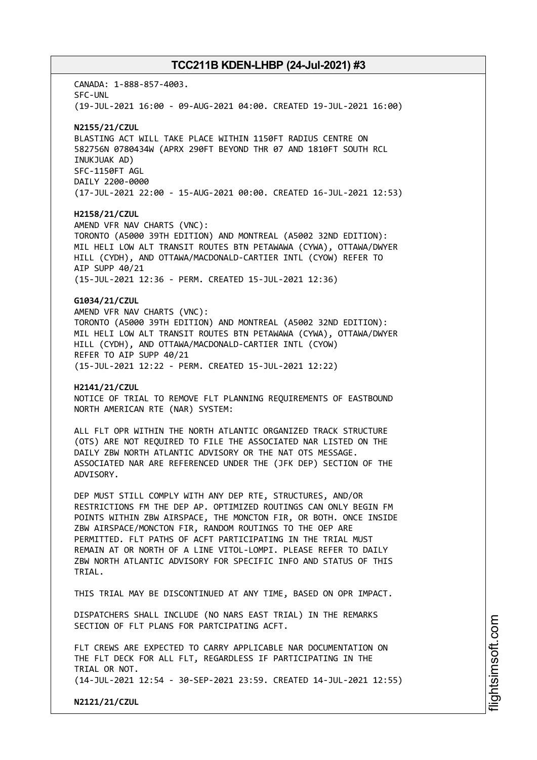CANADA: 1-888-857-4003. SFC-UNL (19-JUL-2021 16:00 - 09-AUG-2021 04:00. CREATED 19-JUL-2021 16:00)

# **N2155/21/CZUL**

BLASTING ACT WILL TAKE PLACE WITHIN 1150FT RADIUS CENTRE ON 582756N 0780434W (APRX 290FT BEYOND THR 07 AND 1810FT SOUTH RCL INUKJUAK AD) SFC-1150FT AGL DAILY 2200-0000 (17-JUL-2021 22:00 - 15-AUG-2021 00:00. CREATED 16-JUL-2021 12:53)

### **H2158/21/CZUL**

AMEND VFR NAV CHARTS (VNC): TORONTO (A5000 39TH EDITION) AND MONTREAL (A5002 32ND EDITION): MIL HELI LOW ALT TRANSIT ROUTES BTN PETAWAWA (CYWA), OTTAWA/DWYER HILL (CYDH), AND OTTAWA/MACDONALD-CARTIER INTL (CYOW) REFER TO AIP SUPP 40/21 (15-JUL-2021 12:36 - PERM. CREATED 15-JUL-2021 12:36)

# **G1034/21/CZUL**

AMEND VFR NAV CHARTS (VNC): TORONTO (A5000 39TH EDITION) AND MONTREAL (A5002 32ND EDITION): MIL HELI LOW ALT TRANSIT ROUTES BTN PETAWAWA (CYWA), OTTAWA/DWYER HILL (CYDH), AND OTTAWA/MACDONALD-CARTIER INTL (CYOW) REFER TO AIP SUPP 40/21 (15-JUL-2021 12:22 - PERM. CREATED 15-JUL-2021 12:22)

### **H2141/21/CZUL**

NOTICE OF TRIAL TO REMOVE FLT PLANNING REQUIREMENTS OF EASTBOUND NORTH AMERICAN RTE (NAR) SYSTEM:

ALL FLT OPR WITHIN THE NORTH ATLANTIC ORGANIZED TRACK STRUCTURE (OTS) ARE NOT REQUIRED TO FILE THE ASSOCIATED NAR LISTED ON THE DAILY ZBW NORTH ATLANTIC ADVISORY OR THE NAT OTS MESSAGE. ASSOCIATED NAR ARE REFERENCED UNDER THE (JFK DEP) SECTION OF THE ADVISORY.

DEP MUST STILL COMPLY WITH ANY DEP RTE, STRUCTURES, AND/OR RESTRICTIONS FM THE DEP AP. OPTIMIZED ROUTINGS CAN ONLY BEGIN FM POINTS WITHIN ZBW AIRSPACE, THE MONCTON FIR, OR BOTH. ONCE INSIDE ZBW AIRSPACE/MONCTON FIR, RANDOM ROUTINGS TO THE OEP ARE PERMITTED. FLT PATHS OF ACFT PARTICIPATING IN THE TRIAL MUST REMAIN AT OR NORTH OF A LINE VITOL-LOMPI. PLEASE REFER TO DAILY ZBW NORTH ATLANTIC ADVISORY FOR SPECIFIC INFO AND STATUS OF THIS TRIAL.

THIS TRIAL MAY BE DISCONTINUED AT ANY TIME, BASED ON OPR IMPACT.

DISPATCHERS SHALL INCLUDE (NO NARS EAST TRIAL) IN THE REMARKS SECTION OF FLT PLANS FOR PARTCIPATING ACFT.

FLT CREWS ARE EXPECTED TO CARRY APPLICABLE NAR DOCUMENTATION ON THE FLT DECK FOR ALL FLT, REGARDLESS IF PARTICIPATING IN THE TRIAL OR NOT. (14-JUL-2021 12:54 - 30-SEP-2021 23:59. CREATED 14-JUL-2021 12:55)

**N2121/21/CZUL**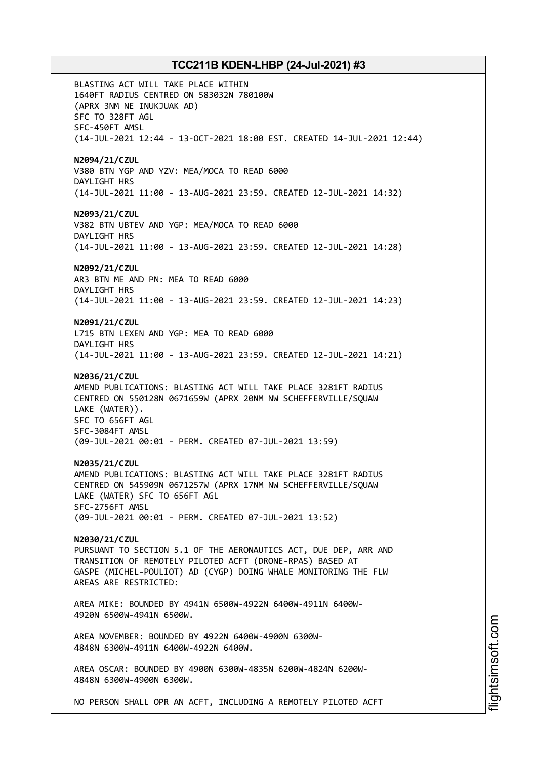BLASTING ACT WILL TAKE PLACE WITHIN 1640FT RADIUS CENTRED ON 583032N 780100W (APRX 3NM NE INUKJUAK AD) SFC TO 328FT AGL SFC-450FT AMSL (14-JUL-2021 12:44 - 13-OCT-2021 18:00 EST. CREATED 14-JUL-2021 12:44) **N2094/21/CZUL** V380 BTN YGP AND YZV: MEA/MOCA TO READ 6000 DAYLIGHT HRS (14-JUL-2021 11:00 - 13-AUG-2021 23:59. CREATED 12-JUL-2021 14:32) **N2093/21/CZUL** V382 BTN UBTEV AND YGP: MEA/MOCA TO READ 6000 DAYLIGHT HRS (14-JUL-2021 11:00 - 13-AUG-2021 23:59. CREATED 12-JUL-2021 14:28) **N2092/21/CZUL** AR3 BTN ME AND PN: MEA TO READ 6000 DAYLIGHT HRS (14-JUL-2021 11:00 - 13-AUG-2021 23:59. CREATED 12-JUL-2021 14:23) **N2091/21/CZUL** L715 BTN LEXEN AND YGP: MEA TO READ 6000 DAYLIGHT HRS (14-JUL-2021 11:00 - 13-AUG-2021 23:59. CREATED 12-JUL-2021 14:21) **N2036/21/CZUL** AMEND PUBLICATIONS: BLASTING ACT WILL TAKE PLACE 3281FT RADIUS CENTRED ON 550128N 0671659W (APRX 20NM NW SCHEFFERVILLE/SQUAW LAKE (WATER)). SFC TO 656FT AGL SFC-3084FT AMSL (09-JUL-2021 00:01 - PERM. CREATED 07-JUL-2021 13:59) **N2035/21/CZUL** AMEND PUBLICATIONS: BLASTING ACT WILL TAKE PLACE 3281FT RADIUS CENTRED ON 545909N 0671257W (APRX 17NM NW SCHEFFERVILLE/SQUAW LAKE (WATER) SFC TO 656FT AGL SFC-2756FT AMSL (09-JUL-2021 00:01 - PERM. CREATED 07-JUL-2021 13:52) **N2030/21/CZUL** PURSUANT TO SECTION 5.1 OF THE AERONAUTICS ACT, DUE DEP, ARR AND TRANSITION OF REMOTELY PILOTED ACFT (DRONE-RPAS) BASED AT GASPE (MICHEL-POULIOT) AD (CYGP) DOING WHALE MONITORING THE FLW AREAS ARE RESTRICTED: AREA MIKE: BOUNDED BY 4941N 6500W-4922N 6400W-4911N 6400W-4920N 6500W-4941N 6500W. AREA NOVEMBER: BOUNDED BY 4922N 6400W-4900N 6300W-4848N 6300W-4911N 6400W-4922N 6400W. AREA OSCAR: BOUNDED BY 4900N 6300W-4835N 6200W-4824N 6200W-4848N 6300W-4900N 6300W. NO PERSON SHALL OPR AN ACFT, INCLUDING A REMOTELY PILOTED ACFT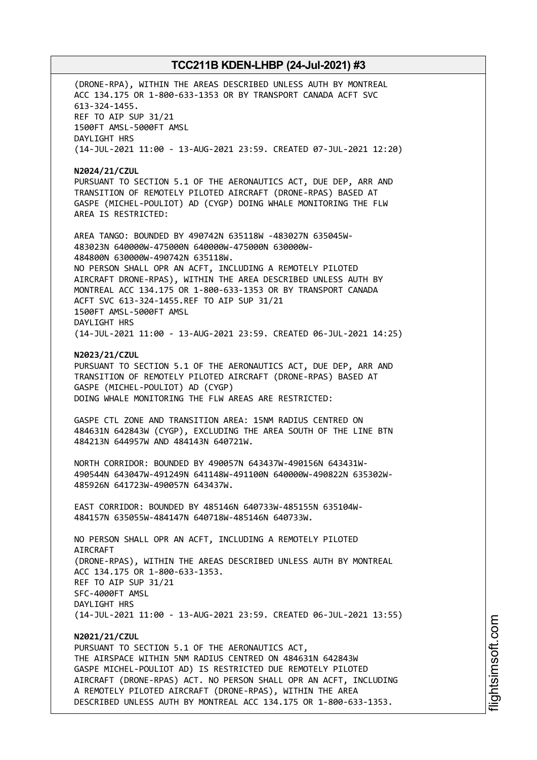(DRONE-RPA), WITHIN THE AREAS DESCRIBED UNLESS AUTH BY MONTREAL ACC 134.175 OR 1-800-633-1353 OR BY TRANSPORT CANADA ACFT SVC 613-324-1455. REF TO AIP SUP 31/21 1500FT AMSL-5000FT AMSL DAYLIGHT HRS (14-JUL-2021 11:00 - 13-AUG-2021 23:59. CREATED 07-JUL-2021 12:20)

**N2024/21/CZUL** PURSUANT TO SECTION 5.1 OF THE AERONAUTICS ACT, DUE DEP, ARR AND TRANSITION OF REMOTELY PILOTED AIRCRAFT (DRONE-RPAS) BASED AT GASPE (MICHEL-POULIOT) AD (CYGP) DOING WHALE MONITORING THE FLW AREA IS RESTRICTED:

AREA TANGO: BOUNDED BY 490742N 635118W -483027N 635045W-483023N 640000W-475000N 640000W-475000N 630000W-484800N 630000W-490742N 635118W. NO PERSON SHALL OPR AN ACFT, INCLUDING A REMOTELY PILOTED AIRCRAFT DRONE-RPAS), WITHIN THE AREA DESCRIBED UNLESS AUTH BY MONTREAL ACC 134.175 OR 1-800-633-1353 OR BY TRANSPORT CANADA ACFT SVC 613-324-1455.REF TO AIP SUP 31/21 1500FT AMSL-5000FT AMSL DAYLIGHT HRS (14-JUL-2021 11:00 - 13-AUG-2021 23:59. CREATED 06-JUL-2021 14:25)

**N2023/21/CZUL**

PURSUANT TO SECTION 5.1 OF THE AERONAUTICS ACT, DUE DEP, ARR AND TRANSITION OF REMOTELY PILOTED AIRCRAFT (DRONE-RPAS) BASED AT GASPE (MICHEL-POULIOT) AD (CYGP) DOING WHALE MONITORING THE FLW AREAS ARE RESTRICTED:

GASPE CTL ZONE AND TRANSITION AREA: 15NM RADIUS CENTRED ON 484631N 642843W (CYGP), EXCLUDING THE AREA SOUTH OF THE LINE BTN 484213N 644957W AND 484143N 640721W.

NORTH CORRIDOR: BOUNDED BY 490057N 643437W-490156N 643431W-490544N 643047W-491249N 641148W-491100N 640000W-490822N 635302W-485926N 641723W-490057N 643437W.

EAST CORRIDOR: BOUNDED BY 485146N 640733W-485155N 635104W-484157N 635055W-484147N 640718W-485146N 640733W.

NO PERSON SHALL OPR AN ACFT, INCLUDING A REMOTELY PILOTED **ATRCRAFT** (DRONE-RPAS), WITHIN THE AREAS DESCRIBED UNLESS AUTH BY MONTREAL ACC 134.175 OR 1-800-633-1353. REF TO AIP SUP 31/21 SFC-4000FT AMSL DAYLIGHT HRS (14-JUL-2021 11:00 - 13-AUG-2021 23:59. CREATED 06-JUL-2021 13:55)

# **N2021/21/CZUL**

PURSUANT TO SECTION 5.1 OF THE AERONAUTICS ACT, THE AIRSPACE WITHIN 5NM RADIUS CENTRED ON 484631N 642843W GASPE MICHEL-POULIOT AD) IS RESTRICTED DUE REMOTELY PILOTED AIRCRAFT (DRONE-RPAS) ACT. NO PERSON SHALL OPR AN ACFT, INCLUDING A REMOTELY PILOTED AIRCRAFT (DRONE-RPAS), WITHIN THE AREA DESCRIBED UNLESS AUTH BY MONTREAL ACC 134.175 OR 1-800-633-1353.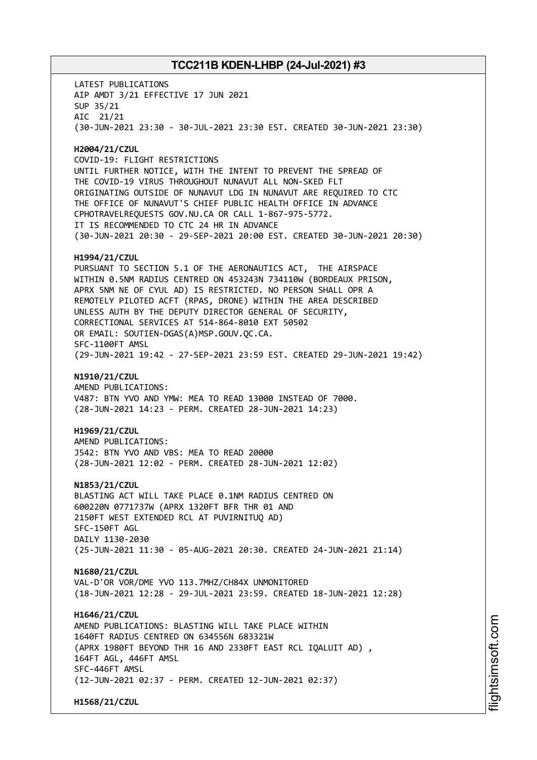LATEST PUBLICATIONS AIP AMDT 3/21 EFFECTIVE 17 JUN 2021 SUP 35/21 AIC 21/21 (30-JUN-2021 23:30 - 30-JUL-2021 23:30 EST. CREATED 30-JUN-2021 23:30) **H2004/21/CZUL** COVID-19: FLIGHT RESTRICTIONS UNTIL FURTHER NOTICE, WITH THE INTENT TO PREVENT THE SPREAD OF THE COVID-19 VIRUS THROUGHOUT NUNAVUT ALL NON-SKED FLT ORIGINATING OUTSIDE OF NUNAVUT LDG IN NUNAVUT ARE REQUIRED TO CTC THE OFFICE OF NUNAVUT'S CHIEF PUBLIC HEALTH OFFICE IN ADVANCE CPHOTRAVELREQUESTS GOV.NU.CA OR CALL 1-867-975-5772. IT IS RECOMMENDED TO CTC 24 HR IN ADVANCE (30-JUN-2021 20:30 - 29-SEP-2021 20:00 EST. CREATED 30-JUN-2021 20:30) **H1994/21/CZUL** PURSUANT TO SECTION 5.1 OF THE AERONAUTICS ACT, THE AIRSPACE WITHIN 0.5NM RADIUS CENTRED ON 453243N 734110W (BORDEAUX PRISON, APRX 5NM NE OF CYUL AD) IS RESTRICTED. NO PERSON SHALL OPR A REMOTELY PILOTED ACFT (RPAS, DRONE) WITHIN THE AREA DESCRIBED UNLESS AUTH BY THE DEPUTY DIRECTOR GENERAL OF SECURITY, CORRECTIONAL SERVICES AT 514-864-8010 EXT 50502 OR EMAIL: SOUTIEN-DGAS(A)MSP.GOUV.QC.CA. SFC-1100FT AMSL (29-JUN-2021 19:42 - 27-SEP-2021 23:59 EST. CREATED 29-JUN-2021 19:42) **N1910/21/CZUL** AMEND PUBLICATIONS: V487: BTN YVO AND YMW: MEA TO READ 13000 INSTEAD OF 7000. (28-JUN-2021 14:23 - PERM. CREATED 28-JUN-2021 14:23) **H1969/21/CZUL** AMEND PUBLICATIONS: J542: BTN YVO AND VBS: MEA TO READ 20000 (28-JUN-2021 12:02 - PERM. CREATED 28-JUN-2021 12:02) **N1853/21/CZUL** BLASTING ACT WILL TAKE PLACE 0.1NM RADIUS CENTRED ON 600220N 0771737W (APRX 1320FT BFR THR 01 AND 2150FT WEST EXTENDED RCL AT PUVIRNITUQ AD) SFC-150FT AGL DAILY 1130-2030 (25-JUN-2021 11:30 - 05-AUG-2021 20:30. CREATED 24-JUN-2021 21:14) **N1680/21/CZUL** VAL-D'OR VOR/DME YVO 113.7MHZ/CH84X UNMONITORED (18-JUN-2021 12:28 - 29-JUL-2021 23:59. CREATED 18-JUN-2021 12:28) **H1646/21/CZUL** AMEND PUBLICATIONS: BLASTING WILL TAKE PLACE WITHIN 1640FT RADIUS CENTRED ON 634556N 683321W (APRX 1980FT BEYOND THR 16 AND 2330FT EAST RCL IQALUIT AD) , 164FT AGL, 446FT AMSL SFC-446FT AMSL (12-JUN-2021 02:37 - PERM. CREATED 12-JUN-2021 02:37) **H1568/21/CZUL**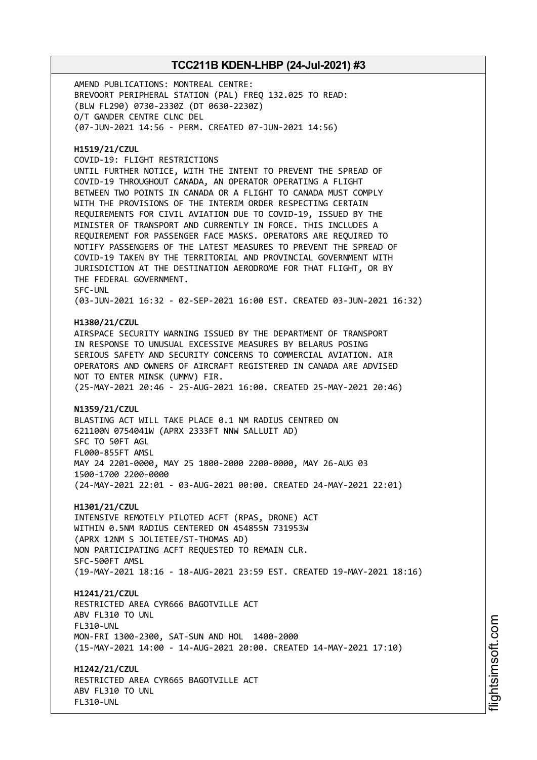AMEND PUBLICATIONS: MONTREAL CENTRE: BREVOORT PERIPHERAL STATION (PAL) FREQ 132.025 TO READ: (BLW FL290) 0730-2330Z (DT 0630-2230Z) O/T GANDER CENTRE CLNC DEL (07-JUN-2021 14:56 - PERM. CREATED 07-JUN-2021 14:56)

#### **H1519/21/CZUL**

COVID-19: FLIGHT RESTRICTIONS

UNTIL FURTHER NOTICE, WITH THE INTENT TO PREVENT THE SPREAD OF COVID-19 THROUGHOUT CANADA, AN OPERATOR OPERATING A FLIGHT BETWEEN TWO POINTS IN CANADA OR A FLIGHT TO CANADA MUST COMPLY WITH THE PROVISIONS OF THE INTERIM ORDER RESPECTING CERTAIN REQUIREMENTS FOR CIVIL AVIATION DUE TO COVID-19, ISSUED BY THE MINISTER OF TRANSPORT AND CURRENTLY IN FORCE. THIS INCLUDES A REQUIREMENT FOR PASSENGER FACE MASKS. OPERATORS ARE REQUIRED TO NOTIFY PASSENGERS OF THE LATEST MEASURES TO PREVENT THE SPREAD OF COVID-19 TAKEN BY THE TERRITORIAL AND PROVINCIAL GOVERNMENT WITH JURISDICTION AT THE DESTINATION AERODROME FOR THAT FLIGHT, OR BY THE FEDERAL GOVERNMENT. SFC-UNL (03-JUN-2021 16:32 - 02-SEP-2021 16:00 EST. CREATED 03-JUN-2021 16:32)

#### **H1380/21/CZUL**

AIRSPACE SECURITY WARNING ISSUED BY THE DEPARTMENT OF TRANSPORT IN RESPONSE TO UNUSUAL EXCESSIVE MEASURES BY BELARUS POSING SERIOUS SAFETY AND SECURITY CONCERNS TO COMMERCIAL AVIATION. AIR OPERATORS AND OWNERS OF AIRCRAFT REGISTERED IN CANADA ARE ADVISED NOT TO ENTER MINSK (UMMV) FIR. (25-MAY-2021 20:46 - 25-AUG-2021 16:00. CREATED 25-MAY-2021 20:46)

#### **N1359/21/CZUL**

BLASTING ACT WILL TAKE PLACE 0.1 NM RADIUS CENTRED ON 621100N 0754041W (APRX 2333FT NNW SALLUIT AD) SFC TO 50FT AGL FL000-855FT AMSL MAY 24 2201-0000, MAY 25 1800-2000 2200-0000, MAY 26-AUG 03 1500-1700 2200-0000 (24-MAY-2021 22:01 - 03-AUG-2021 00:00. CREATED 24-MAY-2021 22:01)

#### **H1301/21/CZUL**

INTENSIVE REMOTELY PILOTED ACFT (RPAS, DRONE) ACT WITHIN 0.5NM RADIUS CENTERED ON 454855N 731953W (APRX 12NM S JOLIETEE/ST-THOMAS AD) NON PARTICIPATING ACFT REQUESTED TO REMAIN CLR. SFC-500FT AMSL (19-MAY-2021 18:16 - 18-AUG-2021 23:59 EST. CREATED 19-MAY-2021 18:16)

#### **H1241/21/CZUL**

RESTRICTED AREA CYR666 BAGOTVILLE ACT ABV FL310 TO UNL (15-MAY-2021 14:00 - 14-AUG-2021 20:00. CREATED 14-MAY-2021 17:10)

FL310-UNL MON-FRI 1300-2300, SAT-SUN AND HOL 1400-2000

# **H1242/21/CZUL** RESTRICTED AREA CYR665 BAGOTVILLE ACT

ABV FL310 TO UNL FL310-UNL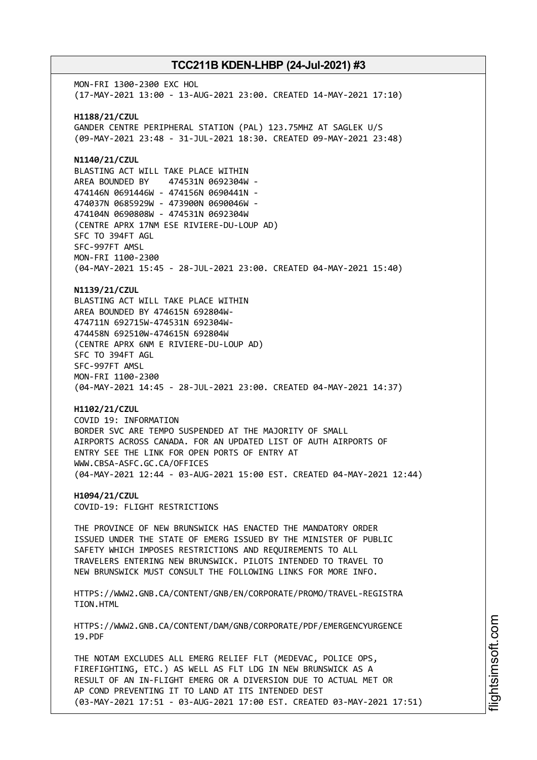MON-FRI 1300-2300 EXC HOL (17-MAY-2021 13:00 - 13-AUG-2021 23:00. CREATED 14-MAY-2021 17:10) **H1188/21/CZUL** GANDER CENTRE PERIPHERAL STATION (PAL) 123.75MHZ AT SAGLEK U/S (09-MAY-2021 23:48 - 31-JUL-2021 18:30. CREATED 09-MAY-2021 23:48) **N1140/21/CZUL** BLASTING ACT WILL TAKE PLACE WITHIN AREA BOUNDED BY 474531N 0692304W - 474146N 0691446W - 474156N 0690441N - 474037N 0685929W - 473900N 0690046W - 474104N 0690808W - 474531N 0692304W (CENTRE APRX 17NM ESE RIVIERE-DU-LOUP AD) SFC TO 394FT AGL SFC-997FT AMSL MON-FRI 1100-2300 (04-MAY-2021 15:45 - 28-JUL-2021 23:00. CREATED 04-MAY-2021 15:40) **N1139/21/CZUL** BLASTING ACT WILL TAKE PLACE WITHIN AREA BOUNDED BY 474615N 692804W-474711N 692715W-474531N 692304W-474458N 692510W-474615N 692804W (CENTRE APRX 6NM E RIVIERE-DU-LOUP AD) SFC TO 394FT AGL SFC-997FT AMSL MON-FRI 1100-2300 (04-MAY-2021 14:45 - 28-JUL-2021 23:00. CREATED 04-MAY-2021 14:37) **H1102/21/CZUL** COVID 19: INFORMATION BORDER SVC ARE TEMPO SUSPENDED AT THE MAJORITY OF SMALL AIRPORTS ACROSS CANADA. FOR AN UPDATED LIST OF AUTH AIRPORTS OF ENTRY SEE THE LINK FOR OPEN PORTS OF ENTRY AT WWW.CBSA-ASFC.GC.CA/OFFICES (04-MAY-2021 12:44 - 03-AUG-2021 15:00 EST. CREATED 04-MAY-2021 12:44) **H1094/21/CZUL** COVID-19: FLIGHT RESTRICTIONS THE PROVINCE OF NEW BRUNSWICK HAS ENACTED THE MANDATORY ORDER ISSUED UNDER THE STATE OF EMERG ISSUED BY THE MINISTER OF PUBLIC SAFETY WHICH IMPOSES RESTRICTIONS AND REQUIREMENTS TO ALL TRAVELERS ENTERING NEW BRUNSWICK. PILOTS INTENDED TO TRAVEL TO NEW BRUNSWICK MUST CONSULT THE FOLLOWING LINKS FOR MORE INFO. HTTPS://WWW2.GNB.CA/CONTENT/GNB/EN/CORPORATE/PROMO/TRAVEL-REGISTRA TION.HTML HTTPS://WWW2.GNB.CA/CONTENT/DAM/GNB/CORPORATE/PDF/EMERGENCYURGENCE 19.PDF THE NOTAM EXCLUDES ALL EMERG RELIEF FLT (MEDEVAC, POLICE OPS, FIREFIGHTING, ETC.) AS WELL AS FLT LDG IN NEW BRUNSWICK AS A RESULT OF AN IN-FLIGHT EMERG OR A DIVERSION DUE TO ACTUAL MET OR AP COND PREVENTING IT TO LAND AT ITS INTENDED DEST

(03-MAY-2021 17:51 - 03-AUG-2021 17:00 EST. CREATED 03-MAY-2021 17:51)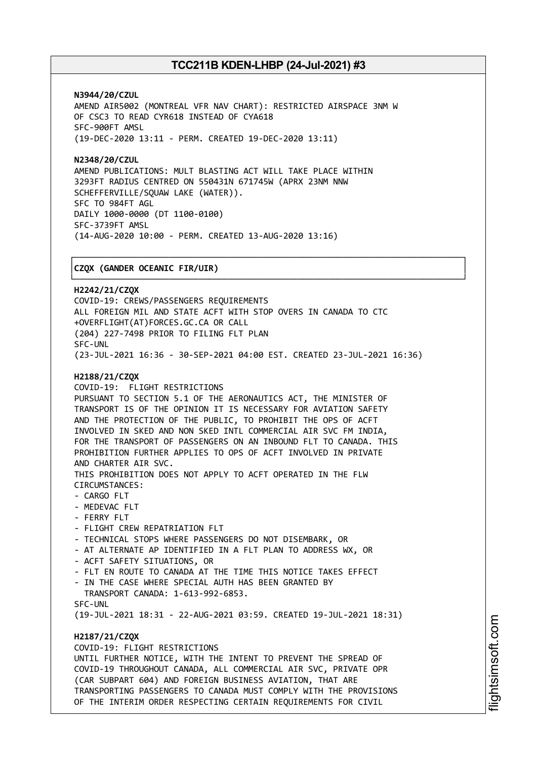┌──────────────────────────────────────────────────────────────────────────────┐

**N3944/20/CZUL** AMEND AIR5002 (MONTREAL VFR NAV CHART): RESTRICTED AIRSPACE 3NM W OF CSC3 TO READ CYR618 INSTEAD OF CYA618 SFC-900FT AMSL (19-DEC-2020 13:11 - PERM. CREATED 19-DEC-2020 13:11)

**N2348/20/CZUL** AMEND PUBLICATIONS: MULT BLASTING ACT WILL TAKE PLACE WITHIN 3293FT RADIUS CENTRED ON 550431N 671745W (APRX 23NM NNW SCHEFFERVILLE/SQUAW LAKE (WATER)). SFC TO 984FT AGL DAILY 1000-0000 (DT 1100-0100) SFC-3739FT AMSL (14-AUG-2020 10:00 - PERM. CREATED 13-AUG-2020 13:16)

#### │**CZQX (GANDER OCEANIC FIR/UIR)** │

└──────────────────────────────────────────────────────────────────────────────┘ **H2242/21/CZQX** COVID-19: CREWS/PASSENGERS REQUIREMENTS ALL FOREIGN MIL AND STATE ACFT WITH STOP OVERS IN CANADA TO CTC +OVERFLIGHT(AT)FORCES.GC.CA OR CALL (204) 227-7498 PRIOR TO FILING FLT PLAN SFC-UNL (23-JUL-2021 16:36 - 30-SEP-2021 04:00 EST. CREATED 23-JUL-2021 16:36) **H2188/21/CZQX** COVID-19: FLIGHT RESTRICTIONS PURSUANT TO SECTION 5.1 OF THE AERONAUTICS ACT, THE MINISTER OF TRANSPORT IS OF THE OPINION IT IS NECESSARY FOR AVIATION SAFETY AND THE PROTECTION OF THE PUBLIC, TO PROHIBIT THE OPS OF ACFT INVOLVED IN SKED AND NON SKED INTL COMMERCIAL AIR SVC FM INDIA, FOR THE TRANSPORT OF PASSENGERS ON AN INBOUND FLT TO CANADA. THIS PROHIBITION FURTHER APPLIES TO OPS OF ACFT INVOLVED IN PRIVATE AND CHARTER AIR SVC. THIS PROHIBITION DOES NOT APPLY TO ACFT OPERATED IN THE FLW CIRCUMSTANCES: - CARGO FLT - MEDEVAC FLT - FERRY FLT - FLIGHT CREW REPATRIATION FLT - TECHNICAL STOPS WHERE PASSENGERS DO NOT DISEMBARK, OR - AT ALTERNATE AP IDENTIFIED IN A FLT PLAN TO ADDRESS WX, OR - ACFT SAFETY SITUATIONS, OR - FLT EN ROUTE TO CANADA AT THE TIME THIS NOTICE TAKES EFFECT IN THE CASE WHERE SPECIAL AUTH HAS BEEN GRANTED BY TRANSPORT CANADA: 1-613-992-6853. SFC-UNL (19-JUL-2021 18:31 - 22-AUG-2021 03:59. CREATED 19-JUL-2021 18:31) **H2187/21/CZQX** COVID-19: FLIGHT RESTRICTIONS UNTIL FURTHER NOTICE, WITH THE INTENT TO PREVENT THE SPREAD OF COVID-19 THROUGHOUT CANADA, ALL COMMERCIAL AIR SVC, PRIVATE OPR (CAR SUBPART 604) AND FOREIGN BUSINESS AVIATION, THAT ARE TRANSPORTING PASSENGERS TO CANADA MUST COMPLY WITH THE PROVISIONS OF THE INTERIM ORDER RESPECTING CERTAIN REQUIREMENTS FOR CIVIL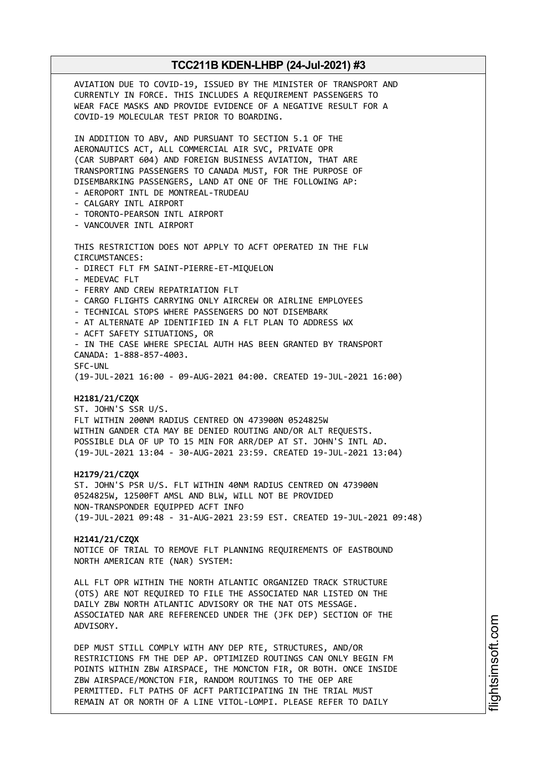AVIATION DUE TO COVID-19, ISSUED BY THE MINISTER OF TRANSPORT AND CURRENTLY IN FORCE. THIS INCLUDES A REQUIREMENT PASSENGERS TO WEAR FACE MASKS AND PROVIDE EVIDENCE OF A NEGATIVE RESULT FOR A COVID-19 MOLECULAR TEST PRIOR TO BOARDING. IN ADDITION TO ABV, AND PURSUANT TO SECTION 5.1 OF THE AERONAUTICS ACT, ALL COMMERCIAL AIR SVC, PRIVATE OPR (CAR SUBPART 604) AND FOREIGN BUSINESS AVIATION, THAT ARE TRANSPORTING PASSENGERS TO CANADA MUST, FOR THE PURPOSE OF DISEMBARKING PASSENGERS, LAND AT ONE OF THE FOLLOWING AP: - AEROPORT INTL DE MONTREAL-TRUDEAU - CALGARY INTL AIRPORT - TORONTO-PEARSON INTL AIRPORT - VANCOUVER INTL AIRPORT THIS RESTRICTION DOES NOT APPLY TO ACFT OPERATED IN THE FLW CIRCUMSTANCES: - DIRECT FLT FM SAINT-PIERRE-ET-MIQUELON - MEDEVAC FLT - FERRY AND CREW REPATRIATION FLT - CARGO FLIGHTS CARRYING ONLY AIRCREW OR AIRLINE EMPLOYEES - TECHNICAL STOPS WHERE PASSENGERS DO NOT DISEMBARK - AT ALTERNATE AP IDENTIFIED IN A FLT PLAN TO ADDRESS WX - ACFT SAFETY SITUATIONS, OR - IN THE CASE WHERE SPECIAL AUTH HAS BEEN GRANTED BY TRANSPORT CANADA: 1-888-857-4003. SFC-UNL (19-JUL-2021 16:00 - 09-AUG-2021 04:00. CREATED 19-JUL-2021 16:00) **H2181/21/CZQX** ST. JOHN'S SSR U/S. FLT WITHIN 200NM RADIUS CENTRED ON 473900N 0524825W WITHIN GANDER CTA MAY BE DENIED ROUTING AND/OR ALT REQUESTS. POSSIBLE DLA OF UP TO 15 MIN FOR ARR/DEP AT ST. JOHN'S INTL AD. (19-JUL-2021 13:04 - 30-AUG-2021 23:59. CREATED 19-JUL-2021 13:04) **H2179/21/CZQX** ST. JOHN'S PSR U/S. FLT WITHIN 40NM RADIUS CENTRED ON 473900N 0524825W, 12500FT AMSL AND BLW, WILL NOT BE PROVIDED NON-TRANSPONDER EQUIPPED ACFT INFO (19-JUL-2021 09:48 - 31-AUG-2021 23:59 EST. CREATED 19-JUL-2021 09:48) **H2141/21/CZQX** NOTICE OF TRIAL TO REMOVE FLT PLANNING REQUIREMENTS OF EASTBOUND NORTH AMERICAN RTE (NAR) SYSTEM: ALL FLT OPR WITHIN THE NORTH ATLANTIC ORGANIZED TRACK STRUCTURE (OTS) ARE NOT REQUIRED TO FILE THE ASSOCIATED NAR LISTED ON THE DAILY ZBW NORTH ATLANTIC ADVISORY OR THE NAT OTS MESSAGE. ASSOCIATED NAR ARE REFERENCED UNDER THE (JFK DEP) SECTION OF THE ADVISORY. DEP MUST STILL COMPLY WITH ANY DEP RTE, STRUCTURES, AND/OR RESTRICTIONS FM THE DEP AP. OPTIMIZED ROUTINGS CAN ONLY BEGIN FM POINTS WITHIN ZBW AIRSPACE, THE MONCTON FIR, OR BOTH. ONCE INSIDE ZBW AIRSPACE/MONCTON FIR, RANDOM ROUTINGS TO THE OEP ARE PERMITTED. FLT PATHS OF ACFT PARTICIPATING IN THE TRIAL MUST

REMAIN AT OR NORTH OF A LINE VITOL-LOMPI. PLEASE REFER TO DAILY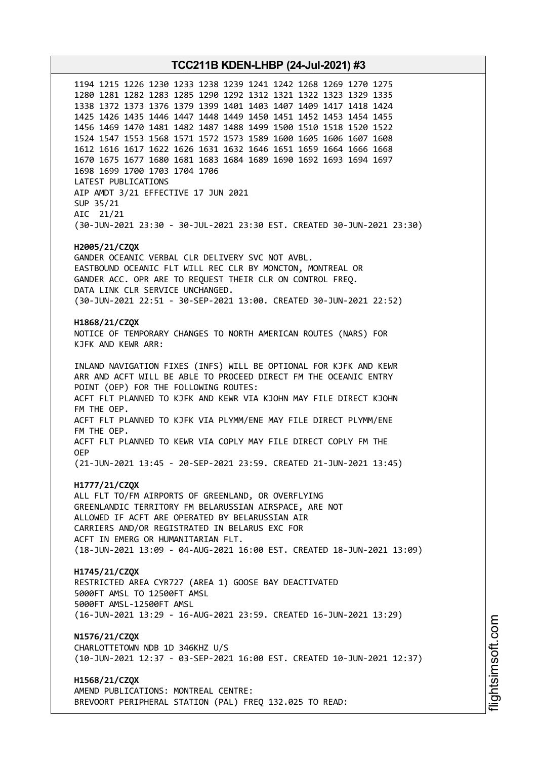1194 1215 1226 1230 1233 1238 1239 1241 1242 1268 1269 1270 1275 1280 1281 1282 1283 1285 1290 1292 1312 1321 1322 1323 1329 1335 1338 1372 1373 1376 1379 1399 1401 1403 1407 1409 1417 1418 1424 1425 1426 1435 1446 1447 1448 1449 1450 1451 1452 1453 1454 1455 1456 1469 1470 1481 1482 1487 1488 1499 1500 1510 1518 1520 1522 1524 1547 1553 1568 1571 1572 1573 1589 1600 1605 1606 1607 1608 1612 1616 1617 1622 1626 1631 1632 1646 1651 1659 1664 1666 1668 1670 1675 1677 1680 1681 1683 1684 1689 1690 1692 1693 1694 1697 1698 1699 1700 1703 1704 1706 LATEST PUBLICATIONS AIP AMDT 3/21 EFFECTIVE 17 JUN 2021 SUP 35/21 AIC 21/21 (30-JUN-2021 23:30 - 30-JUL-2021 23:30 EST. CREATED 30-JUN-2021 23:30) **H2005/21/CZQX** GANDER OCEANIC VERBAL CLR DELIVERY SVC NOT AVBL. EASTBOUND OCEANIC FLT WILL REC CLR BY MONCTON, MONTREAL OR GANDER ACC. OPR ARE TO REQUEST THEIR CLR ON CONTROL FREQ. DATA LINK CLR SERVICE UNCHANGED. (30-JUN-2021 22:51 - 30-SEP-2021 13:00. CREATED 30-JUN-2021 22:52) **H1868/21/CZQX** NOTICE OF TEMPORARY CHANGES TO NORTH AMERICAN ROUTES (NARS) FOR KJFK AND KEWR ARR: INLAND NAVIGATION FIXES (INFS) WILL BE OPTIONAL FOR KJFK AND KEWR ARR AND ACFT WILL BE ABLE TO PROCEED DIRECT FM THE OCEANIC ENTRY POINT (OEP) FOR THE FOLLOWING ROUTES: ACFT FLT PLANNED TO KJFK AND KEWR VIA KJOHN MAY FILE DIRECT KJOHN FM THE OEP. ACFT FLT PLANNED TO KJFK VIA PLYMM/ENE MAY FILE DIRECT PLYMM/ENE FM THE OEP. ACFT FLT PLANNED TO KEWR VIA COPLY MAY FILE DIRECT COPLY FM THE OEP (21-JUN-2021 13:45 - 20-SEP-2021 23:59. CREATED 21-JUN-2021 13:45) **H1777/21/CZQX** ALL FLT TO/FM AIRPORTS OF GREENLAND, OR OVERFLYING GREENLANDIC TERRITORY FM BELARUSSIAN AIRSPACE, ARE NOT ALLOWED IF ACFT ARE OPERATED BY BELARUSSIAN AIR CARRIERS AND/OR REGISTRATED IN BELARUS EXC FOR ACFT IN EMERG OR HUMANITARIAN FLT. (18-JUN-2021 13:09 - 04-AUG-2021 16:00 EST. CREATED 18-JUN-2021 13:09) **H1745/21/CZQX** RESTRICTED AREA CYR727 (AREA 1) GOOSE BAY DEACTIVATED 5000FT AMSL TO 12500FT AMSL 5000FT AMSL-12500FT AMSL (16-JUN-2021 13:29 - 16-AUG-2021 23:59. CREATED 16-JUN-2021 13:29) **N1576/21/CZQX** CHARLOTTETOWN NDB 1D 346KHZ U/S (10-JUN-2021 12:37 - 03-SEP-2021 16:00 EST. CREATED 10-JUN-2021 12:37) **H1568/21/CZQX** AMEND PUBLICATIONS: MONTREAL CENTRE: BREVOORT PERIPHERAL STATION (PAL) FREQ 132.025 TO READ: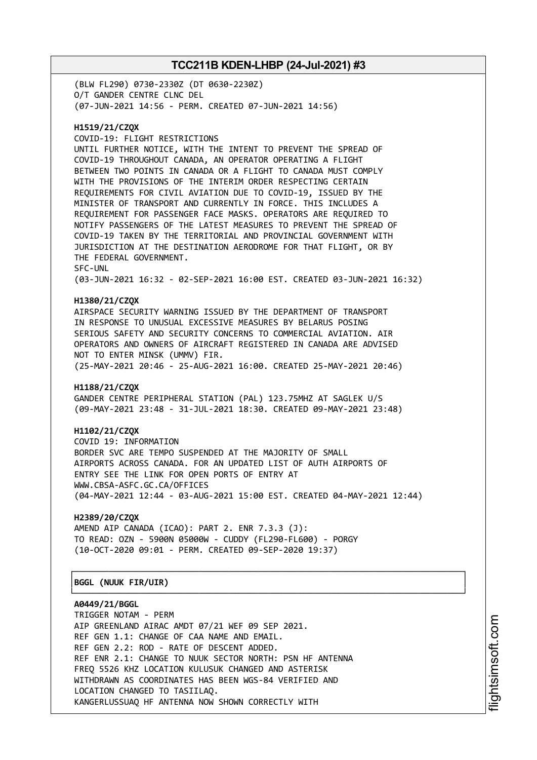(BLW FL290) 0730-2330Z (DT 0630-2230Z) O/T GANDER CENTRE CLNC DEL (07-JUN-2021 14:56 - PERM. CREATED 07-JUN-2021 14:56)

### **H1519/21/CZQX**

COVID-19: FLIGHT RESTRICTIONS UNTIL FURTHER NOTICE, WITH THE INTENT TO PREVENT THE SPREAD OF COVID-19 THROUGHOUT CANADA, AN OPERATOR OPERATING A FLIGHT BETWEEN TWO POINTS IN CANADA OR A FLIGHT TO CANADA MUST COMPLY WITH THE PROVISIONS OF THE INTERIM ORDER RESPECTING CERTAIN REQUIREMENTS FOR CIVIL AVIATION DUE TO COVID-19, ISSUED BY THE MINISTER OF TRANSPORT AND CURRENTLY IN FORCE. THIS INCLUDES A REQUIREMENT FOR PASSENGER FACE MASKS. OPERATORS ARE REQUIRED TO NOTIFY PASSENGERS OF THE LATEST MEASURES TO PREVENT THE SPREAD OF COVID-19 TAKEN BY THE TERRITORIAL AND PROVINCIAL GOVERNMENT WITH JURISDICTION AT THE DESTINATION AERODROME FOR THAT FLIGHT, OR BY THE FEDERAL GOVERNMENT. SFC-UNL (03-JUN-2021 16:32 - 02-SEP-2021 16:00 EST. CREATED 03-JUN-2021 16:32)

#### **H1380/21/CZQX**

AIRSPACE SECURITY WARNING ISSUED BY THE DEPARTMENT OF TRANSPORT IN RESPONSE TO UNUSUAL EXCESSIVE MEASURES BY BELARUS POSING SERIOUS SAFETY AND SECURITY CONCERNS TO COMMERCIAL AVIATION. AIR OPERATORS AND OWNERS OF AIRCRAFT REGISTERED IN CANADA ARE ADVISED NOT TO ENTER MINSK (UMMV) FIR. (25-MAY-2021 20:46 - 25-AUG-2021 16:00. CREATED 25-MAY-2021 20:46)

#### **H1188/21/CZQX**

GANDER CENTRE PERIPHERAL STATION (PAL) 123.75MHZ AT SAGLEK U/S (09-MAY-2021 23:48 - 31-JUL-2021 18:30. CREATED 09-MAY-2021 23:48)

#### **H1102/21/CZQX**

COVID 19: INFORMATION BORDER SVC ARE TEMPO SUSPENDED AT THE MAJORITY OF SMALL AIRPORTS ACROSS CANADA. FOR AN UPDATED LIST OF AUTH AIRPORTS OF ENTRY SEE THE LINK FOR OPEN PORTS OF ENTRY AT WWW.CBSA-ASFC.GC.CA/OFFICES (04-MAY-2021 12:44 - 03-AUG-2021 15:00 EST. CREATED 04-MAY-2021 12:44)

┌──────────────────────────────────────────────────────────────────────────────┐

└──────────────────────────────────────────────────────────────────────────────┘

## **H2389/20/CZQX**

AMEND AIP CANADA (ICAO): PART 2. ENR 7.3.3 (J): TO READ: OZN - 5900N 05000W - CUDDY (FL290-FL600) - PORGY (10-OCT-2020 09:01 - PERM. CREATED 09-SEP-2020 19:37)

#### │**BGGL (NUUK FIR/UIR)** │

**A0449/21/BGGL**

TRIGGER NOTAM - PERM AIP GREENLAND AIRAC AMDT 07/21 WEF 09 SEP 2021. REF GEN 1.1: CHANGE OF CAA NAME AND EMAIL. REF GEN 2.2: ROD - RATE OF DESCENT ADDED. REF ENR 2.1: CHANGE TO NUUK SECTOR NORTH: PSN HF ANTENNA FREQ 5526 KHZ LOCATION KULUSUK CHANGED AND ASTERISK WITHDRAWN AS COORDINATES HAS BEEN WGS-84 VERIFIED AND LOCATION CHANGED TO TASIILAQ. KANGERLUSSUAQ HF ANTENNA NOW SHOWN CORRECTLY WITH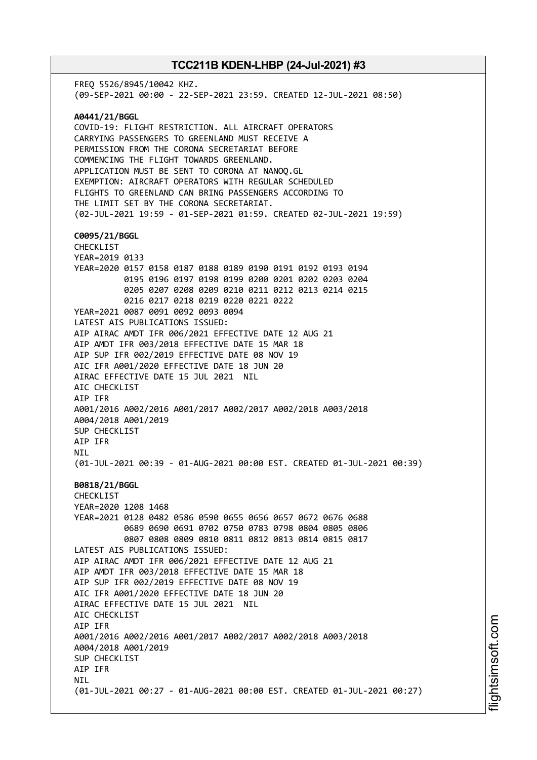FREQ 5526/8945/10042 KHZ. (09-SEP-2021 00:00 - 22-SEP-2021 23:59. CREATED 12-JUL-2021 08:50) **A0441/21/BGGL** COVID-19: FLIGHT RESTRICTION. ALL AIRCRAFT OPERATORS CARRYING PASSENGERS TO GREENLAND MUST RECEIVE A PERMISSION FROM THE CORONA SECRETARIAT BEFORE COMMENCING THE FLIGHT TOWARDS GREENLAND. APPLICATION MUST BE SENT TO CORONA AT NANOQ.GL EXEMPTION: AIRCRAFT OPERATORS WITH REGULAR SCHEDULED FLIGHTS TO GREENLAND CAN BRING PASSENGERS ACCORDING TO THE LIMIT SET BY THE CORONA SECRETARIAT. (02-JUL-2021 19:59 - 01-SEP-2021 01:59. CREATED 02-JUL-2021 19:59) **C0095/21/BGGL** CHECKLIST YEAR=2019 0133 YEAR=2020 0157 0158 0187 0188 0189 0190 0191 0192 0193 0194 0195 0196 0197 0198 0199 0200 0201 0202 0203 0204 0205 0207 0208 0209 0210 0211 0212 0213 0214 0215 0216 0217 0218 0219 0220 0221 0222 YEAR=2021 0087 0091 0092 0093 0094 LATEST AIS PUBLICATIONS ISSUED: AIP AIRAC AMDT IFR 006/2021 EFFECTIVE DATE 12 AUG 21 AIP AMDT IFR 003/2018 EFFECTIVE DATE 15 MAR 18 AIP SUP IFR 002/2019 EFFECTIVE DATE 08 NOV 19 AIC IFR A001/2020 EFFECTIVE DATE 18 JUN 20 AIRAC EFFECTIVE DATE 15 JUL 2021 NIL AIC CHECKLIST AIP IFR A001/2016 A002/2016 A001/2017 A002/2017 A002/2018 A003/2018 A004/2018 A001/2019 SUP CHECKLIST AIP IFR NIL (01-JUL-2021 00:39 - 01-AUG-2021 00:00 EST. CREATED 01-JUL-2021 00:39) **B0818/21/BGGL** CHECKLIST YEAR=2020 1208 1468 YEAR=2021 0128 0482 0586 0590 0655 0656 0657 0672 0676 0688 0689 0690 0691 0702 0750 0783 0798 0804 0805 0806 0807 0808 0809 0810 0811 0812 0813 0814 0815 0817 LATEST AIS PUBLICATIONS ISSUED: AIP AIRAC AMDT IFR 006/2021 EFFECTIVE DATE 12 AUG 21 AIP AMDT IFR 003/2018 EFFECTIVE DATE 15 MAR 18 AIP SUP IFR 002/2019 EFFECTIVE DATE 08 NOV 19 AIC IFR A001/2020 EFFECTIVE DATE 18 JUN 20 AIRAC EFFECTIVE DATE 15 JUL 2021 NIL AIC CHECKLIST AIP IFR A001/2016 A002/2016 A001/2017 A002/2017 A002/2018 A003/2018 A004/2018 A001/2019 SUP CHECKLIST AIP IFR **NTI** (01-JUL-2021 00:27 - 01-AUG-2021 00:00 EST. CREATED 01-JUL-2021 00:27)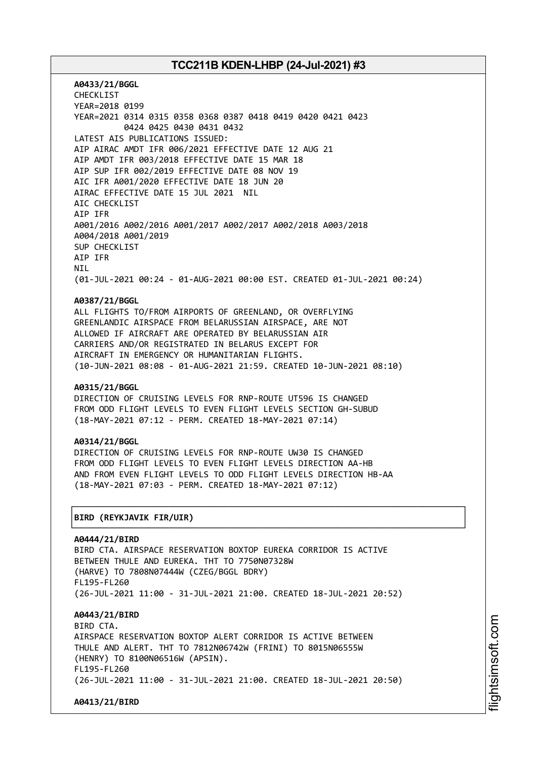**A0433/21/BGGL** CHECKLIST YEAR=2018 0199 YEAR=2021 0314 0315 0358 0368 0387 0418 0419 0420 0421 0423 0424 0425 0430 0431 0432 LATEST AIS PUBLICATIONS ISSUED: AIP AIRAC AMDT IFR 006/2021 EFFECTIVE DATE 12 AUG 21 AIP AMDT IFR 003/2018 EFFECTIVE DATE 15 MAR 18 AIP SUP IFR 002/2019 EFFECTIVE DATE 08 NOV 19 AIC IFR A001/2020 EFFECTIVE DATE 18 JUN 20 AIRAC EFFECTIVE DATE 15 JUL 2021 NIL AIC CHECKLIST AIP IFR A001/2016 A002/2016 A001/2017 A002/2017 A002/2018 A003/2018 A004/2018 A001/2019 SUP CHECKLIST AIP IFR NIL (01-JUL-2021 00:24 - 01-AUG-2021 00:00 EST. CREATED 01-JUL-2021 00:24)

#### **A0387/21/BGGL**

ALL FLIGHTS TO/FROM AIRPORTS OF GREENLAND, OR OVERFLYING GREENLANDIC AIRSPACE FROM BELARUSSIAN AIRSPACE, ARE NOT ALLOWED IF AIRCRAFT ARE OPERATED BY BELARUSSIAN AIR CARRIERS AND/OR REGISTRATED IN BELARUS EXCEPT FOR AIRCRAFT IN EMERGENCY OR HUMANITARIAN FLIGHTS. (10-JUN-2021 08:08 - 01-AUG-2021 21:59. CREATED 10-JUN-2021 08:10)

#### **A0315/21/BGGL**

DIRECTION OF CRUISING LEVELS FOR RNP-ROUTE UT596 IS CHANGED FROM ODD FLIGHT LEVELS TO EVEN FLIGHT LEVELS SECTION GH-SUBUD (18-MAY-2021 07:12 - PERM. CREATED 18-MAY-2021 07:14)

#### **A0314/21/BGGL**

DIRECTION OF CRUISING LEVELS FOR RNP-ROUTE UW30 IS CHANGED FROM ODD FLIGHT LEVELS TO EVEN FLIGHT LEVELS DIRECTION AA-HB AND FROM EVEN FLIGHT LEVELS TO ODD FLIGHT LEVELS DIRECTION HB-AA (18-MAY-2021 07:03 - PERM. CREATED 18-MAY-2021 07:12)

┌──────────────────────────────────────────────────────────────────────────────┐

└──────────────────────────────────────────────────────────────────────────────┘

# │**BIRD (REYKJAVIK FIR/UIR)** │

**A0444/21/BIRD** BIRD CTA. AIRSPACE RESERVATION BOXTOP EUREKA CORRIDOR IS ACTIVE BETWEEN THULE AND EUREKA. THT TO 7750N07328W (HARVE) TO 7808N07444W (CZEG/BGGL BDRY) FL195-FL260 (26-JUL-2021 11:00 - 31-JUL-2021 21:00. CREATED 18-JUL-2021 20:52) **A0443/21/BIRD** RTRD CTA AIRSPACE RESERVATION BOXTOP ALERT CORRIDOR IS ACTIVE BETWEEN THULE AND ALERT. THT TO 7812N06742W (FRINI) TO 8015N06555W (HENRY) TO 8100N06516W (APSIN). FL195-FL260 (26-JUL-2021 11:00 - 31-JUL-2021 21:00. CREATED 18-JUL-2021 20:50)

i⊒<br>⊫

htsim soft.c o

m

**A0413/21/BIRD**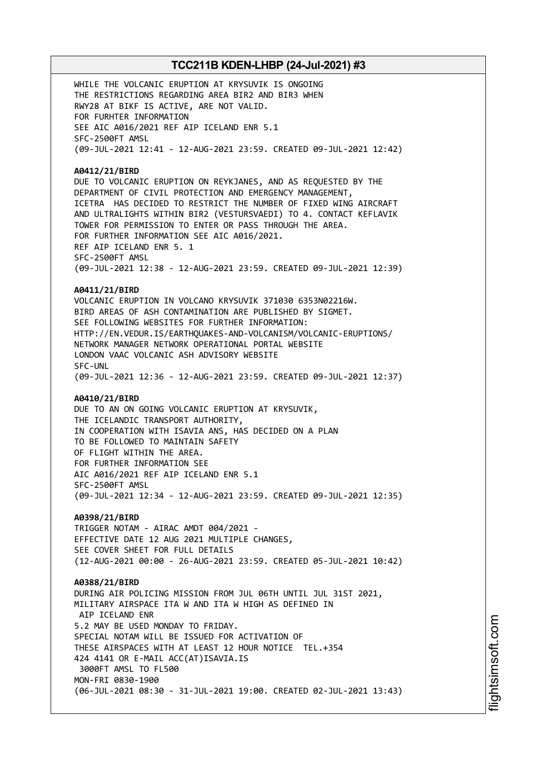WHILE THE VOLCANIC ERUPTION AT KRYSUVIK IS ONGOING THE RESTRICTIONS REGARDING AREA BIR2 AND BIR3 WHEN RWY28 AT BIKF IS ACTIVE, ARE NOT VALID. FOR FURHTER INFORMATION SEE AIC A016/2021 REF AIP ICELAND ENR 5.1 SFC-2500FT AMSL (09-JUL-2021 12:41 - 12-AUG-2021 23:59. CREATED 09-JUL-2021 12:42)

#### **A0412/21/BIRD**

DUE TO VOLCANIC ERUPTION ON REYKJANES, AND AS REQUESTED BY THE DEPARTMENT OF CIVIL PROTECTION AND EMERGENCY MANAGEMENT, ICETRA HAS DECIDED TO RESTRICT THE NUMBER OF FIXED WING AIRCRAFT AND ULTRALIGHTS WITHIN BIR2 (VESTURSVAEDI) TO 4. CONTACT KEFLAVIK TOWER FOR PERMISSION TO ENTER OR PASS THROUGH THE AREA. FOR FURTHER INFORMATION SEE AIC A016/2021. REF AIP ICELAND ENR 5. 1 SFC-2500FT AMSL (09-JUL-2021 12:38 - 12-AUG-2021 23:59. CREATED 09-JUL-2021 12:39)

#### **A0411/21/BIRD**

VOLCANIC ERUPTION IN VOLCANO KRYSUVIK 371030 6353N02216W. BIRD AREAS OF ASH CONTAMINATION ARE PUBLISHED BY SIGMET. SEE FOLLOWING WEBSITES FOR FURTHER INFORMATION: HTTP://EN.VEDUR.IS/EARTHQUAKES-AND-VOLCANISM/VOLCANIC-ERUPTIONS/ NETWORK MANAGER NETWORK OPERATIONAL PORTAL WEBSITE LONDON VAAC VOLCANIC ASH ADVISORY WEBSITE SFC-UNL (09-JUL-2021 12:36 - 12-AUG-2021 23:59. CREATED 09-JUL-2021 12:37)

#### **A0410/21/BIRD**

DUE TO AN ON GOING VOLCANIC ERUPTION AT KRYSUVIK, THE ICELANDIC TRANSPORT AUTHORITY, IN COOPERATION WITH ISAVIA ANS, HAS DECIDED ON A PLAN TO BE FOLLOWED TO MAINTAIN SAFETY OF FLIGHT WITHIN THE AREA. FOR FURTHER INFORMATION SEE AIC A016/2021 REF AIP ICELAND ENR 5.1 SFC-2500FT AMSL (09-JUL-2021 12:34 - 12-AUG-2021 23:59. CREATED 09-JUL-2021 12:35)

**A0398/21/BIRD** TRIGGER NOTAM - AIRAC AMDT 004/2021 - EFFECTIVE DATE 12 AUG 2021 MULTIPLE CHANGES, SEE COVER SHEET FOR FULL DETAILS (12-AUG-2021 00:00 - 26-AUG-2021 23:59. CREATED 05-JUL-2021 10:42)

**A0388/21/BIRD** DURING AIR POLICING MISSION FROM JUL 06TH UNTIL JUL 31ST 2021, MILITARY AIRSPACE ITA W AND ITA W HIGH AS DEFINED IN AIP ICELAND ENR 5.2 MAY BE USED MONDAY TO FRIDAY. SPECIAL NOTAM WILL BE ISSUED FOR ACTIVATION OF THESE AIRSPACES WITH AT LEAST 12 HOUR NOTICE TEL.+354 424 4141 OR E-MAIL ACC(AT)ISAVIA.IS 3000FT AMSL TO FL500 MON-FRI 0830-1900 (06-JUL-2021 08:30 - 31-JUL-2021 19:00. CREATED 02-JUL-2021 13:43)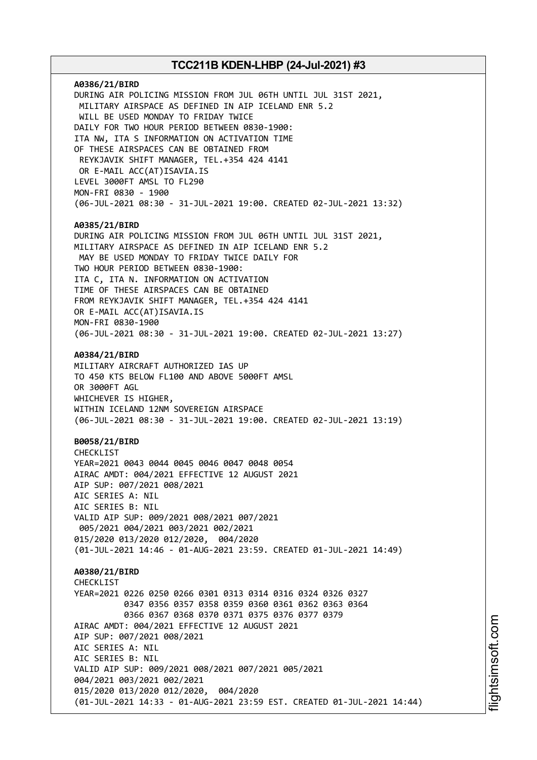**A0386/21/BIRD** DURING AIR POLICING MISSION FROM JUL 06TH UNTIL JUL 31ST 2021, MILITARY AIRSPACE AS DEFINED IN AIP ICELAND ENR 5.2 WILL BE USED MONDAY TO FRIDAY TWICE DAILY FOR TWO HOUR PERIOD BETWEEN 0830-1900: ITA NW, ITA S INFORMATION ON ACTIVATION TIME OF THESE AIRSPACES CAN BE OBTAINED FROM REYKJAVIK SHIFT MANAGER, TEL.+354 424 4141 OR E-MAIL ACC(AT)ISAVIA.IS LEVEL 3000FT AMSL TO FL290 MON-FRI 0830 - 1900 (06-JUL-2021 08:30 - 31-JUL-2021 19:00. CREATED 02-JUL-2021 13:32) **A0385/21/BIRD** DURING AIR POLICING MISSION FROM JUL 06TH UNTIL JUL 31ST 2021, MILITARY AIRSPACE AS DEFINED IN AIP ICELAND ENR 5.2 MAY BE USED MONDAY TO FRIDAY TWICE DAILY FOR TWO HOUR PERIOD BETWEEN 0830-1900: ITA C, ITA N. INFORMATION ON ACTIVATION TIME OF THESE AIRSPACES CAN BE OBTAINED FROM REYKJAVIK SHIFT MANAGER, TEL.+354 424 4141 OR E-MAIL ACC(AT)ISAVIA.IS MON-FRI 0830-1900 (06-JUL-2021 08:30 - 31-JUL-2021 19:00. CREATED 02-JUL-2021 13:27) **A0384/21/BIRD** MILITARY AIRCRAFT AUTHORIZED IAS UP TO 450 KTS BELOW FL100 AND ABOVE 5000FT AMSL OR 3000FT AGL WHICHEVER IS HIGHER, WITHIN ICELAND 12NM SOVEREIGN AIRSPACE (06-JUL-2021 08:30 - 31-JUL-2021 19:00. CREATED 02-JUL-2021 13:19) **B0058/21/BIRD** CHECKLIST YEAR=2021 0043 0044 0045 0046 0047 0048 0054 AIRAC AMDT: 004/2021 EFFECTIVE 12 AUGUST 2021 AIP SUP: 007/2021 008/2021 AIC SERIES A: NIL AIC SERIES B: NIL VALID AIP SUP: 009/2021 008/2021 007/2021 005/2021 004/2021 003/2021 002/2021 015/2020 013/2020 012/2020, 004/2020 (01-JUL-2021 14:46 - 01-AUG-2021 23:59. CREATED 01-JUL-2021 14:49) **A0380/21/BIRD CHECKLIST** YEAR=2021 0226 0250 0266 0301 0313 0314 0316 0324 0326 0327 0347 0356 0357 0358 0359 0360 0361 0362 0363 0364 0366 0367 0368 0370 0371 0375 0376 0377 0379 AIRAC AMDT: 004/2021 EFFECTIVE 12 AUGUST 2021 AIP SUP: 007/2021 008/2021 AIC SERIES A: NIL AIC SERIES B: NIL VALID AIP SUP: 009/2021 008/2021 007/2021 005/2021 004/2021 003/2021 002/2021 015/2020 013/2020 012/2020, 004/2020 (01-JUL-2021 14:33 - 01-AUG-2021 23:59 EST. CREATED 01-JUL-2021 14:44)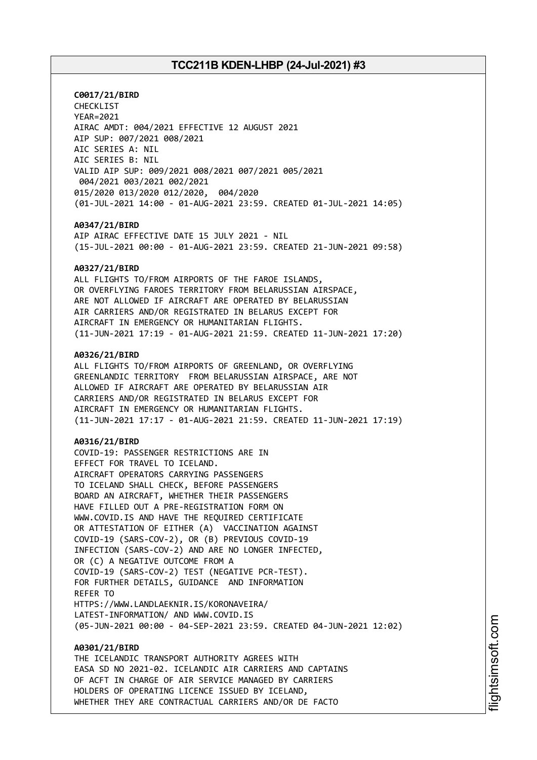**C0017/21/BIRD** CHECKLIST YEAR=2021 AIRAC AMDT: 004/2021 EFFECTIVE 12 AUGUST 2021 AIP SUP: 007/2021 008/2021 AIC SERIES A: NIL AIC SERIES B: NIL VALID AIP SUP: 009/2021 008/2021 007/2021 005/2021 004/2021 003/2021 002/2021 015/2020 013/2020 012/2020, 004/2020 (01-JUL-2021 14:00 - 01-AUG-2021 23:59. CREATED 01-JUL-2021 14:05)

#### **A0347/21/BIRD**

AIP AIRAC EFFECTIVE DATE 15 JULY 2021 - NIL (15-JUL-2021 00:00 - 01-AUG-2021 23:59. CREATED 21-JUN-2021 09:58)

#### **A0327/21/BIRD**

ALL FLIGHTS TO/FROM AIRPORTS OF THE FAROE ISLANDS, OR OVERFLYING FAROES TERRITORY FROM BELARUSSIAN AIRSPACE, ARE NOT ALLOWED IF AIRCRAFT ARE OPERATED BY BELARUSSIAN AIR CARRIERS AND/OR REGISTRATED IN BELARUS EXCEPT FOR AIRCRAFT IN EMERGENCY OR HUMANITARIAN FLIGHTS. (11-JUN-2021 17:19 - 01-AUG-2021 21:59. CREATED 11-JUN-2021 17:20)

#### **A0326/21/BIRD**

ALL FLIGHTS TO/FROM AIRPORTS OF GREENLAND, OR OVERFLYING GREENLANDIC TERRITORY FROM BELARUSSIAN AIRSPACE, ARE NOT ALLOWED IF AIRCRAFT ARE OPERATED BY BELARUSSIAN AIR CARRIERS AND/OR REGISTRATED IN BELARUS EXCEPT FOR AIRCRAFT IN EMERGENCY OR HUMANITARIAN FLIGHTS. (11-JUN-2021 17:17 - 01-AUG-2021 21:59. CREATED 11-JUN-2021 17:19)

## **A0316/21/BIRD**

COVID-19: PASSENGER RESTRICTIONS ARE IN EFFECT FOR TRAVEL TO ICELAND. AIRCRAFT OPERATORS CARRYING PASSENGERS TO ICELAND SHALL CHECK, BEFORE PASSENGERS BOARD AN AIRCRAFT, WHETHER THEIR PASSENGERS HAVE FILLED OUT A PRE-REGISTRATION FORM ON WWW.COVID.IS AND HAVE THE REQUIRED CERTIFICATE OR ATTESTATION OF EITHER (A) VACCINATION AGAINST COVID-19 (SARS-COV-2), OR (B) PREVIOUS COVID-19 INFECTION (SARS-COV-2) AND ARE NO LONGER INFECTED, OR (C) A NEGATIVE OUTCOME FROM A COVID-19 (SARS-COV-2) TEST (NEGATIVE PCR-TEST). FOR FURTHER DETAILS, GUIDANCE AND INFORMATION REFER TO HTTPS://WWW.LANDLAEKNIR.IS/KORONAVEIRA/ LATEST-INFORMATION/ AND WWW.COVID.IS (05-JUN-2021 00:00 - 04-SEP-2021 23:59. CREATED 04-JUN-2021 12:02)

#### **A0301/21/BIRD**

THE ICELANDIC TRANSPORT AUTHORITY AGREES WITH EASA SD NO 2021-02. ICELANDIC AIR CARRIERS AND CAPTAINS OF ACFT IN CHARGE OF AIR SERVICE MANAGED BY CARRIERS HOLDERS OF OPERATING LICENCE ISSUED BY ICELAND, WHETHER THEY ARE CONTRACTUAL CARRIERS AND/OR DE FACTO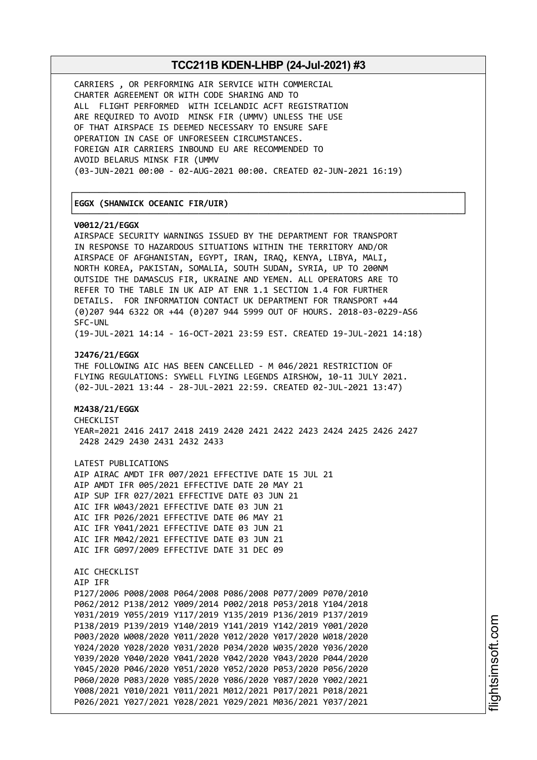┌──────────────────────────────────────────────────────────────────────────────┐

└──────────────────────────────────────────────────────────────────────────────┘

CARRIERS , OR PERFORMING AIR SERVICE WITH COMMERCIAL CHARTER AGREEMENT OR WITH CODE SHARING AND TO ALL FLIGHT PERFORMED WITH ICELANDIC ACFT REGISTRATION ARE REQUIRED TO AVOID MINSK FIR (UMMV) UNLESS THE USE OF THAT AIRSPACE IS DEEMED NECESSARY TO ENSURE SAFE OPERATION IN CASE OF UNFORESEEN CIRCUMSTANCES. FOREIGN AIR CARRIERS INBOUND EU ARE RECOMMENDED TO AVOID BELARUS MINSK FIR (UMMV (03-JUN-2021 00:00 - 02-AUG-2021 00:00. CREATED 02-JUN-2021 16:19)

## │**EGGX (SHANWICK OCEANIC FIR/UIR)** │

#### **V0012/21/EGGX**

AIRSPACE SECURITY WARNINGS ISSUED BY THE DEPARTMENT FOR TRANSPORT IN RESPONSE TO HAZARDOUS SITUATIONS WITHIN THE TERRITORY AND/OR AIRSPACE OF AFGHANISTAN, EGYPT, IRAN, IRAQ, KENYA, LIBYA, MALI, NORTH KOREA, PAKISTAN, SOMALIA, SOUTH SUDAN, SYRIA, UP TO 200NM OUTSIDE THE DAMASCUS FIR, UKRAINE AND YEMEN. ALL OPERATORS ARE TO REFER TO THE TABLE IN UK AIP AT ENR 1.1 SECTION 1.4 FOR FURTHER DETAILS. FOR INFORMATION CONTACT UK DEPARTMENT FOR TRANSPORT +44 (0)207 944 6322 OR +44 (0)207 944 5999 OUT OF HOURS. 2018-03-0229-AS6 SFC-UNL (19-JUL-2021 14:14 - 16-OCT-2021 23:59 EST. CREATED 19-JUL-2021 14:18) **J2476/21/EGGX** THE FOLLOWING AIC HAS BEEN CANCELLED - M 046/2021 RESTRICTION OF FLYING REGULATIONS: SYWELL FLYING LEGENDS AIRSHOW, 10-11 JULY 2021. (02-JUL-2021 13:44 - 28-JUL-2021 22:59. CREATED 02-JUL-2021 13:47) **M2438/21/EGGX** CHECKLIST YEAR=2021 2416 2417 2418 2419 2420 2421 2422 2423 2424 2425 2426 2427 2428 2429 2430 2431 2432 2433 LATEST PUBLICATIONS AIP AIRAC AMDT IFR 007/2021 EFFECTIVE DATE 15 JUL 21 AIP AMDT IFR 005/2021 EFFECTIVE DATE 20 MAY 21 AIP SUP IFR 027/2021 EFFECTIVE DATE 03 JUN 21 AIC IFR W043/2021 EFFECTIVE DATE 03 JUN 21 AIC IFR P026/2021 EFFECTIVE DATE 06 MAY 21 AIC IFR Y041/2021 EFFECTIVE DATE 03 JUN 21 AIC IFR M042/2021 EFFECTIVE DATE 03 JUN 21 AIC IFR G097/2009 EFFECTIVE DATE 31 DEC 09 AIC CHECKLIST AIP IFR P127/2006 P008/2008 P064/2008 P086/2008 P077/2009 P070/2010 P062/2012 P138/2012 Y009/2014 P002/2018 P053/2018 Y104/2018 Y031/2019 Y055/2019 Y117/2019 Y135/2019 P136/2019 P137/2019 P138/2019 P139/2019 Y140/2019 Y141/2019 Y142/2019 Y001/2020 P003/2020 W008/2020 Y011/2020 Y012/2020 Y017/2020 W018/2020 Y024/2020 Y028/2020 Y031/2020 P034/2020 W035/2020 Y036/2020 Y039/2020 Y040/2020 Y041/2020 Y042/2020 Y043/2020 P044/2020 Y045/2020 P046/2020 Y051/2020 Y052/2020 P053/2020 P056/2020 P060/2020 P083/2020 Y085/2020 Y086/2020 Y087/2020 Y002/2021

Y008/2021 Y010/2021 Y011/2021 M012/2021 P017/2021 P018/2021 P026/2021 Y027/2021 Y028/2021 Y029/2021 M036/2021 Y037/2021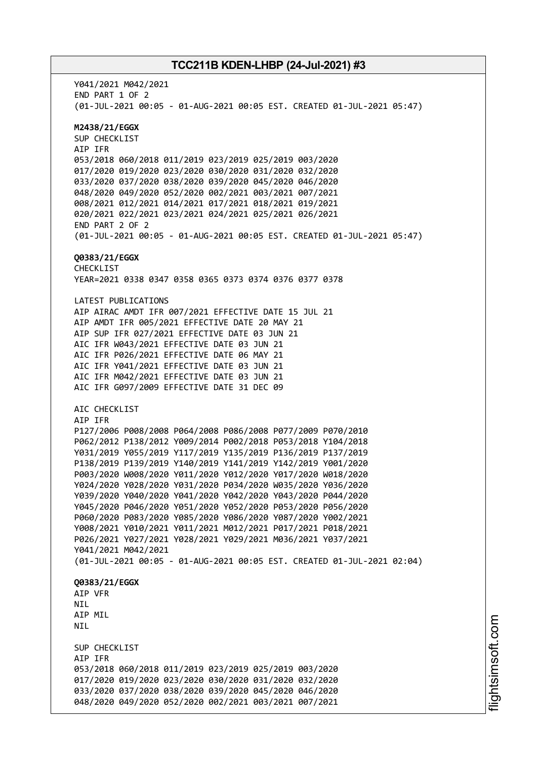Y041/2021 M042/2021 END PART 1 OF 2 (01-JUL-2021 00:05 - 01-AUG-2021 00:05 EST. CREATED 01-JUL-2021 05:47) **M2438/21/EGGX** SUP CHECKLIST AIP IFR 053/2018 060/2018 011/2019 023/2019 025/2019 003/2020 017/2020 019/2020 023/2020 030/2020 031/2020 032/2020 033/2020 037/2020 038/2020 039/2020 045/2020 046/2020 048/2020 049/2020 052/2020 002/2021 003/2021 007/2021 008/2021 012/2021 014/2021 017/2021 018/2021 019/2021 020/2021 022/2021 023/2021 024/2021 025/2021 026/2021 END PART 2 OF 2 (01-JUL-2021 00:05 - 01-AUG-2021 00:05 EST. CREATED 01-JUL-2021 05:47) **Q0383/21/EGGX** CHECKLIST YEAR=2021 0338 0347 0358 0365 0373 0374 0376 0377 0378 LATEST PUBLICATIONS AIP AIRAC AMDT IFR 007/2021 EFFECTIVE DATE 15 JUL 21 AIP AMDT IFR 005/2021 EFFECTIVE DATE 20 MAY 21 AIP SUP IFR 027/2021 EFFECTIVE DATE 03 JUN 21 AIC IFR W043/2021 EFFECTIVE DATE 03 JUN 21 AIC IFR P026/2021 EFFECTIVE DATE 06 MAY 21 AIC IFR Y041/2021 EFFECTIVE DATE 03 JUN 21 AIC IFR M042/2021 EFFECTIVE DATE 03 JUN 21 AIC IFR G097/2009 EFFECTIVE DATE 31 DEC 09 AIC CHECKLIST AIP IFR P127/2006 P008/2008 P064/2008 P086/2008 P077/2009 P070/2010 P062/2012 P138/2012 Y009/2014 P002/2018 P053/2018 Y104/2018 Y031/2019 Y055/2019 Y117/2019 Y135/2019 P136/2019 P137/2019 P138/2019 P139/2019 Y140/2019 Y141/2019 Y142/2019 Y001/2020 P003/2020 W008/2020 Y011/2020 Y012/2020 Y017/2020 W018/2020 Y024/2020 Y028/2020 Y031/2020 P034/2020 W035/2020 Y036/2020 Y039/2020 Y040/2020 Y041/2020 Y042/2020 Y043/2020 P044/2020 Y045/2020 P046/2020 Y051/2020 Y052/2020 P053/2020 P056/2020 P060/2020 P083/2020 Y085/2020 Y086/2020 Y087/2020 Y002/2021 Y008/2021 Y010/2021 Y011/2021 M012/2021 P017/2021 P018/2021 P026/2021 Y027/2021 Y028/2021 Y029/2021 M036/2021 Y037/2021 Y041/2021 M042/2021 (01-JUL-2021 00:05 - 01-AUG-2021 00:05 EST. CREATED 01-JUL-2021 02:04) **Q0383/21/EGGX** AIP VFR NIL AIP MIL NIL SUP CHECKLIST AIP IFR 053/2018 060/2018 011/2019 023/2019 025/2019 003/2020 017/2020 019/2020 023/2020 030/2020 031/2020 032/2020 033/2020 037/2020 038/2020 039/2020 045/2020 046/2020 048/2020 049/2020 052/2020 002/2021 003/2021 007/2021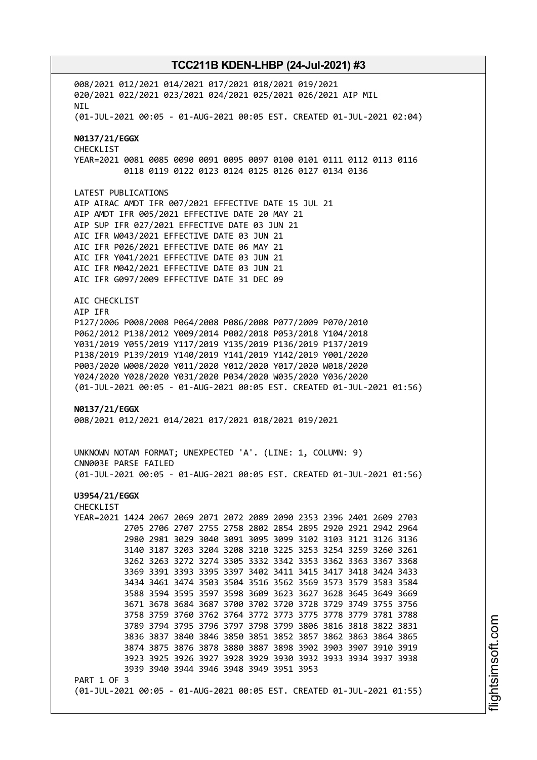008/2021 012/2021 014/2021 017/2021 018/2021 019/2021 020/2021 022/2021 023/2021 024/2021 025/2021 026/2021 AIP MIL NIL (01-JUL-2021 00:05 - 01-AUG-2021 00:05 EST. CREATED 01-JUL-2021 02:04) **N0137/21/EGGX** CHECKLIST YEAR=2021 0081 0085 0090 0091 0095 0097 0100 0101 0111 0112 0113 0116 0118 0119 0122 0123 0124 0125 0126 0127 0134 0136 LATEST PUBLICATIONS AIP AIRAC AMDT IFR 007/2021 EFFECTIVE DATE 15 JUL 21 AIP AMDT IFR 005/2021 EFFECTIVE DATE 20 MAY 21 AIP SUP IFR 027/2021 EFFECTIVE DATE 03 JUN 21 AIC IFR W043/2021 EFFECTIVE DATE 03 JUN 21 AIC IFR P026/2021 EFFECTIVE DATE 06 MAY 21 AIC IFR Y041/2021 EFFECTIVE DATE 03 JUN 21 AIC IFR M042/2021 EFFECTIVE DATE 03 JUN 21 AIC IFR G097/2009 EFFECTIVE DATE 31 DEC 09 AIC CHECKLIST AIP IFR P127/2006 P008/2008 P064/2008 P086/2008 P077/2009 P070/2010 P062/2012 P138/2012 Y009/2014 P002/2018 P053/2018 Y104/2018 Y031/2019 Y055/2019 Y117/2019 Y135/2019 P136/2019 P137/2019 P138/2019 P139/2019 Y140/2019 Y141/2019 Y142/2019 Y001/2020 P003/2020 W008/2020 Y011/2020 Y012/2020 Y017/2020 W018/2020 Y024/2020 Y028/2020 Y031/2020 P034/2020 W035/2020 Y036/2020 (01-JUL-2021 00:05 - 01-AUG-2021 00:05 EST. CREATED 01-JUL-2021 01:56) **N0137/21/EGGX** 008/2021 012/2021 014/2021 017/2021 018/2021 019/2021 UNKNOWN NOTAM FORMAT; UNEXPECTED 'A'. (LINE: 1, COLUMN: 9) CNN003E PARSE FAILED (01-JUL-2021 00:05 - 01-AUG-2021 00:05 EST. CREATED 01-JUL-2021 01:56) **U3954/21/EGGX** CHECKLIST YEAR=2021 1424 2067 2069 2071 2072 2089 2090 2353 2396 2401 2609 2703 2705 2706 2707 2755 2758 2802 2854 2895 2920 2921 2942 2964 2980 2981 3029 3040 3091 3095 3099 3102 3103 3121 3126 3136 3140 3187 3203 3204 3208 3210 3225 3253 3254 3259 3260 3261 3262 3263 3272 3274 3305 3332 3342 3353 3362 3363 3367 3368 3369 3391 3393 3395 3397 3402 3411 3415 3417 3418 3424 3433 3434 3461 3474 3503 3504 3516 3562 3569 3573 3579 3583 3584 3588 3594 3595 3597 3598 3609 3623 3627 3628 3645 3649 3669 3671 3678 3684 3687 3700 3702 3720 3728 3729 3749 3755 3756 3758 3759 3760 3762 3764 3772 3773 3775 3778 3779 3781 3788 3789 3794 3795 3796 3797 3798 3799 3806 3816 3818 3822 3831 3836 3837 3840 3846 3850 3851 3852 3857 3862 3863 3864 3865 3874 3875 3876 3878 3880 3887 3898 3902 3903 3907 3910 3919 3923 3925 3926 3927 3928 3929 3930 3932 3933 3934 3937 3938 3939 3940 3944 3946 3948 3949 3951 3953 PART 1 OF 3 (01-JUL-2021 00:05 - 01-AUG-2021 00:05 EST. CREATED 01-JUL-2021 01:55)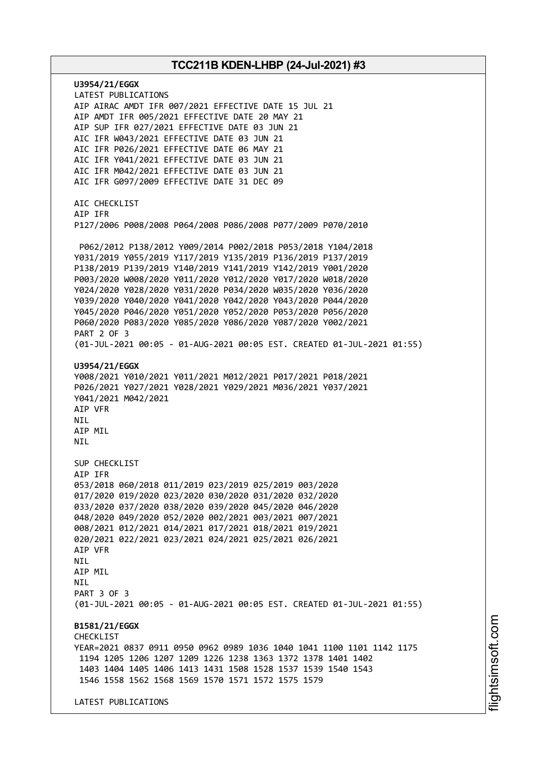**U3954/21/EGGX** LATEST PUBLICATIONS AIP AIRAC AMDT IFR 007/2021 EFFECTIVE DATE 15 JUL 21 AIP AMDT IFR 005/2021 EFFECTIVE DATE 20 MAY 21 AIP SUP IFR 027/2021 EFFECTIVE DATE 03 JUN 21 AIC IFR W043/2021 EFFECTIVE DATE 03 JUN 21 AIC IFR P026/2021 EFFECTIVE DATE 06 MAY 21 AIC IFR Y041/2021 EFFECTIVE DATE 03 JUN 21 AIC IFR M042/2021 EFFECTIVE DATE 03 JUN 21 AIC IFR G097/2009 EFFECTIVE DATE 31 DEC 09 AIC CHECKLIST AIP IFR P127/2006 P008/2008 P064/2008 P086/2008 P077/2009 P070/2010 P062/2012 P138/2012 Y009/2014 P002/2018 P053/2018 Y104/2018 Y031/2019 Y055/2019 Y117/2019 Y135/2019 P136/2019 P137/2019 P138/2019 P139/2019 Y140/2019 Y141/2019 Y142/2019 Y001/2020 P003/2020 W008/2020 Y011/2020 Y012/2020 Y017/2020 W018/2020 Y024/2020 Y028/2020 Y031/2020 P034/2020 W035/2020 Y036/2020 Y039/2020 Y040/2020 Y041/2020 Y042/2020 Y043/2020 P044/2020 Y045/2020 P046/2020 Y051/2020 Y052/2020 P053/2020 P056/2020 P060/2020 P083/2020 Y085/2020 Y086/2020 Y087/2020 Y002/2021 PART 2 OF 3 (01-JUL-2021 00:05 - 01-AUG-2021 00:05 EST. CREATED 01-JUL-2021 01:55) **U3954/21/EGGX** Y008/2021 Y010/2021 Y011/2021 M012/2021 P017/2021 P018/2021 P026/2021 Y027/2021 Y028/2021 Y029/2021 M036/2021 Y037/2021 Y041/2021 M042/2021 AIP VFR NIL AIP MIL **NTI** SUP CHECKLIST AIP IFR 053/2018 060/2018 011/2019 023/2019 025/2019 003/2020 017/2020 019/2020 023/2020 030/2020 031/2020 032/2020 033/2020 037/2020 038/2020 039/2020 045/2020 046/2020 048/2020 049/2020 052/2020 002/2021 003/2021 007/2021 008/2021 012/2021 014/2021 017/2021 018/2021 019/2021 020/2021 022/2021 023/2021 024/2021 025/2021 026/2021 AIP VFR **NTL** AIP MIL **NTI** PART 3 OF 3 (01-JUL-2021 00:05 - 01-AUG-2021 00:05 EST. CREATED 01-JUL-2021 01:55) **B1581/21/EGGX CHECKLIST** YEAR=2021 0837 0911 0950 0962 0989 1036 1040 1041 1100 1101 1142 1175 1194 1205 1206 1207 1209 1226 1238 1363 1372 1378 1401 1402 1403 1404 1405 1406 1413 1431 1508 1528 1537 1539 1540 1543 1546 1558 1562 1568 1569 1570 1571 1572 1575 1579 LATEST PUBLICATIONS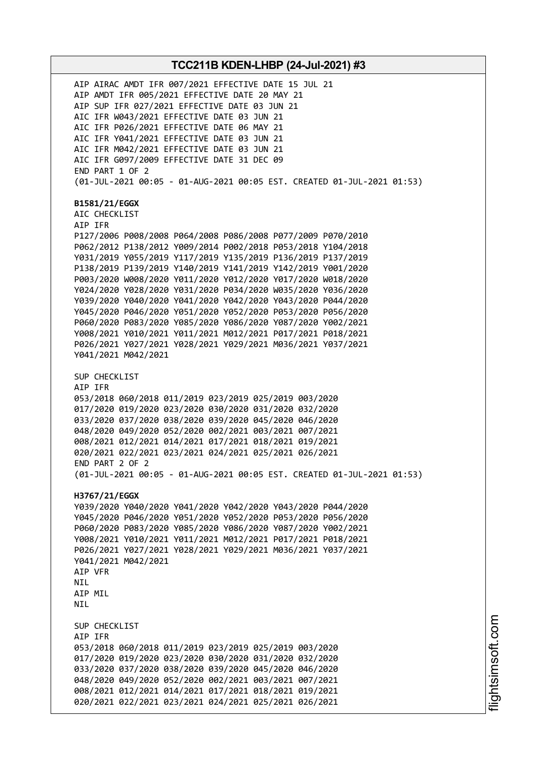AIP AIRAC AMDT IFR 007/2021 EFFECTIVE DATE 15 JUL 21 AIP AMDT IFR 005/2021 EFFECTIVE DATE 20 MAY 21 AIP SUP IFR 027/2021 EFFECTIVE DATE 03 JUN 21 AIC IFR W043/2021 EFFECTIVE DATE 03 JUN 21 AIC IFR P026/2021 EFFECTIVE DATE 06 MAY 21 AIC IFR Y041/2021 EFFECTIVE DATE 03 JUN 21 AIC IFR M042/2021 EFFECTIVE DATE 03 JUN 21 AIC IFR G097/2009 EFFECTIVE DATE 31 DEC 09 END PART 1 OF 2 (01-JUL-2021 00:05 - 01-AUG-2021 00:05 EST. CREATED 01-JUL-2021 01:53) **B1581/21/EGGX** AIC CHECKLIST AIP IFR P127/2006 P008/2008 P064/2008 P086/2008 P077/2009 P070/2010 P062/2012 P138/2012 Y009/2014 P002/2018 P053/2018 Y104/2018 Y031/2019 Y055/2019 Y117/2019 Y135/2019 P136/2019 P137/2019 P138/2019 P139/2019 Y140/2019 Y141/2019 Y142/2019 Y001/2020 P003/2020 W008/2020 Y011/2020 Y012/2020 Y017/2020 W018/2020 Y024/2020 Y028/2020 Y031/2020 P034/2020 W035/2020 Y036/2020 Y039/2020 Y040/2020 Y041/2020 Y042/2020 Y043/2020 P044/2020 Y045/2020 P046/2020 Y051/2020 Y052/2020 P053/2020 P056/2020 P060/2020 P083/2020 Y085/2020 Y086/2020 Y087/2020 Y002/2021 Y008/2021 Y010/2021 Y011/2021 M012/2021 P017/2021 P018/2021 P026/2021 Y027/2021 Y028/2021 Y029/2021 M036/2021 Y037/2021 Y041/2021 M042/2021 SUP CHECKLIST AIP IFR 053/2018 060/2018 011/2019 023/2019 025/2019 003/2020 017/2020 019/2020 023/2020 030/2020 031/2020 032/2020 033/2020 037/2020 038/2020 039/2020 045/2020 046/2020 048/2020 049/2020 052/2020 002/2021 003/2021 007/2021 008/2021 012/2021 014/2021 017/2021 018/2021 019/2021 020/2021 022/2021 023/2021 024/2021 025/2021 026/2021 END PART 2 OF 2 (01-JUL-2021 00:05 - 01-AUG-2021 00:05 EST. CREATED 01-JUL-2021 01:53) **H3767/21/EGGX** Y039/2020 Y040/2020 Y041/2020 Y042/2020 Y043/2020 P044/2020 Y045/2020 P046/2020 Y051/2020 Y052/2020 P053/2020 P056/2020 P060/2020 P083/2020 Y085/2020 Y086/2020 Y087/2020 Y002/2021 Y008/2021 Y010/2021 Y011/2021 M012/2021 P017/2021 P018/2021 P026/2021 Y027/2021 Y028/2021 Y029/2021 M036/2021 Y037/2021 Y041/2021 M042/2021 AIP VFR **NTL** AIP MIL **NTI** SUP CHECKLIST AIP IFR 053/2018 060/2018 011/2019 023/2019 025/2019 003/2020 017/2020 019/2020 023/2020 030/2020 031/2020 032/2020 033/2020 037/2020 038/2020 039/2020 045/2020 046/2020 048/2020 049/2020 052/2020 002/2021 003/2021 007/2021 008/2021 012/2021 014/2021 017/2021 018/2021 019/2021 020/2021 022/2021 023/2021 024/2021 025/2021 026/2021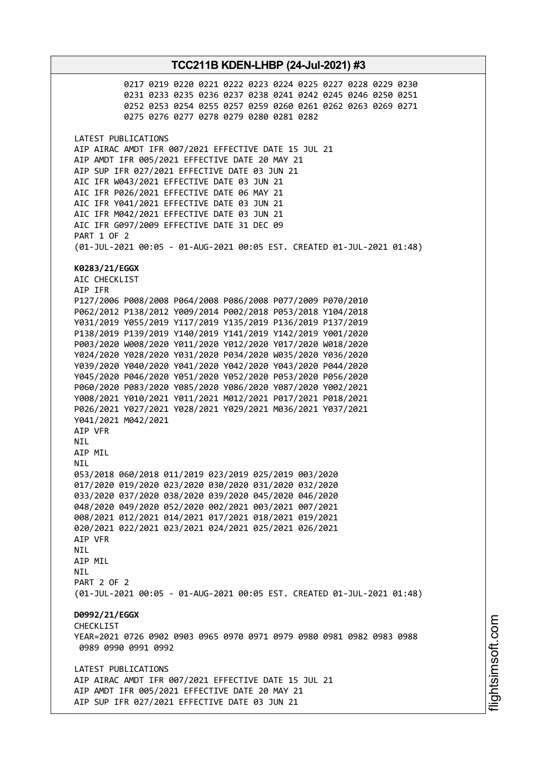0217 0219 0220 0221 0222 0223 0224 0225 0227 0228 0229 0230 0231 0233 0235 0236 0237 0238 0241 0242 0245 0246 0250 0251 0252 0253 0254 0255 0257 0259 0260 0261 0262 0263 0269 0271 0275 0276 0277 0278 0279 0280 0281 0282 LATEST PUBLICATIONS AIP AIRAC AMDT IFR 007/2021 EFFECTIVE DATE 15 JUL 21 AIP AMDT IFR 005/2021 EFFECTIVE DATE 20 MAY 21 AIP SUP IFR 027/2021 EFFECTIVE DATE 03 JUN 21 AIC IFR W043/2021 EFFECTIVE DATE 03 JUN 21 AIC IFR P026/2021 EFFECTIVE DATE 06 MAY 21 AIC IFR Y041/2021 EFFECTIVE DATE 03 JUN 21 AIC IFR M042/2021 EFFECTIVE DATE 03 JUN 21 AIC IFR G097/2009 EFFECTIVE DATE 31 DEC 09 PART 1 OF 2 (01-JUL-2021 00:05 - 01-AUG-2021 00:05 EST. CREATED 01-JUL-2021 01:48) **K0283/21/EGGX** AIC CHECKLIST AIP IFR P127/2006 P008/2008 P064/2008 P086/2008 P077/2009 P070/2010 P062/2012 P138/2012 Y009/2014 P002/2018 P053/2018 Y104/2018 Y031/2019 Y055/2019 Y117/2019 Y135/2019 P136/2019 P137/2019 P138/2019 P139/2019 Y140/2019 Y141/2019 Y142/2019 Y001/2020 P003/2020 W008/2020 Y011/2020 Y012/2020 Y017/2020 W018/2020 Y024/2020 Y028/2020 Y031/2020 P034/2020 W035/2020 Y036/2020 Y039/2020 Y040/2020 Y041/2020 Y042/2020 Y043/2020 P044/2020 Y045/2020 P046/2020 Y051/2020 Y052/2020 P053/2020 P056/2020 P060/2020 P083/2020 Y085/2020 Y086/2020 Y087/2020 Y002/2021 Y008/2021 Y010/2021 Y011/2021 M012/2021 P017/2021 P018/2021 P026/2021 Y027/2021 Y028/2021 Y029/2021 M036/2021 Y037/2021 Y041/2021 M042/2021 AIP VFR **NTI** AIP MIL **NTL** 053/2018 060/2018 011/2019 023/2019 025/2019 003/2020 017/2020 019/2020 023/2020 030/2020 031/2020 032/2020 033/2020 037/2020 038/2020 039/2020 045/2020 046/2020 048/2020 049/2020 052/2020 002/2021 003/2021 007/2021 008/2021 012/2021 014/2021 017/2021 018/2021 019/2021 020/2021 022/2021 023/2021 024/2021 025/2021 026/2021 AIP VFR NIL AIP MIL **NTI** PART 2 OF 2 (01-JUL-2021 00:05 - 01-AUG-2021 00:05 EST. CREATED 01-JUL-2021 01:48) **D0992/21/EGGX** CHECKL<sub>IST</sub> YEAR=2021 0726 0902 0903 0965 0970 0971 0979 0980 0981 0982 0983 0988 0989 0990 0991 0992 LATEST PUBLICATIONS AIP AIRAC AMDT IFR 007/2021 EFFECTIVE DATE 15 JUL 21 AIP AMDT IFR 005/2021 EFFECTIVE DATE 20 MAY 21 AIP SUP IFR 027/2021 EFFECTIVE DATE 03 JUN 21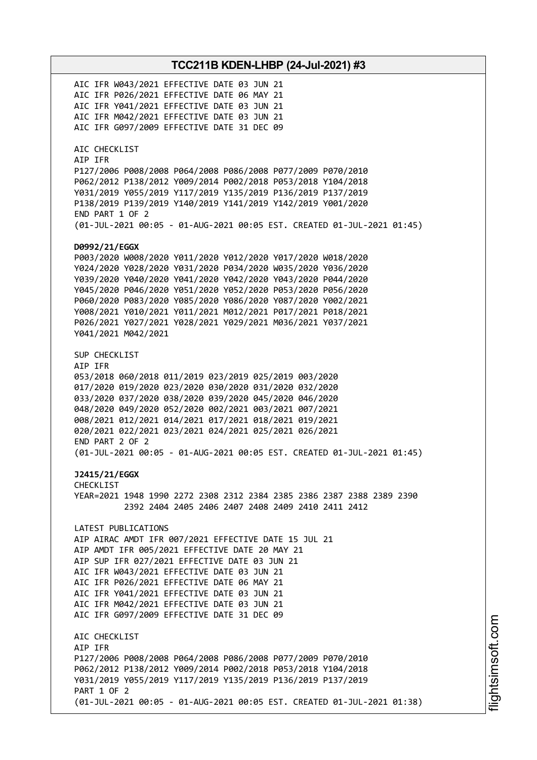AIC IFR W043/2021 EFFECTIVE DATE 03 JUN 21 AIC IFR P026/2021 EFFECTIVE DATE 06 MAY 21 AIC IFR Y041/2021 EFFECTIVE DATE 03 JUN 21 AIC IFR M042/2021 EFFECTIVE DATE 03 JUN 21 AIC IFR G097/2009 EFFECTIVE DATE 31 DEC 09 AIC CHECKLIST AIP IFR P127/2006 P008/2008 P064/2008 P086/2008 P077/2009 P070/2010 P062/2012 P138/2012 Y009/2014 P002/2018 P053/2018 Y104/2018 Y031/2019 Y055/2019 Y117/2019 Y135/2019 P136/2019 P137/2019 P138/2019 P139/2019 Y140/2019 Y141/2019 Y142/2019 Y001/2020 END PART 1 OF 2 (01-JUL-2021 00:05 - 01-AUG-2021 00:05 EST. CREATED 01-JUL-2021 01:45) **D0992/21/EGGX** P003/2020 W008/2020 Y011/2020 Y012/2020 Y017/2020 W018/2020 Y024/2020 Y028/2020 Y031/2020 P034/2020 W035/2020 Y036/2020 Y039/2020 Y040/2020 Y041/2020 Y042/2020 Y043/2020 P044/2020 Y045/2020 P046/2020 Y051/2020 Y052/2020 P053/2020 P056/2020 P060/2020 P083/2020 Y085/2020 Y086/2020 Y087/2020 Y002/2021 Y008/2021 Y010/2021 Y011/2021 M012/2021 P017/2021 P018/2021 P026/2021 Y027/2021 Y028/2021 Y029/2021 M036/2021 Y037/2021 Y041/2021 M042/2021 SUP CHECKLIST AIP IFR 053/2018 060/2018 011/2019 023/2019 025/2019 003/2020 017/2020 019/2020 023/2020 030/2020 031/2020 032/2020 033/2020 037/2020 038/2020 039/2020 045/2020 046/2020 048/2020 049/2020 052/2020 002/2021 003/2021 007/2021 008/2021 012/2021 014/2021 017/2021 018/2021 019/2021 020/2021 022/2021 023/2021 024/2021 025/2021 026/2021 END PART 2 OF 2 (01-JUL-2021 00:05 - 01-AUG-2021 00:05 EST. CREATED 01-JUL-2021 01:45) **J2415/21/EGGX** CHECKLIST YEAR=2021 1948 1990 2272 2308 2312 2384 2385 2386 2387 2388 2389 2390 2392 2404 2405 2406 2407 2408 2409 2410 2411 2412 LATEST PUBLICATIONS AIP AIRAC AMDT IFR 007/2021 EFFECTIVE DATE 15 JUL 21 AIP AMDT IFR 005/2021 EFFECTIVE DATE 20 MAY 21 AIP SUP IFR 027/2021 EFFECTIVE DATE 03 JUN 21 AIC IFR W043/2021 EFFECTIVE DATE 03 JUN 21 AIC IFR P026/2021 EFFECTIVE DATE 06 MAY 21 AIC IFR Y041/2021 EFFECTIVE DATE 03 JUN 21 AIC IFR M042/2021 EFFECTIVE DATE 03 JUN 21 AIC IFR G097/2009 EFFECTIVE DATE 31 DEC 09 AIC CHECKLIST AIP IFR P127/2006 P008/2008 P064/2008 P086/2008 P077/2009 P070/2010 P062/2012 P138/2012 Y009/2014 P002/2018 P053/2018 Y104/2018 Y031/2019 Y055/2019 Y117/2019 Y135/2019 P136/2019 P137/2019 PART 1 OF 2 (01-JUL-2021 00:05 - 01-AUG-2021 00:05 EST. CREATED 01-JUL-2021 01:38)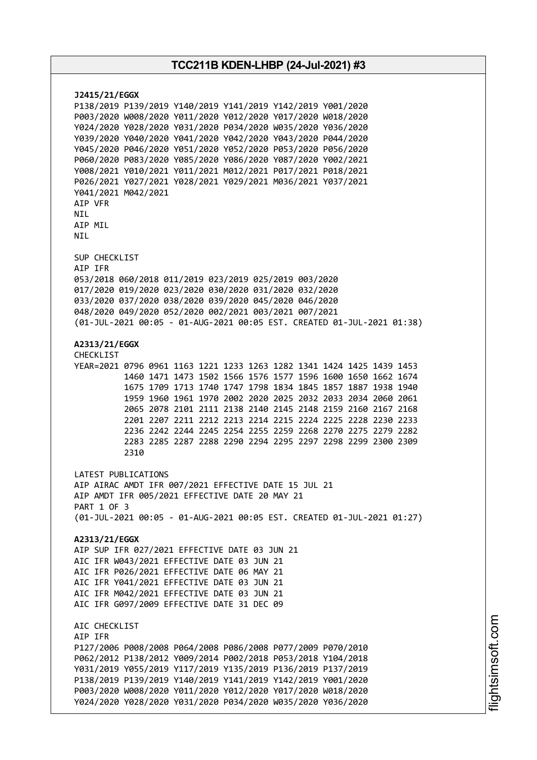**J2415/21/EGGX** P138/2019 P139/2019 Y140/2019 Y141/2019 Y142/2019 Y001/2020 P003/2020 W008/2020 Y011/2020 Y012/2020 Y017/2020 W018/2020 Y024/2020 Y028/2020 Y031/2020 P034/2020 W035/2020 Y036/2020 Y039/2020 Y040/2020 Y041/2020 Y042/2020 Y043/2020 P044/2020 Y045/2020 P046/2020 Y051/2020 Y052/2020 P053/2020 P056/2020 P060/2020 P083/2020 Y085/2020 Y086/2020 Y087/2020 Y002/2021 Y008/2021 Y010/2021 Y011/2021 M012/2021 P017/2021 P018/2021 P026/2021 Y027/2021 Y028/2021 Y029/2021 M036/2021 Y037/2021 Y041/2021 M042/2021 AIP VFR **NTI** AIP MIL NIL SUP CHECKLIST AIP IFR 053/2018 060/2018 011/2019 023/2019 025/2019 003/2020 017/2020 019/2020 023/2020 030/2020 031/2020 032/2020 033/2020 037/2020 038/2020 039/2020 045/2020 046/2020 048/2020 049/2020 052/2020 002/2021 003/2021 007/2021 (01-JUL-2021 00:05 - 01-AUG-2021 00:05 EST. CREATED 01-JUL-2021 01:38) **A2313/21/EGGX** CHECKLIST YEAR=2021 0796 0961 1163 1221 1233 1263 1282 1341 1424 1425 1439 1453 1460 1471 1473 1502 1566 1576 1577 1596 1600 1650 1662 1674 1675 1709 1713 1740 1747 1798 1834 1845 1857 1887 1938 1940 1959 1960 1961 1970 2002 2020 2025 2032 2033 2034 2060 2061 2065 2078 2101 2111 2138 2140 2145 2148 2159 2160 2167 2168 2201 2207 2211 2212 2213 2214 2215 2224 2225 2228 2230 2233 2236 2242 2244 2245 2254 2255 2259 2268 2270 2275 2279 2282 2283 2285 2287 2288 2290 2294 2295 2297 2298 2299 2300 2309 2310 LATEST PUBLICATIONS AIP AIRAC AMDT IFR 007/2021 EFFECTIVE DATE 15 JUL 21 AIP AMDT IFR 005/2021 EFFECTIVE DATE 20 MAY 21 PART 1 OF 3 (01-JUL-2021 00:05 - 01-AUG-2021 00:05 EST. CREATED 01-JUL-2021 01:27) **A2313/21/EGGX** AIP SUP IFR 027/2021 EFFECTIVE DATE 03 JUN 21 AIC IFR W043/2021 EFFECTIVE DATE 03 JUN 21 AIC IFR P026/2021 EFFECTIVE DATE 06 MAY 21 AIC IFR Y041/2021 EFFECTIVE DATE 03 JUN 21 AIC IFR M042/2021 EFFECTIVE DATE 03 JUN 21 AIC IFR G097/2009 EFFECTIVE DATE 31 DEC 09 AIC CHECKLIST AIP IFR P127/2006 P008/2008 P064/2008 P086/2008 P077/2009 P070/2010 P062/2012 P138/2012 Y009/2014 P002/2018 P053/2018 Y104/2018 Y031/2019 Y055/2019 Y117/2019 Y135/2019 P136/2019 P137/2019 P138/2019 P139/2019 Y140/2019 Y141/2019 Y142/2019 Y001/2020 P003/2020 W008/2020 Y011/2020 Y012/2020 Y017/2020 W018/2020 Y024/2020 Y028/2020 Y031/2020 P034/2020 W035/2020 Y036/2020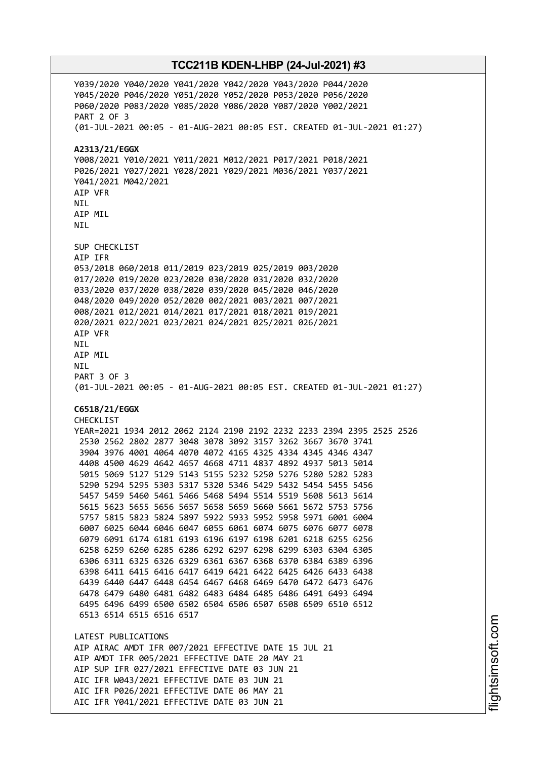Y039/2020 Y040/2020 Y041/2020 Y042/2020 Y043/2020 P044/2020 Y045/2020 P046/2020 Y051/2020 Y052/2020 P053/2020 P056/2020 P060/2020 P083/2020 Y085/2020 Y086/2020 Y087/2020 Y002/2021 PART 2 OF 3 (01-JUL-2021 00:05 - 01-AUG-2021 00:05 EST. CREATED 01-JUL-2021 01:27) **A2313/21/EGGX** Y008/2021 Y010/2021 Y011/2021 M012/2021 P017/2021 P018/2021 P026/2021 Y027/2021 Y028/2021 Y029/2021 M036/2021 Y037/2021 Y041/2021 M042/2021 AIP VFR **NTI** AIP MIL NIL SUP CHECKLIST AIP IFR 053/2018 060/2018 011/2019 023/2019 025/2019 003/2020 017/2020 019/2020 023/2020 030/2020 031/2020 032/2020 033/2020 037/2020 038/2020 039/2020 045/2020 046/2020 048/2020 049/2020 052/2020 002/2021 003/2021 007/2021 008/2021 012/2021 014/2021 017/2021 018/2021 019/2021 020/2021 022/2021 023/2021 024/2021 025/2021 026/2021 AIP VFR NIL AIP MIL NIL PART 3 OF 3 (01-JUL-2021 00:05 - 01-AUG-2021 00:05 EST. CREATED 01-JUL-2021 01:27) **C6518/21/EGGX** CHECKLIST YEAR=2021 1934 2012 2062 2124 2190 2192 2232 2233 2394 2395 2525 2526 2530 2562 2802 2877 3048 3078 3092 3157 3262 3667 3670 3741 3904 3976 4001 4064 4070 4072 4165 4325 4334 4345 4346 4347 4408 4500 4629 4642 4657 4668 4711 4837 4892 4937 5013 5014 5015 5069 5127 5129 5143 5155 5232 5250 5276 5280 5282 5283 5290 5294 5295 5303 5317 5320 5346 5429 5432 5454 5455 5456 5457 5459 5460 5461 5466 5468 5494 5514 5519 5608 5613 5614 5615 5623 5655 5656 5657 5658 5659 5660 5661 5672 5753 5756 5757 5815 5823 5824 5897 5922 5933 5952 5958 5971 6001 6004 6007 6025 6044 6046 6047 6055 6061 6074 6075 6076 6077 6078 6079 6091 6174 6181 6193 6196 6197 6198 6201 6218 6255 6256 6258 6259 6260 6285 6286 6292 6297 6298 6299 6303 6304 6305 6306 6311 6325 6326 6329 6361 6367 6368 6370 6384 6389 6396 6398 6411 6415 6416 6417 6419 6421 6422 6425 6426 6433 6438 6439 6440 6447 6448 6454 6467 6468 6469 6470 6472 6473 6476 6478 6479 6480 6481 6482 6483 6484 6485 6486 6491 6493 6494 6495 6496 6499 6500 6502 6504 6506 6507 6508 6509 6510 6512 6513 6514 6515 6516 6517 LATEST PUBLICATIONS AIP AIRAC AMDT IFR 007/2021 EFFECTIVE DATE 15 JUL 21 AIP AMDT IFR 005/2021 EFFECTIVE DATE 20 MAY 21 AIP SUP IFR 027/2021 EFFECTIVE DATE 03 JUN 21 AIC IFR W043/2021 EFFECTIVE DATE 03 JUN 21 AIC IFR P026/2021 EFFECTIVE DATE 06 MAY 21 AIC IFR Y041/2021 EFFECTIVE DATE 03 JUN 21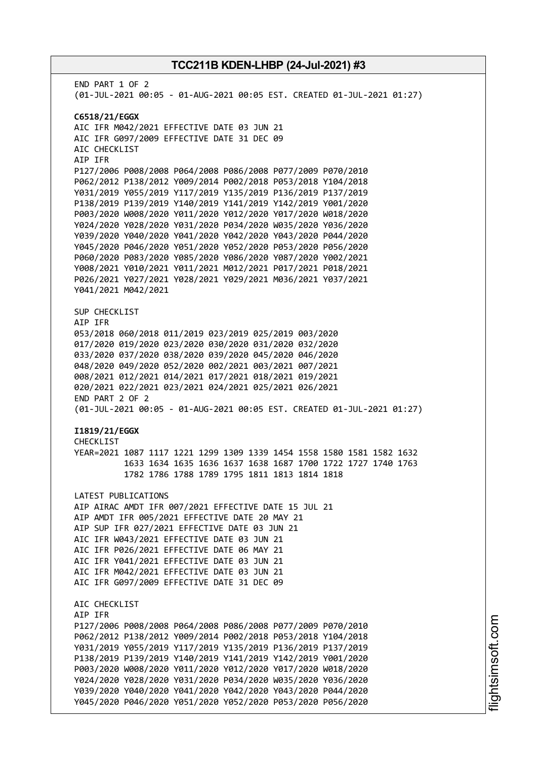END PART 1 OF 2 (01-JUL-2021 00:05 - 01-AUG-2021 00:05 EST. CREATED 01-JUL-2021 01:27) **C6518/21/EGGX** AIC IFR M042/2021 EFFECTIVE DATE 03 JUN 21 AIC IFR G097/2009 EFFECTIVE DATE 31 DEC 09 AIC CHECKLIST AIP IFR P127/2006 P008/2008 P064/2008 P086/2008 P077/2009 P070/2010 P062/2012 P138/2012 Y009/2014 P002/2018 P053/2018 Y104/2018 Y031/2019 Y055/2019 Y117/2019 Y135/2019 P136/2019 P137/2019 P138/2019 P139/2019 Y140/2019 Y141/2019 Y142/2019 Y001/2020 P003/2020 W008/2020 Y011/2020 Y012/2020 Y017/2020 W018/2020 Y024/2020 Y028/2020 Y031/2020 P034/2020 W035/2020 Y036/2020 Y039/2020 Y040/2020 Y041/2020 Y042/2020 Y043/2020 P044/2020 Y045/2020 P046/2020 Y051/2020 Y052/2020 P053/2020 P056/2020 P060/2020 P083/2020 Y085/2020 Y086/2020 Y087/2020 Y002/2021 Y008/2021 Y010/2021 Y011/2021 M012/2021 P017/2021 P018/2021 P026/2021 Y027/2021 Y028/2021 Y029/2021 M036/2021 Y037/2021 Y041/2021 M042/2021 SUP CHECKLIST AIP IFR 053/2018 060/2018 011/2019 023/2019 025/2019 003/2020 017/2020 019/2020 023/2020 030/2020 031/2020 032/2020 033/2020 037/2020 038/2020 039/2020 045/2020 046/2020 048/2020 049/2020 052/2020 002/2021 003/2021 007/2021 008/2021 012/2021 014/2021 017/2021 018/2021 019/2021 020/2021 022/2021 023/2021 024/2021 025/2021 026/2021 END PART 2 OF 2 (01-JUL-2021 00:05 - 01-AUG-2021 00:05 EST. CREATED 01-JUL-2021 01:27) **I1819/21/EGGX** CHECKL<sub>IST</sub> YEAR=2021 1087 1117 1221 1299 1309 1339 1454 1558 1580 1581 1582 1632 1633 1634 1635 1636 1637 1638 1687 1700 1722 1727 1740 1763 1782 1786 1788 1789 1795 1811 1813 1814 1818 LATEST PUBLICATIONS AIP AIRAC AMDT IFR 007/2021 EFFECTIVE DATE 15 JUL 21 AIP AMDT IFR 005/2021 EFFECTIVE DATE 20 MAY 21 AIP SUP IFR 027/2021 EFFECTIVE DATE 03 JUN 21 AIC IFR W043/2021 EFFECTIVE DATE 03 JUN 21 AIC IFR P026/2021 EFFECTIVE DATE 06 MAY 21 AIC IFR Y041/2021 EFFECTIVE DATE 03 JUN 21 AIC IFR M042/2021 EFFECTIVE DATE 03 JUN 21 AIC IFR G097/2009 EFFECTIVE DATE 31 DEC 09 AIC CHECKLIST AIP IFR P127/2006 P008/2008 P064/2008 P086/2008 P077/2009 P070/2010 P062/2012 P138/2012 Y009/2014 P002/2018 P053/2018 Y104/2018 Y031/2019 Y055/2019 Y117/2019 Y135/2019 P136/2019 P137/2019 P138/2019 P139/2019 Y140/2019 Y141/2019 Y142/2019 Y001/2020 P003/2020 W008/2020 Y011/2020 Y012/2020 Y017/2020 W018/2020 Y024/2020 Y028/2020 Y031/2020 P034/2020 W035/2020 Y036/2020 Y039/2020 Y040/2020 Y041/2020 Y042/2020 Y043/2020 P044/2020 Y045/2020 P046/2020 Y051/2020 Y052/2020 P053/2020 P056/2020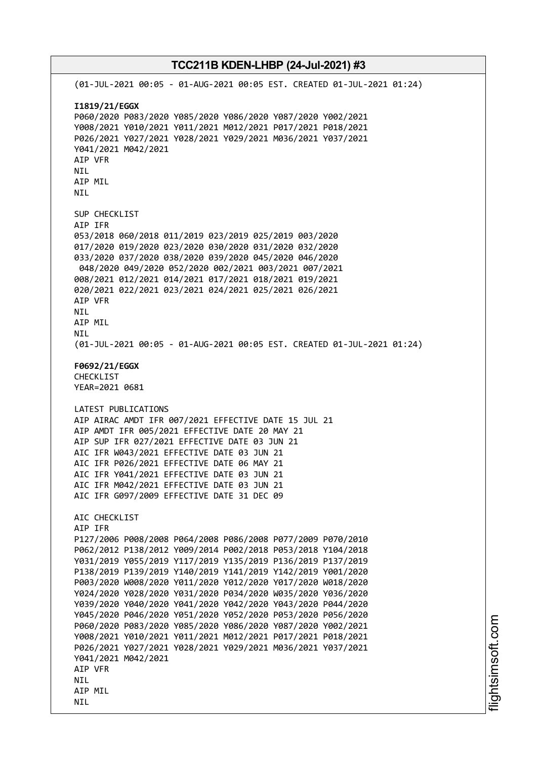**TCC211B KDEN-LHBP (24-Jul-2021) #3** (01-JUL-2021 00:05 - 01-AUG-2021 00:05 EST. CREATED 01-JUL-2021 01:24) **I1819/21/EGGX** P060/2020 P083/2020 Y085/2020 Y086/2020 Y087/2020 Y002/2021 Y008/2021 Y010/2021 Y011/2021 M012/2021 P017/2021 P018/2021 P026/2021 Y027/2021 Y028/2021 Y029/2021 M036/2021 Y037/2021 Y041/2021 M042/2021 AIP VFR NIL AIP MIL NIL SUP CHECKLIST AIP IFR 053/2018 060/2018 011/2019 023/2019 025/2019 003/2020 017/2020 019/2020 023/2020 030/2020 031/2020 032/2020 033/2020 037/2020 038/2020 039/2020 045/2020 046/2020 048/2020 049/2020 052/2020 002/2021 003/2021 007/2021 008/2021 012/2021 014/2021 017/2021 018/2021 019/2021 020/2021 022/2021 023/2021 024/2021 025/2021 026/2021 AIP VFR NIL AIP MIL NIL (01-JUL-2021 00:05 - 01-AUG-2021 00:05 EST. CREATED 01-JUL-2021 01:24) **F0692/21/EGGX** CHECKLIST YEAR=2021 0681 LATEST PUBLICATIONS AIP AIRAC AMDT IFR 007/2021 EFFECTIVE DATE 15 JUL 21 AIP AMDT IFR 005/2021 EFFECTIVE DATE 20 MAY 21 AIP SUP IFR 027/2021 EFFECTIVE DATE 03 JUN 21 AIC IFR W043/2021 EFFECTIVE DATE 03 JUN 21 AIC IFR P026/2021 EFFECTIVE DATE 06 MAY 21 AIC IFR Y041/2021 EFFECTIVE DATE 03 JUN 21 AIC IFR M042/2021 EFFECTIVE DATE 03 JUN 21 AIC IFR G097/2009 EFFECTIVE DATE 31 DEC 09 AIC CHECKLIST AIP IFR P127/2006 P008/2008 P064/2008 P086/2008 P077/2009 P070/2010 P062/2012 P138/2012 Y009/2014 P002/2018 P053/2018 Y104/2018 Y031/2019 Y055/2019 Y117/2019 Y135/2019 P136/2019 P137/2019 P138/2019 P139/2019 Y140/2019 Y141/2019 Y142/2019 Y001/2020 P003/2020 W008/2020 Y011/2020 Y012/2020 Y017/2020 W018/2020 Y024/2020 Y028/2020 Y031/2020 P034/2020 W035/2020 Y036/2020 Y039/2020 Y040/2020 Y041/2020 Y042/2020 Y043/2020 P044/2020 Y045/2020 P046/2020 Y051/2020 Y052/2020 P053/2020 P056/2020 P060/2020 P083/2020 Y085/2020 Y086/2020 Y087/2020 Y002/2021 Y008/2021 Y010/2021 Y011/2021 M012/2021 P017/2021 P018/2021 P026/2021 Y027/2021 Y028/2021 Y029/2021 M036/2021 Y037/2021 Y041/2021 M042/2021 AIP VFR **NTL** AIP MIL

NIL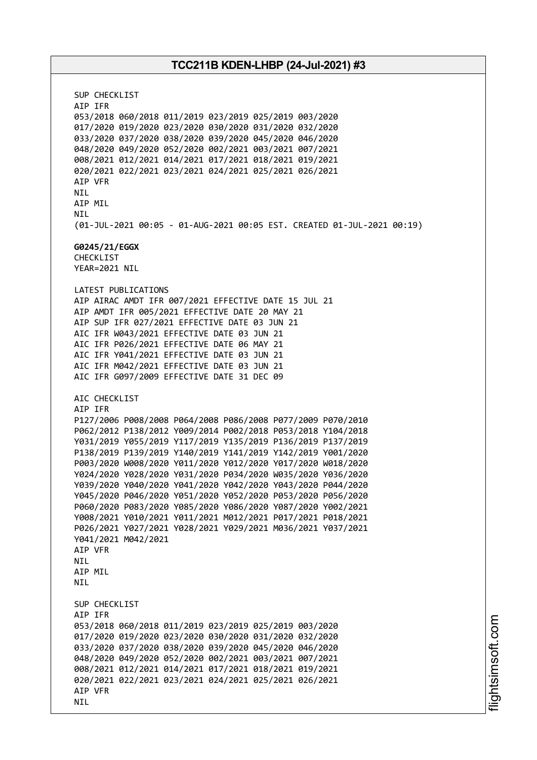SUP CHECKLIST AIP IFR 053/2018 060/2018 011/2019 023/2019 025/2019 003/2020 017/2020 019/2020 023/2020 030/2020 031/2020 032/2020 033/2020 037/2020 038/2020 039/2020 045/2020 046/2020 048/2020 049/2020 052/2020 002/2021 003/2021 007/2021 008/2021 012/2021 014/2021 017/2021 018/2021 019/2021 020/2021 022/2021 023/2021 024/2021 025/2021 026/2021 AIP VFR NIL AIP MIL NIL (01-JUL-2021 00:05 - 01-AUG-2021 00:05 EST. CREATED 01-JUL-2021 00:19) **G0245/21/EGGX** CHECKLIST YEAR=2021 NIL LATEST PUBLICATIONS AIP AIRAC AMDT IFR 007/2021 EFFECTIVE DATE 15 JUL 21 AIP AMDT IFR 005/2021 EFFECTIVE DATE 20 MAY 21 AIP SUP IFR 027/2021 EFFECTIVE DATE 03 JUN 21 AIC IFR W043/2021 EFFECTIVE DATE 03 JUN 21 AIC IFR P026/2021 EFFECTIVE DATE 06 MAY 21 AIC IFR Y041/2021 EFFECTIVE DATE 03 JUN 21 AIC IFR M042/2021 EFFECTIVE DATE 03 JUN 21 AIC IFR G097/2009 EFFECTIVE DATE 31 DEC 09 AIC CHECKLIST AIP IFR P127/2006 P008/2008 P064/2008 P086/2008 P077/2009 P070/2010 P062/2012 P138/2012 Y009/2014 P002/2018 P053/2018 Y104/2018 Y031/2019 Y055/2019 Y117/2019 Y135/2019 P136/2019 P137/2019 P138/2019 P139/2019 Y140/2019 Y141/2019 Y142/2019 Y001/2020 P003/2020 W008/2020 Y011/2020 Y012/2020 Y017/2020 W018/2020 Y024/2020 Y028/2020 Y031/2020 P034/2020 W035/2020 Y036/2020 Y039/2020 Y040/2020 Y041/2020 Y042/2020 Y043/2020 P044/2020 Y045/2020 P046/2020 Y051/2020 Y052/2020 P053/2020 P056/2020 P060/2020 P083/2020 Y085/2020 Y086/2020 Y087/2020 Y002/2021 Y008/2021 Y010/2021 Y011/2021 M012/2021 P017/2021 P018/2021 P026/2021 Y027/2021 Y028/2021 Y029/2021 M036/2021 Y037/2021 Y041/2021 M042/2021 AIP VFR **NTI** AIP MIL **NTI** SUP CHECKLIST AIP IFR 053/2018 060/2018 011/2019 023/2019 025/2019 003/2020 017/2020 019/2020 023/2020 030/2020 031/2020 032/2020 033/2020 037/2020 038/2020 039/2020 045/2020 046/2020 048/2020 049/2020 052/2020 002/2021 003/2021 007/2021 008/2021 012/2021 014/2021 017/2021 018/2021 019/2021 020/2021 022/2021 023/2021 024/2021 025/2021 026/2021 AIP VFR NIL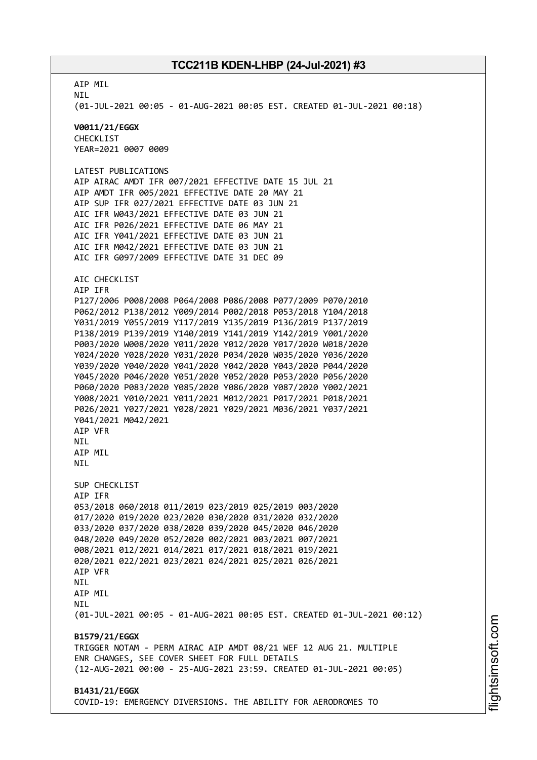AIP MIL NIL (01-JUL-2021 00:05 - 01-AUG-2021 00:05 EST. CREATED 01-JUL-2021 00:18) **V0011/21/EGGX** CHECKLIST YEAR=2021 0007 0009 LATEST PUBLICATIONS AIP AIRAC AMDT IFR 007/2021 EFFECTIVE DATE 15 JUL 21 AIP AMDT IFR 005/2021 EFFECTIVE DATE 20 MAY 21 AIP SUP IFR 027/2021 EFFECTIVE DATE 03 JUN 21 AIC IFR W043/2021 EFFECTIVE DATE 03 JUN 21 AIC IFR P026/2021 EFFECTIVE DATE 06 MAY 21 AIC IFR Y041/2021 EFFECTIVE DATE 03 JUN 21 AIC IFR M042/2021 EFFECTIVE DATE 03 JUN 21 AIC IFR G097/2009 EFFECTIVE DATE 31 DEC 09 AIC CHECKLIST AIP IFR P127/2006 P008/2008 P064/2008 P086/2008 P077/2009 P070/2010 P062/2012 P138/2012 Y009/2014 P002/2018 P053/2018 Y104/2018 Y031/2019 Y055/2019 Y117/2019 Y135/2019 P136/2019 P137/2019 P138/2019 P139/2019 Y140/2019 Y141/2019 Y142/2019 Y001/2020 P003/2020 W008/2020 Y011/2020 Y012/2020 Y017/2020 W018/2020 Y024/2020 Y028/2020 Y031/2020 P034/2020 W035/2020 Y036/2020 Y039/2020 Y040/2020 Y041/2020 Y042/2020 Y043/2020 P044/2020 Y045/2020 P046/2020 Y051/2020 Y052/2020 P053/2020 P056/2020 P060/2020 P083/2020 Y085/2020 Y086/2020 Y087/2020 Y002/2021 Y008/2021 Y010/2021 Y011/2021 M012/2021 P017/2021 P018/2021 P026/2021 Y027/2021 Y028/2021 Y029/2021 M036/2021 Y037/2021 Y041/2021 M042/2021 AIP VFR **NTI** AIP MIL **NTI** SUP CHECKLIST AIP IFR 053/2018 060/2018 011/2019 023/2019 025/2019 003/2020 017/2020 019/2020 023/2020 030/2020 031/2020 032/2020 033/2020 037/2020 038/2020 039/2020 045/2020 046/2020 048/2020 049/2020 052/2020 002/2021 003/2021 007/2021 008/2021 012/2021 014/2021 017/2021 018/2021 019/2021 020/2021 022/2021 023/2021 024/2021 025/2021 026/2021 AIP VFR **NTL** AIP MIL **NTI** (01-JUL-2021 00:05 - 01-AUG-2021 00:05 EST. CREATED 01-JUL-2021 00:12) **B1579/21/EGGX** TRIGGER NOTAM - PERM AIRAC AIP AMDT 08/21 WEF 12 AUG 21. MULTIPLE ENR CHANGES, SEE COVER SHEET FOR FULL DETAILS (12-AUG-2021 00:00 - 25-AUG-2021 23:59. CREATED 01-JUL-2021 00:05) **B1431/21/EGGX** COVID-19: EMERGENCY DIVERSIONS. THE ABILITY FOR AERODROMES TO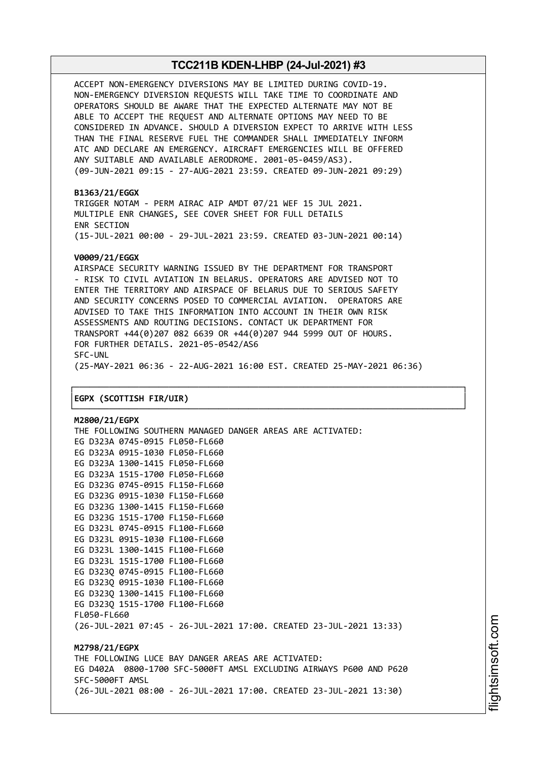ACCEPT NON-EMERGENCY DIVERSIONS MAY BE LIMITED DURING COVID-19. NON-EMERGENCY DIVERSION REQUESTS WILL TAKE TIME TO COORDINATE AND OPERATORS SHOULD BE AWARE THAT THE EXPECTED ALTERNATE MAY NOT BE ABLE TO ACCEPT THE REQUEST AND ALTERNATE OPTIONS MAY NEED TO BE CONSIDERED IN ADVANCE. SHOULD A DIVERSION EXPECT TO ARRIVE WITH LESS THAN THE FINAL RESERVE FUEL THE COMMANDER SHALL IMMEDIATELY INFORM ATC AND DECLARE AN EMERGENCY. AIRCRAFT EMERGENCIES WILL BE OFFERED ANY SUITABLE AND AVAILABLE AERODROME. 2001-05-0459/AS3). (09-JUN-2021 09:15 - 27-AUG-2021 23:59. CREATED 09-JUN-2021 09:29)

#### **B1363/21/EGGX**

TRIGGER NOTAM - PERM AIRAC AIP AMDT 07/21 WEF 15 JUL 2021. MULTIPLE ENR CHANGES, SEE COVER SHEET FOR FULL DETAILS ENR SECTION (15-JUL-2021 00:00 - 29-JUL-2021 23:59. CREATED 03-JUN-2021 00:14)

#### **V0009/21/EGGX**

AIRSPACE SECURITY WARNING ISSUED BY THE DEPARTMENT FOR TRANSPORT - RISK TO CIVIL AVIATION IN BELARUS. OPERATORS ARE ADVISED NOT TO ENTER THE TERRITORY AND AIRSPACE OF BELARUS DUE TO SERIOUS SAFETY AND SECURITY CONCERNS POSED TO COMMERCIAL AVIATION. OPERATORS ARE ADVISED TO TAKE THIS INFORMATION INTO ACCOUNT IN THEIR OWN RISK ASSESSMENTS AND ROUTING DECISIONS. CONTACT UK DEPARTMENT FOR TRANSPORT +44(0)207 082 6639 OR +44(0)207 944 5999 OUT OF HOURS. FOR FURTHER DETAILS. 2021-05-0542/AS6 SFC-UNL (25-MAY-2021 06:36 - 22-AUG-2021 16:00 EST. CREATED 25-MAY-2021 06:36)

┌──────────────────────────────────────────────────────────────────────────────┐

└──────────────────────────────────────────────────────────────────────────────┘

#### │**EGPX (SCOTTISH FIR/UIR)** │

**M2800/21/EGPX** THE FOLLOWING SOUTHERN MANAGED DANGER AREAS ARE ACTIVATED: EG D323A 0745-0915 FL050-FL660 EG D323A 0915-1030 FL050-FL660 EG D323A 1300-1415 FL050-FL660 EG D323A 1515-1700 FL050-FL660 EG D323G 0745-0915 FL150-FL660 EG D323G 0915-1030 FL150-FL660 EG D323G 1300-1415 FL150-FL660 EG D323G 1515-1700 FL150-FL660 EG D323L 0745-0915 FL100-FL660 EG D323L 0915-1030 FL100-FL660 EG D323L 1300-1415 FL100-FL660 EG D323L 1515-1700 FL100-FL660 EG D323Q 0745-0915 FL100-FL660 EG D323Q 0915-1030 FL100-FL660 EG D323Q 1300-1415 FL100-FL660 EG D323Q 1515-1700 FL100-FL660 FL050-FL660 (26-JUL-2021 07:45 - 26-JUL-2021 17:00. CREATED 23-JUL-2021 13:33) **M2798/21/EGPX** THE FOLLOWING LUCE BAY DANGER AREAS ARE ACTIVATED: EG D402A 0800-1700 SFC-5000FT AMSL EXCLUDING AIRWAYS P600 AND P620 SFC-5000FT AMSL (26-JUL-2021 08:00 - 26-JUL-2021 17:00. CREATED 23-JUL-2021 13:30)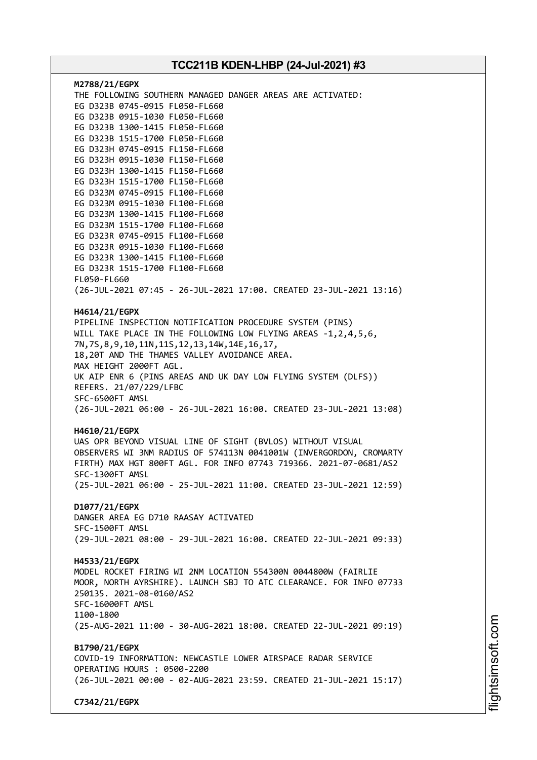| M2788/21/EGPX<br>THE FOLLOWING SOUTHERN MANAGED DANGER AREAS ARE ACTIVATED:<br>EG D323B 0745-0915 FL050-FL660<br>EG D323B 0915-1030 FL050-FL660<br>EG D323B 1300-1415 FL050-FL660<br>EG D323B 1515-1700 FL050-FL660<br>EG D323H 0745-0915 FL150-FL660<br>EG D323H 0915-1030 FL150-FL660<br>EG D323H 1300-1415 FL150-FL660<br>EG D323H 1515-1700 FL150-FL660<br>EG D323M 0745-0915 FL100-FL660<br>EG D323M 0915-1030 FL100-FL660<br>EG D323M 1300-1415 FL100-FL660<br>EG D323M 1515-1700 FL100-FL660<br>EG D323R 0745-0915 FL100-FL660<br>EG D323R 0915-1030 FL100-FL660<br>EG D323R 1300-1415 FL100-FL660<br>EG D323R 1515-1700 FL100-FL660<br>FL050-FL660<br>(26-JUL-2021 07:45 - 26-JUL-2021 17:00. CREATED 23-JUL-2021 13:16) |  |
|----------------------------------------------------------------------------------------------------------------------------------------------------------------------------------------------------------------------------------------------------------------------------------------------------------------------------------------------------------------------------------------------------------------------------------------------------------------------------------------------------------------------------------------------------------------------------------------------------------------------------------------------------------------------------------------------------------------------------------|--|
|                                                                                                                                                                                                                                                                                                                                                                                                                                                                                                                                                                                                                                                                                                                                  |  |
| H4614/21/EGPX<br>PIPELINE INSPECTION NOTIFICATION PROCEDURE SYSTEM (PINS)<br>WILL TAKE PLACE IN THE FOLLOWING LOW FLYING AREAS -1,2,4,5,6,<br>7N, 7S, 8, 9, 10, 11N, 11S, 12, 13, 14W, 14E, 16, 17,<br>18,20T AND THE THAMES VALLEY AVOIDANCE AREA.<br>MAX HEIGHT 2000FT AGL.                                                                                                                                                                                                                                                                                                                                                                                                                                                    |  |
| UK AIP ENR 6 (PINS AREAS AND UK DAY LOW FLYING SYSTEM (DLFS))                                                                                                                                                                                                                                                                                                                                                                                                                                                                                                                                                                                                                                                                    |  |
| REFERS. 21/07/229/LFBC<br>SFC-6500FT AMSL                                                                                                                                                                                                                                                                                                                                                                                                                                                                                                                                                                                                                                                                                        |  |
| (26-JUL-2021 06:00 - 26-JUL-2021 16:00. CREATED 23-JUL-2021 13:08)                                                                                                                                                                                                                                                                                                                                                                                                                                                                                                                                                                                                                                                               |  |
| H4610/21/EGPX                                                                                                                                                                                                                                                                                                                                                                                                                                                                                                                                                                                                                                                                                                                    |  |
| UAS OPR BEYOND VISUAL LINE OF SIGHT (BVLOS) WITHOUT VISUAL<br>OBSERVERS WI 3NM RADIUS OF 574113N 0041001W (INVERGORDON, CROMARTY<br>FIRTH) MAX HGT 800FT AGL. FOR INFO 07743 719366. 2021-07-0681/AS2<br>SFC-1300FT AMSL                                                                                                                                                                                                                                                                                                                                                                                                                                                                                                         |  |
| (25-JUL-2021 06:00 - 25-JUL-2021 11:00. CREATED 23-JUL-2021 12:59)                                                                                                                                                                                                                                                                                                                                                                                                                                                                                                                                                                                                                                                               |  |
| D1077/21/EGPX                                                                                                                                                                                                                                                                                                                                                                                                                                                                                                                                                                                                                                                                                                                    |  |
| DANGER AREA EG D710 RAASAY ACTIVATED<br>SFC-1500FT AMSL                                                                                                                                                                                                                                                                                                                                                                                                                                                                                                                                                                                                                                                                          |  |
| (29-JUL-2021 08:00 - 29-JUL-2021 16:00. CREATED 22-JUL-2021 09:33)                                                                                                                                                                                                                                                                                                                                                                                                                                                                                                                                                                                                                                                               |  |
| H4533/21/EGPX                                                                                                                                                                                                                                                                                                                                                                                                                                                                                                                                                                                                                                                                                                                    |  |
| MODEL ROCKET FIRING WI 2NM LOCATION 554300N 0044800W (FAIRLIE<br>MOOR, NORTH AYRSHIRE). LAUNCH SBJ TO ATC CLEARANCE. FOR INFO 07733<br>250135. 2021-08-0160/AS2<br>SFC-16000FT AMSL<br>1100-1800                                                                                                                                                                                                                                                                                                                                                                                                                                                                                                                                 |  |
| (25-AUG-2021 11:00 - 30-AUG-2021 18:00. CREATED 22-JUL-2021 09:19)                                                                                                                                                                                                                                                                                                                                                                                                                                                                                                                                                                                                                                                               |  |
| B1790/21/EGPX                                                                                                                                                                                                                                                                                                                                                                                                                                                                                                                                                                                                                                                                                                                    |  |
| COVID-19 INFORMATION: NEWCASTLE LOWER AIRSPACE RADAR SERVICE                                                                                                                                                                                                                                                                                                                                                                                                                                                                                                                                                                                                                                                                     |  |
| OPERATING HOURS : 0500-2200<br>(26-JUL-2021 00:00 - 02-AUG-2021 23:59. CREATED 21-JUL-2021 15:17)                                                                                                                                                                                                                                                                                                                                                                                                                                                                                                                                                                                                                                |  |
| C7342/21/EGPX                                                                                                                                                                                                                                                                                                                                                                                                                                                                                                                                                                                                                                                                                                                    |  |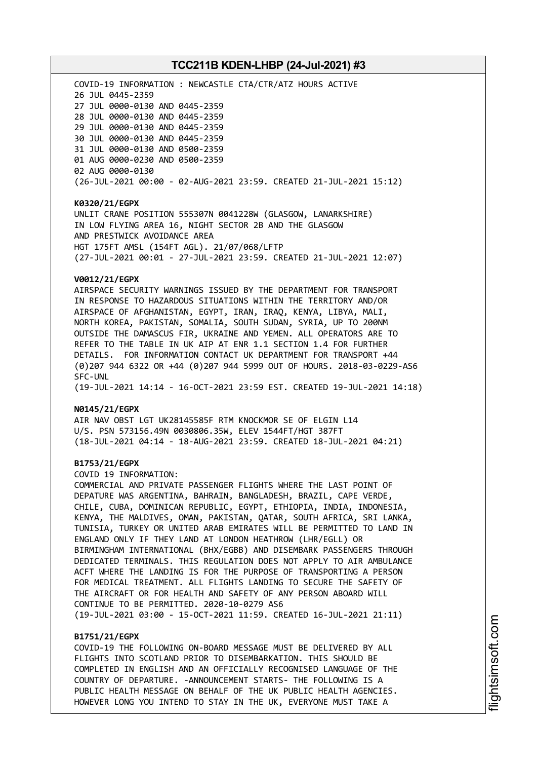COVID-19 INFORMATION : NEWCASTLE CTA/CTR/ATZ HOURS ACTIVE JUL 0445-2359 JUL 0000-0130 AND 0445-2359 JUL 0000-0130 AND 0445-2359 JUL 0000-0130 AND 0445-2359 JUL 0000-0130 AND 0445-2359 JUL 0000-0130 AND 0500-2359 AUG 0000-0230 AND 0500-2359 AUG 0000-0130 (26-JUL-2021 00:00 - 02-AUG-2021 23:59. CREATED 21-JUL-2021 15:12)

#### **K0320/21/EGPX**

UNLIT CRANE POSITION 555307N 0041228W (GLASGOW, LANARKSHIRE) IN LOW FLYING AREA 16, NIGHT SECTOR 2B AND THE GLASGOW AND PRESTWICK AVOIDANCE AREA HGT 175FT AMSL (154FT AGL). 21/07/068/LFTP (27-JUL-2021 00:01 - 27-JUL-2021 23:59. CREATED 21-JUL-2021 12:07)

#### **V0012/21/EGPX**

AIRSPACE SECURITY WARNINGS ISSUED BY THE DEPARTMENT FOR TRANSPORT IN RESPONSE TO HAZARDOUS SITUATIONS WITHIN THE TERRITORY AND/OR AIRSPACE OF AFGHANISTAN, EGYPT, IRAN, IRAQ, KENYA, LIBYA, MALI, NORTH KOREA, PAKISTAN, SOMALIA, SOUTH SUDAN, SYRIA, UP TO 200NM OUTSIDE THE DAMASCUS FIR, UKRAINE AND YEMEN. ALL OPERATORS ARE TO REFER TO THE TABLE IN UK AIP AT ENR 1.1 SECTION 1.4 FOR FURTHER DETAILS. FOR INFORMATION CONTACT UK DEPARTMENT FOR TRANSPORT +44 (0)207 944 6322 OR +44 (0)207 944 5999 OUT OF HOURS. 2018-03-0229-AS6 SFC-UNL

(19-JUL-2021 14:14 - 16-OCT-2021 23:59 EST. CREATED 19-JUL-2021 14:18)

#### **N0145/21/EGPX**

AIR NAV OBST LGT UK28145585F RTM KNOCKMOR SE OF ELGIN L14 U/S. PSN 573156.49N 0030806.35W, ELEV 1544FT/HGT 387FT (18-JUL-2021 04:14 - 18-AUG-2021 23:59. CREATED 18-JUL-2021 04:21)

#### **B1753/21/EGPX**

COVID 19 INFORMATION:

COMMERCIAL AND PRIVATE PASSENGER FLIGHTS WHERE THE LAST POINT OF DEPATURE WAS ARGENTINA, BAHRAIN, BANGLADESH, BRAZIL, CAPE VERDE, CHILE, CUBA, DOMINICAN REPUBLIC, EGYPT, ETHIOPIA, INDIA, INDONESIA, KENYA, THE MALDIVES, OMAN, PAKISTAN, QATAR, SOUTH AFRICA, SRI LANKA, TUNISIA, TURKEY OR UNITED ARAB EMIRATES WILL BE PERMITTED TO LAND IN ENGLAND ONLY IF THEY LAND AT LONDON HEATHROW (LHR/EGLL) OR BIRMINGHAM INTERNATIONAL (BHX/EGBB) AND DISEMBARK PASSENGERS THROUGH DEDICATED TERMINALS. THIS REGULATION DOES NOT APPLY TO AIR AMBULANCE ACFT WHERE THE LANDING IS FOR THE PURPOSE OF TRANSPORTING A PERSON FOR MEDICAL TREATMENT. ALL FLIGHTS LANDING TO SECURE THE SAFETY OF THE AIRCRAFT OR FOR HEALTH AND SAFETY OF ANY PERSON ABOARD WILL CONTINUE TO BE PERMITTED. 2020-10-0279 AS6 (19-JUL-2021 03:00 - 15-OCT-2021 11:59. CREATED 16-JUL-2021 21:11)

## **B1751/21/EGPX**

COVID-19 THE FOLLOWING ON-BOARD MESSAGE MUST BE DELIVERED BY ALL FLIGHTS INTO SCOTLAND PRIOR TO DISEMBARKATION. THIS SHOULD BE COMPLETED IN ENGLISH AND AN OFFICIALLY RECOGNISED LANGUAGE OF THE COUNTRY OF DEPARTURE. -ANNOUNCEMENT STARTS- THE FOLLOWING IS A PUBLIC HEALTH MESSAGE ON BEHALF OF THE UK PUBLIC HEALTH AGENCIES. HOWEVER LONG YOU INTEND TO STAY IN THE UK, EVERYONE MUST TAKE A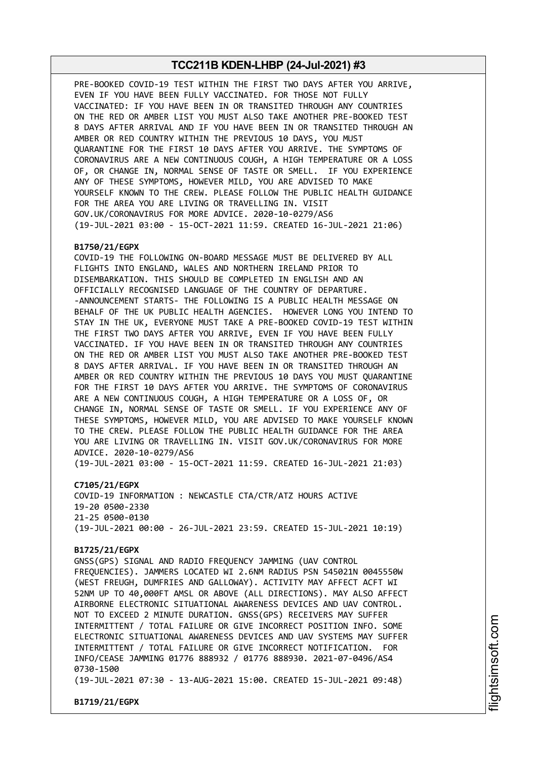PRE-BOOKED COVID-19 TEST WITHIN THE FIRST TWO DAYS AFTER YOU ARRIVE, EVEN IF YOU HAVE BEEN FULLY VACCINATED. FOR THOSE NOT FULLY VACCINATED: IF YOU HAVE BEEN IN OR TRANSITED THROUGH ANY COUNTRIES ON THE RED OR AMBER LIST YOU MUST ALSO TAKE ANOTHER PRE-BOOKED TEST 8 DAYS AFTER ARRIVAL AND IF YOU HAVE BEEN IN OR TRANSITED THROUGH AN AMBER OR RED COUNTRY WITHIN THE PREVIOUS 10 DAYS, YOU MUST QUARANTINE FOR THE FIRST 10 DAYS AFTER YOU ARRIVE. THE SYMPTOMS OF CORONAVIRUS ARE A NEW CONTINUOUS COUGH, A HIGH TEMPERATURE OR A LOSS OF, OR CHANGE IN, NORMAL SENSE OF TASTE OR SMELL. IF YOU EXPERIENCE ANY OF THESE SYMPTOMS, HOWEVER MILD, YOU ARE ADVISED TO MAKE YOURSELF KNOWN TO THE CREW. PLEASE FOLLOW THE PUBLIC HEALTH GUIDANCE FOR THE AREA YOU ARE LIVING OR TRAVELLING IN. VISIT GOV.UK/CORONAVIRUS FOR MORE ADVICE. 2020-10-0279/AS6 (19-JUL-2021 03:00 - 15-OCT-2021 11:59. CREATED 16-JUL-2021 21:06)

#### **B1750/21/EGPX**

COVID-19 THE FOLLOWING ON-BOARD MESSAGE MUST BE DELIVERED BY ALL FLIGHTS INTO ENGLAND, WALES AND NORTHERN IRELAND PRIOR TO DISEMBARKATION. THIS SHOULD BE COMPLETED IN ENGLISH AND AN OFFICIALLY RECOGNISED LANGUAGE OF THE COUNTRY OF DEPARTURE. -ANNOUNCEMENT STARTS- THE FOLLOWING IS A PUBLIC HEALTH MESSAGE ON BEHALF OF THE UK PUBLIC HEALTH AGENCIES. HOWEVER LONG YOU INTEND TO STAY IN THE UK, EVERYONE MUST TAKE A PRE-BOOKED COVID-19 TEST WITHIN THE FIRST TWO DAYS AFTER YOU ARRIVE, EVEN IF YOU HAVE BEEN FULLY VACCINATED. IF YOU HAVE BEEN IN OR TRANSITED THROUGH ANY COUNTRIES ON THE RED OR AMBER LIST YOU MUST ALSO TAKE ANOTHER PRE-BOOKED TEST 8 DAYS AFTER ARRIVAL. IF YOU HAVE BEEN IN OR TRANSITED THROUGH AN AMBER OR RED COUNTRY WITHIN THE PREVIOUS 10 DAYS YOU MUST QUARANTINE FOR THE FIRST 10 DAYS AFTER YOU ARRIVE. THE SYMPTOMS OF CORONAVIRUS ARE A NEW CONTINUOUS COUGH, A HIGH TEMPERATURE OR A LOSS OF, OR CHANGE IN, NORMAL SENSE OF TASTE OR SMELL. IF YOU EXPERIENCE ANY OF THESE SYMPTOMS, HOWEVER MILD, YOU ARE ADVISED TO MAKE YOURSELF KNOWN TO THE CREW. PLEASE FOLLOW THE PUBLIC HEALTH GUIDANCE FOR THE AREA YOU ARE LIVING OR TRAVELLING IN. VISIT GOV.UK/CORONAVIRUS FOR MORE ADVICE. 2020-10-0279/AS6

(19-JUL-2021 03:00 - 15-OCT-2021 11:59. CREATED 16-JUL-2021 21:03)

**C7105/21/EGPX**

COVID-19 INFORMATION : NEWCASTLE CTA/CTR/ATZ HOURS ACTIVE 19-20 0500-2330 21-25 0500-0130 (19-JUL-2021 00:00 - 26-JUL-2021 23:59. CREATED 15-JUL-2021 10:19)

#### **B1725/21/EGPX**

GNSS(GPS) SIGNAL AND RADIO FREQUENCY JAMMING (UAV CONTROL FREQUENCIES). JAMMERS LOCATED WI 2.6NM RADIUS PSN 545021N 0045550W (WEST FREUGH, DUMFRIES AND GALLOWAY). ACTIVITY MAY AFFECT ACFT WI 52NM UP TO 40,000FT AMSL OR ABOVE (ALL DIRECTIONS). MAY ALSO AFFECT AIRBORNE ELECTRONIC SITUATIONAL AWARENESS DEVICES AND UAV CONTROL. NOT TO EXCEED 2 MINUTE DURATION. GNSS(GPS) RECEIVERS MAY SUFFER INTERMITTENT / TOTAL FAILURE OR GIVE INCORRECT POSITION INFO. SOME ELECTRONIC SITUATIONAL AWARENESS DEVICES AND UAV SYSTEMS MAY SUFFER INTERMITTENT / TOTAL FAILURE OR GIVE INCORRECT NOTIFICATION. FOR INFO/CEASE JAMMING 01776 888932 / 01776 888930. 2021-07-0496/AS4 0730-1500

(19-JUL-2021 07:30 - 13-AUG-2021 15:00. CREATED 15-JUL-2021 09:48)

**B1719/21/EGPX**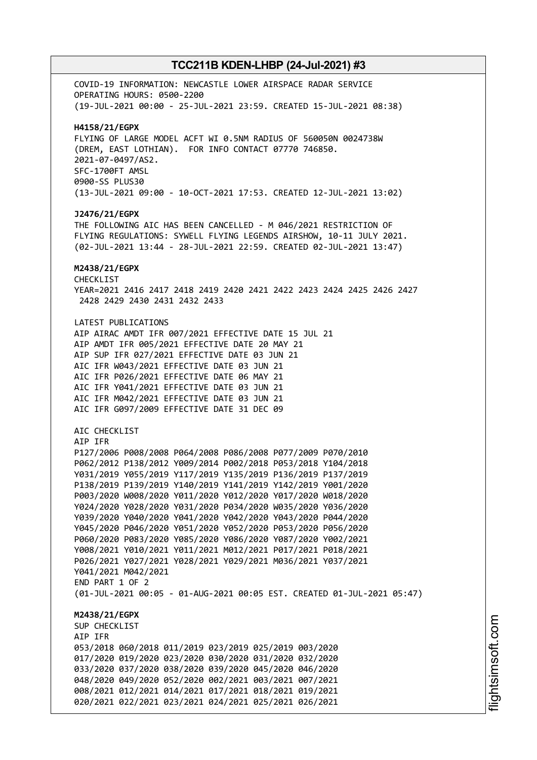COVID-19 INFORMATION: NEWCASTLE LOWER AIRSPACE RADAR SERVICE OPERATING HOURS: 0500-2200 (19-JUL-2021 00:00 - 25-JUL-2021 23:59. CREATED 15-JUL-2021 08:38) **H4158/21/EGPX** FLYING OF LARGE MODEL ACFT WI 0.5NM RADIUS OF 560050N 0024738W (DREM, EAST LOTHIAN). FOR INFO CONTACT 07770 746850. 2021-07-0497/AS2. SFC-1700FT AMSL 0900-SS PLUS30 (13-JUL-2021 09:00 - 10-OCT-2021 17:53. CREATED 12-JUL-2021 13:02) **J2476/21/EGPX** THE FOLLOWING AIC HAS BEEN CANCELLED - M 046/2021 RESTRICTION OF FLYING REGULATIONS: SYWELL FLYING LEGENDS AIRSHOW, 10-11 JULY 2021. (02-JUL-2021 13:44 - 28-JUL-2021 22:59. CREATED 02-JUL-2021 13:47) **M2438/21/EGPX** CHECKLIST YEAR=2021 2416 2417 2418 2419 2420 2421 2422 2423 2424 2425 2426 2427 2428 2429 2430 2431 2432 2433 LATEST PUBLICATIONS AIP AIRAC AMDT IFR 007/2021 EFFECTIVE DATE 15 JUL 21 AIP AMDT IFR 005/2021 EFFECTIVE DATE 20 MAY 21 AIP SUP IFR 027/2021 EFFECTIVE DATE 03 JUN 21 AIC IFR W043/2021 EFFECTIVE DATE 03 JUN 21 AIC IFR P026/2021 EFFECTIVE DATE 06 MAY 21 AIC IFR Y041/2021 EFFECTIVE DATE 03 JUN 21 AIC IFR M042/2021 EFFECTIVE DATE 03 JUN 21 AIC IFR G097/2009 EFFECTIVE DATE 31 DEC 09 AIC CHECKLIST AIP IFR P127/2006 P008/2008 P064/2008 P086/2008 P077/2009 P070/2010 P062/2012 P138/2012 Y009/2014 P002/2018 P053/2018 Y104/2018 Y031/2019 Y055/2019 Y117/2019 Y135/2019 P136/2019 P137/2019 P138/2019 P139/2019 Y140/2019 Y141/2019 Y142/2019 Y001/2020 P003/2020 W008/2020 Y011/2020 Y012/2020 Y017/2020 W018/2020 Y024/2020 Y028/2020 Y031/2020 P034/2020 W035/2020 Y036/2020 Y039/2020 Y040/2020 Y041/2020 Y042/2020 Y043/2020 P044/2020 Y045/2020 P046/2020 Y051/2020 Y052/2020 P053/2020 P056/2020 P060/2020 P083/2020 Y085/2020 Y086/2020 Y087/2020 Y002/2021 Y008/2021 Y010/2021 Y011/2021 M012/2021 P017/2021 P018/2021 P026/2021 Y027/2021 Y028/2021 Y029/2021 M036/2021 Y037/2021 Y041/2021 M042/2021 END PART 1 OF 2 (01-JUL-2021 00:05 - 01-AUG-2021 00:05 EST. CREATED 01-JUL-2021 05:47) **M2438/21/EGPX** SUP CHECKLIST AIP IFR 053/2018 060/2018 011/2019 023/2019 025/2019 003/2020 017/2020 019/2020 023/2020 030/2020 031/2020 032/2020 033/2020 037/2020 038/2020 039/2020 045/2020 046/2020 048/2020 049/2020 052/2020 002/2021 003/2021 007/2021 008/2021 012/2021 014/2021 017/2021 018/2021 019/2021 020/2021 022/2021 023/2021 024/2021 025/2021 026/2021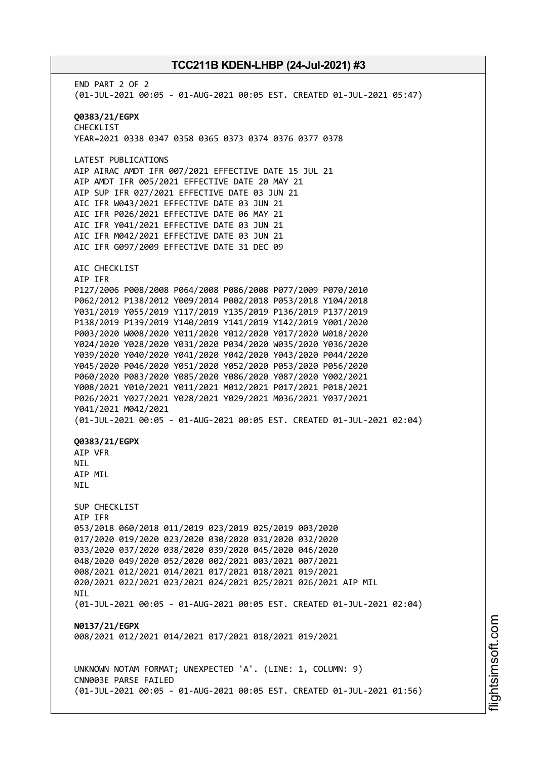END PART 2 OF 2 (01-JUL-2021 00:05 - 01-AUG-2021 00:05 EST. CREATED 01-JUL-2021 05:47) **Q0383/21/EGPX** CHECKLIST YEAR=2021 0338 0347 0358 0365 0373 0374 0376 0377 0378 LATEST PUBLICATIONS AIP AIRAC AMDT IFR 007/2021 EFFECTIVE DATE 15 JUL 21 AIP AMDT IFR 005/2021 EFFECTIVE DATE 20 MAY 21 AIP SUP IFR 027/2021 EFFECTIVE DATE 03 JUN 21 AIC IFR W043/2021 EFFECTIVE DATE 03 JUN 21 AIC IFR P026/2021 EFFECTIVE DATE 06 MAY 21 AIC IFR Y041/2021 EFFECTIVE DATE 03 JUN 21 AIC IFR M042/2021 EFFECTIVE DATE 03 JUN 21 AIC IFR G097/2009 EFFECTIVE DATE 31 DEC 09 AIC CHECKLIST AIP IFR P127/2006 P008/2008 P064/2008 P086/2008 P077/2009 P070/2010 P062/2012 P138/2012 Y009/2014 P002/2018 P053/2018 Y104/2018 Y031/2019 Y055/2019 Y117/2019 Y135/2019 P136/2019 P137/2019 P138/2019 P139/2019 Y140/2019 Y141/2019 Y142/2019 Y001/2020 P003/2020 W008/2020 Y011/2020 Y012/2020 Y017/2020 W018/2020 Y024/2020 Y028/2020 Y031/2020 P034/2020 W035/2020 Y036/2020 Y039/2020 Y040/2020 Y041/2020 Y042/2020 Y043/2020 P044/2020 Y045/2020 P046/2020 Y051/2020 Y052/2020 P053/2020 P056/2020 P060/2020 P083/2020 Y085/2020 Y086/2020 Y087/2020 Y002/2021 Y008/2021 Y010/2021 Y011/2021 M012/2021 P017/2021 P018/2021 P026/2021 Y027/2021 Y028/2021 Y029/2021 M036/2021 Y037/2021 Y041/2021 M042/2021 (01-JUL-2021 00:05 - 01-AUG-2021 00:05 EST. CREATED 01-JUL-2021 02:04) **Q0383/21/EGPX** AIP VFR **NTL** AIP MIL NIL SUP CHECKLIST AIP IFR 053/2018 060/2018 011/2019 023/2019 025/2019 003/2020 017/2020 019/2020 023/2020 030/2020 031/2020 032/2020 033/2020 037/2020 038/2020 039/2020 045/2020 046/2020 048/2020 049/2020 052/2020 002/2021 003/2021 007/2021 008/2021 012/2021 014/2021 017/2021 018/2021 019/2021 020/2021 022/2021 023/2021 024/2021 025/2021 026/2021 AIP MIL **NTI** (01-JUL-2021 00:05 - 01-AUG-2021 00:05 EST. CREATED 01-JUL-2021 02:04) **N0137/21/EGPX** 008/2021 012/2021 014/2021 017/2021 018/2021 019/2021 UNKNOWN NOTAM FORMAT; UNEXPECTED 'A'. (LINE: 1, COLUMN: 9) CNN003E PARSE FAILED (01-JUL-2021 00:05 - 01-AUG-2021 00:05 EST. CREATED 01-JUL-2021 01:56)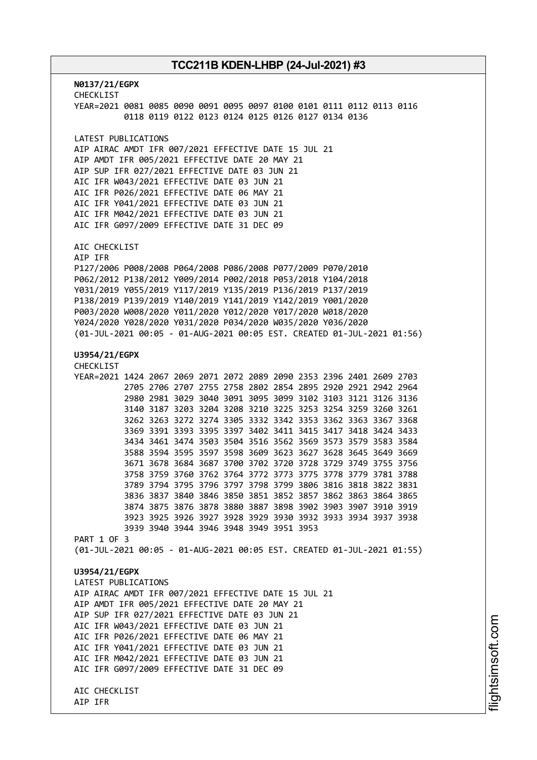**N0137/21/EGPX** CHECKLIST YEAR=2021 0081 0085 0090 0091 0095 0097 0100 0101 0111 0112 0113 0116 0118 0119 0122 0123 0124 0125 0126 0127 0134 0136 LATEST PUBLICATIONS AIP AIRAC AMDT IFR 007/2021 EFFECTIVE DATE 15 JUL 21 AIP AMDT IFR 005/2021 EFFECTIVE DATE 20 MAY 21 AIP SUP IFR 027/2021 EFFECTIVE DATE 03 JUN 21 AIC IFR W043/2021 EFFECTIVE DATE 03 JUN 21 AIC IFR P026/2021 EFFECTIVE DATE 06 MAY 21 AIC IFR Y041/2021 EFFECTIVE DATE 03 JUN 21 AIC IFR M042/2021 EFFECTIVE DATE 03 JUN 21 AIC IFR G097/2009 EFFECTIVE DATE 31 DEC 09 AIC CHECKLIST AIP IFR P127/2006 P008/2008 P064/2008 P086/2008 P077/2009 P070/2010 P062/2012 P138/2012 Y009/2014 P002/2018 P053/2018 Y104/2018 Y031/2019 Y055/2019 Y117/2019 Y135/2019 P136/2019 P137/2019 P138/2019 P139/2019 Y140/2019 Y141/2019 Y142/2019 Y001/2020 P003/2020 W008/2020 Y011/2020 Y012/2020 Y017/2020 W018/2020 Y024/2020 Y028/2020 Y031/2020 P034/2020 W035/2020 Y036/2020 (01-JUL-2021 00:05 - 01-AUG-2021 00:05 EST. CREATED 01-JUL-2021 01:56) **U3954/21/EGPX** CHECKLIST YEAR=2021 1424 2067 2069 2071 2072 2089 2090 2353 2396 2401 2609 2703 2705 2706 2707 2755 2758 2802 2854 2895 2920 2921 2942 2964 2980 2981 3029 3040 3091 3095 3099 3102 3103 3121 3126 3136 3140 3187 3203 3204 3208 3210 3225 3253 3254 3259 3260 3261 3262 3263 3272 3274 3305 3332 3342 3353 3362 3363 3367 3368 3369 3391 3393 3395 3397 3402 3411 3415 3417 3418 3424 3433 3434 3461 3474 3503 3504 3516 3562 3569 3573 3579 3583 3584 3588 3594 3595 3597 3598 3609 3623 3627 3628 3645 3649 3669 3671 3678 3684 3687 3700 3702 3720 3728 3729 3749 3755 3756 3758 3759 3760 3762 3764 3772 3773 3775 3778 3779 3781 3788 3789 3794 3795 3796 3797 3798 3799 3806 3816 3818 3822 3831 3836 3837 3840 3846 3850 3851 3852 3857 3862 3863 3864 3865 3874 3875 3876 3878 3880 3887 3898 3902 3903 3907 3910 3919 3923 3925 3926 3927 3928 3929 3930 3932 3933 3934 3937 3938 3939 3940 3944 3946 3948 3949 3951 3953 PART 1 OF 3 (01-JUL-2021 00:05 - 01-AUG-2021 00:05 EST. CREATED 01-JUL-2021 01:55) **U3954/21/EGPX** LATEST PUBLICATIONS AIP AIRAC AMDT IFR 007/2021 EFFECTIVE DATE 15 JUL 21 AIP AMDT IFR 005/2021 EFFECTIVE DATE 20 MAY 21 AIP SUP IFR 027/2021 EFFECTIVE DATE 03 JUN 21 AIC IFR W043/2021 EFFECTIVE DATE 03 JUN 21 AIC IFR P026/2021 EFFECTIVE DATE 06 MAY 21 AIC IFR Y041/2021 EFFECTIVE DATE 03 JUN 21 AIC IFR M042/2021 EFFECTIVE DATE 03 JUN 21 AIC IFR G097/2009 EFFECTIVE DATE 31 DEC 09 AIC CHECKLIST AIP IFR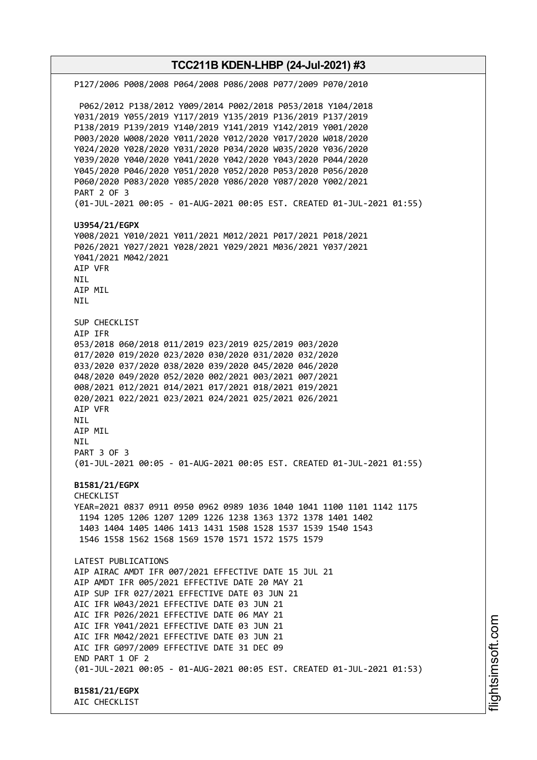**TCC211B KDEN-LHBP (24-Jul-2021) #3** P127/2006 P008/2008 P064/2008 P086/2008 P077/2009 P070/2010 P062/2012 P138/2012 Y009/2014 P002/2018 P053/2018 Y104/2018 Y031/2019 Y055/2019 Y117/2019 Y135/2019 P136/2019 P137/2019 P138/2019 P139/2019 Y140/2019 Y141/2019 Y142/2019 Y001/2020 P003/2020 W008/2020 Y011/2020 Y012/2020 Y017/2020 W018/2020 Y024/2020 Y028/2020 Y031/2020 P034/2020 W035/2020 Y036/2020 Y039/2020 Y040/2020 Y041/2020 Y042/2020 Y043/2020 P044/2020 Y045/2020 P046/2020 Y051/2020 Y052/2020 P053/2020 P056/2020 P060/2020 P083/2020 Y085/2020 Y086/2020 Y087/2020 Y002/2021 PART 2 OF 3 (01-JUL-2021 00:05 - 01-AUG-2021 00:05 EST. CREATED 01-JUL-2021 01:55) **U3954/21/EGPX** Y008/2021 Y010/2021 Y011/2021 M012/2021 P017/2021 P018/2021 P026/2021 Y027/2021 Y028/2021 Y029/2021 M036/2021 Y037/2021 Y041/2021 M042/2021 AIP VFR NIL AIP MIL NIL SUP CHECKLIST AIP IFR 053/2018 060/2018 011/2019 023/2019 025/2019 003/2020 017/2020 019/2020 023/2020 030/2020 031/2020 032/2020 033/2020 037/2020 038/2020 039/2020 045/2020 046/2020 048/2020 049/2020 052/2020 002/2021 003/2021 007/2021 008/2021 012/2021 014/2021 017/2021 018/2021 019/2021 020/2021 022/2021 023/2021 024/2021 025/2021 026/2021 AIP VFR NIL AIP MIL NIL PART 3 OF 3 (01-JUL-2021 00:05 - 01-AUG-2021 00:05 EST. CREATED 01-JUL-2021 01:55) **B1581/21/EGPX** CHECKLIST YEAR=2021 0837 0911 0950 0962 0989 1036 1040 1041 1100 1101 1142 1175 1194 1205 1206 1207 1209 1226 1238 1363 1372 1378 1401 1402 1403 1404 1405 1406 1413 1431 1508 1528 1537 1539 1540 1543 1546 1558 1562 1568 1569 1570 1571 1572 1575 1579 LATEST PUBLICATIONS AIP AIRAC AMDT IFR 007/2021 EFFECTIVE DATE 15 JUL 21 AIP AMDT IFR 005/2021 EFFECTIVE DATE 20 MAY 21 AIP SUP IFR 027/2021 EFFECTIVE DATE 03 JUN 21 AIC IFR W043/2021 EFFECTIVE DATE 03 JUN 21 AIC IFR P026/2021 EFFECTIVE DATE 06 MAY 21 AIC IFR Y041/2021 EFFECTIVE DATE 03 JUN 21 AIC IFR M042/2021 EFFECTIVE DATE 03 JUN 21 AIC IFR G097/2009 EFFECTIVE DATE 31 DEC 09 END PART 1 OF 2 (01-JUL-2021 00:05 - 01-AUG-2021 00:05 EST. CREATED 01-JUL-2021 01:53) **B1581/21/EGPX** AIC CHECKLIST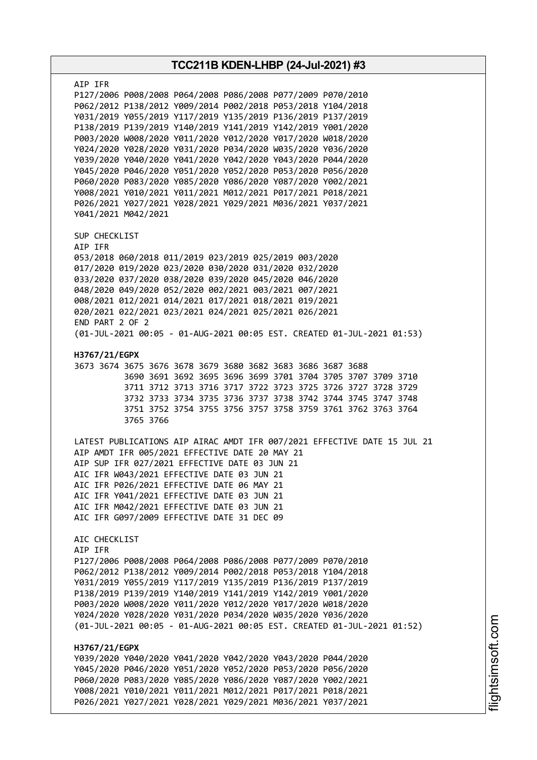| TCC211B KDEN-LHBP (24-Jul-2021) #3 |                                                                                                                                                                                                                                                                                                                                                                                                                                                                                                                                                                                                                                                                                                                                                     |  |  |
|------------------------------------|-----------------------------------------------------------------------------------------------------------------------------------------------------------------------------------------------------------------------------------------------------------------------------------------------------------------------------------------------------------------------------------------------------------------------------------------------------------------------------------------------------------------------------------------------------------------------------------------------------------------------------------------------------------------------------------------------------------------------------------------------------|--|--|
|                                    | AIP IFR<br>P127/2006 P008/2008 P064/2008 P086/2008 P077/2009 P070/2010<br>P062/2012 P138/2012 Y009/2014 P002/2018 P053/2018 Y104/2018<br>Y031/2019 Y055/2019 Y117/2019 Y135/2019 P136/2019 P137/2019<br>P138/2019 P139/2019 Y140/2019 Y141/2019 Y142/2019 Y001/2020<br>P003/2020 W008/2020 Y011/2020 Y012/2020 Y017/2020 W018/2020<br>Y024/2020 Y028/2020 Y031/2020 P034/2020 W035/2020 Y036/2020<br>Y039/2020 Y040/2020 Y041/2020 Y042/2020 Y043/2020 P044/2020<br>Y045/2020 P046/2020 Y051/2020 Y052/2020 P053/2020 P056/2020<br>P060/2020 P083/2020 Y085/2020 Y086/2020 Y087/2020 Y002/2021<br>Y008/2021 Y010/2021 Y011/2021 M012/2021 P017/2021 P018/2021<br>P026/2021 Y027/2021 Y028/2021 Y029/2021 M036/2021 Y037/2021<br>Y041/2021 M042/2021 |  |  |
|                                    | SUP CHECKLIST<br>AIP IFR<br>053/2018 060/2018 011/2019 023/2019 025/2019 003/2020<br>017/2020 019/2020 023/2020 030/2020 031/2020 032/2020<br>033/2020 037/2020 038/2020 039/2020 045/2020 046/2020<br>048/2020 049/2020 052/2020 002/2021 003/2021 007/2021<br>008/2021 012/2021 014/2021 017/2021 018/2021 019/2021<br>020/2021 022/2021 023/2021 024/2021 025/2021 026/2021<br>END PART 2 OF 2<br>(01-JUL-2021 00:05 - 01-AUG-2021 00:05 EST. CREATED 01-JUL-2021 01:53)                                                                                                                                                                                                                                                                         |  |  |
|                                    | H3767/21/EGPX<br>3673 3674 3675 3676 3678 3679 3680 3682 3683 3686 3687 3688<br>3690 3691 3692 3695 3696 3699 3701 3704 3705 3707 3709 3710<br>3711 3712 3713 3716 3717 3722 3723 3725 3726 3727 3728 3729<br>3732 3733 3734 3735 3736 3737 3738 3742 3744 3745 3747 3748<br>3751 3752 3754 3755 3756 3757 3758 3759 3761 3762 3763 3764<br>3765 3766                                                                                                                                                                                                                                                                                                                                                                                               |  |  |
|                                    | LATEST PUBLICATIONS AIP AIRAC AMDT IFR 007/2021 EFFECTIVE DATE 15 JUL 21<br>AIP AMDT IFR 005/2021 EFFECTIVE DATE 20 MAY 21<br>AIP SUP IFR 027/2021 EFFECTIVE DATE 03 JUN 21<br>AIC IFR W043/2021 EFFECTIVE DATE 03 JUN 21<br>AIC IFR P026/2021 EFFECTIVE DATE 06 MAY 21<br>AIC IFR Y041/2021 EFFECTIVE DATE 03 JUN 21<br>AIC IFR M042/2021 EFFECTIVE DATE 03 JUN 21<br>AIC IFR G097/2009 EFFECTIVE DATE 31 DEC 09                                                                                                                                                                                                                                                                                                                                   |  |  |
|                                    | AIC CHECKLIST<br>AIP IFR<br>P127/2006 P008/2008 P064/2008 P086/2008 P077/2009 P070/2010<br>P062/2012 P138/2012 Y009/2014 P002/2018 P053/2018 Y104/2018<br>Y031/2019 Y055/2019 Y117/2019 Y135/2019 P136/2019 P137/2019<br>P138/2019 P139/2019 Y140/2019 Y141/2019 Y142/2019 Y001/2020<br>P003/2020 W008/2020 Y011/2020 Y012/2020 Y017/2020 W018/2020<br>Y024/2020 Y028/2020 Y031/2020 P034/2020 W035/2020 Y036/2020<br>(01-JUL-2021 00:05 - 01-AUG-2021 00:05 EST. CREATED 01-JUL-2021 01:52)                                                                                                                                                                                                                                                        |  |  |
|                                    | H3767/21/EGPX<br>Y039/2020 Y040/2020 Y041/2020 Y042/2020 Y043/2020 P044/2020<br>Y045/2020 P046/2020 Y051/2020 Y052/2020 P053/2020 P056/2020<br>P060/2020 P083/2020 Y085/2020 Y086/2020 Y087/2020 Y002/2021<br>Y008/2021 Y010/2021 Y011/2021 M012/2021 P017/2021 P018/2021<br>P026/2021 Y027/2021 Y028/2021 Y029/2021 M036/2021 Y037/2021                                                                                                                                                                                                                                                                                                                                                                                                            |  |  |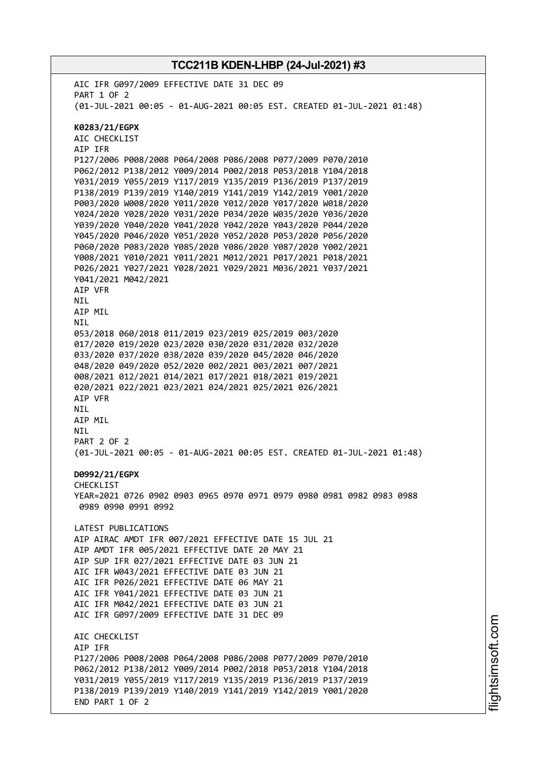AIC IFR G097/2009 EFFECTIVE DATE 31 DEC 09 PART 1 OF 2 (01-JUL-2021 00:05 - 01-AUG-2021 00:05 EST. CREATED 01-JUL-2021 01:48) **K0283/21/EGPX** AIC CHECKLIST AIP IFR P127/2006 P008/2008 P064/2008 P086/2008 P077/2009 P070/2010 P062/2012 P138/2012 Y009/2014 P002/2018 P053/2018 Y104/2018 Y031/2019 Y055/2019 Y117/2019 Y135/2019 P136/2019 P137/2019 P138/2019 P139/2019 Y140/2019 Y141/2019 Y142/2019 Y001/2020 P003/2020 W008/2020 Y011/2020 Y012/2020 Y017/2020 W018/2020 Y024/2020 Y028/2020 Y031/2020 P034/2020 W035/2020 Y036/2020 Y039/2020 Y040/2020 Y041/2020 Y042/2020 Y043/2020 P044/2020 Y045/2020 P046/2020 Y051/2020 Y052/2020 P053/2020 P056/2020 P060/2020 P083/2020 Y085/2020 Y086/2020 Y087/2020 Y002/2021 Y008/2021 Y010/2021 Y011/2021 M012/2021 P017/2021 P018/2021 P026/2021 Y027/2021 Y028/2021 Y029/2021 M036/2021 Y037/2021 Y041/2021 M042/2021 AIP VFR NIL AIP MIL **NTI** 053/2018 060/2018 011/2019 023/2019 025/2019 003/2020 017/2020 019/2020 023/2020 030/2020 031/2020 032/2020 033/2020 037/2020 038/2020 039/2020 045/2020 046/2020 048/2020 049/2020 052/2020 002/2021 003/2021 007/2021 008/2021 012/2021 014/2021 017/2021 018/2021 019/2021 020/2021 022/2021 023/2021 024/2021 025/2021 026/2021 AIP VFR NIL AIP MIL NIL PART 2 OF 2 (01-JUL-2021 00:05 - 01-AUG-2021 00:05 EST. CREATED 01-JUL-2021 01:48) **D0992/21/EGPX** CHECKL<sub>TST</sub> YEAR=2021 0726 0902 0903 0965 0970 0971 0979 0980 0981 0982 0983 0988 0989 0990 0991 0992 LATEST PUBLICATIONS AIP AIRAC AMDT IFR 007/2021 EFFECTIVE DATE 15 JUL 21 AIP AMDT IFR 005/2021 EFFECTIVE DATE 20 MAY 21 AIP SUP IFR 027/2021 EFFECTIVE DATE 03 JUN 21 AIC IFR W043/2021 EFFECTIVE DATE 03 JUN 21 AIC IFR P026/2021 EFFECTIVE DATE 06 MAY 21 AIC IFR Y041/2021 EFFECTIVE DATE 03 JUN 21 AIC IFR M042/2021 EFFECTIVE DATE 03 JUN 21 AIC IFR G097/2009 EFFECTIVE DATE 31 DEC 09 AIC CHECKLIST AIP IFR P127/2006 P008/2008 P064/2008 P086/2008 P077/2009 P070/2010 P062/2012 P138/2012 Y009/2014 P002/2018 P053/2018 Y104/2018 Y031/2019 Y055/2019 Y117/2019 Y135/2019 P136/2019 P137/2019 P138/2019 P139/2019 Y140/2019 Y141/2019 Y142/2019 Y001/2020 END PART 1 OF 2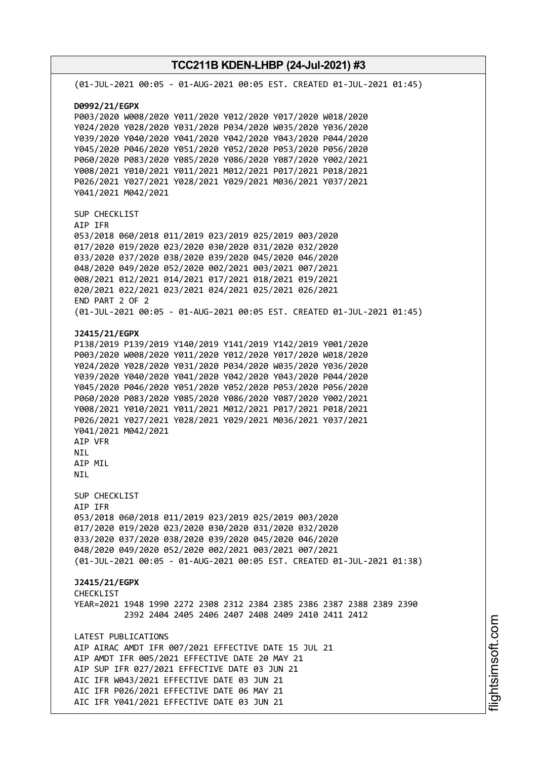**TCC211B KDEN-LHBP (24-Jul-2021) #3** (01-JUL-2021 00:05 - 01-AUG-2021 00:05 EST. CREATED 01-JUL-2021 01:45) **D0992/21/EGPX** P003/2020 W008/2020 Y011/2020 Y012/2020 Y017/2020 W018/2020 Y024/2020 Y028/2020 Y031/2020 P034/2020 W035/2020 Y036/2020 Y039/2020 Y040/2020 Y041/2020 Y042/2020 Y043/2020 P044/2020 Y045/2020 P046/2020 Y051/2020 Y052/2020 P053/2020 P056/2020 P060/2020 P083/2020 Y085/2020 Y086/2020 Y087/2020 Y002/2021 Y008/2021 Y010/2021 Y011/2021 M012/2021 P017/2021 P018/2021 P026/2021 Y027/2021 Y028/2021 Y029/2021 M036/2021 Y037/2021 Y041/2021 M042/2021 SUP CHECKLIST AIP IFR 053/2018 060/2018 011/2019 023/2019 025/2019 003/2020 017/2020 019/2020 023/2020 030/2020 031/2020 032/2020 033/2020 037/2020 038/2020 039/2020 045/2020 046/2020 048/2020 049/2020 052/2020 002/2021 003/2021 007/2021 008/2021 012/2021 014/2021 017/2021 018/2021 019/2021 020/2021 022/2021 023/2021 024/2021 025/2021 026/2021 END PART 2 OF 2 (01-JUL-2021 00:05 - 01-AUG-2021 00:05 EST. CREATED 01-JUL-2021 01:45) **J2415/21/EGPX** P138/2019 P139/2019 Y140/2019 Y141/2019 Y142/2019 Y001/2020 P003/2020 W008/2020 Y011/2020 Y012/2020 Y017/2020 W018/2020 Y024/2020 Y028/2020 Y031/2020 P034/2020 W035/2020 Y036/2020 Y039/2020 Y040/2020 Y041/2020 Y042/2020 Y043/2020 P044/2020 Y045/2020 P046/2020 Y051/2020 Y052/2020 P053/2020 P056/2020 P060/2020 P083/2020 Y085/2020 Y086/2020 Y087/2020 Y002/2021 Y008/2021 Y010/2021 Y011/2021 M012/2021 P017/2021 P018/2021 P026/2021 Y027/2021 Y028/2021 Y029/2021 M036/2021 Y037/2021 Y041/2021 M042/2021 AIP VFR NIL AIP MIL NIL SUP CHECKLIST AIP IFR 053/2018 060/2018 011/2019 023/2019 025/2019 003/2020 017/2020 019/2020 023/2020 030/2020 031/2020 032/2020 033/2020 037/2020 038/2020 039/2020 045/2020 046/2020 048/2020 049/2020 052/2020 002/2021 003/2021 007/2021 (01-JUL-2021 00:05 - 01-AUG-2021 00:05 EST. CREATED 01-JUL-2021 01:38) **J2415/21/EGPX CHECKLIST** YEAR=2021 1948 1990 2272 2308 2312 2384 2385 2386 2387 2388 2389 2390 2392 2404 2405 2406 2407 2408 2409 2410 2411 2412 LATEST PUBLICATIONS AIP AIRAC AMDT IFR 007/2021 EFFECTIVE DATE 15 JUL 21 AIP AMDT IFR 005/2021 EFFECTIVE DATE 20 MAY 21 AIP SUP IFR 027/2021 EFFECTIVE DATE 03 JUN 21 AIC IFR W043/2021 EFFECTIVE DATE 03 JUN 21 AIC IFR P026/2021 EFFECTIVE DATE 06 MAY 21 AIC IFR Y041/2021 EFFECTIVE DATE 03 JUN 21

m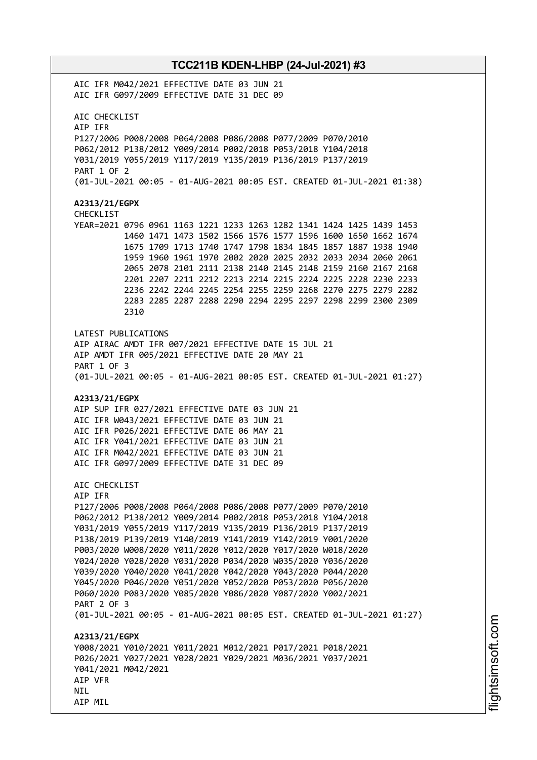AIC IFR M042/2021 EFFECTIVE DATE 03 JUN 21 AIC IFR G097/2009 EFFECTIVE DATE 31 DEC 09 AIC CHECKLIST AIP IFR P127/2006 P008/2008 P064/2008 P086/2008 P077/2009 P070/2010 P062/2012 P138/2012 Y009/2014 P002/2018 P053/2018 Y104/2018 Y031/2019 Y055/2019 Y117/2019 Y135/2019 P136/2019 P137/2019 PART 1 OF 2 (01-JUL-2021 00:05 - 01-AUG-2021 00:05 EST. CREATED 01-JUL-2021 01:38) **A2313/21/EGPX** CHECKLIST YEAR=2021 0796 0961 1163 1221 1233 1263 1282 1341 1424 1425 1439 1453 1460 1471 1473 1502 1566 1576 1577 1596 1600 1650 1662 1674 1675 1709 1713 1740 1747 1798 1834 1845 1857 1887 1938 1940 1959 1960 1961 1970 2002 2020 2025 2032 2033 2034 2060 2061 2065 2078 2101 2111 2138 2140 2145 2148 2159 2160 2167 2168 2201 2207 2211 2212 2213 2214 2215 2224 2225 2228 2230 2233 2236 2242 2244 2245 2254 2255 2259 2268 2270 2275 2279 2282 2283 2285 2287 2288 2290 2294 2295 2297 2298 2299 2300 2309 2310 LATEST PUBLICATIONS AIP AIRAC AMDT IFR 007/2021 EFFECTIVE DATE 15 JUL 21 AIP AMDT IFR 005/2021 EFFECTIVE DATE 20 MAY 21 PART 1 OF 3 (01-JUL-2021 00:05 - 01-AUG-2021 00:05 EST. CREATED 01-JUL-2021 01:27) **A2313/21/EGPX** AIP SUP IFR 027/2021 EFFECTIVE DATE 03 JUN 21 AIC IFR W043/2021 EFFECTIVE DATE 03 JUN 21 AIC IFR P026/2021 EFFECTIVE DATE 06 MAY 21 AIC IFR Y041/2021 EFFECTIVE DATE 03 JUN 21 AIC IFR M042/2021 EFFECTIVE DATE 03 JUN 21 AIC IFR G097/2009 EFFECTIVE DATE 31 DEC 09 AIC CHECKLIST AIP IFR P127/2006 P008/2008 P064/2008 P086/2008 P077/2009 P070/2010 P062/2012 P138/2012 Y009/2014 P002/2018 P053/2018 Y104/2018 Y031/2019 Y055/2019 Y117/2019 Y135/2019 P136/2019 P137/2019 P138/2019 P139/2019 Y140/2019 Y141/2019 Y142/2019 Y001/2020 P003/2020 W008/2020 Y011/2020 Y012/2020 Y017/2020 W018/2020 Y024/2020 Y028/2020 Y031/2020 P034/2020 W035/2020 Y036/2020 Y039/2020 Y040/2020 Y041/2020 Y042/2020 Y043/2020 P044/2020 Y045/2020 P046/2020 Y051/2020 Y052/2020 P053/2020 P056/2020 P060/2020 P083/2020 Y085/2020 Y086/2020 Y087/2020 Y002/2021 PART 2 OF 3 (01-JUL-2021 00:05 - 01-AUG-2021 00:05 EST. CREATED 01-JUL-2021 01:27) **A2313/21/EGPX** Y008/2021 Y010/2021 Y011/2021 M012/2021 P017/2021 P018/2021 P026/2021 Y027/2021 Y028/2021 Y029/2021 M036/2021 Y037/2021 Y041/2021 M042/2021 AIP VFR NIL AIP MIL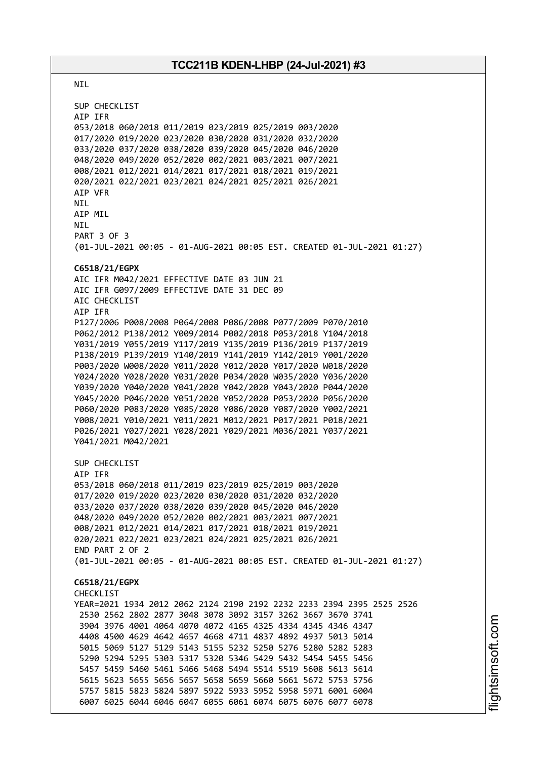NIL SUP CHECKLIST AIP IFR 053/2018 060/2018 011/2019 023/2019 025/2019 003/2020 017/2020 019/2020 023/2020 030/2020 031/2020 032/2020 033/2020 037/2020 038/2020 039/2020 045/2020 046/2020 048/2020 049/2020 052/2020 002/2021 003/2021 007/2021 008/2021 012/2021 014/2021 017/2021 018/2021 019/2021 020/2021 022/2021 023/2021 024/2021 025/2021 026/2021 AIP VFR NIL AIP MIL NIL PART 3 OF 3 (01-JUL-2021 00:05 - 01-AUG-2021 00:05 EST. CREATED 01-JUL-2021 01:27) **C6518/21/EGPX** AIC IFR M042/2021 EFFECTIVE DATE 03 JUN 21 AIC IFR G097/2009 EFFECTIVE DATE 31 DEC 09 AIC CHECKLIST AIP IFR P127/2006 P008/2008 P064/2008 P086/2008 P077/2009 P070/2010 P062/2012 P138/2012 Y009/2014 P002/2018 P053/2018 Y104/2018 Y031/2019 Y055/2019 Y117/2019 Y135/2019 P136/2019 P137/2019 P138/2019 P139/2019 Y140/2019 Y141/2019 Y142/2019 Y001/2020 P003/2020 W008/2020 Y011/2020 Y012/2020 Y017/2020 W018/2020 Y024/2020 Y028/2020 Y031/2020 P034/2020 W035/2020 Y036/2020 Y039/2020 Y040/2020 Y041/2020 Y042/2020 Y043/2020 P044/2020 Y045/2020 P046/2020 Y051/2020 Y052/2020 P053/2020 P056/2020 P060/2020 P083/2020 Y085/2020 Y086/2020 Y087/2020 Y002/2021 Y008/2021 Y010/2021 Y011/2021 M012/2021 P017/2021 P018/2021 P026/2021 Y027/2021 Y028/2021 Y029/2021 M036/2021 Y037/2021 Y041/2021 M042/2021 SUP CHECKLIST AIP IFR 053/2018 060/2018 011/2019 023/2019 025/2019 003/2020 017/2020 019/2020 023/2020 030/2020 031/2020 032/2020 033/2020 037/2020 038/2020 039/2020 045/2020 046/2020 048/2020 049/2020 052/2020 002/2021 003/2021 007/2021 008/2021 012/2021 014/2021 017/2021 018/2021 019/2021 020/2021 022/2021 023/2021 024/2021 025/2021 026/2021 END PART 2 OF 2 (01-JUL-2021 00:05 - 01-AUG-2021 00:05 EST. CREATED 01-JUL-2021 01:27) **C6518/21/EGPX** CHECKLIST YEAR=2021 1934 2012 2062 2124 2190 2192 2232 2233 2394 2395 2525 2526 2530 2562 2802 2877 3048 3078 3092 3157 3262 3667 3670 3741 3904 3976 4001 4064 4070 4072 4165 4325 4334 4345 4346 4347 4408 4500 4629 4642 4657 4668 4711 4837 4892 4937 5013 5014 5015 5069 5127 5129 5143 5155 5232 5250 5276 5280 5282 5283 5290 5294 5295 5303 5317 5320 5346 5429 5432 5454 5455 5456 5457 5459 5460 5461 5466 5468 5494 5514 5519 5608 5613 5614 5615 5623 5655 5656 5657 5658 5659 5660 5661 5672 5753 5756 5757 5815 5823 5824 5897 5922 5933 5952 5958 5971 6001 6004 6007 6025 6044 6046 6047 6055 6061 6074 6075 6076 6077 6078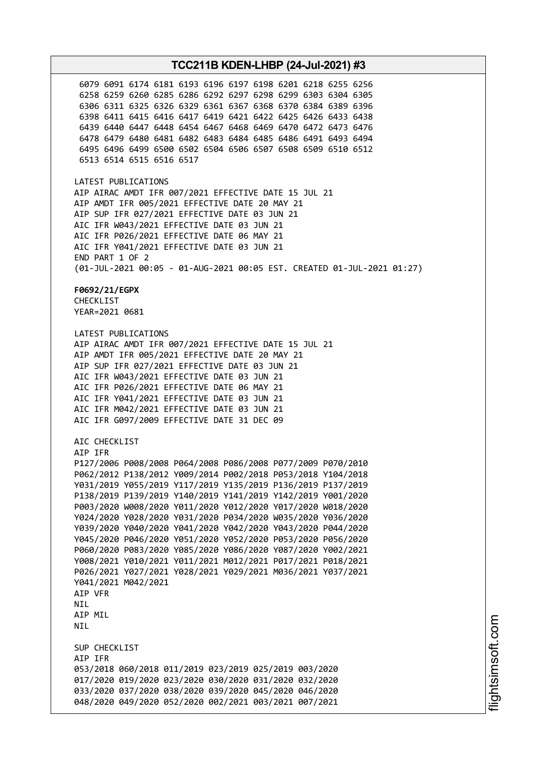6079 6091 6174 6181 6193 6196 6197 6198 6201 6218 6255 6256 6258 6259 6260 6285 6286 6292 6297 6298 6299 6303 6304 6305 6306 6311 6325 6326 6329 6361 6367 6368 6370 6384 6389 6396 6398 6411 6415 6416 6417 6419 6421 6422 6425 6426 6433 6438 6439 6440 6447 6448 6454 6467 6468 6469 6470 6472 6473 6476 6478 6479 6480 6481 6482 6483 6484 6485 6486 6491 6493 6494 6495 6496 6499 6500 6502 6504 6506 6507 6508 6509 6510 6512 6513 6514 6515 6516 6517 LATEST PUBLICATIONS AIP AIRAC AMDT IFR 007/2021 EFFECTIVE DATE 15 JUL 21 AIP AMDT IFR 005/2021 EFFECTIVE DATE 20 MAY 21 AIP SUP IFR 027/2021 EFFECTIVE DATE 03 JUN 21 AIC IFR W043/2021 EFFECTIVE DATE 03 JUN 21 AIC IFR P026/2021 EFFECTIVE DATE 06 MAY 21 AIC IFR Y041/2021 EFFECTIVE DATE 03 JUN 21 END PART 1 OF 2 (01-JUL-2021 00:05 - 01-AUG-2021 00:05 EST. CREATED 01-JUL-2021 01:27) **F0692/21/EGPX** CHECKLIST YEAR=2021 0681 LATEST PUBLICATIONS AIP AIRAC AMDT IFR 007/2021 EFFECTIVE DATE 15 JUL 21 AIP AMDT IFR 005/2021 EFFECTIVE DATE 20 MAY 21 AIP SUP IFR 027/2021 EFFECTIVE DATE 03 JUN 21 AIC IFR W043/2021 EFFECTIVE DATE 03 JUN 21 AIC IFR P026/2021 EFFECTIVE DATE 06 MAY 21 AIC IFR Y041/2021 EFFECTIVE DATE 03 JUN 21 AIC IFR M042/2021 EFFECTIVE DATE 03 JUN 21 AIC IFR G097/2009 EFFECTIVE DATE 31 DEC 09 AIC CHECKLIST AIP IFR P127/2006 P008/2008 P064/2008 P086/2008 P077/2009 P070/2010 P062/2012 P138/2012 Y009/2014 P002/2018 P053/2018 Y104/2018 Y031/2019 Y055/2019 Y117/2019 Y135/2019 P136/2019 P137/2019 P138/2019 P139/2019 Y140/2019 Y141/2019 Y142/2019 Y001/2020 P003/2020 W008/2020 Y011/2020 Y012/2020 Y017/2020 W018/2020 Y024/2020 Y028/2020 Y031/2020 P034/2020 W035/2020 Y036/2020 Y039/2020 Y040/2020 Y041/2020 Y042/2020 Y043/2020 P044/2020 Y045/2020 P046/2020 Y051/2020 Y052/2020 P053/2020 P056/2020 P060/2020 P083/2020 Y085/2020 Y086/2020 Y087/2020 Y002/2021 Y008/2021 Y010/2021 Y011/2021 M012/2021 P017/2021 P018/2021 P026/2021 Y027/2021 Y028/2021 Y029/2021 M036/2021 Y037/2021 Y041/2021 M042/2021 AIP VFR **NTI** AIP MIL NIL SUP CHECKLIST AIP IFR 053/2018 060/2018 011/2019 023/2019 025/2019 003/2020 017/2020 019/2020 023/2020 030/2020 031/2020 032/2020 033/2020 037/2020 038/2020 039/2020 045/2020 046/2020 048/2020 049/2020 052/2020 002/2021 003/2021 007/2021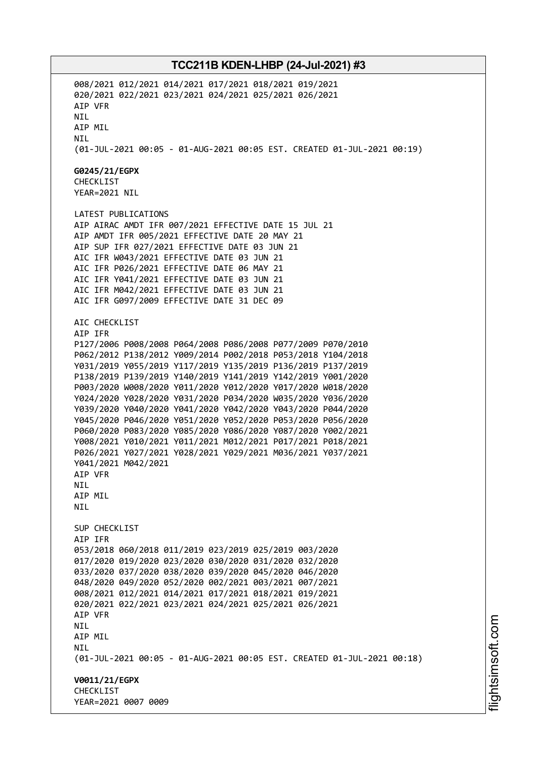008/2021 012/2021 014/2021 017/2021 018/2021 019/2021 020/2021 022/2021 023/2021 024/2021 025/2021 026/2021 AIP VFR NIL AIP MIL NIL (01-JUL-2021 00:05 - 01-AUG-2021 00:05 EST. CREATED 01-JUL-2021 00:19) **G0245/21/EGPX** CHECKLIST YEAR=2021 NIL LATEST PUBLICATIONS AIP AIRAC AMDT IFR 007/2021 EFFECTIVE DATE 15 JUL 21 AIP AMDT IFR 005/2021 EFFECTIVE DATE 20 MAY 21 AIP SUP IFR 027/2021 EFFECTIVE DATE 03 JUN 21 AIC IFR W043/2021 EFFECTIVE DATE 03 JUN 21 AIC IFR P026/2021 EFFECTIVE DATE 06 MAY 21 AIC IFR Y041/2021 EFFECTIVE DATE 03 JUN 21 AIC IFR M042/2021 EFFECTIVE DATE 03 JUN 21 AIC IFR G097/2009 EFFECTIVE DATE 31 DEC 09 AIC CHECKLIST AIP IFR P127/2006 P008/2008 P064/2008 P086/2008 P077/2009 P070/2010 P062/2012 P138/2012 Y009/2014 P002/2018 P053/2018 Y104/2018 Y031/2019 Y055/2019 Y117/2019 Y135/2019 P136/2019 P137/2019 P138/2019 P139/2019 Y140/2019 Y141/2019 Y142/2019 Y001/2020 P003/2020 W008/2020 Y011/2020 Y012/2020 Y017/2020 W018/2020 Y024/2020 Y028/2020 Y031/2020 P034/2020 W035/2020 Y036/2020 Y039/2020 Y040/2020 Y041/2020 Y042/2020 Y043/2020 P044/2020 Y045/2020 P046/2020 Y051/2020 Y052/2020 P053/2020 P056/2020 P060/2020 P083/2020 Y085/2020 Y086/2020 Y087/2020 Y002/2021 Y008/2021 Y010/2021 Y011/2021 M012/2021 P017/2021 P018/2021 P026/2021 Y027/2021 Y028/2021 Y029/2021 M036/2021 Y037/2021 Y041/2021 M042/2021 AIP VFR NIL AIP MIL NIL SUP CHECKLIST AIP IFR 053/2018 060/2018 011/2019 023/2019 025/2019 003/2020 017/2020 019/2020 023/2020 030/2020 031/2020 032/2020 033/2020 037/2020 038/2020 039/2020 045/2020 046/2020 048/2020 049/2020 052/2020 002/2021 003/2021 007/2021 008/2021 012/2021 014/2021 017/2021 018/2021 019/2021 020/2021 022/2021 023/2021 024/2021 025/2021 026/2021 AIP VFR NIL AIP MIL NIL (01-JUL-2021 00:05 - 01-AUG-2021 00:05 EST. CREATED 01-JUL-2021 00:18) **V0011/21/EGPX** CHECKLIST YEAR=2021 0007 0009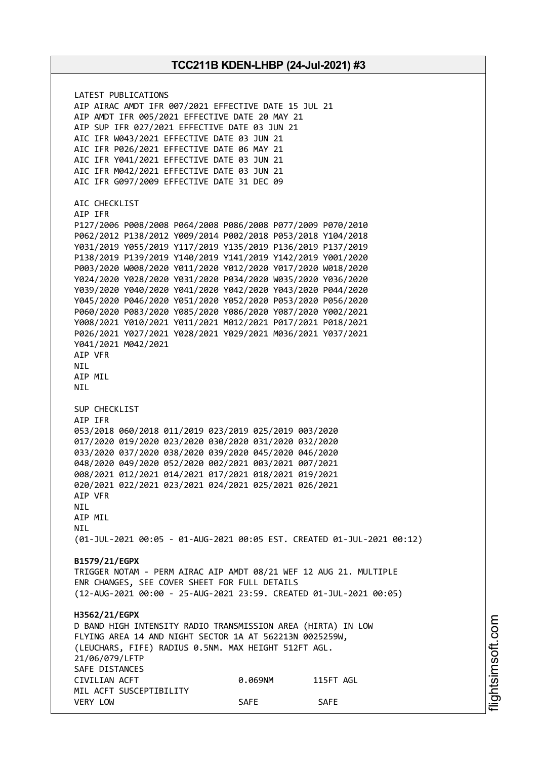LATEST PUBLICATIONS AIP AIRAC AMDT IFR 007/2021 EFFECTIVE DATE 15 JUL 21 AIP AMDT IFR 005/2021 EFFECTIVE DATE 20 MAY 21 AIP SUP IFR 027/2021 EFFECTIVE DATE 03 JUN 21 AIC IFR W043/2021 EFFECTIVE DATE 03 JUN 21 AIC IFR P026/2021 EFFECTIVE DATE 06 MAY 21 AIC IFR Y041/2021 EFFECTIVE DATE 03 JUN 21 AIC IFR M042/2021 EFFECTIVE DATE 03 JUN 21 AIC IFR G097/2009 EFFECTIVE DATE 31 DEC 09 AIC CHECKLIST AIP IFR P127/2006 P008/2008 P064/2008 P086/2008 P077/2009 P070/2010 P062/2012 P138/2012 Y009/2014 P002/2018 P053/2018 Y104/2018 Y031/2019 Y055/2019 Y117/2019 Y135/2019 P136/2019 P137/2019 P138/2019 P139/2019 Y140/2019 Y141/2019 Y142/2019 Y001/2020 P003/2020 W008/2020 Y011/2020 Y012/2020 Y017/2020 W018/2020 Y024/2020 Y028/2020 Y031/2020 P034/2020 W035/2020 Y036/2020 Y039/2020 Y040/2020 Y041/2020 Y042/2020 Y043/2020 P044/2020 Y045/2020 P046/2020 Y051/2020 Y052/2020 P053/2020 P056/2020 P060/2020 P083/2020 Y085/2020 Y086/2020 Y087/2020 Y002/2021 Y008/2021 Y010/2021 Y011/2021 M012/2021 P017/2021 P018/2021 P026/2021 Y027/2021 Y028/2021 Y029/2021 M036/2021 Y037/2021 Y041/2021 M042/2021 AIP VFR NIL AIP MIL NIL SUP CHECKLIST AIP IFR 053/2018 060/2018 011/2019 023/2019 025/2019 003/2020 017/2020 019/2020 023/2020 030/2020 031/2020 032/2020 033/2020 037/2020 038/2020 039/2020 045/2020 046/2020 048/2020 049/2020 052/2020 002/2021 003/2021 007/2021 008/2021 012/2021 014/2021 017/2021 018/2021 019/2021 020/2021 022/2021 023/2021 024/2021 025/2021 026/2021 AIP VFR NIL AIP MIL **NTI** (01-JUL-2021 00:05 - 01-AUG-2021 00:05 EST. CREATED 01-JUL-2021 00:12) **B1579/21/EGPX** TRIGGER NOTAM - PERM AIRAC AIP AMDT 08/21 WEF 12 AUG 21. MULTIPLE ENR CHANGES, SEE COVER SHEET FOR FULL DETAILS (12-AUG-2021 00:00 - 25-AUG-2021 23:59. CREATED 01-JUL-2021 00:05) **H3562/21/EGPX** D BAND HIGH INTENSITY RADIO TRANSMISSION AREA (HIRTA) IN LOW FLYING AREA 14 AND NIGHT SECTOR 1A AT 562213N 0025259W, (LEUCHARS, FIFE) RADIUS 0.5NM. MAX HEIGHT 512FT AGL. 21/06/079/LFTP SAFE DISTANCES CIVILIAN ACFT 0.069NM 115FT AGL MIL ACFT SUSCEPTIBILITY VERY LOW SAFE SAFE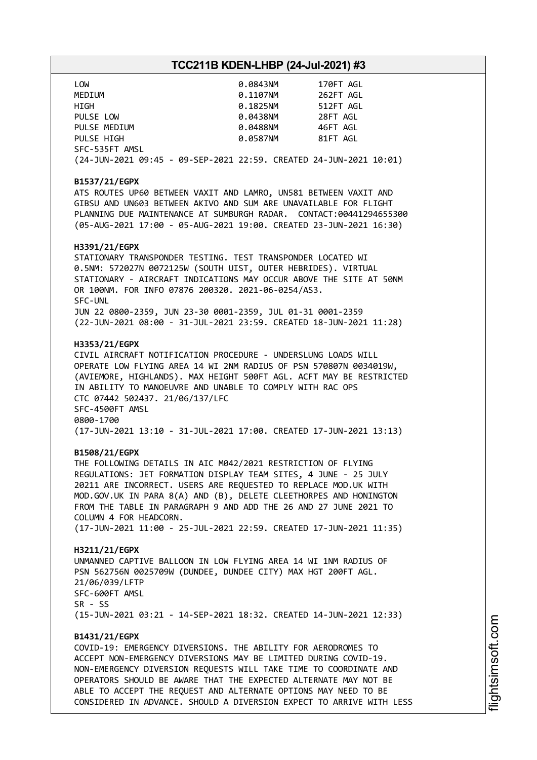| LOW                                                                | 0.0843NM | 170FT AGL |  |
|--------------------------------------------------------------------|----------|-----------|--|
| MEDIUM                                                             | 0.1107NM | 262FT AGL |  |
| HIGH                                                               | 0.1825NM | 512FT AGL |  |
| PULSE LOW                                                          | 0.0438NM | 28FT AGL  |  |
| PULSE MEDIUM                                                       | 0.0488NM | 46FT AGL  |  |
| PULSE HIGH                                                         | 0.0587NM | 81FT AGL  |  |
| SFC-535FT AMSL                                                     |          |           |  |
| (24-JUN-2021 09:45 - 09-SEP-2021 22:59. CREATED 24-JUN-2021 10:01) |          |           |  |

#### **B1537/21/EGPX**

ATS ROUTES UP60 BETWEEN VAXIT AND LAMRO, UN581 BETWEEN VAXIT AND GIBSU AND UN603 BETWEEN AKIVO AND SUM ARE UNAVAILABLE FOR FLIGHT PLANNING DUE MAINTENANCE AT SUMBURGH RADAR. CONTACT:00441294655300 (05-AUG-2021 17:00 - 05-AUG-2021 19:00. CREATED 23-JUN-2021 16:30)

#### **H3391/21/EGPX**

STATIONARY TRANSPONDER TESTING. TEST TRANSPONDER LOCATED WI 0.5NM: 572027N 0072125W (SOUTH UIST, OUTER HEBRIDES). VIRTUAL STATIONARY - AIRCRAFT INDICATIONS MAY OCCUR ABOVE THE SITE AT 50NM OR 100NM. FOR INFO 07876 200320. 2021-06-0254/AS3. SFC-UNL JUN 22 0800-2359, JUN 23-30 0001-2359, JUL 01-31 0001-2359 (22-JUN-2021 08:00 - 31-JUL-2021 23:59. CREATED 18-JUN-2021 11:28)

#### **H3353/21/EGPX**

CIVIL AIRCRAFT NOTIFICATION PROCEDURE - UNDERSLUNG LOADS WILL OPERATE LOW FLYING AREA 14 WI 2NM RADIUS OF PSN 570807N 0034019W, (AVIEMORE, HIGHLANDS). MAX HEIGHT 500FT AGL. ACFT MAY BE RESTRICTED IN ABILITY TO MANOEUVRE AND UNABLE TO COMPLY WITH RAC OPS CTC 07442 502437. 21/06/137/LFC SFC-4500FT AMSL 0800-1700 (17-JUN-2021 13:10 - 31-JUL-2021 17:00. CREATED 17-JUN-2021 13:13)

#### **B1508/21/EGPX**

THE FOLLOWING DETAILS IN AIC M042/2021 RESTRICTION OF FLYING REGULATIONS: JET FORMATION DISPLAY TEAM SITES, 4 JUNE - 25 JULY 20211 ARE INCORRECT. USERS ARE REQUESTED TO REPLACE MOD.UK WITH MOD.GOV.UK IN PARA 8(A) AND (B), DELETE CLEETHORPES AND HONINGTON FROM THE TABLE IN PARAGRAPH 9 AND ADD THE 26 AND 27 JUNE 2021 TO COLUMN 4 FOR HEADCORN.

(17-JUN-2021 11:00 - 25-JUL-2021 22:59. CREATED 17-JUN-2021 11:35)

#### **H3211/21/EGPX**

UNMANNED CAPTIVE BALLOON IN LOW FLYING AREA 14 WI 1NM RADIUS OF PSN 562756N 0025709W (DUNDEE, DUNDEE CITY) MAX HGT 200FT AGL. 21/06/039/LFTP SFC-600FT AMSL SR - SS (15-JUN-2021 03:21 - 14-SEP-2021 18:32. CREATED 14-JUN-2021 12:33)

#### **B1431/21/EGPX**

COVID-19: EMERGENCY DIVERSIONS. THE ABILITY FOR AERODROMES TO ACCEPT NON-EMERGENCY DIVERSIONS MAY BE LIMITED DURING COVID-19. NON-EMERGENCY DIVERSION REQUESTS WILL TAKE TIME TO COORDINATE AND OPERATORS SHOULD BE AWARE THAT THE EXPECTED ALTERNATE MAY NOT BE ABLE TO ACCEPT THE REQUEST AND ALTERNATE OPTIONS MAY NEED TO BE CONSIDERED IN ADVANCE. SHOULD A DIVERSION EXPECT TO ARRIVE WITH LESS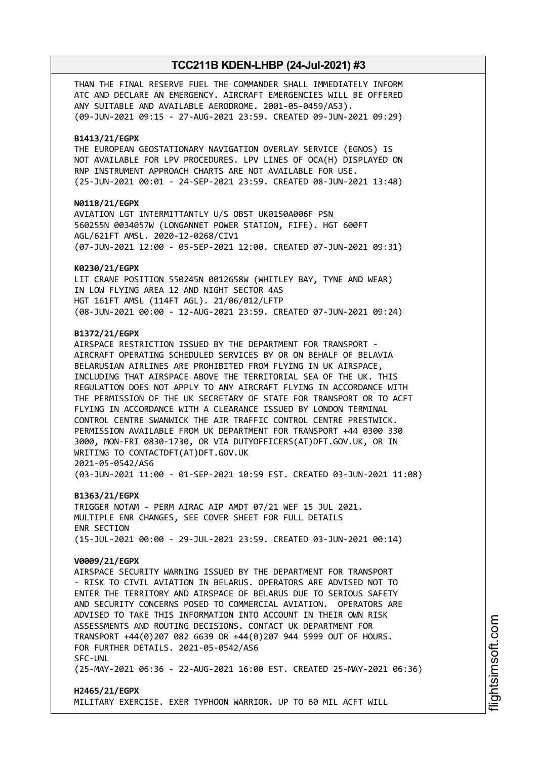THAN THE FINAL RESERVE FUEL THE COMMANDER SHALL IMMEDIATELY INFORM ATC AND DECLARE AN EMERGENCY. AIRCRAFT EMERGENCIES WILL BE OFFERED ANY SUITABLE AND AVAILABLE AERODROME. 2001-05-0459/AS3). (09-JUN-2021 09:15 - 27-AUG-2021 23:59. CREATED 09-JUN-2021 09:29)

#### **B1413/21/EGPX**

THE EUROPEAN GEOSTATIONARY NAVIGATION OVERLAY SERVICE (EGNOS) IS NOT AVAILABLE FOR LPV PROCEDURES. LPV LINES OF OCA(H) DISPLAYED ON RNP INSTRUMENT APPROACH CHARTS ARE NOT AVAILABLE FOR USE. (25-JUN-2021 00:01 - 24-SEP-2021 23:59. CREATED 08-JUN-2021 13:48)

#### **N0118/21/EGPX**

AVIATION LGT INTERMITTANTLY U/S OBST UK0150A006F PSN 560255N 0034057W (LONGANNET POWER STATION, FIFE). HGT 600FT AGL/621FT AMSL. 2020-12-0268/CIV1 (07-JUN-2021 12:00 - 05-SEP-2021 12:00. CREATED 07-JUN-2021 09:31)

#### **K0230/21/EGPX**

LIT CRANE POSITION 550245N 0012658W (WHITLEY BAY, TYNE AND WEAR) IN LOW FLYING AREA 12 AND NIGHT SECTOR 4AS HGT 161FT AMSL (114FT AGL). 21/06/012/LFTP (08-JUN-2021 00:00 - 12-AUG-2021 23:59. CREATED 07-JUN-2021 09:24)

#### **B1372/21/EGPX**

AIRSPACE RESTRICTION ISSUED BY THE DEPARTMENT FOR TRANSPORT - AIRCRAFT OPERATING SCHEDULED SERVICES BY OR ON BEHALF OF BELAVIA BELARUSIAN AIRLINES ARE PROHIBITED FROM FLYING IN UK AIRSPACE, INCLUDING THAT AIRSPACE ABOVE THE TERRITORIAL SEA OF THE UK. THIS REGULATION DOES NOT APPLY TO ANY AIRCRAFT FLYING IN ACCORDANCE WITH THE PERMISSION OF THE UK SECRETARY OF STATE FOR TRANSPORT OR TO ACFT FLYING IN ACCORDANCE WITH A CLEARANCE ISSUED BY LONDON TERMINAL CONTROL CENTRE SWANWICK THE AIR TRAFFIC CONTROL CENTRE PRESTWICK. PERMISSION AVAILABLE FROM UK DEPARTMENT FOR TRANSPORT +44 0300 330 3000, MON-FRI 0830-1730, OR VIA DUTYOFFICERS(AT)DFT.GOV.UK, OR IN WRITING TO CONTACTDFT(AT)DFT.GOV.UK 2021-05-0542/AS6 (03-JUN-2021 11:00 - 01-SEP-2021 10:59 EST. CREATED 03-JUN-2021 11:08)

**B1363/21/EGPX**

TRIGGER NOTAM - PERM AIRAC AIP AMDT 07/21 WEF 15 JUL 2021. MULTIPLE ENR CHANGES, SEE COVER SHEET FOR FULL DETAILS ENR SECTION (15-JUL-2021 00:00 - 29-JUL-2021 23:59. CREATED 03-JUN-2021 00:14)

#### **V0009/21/EGPX**

AIRSPACE SECURITY WARNING ISSUED BY THE DEPARTMENT FOR TRANSPORT - RISK TO CIVIL AVIATION IN BELARUS. OPERATORS ARE ADVISED NOT TO ENTER THE TERRITORY AND AIRSPACE OF BELARUS DUE TO SERIOUS SAFETY AND SECURITY CONCERNS POSED TO COMMERCIAL AVIATION. OPERATORS ARE ADVISED TO TAKE THIS INFORMATION INTO ACCOUNT IN THEIR OWN RISK ASSESSMENTS AND ROUTING DECISIONS. CONTACT UK DEPARTMENT FOR TRANSPORT +44(0)207 082 6639 OR +44(0)207 944 5999 OUT OF HOURS. FOR FURTHER DETAILS. 2021-05-0542/AS6 SFC-UNL (25-MAY-2021 06:36 - 22-AUG-2021 16:00 EST. CREATED 25-MAY-2021 06:36)

### **H2465/21/EGPX** MILITARY EXERCISE. EXER TYPHOON WARRIOR. UP TO 60 MIL ACFT WILL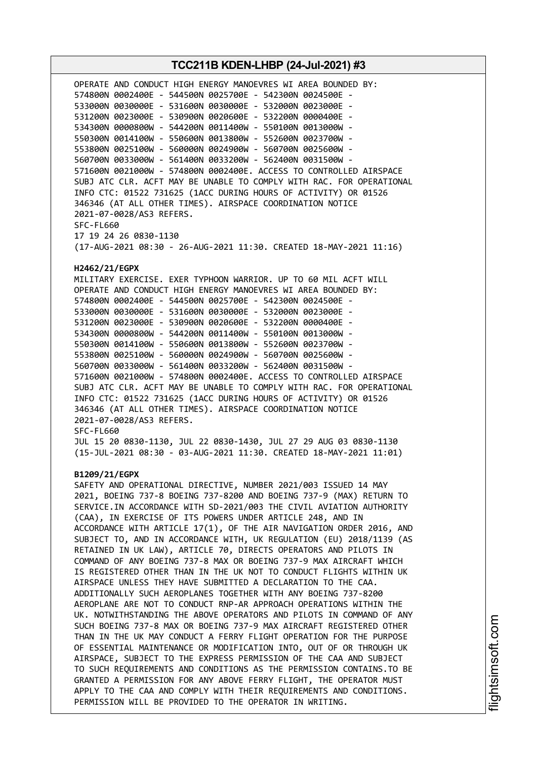## **TCC211B KDEN-LHBP (24-Jul-2021) #3** OPERATE AND CONDUCT HIGH ENERGY MANOEVRES WI AREA BOUNDED BY: 574800N 0002400E - 544500N 0025700E - 542300N 0024500E - 533000N 0030000E - 531600N 0030000E - 532000N 0023000E - 531200N 0023000E - 530900N 0020600E - 532200N 0000400E - 534300N 0000800W - 544200N 0011400W - 550100N 0013000W - 550300N 0014100W - 550600N 0013800W - 552600N 0023700W - 553800N 0025100W - 560000N 0024900W - 560700N 0025600W - 560700N 0033000W - 561400N 0033200W - 562400N 0031500W - 571600N 0021000W - 574800N 0002400E. ACCESS TO CONTROLLED AIRSPACE SUBJ ATC CLR. ACFT MAY BE UNABLE TO COMPLY WITH RAC. FOR OPERATIONAL INFO CTC: 01522 731625 (1ACC DURING HOURS OF ACTIVITY) OR 01526 346346 (AT ALL OTHER TIMES). AIRSPACE COORDINATION NOTICE 2021-07-0028/AS3 REFERS. SFC-FL660 17 19 24 26 0830-1130 (17-AUG-2021 08:30 - 26-AUG-2021 11:30. CREATED 18-MAY-2021 11:16) **H2462/21/EGPX** MILITARY EXERCISE. EXER TYPHOON WARRIOR. UP TO 60 MIL ACFT WILL OPERATE AND CONDUCT HIGH ENERGY MANOEVRES WI AREA BOUNDED BY: 574800N 0002400E - 544500N 0025700E - 542300N 0024500E - 533000N 0030000E - 531600N 0030000E - 532000N 0023000E - 531200N 0023000E - 530900N 0020600E - 532200N 0000400E - 534300N 0000800W - 544200N 0011400W - 550100N 0013000W - 550300N 0014100W - 550600N 0013800W - 552600N 0023700W - 553800N 0025100W - 560000N 0024900W - 560700N 0025600W - 560700N 0033000W - 561400N 0033200W - 562400N 0031500W - 571600N 0021000W - 574800N 0002400E. ACCESS TO CONTROLLED AIRSPACE SUBJ ATC CLR. ACFT MAY BE UNABLE TO COMPLY WITH RAC. FOR OPERATIONAL INFO CTC: 01522 731625 (1ACC DURING HOURS OF ACTIVITY) OR 01526 346346 (AT ALL OTHER TIMES). AIRSPACE COORDINATION NOTICE 2021-07-0028/AS3 REFERS. SFC-FL660 JUL 15 20 0830-1130, JUL 22 0830-1430, JUL 27 29 AUG 03 0830-1130 (15-JUL-2021 08:30 - 03-AUG-2021 11:30. CREATED 18-MAY-2021 11:01) **B1209/21/EGPX** SAFETY AND OPERATIONAL DIRECTIVE, NUMBER 2021/003 ISSUED 14 MAY 2021, BOEING 737-8 BOEING 737-8200 AND BOEING 737-9 (MAX) RETURN TO SERVICE.IN ACCORDANCE WITH SD-2021/003 THE CIVIL AVIATION AUTHORITY (CAA), IN EXERCISE OF ITS POWERS UNDER ARTICLE 248, AND IN ACCORDANCE WITH ARTICLE 17(1), OF THE AIR NAVIGATION ORDER 2016, AND SUBJECT TO, AND IN ACCORDANCE WITH, UK REGULATION (EU) 2018/1139 (AS RETAINED IN UK LAW), ARTICLE 70, DIRECTS OPERATORS AND PILOTS IN COMMAND OF ANY BOEING 737-8 MAX OR BOEING 737-9 MAX AIRCRAFT WHICH IS REGISTERED OTHER THAN IN THE UK NOT TO CONDUCT FLIGHTS WITHIN UK AIRSPACE UNLESS THEY HAVE SUBMITTED A DECLARATION TO THE CAA. ADDITIONALLY SUCH AEROPLANES TOGETHER WITH ANY BOEING 737-8200 AEROPLANE ARE NOT TO CONDUCT RNP-AR APPROACH OPERATIONS WITHIN THE UK. NOTWITHSTANDING THE ABOVE OPERATORS AND PILOTS IN COMMAND OF ANY SUCH BOEING 737-8 MAX OR BOEING 737-9 MAX AIRCRAFT REGISTERED OTHER THAN IN THE UK MAY CONDUCT A FERRY FLIGHT OPERATION FOR THE PURPOSE OF ESSENTIAL MAINTENANCE OR MODIFICATION INTO, OUT OF OR THROUGH UK AIRSPACE, SUBJECT TO THE EXPRESS PERMISSION OF THE CAA AND SUBJECT TO SUCH REQUIREMENTS AND CONDITIONS AS THE PERMISSION CONTAINS.TO BE GRANTED A PERMISSION FOR ANY ABOVE FERRY FLIGHT, THE OPERATOR MUST APPLY TO THE CAA AND COMPLY WITH THEIR REQUIREMENTS AND CONDITIONS. PERMISSION WILL BE PROVIDED TO THE OPERATOR IN WRITING.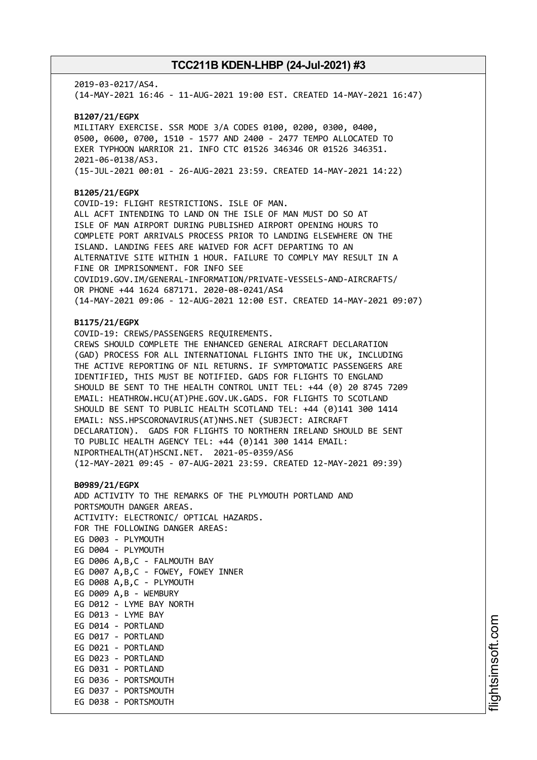2019-03-0217/AS4. (14-MAY-2021 16:46 - 11-AUG-2021 19:00 EST. CREATED 14-MAY-2021 16:47) **B1207/21/EGPX** MILITARY EXERCISE. SSR MODE 3/A CODES 0100, 0200, 0300, 0400, 0500, 0600, 0700, 1510 - 1577 AND 2400 - 2477 TEMPO ALLOCATED TO EXER TYPHOON WARRIOR 21. INFO CTC 01526 346346 OR 01526 346351. 2021-06-0138/AS3. (15-JUL-2021 00:01 - 26-AUG-2021 23:59. CREATED 14-MAY-2021 14:22) **B1205/21/EGPX** COVID-19: FLIGHT RESTRICTIONS. ISLE OF MAN. ALL ACFT INTENDING TO LAND ON THE ISLE OF MAN MUST DO SO AT ISLE OF MAN AIRPORT DURING PUBLISHED AIRPORT OPENING HOURS TO COMPLETE PORT ARRIVALS PROCESS PRIOR TO LANDING ELSEWHERE ON THE ISLAND. LANDING FEES ARE WAIVED FOR ACFT DEPARTING TO AN ALTERNATIVE SITE WITHIN 1 HOUR. FAILURE TO COMPLY MAY RESULT IN A FINE OR IMPRISONMENT. FOR INFO SEE COVID19.GOV.IM/GENERAL-INFORMATION/PRIVATE-VESSELS-AND-AIRCRAFTS/ OR PHONE +44 1624 687171. 2020-08-0241/AS4 (14-MAY-2021 09:06 - 12-AUG-2021 12:00 EST. CREATED 14-MAY-2021 09:07) **B1175/21/EGPX** COVID-19: CREWS/PASSENGERS REQUIREMENTS. CREWS SHOULD COMPLETE THE ENHANCED GENERAL AIRCRAFT DECLARATION (GAD) PROCESS FOR ALL INTERNATIONAL FLIGHTS INTO THE UK, INCLUDING THE ACTIVE REPORTING OF NIL RETURNS. IF SYMPTOMATIC PASSENGERS ARE IDENTIFIED, THIS MUST BE NOTIFIED. GADS FOR FLIGHTS TO ENGLAND SHOULD BE SENT TO THE HEALTH CONTROL UNIT TEL: +44 (0) 20 8745 7209 EMAIL: HEATHROW.HCU(AT)PHE.GOV.UK.GADS. FOR FLIGHTS TO SCOTLAND SHOULD BE SENT TO PUBLIC HEALTH SCOTLAND TEL: +44 (0)141 300 1414 EMAIL: NSS.HPSCORONAVIRUS(AT)NHS.NET (SUBJECT: AIRCRAFT DECLARATION). GADS FOR FLIGHTS TO NORTHERN IRELAND SHOULD BE SENT TO PUBLIC HEALTH AGENCY TEL: +44 (0)141 300 1414 EMAIL: NIPORTHEALTH(AT)HSCNI.NET. 2021-05-0359/AS6 (12-MAY-2021 09:45 - 07-AUG-2021 23:59. CREATED 12-MAY-2021 09:39) **B0989/21/EGPX** ADD ACTIVITY TO THE REMARKS OF THE PLYMOUTH PORTLAND AND PORTSMOUTH DANGER AREAS. ACTIVITY: ELECTRONIC/ OPTICAL HAZARDS. FOR THE FOLLOWING DANGER AREAS: EG D003 - PLYMOUTH EG D004 - PLYMOUTH EG D006 A,B,C - FALMOUTH BAY EG D007 A,B,C - FOWEY, FOWEY INNER EG D008 A,B,C - PLYMOUTH EG D009 A,B - WEMBURY EG D012 - LYME BAY NORTH EG D013 - LYME BAY EG D014 - PORTLAND EG D017 - PORTLAND EG D021 - PORTLAND EG D023 - PORTLAND EG D031 - PORTLAND EG D036 - PORTSMOUTH EG D037 - PORTSMOUTH EG D038 - PORTSMOUTH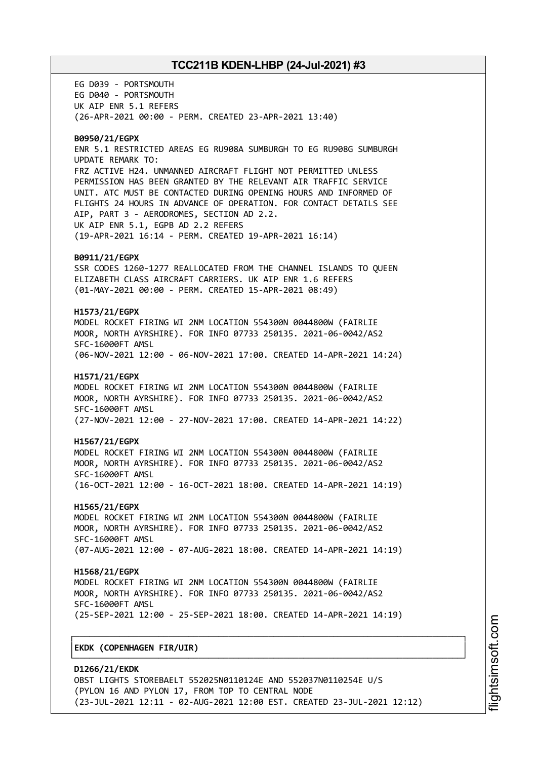EG D039 - PORTSMOUTH EG D040 - PORTSMOUTH UK AIP ENR 5.1 REFERS (26-APR-2021 00:00 - PERM. CREATED 23-APR-2021 13:40) **B0950/21/EGPX** ENR 5.1 RESTRICTED AREAS EG RU908A SUMBURGH TO EG RU908G SUMBURGH UPDATE REMARK TO: FRZ ACTIVE H24. UNMANNED AIRCRAFT FLIGHT NOT PERMITTED UNLESS PERMISSION HAS BEEN GRANTED BY THE RELEVANT AIR TRAFFIC SERVICE UNIT. ATC MUST BE CONTACTED DURING OPENING HOURS AND INFORMED OF FLIGHTS 24 HOURS IN ADVANCE OF OPERATION. FOR CONTACT DETAILS SEE AIP, PART 3 - AERODROMES, SECTION AD 2.2. UK AIP ENR 5.1, EGPB AD 2.2 REFERS (19-APR-2021 16:14 - PERM. CREATED 19-APR-2021 16:14) **B0911/21/EGPX** SSR CODES 1260-1277 REALLOCATED FROM THE CHANNEL ISLANDS TO QUEEN ELIZABETH CLASS AIRCRAFT CARRIERS. UK AIP ENR 1.6 REFERS (01-MAY-2021 00:00 - PERM. CREATED 15-APR-2021 08:49) **H1573/21/EGPX** MODEL ROCKET FIRING WI 2NM LOCATION 554300N 0044800W (FAIRLIE MOOR, NORTH AYRSHIRE). FOR INFO 07733 250135. 2021-06-0042/AS2 SFC-16000FT AMSL (06-NOV-2021 12:00 - 06-NOV-2021 17:00. CREATED 14-APR-2021 14:24) **H1571/21/EGPX** MODEL ROCKET FIRING WI 2NM LOCATION 554300N 0044800W (FAIRLIE MOOR, NORTH AYRSHIRE). FOR INFO 07733 250135. 2021-06-0042/AS2 SFC-16000FT AMSL (27-NOV-2021 12:00 - 27-NOV-2021 17:00. CREATED 14-APR-2021 14:22) **H1567/21/EGPX** MODEL ROCKET FIRING WI 2NM LOCATION 554300N 0044800W (FAIRLIE MOOR, NORTH AYRSHIRE). FOR INFO 07733 250135. 2021-06-0042/AS2 SFC-16000FT AMSL (16-OCT-2021 12:00 - 16-OCT-2021 18:00. CREATED 14-APR-2021 14:19) **H1565/21/EGPX** MODEL ROCKET FIRING WI 2NM LOCATION 554300N 0044800W (FAIRLIE MOOR, NORTH AYRSHIRE). FOR INFO 07733 250135. 2021-06-0042/AS2 SFC-16000FT AMSL (07-AUG-2021 12:00 - 07-AUG-2021 18:00. CREATED 14-APR-2021 14:19) **H1568/21/EGPX** MODEL ROCKET FIRING WI 2NM LOCATION 554300N 0044800W (FAIRLIE MOOR, NORTH AYRSHIRE). FOR INFO 07733 250135. 2021-06-0042/AS2 SFC-16000FT AMSL (25-SEP-2021 12:00 - 25-SEP-2021 18:00. CREATED 14-APR-2021 14:19) ┌──────────────────────────────────────────────────────────────────────────────┐ │**EKDK (COPENHAGEN FIR/UIR)** │ └──────────────────────────────────────────────────────────────────────────────┘

**D1266/21/EKDK** OBST LIGHTS STOREBAELT 552025N0110124E AND 552037N0110254E U/S (PYLON 16 AND PYLON 17, FROM TOP TO CENTRAL NODE (23-JUL-2021 12:11 - 02-AUG-2021 12:00 EST. CREATED 23-JUL-2021 12:12)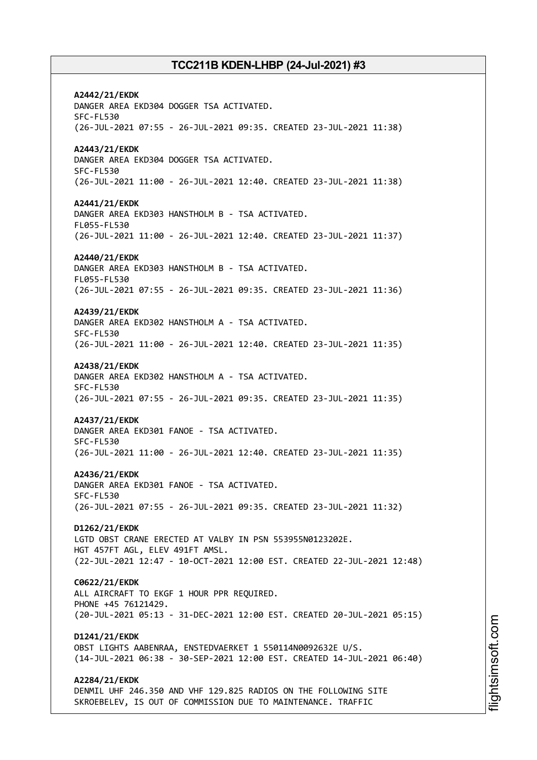**A2442/21/EKDK** DANGER AREA EKD304 DOGGER TSA ACTIVATED. SFC-FL530 (26-JUL-2021 07:55 - 26-JUL-2021 09:35. CREATED 23-JUL-2021 11:38) **A2443/21/EKDK** DANGER AREA EKD304 DOGGER TSA ACTIVATED. SFC-FL530 (26-JUL-2021 11:00 - 26-JUL-2021 12:40. CREATED 23-JUL-2021 11:38) **A2441/21/EKDK** DANGER AREA EKD303 HANSTHOLM B - TSA ACTIVATED. FL055-FL530 (26-JUL-2021 11:00 - 26-JUL-2021 12:40. CREATED 23-JUL-2021 11:37) **A2440/21/EKDK** DANGER AREA EKD303 HANSTHOLM B - TSA ACTIVATED. FL055-FL530 (26-JUL-2021 07:55 - 26-JUL-2021 09:35. CREATED 23-JUL-2021 11:36) **A2439/21/EKDK** DANGER AREA EKD302 HANSTHOLM A - TSA ACTIVATED. SFC-FL530 (26-JUL-2021 11:00 - 26-JUL-2021 12:40. CREATED 23-JUL-2021 11:35) **A2438/21/EKDK** DANGER AREA EKD302 HANSTHOLM A - TSA ACTIVATED. SFC-FL530 (26-JUL-2021 07:55 - 26-JUL-2021 09:35. CREATED 23-JUL-2021 11:35) **A2437/21/EKDK** DANGER AREA EKD301 FANOE - TSA ACTIVATED. SFC-FL530 (26-JUL-2021 11:00 - 26-JUL-2021 12:40. CREATED 23-JUL-2021 11:35) **A2436/21/EKDK** DANGER AREA EKD301 FANOE - TSA ACTIVATED. SFC-FL530 (26-JUL-2021 07:55 - 26-JUL-2021 09:35. CREATED 23-JUL-2021 11:32) **D1262/21/EKDK** LGTD OBST CRANE ERECTED AT VALBY IN PSN 553955N0123202E. HGT 457FT AGL, ELEV 491FT AMSL. (22-JUL-2021 12:47 - 10-OCT-2021 12:00 EST. CREATED 22-JUL-2021 12:48) **C0622/21/EKDK** ALL AIRCRAFT TO EKGF 1 HOUR PPR REQUIRED. PHONE +45 76121429. (20-JUL-2021 05:13 - 31-DEC-2021 12:00 EST. CREATED 20-JUL-2021 05:15) **D1241/21/EKDK** OBST LIGHTS AABENRAA, ENSTEDVAERKET 1 550114N0092632E U/S. (14-JUL-2021 06:38 - 30-SEP-2021 12:00 EST. CREATED 14-JUL-2021 06:40) **A2284/21/EKDK** DENMIL UHF 246.350 AND VHF 129.825 RADIOS ON THE FOLLOWING SITE SKROEBELEV, IS OUT OF COMMISSION DUE TO MAINTENANCE. TRAFFIC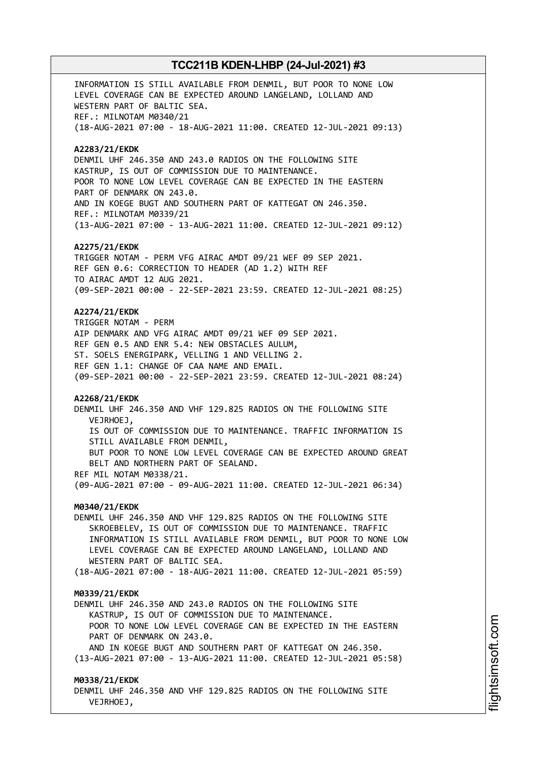INFORMATION IS STILL AVAILABLE FROM DENMIL, BUT POOR TO NONE LOW LEVEL COVERAGE CAN BE EXPECTED AROUND LANGELAND, LOLLAND AND WESTERN PART OF BALTIC SEA. REF.: MILNOTAM M0340/21 (18-AUG-2021 07:00 - 18-AUG-2021 11:00. CREATED 12-JUL-2021 09:13) **A2283/21/EKDK** DENMIL UHF 246.350 AND 243.0 RADIOS ON THE FOLLOWING SITE KASTRUP, IS OUT OF COMMISSION DUE TO MAINTENANCE. POOR TO NONE LOW LEVEL COVERAGE CAN BE EXPECTED IN THE EASTERN PART OF DENMARK ON 243.0. AND IN KOEGE BUGT AND SOUTHERN PART OF KATTEGAT ON 246.350. REF.: MILNOTAM M0339/21 (13-AUG-2021 07:00 - 13-AUG-2021 11:00. CREATED 12-JUL-2021 09:12) **A2275/21/EKDK** TRIGGER NOTAM - PERM VFG AIRAC AMDT 09/21 WEF 09 SEP 2021. REF GEN 0.6: CORRECTION TO HEADER (AD 1.2) WITH REF TO AIRAC AMDT 12 AUG 2021. (09-SEP-2021 00:00 - 22-SEP-2021 23:59. CREATED 12-JUL-2021 08:25) **A2274/21/EKDK** TRIGGER NOTAM - PERM AIP DENMARK AND VFG AIRAC AMDT 09/21 WEF 09 SEP 2021. REF GEN 0.5 AND ENR 5.4: NEW OBSTACLES AULUM, ST. SOELS ENERGIPARK, VELLING 1 AND VELLING 2. REF GEN 1.1: CHANGE OF CAA NAME AND EMAIL. (09-SEP-2021 00:00 - 22-SEP-2021 23:59. CREATED 12-JUL-2021 08:24) **A2268/21/EKDK** DENMIL UHF 246.350 AND VHF 129.825 RADIOS ON THE FOLLOWING SITE VEJRHOEJ, IS OUT OF COMMISSION DUE TO MAINTENANCE. TRAFFIC INFORMATION IS STILL AVAILABLE FROM DENMIL, BUT POOR TO NONE LOW LEVEL COVERAGE CAN BE EXPECTED AROUND GREAT BELT AND NORTHERN PART OF SEALAND. REF MIL NOTAM M0338/21. (09-AUG-2021 07:00 - 09-AUG-2021 11:00. CREATED 12-JUL-2021 06:34) **M0340/21/EKDK** DENMIL UHF 246.350 AND VHF 129.825 RADIOS ON THE FOLLOWING SITE SKROEBELEV, IS OUT OF COMMISSION DUE TO MAINTENANCE. TRAFFIC INFORMATION IS STILL AVAILABLE FROM DENMIL, BUT POOR TO NONE LOW LEVEL COVERAGE CAN BE EXPECTED AROUND LANGELAND, LOLLAND AND WESTERN PART OF BALTIC SEA. (18-AUG-2021 07:00 - 18-AUG-2021 11:00. CREATED 12-JUL-2021 05:59) **M0339/21/EKDK** DENMIL UHF 246.350 AND 243.0 RADIOS ON THE FOLLOWING SITE KASTRUP, IS OUT OF COMMISSION DUE TO MAINTENANCE. POOR TO NONE LOW LEVEL COVERAGE CAN BE EXPECTED IN THE EASTERN PART OF DENMARK ON 243.0. AND IN KOEGE BUGT AND SOUTHERN PART OF KATTEGAT ON 246.350. (13-AUG-2021 07:00 - 13-AUG-2021 11:00. CREATED 12-JUL-2021 05:58) **M0338/21/EKDK** DENMIL UHF 246.350 AND VHF 129.825 RADIOS ON THE FOLLOWING SITE VEJRHOEJ,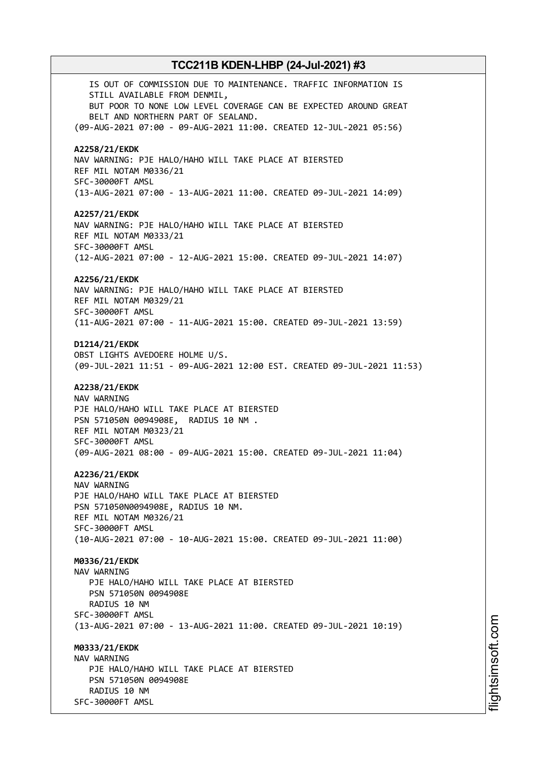IS OUT OF COMMISSION DUE TO MAINTENANCE. TRAFFIC INFORMATION IS STILL AVAILABLE FROM DENMIL, BUT POOR TO NONE LOW LEVEL COVERAGE CAN BE EXPECTED AROUND GREAT BELT AND NORTHERN PART OF SEALAND. (09-AUG-2021 07:00 - 09-AUG-2021 11:00. CREATED 12-JUL-2021 05:56) **A2258/21/EKDK** NAV WARNING: PJE HALO/HAHO WILL TAKE PLACE AT BIERSTED REF MIL NOTAM M0336/21 SFC-30000FT AMSL (13-AUG-2021 07:00 - 13-AUG-2021 11:00. CREATED 09-JUL-2021 14:09) **A2257/21/EKDK** NAV WARNING: PJE HALO/HAHO WILL TAKE PLACE AT BIERSTED REF MIL NOTAM M0333/21 SFC-30000FT AMSL (12-AUG-2021 07:00 - 12-AUG-2021 15:00. CREATED 09-JUL-2021 14:07) **A2256/21/EKDK** NAV WARNING: PJE HALO/HAHO WILL TAKE PLACE AT BIERSTED REF MIL NOTAM M0329/21 SFC-30000FT AMSL (11-AUG-2021 07:00 - 11-AUG-2021 15:00. CREATED 09-JUL-2021 13:59) **D1214/21/EKDK** OBST LIGHTS AVEDOERE HOLME U/S. (09-JUL-2021 11:51 - 09-AUG-2021 12:00 EST. CREATED 09-JUL-2021 11:53) **A2238/21/EKDK** NAV WARNING PJE HALO/HAHO WILL TAKE PLACE AT BIERSTED PSN 571050N 0094908E, RADIUS 10 NM . REF MIL NOTAM M0323/21 SFC-30000FT AMSL (09-AUG-2021 08:00 - 09-AUG-2021 15:00. CREATED 09-JUL-2021 11:04) **A2236/21/EKDK** NAV WARNING PJE HALO/HAHO WILL TAKE PLACE AT BIERSTED PSN 571050N0094908E, RADIUS 10 NM. REF MIL NOTAM M0326/21 SFC-30000FT AMSL (10-AUG-2021 07:00 - 10-AUG-2021 15:00. CREATED 09-JUL-2021 11:00) **M0336/21/EKDK** NAV WARNING PJE HALO/HAHO WILL TAKE PLACE AT BIERSTED PSN 571050N 0094908E RADIUS 10 NM SFC-30000FT AMSL (13-AUG-2021 07:00 - 13-AUG-2021 11:00. CREATED 09-JUL-2021 10:19) **M0333/21/EKDK** NAV WARNING PJE HALO/HAHO WILL TAKE PLACE AT BIERSTED PSN 571050N 0094908E RADIUS 10 NM SFC-30000FT AMSL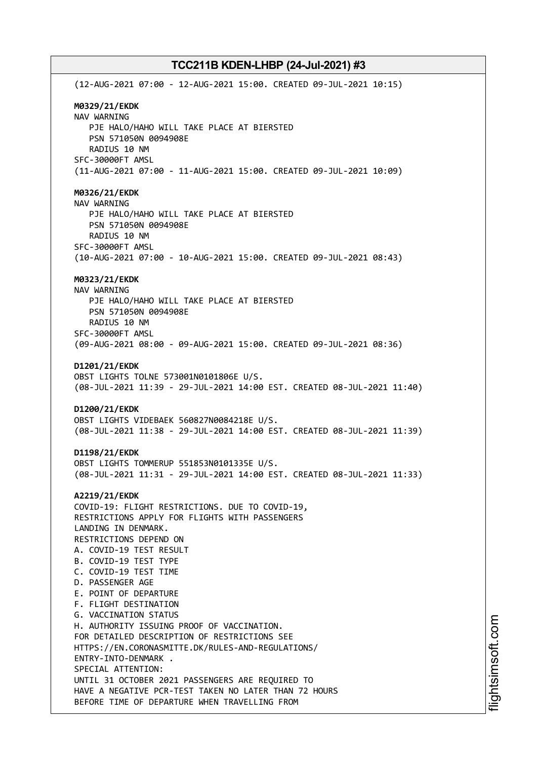(12-AUG-2021 07:00 - 12-AUG-2021 15:00. CREATED 09-JUL-2021 10:15) **M0329/21/EKDK** NAV WARNING PJE HALO/HAHO WILL TAKE PLACE AT BIERSTED PSN 571050N 0094908E RADIUS 10 NM SFC-30000FT AMSL (11-AUG-2021 07:00 - 11-AUG-2021 15:00. CREATED 09-JUL-2021 10:09) **M0326/21/EKDK** NAV WARNING PJE HALO/HAHO WILL TAKE PLACE AT BIERSTED PSN 571050N 0094908E RADIUS 10 NM SFC-30000FT AMSL (10-AUG-2021 07:00 - 10-AUG-2021 15:00. CREATED 09-JUL-2021 08:43) **M0323/21/EKDK** NAV WARNING PJE HALO/HAHO WILL TAKE PLACE AT BIERSTED PSN 571050N 0094908E RADIUS 10 NM SFC-30000FT AMSL (09-AUG-2021 08:00 - 09-AUG-2021 15:00. CREATED 09-JUL-2021 08:36) **D1201/21/EKDK** OBST LIGHTS TOLNE 573001N0101806E U/S. (08-JUL-2021 11:39 - 29-JUL-2021 14:00 EST. CREATED 08-JUL-2021 11:40) **D1200/21/EKDK** OBST LIGHTS VIDEBAEK 560827N0084218E U/S. (08-JUL-2021 11:38 - 29-JUL-2021 14:00 EST. CREATED 08-JUL-2021 11:39) **D1198/21/EKDK** OBST LIGHTS TOMMERUP 551853N0101335E U/S. (08-JUL-2021 11:31 - 29-JUL-2021 14:00 EST. CREATED 08-JUL-2021 11:33) **A2219/21/EKDK** COVID-19: FLIGHT RESTRICTIONS. DUE TO COVID-19, RESTRICTIONS APPLY FOR FLIGHTS WITH PASSENGERS LANDING IN DENMARK. RESTRICTIONS DEPEND ON A. COVID-19 TEST RESULT B. COVID-19 TEST TYPE C. COVID-19 TEST TIME D. PASSENGER AGE E. POINT OF DEPARTURE F. FLIGHT DESTINATION G. VACCINATION STATUS H. AUTHORITY ISSUING PROOF OF VACCINATION. FOR DETAILED DESCRIPTION OF RESTRICTIONS SEE HTTPS://EN.CORONASMITTE.DK/RULES-AND-REGULATIONS/ ENTRY-INTO-DENMARK . SPECIAL ATTENTION: UNTIL 31 OCTOBER 2021 PASSENGERS ARE REQUIRED TO HAVE A NEGATIVE PCR-TEST TAKEN NO LATER THAN 72 HOURS BEFORE TIME OF DEPARTURE WHEN TRAVELLING FROM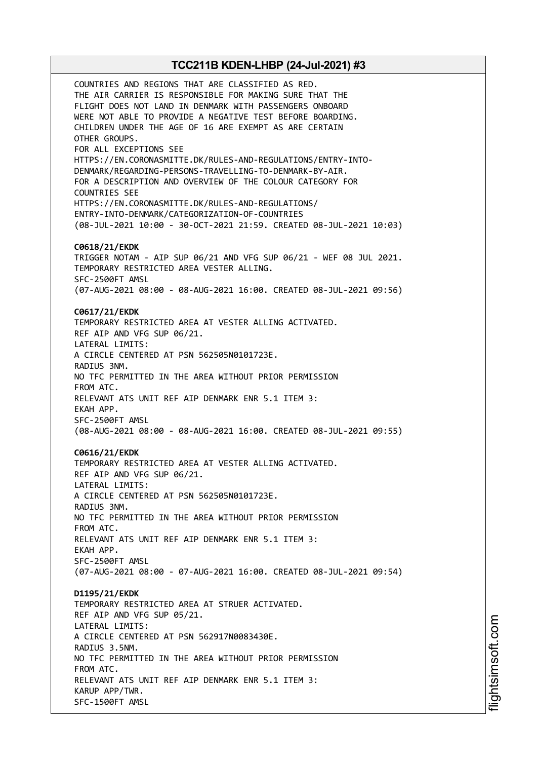COUNTRIES AND REGIONS THAT ARE CLASSIFIED AS RED. THE AIR CARRIER IS RESPONSIBLE FOR MAKING SURE THAT THE FLIGHT DOES NOT LAND IN DENMARK WITH PASSENGERS ONBOARD WERE NOT ABLE TO PROVIDE A NEGATIVE TEST BEFORE BOARDING. CHILDREN UNDER THE AGE OF 16 ARE EXEMPT AS ARE CERTAIN OTHER GROUPS. FOR ALL EXCEPTIONS SEE HTTPS://EN.CORONASMITTE.DK/RULES-AND-REGULATIONS/ENTRY-INTO-DENMARK/REGARDING-PERSONS-TRAVELLING-TO-DENMARK-BY-AIR. FOR A DESCRIPTION AND OVERVIEW OF THE COLOUR CATEGORY FOR COUNTRIES SEE HTTPS://EN.CORONASMITTE.DK/RULES-AND-REGULATIONS/ ENTRY-INTO-DENMARK/CATEGORIZATION-OF-COUNTRIES (08-JUL-2021 10:00 - 30-OCT-2021 21:59. CREATED 08-JUL-2021 10:03) **C0618/21/EKDK** TRIGGER NOTAM - AIP SUP 06/21 AND VFG SUP 06/21 - WEF 08 JUL 2021. TEMPORARY RESTRICTED AREA VESTER ALLING. SFC-2500FT AMSL (07-AUG-2021 08:00 - 08-AUG-2021 16:00. CREATED 08-JUL-2021 09:56) **C0617/21/EKDK** TEMPORARY RESTRICTED AREA AT VESTER ALLING ACTIVATED. REF AIP AND VFG SUP 06/21. LATERAL LIMITS: A CIRCLE CENTERED AT PSN 562505N0101723E. RADIUS 3NM. NO TFC PERMITTED IN THE AREA WITHOUT PRIOR PERMISSION FROM ATC. RELEVANT ATS UNIT REF AIP DENMARK ENR 5.1 ITEM 3: EKAH APP. SFC-2500FT AMSL (08-AUG-2021 08:00 - 08-AUG-2021 16:00. CREATED 08-JUL-2021 09:55) **C0616/21/EKDK** TEMPORARY RESTRICTED AREA AT VESTER ALLING ACTIVATED. REF AIP AND VFG SUP 06/21. LATERAL LIMITS: A CIRCLE CENTERED AT PSN 562505N0101723E. RADIUS 3NM. NO TFC PERMITTED IN THE AREA WITHOUT PRIOR PERMISSION FROM ATC. RELEVANT ATS UNIT REF AIP DENMARK ENR 5.1 ITEM 3: EKAH APP. SFC-2500FT AMSL (07-AUG-2021 08:00 - 07-AUG-2021 16:00. CREATED 08-JUL-2021 09:54) **D1195/21/EKDK** TEMPORARY RESTRICTED AREA AT STRUER ACTIVATED. REF AIP AND VFG SUP 05/21. LATERAL LIMITS: A CIRCLE CENTERED AT PSN 562917N0083430E. RADIUS 3.5NM. NO TFC PERMITTED IN THE AREA WITHOUT PRIOR PERMISSION FROM ATC. RELEVANT ATS UNIT REF AIP DENMARK ENR 5.1 ITEM 3: KARUP APP/TWR. SFC-1500FT AMSL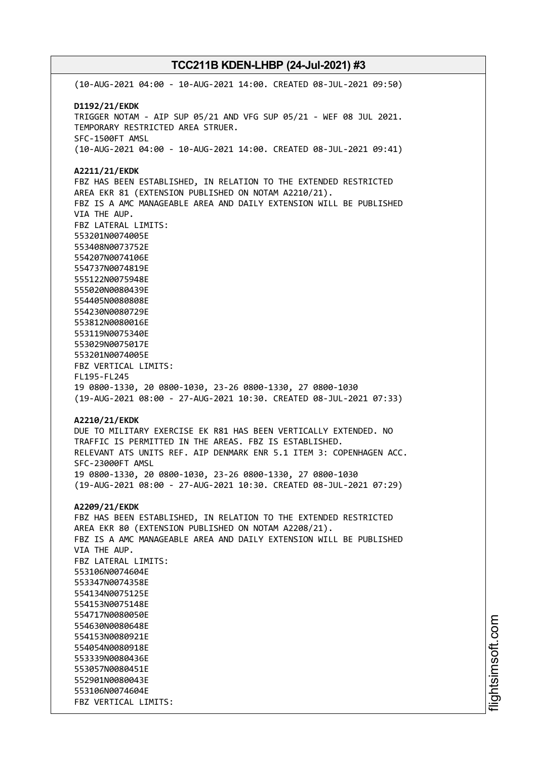(10-AUG-2021 04:00 - 10-AUG-2021 14:00. CREATED 08-JUL-2021 09:50) **D1192/21/EKDK** TRIGGER NOTAM - AIP SUP 05/21 AND VFG SUP 05/21 - WEF 08 JUL 2021. TEMPORARY RESTRICTED AREA STRUER. SFC-1500FT AMSL (10-AUG-2021 04:00 - 10-AUG-2021 14:00. CREATED 08-JUL-2021 09:41) **A2211/21/EKDK** FBZ HAS BEEN ESTABLISHED, IN RELATION TO THE EXTENDED RESTRICTED AREA EKR 81 (EXTENSION PUBLISHED ON NOTAM A2210/21). FBZ IS A AMC MANAGEABLE AREA AND DAILY EXTENSION WILL BE PUBLISHED VIA THE AUP. FBZ LATERAL LIMITS: 553201N0074005E 553408N0073752E 554207N0074106E 554737N0074819E 555122N0075948E 555020N0080439E 554405N0080808E 554230N0080729E 553812N0080016E 553119N0075340E 553029N0075017E 553201N0074005E FBZ VERTICAL LIMITS: FL195-FL245 19 0800-1330, 20 0800-1030, 23-26 0800-1330, 27 0800-1030 (19-AUG-2021 08:00 - 27-AUG-2021 10:30. CREATED 08-JUL-2021 07:33) **A2210/21/EKDK** DUE TO MILITARY EXERCISE EK R81 HAS BEEN VERTICALLY EXTENDED. NO TRAFFIC IS PERMITTED IN THE AREAS. FBZ IS ESTABLISHED. RELEVANT ATS UNITS REF. AIP DENMARK ENR 5.1 ITEM 3: COPENHAGEN ACC. SFC-23000FT AMSL 19 0800-1330, 20 0800-1030, 23-26 0800-1330, 27 0800-1030 (19-AUG-2021 08:00 - 27-AUG-2021 10:30. CREATED 08-JUL-2021 07:29) **A2209/21/EKDK** FBZ HAS BEEN ESTABLISHED, IN RELATION TO THE EXTENDED RESTRICTED AREA EKR 80 (EXTENSION PUBLISHED ON NOTAM A2208/21). FBZ IS A AMC MANAGEABLE AREA AND DAILY EXTENSION WILL BE PUBLISHED VIA THE AUP. FBZ LATERAL LIMITS: 553106N0074604E 553347N0074358E 554134N0075125E 554153N0075148E 554717N0080050E 554630N0080648E 554153N0080921E 554054N0080918E 553339N0080436E 553057N0080451E 552901N0080043E 553106N0074604E FBZ VERTICAL LIMITS: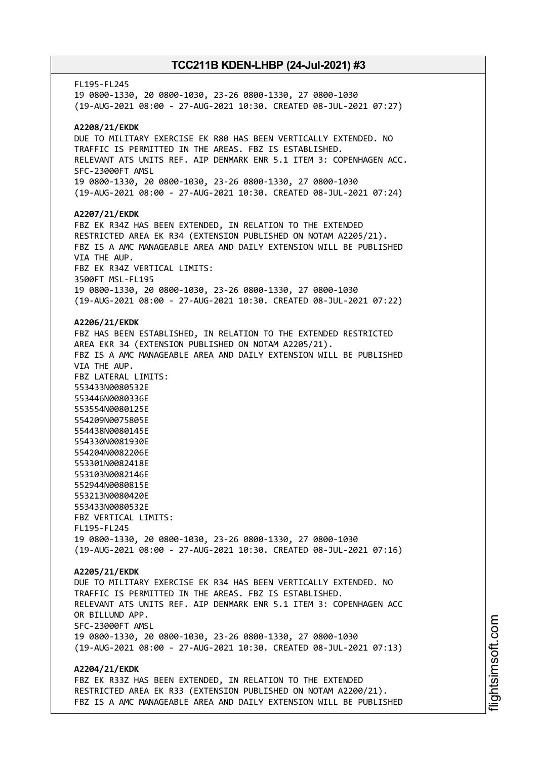FL195-FL245 19 0800-1330, 20 0800-1030, 23-26 0800-1330, 27 0800-1030 (19-AUG-2021 08:00 - 27-AUG-2021 10:30. CREATED 08-JUL-2021 07:27) **A2208/21/EKDK** DUE TO MILITARY EXERCISE EK R80 HAS BEEN VERTICALLY EXTENDED. NO TRAFFIC IS PERMITTED IN THE AREAS. FBZ IS ESTABLISHED. RELEVANT ATS UNITS REF. AIP DENMARK ENR 5.1 ITEM 3: COPENHAGEN ACC. SFC-23000FT AMSL 19 0800-1330, 20 0800-1030, 23-26 0800-1330, 27 0800-1030 (19-AUG-2021 08:00 - 27-AUG-2021 10:30. CREATED 08-JUL-2021 07:24) **A2207/21/EKDK** FBZ EK R34Z HAS BEEN EXTENDED, IN RELATION TO THE EXTENDED RESTRICTED AREA EK R34 (EXTENSION PUBLISHED ON NOTAM A2205/21). FBZ IS A AMC MANAGEABLE AREA AND DAILY EXTENSION WILL BE PUBLISHED VIA THE AUP. FBZ EK R34Z VERTICAL LIMITS: 3500FT MSL-FL195 19 0800-1330, 20 0800-1030, 23-26 0800-1330, 27 0800-1030 (19-AUG-2021 08:00 - 27-AUG-2021 10:30. CREATED 08-JUL-2021 07:22) **A2206/21/EKDK** FBZ HAS BEEN ESTABLISHED, IN RELATION TO THE EXTENDED RESTRICTED AREA EKR 34 (EXTENSION PUBLISHED ON NOTAM A2205/21). FBZ IS A AMC MANAGEABLE AREA AND DAILY EXTENSION WILL BE PUBLISHED VIA THE AUP. FBZ LATERAL LIMITS: 553433N0080532E 553446N0080336E 553554N0080125E 554209N0075805E 554438N0080145E 554330N0081930E 554204N0082206E 553301N0082418E 553103N0082146E 552944N0080815E 553213N0080420E 553433N0080532E FBZ VERTICAL LIMITS: FL195-FL245 19 0800-1330, 20 0800-1030, 23-26 0800-1330, 27 0800-1030 (19-AUG-2021 08:00 - 27-AUG-2021 10:30. CREATED 08-JUL-2021 07:16) **A2205/21/EKDK** DUE TO MILITARY EXERCISE EK R34 HAS BEEN VERTICALLY EXTENDED. NO TRAFFIC IS PERMITTED IN THE AREAS. FBZ IS ESTABLISHED. RELEVANT ATS UNITS REF. AIP DENMARK ENR 5.1 ITEM 3: COPENHAGEN ACC OR BILLUND APP. SFC-23000FT AMSL 19 0800-1330, 20 0800-1030, 23-26 0800-1330, 27 0800-1030 (19-AUG-2021 08:00 - 27-AUG-2021 10:30. CREATED 08-JUL-2021 07:13) **A2204/21/EKDK** FBZ EK R33Z HAS BEEN EXTENDED, IN RELATION TO THE EXTENDED RESTRICTED AREA EK R33 (EXTENSION PUBLISHED ON NOTAM A2200/21). FBZ IS A AMC MANAGEABLE AREA AND DAILY EXTENSION WILL BE PUBLISHED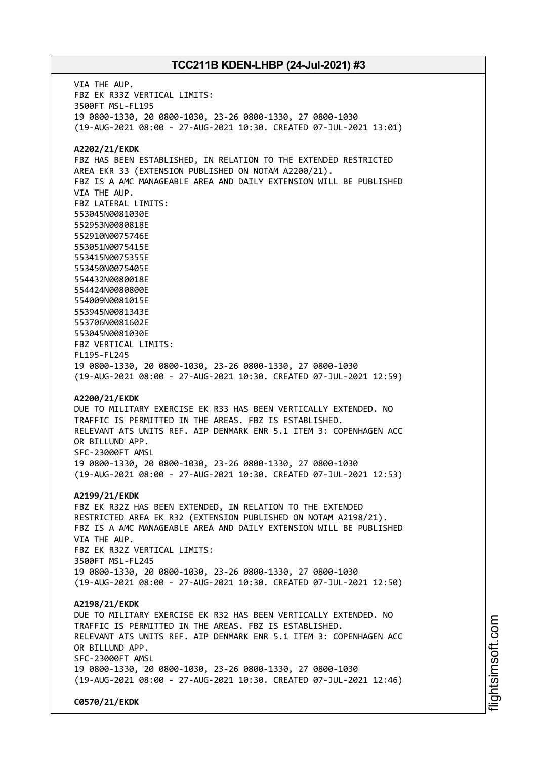VIA THE AUP. FBZ EK R33Z VERTICAL LIMITS: 3500FT MSL-FL195 19 0800-1330, 20 0800-1030, 23-26 0800-1330, 27 0800-1030 (19-AUG-2021 08:00 - 27-AUG-2021 10:30. CREATED 07-JUL-2021 13:01) **A2202/21/EKDK** FBZ HAS BEEN ESTABLISHED, IN RELATION TO THE EXTENDED RESTRICTED AREA EKR 33 (EXTENSION PUBLISHED ON NOTAM A2200/21). FBZ IS A AMC MANAGEABLE AREA AND DAILY EXTENSION WILL BE PUBLISHED VIA THE AUP. FBZ LATERAL LIMITS: 553045N0081030E 552953N0080818E 552910N0075746E 553051N0075415E 553415N0075355E 553450N0075405E 554432N0080018E 554424N0080800E 554009N0081015E 553945N0081343E 553706N0081602E 553045N0081030E FBZ VERTICAL LIMITS: FL195-FL245 19 0800-1330, 20 0800-1030, 23-26 0800-1330, 27 0800-1030 (19-AUG-2021 08:00 - 27-AUG-2021 10:30. CREATED 07-JUL-2021 12:59) **A2200/21/EKDK** DUE TO MILITARY EXERCISE EK R33 HAS BEEN VERTICALLY EXTENDED. NO TRAFFIC IS PERMITTED IN THE AREAS. FBZ IS ESTABLISHED. RELEVANT ATS UNITS REF. AIP DENMARK ENR 5.1 ITEM 3: COPENHAGEN ACC OR BILLUND APP. SFC-23000FT AMSL 19 0800-1330, 20 0800-1030, 23-26 0800-1330, 27 0800-1030 (19-AUG-2021 08:00 - 27-AUG-2021 10:30. CREATED 07-JUL-2021 12:53) **A2199/21/EKDK** FBZ EK R32Z HAS BEEN EXTENDED, IN RELATION TO THE EXTENDED RESTRICTED AREA EK R32 (EXTENSION PUBLISHED ON NOTAM A2198/21). FBZ IS A AMC MANAGEABLE AREA AND DAILY EXTENSION WILL BE PUBLISHED VIA THE AUP. FBZ EK R32Z VERTICAL LIMITS: 3500FT MSL-FL245 19 0800-1330, 20 0800-1030, 23-26 0800-1330, 27 0800-1030 (19-AUG-2021 08:00 - 27-AUG-2021 10:30. CREATED 07-JUL-2021 12:50) **A2198/21/EKDK** DUE TO MILITARY EXERCISE EK R32 HAS BEEN VERTICALLY EXTENDED. NO TRAFFIC IS PERMITTED IN THE AREAS. FBZ IS ESTABLISHED. RELEVANT ATS UNITS REF. AIP DENMARK ENR 5.1 ITEM 3: COPENHAGEN ACC OR BILLUND APP. SFC-23000FT AMSL 19 0800-1330, 20 0800-1030, 23-26 0800-1330, 27 0800-1030 (19-AUG-2021 08:00 - 27-AUG-2021 10:30. CREATED 07-JUL-2021 12:46) **C0570/21/EKDK**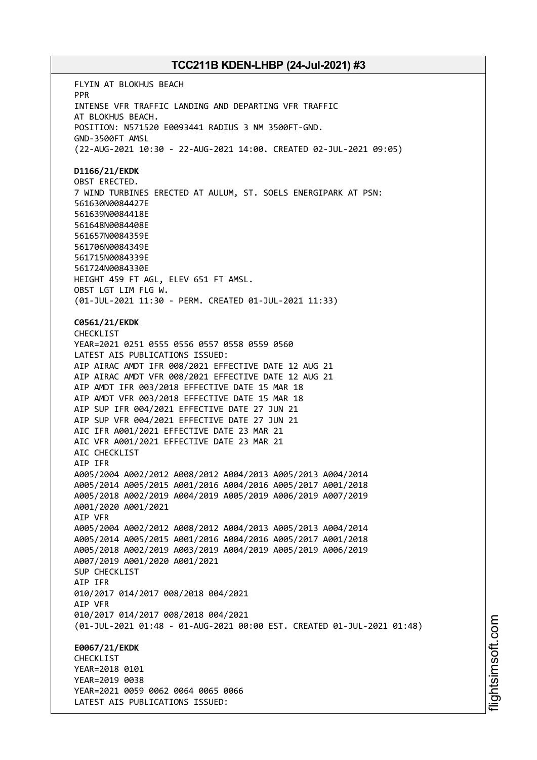FLYIN AT BLOKHUS BEACH PPR INTENSE VFR TRAFFIC LANDING AND DEPARTING VFR TRAFFIC AT BLOKHUS BEACH. POSITION: N571520 E0093441 RADIUS 3 NM 3500FT-GND. GND-3500FT AMSL (22-AUG-2021 10:30 - 22-AUG-2021 14:00. CREATED 02-JUL-2021 09:05) **D1166/21/EKDK** OBST ERECTED. 7 WIND TURBINES ERECTED AT AULUM, ST. SOELS ENERGIPARK AT PSN: 561630N0084427E 561639N0084418E 561648N0084408E 561657N0084359E 561706N0084349E 561715N0084339E 561724N0084330E HEIGHT 459 FT AGL, ELEV 651 FT AMSL. OBST LGT LIM FLG W. (01-JUL-2021 11:30 - PERM. CREATED 01-JUL-2021 11:33) **C0561/21/EKDK** CHECKLIST YEAR=2021 0251 0555 0556 0557 0558 0559 0560 LATEST AIS PUBLICATIONS ISSUED: AIP AIRAC AMDT IFR 008/2021 EFFECTIVE DATE 12 AUG 21 AIP AIRAC AMDT VFR 008/2021 EFFECTIVE DATE 12 AUG 21 AIP AMDT IFR 003/2018 EFFECTIVE DATE 15 MAR 18 AIP AMDT VFR 003/2018 EFFECTIVE DATE 15 MAR 18 AIP SUP IFR 004/2021 EFFECTIVE DATE 27 JUN 21 AIP SUP VFR 004/2021 EFFECTIVE DATE 27 JUN 21 AIC IFR A001/2021 EFFECTIVE DATE 23 MAR 21 AIC VFR A001/2021 EFFECTIVE DATE 23 MAR 21 AIC CHECKLIST AIP IFR A005/2004 A002/2012 A008/2012 A004/2013 A005/2013 A004/2014 A005/2014 A005/2015 A001/2016 A004/2016 A005/2017 A001/2018 A005/2018 A002/2019 A004/2019 A005/2019 A006/2019 A007/2019 A001/2020 A001/2021 AIP VFR A005/2004 A002/2012 A008/2012 A004/2013 A005/2013 A004/2014 A005/2014 A005/2015 A001/2016 A004/2016 A005/2017 A001/2018 A005/2018 A002/2019 A003/2019 A004/2019 A005/2019 A006/2019 A007/2019 A001/2020 A001/2021 SUP CHECKLIST AIP IFR 010/2017 014/2017 008/2018 004/2021 AIP VFR 010/2017 014/2017 008/2018 004/2021 (01-JUL-2021 01:48 - 01-AUG-2021 00:00 EST. CREATED 01-JUL-2021 01:48) **E0067/21/EKDK CHECKLIST** YEAR=2018 0101 YEAR=2019 0038 YEAR=2021 0059 0062 0064 0065 0066 LATEST AIS PUBLICATIONS ISSUED: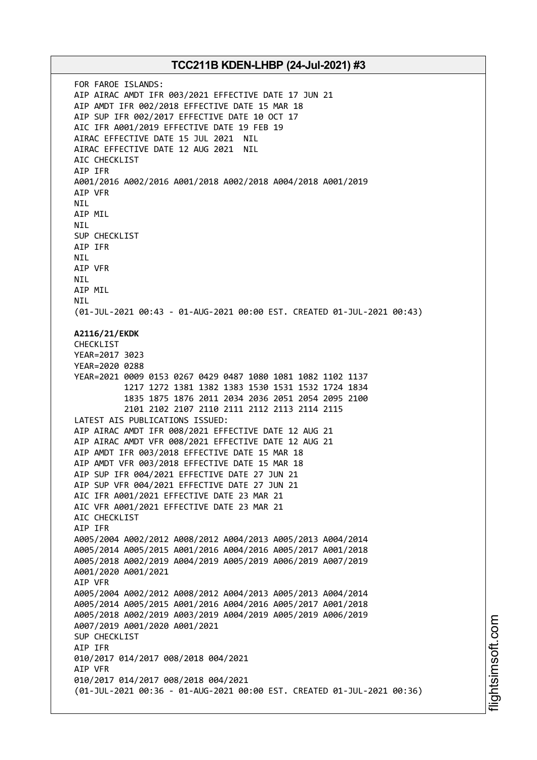FOR FAROE ISLANDS: AIP AIRAC AMDT IFR 003/2021 EFFECTIVE DATE 17 JUN 21 AIP AMDT IFR 002/2018 EFFECTIVE DATE 15 MAR 18 AIP SUP IFR 002/2017 EFFECTIVE DATE 10 OCT 17 AIC IFR A001/2019 EFFECTIVE DATE 19 FEB 19 AIRAC EFFECTIVE DATE 15 JUL 2021 NIL AIRAC EFFECTIVE DATE 12 AUG 2021 NIL AIC CHECKLIST AIP IFR A001/2016 A002/2016 A001/2018 A002/2018 A004/2018 A001/2019 AIP VFR **NTI** AIP MIL NIL SUP CHECKLIST AIP IFR NIL AIP VFR NIL AIP MIL NIL (01-JUL-2021 00:43 - 01-AUG-2021 00:00 EST. CREATED 01-JUL-2021 00:43) **A2116/21/EKDK** CHECKLIST YEAR=2017 3023 YEAR=2020 0288 YEAR=2021 0009 0153 0267 0429 0487 1080 1081 1082 1102 1137 1217 1272 1381 1382 1383 1530 1531 1532 1724 1834 1835 1875 1876 2011 2034 2036 2051 2054 2095 2100 2101 2102 2107 2110 2111 2112 2113 2114 2115 LATEST AIS PUBLICATIONS ISSUED: AIP AIRAC AMDT IFR 008/2021 EFFECTIVE DATE 12 AUG 21 AIP AIRAC AMDT VFR 008/2021 EFFECTIVE DATE 12 AUG 21 AIP AMDT IFR 003/2018 EFFECTIVE DATE 15 MAR 18 AIP AMDT VFR 003/2018 EFFECTIVE DATE 15 MAR 18 AIP SUP IFR 004/2021 EFFECTIVE DATE 27 JUN 21 AIP SUP VFR 004/2021 EFFECTIVE DATE 27 JUN 21 AIC IFR A001/2021 EFFECTIVE DATE 23 MAR 21 AIC VFR A001/2021 EFFECTIVE DATE 23 MAR 21 AIC CHECKLIST AIP IFR A005/2004 A002/2012 A008/2012 A004/2013 A005/2013 A004/2014 A005/2014 A005/2015 A001/2016 A004/2016 A005/2017 A001/2018 A005/2018 A002/2019 A004/2019 A005/2019 A006/2019 A007/2019 A001/2020 A001/2021 AIP VFR A005/2004 A002/2012 A008/2012 A004/2013 A005/2013 A004/2014 A005/2014 A005/2015 A001/2016 A004/2016 A005/2017 A001/2018 A005/2018 A002/2019 A003/2019 A004/2019 A005/2019 A006/2019 A007/2019 A001/2020 A001/2021 SUP CHECKLIST AIP IFR 010/2017 014/2017 008/2018 004/2021 AIP VFR 010/2017 014/2017 008/2018 004/2021 (01-JUL-2021 00:36 - 01-AUG-2021 00:00 EST. CREATED 01-JUL-2021 00:36)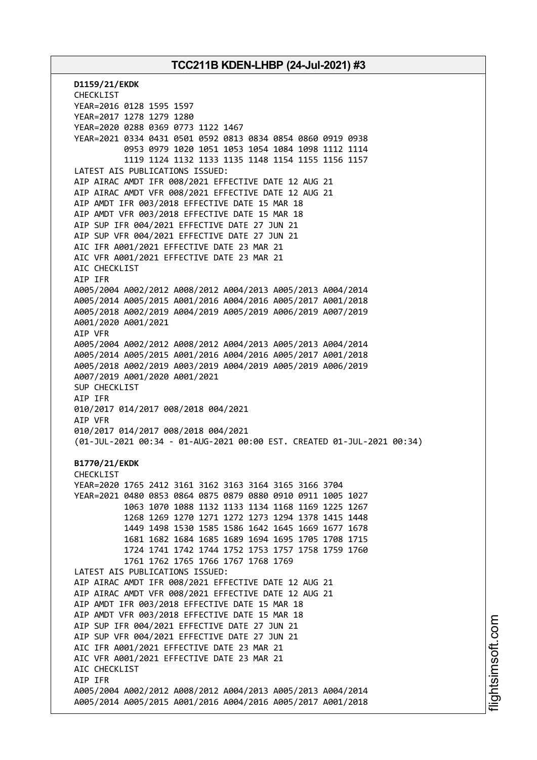**D1159/21/EKDK** CHECKLIST YEAR=2016 0128 1595 1597 YEAR=2017 1278 1279 1280 YEAR=2020 0288 0369 0773 1122 1467 YEAR=2021 0334 0431 0501 0592 0813 0834 0854 0860 0919 0938 0953 0979 1020 1051 1053 1054 1084 1098 1112 1114 1119 1124 1132 1133 1135 1148 1154 1155 1156 1157 LATEST AIS PUBLICATIONS ISSUED: AIP AIRAC AMDT IFR 008/2021 EFFECTIVE DATE 12 AUG 21 AIP AIRAC AMDT VFR 008/2021 EFFECTIVE DATE 12 AUG 21 AIP AMDT IFR 003/2018 EFFECTIVE DATE 15 MAR 18 AIP AMDT VFR 003/2018 EFFECTIVE DATE 15 MAR 18 AIP SUP IFR 004/2021 EFFECTIVE DATE 27 JUN 21 AIP SUP VFR 004/2021 EFFECTIVE DATE 27 JUN 21 AIC IFR A001/2021 EFFECTIVE DATE 23 MAR 21 AIC VFR A001/2021 EFFECTIVE DATE 23 MAR 21 AIC CHECKLIST AIP IFR A005/2004 A002/2012 A008/2012 A004/2013 A005/2013 A004/2014 A005/2014 A005/2015 A001/2016 A004/2016 A005/2017 A001/2018 A005/2018 A002/2019 A004/2019 A005/2019 A006/2019 A007/2019 A001/2020 A001/2021 AIP VFR A005/2004 A002/2012 A008/2012 A004/2013 A005/2013 A004/2014 A005/2014 A005/2015 A001/2016 A004/2016 A005/2017 A001/2018 A005/2018 A002/2019 A003/2019 A004/2019 A005/2019 A006/2019 A007/2019 A001/2020 A001/2021 SUP CHECKLIST AIP IFR 010/2017 014/2017 008/2018 004/2021 AIP VFR 010/2017 014/2017 008/2018 004/2021 (01-JUL-2021 00:34 - 01-AUG-2021 00:00 EST. CREATED 01-JUL-2021 00:34) **B1770/21/EKDK** CHECKLIST YEAR=2020 1765 2412 3161 3162 3163 3164 3165 3166 3704 YEAR=2021 0480 0853 0864 0875 0879 0880 0910 0911 1005 1027 1063 1070 1088 1132 1133 1134 1168 1169 1225 1267 1268 1269 1270 1271 1272 1273 1294 1378 1415 1448 1449 1498 1530 1585 1586 1642 1645 1669 1677 1678 1681 1682 1684 1685 1689 1694 1695 1705 1708 1715 1724 1741 1742 1744 1752 1753 1757 1758 1759 1760 1761 1762 1765 1766 1767 1768 1769 LATEST AIS PUBLICATIONS ISSUED: AIP AIRAC AMDT IFR 008/2021 EFFECTIVE DATE 12 AUG 21 AIP AIRAC AMDT VFR 008/2021 EFFECTIVE DATE 12 AUG 21 AIP AMDT IFR 003/2018 EFFECTIVE DATE 15 MAR 18 AIP AMDT VFR 003/2018 EFFECTIVE DATE 15 MAR 18 AIP SUP IFR 004/2021 EFFECTIVE DATE 27 JUN 21 AIP SUP VFR 004/2021 EFFECTIVE DATE 27 JUN 21 AIC IFR A001/2021 EFFECTIVE DATE 23 MAR 21 AIC VFR A001/2021 EFFECTIVE DATE 23 MAR 21 AIC CHECKLIST AIP IFR A005/2004 A002/2012 A008/2012 A004/2013 A005/2013 A004/2014 A005/2014 A005/2015 A001/2016 A004/2016 A005/2017 A001/2018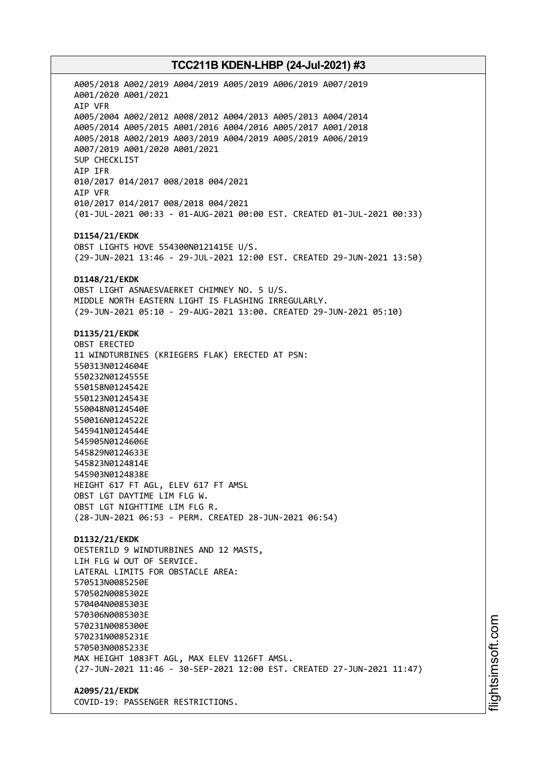A005/2018 A002/2019 A004/2019 A005/2019 A006/2019 A007/2019 A001/2020 A001/2021 AIP VFR A005/2004 A002/2012 A008/2012 A004/2013 A005/2013 A004/2014 A005/2014 A005/2015 A001/2016 A004/2016 A005/2017 A001/2018 A005/2018 A002/2019 A003/2019 A004/2019 A005/2019 A006/2019 A007/2019 A001/2020 A001/2021 SUP CHECKLIST AIP IFR 010/2017 014/2017 008/2018 004/2021 AIP VFR 010/2017 014/2017 008/2018 004/2021 (01-JUL-2021 00:33 - 01-AUG-2021 00:00 EST. CREATED 01-JUL-2021 00:33) **D1154/21/EKDK** OBST LIGHTS HOVE 554300N0121415E U/S. (29-JUN-2021 13:46 - 29-JUL-2021 12:00 EST. CREATED 29-JUN-2021 13:50) **D1148/21/EKDK** OBST LIGHT ASNAESVAERKET CHIMNEY NO. 5 U/S. MIDDLE NORTH EASTERN LIGHT IS FLASHING IRREGULARLY. (29-JUN-2021 05:10 - 29-AUG-2021 13:00. CREATED 29-JUN-2021 05:10) **D1135/21/EKDK** OBST ERECTED 11 WINDTURBINES (KRIEGERS FLAK) ERECTED AT PSN: 550313N0124604E 550232N0124555E 550158N0124542E 550123N0124543E 550048N0124540E 550016N0124522E 545941N0124544E 545905N0124606E 545829N0124633E 545823N0124814E 545903N0124838E HEIGHT 617 FT AGL, ELEV 617 FT AMSL OBST LGT DAYTIME LIM FLG W. OBST LGT NIGHTTIME LIM FLG R. (28-JUN-2021 06:53 - PERM. CREATED 28-JUN-2021 06:54) **D1132/21/EKDK** OESTERILD 9 WINDTURBINES AND 12 MASTS, LIH FLG W OUT OF SERVICE. LATERAL LIMITS FOR OBSTACLE AREA: 570513N0085250E 570502N0085302E 570404N0085303E 570306N0085303E 570231N0085300E 570231N0085231E 570503N0085233E MAX HEIGHT 1083FT AGL, MAX ELEV 1126FT AMSL. (27-JUN-2021 11:46 - 30-SEP-2021 12:00 EST. CREATED 27-JUN-2021 11:47)

**A2095/21/EKDK** COVID-19: PASSENGER RESTRICTIONS.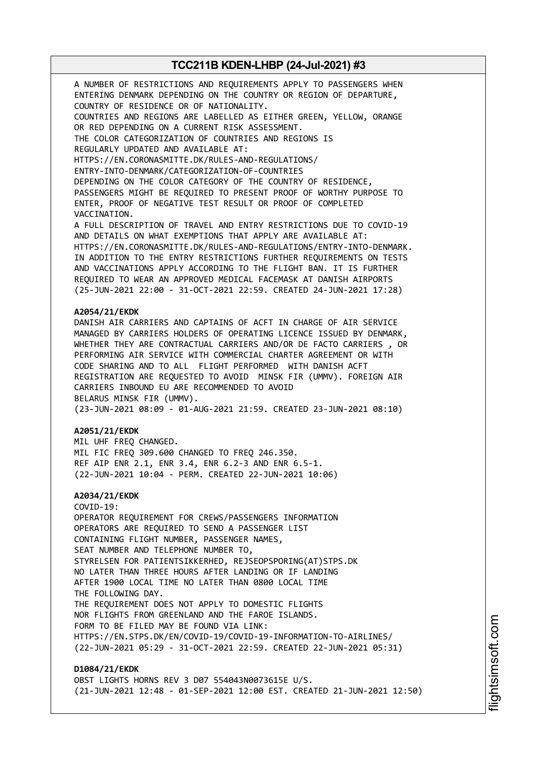A NUMBER OF RESTRICTIONS AND REQUIREMENTS APPLY TO PASSENGERS WHEN ENTERING DENMARK DEPENDING ON THE COUNTRY OR REGION OF DEPARTURE, COUNTRY OF RESIDENCE OR OF NATIONALITY. COUNTRIES AND REGIONS ARE LABELLED AS EITHER GREEN, YELLOW, ORANGE OR RED DEPENDING ON A CURRENT RISK ASSESSMENT. THE COLOR CATEGORIZATION OF COUNTRIES AND REGIONS IS REGULARLY UPDATED AND AVAILABLE AT: HTTPS://EN.CORONASMITTE.DK/RULES-AND-REGULATIONS/ ENTRY-INTO-DENMARK/CATEGORIZATION-OF-COUNTRIES DEPENDING ON THE COLOR CATEGORY OF THE COUNTRY OF RESIDENCE, PASSENGERS MIGHT BE REQUIRED TO PRESENT PROOF OF WORTHY PURPOSE TO ENTER, PROOF OF NEGATIVE TEST RESULT OR PROOF OF COMPLETED VACCINATION. A FULL DESCRIPTION OF TRAVEL AND ENTRY RESTRICTIONS DUE TO COVID-19 AND DETAILS ON WHAT EXEMPTIONS THAT APPLY ARE AVAILABLE AT: HTTPS://EN.CORONASMITTE.DK/RULES-AND-REGULATIONS/ENTRY-INTO-DENMARK. IN ADDITION TO THE ENTRY RESTRICTIONS FURTHER REQUIREMENTS ON TESTS AND VACCINATIONS APPLY ACCORDING TO THE FLIGHT BAN. IT IS FURTHER REQUIRED TO WEAR AN APPROVED MEDICAL FACEMASK AT DANISH AIRPORTS (25-JUN-2021 22:00 - 31-OCT-2021 22:59. CREATED 24-JUN-2021 17:28) **A2054/21/EKDK** DANISH AIR CARRIERS AND CAPTAINS OF ACFT IN CHARGE OF AIR SERVICE MANAGED BY CARRIERS HOLDERS OF OPERATING LICENCE ISSUED BY DENMARK, WHETHER THEY ARE CONTRACTUAL CARRIERS AND/OR DE FACTO CARRIERS , OR PERFORMING AIR SERVICE WITH COMMERCIAL CHARTER AGREEMENT OR WITH CODE SHARING AND TO ALL FLIGHT PERFORMED WITH DANISH ACFT REGISTRATION ARE REQUESTED TO AVOID MINSK FIR (UMMV). FOREIGN AIR CARRIERS INBOUND EU ARE RECOMMENDED TO AVOID BELARUS MINSK FIR (UMMV). (23-JUN-2021 08:09 - 01-AUG-2021 21:59. CREATED 23-JUN-2021 08:10) **A2051/21/EKDK** MIL UHF FREQ CHANGED. MIL FIC FREQ 309.600 CHANGED TO FREQ 246.350. REF AIP ENR 2.1, ENR 3.4, ENR 6.2-3 AND ENR 6.5-1. (22-JUN-2021 10:04 - PERM. CREATED 22-JUN-2021 10:06) **A2034/21/EKDK** COVID-19: OPERATOR REQUIREMENT FOR CREWS/PASSENGERS INFORMATION OPERATORS ARE REQUIRED TO SEND A PASSENGER LIST CONTAINING FLIGHT NUMBER, PASSENGER NAMES, SEAT NUMBER AND TELEPHONE NUMBER TO, STYRELSEN FOR PATIENTSIKKERHED, REJSEOPSPORING(AT)STPS.DK NO LATER THAN THREE HOURS AFTER LANDING OR IF LANDING AFTER 1900 LOCAL TIME NO LATER THAN 0800 LOCAL TIME THE FOLLOWING DAY. THE REQUIREMENT DOES NOT APPLY TO DOMESTIC FLIGHTS NOR FLIGHTS FROM GREENLAND AND THE FAROE ISLANDS. FORM TO BE FILED MAY BE FOUND VIA LINK: HTTPS://EN.STPS.DK/EN/COVID-19/COVID-19-INFORMATION-TO-AIRLINES/ (22-JUN-2021 05:29 - 31-OCT-2021 22:59. CREATED 22-JUN-2021 05:31) **D1084/21/EKDK**

OBST LIGHTS HORNS REV 3 D07 554043N0073615E U/S. (21-JUN-2021 12:48 - 01-SEP-2021 12:00 EST. CREATED 21-JUN-2021 12:50)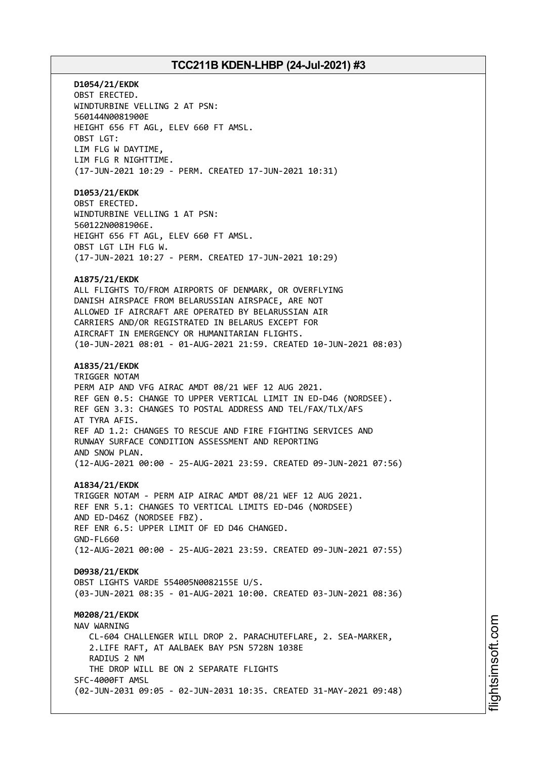**D1054/21/EKDK** OBST ERECTED. WINDTURBINE VELLING 2 AT PSN: 560144N0081900E HEIGHT 656 FT AGL, ELEV 660 FT AMSL. OBST LGT: LIM FLG W DAYTIME, LIM FLG R NIGHTTIME. (17-JUN-2021 10:29 - PERM. CREATED 17-JUN-2021 10:31) **D1053/21/EKDK** OBST ERECTED. WINDTURBINE VELLING 1 AT PSN: 560122N0081906E. HEIGHT 656 FT AGL, ELEV 660 FT AMSL. OBST LGT LIH FLG W. (17-JUN-2021 10:27 - PERM. CREATED 17-JUN-2021 10:29) **A1875/21/EKDK** ALL FLIGHTS TO/FROM AIRPORTS OF DENMARK, OR OVERFLYING DANISH AIRSPACE FROM BELARUSSIAN AIRSPACE, ARE NOT ALLOWED IF AIRCRAFT ARE OPERATED BY BELARUSSIAN AIR CARRIERS AND/OR REGISTRATED IN BELARUS EXCEPT FOR AIRCRAFT IN EMERGENCY OR HUMANITARIAN FLIGHTS. (10-JUN-2021 08:01 - 01-AUG-2021 21:59. CREATED 10-JUN-2021 08:03) **A1835/21/EKDK** TRIGGER NOTAM PERM AIP AND VFG AIRAC AMDT 08/21 WEF 12 AUG 2021. REF GEN 0.5: CHANGE TO UPPER VERTICAL LIMIT IN ED-D46 (NORDSEE). REF GEN 3.3: CHANGES TO POSTAL ADDRESS AND TEL/FAX/TLX/AFS AT TYRA AFIS. REF AD 1.2: CHANGES TO RESCUE AND FIRE FIGHTING SERVICES AND RUNWAY SURFACE CONDITION ASSESSMENT AND REPORTING AND SNOW PLAN. (12-AUG-2021 00:00 - 25-AUG-2021 23:59. CREATED 09-JUN-2021 07:56) **A1834/21/EKDK** TRIGGER NOTAM - PERM AIP AIRAC AMDT 08/21 WEF 12 AUG 2021. REF ENR 5.1: CHANGES TO VERTICAL LIMITS ED-D46 (NORDSEE) AND ED-D46Z (NORDSEE FBZ). REF ENR 6.5: UPPER LIMIT OF ED D46 CHANGED. GND-FL660 (12-AUG-2021 00:00 - 25-AUG-2021 23:59. CREATED 09-JUN-2021 07:55) **D0938/21/EKDK** OBST LIGHTS VARDE 554005N0082155E U/S. (03-JUN-2021 08:35 - 01-AUG-2021 10:00. CREATED 03-JUN-2021 08:36) **M0208/21/EKDK** NAV WARNING CL-604 CHALLENGER WILL DROP 2. PARACHUTEFLARE, 2. SEA-MARKER, 2.LIFE RAFT, AT AALBAEK BAY PSN 5728N 1038E RADIUS 2 NM THE DROP WILL BE ON 2 SEPARATE FLIGHTS SFC-4000FT AMSL (02-JUN-2031 09:05 - 02-JUN-2031 10:35. CREATED 31-MAY-2021 09:48)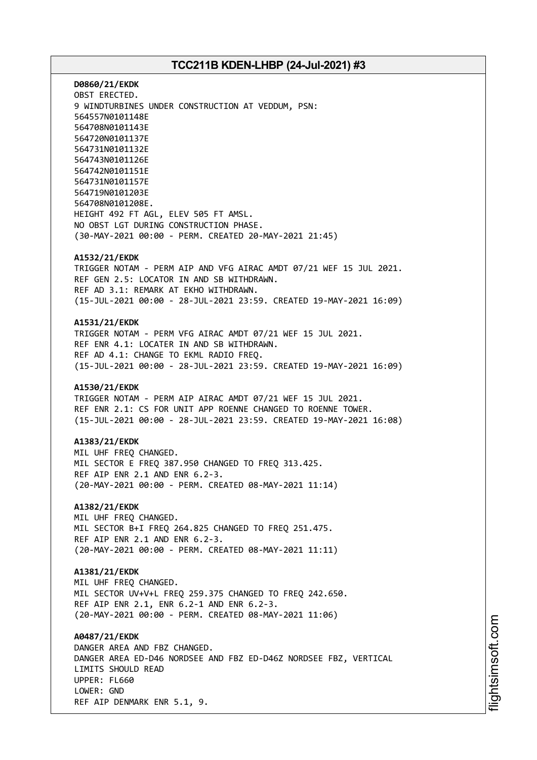**D0860/21/EKDK** OBST ERECTED. 9 WINDTURBINES UNDER CONSTRUCTION AT VEDDUM, PSN: 564557N0101148E 564708N0101143E 564720N0101137E 564731N0101132E 564743N0101126E 564742N0101151E 564731N0101157E 564719N0101203E 564708N0101208E. HEIGHT 492 FT AGL, ELEV 505 FT AMSL. NO OBST LGT DURING CONSTRUCTION PHASE. (30-MAY-2021 00:00 - PERM. CREATED 20-MAY-2021 21:45)

#### **A1532/21/EKDK**

TRIGGER NOTAM - PERM AIP AND VFG AIRAC AMDT 07/21 WEF 15 JUL 2021. REF GEN 2.5: LOCATOR IN AND SB WITHDRAWN. REF AD 3.1: REMARK AT EKHO WITHDRAWN. (15-JUL-2021 00:00 - 28-JUL-2021 23:59. CREATED 19-MAY-2021 16:09)

#### **A1531/21/EKDK**

TRIGGER NOTAM - PERM VFG AIRAC AMDT 07/21 WEF 15 JUL 2021. REF ENR 4.1: LOCATER IN AND SB WITHDRAWN. REF AD 4.1: CHANGE TO EKML RADIO FREQ. (15-JUL-2021 00:00 - 28-JUL-2021 23:59. CREATED 19-MAY-2021 16:09)

#### **A1530/21/EKDK**

TRIGGER NOTAM - PERM AIP AIRAC AMDT 07/21 WEF 15 JUL 2021. REF ENR 2.1: CS FOR UNIT APP ROENNE CHANGED TO ROENNE TOWER. (15-JUL-2021 00:00 - 28-JUL-2021 23:59. CREATED 19-MAY-2021 16:08)

#### **A1383/21/EKDK**

MIL UHF FREQ CHANGED. MIL SECTOR E FREO 387.950 CHANGED TO FREO 313.425. REF AIP ENR 2.1 AND ENR 6.2-3. (20-MAY-2021 00:00 - PERM. CREATED 08-MAY-2021 11:14)

### **A1382/21/EKDK**

MIL UHF FREQ CHANGED. MIL SECTOR B+I FREQ 264.825 CHANGED TO FREQ 251.475. REF AIP ENR 2.1 AND ENR 6.2-3. (20-MAY-2021 00:00 - PERM. CREATED 08-MAY-2021 11:11)

#### **A1381/21/EKDK**

MIL UHF FREQ CHANGED. MIL SECTOR UV+V+L FREQ 259.375 CHANGED TO FREQ 242.650. REF AIP ENR 2.1, ENR 6.2-1 AND ENR 6.2-3. (20-MAY-2021 00:00 - PERM. CREATED 08-MAY-2021 11:06)

**A0487/21/EKDK** DANGER AREA AND FBZ CHANGED. DANGER AREA ED-D46 NORDSEE AND FBZ ED-D46Z NORDSEE FBZ, VERTICAL LIMITS SHOULD READ UPPER: FL660 LOWER: GND REF AIP DENMARK ENR 5.1, 9.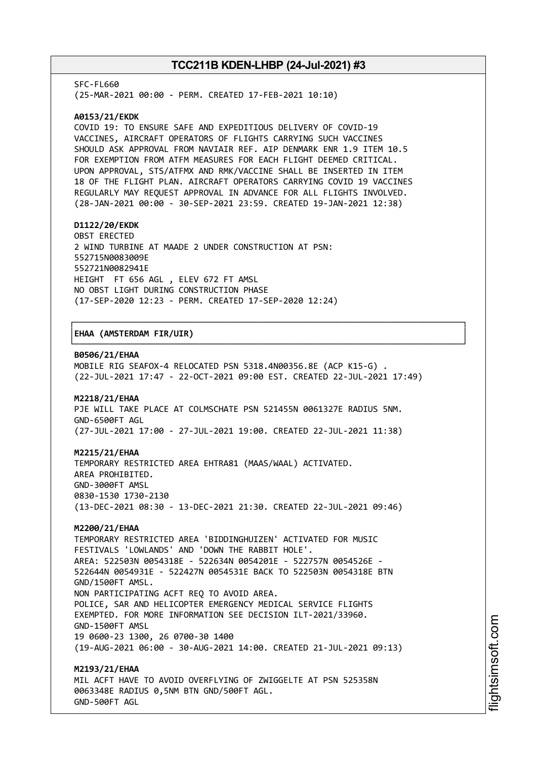SFC-FL660

(25-MAR-2021 00:00 - PERM. CREATED 17-FEB-2021 10:10)

#### **A0153/21/EKDK**

COVID 19: TO ENSURE SAFE AND EXPEDITIOUS DELIVERY OF COVID-19 VACCINES, AIRCRAFT OPERATORS OF FLIGHTS CARRYING SUCH VACCINES SHOULD ASK APPROVAL FROM NAVIAIR REF. AIP DENMARK ENR 1.9 ITEM 10.5 FOR EXEMPTION FROM ATFM MEASURES FOR EACH FLIGHT DEEMED CRITICAL. UPON APPROVAL, STS/ATFMX AND RMK/VACCINE SHALL BE INSERTED IN ITEM 18 OF THE FLIGHT PLAN. AIRCRAFT OPERATORS CARRYING COVID 19 VACCINES REGULARLY MAY REQUEST APPROVAL IN ADVANCE FOR ALL FLIGHTS INVOLVED. (28-JAN-2021 00:00 - 30-SEP-2021 23:59. CREATED 19-JAN-2021 12:38)

#### **D1122/20/EKDK**

OBST ERECTED 2 WIND TURBINE AT MAADE 2 UNDER CONSTRUCTION AT PSN: 552715N0083009E 552721N0082941E HEIGHT FT 656 AGL , ELEV 672 FT AMSL NO OBST LIGHT DURING CONSTRUCTION PHASE (17-SEP-2020 12:23 - PERM. CREATED 17-SEP-2020 12:24)

#### │**EHAA (AMSTERDAM FIR/UIR)** │

#### **B0506/21/EHAA**

MOBILE RIG SEAFOX-4 RELOCATED PSN 5318.4N00356.8E (ACP K15-G) . (22-JUL-2021 17:47 - 22-OCT-2021 09:00 EST. CREATED 22-JUL-2021 17:49)

┌──────────────────────────────────────────────────────────────────────────────┐

└──────────────────────────────────────────────────────────────────────────────┘

#### **M2218/21/EHAA**

PJE WILL TAKE PLACE AT COLMSCHATE PSN 521455N 0061327E RADIUS 5NM. GND-6500FT AGL (27-JUL-2021 17:00 - 27-JUL-2021 19:00. CREATED 22-JUL-2021 11:38)

#### **M2215/21/EHAA**

TEMPORARY RESTRICTED AREA EHTRA81 (MAAS/WAAL) ACTIVATED. AREA PROHIBITED. GND-3000FT AMSL 0830-1530 1730-2130 (13-DEC-2021 08:30 - 13-DEC-2021 21:30. CREATED 22-JUL-2021 09:46)

#### **M2200/21/EHAA**

TEMPORARY RESTRICTED AREA 'BIDDINGHUIZEN' ACTIVATED FOR MUSIC FESTIVALS 'LOWLANDS' AND 'DOWN THE RABBIT HOLE'. AREA: 522503N 0054318E - 522634N 0054201E - 522757N 0054526E - 522644N 0054931E - 522427N 0054531E BACK TO 522503N 0054318E BTN GND/1500FT AMSL. NON PARTICIPATING ACFT REQ TO AVOID AREA. POLICE, SAR AND HELICOPTER EMERGENCY MEDICAL SERVICE FLIGHTS EXEMPTED. FOR MORE INFORMATION SEE DECISION ILT-2021/33960. GND-1500FT AMSL 19 0600-23 1300, 26 0700-30 1400 (19-AUG-2021 06:00 - 30-AUG-2021 14:00. CREATED 21-JUL-2021 09:13) **M2193/21/EHAA**

MIL ACFT HAVE TO AVOID OVERFLYING OF ZWIGGELTE AT PSN 525358N 0063348E RADIUS 0,5NM BTN GND/500FT AGL. GND-500FT AGL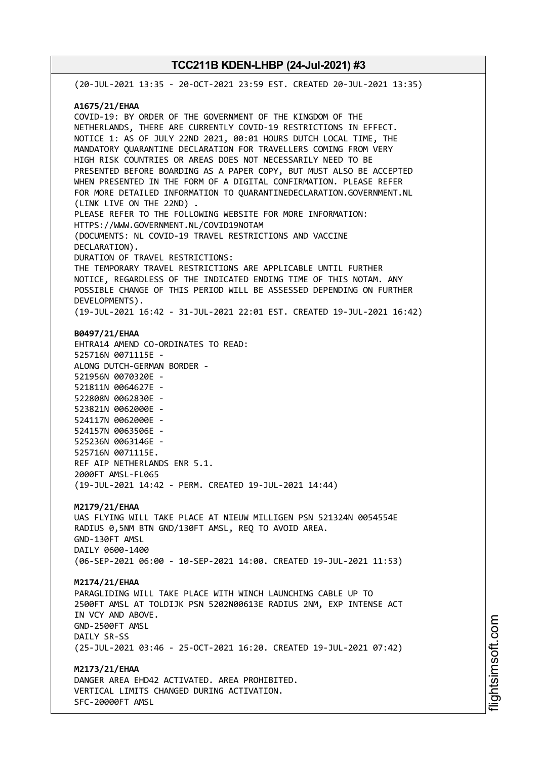(20-JUL-2021 13:35 - 20-OCT-2021 23:59 EST. CREATED 20-JUL-2021 13:35) **A1675/21/EHAA** COVID-19: BY ORDER OF THE GOVERNMENT OF THE KINGDOM OF THE NETHERLANDS, THERE ARE CURRENTLY COVID-19 RESTRICTIONS IN EFFECT. NOTICE 1: AS OF JULY 22ND 2021, 00:01 HOURS DUTCH LOCAL TIME, THE MANDATORY QUARANTINE DECLARATION FOR TRAVELLERS COMING FROM VERY HIGH RISK COUNTRIES OR AREAS DOES NOT NECESSARILY NEED TO BE PRESENTED BEFORE BOARDING AS A PAPER COPY, BUT MUST ALSO BE ACCEPTED WHEN PRESENTED IN THE FORM OF A DIGITAL CONFIRMATION. PLEASE REFER FOR MORE DETAILED INFORMATION TO QUARANTINEDECLARATION.GOVERNMENT.NL (LINK LIVE ON THE 22ND) . PLEASE REFER TO THE FOLLOWING WEBSITE FOR MORE INFORMATION: HTTPS://WWW.GOVERNMENT.NL/COVID19NOTAM (DOCUMENTS: NL COVID-19 TRAVEL RESTRICTIONS AND VACCINE DECLARATION). DURATION OF TRAVEL RESTRICTIONS: THE TEMPORARY TRAVEL RESTRICTIONS ARE APPLICABLE UNTIL FURTHER NOTICE, REGARDLESS OF THE INDICATED ENDING TIME OF THIS NOTAM. ANY POSSIBLE CHANGE OF THIS PERIOD WILL BE ASSESSED DEPENDING ON FURTHER DEVELOPMENTS). (19-JUL-2021 16:42 - 31-JUL-2021 22:01 EST. CREATED 19-JUL-2021 16:42) **B0497/21/EHAA** EHTRA14 AMEND CO-ORDINATES TO READ: 525716N 0071115E - ALONG DUTCH-GERMAN BORDER - 521956N 0070320E - 521811N 0064627E - 522808N 0062830E - 523821N 0062000E - 524117N 0062000E - 524157N 0063506E - 525236N 0063146E - 525716N 0071115E. REF AIP NETHERLANDS ENR 5.1. 2000FT AMSL-FL065 (19-JUL-2021 14:42 - PERM. CREATED 19-JUL-2021 14:44) **M2179/21/EHAA** UAS FLYING WILL TAKE PLACE AT NIEUW MILLIGEN PSN 521324N 0054554E RADIUS 0,5NM BTN GND/130FT AMSL, REQ TO AVOID AREA. GND-130FT AMSL DAILY 0600-1400 (06-SEP-2021 06:00 - 10-SEP-2021 14:00. CREATED 19-JUL-2021 11:53) **M2174/21/EHAA** PARAGLIDING WILL TAKE PLACE WITH WINCH LAUNCHING CABLE UP TO 2500FT AMSL AT TOLDIJK PSN 5202N00613E RADIUS 2NM, EXP INTENSE ACT IN VCY AND ABOVE. GND-2500FT AMSL DATLY SR-SS (25-JUL-2021 03:46 - 25-OCT-2021 16:20. CREATED 19-JUL-2021 07:42) **M2173/21/EHAA** DANGER AREA EHD42 ACTIVATED. AREA PROHIBITED. VERTICAL LIMITS CHANGED DURING ACTIVATION. SFC-20000FT AMSL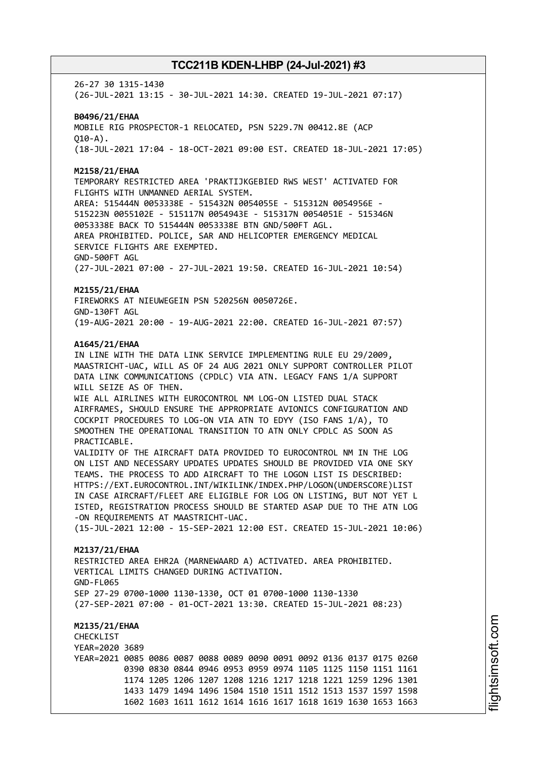26-27 30 1315-1430 (26-JUL-2021 13:15 - 30-JUL-2021 14:30. CREATED 19-JUL-2021 07:17)

**B0496/21/EHAA** MOBILE RIG PROSPECTOR-1 RELOCATED, PSN 5229.7N 00412.8E (ACP  $010 - A$ ). (18-JUL-2021 17:04 - 18-OCT-2021 09:00 EST. CREATED 18-JUL-2021 17:05)

**M2158/21/EHAA**

TEMPORARY RESTRICTED AREA 'PRAKTIJKGEBIED RWS WEST' ACTIVATED FOR FLIGHTS WITH UNMANNED AERIAL SYSTEM. AREA: 515444N 0053338E - 515432N 0054055E - 515312N 0054956E - 515223N 0055102E - 515117N 0054943E - 515317N 0054051E - 515346N 0053338E BACK TO 515444N 0053338E BTN GND/500FT AGL. AREA PROHIBITED. POLICE, SAR AND HELICOPTER EMERGENCY MEDICAL SERVICE FLIGHTS ARE EXEMPTED. GND-500FT AGL

(27-JUL-2021 07:00 - 27-JUL-2021 19:50. CREATED 16-JUL-2021 10:54)

#### **M2155/21/EHAA**

FIREWORKS AT NIEUWEGEIN PSN 520256N 0050726E. GND-130FT AGL (19-AUG-2021 20:00 - 19-AUG-2021 22:00. CREATED 16-JUL-2021 07:57)

#### **A1645/21/EHAA**

IN LINE WITH THE DATA LINK SERVICE IMPLEMENTING RULE EU 29/2009, MAASTRICHT-UAC, WILL AS OF 24 AUG 2021 ONLY SUPPORT CONTROLLER PILOT DATA LINK COMMUNICATIONS (CPDLC) VIA ATN. LEGACY FANS 1/A SUPPORT WILL SEIZE AS OF THEN.

WIE ALL AIRLINES WITH EUROCONTROL NM LOG-ON LISTED DUAL STACK AIRFRAMES, SHOULD ENSURE THE APPROPRIATE AVIONICS CONFIGURATION AND COCKPIT PROCEDURES TO LOG-ON VIA ATN TO EDYY (ISO FANS 1/A), TO SMOOTHEN THE OPERATIONAL TRANSITION TO ATN ONLY CPDLC AS SOON AS PRACTICABLE.

VALIDITY OF THE AIRCRAFT DATA PROVIDED TO EUROCONTROL NM IN THE LOG ON LIST AND NECESSARY UPDATES UPDATES SHOULD BE PROVIDED VIA ONE SKY TEAMS. THE PROCESS TO ADD AIRCRAFT TO THE LOGON LIST IS DESCRIBED: HTTPS://EXT.EUROCONTROL.INT/WIKILINK/INDEX.PHP/LOGON(UNDERSCORE)LIST IN CASE AIRCRAFT/FLEET ARE ELIGIBLE FOR LOG ON LISTING, BUT NOT YET L ISTED, REGISTRATION PROCESS SHOULD BE STARTED ASAP DUE TO THE ATN LOG -ON REQUIREMENTS AT MAASTRICHT-UAC.

(15-JUL-2021 12:00 - 15-SEP-2021 12:00 EST. CREATED 15-JUL-2021 10:06)

#### **M2137/21/EHAA**

RESTRICTED AREA EHR2A (MARNEWAARD A) ACTIVATED. AREA PROHIBITED. VERTICAL LIMITS CHANGED DURING ACTIVATION. GND-FL065 SEP 27-29 0700-1000 1130-1330, OCT 01 0700-1000 1130-1330 (27-SEP-2021 07:00 - 01-OCT-2021 13:30. CREATED 15-JUL-2021 08:23)

**M2135/21/EHAA CHECKLIST** YEAR=2020 3689 YEAR=2021 0085 0086 0087 0088 0089 0090 0091 0092 0136 0137 0175 0260 0390 0830 0844 0946 0953 0959 0974 1105 1125 1150 1151 1161 1174 1205 1206 1207 1208 1216 1217 1218 1221 1259 1296 1301 1433 1479 1494 1496 1504 1510 1511 1512 1513 1537 1597 1598 1602 1603 1611 1612 1614 1616 1617 1618 1619 1630 1653 1663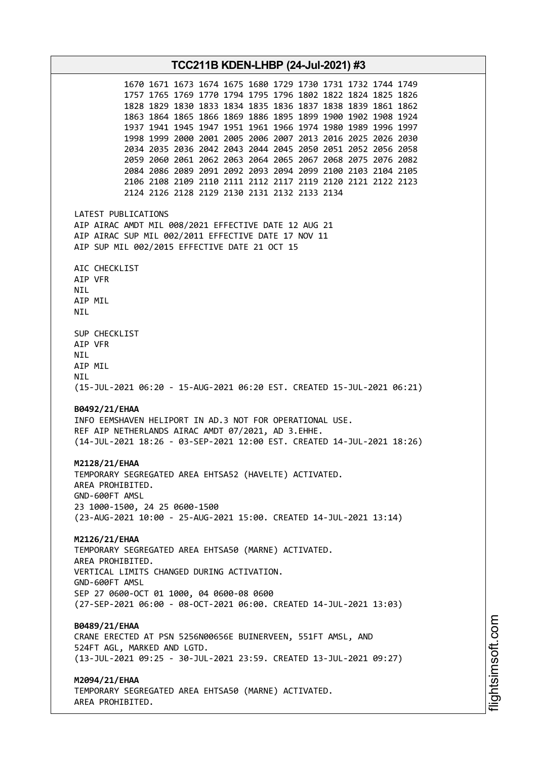**TCC211B KDEN-LHBP (24-Jul-2021) #3** 1670 1671 1673 1674 1675 1680 1729 1730 1731 1732 1744 1749 1757 1765 1769 1770 1794 1795 1796 1802 1822 1824 1825 1826 1828 1829 1830 1833 1834 1835 1836 1837 1838 1839 1861 1862 1863 1864 1865 1866 1869 1886 1895 1899 1900 1902 1908 1924 1937 1941 1945 1947 1951 1961 1966 1974 1980 1989 1996 1997 1998 1999 2000 2001 2005 2006 2007 2013 2016 2025 2026 2030 2034 2035 2036 2042 2043 2044 2045 2050 2051 2052 2056 2058 2059 2060 2061 2062 2063 2064 2065 2067 2068 2075 2076 2082 2084 2086 2089 2091 2092 2093 2094 2099 2100 2103 2104 2105 2106 2108 2109 2110 2111 2112 2117 2119 2120 2121 2122 2123 2124 2126 2128 2129 2130 2131 2132 2133 2134 LATEST PUBLICATIONS AIP AIRAC AMDT MIL 008/2021 EFFECTIVE DATE 12 AUG 21 AIP AIRAC SUP MIL 002/2011 EFFECTIVE DATE 17 NOV 11 AIP SUP MIL 002/2015 EFFECTIVE DATE 21 OCT 15 AIC CHECKLIST AIP VFR NIL AIP MIL NIL SUP CHECKLIST AIP VFR NIL AIP MIL NIL (15-JUL-2021 06:20 - 15-AUG-2021 06:20 EST. CREATED 15-JUL-2021 06:21) **B0492/21/EHAA** INFO EEMSHAVEN HELIPORT IN AD.3 NOT FOR OPERATIONAL USE. REF AIP NETHERLANDS AIRAC AMDT 07/2021, AD 3.EHHE. (14-JUL-2021 18:26 - 03-SEP-2021 12:00 EST. CREATED 14-JUL-2021 18:26) **M2128/21/EHAA** TEMPORARY SEGREGATED AREA EHTSA52 (HAVELTE) ACTIVATED. AREA PROHIBITED. GND-600FT AMSL 23 1000-1500, 24 25 0600-1500 (23-AUG-2021 10:00 - 25-AUG-2021 15:00. CREATED 14-JUL-2021 13:14) **M2126/21/EHAA** TEMPORARY SEGREGATED AREA EHTSA50 (MARNE) ACTIVATED. AREA PROHIBITED. VERTICAL LIMITS CHANGED DURING ACTIVATION. GND-600FT AMSL SEP 27 0600-OCT 01 1000, 04 0600-08 0600 (27-SEP-2021 06:00 - 08-OCT-2021 06:00. CREATED 14-JUL-2021 13:03) **B0489/21/EHAA** CRANE ERECTED AT PSN 5256N00656E BUINERVEEN, 551FT AMSL, AND 524FT AGL, MARKED AND LGTD. (13-JUL-2021 09:25 - 30-JUL-2021 23:59. CREATED 13-JUL-2021 09:27) **M2094/21/EHAA** TEMPORARY SEGREGATED AREA EHTSA50 (MARNE) ACTIVATED. AREA PROHIBITED.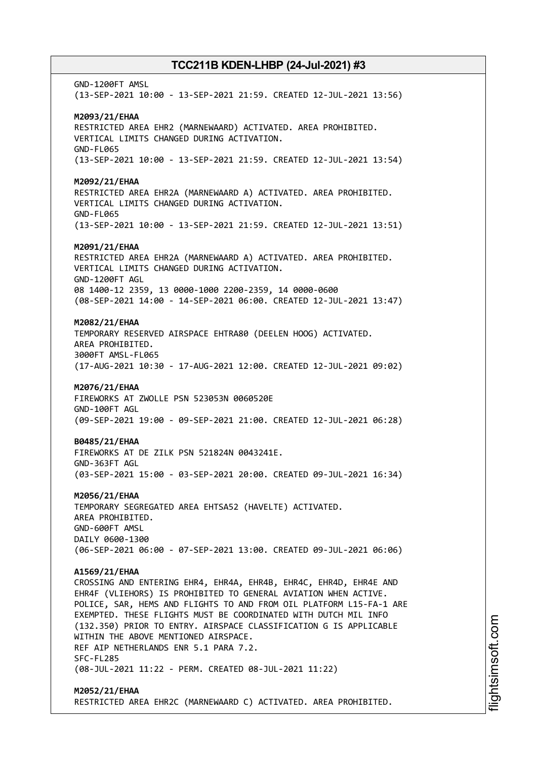GND-1200FT AMSL (13-SEP-2021 10:00 - 13-SEP-2021 21:59. CREATED 12-JUL-2021 13:56) **M2093/21/EHAA** RESTRICTED AREA EHR2 (MARNEWAARD) ACTIVATED. AREA PROHIBITED. VERTICAL LIMITS CHANGED DURING ACTIVATION. GND-FL065 (13-SEP-2021 10:00 - 13-SEP-2021 21:59. CREATED 12-JUL-2021 13:54) **M2092/21/EHAA** RESTRICTED AREA EHR2A (MARNEWAARD A) ACTIVATED. AREA PROHIBITED. VERTICAL LIMITS CHANGED DURING ACTIVATION. GND-FL065 (13-SEP-2021 10:00 - 13-SEP-2021 21:59. CREATED 12-JUL-2021 13:51) **M2091/21/EHAA** RESTRICTED AREA EHR2A (MARNEWAARD A) ACTIVATED. AREA PROHIBITED. VERTICAL LIMITS CHANGED DURING ACTIVATION. GND-1200FT AGL 08 1400-12 2359, 13 0000-1000 2200-2359, 14 0000-0600 (08-SEP-2021 14:00 - 14-SEP-2021 06:00. CREATED 12-JUL-2021 13:47) **M2082/21/EHAA** TEMPORARY RESERVED AIRSPACE EHTRA80 (DEELEN HOOG) ACTIVATED. AREA PROHIBITED. 3000FT AMSL-FL065 (17-AUG-2021 10:30 - 17-AUG-2021 12:00. CREATED 12-JUL-2021 09:02) **M2076/21/EHAA** FIREWORKS AT ZWOLLE PSN 523053N 0060520E GND-100FT AGL (09-SEP-2021 19:00 - 09-SEP-2021 21:00. CREATED 12-JUL-2021 06:28) **B0485/21/EHAA** FIREWORKS AT DE ZILK PSN 521824N 0043241E. GND-363FT AGL (03-SEP-2021 15:00 - 03-SEP-2021 20:00. CREATED 09-JUL-2021 16:34) **M2056/21/EHAA** TEMPORARY SEGREGATED AREA EHTSA52 (HAVELTE) ACTIVATED. AREA PROHIBITED. GND-600FT AMSL DAILY 0600-1300 (06-SEP-2021 06:00 - 07-SEP-2021 13:00. CREATED 09-JUL-2021 06:06) **A1569/21/EHAA** CROSSING AND ENTERING EHR4, EHR4A, EHR4B, EHR4C, EHR4D, EHR4E AND EHR4F (VLIEHORS) IS PROHIBITED TO GENERAL AVIATION WHEN ACTIVE. POLICE, SAR, HEMS AND FLIGHTS TO AND FROM OIL PLATFORM L15-FA-1 ARE EXEMPTED. THESE FLIGHTS MUST BE COORDINATED WITH DUTCH MIL INFO (132.350) PRIOR TO ENTRY. AIRSPACE CLASSIFICATION G IS APPLICABLE WITHIN THE ABOVE MENTIONED AIRSPACE. REF AIP NETHERLANDS ENR 5.1 PARA 7.2. SFC-FL285 (08-JUL-2021 11:22 - PERM. CREATED 08-JUL-2021 11:22) **M2052/21/EHAA** RESTRICTED AREA EHR2C (MARNEWAARD C) ACTIVATED. AREA PROHIBITED.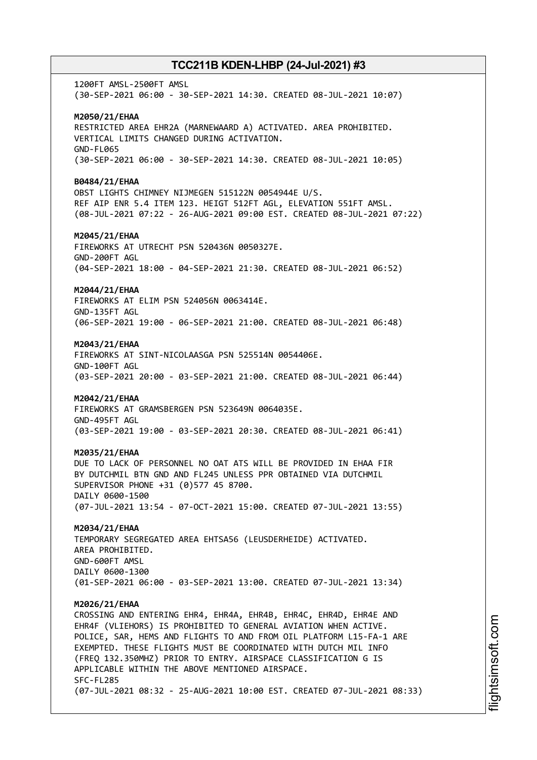1200FT AMSL-2500FT AMSL (30-SEP-2021 06:00 - 30-SEP-2021 14:30. CREATED 08-JUL-2021 10:07) **M2050/21/EHAA** RESTRICTED AREA EHR2A (MARNEWAARD A) ACTIVATED. AREA PROHIBITED. VERTICAL LIMITS CHANGED DURING ACTIVATION. GND-FL065 (30-SEP-2021 06:00 - 30-SEP-2021 14:30. CREATED 08-JUL-2021 10:05) **B0484/21/EHAA** OBST LIGHTS CHIMNEY NIJMEGEN 515122N 0054944E U/S. REF AIP ENR 5.4 ITEM 123. HEIGT 512FT AGL, ELEVATION 551FT AMSL. (08-JUL-2021 07:22 - 26-AUG-2021 09:00 EST. CREATED 08-JUL-2021 07:22) **M2045/21/EHAA** FIREWORKS AT UTRECHT PSN 520436N 0050327E. GND-200FT AGL (04-SEP-2021 18:00 - 04-SEP-2021 21:30. CREATED 08-JUL-2021 06:52) **M2044/21/EHAA** FIREWORKS AT ELIM PSN 524056N 0063414E. GND-135FT AGL (06-SEP-2021 19:00 - 06-SEP-2021 21:00. CREATED 08-JUL-2021 06:48) **M2043/21/EHAA** FIREWORKS AT SINT-NICOLAASGA PSN 525514N 0054406E. GND-100FT AGL (03-SEP-2021 20:00 - 03-SEP-2021 21:00. CREATED 08-JUL-2021 06:44) **M2042/21/EHAA** FIREWORKS AT GRAMSBERGEN PSN 523649N 0064035E. GND-495FT AGL (03-SEP-2021 19:00 - 03-SEP-2021 20:30. CREATED 08-JUL-2021 06:41) **M2035/21/EHAA** DUE TO LACK OF PERSONNEL NO OAT ATS WILL BE PROVIDED IN EHAA FIR BY DUTCHMIL BTN GND AND FL245 UNLESS PPR OBTAINED VIA DUTCHMIL SUPERVISOR PHONE +31 (0)577 45 8700. DAILY 0600-1500 (07-JUL-2021 13:54 - 07-OCT-2021 15:00. CREATED 07-JUL-2021 13:55) **M2034/21/EHAA** TEMPORARY SEGREGATED AREA EHTSA56 (LEUSDERHEIDE) ACTIVATED. AREA PROHIBITED. GND-600FT AMSL DAILY 0600-1300 (01-SEP-2021 06:00 - 03-SEP-2021 13:00. CREATED 07-JUL-2021 13:34) **M2026/21/EHAA** CROSSING AND ENTERING EHR4, EHR4A, EHR4B, EHR4C, EHR4D, EHR4E AND EHR4F (VLIEHORS) IS PROHIBITED TO GENERAL AVIATION WHEN ACTIVE. POLICE, SAR, HEMS AND FLIGHTS TO AND FROM OIL PLATFORM L15-FA-1 ARE EXEMPTED. THESE FLIGHTS MUST BE COORDINATED WITH DUTCH MIL INFO (FREQ 132.350MHZ) PRIOR TO ENTRY. AIRSPACE CLASSIFICATION G IS APPLICABLE WITHIN THE ABOVE MENTIONED AIRSPACE. SFC-FL285 (07-JUL-2021 08:32 - 25-AUG-2021 10:00 EST. CREATED 07-JUL-2021 08:33)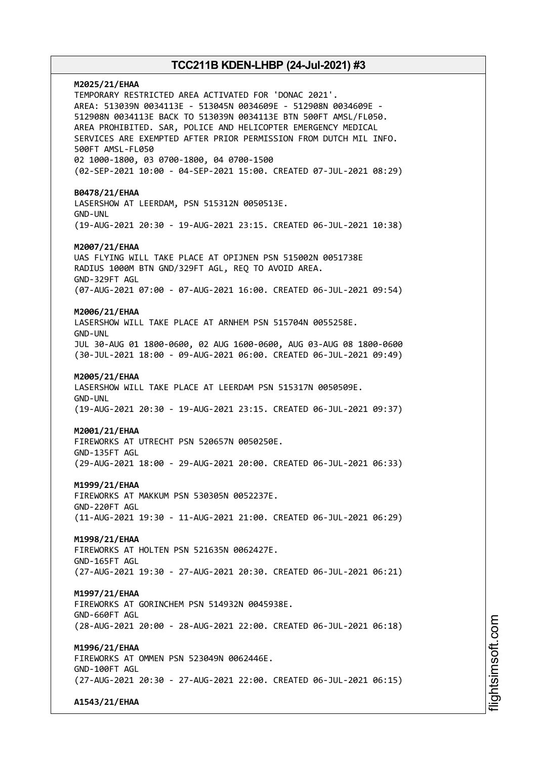# **M2025/21/EHAA** TEMPORARY RESTRICTED AREA ACTIVATED FOR 'DONAC 2021'. AREA: 513039N 0034113E - 513045N 0034609E - 512908N 0034609E - 512908N 0034113E BACK TO 513039N 0034113E BTN 500FT AMSL/FL050. AREA PROHIBITED. SAR, POLICE AND HELICOPTER EMERGENCY MEDICAL SERVICES ARE EXEMPTED AFTER PRIOR PERMISSION FROM DUTCH MIL INFO. 500FT AMSL-FL050 02 1000-1800, 03 0700-1800, 04 0700-1500 (02-SEP-2021 10:00 - 04-SEP-2021 15:00. CREATED 07-JUL-2021 08:29) **B0478/21/EHAA** LASERSHOW AT LEERDAM, PSN 515312N 0050513E. GND-UNL (19-AUG-2021 20:30 - 19-AUG-2021 23:15. CREATED 06-JUL-2021 10:38) **M2007/21/EHAA** UAS FLYING WILL TAKE PLACE AT OPIJNEN PSN 515002N 0051738E RADIUS 1000M BTN GND/329FT AGL, REQ TO AVOID AREA. GND-329FT AGL (07-AUG-2021 07:00 - 07-AUG-2021 16:00. CREATED 06-JUL-2021 09:54) **M2006/21/EHAA** LASERSHOW WILL TAKE PLACE AT ARNHEM PSN 515704N 0055258E. GND-UNL JUL 30-AUG 01 1800-0600, 02 AUG 1600-0600, AUG 03-AUG 08 1800-0600 (30-JUL-2021 18:00 - 09-AUG-2021 06:00. CREATED 06-JUL-2021 09:49) **M2005/21/EHAA** LASERSHOW WILL TAKE PLACE AT LEERDAM PSN 515317N 0050509E. GND-UNL (19-AUG-2021 20:30 - 19-AUG-2021 23:15. CREATED 06-JUL-2021 09:37) **M2001/21/EHAA** FIREWORKS AT UTRECHT PSN 520657N 0050250E. GND-135FT AGL (29-AUG-2021 18:00 - 29-AUG-2021 20:00. CREATED 06-JUL-2021 06:33) **M1999/21/EHAA** FIREWORKS AT MAKKUM PSN 530305N 0052237E. GND-220FT AGL (11-AUG-2021 19:30 - 11-AUG-2021 21:00. CREATED 06-JUL-2021 06:29) **M1998/21/EHAA** FIREWORKS AT HOLTEN PSN 521635N 0062427E. GND-165FT AGL (27-AUG-2021 19:30 - 27-AUG-2021 20:30. CREATED 06-JUL-2021 06:21) **M1997/21/EHAA** FIREWORKS AT GORINCHEM PSN 514932N 0045938E. GND-660FT AGL (28-AUG-2021 20:00 - 28-AUG-2021 22:00. CREATED 06-JUL-2021 06:18) **M1996/21/EHAA** FIREWORKS AT OMMEN PSN 523049N 0062446E. GND-100FT AGL (27-AUG-2021 20:30 - 27-AUG-2021 22:00. CREATED 06-JUL-2021 06:15)

**A1543/21/EHAA**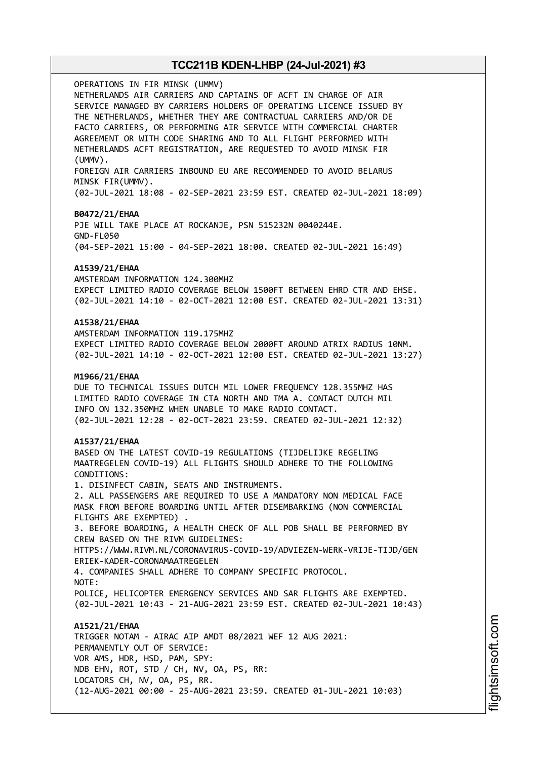OPERATIONS IN FIR MINSK (UMMV) NETHERLANDS AIR CARRIERS AND CAPTAINS OF ACFT IN CHARGE OF AIR SERVICE MANAGED BY CARRIERS HOLDERS OF OPERATING LICENCE ISSUED BY THE NETHERLANDS, WHETHER THEY ARE CONTRACTUAL CARRIERS AND/OR DE FACTO CARRIERS, OR PERFORMING AIR SERVICE WITH COMMERCIAL CHARTER AGREEMENT OR WITH CODE SHARING AND TO ALL FLIGHT PERFORMED WITH NETHERLANDS ACFT REGISTRATION, ARE REQUESTED TO AVOID MINSK FIR (UMMV). FOREIGN AIR CARRIERS INBOUND EU ARE RECOMMENDED TO AVOID BELARUS MINSK FIR(UMMV). (02-JUL-2021 18:08 - 02-SEP-2021 23:59 EST. CREATED 02-JUL-2021 18:09) **B0472/21/EHAA** PJE WILL TAKE PLACE AT ROCKANJE, PSN 515232N 0040244E. GND-FL050 (04-SEP-2021 15:00 - 04-SEP-2021 18:00. CREATED 02-JUL-2021 16:49) **A1539/21/EHAA** AMSTERDAM INFORMATION 124.300MHZ EXPECT LIMITED RADIO COVERAGE BELOW 1500FT BETWEEN EHRD CTR AND EHSE. (02-JUL-2021 14:10 - 02-OCT-2021 12:00 EST. CREATED 02-JUL-2021 13:31) **A1538/21/EHAA** AMSTERDAM INFORMATION 119.175MHZ EXPECT LIMITED RADIO COVERAGE BELOW 2000FT AROUND ATRIX RADIUS 10NM. (02-JUL-2021 14:10 - 02-OCT-2021 12:00 EST. CREATED 02-JUL-2021 13:27) **M1966/21/EHAA** DUE TO TECHNICAL ISSUES DUTCH MIL LOWER FREQUENCY 128.355MHZ HAS LIMITED RADIO COVERAGE IN CTA NORTH AND TMA A. CONTACT DUTCH MIL INFO ON 132.350MHZ WHEN UNABLE TO MAKE RADIO CONTACT. (02-JUL-2021 12:28 - 02-OCT-2021 23:59. CREATED 02-JUL-2021 12:32) **A1537/21/EHAA** BASED ON THE LATEST COVID-19 REGULATIONS (TIJDELIJKE REGELING MAATREGELEN COVID-19) ALL FLIGHTS SHOULD ADHERE TO THE FOLLOWING CONDITIONS: 1. DISINFECT CABIN, SEATS AND INSTRUMENTS. 2. ALL PASSENGERS ARE REQUIRED TO USE A MANDATORY NON MEDICAL FACE MASK FROM BEFORE BOARDING UNTIL AFTER DISEMBARKING (NON COMMERCIAL FLIGHTS ARE EXEMPTED) . 3. BEFORE BOARDING, A HEALTH CHECK OF ALL POB SHALL BE PERFORMED BY CREW BASED ON THE RIVM GUIDELINES: HTTPS://WWW.RIVM.NL/CORONAVIRUS-COVID-19/ADVIEZEN-WERK-VRIJE-TIJD/GEN ERIEK-KADER-CORONAMAATREGELEN 4. COMPANIES SHALL ADHERE TO COMPANY SPECIFIC PROTOCOL. NOTE: POLICE, HELICOPTER EMERGENCY SERVICES AND SAR FLIGHTS ARE EXEMPTED. (02-JUL-2021 10:43 - 21-AUG-2021 23:59 EST. CREATED 02-JUL-2021 10:43) **A1521/21/EHAA** TRIGGER NOTAM - AIRAC AIP AMDT 08/2021 WEF 12 AUG 2021: PERMANENTLY OUT OF SERVICE: VOR AMS, HDR, HSD, PAM, SPY: NDB EHN, ROT, STD / CH, NV, OA, PS, RR: LOCATORS CH, NV, OA, PS, RR. (12-AUG-2021 00:00 - 25-AUG-2021 23:59. CREATED 01-JUL-2021 10:03)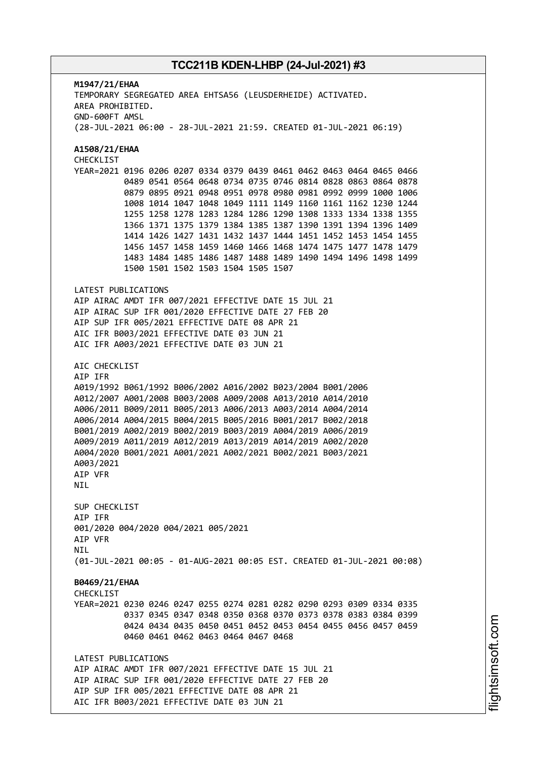**M1947/21/EHAA** TEMPORARY SEGREGATED AREA EHTSA56 (LEUSDERHEIDE) ACTIVATED. AREA PROHIBITED. GND-600FT AMSL (28-JUL-2021 06:00 - 28-JUL-2021 21:59. CREATED 01-JUL-2021 06:19) **A1508/21/EHAA** CHECKLIST YEAR=2021 0196 0206 0207 0334 0379 0439 0461 0462 0463 0464 0465 0466 0489 0541 0564 0648 0734 0735 0746 0814 0828 0863 0864 0878 0879 0895 0921 0948 0951 0978 0980 0981 0992 0999 1000 1006 1008 1014 1047 1048 1049 1111 1149 1160 1161 1162 1230 1244 1255 1258 1278 1283 1284 1286 1290 1308 1333 1334 1338 1355 1366 1371 1375 1379 1384 1385 1387 1390 1391 1394 1396 1409 1414 1426 1427 1431 1432 1437 1444 1451 1452 1453 1454 1455 1456 1457 1458 1459 1460 1466 1468 1474 1475 1477 1478 1479 1483 1484 1485 1486 1487 1488 1489 1490 1494 1496 1498 1499 1500 1501 1502 1503 1504 1505 1507 LATEST PUBLICATIONS AIP AIRAC AMDT IFR 007/2021 EFFECTIVE DATE 15 JUL 21 AIP AIRAC SUP IFR 001/2020 EFFECTIVE DATE 27 FEB 20 AIP SUP IFR 005/2021 EFFECTIVE DATE 08 APR 21 AIC IFR B003/2021 EFFECTIVE DATE 03 JUN 21 AIC IFR A003/2021 EFFECTIVE DATE 03 JUN 21 AIC CHECKLIST AIP IFR A019/1992 B061/1992 B006/2002 A016/2002 B023/2004 B001/2006 A012/2007 A001/2008 B003/2008 A009/2008 A013/2010 A014/2010 A006/2011 B009/2011 B005/2013 A006/2013 A003/2014 A004/2014 A006/2014 A004/2015 B004/2015 B005/2016 B001/2017 B002/2018 B001/2019 A002/2019 B002/2019 B003/2019 A004/2019 A006/2019 A009/2019 A011/2019 A012/2019 A013/2019 A014/2019 A002/2020 A004/2020 B001/2021 A001/2021 A002/2021 B002/2021 B003/2021 A003/2021 AIP VFR NIL SUP CHECKLIST AIP IFR 001/2020 004/2020 004/2021 005/2021 AIP VFR **NTI** (01-JUL-2021 00:05 - 01-AUG-2021 00:05 EST. CREATED 01-JUL-2021 00:08) **B0469/21/EHAA CHECKLIST** YEAR=2021 0230 0246 0247 0255 0274 0281 0282 0290 0293 0309 0334 0335 0337 0345 0347 0348 0350 0368 0370 0373 0378 0383 0384 0399 0424 0434 0435 0450 0451 0452 0453 0454 0455 0456 0457 0459 0460 0461 0462 0463 0464 0467 0468 LATEST PUBLICATIONS AIP AIRAC AMDT IFR 007/2021 EFFECTIVE DATE 15 JUL 21 AIP AIRAC SUP IFR 001/2020 EFFECTIVE DATE 27 FEB 20 AIP SUP IFR 005/2021 EFFECTIVE DATE 08 APR 21 AIC IFR B003/2021 EFFECTIVE DATE 03 JUN 21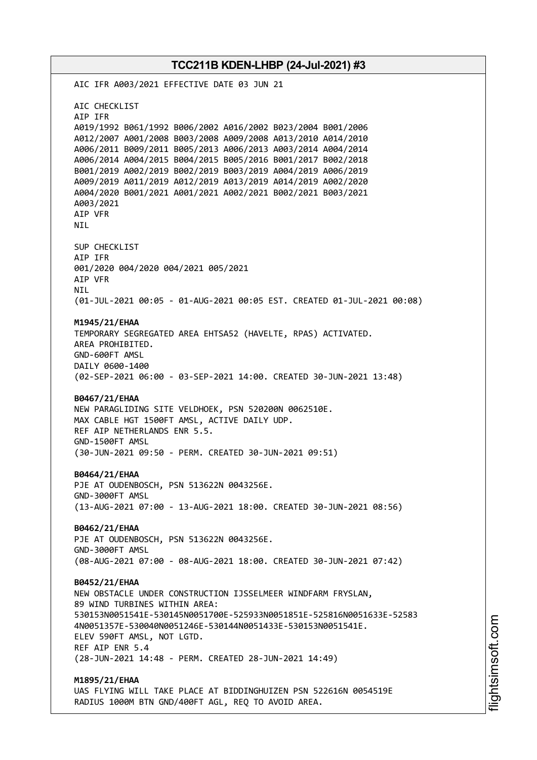AIC IFR A003/2021 EFFECTIVE DATE 03 JUN 21 AIC CHECKLIST AIP IFR A019/1992 B061/1992 B006/2002 A016/2002 B023/2004 B001/2006 A012/2007 A001/2008 B003/2008 A009/2008 A013/2010 A014/2010 A006/2011 B009/2011 B005/2013 A006/2013 A003/2014 A004/2014 A006/2014 A004/2015 B004/2015 B005/2016 B001/2017 B002/2018 B001/2019 A002/2019 B002/2019 B003/2019 A004/2019 A006/2019 A009/2019 A011/2019 A012/2019 A013/2019 A014/2019 A002/2020 A004/2020 B001/2021 A001/2021 A002/2021 B002/2021 B003/2021 A003/2021 AIP VFR NIL SUP CHECKLIST AIP IFR 001/2020 004/2020 004/2021 005/2021 AIP VFR NIL (01-JUL-2021 00:05 - 01-AUG-2021 00:05 EST. CREATED 01-JUL-2021 00:08) **M1945/21/EHAA** TEMPORARY SEGREGATED AREA EHTSA52 (HAVELTE, RPAS) ACTIVATED. AREA PROHIBITED. GND-600FT AMSL DAILY 0600-1400 (02-SEP-2021 06:00 - 03-SEP-2021 14:00. CREATED 30-JUN-2021 13:48) **B0467/21/EHAA** NEW PARAGLIDING SITE VELDHOEK, PSN 520200N 0062510E. MAX CABLE HGT 1500FT AMSL, ACTIVE DAILY UDP. REF AIP NETHERLANDS ENR 5.5. GND-1500FT AMSL (30-JUN-2021 09:50 - PERM. CREATED 30-JUN-2021 09:51) **B0464/21/EHAA** PJE AT OUDENBOSCH, PSN 513622N 0043256E. GND-3000FT AMSL (13-AUG-2021 07:00 - 13-AUG-2021 18:00. CREATED 30-JUN-2021 08:56) **B0462/21/EHAA** PJE AT OUDENBOSCH, PSN 513622N 0043256E. GND-3000FT AMSL (08-AUG-2021 07:00 - 08-AUG-2021 18:00. CREATED 30-JUN-2021 07:42) **B0452/21/EHAA** NEW OBSTACLE UNDER CONSTRUCTION IJSSELMEER WINDFARM FRYSLAN, 89 WIND TURBINES WITHIN AREA: 530153N0051541E-530145N0051700E-525933N0051851E-525816N0051633E-52583 4N0051357E-530040N0051246E-530144N0051433E-530153N0051541E. ELEV 590FT AMSL, NOT LGTD. REF AIP ENR 5.4 (28-JUN-2021 14:48 - PERM. CREATED 28-JUN-2021 14:49) **M1895/21/EHAA** UAS FLYING WILL TAKE PLACE AT BIDDINGHUIZEN PSN 522616N 0054519E

RADIUS 1000M BTN GND/400FT AGL, REQ TO AVOID AREA.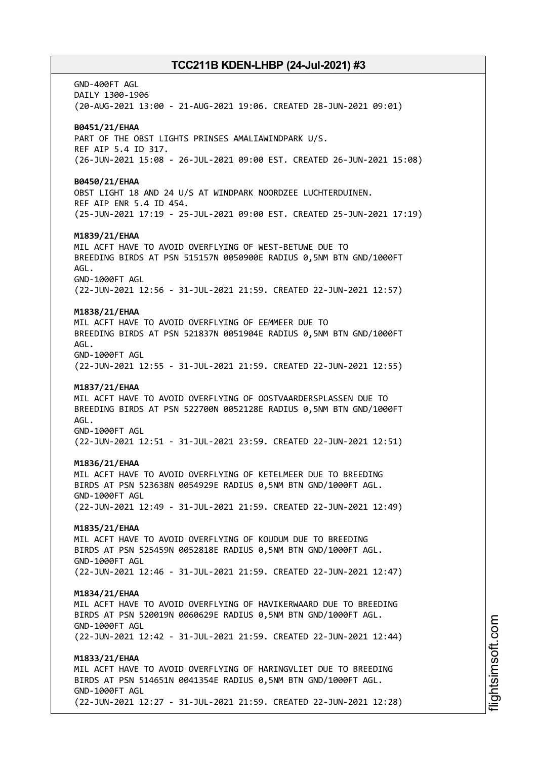GND-400FT AGL DAILY 1300-1906 (20-AUG-2021 13:00 - 21-AUG-2021 19:06. CREATED 28-JUN-2021 09:01) **B0451/21/EHAA** PART OF THE OBST LIGHTS PRINSES AMALIAWINDPARK U/S. REF AIP 5.4 ID 317. (26-JUN-2021 15:08 - 26-JUL-2021 09:00 EST. CREATED 26-JUN-2021 15:08) **B0450/21/EHAA** OBST LIGHT 18 AND 24 U/S AT WINDPARK NOORDZEE LUCHTERDUINEN. REF AIP ENR 5.4 ID 454. (25-JUN-2021 17:19 - 25-JUL-2021 09:00 EST. CREATED 25-JUN-2021 17:19) **M1839/21/EHAA** MIL ACFT HAVE TO AVOID OVERFLYING OF WEST-BETUWE DUE TO BREEDING BIRDS AT PSN 515157N 0050900E RADIUS 0,5NM BTN GND/1000FT AGL. GND-1000FT AGL (22-JUN-2021 12:56 - 31-JUL-2021 21:59. CREATED 22-JUN-2021 12:57) **M1838/21/EHAA** MIL ACFT HAVE TO AVOID OVERFLYING OF EEMMEER DUE TO BREEDING BIRDS AT PSN 521837N 0051904E RADIUS 0,5NM BTN GND/1000FT AGL. GND-1000FT AGL (22-JUN-2021 12:55 - 31-JUL-2021 21:59. CREATED 22-JUN-2021 12:55) **M1837/21/EHAA** MIL ACFT HAVE TO AVOID OVERFLYING OF OOSTVAARDERSPLASSEN DUE TO BREEDING BIRDS AT PSN 522700N 0052128E RADIUS 0,5NM BTN GND/1000FT AGL. GND-1000FT AGL (22-JUN-2021 12:51 - 31-JUL-2021 23:59. CREATED 22-JUN-2021 12:51) **M1836/21/EHAA** MIL ACFT HAVE TO AVOID OVERFLYING OF KETELMEER DUE TO BREEDING BIRDS AT PSN 523638N 0054929E RADIUS 0,5NM BTN GND/1000FT AGL. GND-1000FT AGL (22-JUN-2021 12:49 - 31-JUL-2021 21:59. CREATED 22-JUN-2021 12:49) **M1835/21/EHAA** MIL ACFT HAVE TO AVOID OVERFLYING OF KOUDUM DUE TO BREEDING BIRDS AT PSN 525459N 0052818E RADIUS 0,5NM BTN GND/1000FT AGL. GND-1000FT AGL (22-JUN-2021 12:46 - 31-JUL-2021 21:59. CREATED 22-JUN-2021 12:47) **M1834/21/EHAA** MIL ACFT HAVE TO AVOID OVERFLYING OF HAVIKERWAARD DUE TO BREEDING BIRDS AT PSN 520019N 0060629E RADIUS 0,5NM BTN GND/1000FT AGL. GND-1000FT AGL (22-JUN-2021 12:42 - 31-JUL-2021 21:59. CREATED 22-JUN-2021 12:44) **M1833/21/EHAA** MIL ACFT HAVE TO AVOID OVERFLYING OF HARINGVLIET DUE TO BREEDING BIRDS AT PSN 514651N 0041354E RADIUS 0,5NM BTN GND/1000FT AGL. GND-1000FT AGL (22-JUN-2021 12:27 - 31-JUL-2021 21:59. CREATED 22-JUN-2021 12:28)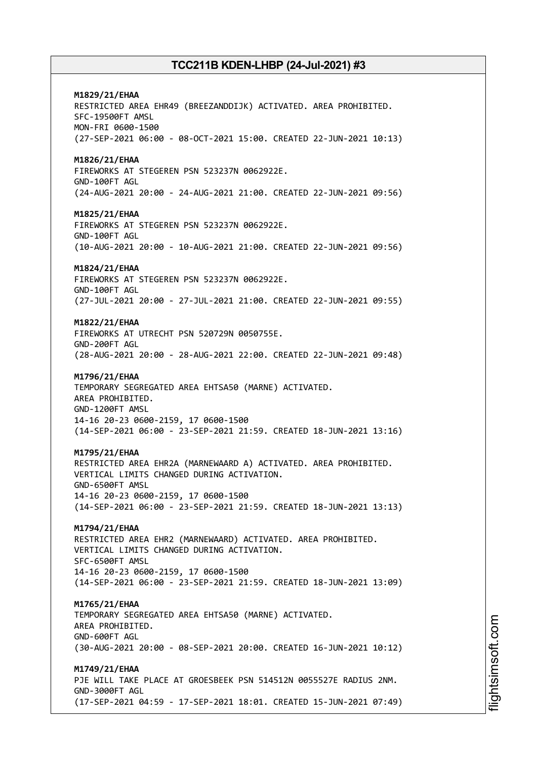**M1829/21/EHAA** RESTRICTED AREA EHR49 (BREEZANDDIJK) ACTIVATED. AREA PROHIBITED. SFC-19500FT AMSL MON-FRI 0600-1500 (27-SEP-2021 06:00 - 08-OCT-2021 15:00. CREATED 22-JUN-2021 10:13) **M1826/21/EHAA** FIREWORKS AT STEGEREN PSN 523237N 0062922E. GND-100FT AGL (24-AUG-2021 20:00 - 24-AUG-2021 21:00. CREATED 22-JUN-2021 09:56) **M1825/21/EHAA** FIREWORKS AT STEGEREN PSN 523237N 0062922E. GND-100FT AGL (10-AUG-2021 20:00 - 10-AUG-2021 21:00. CREATED 22-JUN-2021 09:56) **M1824/21/EHAA** FIREWORKS AT STEGEREN PSN 523237N 0062922E. GND-100FT AGL (27-JUL-2021 20:00 - 27-JUL-2021 21:00. CREATED 22-JUN-2021 09:55) **M1822/21/EHAA** FIREWORKS AT UTRECHT PSN 520729N 0050755E. GND-200FT AGL (28-AUG-2021 20:00 - 28-AUG-2021 22:00. CREATED 22-JUN-2021 09:48) **M1796/21/EHAA** TEMPORARY SEGREGATED AREA EHTSA50 (MARNE) ACTIVATED. AREA PROHIBITED. GND-1200FT AMSL 14-16 20-23 0600-2159, 17 0600-1500 (14-SEP-2021 06:00 - 23-SEP-2021 21:59. CREATED 18-JUN-2021 13:16) **M1795/21/EHAA** RESTRICTED AREA EHR2A (MARNEWAARD A) ACTIVATED. AREA PROHIBITED. VERTICAL LIMITS CHANGED DURING ACTIVATION. GND-6500FT AMSL 14-16 20-23 0600-2159, 17 0600-1500 (14-SEP-2021 06:00 - 23-SEP-2021 21:59. CREATED 18-JUN-2021 13:13) **M1794/21/EHAA** RESTRICTED AREA EHR2 (MARNEWAARD) ACTIVATED. AREA PROHIBITED. VERTICAL LIMITS CHANGED DURING ACTIVATION. SFC-6500FT AMSL 14-16 20-23 0600-2159, 17 0600-1500 (14-SEP-2021 06:00 - 23-SEP-2021 21:59. CREATED 18-JUN-2021 13:09) **M1765/21/EHAA** TEMPORARY SEGREGATED AREA EHTSA50 (MARNE) ACTIVATED. AREA PROHIBITED. GND-600FT AGL (30-AUG-2021 20:00 - 08-SEP-2021 20:00. CREATED 16-JUN-2021 10:12) **M1749/21/EHAA** PJE WILL TAKE PLACE AT GROESBEEK PSN 514512N 0055527E RADIUS 2NM. GND-3000FT AGL (17-SEP-2021 04:59 - 17-SEP-2021 18:01. CREATED 15-JUN-2021 07:49)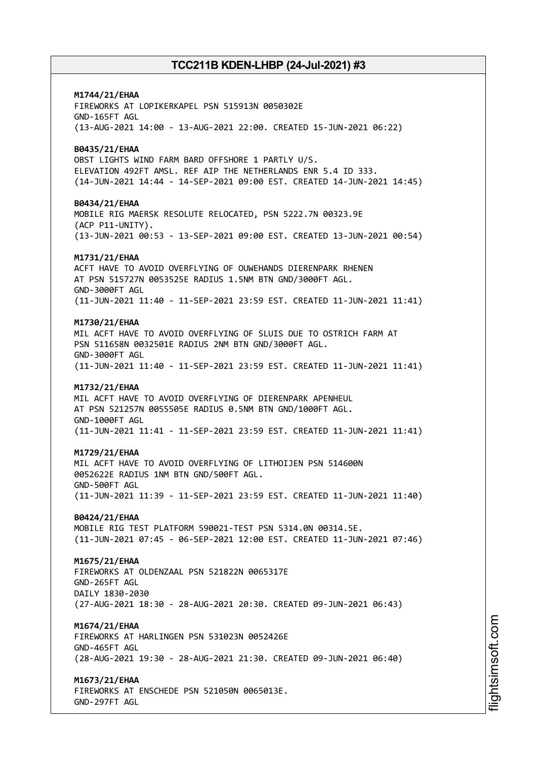# **M1744/21/EHAA**

FIREWORKS AT LOPIKERKAPEL PSN 515913N 0050302E GND-165FT AGL (13-AUG-2021 14:00 - 13-AUG-2021 22:00. CREATED 15-JUN-2021 06:22)

### **B0435/21/EHAA**

OBST LIGHTS WIND FARM BARD OFFSHORE 1 PARTLY U/S. ELEVATION 492FT AMSL. REF AIP THE NETHERLANDS ENR 5.4 ID 333. (14-JUN-2021 14:44 - 14-SEP-2021 09:00 EST. CREATED 14-JUN-2021 14:45)

#### **B0434/21/EHAA**

MOBILE RIG MAERSK RESOLUTE RELOCATED, PSN 5222.7N 00323.9E (ACP P11-UNITY). (13-JUN-2021 00:53 - 13-SEP-2021 09:00 EST. CREATED 13-JUN-2021 00:54)

### **M1731/21/EHAA**

ACFT HAVE TO AVOID OVERFLYING OF OUWEHANDS DIERENPARK RHENEN AT PSN 515727N 0053525E RADIUS 1.5NM BTN GND/3000FT AGL. GND-3000FT AGL (11-JUN-2021 11:40 - 11-SEP-2021 23:59 EST. CREATED 11-JUN-2021 11:41)

#### **M1730/21/EHAA**

MIL ACFT HAVE TO AVOID OVERFLYING OF SLUIS DUE TO OSTRICH FARM AT PSN 511658N 0032501E RADIUS 2NM BTN GND/3000FT AGL. GND-3000FT AGL (11-JUN-2021 11:40 - 11-SEP-2021 23:59 EST. CREATED 11-JUN-2021 11:41)

### **M1732/21/EHAA**

MIL ACFT HAVE TO AVOID OVERFLYING OF DIERENPARK APENHEUL AT PSN 521257N 0055505E RADIUS 0.5NM BTN GND/1000FT AGL. GND-1000FT AGL (11-JUN-2021 11:41 - 11-SEP-2021 23:59 EST. CREATED 11-JUN-2021 11:41)

### **M1729/21/EHAA**

MIL ACFT HAVE TO AVOID OVERFLYING OF LITHOIJEN PSN 514600N 0052622E RADIUS 1NM BTN GND/500FT AGL. GND-500FT AGL (11-JUN-2021 11:39 - 11-SEP-2021 23:59 EST. CREATED 11-JUN-2021 11:40)

### **B0424/21/EHAA**

MOBILE RIG TEST PLATFORM 590021-TEST PSN 5314.0N 00314.5E. (11-JUN-2021 07:45 - 06-SEP-2021 12:00 EST. CREATED 11-JUN-2021 07:46)

### **M1675/21/EHAA**

FIREWORKS AT OLDENZAAL PSN 521822N 0065317E GND-265FT AGL DAILY 1830-2030 (27-AUG-2021 18:30 - 28-AUG-2021 20:30. CREATED 09-JUN-2021 06:43)

#### **M1674/21/EHAA**

FIREWORKS AT HARLINGEN PSN 531023N 0052426E GND-465FT AGL (28-AUG-2021 19:30 - 28-AUG-2021 21:30. CREATED 09-JUN-2021 06:40)

### **M1673/21/EHAA**

FIREWORKS AT ENSCHEDE PSN 521050N 0065013E. GND-297FT AGL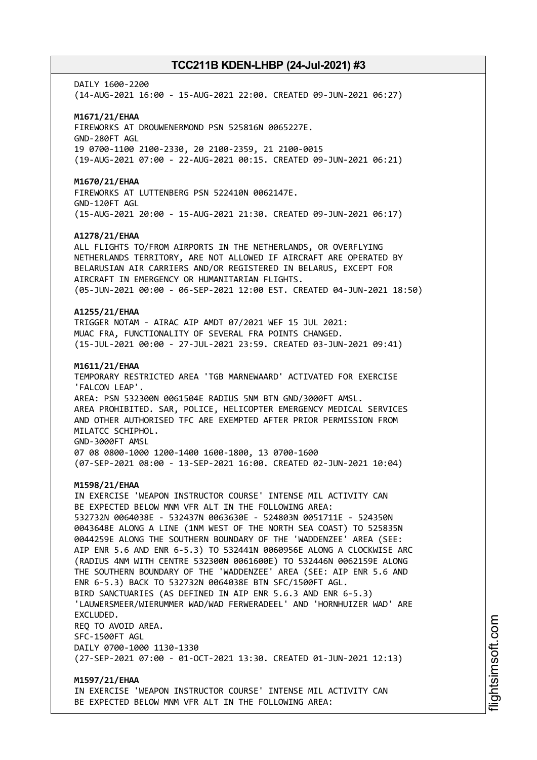#### DATIY 1600-2200

(14-AUG-2021 16:00 - 15-AUG-2021 22:00. CREATED 09-JUN-2021 06:27)

#### **M1671/21/EHAA**

FIREWORKS AT DROUWENERMOND PSN 525816N 0065227E. GND-280FT AGL 19 0700-1100 2100-2330, 20 2100-2359, 21 2100-0015 (19-AUG-2021 07:00 - 22-AUG-2021 00:15. CREATED 09-JUN-2021 06:21)

#### **M1670/21/EHAA**

FIREWORKS AT LUTTENBERG PSN 522410N 0062147E. GND-120FT AGL (15-AUG-2021 20:00 - 15-AUG-2021 21:30. CREATED 09-JUN-2021 06:17)

#### **A1278/21/EHAA**

ALL FLIGHTS TO/FROM AIRPORTS IN THE NETHERLANDS, OR OVERFLYING NETHERLANDS TERRITORY, ARE NOT ALLOWED IF AIRCRAFT ARE OPERATED BY BELARUSIAN AIR CARRIERS AND/OR REGISTERED IN BELARUS, EXCEPT FOR AIRCRAFT IN EMERGENCY OR HUMANITARIAN FLIGHTS. (05-JUN-2021 00:00 - 06-SEP-2021 12:00 EST. CREATED 04-JUN-2021 18:50)

### **A1255/21/EHAA**

TRIGGER NOTAM - AIRAC AIP AMDT 07/2021 WEF 15 JUL 2021: MUAC FRA, FUNCTIONALITY OF SEVERAL FRA POINTS CHANGED. (15-JUL-2021 00:00 - 27-JUL-2021 23:59. CREATED 03-JUN-2021 09:41)

#### **M1611/21/EHAA**

TEMPORARY RESTRICTED AREA 'TGB MARNEWAARD' ACTIVATED FOR EXERCISE 'FALCON LEAP'. AREA: PSN 532300N 0061504E RADIUS 5NM BTN GND/3000FT AMSL. AREA PROHIBITED. SAR, POLICE, HELICOPTER EMERGENCY MEDICAL SERVICES AND OTHER AUTHORISED TFC ARE EXEMPTED AFTER PRIOR PERMISSION FROM MILATCC SCHIPHOL. GND-3000FT AMSL 07 08 0800-1000 1200-1400 1600-1800, 13 0700-1600 (07-SEP-2021 08:00 - 13-SEP-2021 16:00. CREATED 02-JUN-2021 10:04)

#### **M1598/21/EHAA**

IN EXERCISE 'WEAPON INSTRUCTOR COURSE' INTENSE MIL ACTIVITY CAN BE EXPECTED BELOW MNM VFR ALT IN THE FOLLOWING AREA: 532732N 0064038E - 532437N 0063630E - 524803N 0051711E - 524350N 0043648E ALONG A LINE (1NM WEST OF THE NORTH SEA COAST) TO 525835N 0044259E ALONG THE SOUTHERN BOUNDARY OF THE 'WADDENZEE' AREA (SEE: AIP ENR 5.6 AND ENR 6-5.3) TO 532441N 0060956E ALONG A CLOCKWISE ARC (RADIUS 4NM WITH CENTRE 532300N 0061600E) TO 532446N 0062159E ALONG THE SOUTHERN BOUNDARY OF THE 'WADDENZEE' AREA (SEE: AIP ENR 5.6 AND ENR 6-5.3) BACK TO 532732N 0064038E BTN SFC/1500FT AGL. BIRD SANCTUARIES (AS DEFINED IN AIP ENR 5.6.3 AND ENR 6-5.3) 'LAUWERSMEER/WIERUMMER WAD/WAD FERWERADEEL' AND 'HORNHUIZER WAD' ARE EXCLUDED. REQ TO AVOID AREA. SFC-1500FT AGL DAILY 0700-1000 1130-1330 (27-SEP-2021 07:00 - 01-OCT-2021 13:30. CREATED 01-JUN-2021 12:13)

**M1597/21/EHAA** IN EXERCISE 'WEAPON INSTRUCTOR COURSE' INTENSE MIL ACTIVITY CAN BE EXPECTED BELOW MNM VFR ALT IN THE FOLLOWING AREA: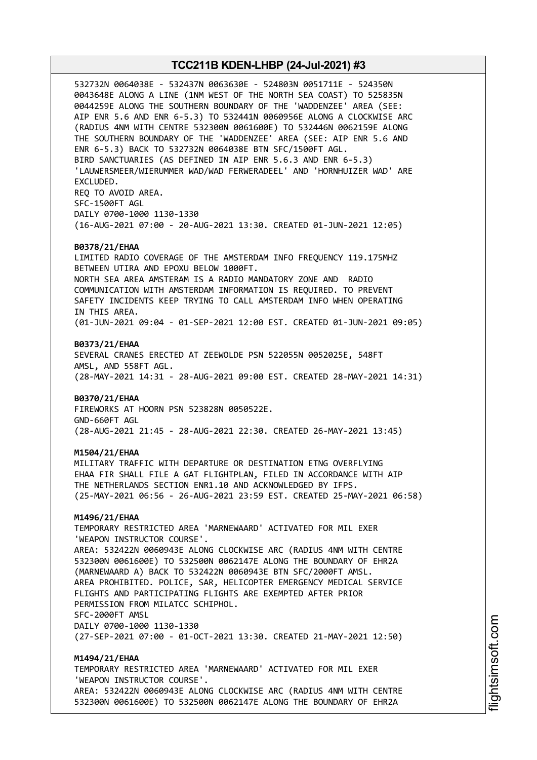532732N 0064038E - 532437N 0063630E - 524803N 0051711E - 524350N 0043648E ALONG A LINE (1NM WEST OF THE NORTH SEA COAST) TO 525835N 0044259E ALONG THE SOUTHERN BOUNDARY OF THE 'WADDENZEE' AREA (SEE: AIP ENR 5.6 AND ENR 6-5.3) TO 532441N 0060956E ALONG A CLOCKWISE ARC (RADIUS 4NM WITH CENTRE 532300N 0061600E) TO 532446N 0062159E ALONG THE SOUTHERN BOUNDARY OF THE 'WADDENZEE' AREA (SEE: AIP ENR 5.6 AND ENR 6-5.3) BACK TO 532732N 0064038E BTN SFC/1500FT AGL. BIRD SANCTUARIES (AS DEFINED IN AIP ENR 5.6.3 AND ENR 6-5.3) 'LAUWERSMEER/WIERUMMER WAD/WAD FERWERADEEL' AND 'HORNHUIZER WAD' ARE EXCLUDED. REQ TO AVOID AREA. SFC-1500FT AGL DAILY 0700-1000 1130-1330 (16-AUG-2021 07:00 - 20-AUG-2021 13:30. CREATED 01-JUN-2021 12:05) **B0378/21/EHAA** LIMITED RADIO COVERAGE OF THE AMSTERDAM INFO FREQUENCY 119.175MHZ BETWEEN UTIRA AND EPOXU BELOW 1000FT. NORTH SEA AREA AMSTERAM IS A RADIO MANDATORY ZONE AND RADIO COMMUNICATION WITH AMSTERDAM INFORMATION IS REQUIRED. TO PREVENT SAFETY INCIDENTS KEEP TRYING TO CALL AMSTERDAM INFO WHEN OPERATING IN THIS AREA. (01-JUN-2021 09:04 - 01-SEP-2021 12:00 EST. CREATED 01-JUN-2021 09:05) **B0373/21/EHAA** SEVERAL CRANES ERECTED AT ZEEWOLDE PSN 522055N 0052025E, 548FT AMSL, AND 558FT AGL. (28-MAY-2021 14:31 - 28-AUG-2021 09:00 EST. CREATED 28-MAY-2021 14:31) **B0370/21/EHAA** FIREWORKS AT HOORN PSN 523828N 0050522E. GND-660FT AGL (28-AUG-2021 21:45 - 28-AUG-2021 22:30. CREATED 26-MAY-2021 13:45) **M1504/21/EHAA** MILITARY TRAFFIC WITH DEPARTURE OR DESTINATION ETNG OVERFLYING EHAA FIR SHALL FILE A GAT FLIGHTPLAN, FILED IN ACCORDANCE WITH AIP THE NETHERLANDS SECTION ENR1.10 AND ACKNOWLEDGED BY IFPS. (25-MAY-2021 06:56 - 26-AUG-2021 23:59 EST. CREATED 25-MAY-2021 06:58) **M1496/21/EHAA** TEMPORARY RESTRICTED AREA 'MARNEWAARD' ACTIVATED FOR MIL EXER 'WEAPON INSTRUCTOR COURSE'. AREA: 532422N 0060943E ALONG CLOCKWISE ARC (RADIUS 4NM WITH CENTRE 532300N 0061600E) TO 532500N 0062147E ALONG THE BOUNDARY OF EHR2A (MARNEWAARD A) BACK TO 532422N 0060943E BTN SFC/2000FT AMSL. AREA PROHIBITED. POLICE, SAR, HELICOPTER EMERGENCY MEDICAL SERVICE FLIGHTS AND PARTICIPATING FLIGHTS ARE EXEMPTED AFTER PRIOR PERMISSION FROM MILATCC SCHIPHOL. SFC-2000FT AMSL DAILY 0700-1000 1130-1330 (27-SEP-2021 07:00 - 01-OCT-2021 13:30. CREATED 21-MAY-2021 12:50) **M1494/21/EHAA** TEMPORARY RESTRICTED AREA 'MARNEWAARD' ACTIVATED FOR MIL EXER 'WEAPON INSTRUCTOR COURSE'. AREA: 532422N 0060943E ALONG CLOCKWISE ARC (RADIUS 4NM WITH CENTRE 532300N 0061600E) TO 532500N 0062147E ALONG THE BOUNDARY OF EHR2A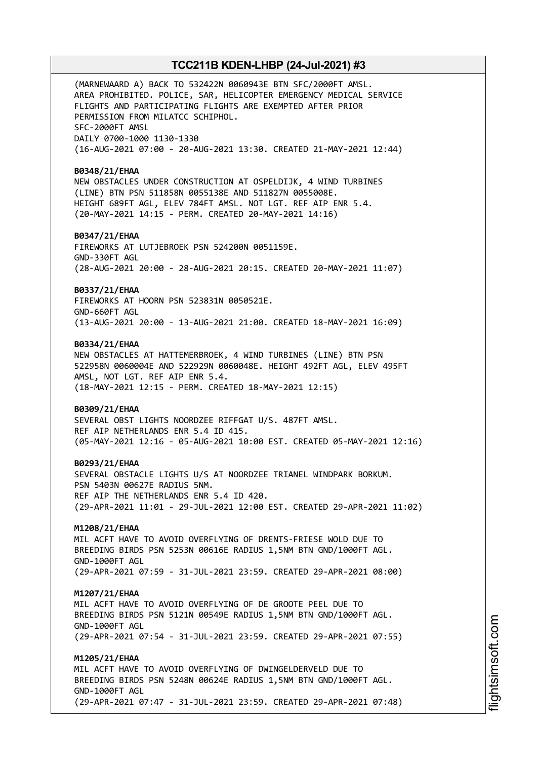(MARNEWAARD A) BACK TO 532422N 0060943E BTN SFC/2000FT AMSL. AREA PROHIBITED. POLICE, SAR, HELICOPTER EMERGENCY MEDICAL SERVICE FLIGHTS AND PARTICIPATING FLIGHTS ARE EXEMPTED AFTER PRIOR PERMISSION FROM MILATCC SCHIPHOL. SFC-2000FT AMSL DAILY 0700-1000 1130-1330 (16-AUG-2021 07:00 - 20-AUG-2021 13:30. CREATED 21-MAY-2021 12:44)

#### **B0348/21/EHAA**

NEW OBSTACLES UNDER CONSTRUCTION AT OSPELDIJK, 4 WIND TURBINES (LINE) BTN PSN 511858N 0055138E AND 511827N 0055008E. HEIGHT 689FT AGL, ELEV 784FT AMSL. NOT LGT. REF AIP ENR 5.4. (20-MAY-2021 14:15 - PERM. CREATED 20-MAY-2021 14:16)

#### **B0347/21/EHAA**

FIREWORKS AT LUTJEBROEK PSN 524200N 0051159E. GND-330FT AGL (28-AUG-2021 20:00 - 28-AUG-2021 20:15. CREATED 20-MAY-2021 11:07)

#### **B0337/21/EHAA**

FIREWORKS AT HOORN PSN 523831N 0050521E. GND-660FT AGL (13-AUG-2021 20:00 - 13-AUG-2021 21:00. CREATED 18-MAY-2021 16:09)

#### **B0334/21/EHAA**

NEW OBSTACLES AT HATTEMERBROEK, 4 WIND TURBINES (LINE) BTN PSN 522958N 0060004E AND 522929N 0060048E. HEIGHT 492FT AGL, ELEV 495FT AMSL, NOT LGT. REF AIP ENR 5.4. (18-MAY-2021 12:15 - PERM. CREATED 18-MAY-2021 12:15)

#### **B0309/21/EHAA**

SEVERAL OBST LIGHTS NOORDZEE RIFFGAT U/S. 487FT AMSL. REF AIP NETHERLANDS ENR 5.4 ID 415. (05-MAY-2021 12:16 - 05-AUG-2021 10:00 EST. CREATED 05-MAY-2021 12:16)

#### **B0293/21/EHAA**

SEVERAL OBSTACLE LIGHTS U/S AT NOORDZEE TRIANEL WINDPARK BORKUM. PSN 5403N 00627E RADIUS 5NM. REF AIP THE NETHERLANDS ENR 5.4 ID 420. (29-APR-2021 11:01 - 29-JUL-2021 12:00 EST. CREATED 29-APR-2021 11:02)

#### **M1208/21/EHAA**

MIL ACFT HAVE TO AVOID OVERFLYING OF DRENTS-FRIESE WOLD DUE TO BREEDING BIRDS PSN 5253N 00616E RADIUS 1,5NM BTN GND/1000FT AGL. GND-1000FT AGL (29-APR-2021 07:59 - 31-JUL-2021 23:59. CREATED 29-APR-2021 08:00)

#### **M1207/21/EHAA**

MIL ACFT HAVE TO AVOID OVERFLYING OF DE GROOTE PEEL DUE TO BREEDING BIRDS PSN 5121N 00549E RADIUS 1,5NM BTN GND/1000FT AGL. GND-1000FT AGL (29-APR-2021 07:54 - 31-JUL-2021 23:59. CREATED 29-APR-2021 07:55)

#### **M1205/21/EHAA**

MIL ACFT HAVE TO AVOID OVERFLYING OF DWINGELDERVELD DUE TO BREEDING BIRDS PSN 5248N 00624E RADIUS 1,5NM BTN GND/1000FT AGL. GND-1000FT AGL (29-APR-2021 07:47 - 31-JUL-2021 23:59. CREATED 29-APR-2021 07:48)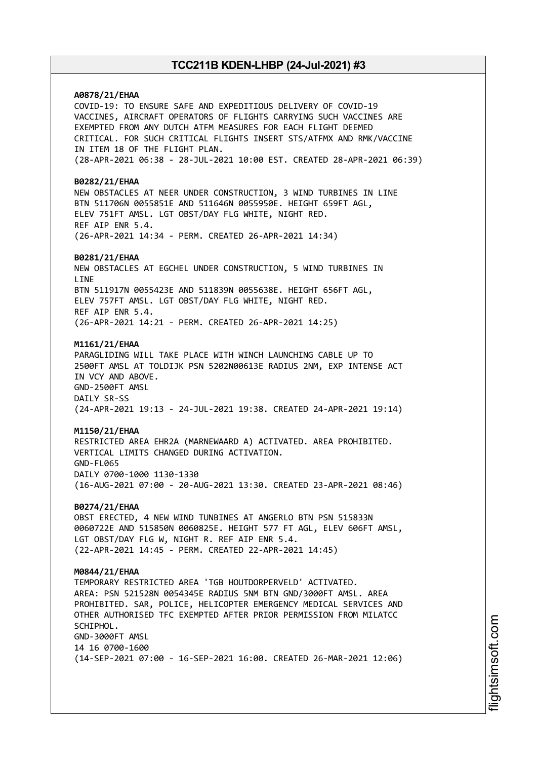### **A0878/21/EHAA**

COVID-19: TO ENSURE SAFE AND EXPEDITIOUS DELIVERY OF COVID-19 VACCINES, AIRCRAFT OPERATORS OF FLIGHTS CARRYING SUCH VACCINES ARE EXEMPTED FROM ANY DUTCH ATFM MEASURES FOR EACH FLIGHT DEEMED CRITICAL. FOR SUCH CRITICAL FLIGHTS INSERT STS/ATFMX AND RMK/VACCINE IN ITEM 18 OF THE FLIGHT PLAN. (28-APR-2021 06:38 - 28-JUL-2021 10:00 EST. CREATED 28-APR-2021 06:39)

#### **B0282/21/EHAA**

NEW OBSTACLES AT NEER UNDER CONSTRUCTION, 3 WIND TURBINES IN LINE BTN 511706N 0055851E AND 511646N 0055950E. HEIGHT 659FT AGL, ELEV 751FT AMSL. LGT OBST/DAY FLG WHITE, NIGHT RED. REF AIP ENR 5.4. (26-APR-2021 14:34 - PERM. CREATED 26-APR-2021 14:34)

#### **B0281/21/EHAA**

NEW OBSTACLES AT EGCHEL UNDER CONSTRUCTION, 5 WIND TURBINES IN **LTNF** BTN 511917N 0055423E AND 511839N 0055638E. HEIGHT 656FT AGL, ELEV 757FT AMSL. LGT OBST/DAY FLG WHITE, NIGHT RED. REF AIP ENR 5.4. (26-APR-2021 14:21 - PERM. CREATED 26-APR-2021 14:25)

#### **M1161/21/EHAA**

PARAGLIDING WILL TAKE PLACE WITH WINCH LAUNCHING CABLE UP TO 2500FT AMSL AT TOLDIJK PSN 5202N00613E RADIUS 2NM, EXP INTENSE ACT IN VCY AND ABOVE. GND-2500FT AMSL DAILY SR-SS (24-APR-2021 19:13 - 24-JUL-2021 19:38. CREATED 24-APR-2021 19:14)

#### **M1150/21/EHAA**

RESTRICTED AREA EHR2A (MARNEWAARD A) ACTIVATED. AREA PROHIBITED. VERTICAL LIMITS CHANGED DURING ACTIVATION. GND-FL065 DAILY 0700-1000 1130-1330 (16-AUG-2021 07:00 - 20-AUG-2021 13:30. CREATED 23-APR-2021 08:46)

#### **B0274/21/EHAA**

OBST ERECTED, 4 NEW WIND TUNBINES AT ANGERLO BTN PSN 515833N 0060722E AND 515850N 0060825E. HEIGHT 577 FT AGL, ELEV 606FT AMSL, LGT OBST/DAY FLG W, NIGHT R. REF AIP ENR 5.4. (22-APR-2021 14:45 - PERM. CREATED 22-APR-2021 14:45)

#### **M0844/21/EHAA**

TEMPORARY RESTRICTED AREA 'TGB HOUTDORPERVELD' ACTIVATED. AREA: PSN 521528N 0054345E RADIUS 5NM BTN GND/3000FT AMSL. AREA PROHIBITED. SAR, POLICE, HELICOPTER EMERGENCY MEDICAL SERVICES AND OTHER AUTHORISED TFC EXEMPTED AFTER PRIOR PERMISSION FROM MILATCC SCHIPHOL. GND-3000FT AMSL 14 16 0700-1600 (14-SEP-2021 07:00 - 16-SEP-2021 16:00. CREATED 26-MAR-2021 12:06)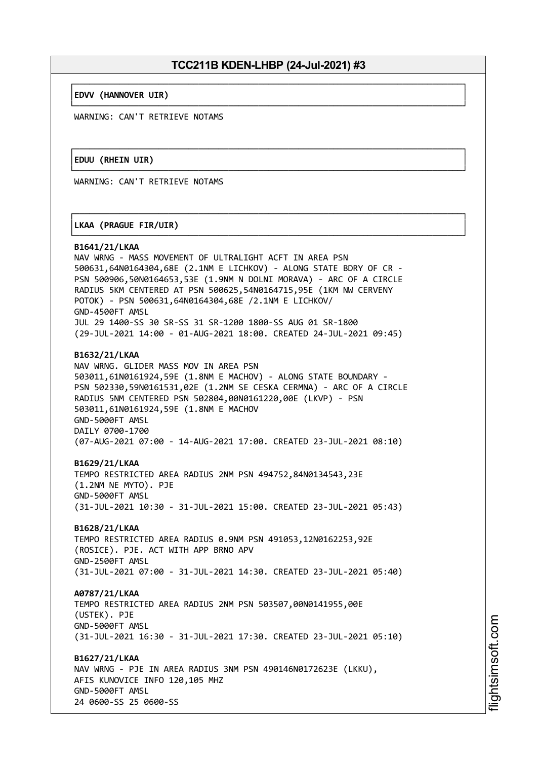└──────────────────────────────────────────────────────────────────────────────┘

└──────────────────────────────────────────────────────────────────────────────┘

┌──────────────────────────────────────────────────────────────────────────────┐

└──────────────────────────────────────────────────────────────────────────────┘

#### ┌──────────────────────────────────────────────────────────────────────────────┐ │**EDVV (HANNOVER UIR)** │

WARNING: CAN'T RETRIEVE NOTAMS

#### ┌──────────────────────────────────────────────────────────────────────────────┐ │**EDUU (RHEIN UIR)** │

WARNING: CAN'T RETRIEVE NOTAMS

### │**LKAA (PRAGUE FIR/UIR)** │

#### **B1641/21/LKAA**

NAV WRNG - MASS MOVEMENT OF ULTRALIGHT ACFT IN AREA PSN 500631,64N0164304,68E (2.1NM E LICHKOV) - ALONG STATE BDRY OF CR - PSN 500906,50N0164653,53E (1.9NM N DOLNI MORAVA) - ARC OF A CIRCLE RADIUS 5KM CENTERED AT PSN 500625,54N0164715,95E (1KM NW CERVENY POTOK) - PSN 500631,64N0164304,68E /2.1NM E LICHKOV/ GND-4500FT AMSL JUL 29 1400-SS 30 SR-SS 31 SR-1200 1800-SS AUG 01 SR-1800 (29-JUL-2021 14:00 - 01-AUG-2021 18:00. CREATED 24-JUL-2021 09:45)

#### **B1632/21/LKAA**

NAV WRNG. GLIDER MASS MOV IN AREA PSN 503011,61N0161924,59E (1.8NM E MACHOV) - ALONG STATE BOUNDARY - PSN 502330,59N0161531,02E (1.2NM SE CESKA CERMNA) - ARC OF A CIRCLE RADIUS 5NM CENTERED PSN 502804,00N0161220,00E (LKVP) - PSN 503011,61N0161924,59E (1.8NM E MACHOV GND-5000FT AMSL DAILY 0700-1700 (07-AUG-2021 07:00 - 14-AUG-2021 17:00. CREATED 23-JUL-2021 08:10)

#### **B1629/21/LKAA**

TEMPO RESTRICTED AREA RADIUS 2NM PSN 494752,84N0134543,23E (1.2NM NE MYTO). PJE GND-5000FT AMSL (31-JUL-2021 10:30 - 31-JUL-2021 15:00. CREATED 23-JUL-2021 05:43)

#### **B1628/21/LKAA**

TEMPO RESTRICTED AREA RADIUS 0.9NM PSN 491053,12N0162253,92E (ROSICE). PJE. ACT WITH APP BRNO APV GND-2500FT AMSL (31-JUL-2021 07:00 - 31-JUL-2021 14:30. CREATED 23-JUL-2021 05:40)

### **A0787/21/LKAA**

TEMPO RESTRICTED AREA RADIUS 2NM PSN 503507,00N0141955,00E (USTEK). PJE GND-5000FT AMSL (31-JUL-2021 16:30 - 31-JUL-2021 17:30. CREATED 23-JUL-2021 05:10)

# **B1627/21/LKAA**

NAV WRNG - PJE IN AREA RADIUS 3NM PSN 490146N0172623E (LKKU), AFIS KUNOVICE INFO 120,105 MHZ GND-5000FT AMSL 24 0600-SS 25 0600-SS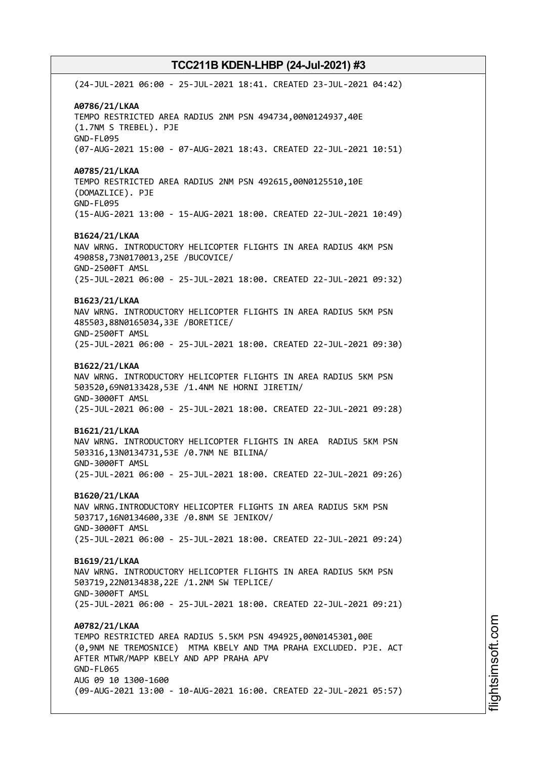(24-JUL-2021 06:00 - 25-JUL-2021 18:41. CREATED 23-JUL-2021 04:42) **A0786/21/LKAA** TEMPO RESTRICTED AREA RADIUS 2NM PSN 494734,00N0124937,40E (1.7NM S TREBEL). PJE GND-FL095 (07-AUG-2021 15:00 - 07-AUG-2021 18:43. CREATED 22-JUL-2021 10:51) **A0785/21/LKAA** TEMPO RESTRICTED AREA RADIUS 2NM PSN 492615,00N0125510,10E (DOMAZLICE). PJE GND-FL095 (15-AUG-2021 13:00 - 15-AUG-2021 18:00. CREATED 22-JUL-2021 10:49) **B1624/21/LKAA** NAV WRNG. INTRODUCTORY HELICOPTER FLIGHTS IN AREA RADIUS 4KM PSN 490858,73N0170013,25E /BUCOVICE/ GND-2500FT AMSL (25-JUL-2021 06:00 - 25-JUL-2021 18:00. CREATED 22-JUL-2021 09:32) **B1623/21/LKAA** NAV WRNG. INTRODUCTORY HELICOPTER FLIGHTS IN AREA RADIUS 5KM PSN 485503,88N0165034,33E /BORETICE/ GND-2500FT AMSL (25-JUL-2021 06:00 - 25-JUL-2021 18:00. CREATED 22-JUL-2021 09:30) **B1622/21/LKAA** NAV WRNG. INTRODUCTORY HELICOPTER FLIGHTS IN AREA RADIUS 5KM PSN 503520,69N0133428,53E /1.4NM NE HORNI JIRETIN/ GND-3000FT AMSL (25-JUL-2021 06:00 - 25-JUL-2021 18:00. CREATED 22-JUL-2021 09:28) **B1621/21/LKAA** NAV WRNG. INTRODUCTORY HELICOPTER FLIGHTS IN AREA RADIUS 5KM PSN 503316,13N0134731,53E /0.7NM NE BILINA/ GND-3000FT AMSL (25-JUL-2021 06:00 - 25-JUL-2021 18:00. CREATED 22-JUL-2021 09:26) **B1620/21/LKAA** NAV WRNG.INTRODUCTORY HELICOPTER FLIGHTS IN AREA RADIUS 5KM PSN 503717,16N0134600,33E /0.8NM SE JENIKOV/ GND-3000FT AMSL (25-JUL-2021 06:00 - 25-JUL-2021 18:00. CREATED 22-JUL-2021 09:24) **B1619/21/LKAA** NAV WRNG. INTRODUCTORY HELICOPTER FLIGHTS IN AREA RADIUS 5KM PSN 503719,22N0134838,22E /1.2NM SW TEPLICE/ GND-3000FT AMSL (25-JUL-2021 06:00 - 25-JUL-2021 18:00. CREATED 22-JUL-2021 09:21) **A0782/21/LKAA** TEMPO RESTRICTED AREA RADIUS 5.5KM PSN 494925,00N0145301,00E (0,9NM NE TREMOSNICE) MTMA KBELY AND TMA PRAHA EXCLUDED. PJE. ACT AFTER MTWR/MAPP KBELY AND APP PRAHA APV GND-FL065 AUG 09 10 1300-1600 (09-AUG-2021 13:00 - 10-AUG-2021 16:00. CREATED 22-JUL-2021 05:57)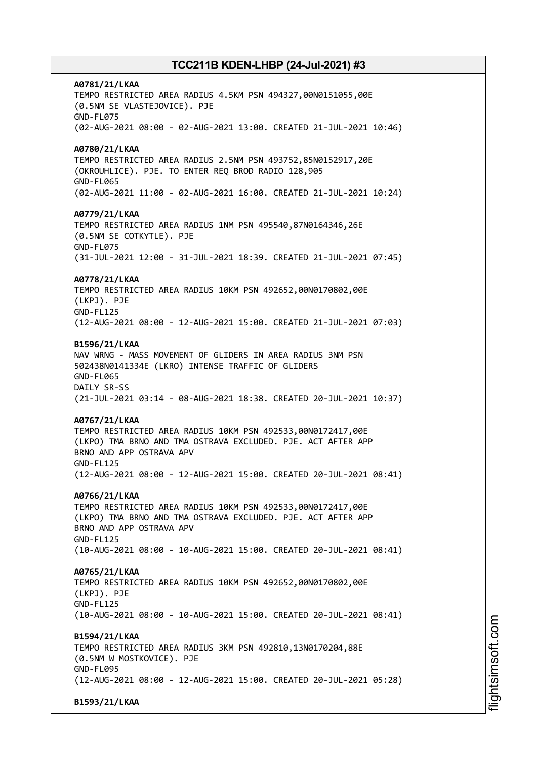**A0781/21/LKAA** TEMPO RESTRICTED AREA RADIUS 4.5KM PSN 494327,00N0151055,00E (0.5NM SE VLASTEJOVICE). PJE GND-FL075 (02-AUG-2021 08:00 - 02-AUG-2021 13:00. CREATED 21-JUL-2021 10:46) **A0780/21/LKAA** TEMPO RESTRICTED AREA RADIUS 2.5NM PSN 493752,85N0152917,20E (OKROUHLICE). PJE. TO ENTER REQ BROD RADIO 128,905 GND-FL065 (02-AUG-2021 11:00 - 02-AUG-2021 16:00. CREATED 21-JUL-2021 10:24) **A0779/21/LKAA** TEMPO RESTRICTED AREA RADIUS 1NM PSN 495540,87N0164346,26E (0.5NM SE COTKYTLE). PJE GND-FL075 (31-JUL-2021 12:00 - 31-JUL-2021 18:39. CREATED 21-JUL-2021 07:45) **A0778/21/LKAA** TEMPO RESTRICTED AREA RADIUS 10KM PSN 492652,00N0170802,00E (LKPJ). PJE GND-FL125 (12-AUG-2021 08:00 - 12-AUG-2021 15:00. CREATED 21-JUL-2021 07:03) **B1596/21/LKAA** NAV WRNG - MASS MOVEMENT OF GLIDERS IN AREA RADIUS 3NM PSN 502438N0141334E (LKRO) INTENSE TRAFFIC OF GLIDERS GND-FL065 DAILY SR-SS (21-JUL-2021 03:14 - 08-AUG-2021 18:38. CREATED 20-JUL-2021 10:37) **A0767/21/LKAA** TEMPO RESTRICTED AREA RADIUS 10KM PSN 492533,00N0172417,00E (LKPO) TMA BRNO AND TMA OSTRAVA EXCLUDED. PJE. ACT AFTER APP BRNO AND APP OSTRAVA APV GND-FL125 (12-AUG-2021 08:00 - 12-AUG-2021 15:00. CREATED 20-JUL-2021 08:41) **A0766/21/LKAA** TEMPO RESTRICTED AREA RADIUS 10KM PSN 492533,00N0172417,00E (LKPO) TMA BRNO AND TMA OSTRAVA EXCLUDED. PJE. ACT AFTER APP BRNO AND APP OSTRAVA APV GND-FL125 (10-AUG-2021 08:00 - 10-AUG-2021 15:00. CREATED 20-JUL-2021 08:41) **A0765/21/LKAA** TEMPO RESTRICTED AREA RADIUS 10KM PSN 492652,00N0170802,00E (LKPJ). PJE GND-FL125 (10-AUG-2021 08:00 - 10-AUG-2021 15:00. CREATED 20-JUL-2021 08:41) **B1594/21/LKAA** TEMPO RESTRICTED AREA RADIUS 3KM PSN 492810,13N0170204,88E (0.5NM W MOSTKOVICE). PJE GND-FL095 (12-AUG-2021 08:00 - 12-AUG-2021 15:00. CREATED 20-JUL-2021 05:28) **B1593/21/LKAA**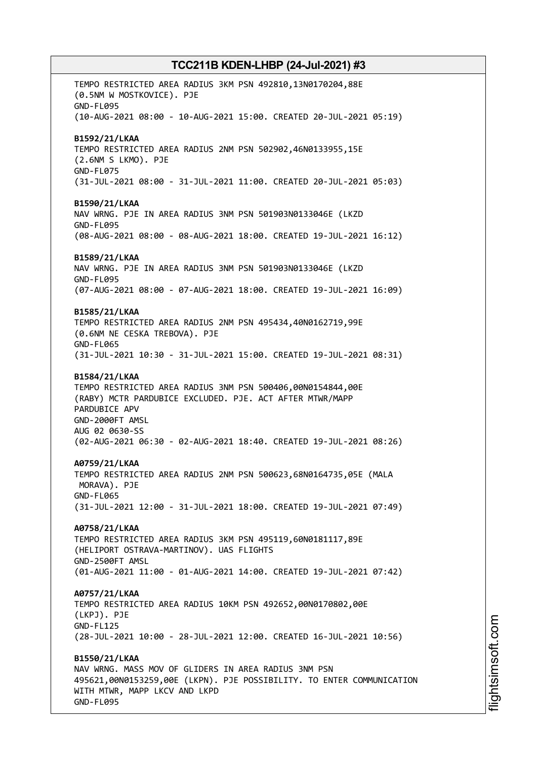TEMPO RESTRICTED AREA RADIUS 3KM PSN 492810,13N0170204,88E (0.5NM W MOSTKOVICE). PJE GND-FL095 (10-AUG-2021 08:00 - 10-AUG-2021 15:00. CREATED 20-JUL-2021 05:19) **B1592/21/LKAA** TEMPO RESTRICTED AREA RADIUS 2NM PSN 502902,46N0133955,15E (2.6NM S LKMO). PJE GND-FL075 (31-JUL-2021 08:00 - 31-JUL-2021 11:00. CREATED 20-JUL-2021 05:03) **B1590/21/LKAA** NAV WRNG. PJE IN AREA RADIUS 3NM PSN 501903N0133046E (LKZD GND-FL095 (08-AUG-2021 08:00 - 08-AUG-2021 18:00. CREATED 19-JUL-2021 16:12) **B1589/21/LKAA** NAV WRNG. PJE IN AREA RADIUS 3NM PSN 501903N0133046E (LKZD GND-FL095 (07-AUG-2021 08:00 - 07-AUG-2021 18:00. CREATED 19-JUL-2021 16:09) **B1585/21/LKAA** TEMPO RESTRICTED AREA RADIUS 2NM PSN 495434,40N0162719,99E (0.6NM NE CESKA TREBOVA). PJE GND-FL065 (31-JUL-2021 10:30 - 31-JUL-2021 15:00. CREATED 19-JUL-2021 08:31) **B1584/21/LKAA** TEMPO RESTRICTED AREA RADIUS 3NM PSN 500406,00N0154844,00E (RABY) MCTR PARDUBICE EXCLUDED. PJE. ACT AFTER MTWR/MAPP PARDUBICE APV GND-2000FT AMSL AUG 02 0630-SS (02-AUG-2021 06:30 - 02-AUG-2021 18:40. CREATED 19-JUL-2021 08:26) **A0759/21/LKAA** TEMPO RESTRICTED AREA RADIUS 2NM PSN 500623,68N0164735,05E (MALA MORAVA). PJE GND-FL065 (31-JUL-2021 12:00 - 31-JUL-2021 18:00. CREATED 19-JUL-2021 07:49) **A0758/21/LKAA** TEMPO RESTRICTED AREA RADIUS 3KM PSN 495119,60N0181117,89E (HELIPORT OSTRAVA-MARTINOV). UAS FLIGHTS GND-2500FT AMSL (01-AUG-2021 11:00 - 01-AUG-2021 14:00. CREATED 19-JUL-2021 07:42) **A0757/21/LKAA** TEMPO RESTRICTED AREA RADIUS 10KM PSN 492652,00N0170802,00E (LKPJ). PJE GND-FL125 (28-JUL-2021 10:00 - 28-JUL-2021 12:00. CREATED 16-JUL-2021 10:56) **B1550/21/LKAA** NAV WRNG. MASS MOV OF GLIDERS IN AREA RADIUS 3NM PSN 495621,00N0153259,00E (LKPN). PJE POSSIBILITY. TO ENTER COMMUNICATION WITH MTWR, MAPP LKCV AND LKPD

GND-FL095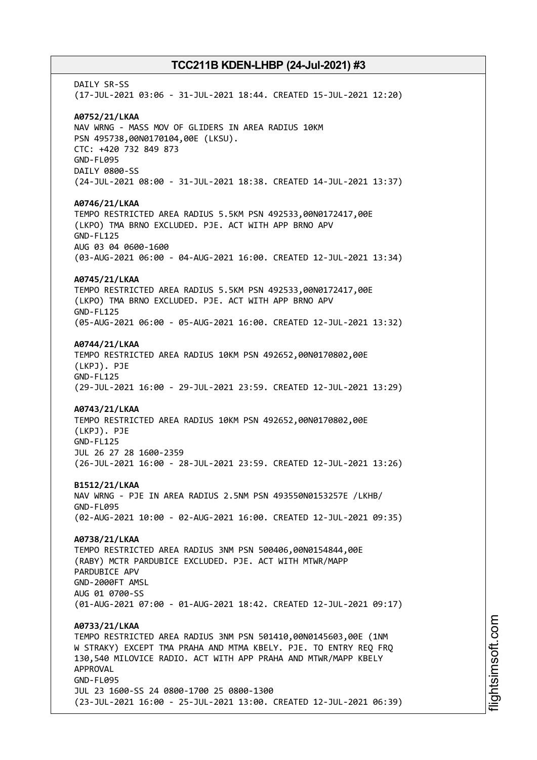DATI Y SR-SS (17-JUL-2021 03:06 - 31-JUL-2021 18:44. CREATED 15-JUL-2021 12:20) **A0752/21/LKAA** NAV WRNG - MASS MOV OF GLIDERS IN AREA RADIUS 10KM PSN 495738,00N0170104,00E (LKSU). CTC: +420 732 849 873 GND-FL095 DAILY 0800-SS (24-JUL-2021 08:00 - 31-JUL-2021 18:38. CREATED 14-JUL-2021 13:37) **A0746/21/LKAA** TEMPO RESTRICTED AREA RADIUS 5.5KM PSN 492533,00N0172417,00E (LKPO) TMA BRNO EXCLUDED. PJE. ACT WITH APP BRNO APV GND-FL125 AUG 03 04 0600-1600 (03-AUG-2021 06:00 - 04-AUG-2021 16:00. CREATED 12-JUL-2021 13:34) **A0745/21/LKAA** TEMPO RESTRICTED AREA RADIUS 5.5KM PSN 492533,00N0172417,00E (LKPO) TMA BRNO EXCLUDED. PJE. ACT WITH APP BRNO APV GND-FL125 (05-AUG-2021 06:00 - 05-AUG-2021 16:00. CREATED 12-JUL-2021 13:32) **A0744/21/LKAA** TEMPO RESTRICTED AREA RADIUS 10KM PSN 492652,00N0170802,00E (LKPJ). PJE GND-FL125 (29-JUL-2021 16:00 - 29-JUL-2021 23:59. CREATED 12-JUL-2021 13:29) **A0743/21/LKAA** TEMPO RESTRICTED AREA RADIUS 10KM PSN 492652,00N0170802,00E (LKPJ). PJE GND-FL125 JUL 26 27 28 1600-2359 (26-JUL-2021 16:00 - 28-JUL-2021 23:59. CREATED 12-JUL-2021 13:26) **B1512/21/LKAA** NAV WRNG - PJE IN AREA RADIUS 2.5NM PSN 493550N0153257E /LKHB/ GND-FL095 (02-AUG-2021 10:00 - 02-AUG-2021 16:00. CREATED 12-JUL-2021 09:35) **A0738/21/LKAA** TEMPO RESTRICTED AREA RADIUS 3NM PSN 500406,00N0154844,00E (RABY) MCTR PARDUBICE EXCLUDED. PJE. ACT WITH MTWR/MAPP PARDUBICE APV GND-2000FT AMSL AUG 01 0700-SS (01-AUG-2021 07:00 - 01-AUG-2021 18:42. CREATED 12-JUL-2021 09:17) **A0733/21/LKAA** TEMPO RESTRICTED AREA RADIUS 3NM PSN 501410,00N0145603,00E (1NM W STRAKY) EXCEPT TMA PRAHA AND MTMA KBELY. PJE. TO ENTRY REQ FRQ 130,540 MILOVICE RADIO. ACT WITH APP PRAHA AND MTWR/MAPP KBELY APPROVAL GND-FL095 JUL 23 1600-SS 24 0800-1700 25 0800-1300 (23-JUL-2021 16:00 - 25-JUL-2021 13:00. CREATED 12-JUL-2021 06:39)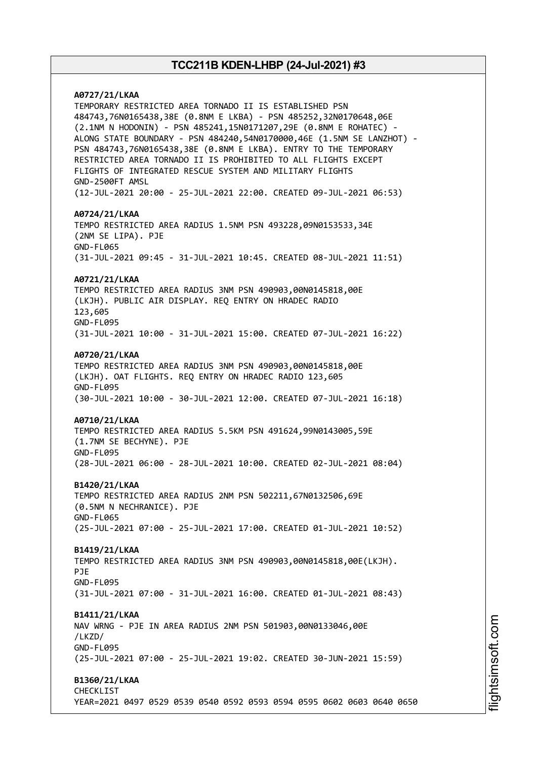# **A0727/21/LKAA** TEMPORARY RESTRICTED AREA TORNADO II IS ESTABLISHED PSN 484743,76N0165438,38E (0.8NM E LKBA) - PSN 485252,32N0170648,06E (2.1NM N HODONIN) - PSN 485241,15N0171207,29E (0.8NM E ROHATEC) - ALONG STATE BOUNDARY - PSN 484240,54N0170000,46E (1.5NM SE LANZHOT) - PSN 484743,76N0165438,38E (0.8NM E LKBA). ENTRY TO THE TEMPORARY RESTRICTED AREA TORNADO II IS PROHIBITED TO ALL FLIGHTS EXCEPT FLIGHTS OF INTEGRATED RESCUE SYSTEM AND MILITARY FLIGHTS GND-2500FT AMSL (12-JUL-2021 20:00 - 25-JUL-2021 22:00. CREATED 09-JUL-2021 06:53) **A0724/21/LKAA** TEMPO RESTRICTED AREA RADIUS 1.5NM PSN 493228,09N0153533,34E (2NM SE LIPA). PJE GND-FL065 (31-JUL-2021 09:45 - 31-JUL-2021 10:45. CREATED 08-JUL-2021 11:51) **A0721/21/LKAA** TEMPO RESTRICTED AREA RADIUS 3NM PSN 490903,00N0145818,00E (LKJH). PUBLIC AIR DISPLAY. REQ ENTRY ON HRADEC RADIO 123,605 GND-FL095 (31-JUL-2021 10:00 - 31-JUL-2021 15:00. CREATED 07-JUL-2021 16:22) **A0720/21/LKAA** TEMPO RESTRICTED AREA RADIUS 3NM PSN 490903,00N0145818,00E (LKJH). OAT FLIGHTS. REQ ENTRY ON HRADEC RADIO 123,605 GND-FL095 (30-JUL-2021 10:00 - 30-JUL-2021 12:00. CREATED 07-JUL-2021 16:18) **A0710/21/LKAA** TEMPO RESTRICTED AREA RADIUS 5.5KM PSN 491624,99N0143005,59E (1.7NM SE BECHYNE). PJE GND-FL095 (28-JUL-2021 06:00 - 28-JUL-2021 10:00. CREATED 02-JUL-2021 08:04) **B1420/21/LKAA** TEMPO RESTRICTED AREA RADIUS 2NM PSN 502211,67N0132506,69E (0.5NM N NECHRANICE). PJE GND-FL065 (25-JUL-2021 07:00 - 25-JUL-2021 17:00. CREATED 01-JUL-2021 10:52) **B1419/21/LKAA** TEMPO RESTRICTED AREA RADIUS 3NM PSN 490903,00N0145818,00E(LKJH). PJE GND-FL095 (31-JUL-2021 07:00 - 31-JUL-2021 16:00. CREATED 01-JUL-2021 08:43) **B1411/21/LKAA** NAV WRNG - PJE IN AREA RADIUS 2NM PSN 501903,00N0133046,00E /LKZD/ GND-FL095 (25-JUL-2021 07:00 - 25-JUL-2021 19:02. CREATED 30-JUN-2021 15:59) **B1360/21/LKAA** CHECKLIST YEAR=2021 0497 0529 0539 0540 0592 0593 0594 0595 0602 0603 0640 0650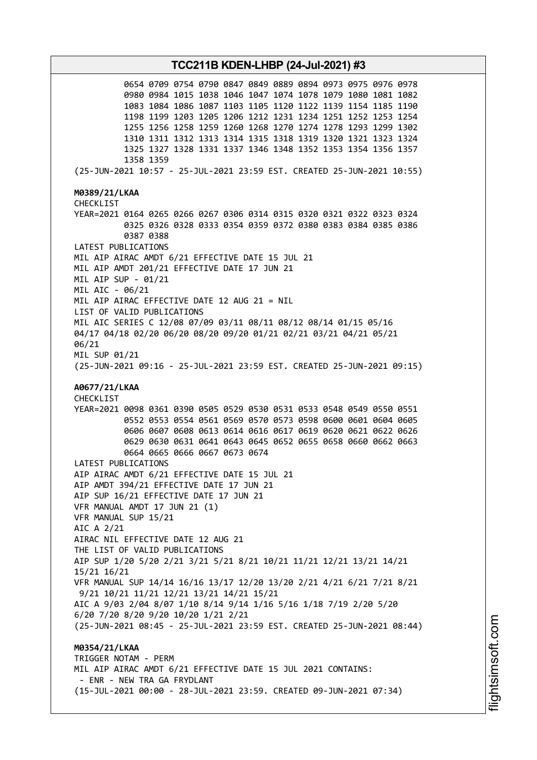0654 0709 0754 0790 0847 0849 0889 0894 0973 0975 0976 0978 0980 0984 1015 1038 1046 1047 1074 1078 1079 1080 1081 1082 1083 1084 1086 1087 1103 1105 1120 1122 1139 1154 1185 1190 1198 1199 1203 1205 1206 1212 1231 1234 1251 1252 1253 1254 1255 1256 1258 1259 1260 1268 1270 1274 1278 1293 1299 1302 1310 1311 1312 1313 1314 1315 1318 1319 1320 1321 1323 1324 1325 1327 1328 1331 1337 1346 1348 1352 1353 1354 1356 1357 1358 1359 (25-JUN-2021 10:57 - 25-JUL-2021 23:59 EST. CREATED 25-JUN-2021 10:55) **M0389/21/LKAA** CHECKLIST YEAR=2021 0164 0265 0266 0267 0306 0314 0315 0320 0321 0322 0323 0324 0325 0326 0328 0333 0354 0359 0372 0380 0383 0384 0385 0386 0387 0388 LATEST PUBLICATIONS MIL AIP AIRAC AMDT 6/21 EFFECTIVE DATE 15 JUL 21 MIL AIP AMDT 201/21 EFFECTIVE DATE 17 JUN 21 MIL AIP SUP - 01/21 MIL AIC - 06/21 MIL AIP AIRAC EFFECTIVE DATE 12 AUG 21 = NIL LIST OF VALID PUBLICATIONS MIL AIC SERIES C 12/08 07/09 03/11 08/11 08/12 08/14 01/15 05/16 04/17 04/18 02/20 06/20 08/20 09/20 01/21 02/21 03/21 04/21 05/21 06/21 MIL SUP 01/21 (25-JUN-2021 09:16 - 25-JUL-2021 23:59 EST. CREATED 25-JUN-2021 09:15) **A0677/21/LKAA** CHECKLIST YEAR=2021 0098 0361 0390 0505 0529 0530 0531 0533 0548 0549 0550 0551 0552 0553 0554 0561 0569 0570 0573 0598 0600 0601 0604 0605 0606 0607 0608 0613 0614 0616 0617 0619 0620 0621 0622 0626 0629 0630 0631 0641 0643 0645 0652 0655 0658 0660 0662 0663 0664 0665 0666 0667 0673 0674 LATEST PUBLICATIONS AIP AIRAC AMDT 6/21 EFFECTIVE DATE 15 JUL 21 AIP AMDT 394/21 EFFECTIVE DATE 17 JUN 21 AIP SUP 16/21 EFFECTIVE DATE 17 JUN 21 VFR MANUAL AMDT 17 JUN 21 (1) VFR MANUAL SUP 15/21 AIC A 2/21 AIRAC NIL EFFECTIVE DATE 12 AUG 21 THE LIST OF VALID PUBLICATIONS AIP SUP 1/20 5/20 2/21 3/21 5/21 8/21 10/21 11/21 12/21 13/21 14/21 15/21 16/21 VFR MANUAL SUP 14/14 16/16 13/17 12/20 13/20 2/21 4/21 6/21 7/21 8/21 9/21 10/21 11/21 12/21 13/21 14/21 15/21 AIC A 9/03 2/04 8/07 1/10 8/14 9/14 1/16 5/16 1/18 7/19 2/20 5/20 6/20 7/20 8/20 9/20 10/20 1/21 2/21 (25-JUN-2021 08:45 - 25-JUL-2021 23:59 EST. CREATED 25-JUN-2021 08:44) **M0354/21/LKAA** TRIGGER NOTAM - PERM MIL AIP AIRAC AMDT 6/21 EFFECTIVE DATE 15 JUL 2021 CONTAINS: - ENR - NEW TRA GA FRYDLANT (15-JUL-2021 00:00 - 28-JUL-2021 23:59. CREATED 09-JUN-2021 07:34)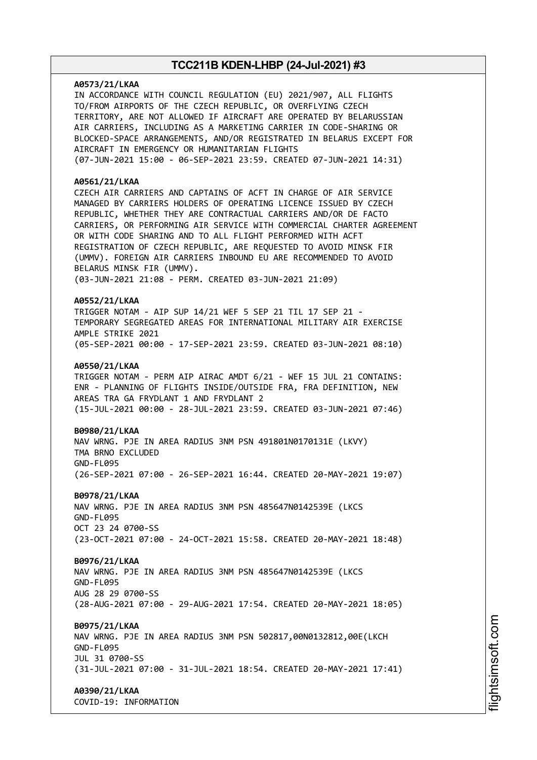# **A0573/21/LKAA** IN ACCORDANCE WITH COUNCIL REGULATION (EU) 2021/907, ALL FLIGHTS TO/FROM AIRPORTS OF THE CZECH REPUBLIC, OR OVERFLYING CZECH TERRITORY, ARE NOT ALLOWED IF AIRCRAFT ARE OPERATED BY BELARUSSIAN AIR CARRIERS, INCLUDING AS A MARKETING CARRIER IN CODE-SHARING OR BLOCKED-SPACE ARRANGEMENTS, AND/OR REGISTRATED IN BELARUS EXCEPT FOR AIRCRAFT IN EMERGENCY OR HUMANITARIAN FLIGHTS (07-JUN-2021 15:00 - 06-SEP-2021 23:59. CREATED 07-JUN-2021 14:31) **A0561/21/LKAA** CZECH AIR CARRIERS AND CAPTAINS OF ACFT IN CHARGE OF AIR SERVICE MANAGED BY CARRIERS HOLDERS OF OPERATING LICENCE ISSUED BY CZECH REPUBLIC, WHETHER THEY ARE CONTRACTUAL CARRIERS AND/OR DE FACTO CARRIERS, OR PERFORMING AIR SERVICE WITH COMMERCIAL CHARTER AGREEMENT OR WITH CODE SHARING AND TO ALL FLIGHT PERFORMED WITH ACFT REGISTRATION OF CZECH REPUBLIC, ARE REQUESTED TO AVOID MINSK FIR (UMMV). FOREIGN AIR CARRIERS INBOUND EU ARE RECOMMENDED TO AVOID BELARUS MINSK FIR (UMMV). (03-JUN-2021 21:08 - PERM. CREATED 03-JUN-2021 21:09) **A0552/21/LKAA** TRIGGER NOTAM - AIP SUP 14/21 WEF 5 SEP 21 TIL 17 SEP 21 - TEMPORARY SEGREGATED AREAS FOR INTERNATIONAL MILITARY AIR EXERCISE AMPLE STRIKE 2021 (05-SEP-2021 00:00 - 17-SEP-2021 23:59. CREATED 03-JUN-2021 08:10) **A0550/21/LKAA** TRIGGER NOTAM - PERM AIP AIRAC AMDT 6/21 - WEF 15 JUL 21 CONTAINS: ENR - PLANNING OF FLIGHTS INSIDE/OUTSIDE FRA, FRA DEFINITION, NEW AREAS TRA GA FRYDLANT 1 AND FRYDLANT 2 (15-JUL-2021 00:00 - 28-JUL-2021 23:59. CREATED 03-JUN-2021 07:46) **B0980/21/LKAA** NAV WRNG. PJE IN AREA RADIUS 3NM PSN 491801N0170131E (LKVY) TMA BRNO EXCLUDED GND-FL095 (26-SEP-2021 07:00 - 26-SEP-2021 16:44. CREATED 20-MAY-2021 19:07) **B0978/21/LKAA** NAV WRNG. PJE IN AREA RADIUS 3NM PSN 485647N0142539E (LKCS GND-FL095 OCT 23 24 0700-SS (23-OCT-2021 07:00 - 24-OCT-2021 15:58. CREATED 20-MAY-2021 18:48) **B0976/21/LKAA** NAV WRNG. PJE IN AREA RADIUS 3NM PSN 485647N0142539E (LKCS GND-FL095 AUG 28 29 0700-SS (28-AUG-2021 07:00 - 29-AUG-2021 17:54. CREATED 20-MAY-2021 18:05) **B0975/21/LKAA** NAV WRNG. PJE IN AREA RADIUS 3NM PSN 502817,00N0132812,00E(LKCH GND-FL095 JUL 31 0700-SS (31-JUL-2021 07:00 - 31-JUL-2021 18:54. CREATED 20-MAY-2021 17:41) **A0390/21/LKAA**

COVID-19: INFORMATION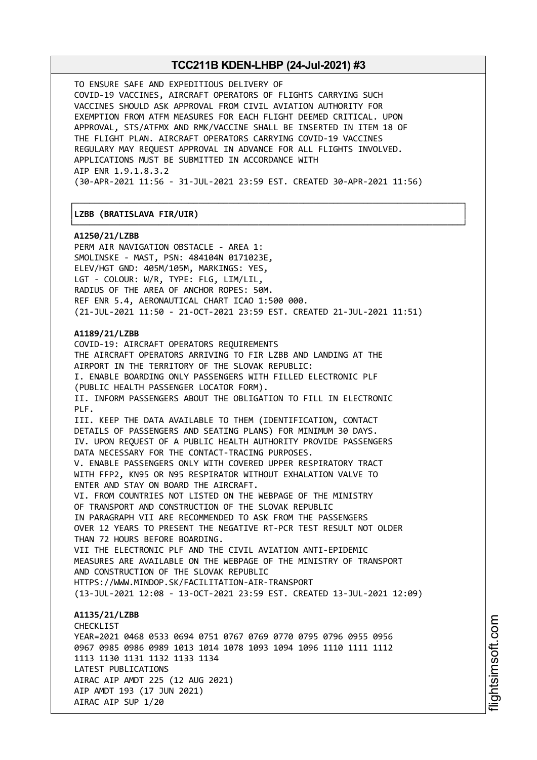┌──────────────────────────────────────────────────────────────────────────────┐

└──────────────────────────────────────────────────────────────────────────────┘

TO ENSURE SAFE AND EXPEDITIOUS DELIVERY OF COVID-19 VACCINES, AIRCRAFT OPERATORS OF FLIGHTS CARRYING SUCH VACCINES SHOULD ASK APPROVAL FROM CIVIL AVIATION AUTHORITY FOR EXEMPTION FROM ATFM MEASURES FOR EACH FLIGHT DEEMED CRITICAL. UPON APPROVAL, STS/ATFMX AND RMK/VACCINE SHALL BE INSERTED IN ITEM 18 OF THE FLIGHT PLAN. AIRCRAFT OPERATORS CARRYING COVID-19 VACCINES REGULARY MAY REQUEST APPROVAL IN ADVANCE FOR ALL FLIGHTS INVOLVED. APPLICATIONS MUST BE SUBMITTED IN ACCORDANCE WITH AIP ENR 1.9.1.8.3.2 (30-APR-2021 11:56 - 31-JUL-2021 23:59 EST. CREATED 30-APR-2021 11:56)

### │**LZBB (BRATISLAVA FIR/UIR)** │

**A1250/21/LZBB**

PERM AIR NAVIGATION OBSTACLE - AREA 1: SMOLINSKE - MAST, PSN: 484104N 0171023E, ELEV/HGT GND: 405M/105M, MARKINGS: YES, LGT - COLOUR: W/R, TYPE: FLG, LIM/LIL, RADIUS OF THE AREA OF ANCHOR ROPES: 50M. REF ENR 5.4, AERONAUTICAL CHART ICAO 1:500 000. (21-JUL-2021 11:50 - 21-OCT-2021 23:59 EST. CREATED 21-JUL-2021 11:51)

#### **A1189/21/LZBB**

LATEST PUBLICATIONS

AIRAC AIP SUP 1/20

AIRAC AIP AMDT 225 (12 AUG 2021)

AIP AMDT 193 (17 JUN 2021)

COVID-19: AIRCRAFT OPERATORS REQUIREMENTS THE AIRCRAFT OPERATORS ARRIVING TO FIR LZBB AND LANDING AT THE AIRPORT IN THE TERRITORY OF THE SLOVAK REPUBLIC: I. ENABLE BOARDING ONLY PASSENGERS WITH FILLED ELECTRONIC PLF (PUBLIC HEALTH PASSENGER LOCATOR FORM). II. INFORM PASSENGERS ABOUT THE OBLIGATION TO FILL IN ELECTRONIC PLF. III. KEEP THE DATA AVAILABLE TO THEM (IDENTIFICATION, CONTACT DETAILS OF PASSENGERS AND SEATING PLANS) FOR MINIMUM 30 DAYS. IV. UPON REQUEST OF A PUBLIC HEALTH AUTHORITY PROVIDE PASSENGERS DATA NECESSARY FOR THE CONTACT-TRACING PURPOSES. V. ENABLE PASSENGERS ONLY WITH COVERED UPPER RESPIRATORY TRACT WITH FFP2, KN95 OR N95 RESPIRATOR WITHOUT EXHALATION VALVE TO ENTER AND STAY ON BOARD THE AIRCRAFT. VI. FROM COUNTRIES NOT LISTED ON THE WEBPAGE OF THE MINISTRY OF TRANSPORT AND CONSTRUCTION OF THE SLOVAK REPUBLIC IN PARAGRAPH VII ARE RECOMMENDED TO ASK FROM THE PASSENGERS OVER 12 YEARS TO PRESENT THE NEGATIVE RT-PCR TEST RESULT NOT OLDER THAN 72 HOURS BEFORE BOARDING. VII THE ELECTRONIC PLF AND THE CIVIL AVIATION ANTI-EPIDEMIC MEASURES ARE AVAILABLE ON THE WEBPAGE OF THE MINISTRY OF TRANSPORT AND CONSTRUCTION OF THE SLOVAK REPUBLIC HTTPS://WWW.MINDOP.SK/FACILITATION-AIR-TRANSPORT (13-JUL-2021 12:08 - 13-OCT-2021 23:59 EST. CREATED 13-JUL-2021 12:09) **A1135/21/LZBB** CHECKL<sub>TST</sub> YEAR=2021 0468 0533 0694 0751 0767 0769 0770 0795 0796 0955 0956 0967 0985 0986 0989 1013 1014 1078 1093 1094 1096 1110 1111 1112 1113 1130 1131 1132 1133 1134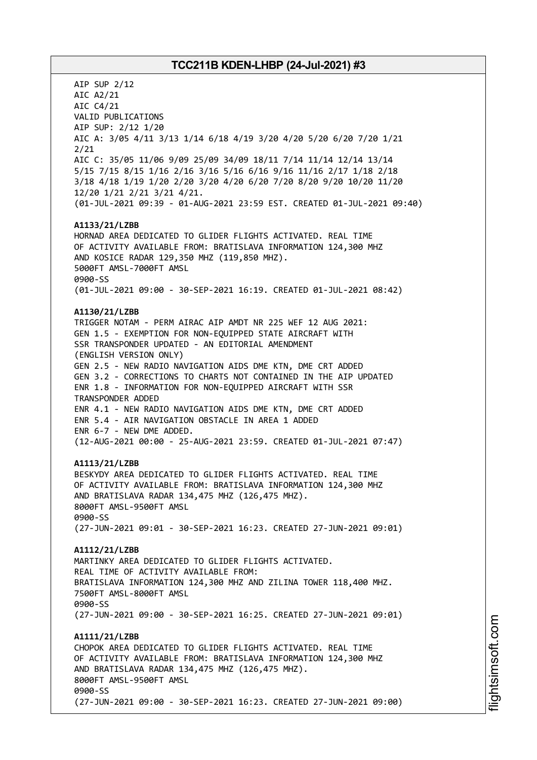AIP SUP 2/12 AIC A2/21 AIC C4/21 VALID PUBLICATIONS AIP SUP: 2/12 1/20 AIC A: 3/05 4/11 3/13 1/14 6/18 4/19 3/20 4/20 5/20 6/20 7/20 1/21 2/21 AIC C: 35/05 11/06 9/09 25/09 34/09 18/11 7/14 11/14 12/14 13/14 5/15 7/15 8/15 1/16 2/16 3/16 5/16 6/16 9/16 11/16 2/17 1/18 2/18 3/18 4/18 1/19 1/20 2/20 3/20 4/20 6/20 7/20 8/20 9/20 10/20 11/20 12/20 1/21 2/21 3/21 4/21. (01-JUL-2021 09:39 - 01-AUG-2021 23:59 EST. CREATED 01-JUL-2021 09:40) **A1133/21/LZBB** HORNAD AREA DEDICATED TO GLIDER FLIGHTS ACTIVATED. REAL TIME OF ACTIVITY AVAILABLE FROM: BRATISLAVA INFORMATION 124,300 MHZ AND KOSICE RADAR 129,350 MHZ (119,850 MHZ). 5000FT AMSL-7000FT AMSL 0900-SS (01-JUL-2021 09:00 - 30-SEP-2021 16:19. CREATED 01-JUL-2021 08:42) **A1130/21/LZBB** TRIGGER NOTAM - PERM AIRAC AIP AMDT NR 225 WEF 12 AUG 2021: GEN 1.5 - EXEMPTION FOR NON-EQUIPPED STATE AIRCRAFT WITH SSR TRANSPONDER UPDATED - AN EDITORIAL AMENDMENT (ENGLISH VERSION ONLY) GEN 2.5 - NEW RADIO NAVIGATION AIDS DME KTN, DME CRT ADDED GEN 3.2 - CORRECTIONS TO CHARTS NOT CONTAINED IN THE AIP UPDATED ENR 1.8 - INFORMATION FOR NON-EQUIPPED AIRCRAFT WITH SSR TRANSPONDER ADDED ENR 4.1 - NEW RADIO NAVIGATION AIDS DME KTN, DME CRT ADDED ENR 5.4 - AIR NAVIGATION OBSTACLE IN AREA 1 ADDED ENR 6-7 - NEW DME ADDED. (12-AUG-2021 00:00 - 25-AUG-2021 23:59. CREATED 01-JUL-2021 07:47) **A1113/21/LZBB** BESKYDY AREA DEDICATED TO GLIDER FLIGHTS ACTIVATED. REAL TIME OF ACTIVITY AVAILABLE FROM: BRATISLAVA INFORMATION 124,300 MHZ AND BRATISLAVA RADAR 134,475 MHZ (126,475 MHZ). 8000FT AMSL-9500FT AMSL 0900-SS (27-JUN-2021 09:01 - 30-SEP-2021 16:23. CREATED 27-JUN-2021 09:01) **A1112/21/LZBB** MARTINKY AREA DEDICATED TO GLIDER FLIGHTS ACTIVATED. REAL TIME OF ACTIVITY AVAILABLE FROM: BRATISLAVA INFORMATION 124,300 MHZ AND ZILINA TOWER 118,400 MHZ. 7500FT AMSL-8000FT AMSL 0900-SS (27-JUN-2021 09:00 - 30-SEP-2021 16:25. CREATED 27-JUN-2021 09:01) **A1111/21/LZBB** CHOPOK AREA DEDICATED TO GLIDER FLIGHTS ACTIVATED. REAL TIME OF ACTIVITY AVAILABLE FROM: BRATISLAVA INFORMATION 124,300 MHZ AND BRATISLAVA RADAR 134,475 MHZ (126,475 MHZ). 8000FT AMSL-9500FT AMSL 0900-SS (27-JUN-2021 09:00 - 30-SEP-2021 16:23. CREATED 27-JUN-2021 09:00)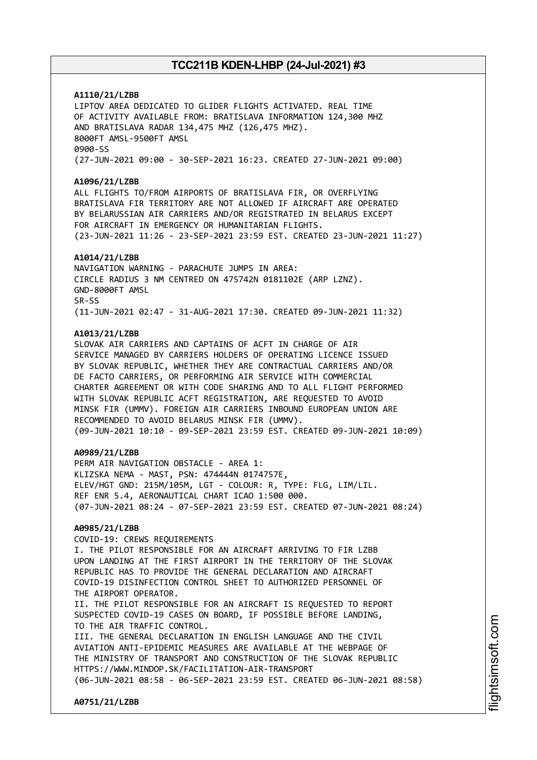**A1110/21/LZBB** LIPTOV AREA DEDICATED TO GLIDER FLIGHTS ACTIVATED. REAL TIME OF ACTIVITY AVAILABLE FROM: BRATISLAVA INFORMATION 124,300 MHZ AND BRATISLAVA RADAR 134,475 MHZ (126,475 MHZ). 8000FT AMSL-9500FT AMSL 0900-SS

(27-JUN-2021 09:00 - 30-SEP-2021 16:23. CREATED 27-JUN-2021 09:00)

#### **A1096/21/LZBB**

ALL FLIGHTS TO/FROM AIRPORTS OF BRATISLAVA FIR, OR OVERFLYING BRATISLAVA FIR TERRITORY ARE NOT ALLOWED IF AIRCRAFT ARE OPERATED BY BELARUSSIAN AIR CARRIERS AND/OR REGISTRATED IN BELARUS EXCEPT FOR AIRCRAFT IN EMERGENCY OR HUMANITARIAN FLIGHTS. (23-JUN-2021 11:26 - 23-SEP-2021 23:59 EST. CREATED 23-JUN-2021 11:27)

#### **A1014/21/LZBB**

NAVIGATION WARNING - PARACHUTE JUMPS IN AREA: CIRCLE RADIUS 3 NM CENTRED ON 475742N 0181102E (ARP LZNZ). GND-8000FT AMSL SR-SS (11-JUN-2021 02:47 - 31-AUG-2021 17:30. CREATED 09-JUN-2021 11:32)

#### **A1013/21/LZBB**

SLOVAK AIR CARRIERS AND CAPTAINS OF ACFT IN CHARGE OF AIR SERVICE MANAGED BY CARRIERS HOLDERS OF OPERATING LICENCE ISSUED BY SLOVAK REPUBLIC, WHETHER THEY ARE CONTRACTUAL CARRIERS AND/OR DE FACTO CARRIERS, OR PERFORMING AIR SERVICE WITH COMMERCIAL CHARTER AGREEMENT OR WITH CODE SHARING AND TO ALL FLIGHT PERFORMED WITH SLOVAK REPUBLIC ACFT REGISTRATION, ARE REQUESTED TO AVOID MINSK FIR (UMMV). FOREIGN AIR CARRIERS INBOUND EUROPEAN UNION ARE RECOMMENDED TO AVOID BELARUS MINSK FIR (UMMV). (09-JUN-2021 10:10 - 09-SEP-2021 23:59 EST. CREATED 09-JUN-2021 10:09)

### **A0989/21/LZBB**

PERM AIR NAVIGATION OBSTACLE - AREA 1: KLIZSKA NEMA - MAST, PSN: 474444N 0174757E, ELEV/HGT GND: 215M/105M, LGT - COLOUR: R, TYPE: FLG, LIM/LIL. REF ENR 5.4, AERONAUTICAL CHART ICAO 1:500 000. (07-JUN-2021 08:24 - 07-SEP-2021 23:59 EST. CREATED 07-JUN-2021 08:24)

### **A0985/21/LZBB**

COVID-19: CREWS REQUIREMENTS I. THE PILOT RESPONSIBLE FOR AN AIRCRAFT ARRIVING TO FIR LZBB UPON LANDING AT THE FIRST AIRPORT IN THE TERRITORY OF THE SLOVAK REPUBLIC HAS TO PROVIDE THE GENERAL DECLARATION AND AIRCRAFT COVID-19 DISINFECTION CONTROL SHEET TO AUTHORIZED PERSONNEL OF THE AIRPORT OPERATOR. II. THE PILOT RESPONSIBLE FOR AN AIRCRAFT IS REQUESTED TO REPORT SUSPECTED COVID-19 CASES ON BOARD, IF POSSIBLE BEFORE LANDING, TO THE AIR TRAFFIC CONTROL. III. THE GENERAL DECLARATION IN ENGLISH LANGUAGE AND THE CIVIL AVIATION ANTI-EPIDEMIC MEASURES ARE AVAILABLE AT THE WEBPAGE OF THE MINISTRY OF TRANSPORT AND CONSTRUCTION OF THE SLOVAK REPUBLIC HTTPS://WWW.MINDOP.SK/FACILITATION-AIR-TRANSPORT (06-JUN-2021 08:58 - 06-SEP-2021 23:59 EST. CREATED 06-JUN-2021 08:58)

**A0751/21/LZBB**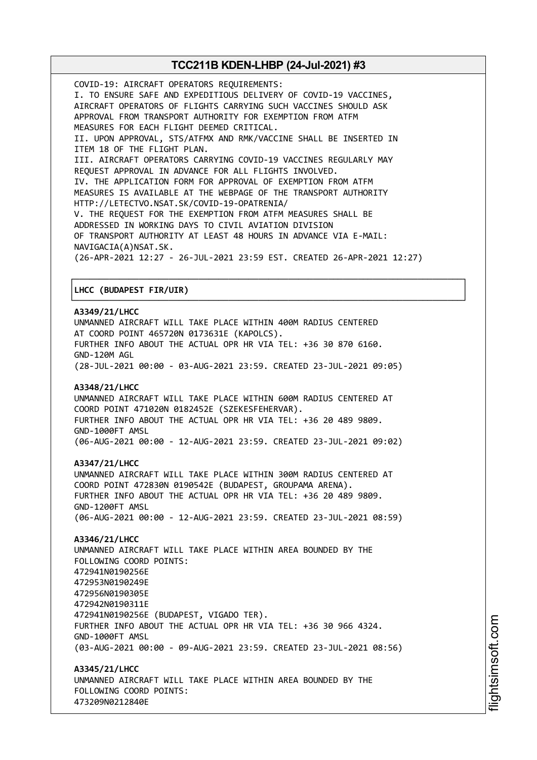COVID-19: AIRCRAFT OPERATORS REQUIREMENTS: I. TO ENSURE SAFE AND EXPEDITIOUS DELIVERY OF COVID-19 VACCINES, AIRCRAFT OPERATORS OF FLIGHTS CARRYING SUCH VACCINES SHOULD ASK APPROVAL FROM TRANSPORT AUTHORITY FOR EXEMPTION FROM ATFM MEASURES FOR EACH FLIGHT DEEMED CRITICAL. II. UPON APPROVAL, STS/ATFMX AND RMK/VACCINE SHALL BE INSERTED IN ITEM 18 OF THE FLIGHT PLAN. III. AIRCRAFT OPERATORS CARRYING COVID-19 VACCINES REGULARLY MAY REQUEST APPROVAL IN ADVANCE FOR ALL FLIGHTS INVOLVED. IV. THE APPLICATION FORM FOR APPROVAL OF EXEMPTION FROM ATFM MEASURES IS AVAILABLE AT THE WEBPAGE OF THE TRANSPORT AUTHORITY HTTP://LETECTVO.NSAT.SK/COVID-19-OPATRENIA/ V. THE REQUEST FOR THE EXEMPTION FROM ATFM MEASURES SHALL BE ADDRESSED IN WORKING DAYS TO CIVIL AVIATION DIVISION OF TRANSPORT AUTHORITY AT LEAST 48 HOURS IN ADVANCE VIA E-MAIL: NAVIGACIA(A)NSAT.SK. (26-APR-2021 12:27 - 26-JUL-2021 23:59 EST. CREATED 26-APR-2021 12:27)

### │**LHCC (BUDAPEST FIR/UIR)** │

#### **A3349/21/LHCC**

UNMANNED AIRCRAFT WILL TAKE PLACE WITHIN 400M RADIUS CENTERED AT COORD POINT 465720N 0173631E (KAPOLCS). FURTHER INFO ABOUT THE ACTUAL OPR HR VIA TEL: +36 30 870 6160. GND-120M AGL (28-JUL-2021 00:00 - 03-AUG-2021 23:59. CREATED 23-JUL-2021 09:05)

┌──────────────────────────────────────────────────────────────────────────────┐

└──────────────────────────────────────────────────────────────────────────────┘

### **A3348/21/LHCC**

UNMANNED AIRCRAFT WILL TAKE PLACE WITHIN 600M RADIUS CENTERED AT COORD POINT 471020N 0182452E (SZEKESFEHERVAR). FURTHER INFO ABOUT THE ACTUAL OPR HR VIA TEL: +36 20 489 9809. GND-1000FT AMSL (06-AUG-2021 00:00 - 12-AUG-2021 23:59. CREATED 23-JUL-2021 09:02)

#### **A3347/21/LHCC**

UNMANNED AIRCRAFT WILL TAKE PLACE WITHIN 300M RADIUS CENTERED AT COORD POINT 472830N 0190542E (BUDAPEST, GROUPAMA ARENA). FURTHER INFO ABOUT THE ACTUAL OPR HR VIA TEL: +36 20 489 9809. GND-1200FT AMSL (06-AUG-2021 00:00 - 12-AUG-2021 23:59. CREATED 23-JUL-2021 08:59)

#### **A3346/21/LHCC**

UNMANNED AIRCRAFT WILL TAKE PLACE WITHIN AREA BOUNDED BY THE FOLLOWING COORD POINTS: 472941N0190256E 472953N0190249E 472956N0190305E 472942N0190311E 472941N0190256E (BUDAPEST, VIGADO TER). FURTHER INFO ABOUT THE ACTUAL OPR HR VIA TEL: +36 30 966 4324. GND-1000FT AMSL (03-AUG-2021 00:00 - 09-AUG-2021 23:59. CREATED 23-JUL-2021 08:56)

**A3345/21/LHCC** UNMANNED AIRCRAFT WILL TAKE PLACE WITHIN AREA BOUNDED BY THE FOLLOWING COORD POINTS: 473209N0212840E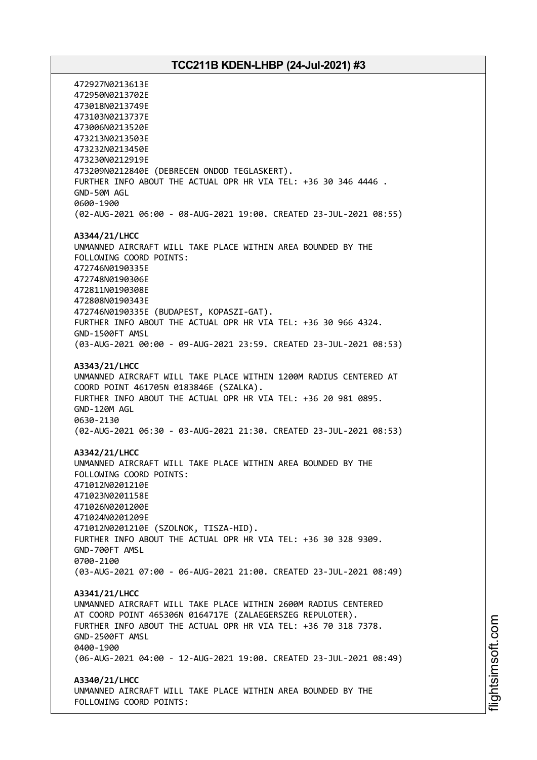472927N0213613E 472950N0213702E 473018N0213749E 473103N0213737E 473006N0213520E 473213N0213503E 473232N0213450E 473230N0212919E 473209N0212840E (DEBRECEN ONDOD TEGLASKERT). FURTHER INFO ABOUT THE ACTUAL OPR HR VIA TEL: +36 30 346 4446 . GND-50M AGL 0600-1900 (02-AUG-2021 06:00 - 08-AUG-2021 19:00. CREATED 23-JUL-2021 08:55) **A3344/21/LHCC** UNMANNED AIRCRAFT WILL TAKE PLACE WITHIN AREA BOUNDED BY THE FOLLOWING COORD POINTS: 472746N0190335E 472748N0190306E 472811N0190308E 472808N0190343E 472746N0190335E (BUDAPEST, KOPASZI-GAT). FURTHER INFO ABOUT THE ACTUAL OPR HR VIA TEL: +36 30 966 4324. GND-1500FT AMSL (03-AUG-2021 00:00 - 09-AUG-2021 23:59. CREATED 23-JUL-2021 08:53) **A3343/21/LHCC** UNMANNED AIRCRAFT WILL TAKE PLACE WITHIN 1200M RADIUS CENTERED AT COORD POINT 461705N 0183846E (SZALKA). FURTHER INFO ABOUT THE ACTUAL OPR HR VIA TEL: +36 20 981 0895. GND-120M AGL 0630-2130 (02-AUG-2021 06:30 - 03-AUG-2021 21:30. CREATED 23-JUL-2021 08:53) **A3342/21/LHCC** UNMANNED AIRCRAFT WILL TAKE PLACE WITHIN AREA BOUNDED BY THE FOLLOWING COORD POINTS: 471012N0201210E 471023N0201158E 471026N0201200E 471024N0201209E 471012N0201210E (SZOLNOK, TISZA-HID). FURTHER INFO ABOUT THE ACTUAL OPR HR VIA TEL: +36 30 328 9309. GND-700FT AMSL 0700-2100 (03-AUG-2021 07:00 - 06-AUG-2021 21:00. CREATED 23-JUL-2021 08:49) **A3341/21/LHCC** UNMANNED AIRCRAFT WILL TAKE PLACE WITHIN 2600M RADIUS CENTERED AT COORD POINT 465306N 0164717E (ZALAEGERSZEG REPULOTER). FURTHER INFO ABOUT THE ACTUAL OPR HR VIA TEL: +36 70 318 7378. GND-2500FT AMSL 0400-1900 (06-AUG-2021 04:00 - 12-AUG-2021 19:00. CREATED 23-JUL-2021 08:49) **A3340/21/LHCC** UNMANNED AIRCRAFT WILL TAKE PLACE WITHIN AREA BOUNDED BY THE FOLLOWING COORD POINTS: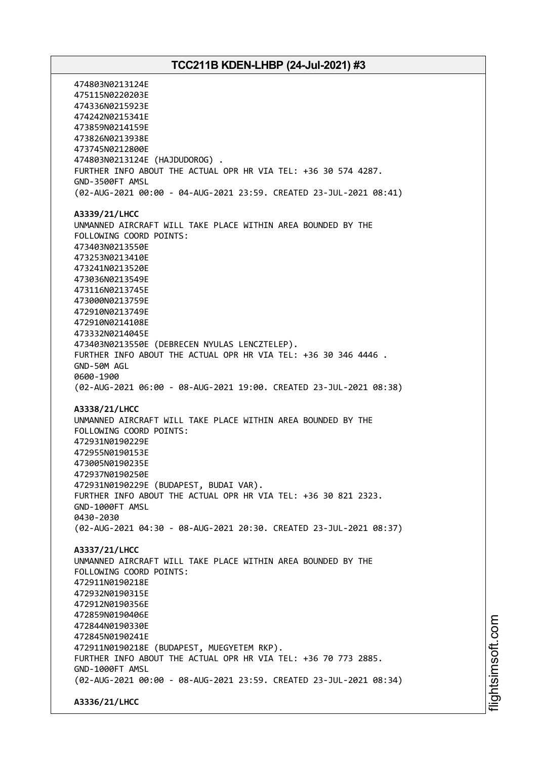474803N0213124E 475115N0220203E 474336N0215923E 474242N0215341E 473859N0214159E 473826N0213938E 473745N0212800E 474803N0213124E (HAJDUDOROG) . FURTHER INFO ABOUT THE ACTUAL OPR HR VIA TEL: +36 30 574 4287. GND-3500FT AMSL (02-AUG-2021 00:00 - 04-AUG-2021 23:59. CREATED 23-JUL-2021 08:41) **A3339/21/LHCC** UNMANNED AIRCRAFT WILL TAKE PLACE WITHIN AREA BOUNDED BY THE FOLLOWING COORD POINTS: 473403N0213550E 473253N0213410E 473241N0213520E 473036N0213549E 473116N0213745E 473000N0213759E 472910N0213749E 472910N0214108E 473332N0214045E 473403N0213550E (DEBRECEN NYULAS LENCZTELEP). FURTHER INFO ABOUT THE ACTUAL OPR HR VIA TEL: +36 30 346 4446 . GND-50M AGL 0600-1900 (02-AUG-2021 06:00 - 08-AUG-2021 19:00. CREATED 23-JUL-2021 08:38) **A3338/21/LHCC** UNMANNED AIRCRAFT WILL TAKE PLACE WITHIN AREA BOUNDED BY THE FOLLOWING COORD POINTS: 472931N0190229E 472955N0190153E 473005N0190235E 472937N0190250E 472931N0190229E (BUDAPEST, BUDAI VAR). FURTHER INFO ABOUT THE ACTUAL OPR HR VIA TEL: +36 30 821 2323. GND-1000FT AMSL 0430-2030 (02-AUG-2021 04:30 - 08-AUG-2021 20:30. CREATED 23-JUL-2021 08:37) **A3337/21/LHCC** UNMANNED AIRCRAFT WILL TAKE PLACE WITHIN AREA BOUNDED BY THE FOLLOWING COORD POINTS: 472911N0190218E 472932N0190315E 472912N0190356E 472859N0190406E 472844N0190330E 472845N0190241E 472911N0190218E (BUDAPEST, MUEGYETEM RKP). FURTHER INFO ABOUT THE ACTUAL OPR HR VIA TEL: +36 70 773 2885. GND-1000FT AMSL (02-AUG-2021 00:00 - 08-AUG-2021 23:59. CREATED 23-JUL-2021 08:34) **A3336/21/LHCC**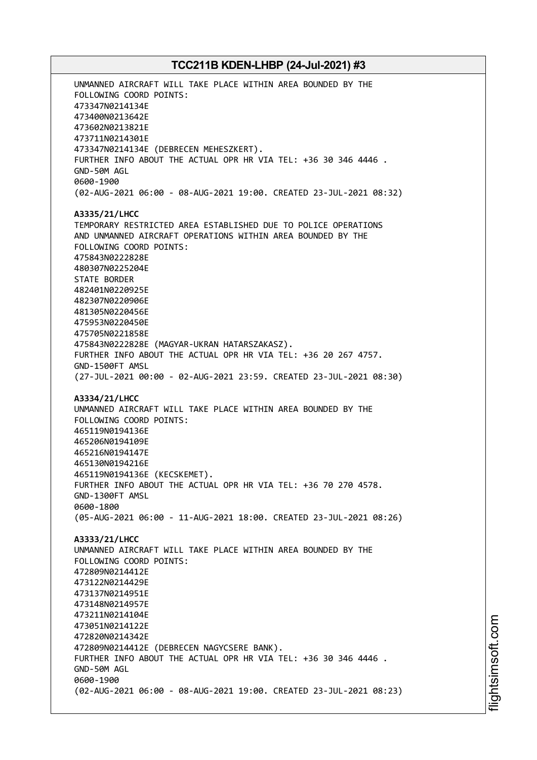UNMANNED AIRCRAFT WILL TAKE PLACE WITHIN AREA BOUNDED BY THE FOLLOWING COORD POINTS: 473347N0214134E 473400N0213642E 473602N0213821E 473711N0214301E 473347N0214134E (DEBRECEN MEHESZKERT). FURTHER INFO ABOUT THE ACTUAL OPR HR VIA TEL: +36 30 346 4446 . GND-50M AGL 0600-1900 (02-AUG-2021 06:00 - 08-AUG-2021 19:00. CREATED 23-JUL-2021 08:32) **A3335/21/LHCC** TEMPORARY RESTRICTED AREA ESTABLISHED DUE TO POLICE OPERATIONS AND UNMANNED AIRCRAFT OPERATIONS WITHIN AREA BOUNDED BY THE FOLLOWING COORD POINTS: 475843N0222828E 480307N0225204E STATE BORDER 482401N0220925E 482307N0220906E 481305N0220456E 475953N0220450E 475705N0221858E 475843N0222828E (MAGYAR-UKRAN HATARSZAKASZ). FURTHER INFO ABOUT THE ACTUAL OPR HR VIA TEL: +36 20 267 4757. GND-1500FT AMSL (27-JUL-2021 00:00 - 02-AUG-2021 23:59. CREATED 23-JUL-2021 08:30) **A3334/21/LHCC** UNMANNED AIRCRAFT WILL TAKE PLACE WITHIN AREA BOUNDED BY THE FOLLOWING COORD POINTS: 465119N0194136E 465206N0194109E 465216N0194147E 465130N0194216E 465119N0194136E (KECSKEMET). FURTHER INFO ABOUT THE ACTUAL OPR HR VIA TEL: +36 70 270 4578. GND-1300FT AMSL 0600-1800 (05-AUG-2021 06:00 - 11-AUG-2021 18:00. CREATED 23-JUL-2021 08:26) **A3333/21/LHCC** UNMANNED AIRCRAFT WILL TAKE PLACE WITHIN AREA BOUNDED BY THE FOLLOWING COORD POINTS: 472809N0214412E 473122N0214429E 473137N0214951E 473148N0214957E 473211N0214104E 473051N0214122E 472820N0214342E 472809N0214412E (DEBRECEN NAGYCSERE BANK). FURTHER INFO ABOUT THE ACTUAL OPR HR VIA TEL: +36 30 346 4446 . GND-50M AGL 0600-1900 (02-AUG-2021 06:00 - 08-AUG-2021 19:00. CREATED 23-JUL-2021 08:23)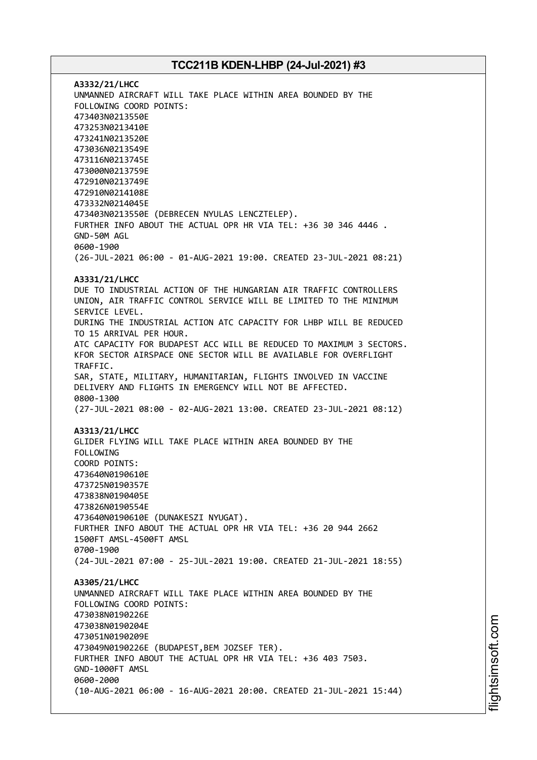**A3332/21/LHCC** UNMANNED AIRCRAFT WILL TAKE PLACE WITHIN AREA BOUNDED BY THE FOLLOWING COORD POINTS: 473403N0213550E 473253N0213410E 473241N0213520E 473036N0213549E 473116N0213745E 473000N0213759E 472910N0213749E 472910N0214108E 473332N0214045E 473403N0213550E (DEBRECEN NYULAS LENCZTELEP). FURTHER INFO ABOUT THE ACTUAL OPR HR VIA TEL: +36 30 346 4446 . GND-50M AGL 0600-1900 (26-JUL-2021 06:00 - 01-AUG-2021 19:00. CREATED 23-JUL-2021 08:21) **A3331/21/LHCC** DUE TO INDUSTRIAL ACTION OF THE HUNGARIAN AIR TRAFFIC CONTROLLERS UNION, AIR TRAFFIC CONTROL SERVICE WILL BE LIMITED TO THE MINIMUM SERVICE LEVEL. DURING THE INDUSTRIAL ACTION ATC CAPACITY FOR LHBP WILL BE REDUCED TO 15 ARRIVAL PER HOUR. ATC CAPACITY FOR BUDAPEST ACC WILL BE REDUCED TO MAXIMUM 3 SECTORS. KFOR SECTOR AIRSPACE ONE SECTOR WILL BE AVAILABLE FOR OVERFLIGHT TRAFFIC. SAR, STATE, MILITARY, HUMANITARIAN, FLIGHTS INVOLVED IN VACCINE DELIVERY AND FLIGHTS IN EMERGENCY WILL NOT BE AFFECTED. 0800-1300 (27-JUL-2021 08:00 - 02-AUG-2021 13:00. CREATED 23-JUL-2021 08:12) **A3313/21/LHCC** GLIDER FLYING WILL TAKE PLACE WITHIN AREA BOUNDED BY THE FOLLOWING COORD POINTS: 473640N0190610E 473725N0190357E 473838N0190405E 473826N0190554E 473640N0190610E (DUNAKESZI NYUGAT). FURTHER INFO ABOUT THE ACTUAL OPR HR VIA TEL: +36 20 944 2662 1500FT AMSL-4500FT AMSL 0700-1900 (24-JUL-2021 07:00 - 25-JUL-2021 19:00. CREATED 21-JUL-2021 18:55) **A3305/21/LHCC** UNMANNED AIRCRAFT WILL TAKE PLACE WITHIN AREA BOUNDED BY THE FOLLOWING COORD POINTS: 473038N0190226E 473038N0190204E 473051N0190209E 473049N0190226E (BUDAPEST,BEM JOZSEF TER). FURTHER INFO ABOUT THE ACTUAL OPR HR VIA TEL: +36 403 7503. GND-1000FT AMSL 0600-2000 (10-AUG-2021 06:00 - 16-AUG-2021 20:00. CREATED 21-JUL-2021 15:44)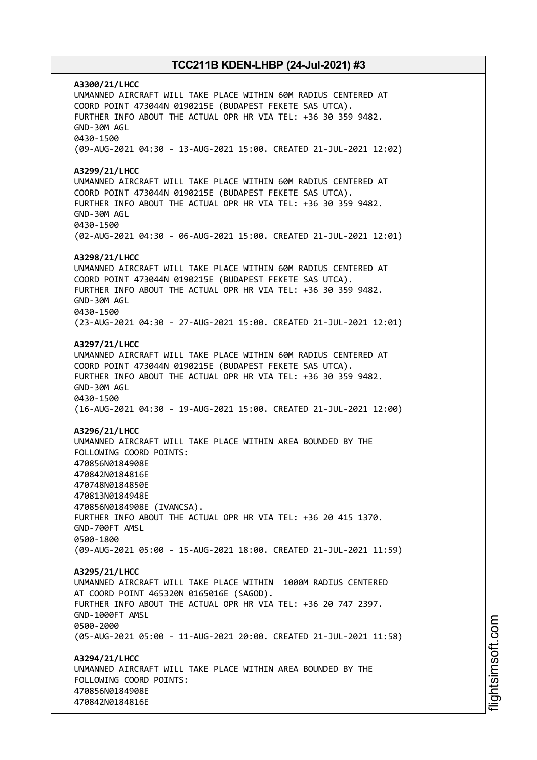**A3300/21/LHCC** UNMANNED AIRCRAFT WILL TAKE PLACE WITHIN 60M RADIUS CENTERED AT COORD POINT 473044N 0190215E (BUDAPEST FEKETE SAS UTCA). FURTHER INFO ABOUT THE ACTUAL OPR HR VIA TEL: +36 30 359 9482. GND-30M AGL 0430-1500 (09-AUG-2021 04:30 - 13-AUG-2021 15:00. CREATED 21-JUL-2021 12:02) **A3299/21/LHCC** UNMANNED AIRCRAFT WILL TAKE PLACE WITHIN 60M RADIUS CENTERED AT COORD POINT 473044N 0190215E (BUDAPEST FEKETE SAS UTCA). FURTHER INFO ABOUT THE ACTUAL OPR HR VIA TEL: +36 30 359 9482. GND-30M AGL 0430-1500 (02-AUG-2021 04:30 - 06-AUG-2021 15:00. CREATED 21-JUL-2021 12:01) **A3298/21/LHCC** UNMANNED AIRCRAFT WILL TAKE PLACE WITHIN 60M RADIUS CENTERED AT COORD POINT 473044N 0190215E (BUDAPEST FEKETE SAS UTCA). FURTHER INFO ABOUT THE ACTUAL OPR HR VIA TEL: +36 30 359 9482. GND-30M AGL 0430-1500 (23-AUG-2021 04:30 - 27-AUG-2021 15:00. CREATED 21-JUL-2021 12:01) **A3297/21/LHCC** UNMANNED AIRCRAFT WILL TAKE PLACE WITHIN 60M RADIUS CENTERED AT COORD POINT 473044N 0190215E (BUDAPEST FEKETE SAS UTCA). FURTHER INFO ABOUT THE ACTUAL OPR HR VIA TEL: +36 30 359 9482. GND-30M AGL 0430-1500 (16-AUG-2021 04:30 - 19-AUG-2021 15:00. CREATED 21-JUL-2021 12:00) **A3296/21/LHCC** UNMANNED AIRCRAFT WILL TAKE PLACE WITHIN AREA BOUNDED BY THE FOLLOWING COORD POINTS: 470856N0184908E 470842N0184816E 470748N0184850E 470813N0184948E 470856N0184908E (IVANCSA). FURTHER INFO ABOUT THE ACTUAL OPR HR VIA TEL: +36 20 415 1370. GND-700FT AMSL 0500-1800 (09-AUG-2021 05:00 - 15-AUG-2021 18:00. CREATED 21-JUL-2021 11:59) **A3295/21/LHCC** UNMANNED AIRCRAFT WILL TAKE PLACE WITHIN 1000M RADIUS CENTERED AT COORD POINT 465320N 0165016E (SAGOD). FURTHER INFO ABOUT THE ACTUAL OPR HR VIA TEL: +36 20 747 2397. GND-1000FT AMSL 0500-2000 (05-AUG-2021 05:00 - 11-AUG-2021 20:00. CREATED 21-JUL-2021 11:58) **A3294/21/LHCC** UNMANNED AIRCRAFT WILL TAKE PLACE WITHIN AREA BOUNDED BY THE FOLLOWING COORD POINTS: 470856N0184908E 470842N0184816E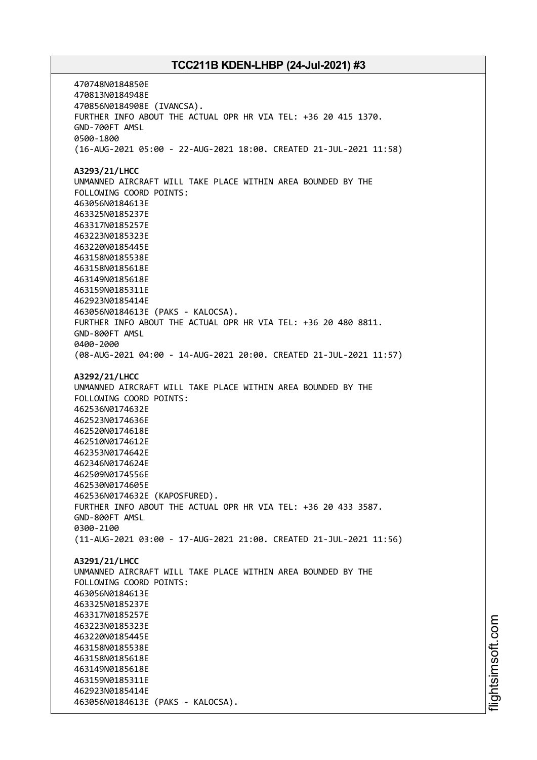470748N0184850E 470813N0184948E 470856N0184908E (IVANCSA). FURTHER INFO ABOUT THE ACTUAL OPR HR VIA TEL: +36 20 415 1370. GND-700FT AMSL 0500-1800 (16-AUG-2021 05:00 - 22-AUG-2021 18:00. CREATED 21-JUL-2021 11:58) **A3293/21/LHCC** UNMANNED AIRCRAFT WILL TAKE PLACE WITHIN AREA BOUNDED BY THE FOLLOWING COORD POINTS: 463056N0184613E 463325N0185237E 463317N0185257E 463223N0185323E 463220N0185445E 463158N0185538E 463158N0185618E 463149N0185618E 463159N0185311E 462923N0185414E 463056N0184613E (PAKS - KALOCSA). FURTHER INFO ABOUT THE ACTUAL OPR HR VIA TEL: +36 20 480 8811. GND-800FT AMSL 0400-2000 (08-AUG-2021 04:00 - 14-AUG-2021 20:00. CREATED 21-JUL-2021 11:57) **A3292/21/LHCC** UNMANNED AIRCRAFT WILL TAKE PLACE WITHIN AREA BOUNDED BY THE FOLLOWING COORD POINTS: 462536N0174632E 462523N0174636E 462520N0174618E 462510N0174612E 462353N0174642E 462346N0174624E 462509N0174556E 462530N0174605E 462536N0174632E (KAPOSFURED). FURTHER INFO ABOUT THE ACTUAL OPR HR VIA TEL: +36 20 433 3587. GND-800FT AMSL 0300-2100 (11-AUG-2021 03:00 - 17-AUG-2021 21:00. CREATED 21-JUL-2021 11:56) **A3291/21/LHCC** UNMANNED AIRCRAFT WILL TAKE PLACE WITHIN AREA BOUNDED BY THE FOLLOWING COORD POINTS: 463056N0184613E 463325N0185237E 463317N0185257E 463223N0185323E 463220N0185445E 463158N0185538E 463158N0185618E 463149N0185618E 463159N0185311E 462923N0185414E 463056N0184613E (PAKS - KALOCSA).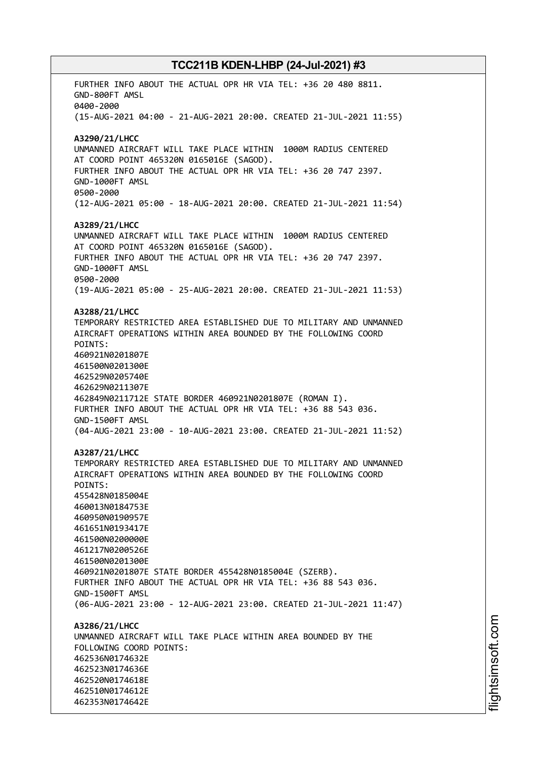FURTHER INFO ABOUT THE ACTUAL OPR HR VIA TEL: +36 20 480 8811. GND-800FT AMSL 0400-2000 (15-AUG-2021 04:00 - 21-AUG-2021 20:00. CREATED 21-JUL-2021 11:55) **A3290/21/LHCC** UNMANNED AIRCRAFT WILL TAKE PLACE WITHIN 1000M RADIUS CENTERED AT COORD POINT 465320N 0165016E (SAGOD). FURTHER INFO ABOUT THE ACTUAL OPR HR VIA TEL: +36 20 747 2397. GND-1000FT AMSL 0500-2000 (12-AUG-2021 05:00 - 18-AUG-2021 20:00. CREATED 21-JUL-2021 11:54) **A3289/21/LHCC** UNMANNED AIRCRAFT WILL TAKE PLACE WITHIN 1000M RADIUS CENTERED AT COORD POINT 465320N 0165016E (SAGOD). FURTHER INFO ABOUT THE ACTUAL OPR HR VIA TEL: +36 20 747 2397. GND-1000FT AMSL 0500-2000 (19-AUG-2021 05:00 - 25-AUG-2021 20:00. CREATED 21-JUL-2021 11:53) **A3288/21/LHCC** TEMPORARY RESTRICTED AREA ESTABLISHED DUE TO MILITARY AND UNMANNED AIRCRAFT OPERATIONS WITHIN AREA BOUNDED BY THE FOLLOWING COORD POINTS: 460921N0201807E 461500N0201300E 462529N0205740E 462629N0211307E 462849N0211712E STATE BORDER 460921N0201807E (ROMAN I). FURTHER INFO ABOUT THE ACTUAL OPR HR VIA TEL: +36 88 543 036. GND-1500FT AMSL (04-AUG-2021 23:00 - 10-AUG-2021 23:00. CREATED 21-JUL-2021 11:52) **A3287/21/LHCC** TEMPORARY RESTRICTED AREA ESTABLISHED DUE TO MILITARY AND UNMANNED AIRCRAFT OPERATIONS WITHIN AREA BOUNDED BY THE FOLLOWING COORD POINTS: 455428N0185004E 460013N0184753E 460950N0190957E 461651N0193417E 461500N0200000E 461217N0200526E 461500N0201300E 460921N0201807E STATE BORDER 455428N0185004E (SZERB). FURTHER INFO ABOUT THE ACTUAL OPR HR VIA TEL: +36 88 543 036. GND-1500FT AMSL (06-AUG-2021 23:00 - 12-AUG-2021 23:00. CREATED 21-JUL-2021 11:47) **A3286/21/LHCC** UNMANNED AIRCRAFT WILL TAKE PLACE WITHIN AREA BOUNDED BY THE FOLLOWING COORD POINTS: 462536N0174632E 462523N0174636E 462520N0174618E 462510N0174612E 462353N0174642E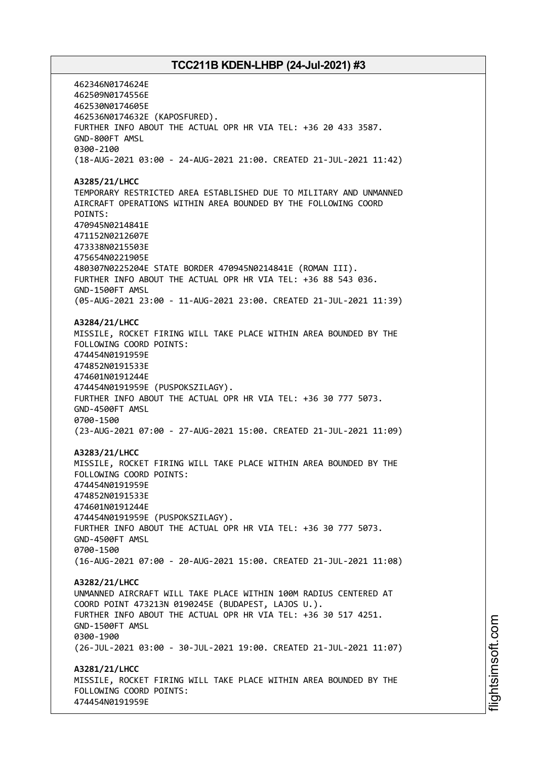462346N0174624E 462509N0174556E 462530N0174605E 462536N0174632E (KAPOSFURED). FURTHER INFO ABOUT THE ACTUAL OPR HR VIA TEL: +36 20 433 3587. GND-800FT AMSL 0300-2100 (18-AUG-2021 03:00 - 24-AUG-2021 21:00. CREATED 21-JUL-2021 11:42) **A3285/21/LHCC** TEMPORARY RESTRICTED AREA ESTABLISHED DUE TO MILITARY AND UNMANNED AIRCRAFT OPERATIONS WITHIN AREA BOUNDED BY THE FOLLOWING COORD POINTS: 470945N0214841E 471152N0212607E 473338N0215503E 475654N0221905E 480307N0225204E STATE BORDER 470945N0214841E (ROMAN III). FURTHER INFO ABOUT THE ACTUAL OPR HR VIA TEL: +36 88 543 036. GND-1500FT AMSL (05-AUG-2021 23:00 - 11-AUG-2021 23:00. CREATED 21-JUL-2021 11:39) **A3284/21/LHCC** MISSILE, ROCKET FIRING WILL TAKE PLACE WITHIN AREA BOUNDED BY THE FOLLOWING COORD POINTS: 474454N0191959E 474852N0191533E 474601N0191244E 474454N0191959E (PUSPOKSZILAGY). FURTHER INFO ABOUT THE ACTUAL OPR HR VIA TEL: +36 30 777 5073. GND-4500FT AMSL 0700-1500 (23-AUG-2021 07:00 - 27-AUG-2021 15:00. CREATED 21-JUL-2021 11:09) **A3283/21/LHCC** MISSILE, ROCKET FIRING WILL TAKE PLACE WITHIN AREA BOUNDED BY THE FOLLOWING COORD POINTS: 474454N0191959E 474852N0191533E 474601N0191244E 474454N0191959E (PUSPOKSZILAGY). FURTHER INFO ABOUT THE ACTUAL OPR HR VIA TEL: +36 30 777 5073. GND-4500FT AMSL 0700-1500 (16-AUG-2021 07:00 - 20-AUG-2021 15:00. CREATED 21-JUL-2021 11:08) **A3282/21/LHCC** UNMANNED AIRCRAFT WILL TAKE PLACE WITHIN 100M RADIUS CENTERED AT COORD POINT 473213N 0190245E (BUDAPEST, LAJOS U.). FURTHER INFO ABOUT THE ACTUAL OPR HR VIA TEL: +36 30 517 4251. GND-1500FT AMSL 0300-1900 (26-JUL-2021 03:00 - 30-JUL-2021 19:00. CREATED 21-JUL-2021 11:07) **A3281/21/LHCC** MISSILE, ROCKET FIRING WILL TAKE PLACE WITHIN AREA BOUNDED BY THE FOLLOWING COORD POINTS: 474454N0191959E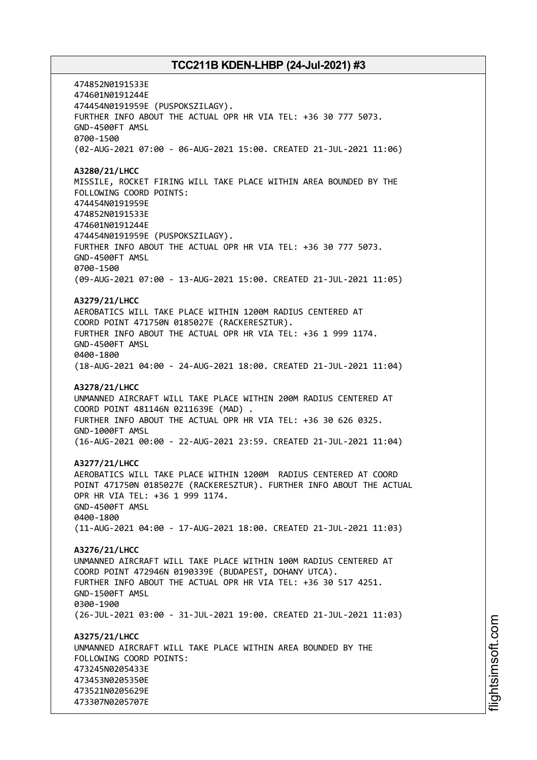474852N0191533E 474601N0191244E 474454N0191959E (PUSPOKSZILAGY). FURTHER INFO ABOUT THE ACTUAL OPR HR VIA TEL: +36 30 777 5073. GND-4500FT AMSL 0700-1500 (02-AUG-2021 07:00 - 06-AUG-2021 15:00. CREATED 21-JUL-2021 11:06) **A3280/21/LHCC** MISSILE, ROCKET FIRING WILL TAKE PLACE WITHIN AREA BOUNDED BY THE FOLLOWING COORD POINTS: 474454N0191959E 474852N0191533E 474601N0191244E 474454N0191959E (PUSPOKSZILAGY). FURTHER INFO ABOUT THE ACTUAL OPR HR VIA TEL: +36 30 777 5073. GND-4500FT AMSL 0700-1500 (09-AUG-2021 07:00 - 13-AUG-2021 15:00. CREATED 21-JUL-2021 11:05) **A3279/21/LHCC** AEROBATICS WILL TAKE PLACE WITHIN 1200M RADIUS CENTERED AT COORD POINT 471750N 0185027E (RACKERESZTUR). FURTHER INFO ABOUT THE ACTUAL OPR HR VIA TEL: +36 1 999 1174. GND-4500FT AMSL 0400-1800 (18-AUG-2021 04:00 - 24-AUG-2021 18:00. CREATED 21-JUL-2021 11:04) **A3278/21/LHCC** UNMANNED AIRCRAFT WILL TAKE PLACE WITHIN 200M RADIUS CENTERED AT COORD POINT 481146N 0211639E (MAD) . FURTHER INFO ABOUT THE ACTUAL OPR HR VIA TEL: +36 30 626 0325. GND-1000FT AMSL (16-AUG-2021 00:00 - 22-AUG-2021 23:59. CREATED 21-JUL-2021 11:04) **A3277/21/LHCC** AEROBATICS WILL TAKE PLACE WITHIN 1200M RADIUS CENTERED AT COORD POINT 471750N 0185027E (RACKERESZTUR). FURTHER INFO ABOUT THE ACTUAL OPR HR VIA TEL: +36 1 999 1174. GND-4500FT AMSL 0400-1800 (11-AUG-2021 04:00 - 17-AUG-2021 18:00. CREATED 21-JUL-2021 11:03) **A3276/21/LHCC** UNMANNED AIRCRAFT WILL TAKE PLACE WITHIN 100M RADIUS CENTERED AT COORD POINT 472946N 0190339E (BUDAPEST, DOHANY UTCA). FURTHER INFO ABOUT THE ACTUAL OPR HR VIA TEL: +36 30 517 4251. GND-1500FT AMSL 0300-1900 (26-JUL-2021 03:00 - 31-JUL-2021 19:00. CREATED 21-JUL-2021 11:03) **A3275/21/LHCC** UNMANNED AIRCRAFT WILL TAKE PLACE WITHIN AREA BOUNDED BY THE FOLLOWING COORD POINTS: 473245N0205433E 473453N0205350E 473521N0205629E 473307N0205707E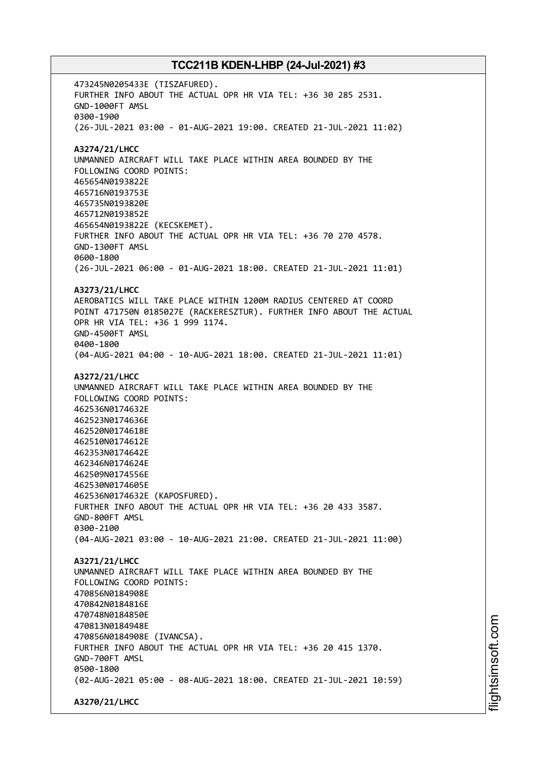473245N0205433E (TISZAFURED). FURTHER INFO ABOUT THE ACTUAL OPR HR VIA TEL: +36 30 285 2531. GND-1000FT AMSL 0300-1900 (26-JUL-2021 03:00 - 01-AUG-2021 19:00. CREATED 21-JUL-2021 11:02) **A3274/21/LHCC** UNMANNED AIRCRAFT WILL TAKE PLACE WITHIN AREA BOUNDED BY THE FOLLOWING COORD POINTS: 465654N0193822E 465716N0193753E 465735N0193820E 465712N0193852E 465654N0193822E (KECSKEMET). FURTHER INFO ABOUT THE ACTUAL OPR HR VIA TEL: +36 70 270 4578. GND-1300FT AMSL 0600-1800 (26-JUL-2021 06:00 - 01-AUG-2021 18:00. CREATED 21-JUL-2021 11:01) **A3273/21/LHCC** AEROBATICS WILL TAKE PLACE WITHIN 1200M RADIUS CENTERED AT COORD POINT 471750N 0185027E (RACKERESZTUR). FURTHER INFO ABOUT THE ACTUAL OPR HR VIA TEL: +36 1 999 1174. GND-4500FT AMSL 0400-1800 (04-AUG-2021 04:00 - 10-AUG-2021 18:00. CREATED 21-JUL-2021 11:01) **A3272/21/LHCC** UNMANNED AIRCRAFT WILL TAKE PLACE WITHIN AREA BOUNDED BY THE FOLLOWING COORD POINTS: 462536N0174632E 462523N0174636E 462520N0174618E 462510N0174612E 462353N0174642E 462346N0174624E 462509N0174556E 462530N0174605E 462536N0174632E (KAPOSFURED). FURTHER INFO ABOUT THE ACTUAL OPR HR VIA TEL: +36 20 433 3587. GND-800FT AMSL 0300-2100 (04-AUG-2021 03:00 - 10-AUG-2021 21:00. CREATED 21-JUL-2021 11:00) **A3271/21/LHCC** UNMANNED AIRCRAFT WILL TAKE PLACE WITHIN AREA BOUNDED BY THE FOLLOWING COORD POINTS: 470856N0184908E 470842N0184816E 470748N0184850E 470813N0184948E 470856N0184908E (IVANCSA). FURTHER INFO ABOUT THE ACTUAL OPR HR VIA TEL: +36 20 415 1370. GND-700FT AMSL 0500-1800 (02-AUG-2021 05:00 - 08-AUG-2021 18:00. CREATED 21-JUL-2021 10:59) **A3270/21/LHCC**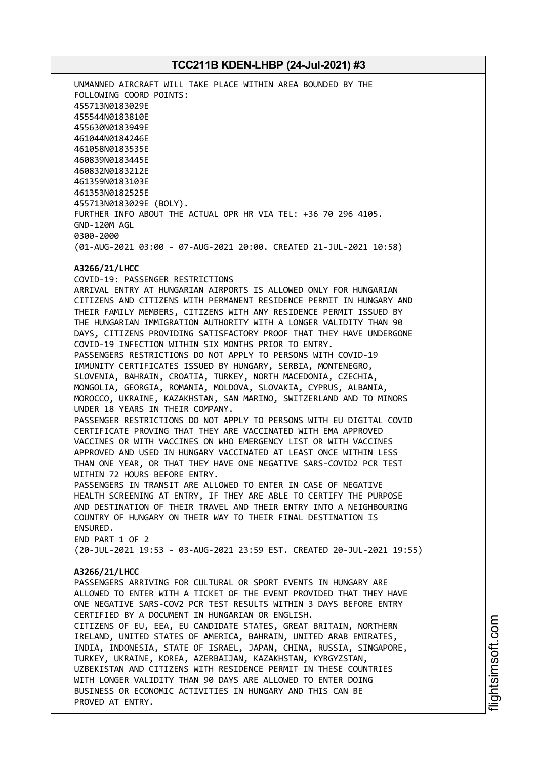UNMANNED AIRCRAFT WILL TAKE PLACE WITHIN AREA BOUNDED BY THE FOLLOWING COORD POINTS: 455713N0183029E 455544N0183810E 455630N0183949E 461044N0184246E 461058N0183535E 460839N0183445E 460832N0183212E 461359N0183103E 461353N0182525E 455713N0183029E (BOLY). FURTHER INFO ABOUT THE ACTUAL OPR HR VIA TEL: +36 70 296 4105. GND-120M AGL 0300-2000 (01-AUG-2021 03:00 - 07-AUG-2021 20:00. CREATED 21-JUL-2021 10:58)

#### **A3266/21/LHCC** COVID-19: PASSENGER RESTRICTIONS

ARRIVAL ENTRY AT HUNGARIAN AIRPORTS IS ALLOWED ONLY FOR HUNGARIAN CITIZENS AND CITIZENS WITH PERMANENT RESIDENCE PERMIT IN HUNGARY AND THEIR FAMILY MEMBERS, CITIZENS WITH ANY RESIDENCE PERMIT ISSUED BY THE HUNGARIAN IMMIGRATION AUTHORITY WITH A LONGER VALIDITY THAN 90 DAYS, CITIZENS PROVIDING SATISFACTORY PROOF THAT THEY HAVE UNDERGONE COVID-19 INFECTION WITHIN SIX MONTHS PRIOR TO ENTRY. PASSENGERS RESTRICTIONS DO NOT APPLY TO PERSONS WITH COVID-19 IMMUNITY CERTIFICATES ISSUED BY HUNGARY, SERBIA, MONTENEGRO, SLOVENIA, BAHRAIN, CROATIA, TURKEY, NORTH MACEDONIA, CZECHIA, MONGOLIA, GEORGIA, ROMANIA, MOLDOVA, SLOVAKIA, CYPRUS, ALBANIA, MOROCCO, UKRAINE, KAZAKHSTAN, SAN MARINO, SWITZERLAND AND TO MINORS UNDER 18 YEARS IN THEIR COMPANY. PASSENGER RESTRICTIONS DO NOT APPLY TO PERSONS WITH EU DIGITAL COVID CERTIFICATE PROVING THAT THEY ARE VACCINATED WITH EMA APPROVED VACCINES OR WITH VACCINES ON WHO EMERGENCY LIST OR WITH VACCINES APPROVED AND USED IN HUNGARY VACCINATED AT LEAST ONCE WITHIN LESS THAN ONE YEAR, OR THAT THEY HAVE ONE NEGATIVE SARS-COVID2 PCR TEST WITHIN 72 HOURS BEFORE ENTRY.

PASSENGERS IN TRANSIT ARE ALLOWED TO ENTER IN CASE OF NEGATIVE HEALTH SCREENING AT ENTRY, IF THEY ARE ABLE TO CERTIFY THE PURPOSE AND DESTINATION OF THEIR TRAVEL AND THEIR ENTRY INTO A NEIGHBOURING COUNTRY OF HUNGARY ON THEIR WAY TO THEIR FINAL DESTINATION IS ENSURED.

END PART 1 OF 2 (20-JUL-2021 19:53 - 03-AUG-2021 23:59 EST. CREATED 20-JUL-2021 19:55)

### **A3266/21/LHCC**

PASSENGERS ARRIVING FOR CULTURAL OR SPORT EVENTS IN HUNGARY ARE ALLOWED TO ENTER WITH A TICKET OF THE EVENT PROVIDED THAT THEY HAVE ONE NEGATIVE SARS-COV2 PCR TEST RESULTS WITHIN 3 DAYS BEFORE ENTRY CERTIFIED BY A DOCUMENT IN HUNGARIAN OR ENGLISH. CITIZENS OF EU, EEA, EU CANDIDATE STATES, GREAT BRITAIN, NORTHERN IRELAND, UNITED STATES OF AMERICA, BAHRAIN, UNITED ARAB EMIRATES, INDIA, INDONESIA, STATE OF ISRAEL, JAPAN, CHINA, RUSSIA, SINGAPORE, TURKEY, UKRAINE, KOREA, AZERBAIJAN, KAZAKHSTAN, KYRGYZSTAN, UZBEKISTAN AND CITIZENS WITH RESIDENCE PERMIT IN THESE COUNTRIES WITH LONGER VALIDITY THAN 90 DAYS ARE ALLOWED TO ENTER DOING BUSINESS OR ECONOMIC ACTIVITIES IN HUNGARY AND THIS CAN BE PROVED AT ENTRY.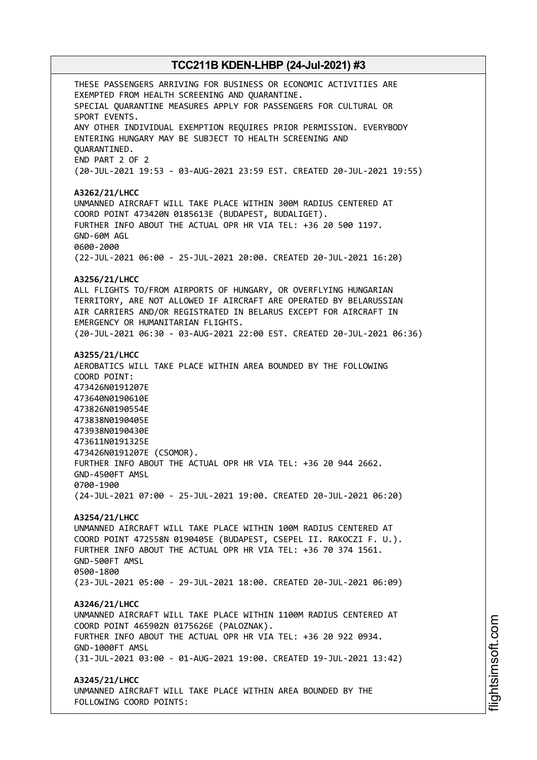THESE PASSENGERS ARRIVING FOR BUSINESS OR ECONOMIC ACTIVITIES ARE EXEMPTED FROM HEALTH SCREENING AND QUARANTINE. SPECIAL QUARANTINE MEASURES APPLY FOR PASSENGERS FOR CULTURAL OR SPORT EVENTS. ANY OTHER INDIVIDUAL EXEMPTION REQUIRES PRIOR PERMISSION. EVERYBODY ENTERING HUNGARY MAY BE SUBJECT TO HEALTH SCREENING AND QUARANTINED. END PART 2 OF 2 (20-JUL-2021 19:53 - 03-AUG-2021 23:59 EST. CREATED 20-JUL-2021 19:55) **A3262/21/LHCC** UNMANNED AIRCRAFT WILL TAKE PLACE WITHIN 300M RADIUS CENTERED AT COORD POINT 473420N 0185613E (BUDAPEST, BUDALIGET). FURTHER INFO ABOUT THE ACTUAL OPR HR VIA TEL: +36 20 500 1197. GND-60M AGL 0600-2000 (22-JUL-2021 06:00 - 25-JUL-2021 20:00. CREATED 20-JUL-2021 16:20) **A3256/21/LHCC** ALL FLIGHTS TO/FROM AIRPORTS OF HUNGARY, OR OVERFLYING HUNGARIAN TERRITORY, ARE NOT ALLOWED IF AIRCRAFT ARE OPERATED BY BELARUSSIAN AIR CARRIERS AND/OR REGISTRATED IN BELARUS EXCEPT FOR AIRCRAFT IN EMERGENCY OR HUMANITARIAN FLIGHTS. (20-JUL-2021 06:30 - 03-AUG-2021 22:00 EST. CREATED 20-JUL-2021 06:36) **A3255/21/LHCC** AEROBATICS WILL TAKE PLACE WITHIN AREA BOUNDED BY THE FOLLOWING COORD POINT: 473426N0191207E 473640N0190610E 473826N0190554E 473838N0190405E 473938N0190430E 473611N0191325E 473426N0191207E (CSOMOR). FURTHER INFO ABOUT THE ACTUAL OPR HR VIA TEL: +36 20 944 2662. GND-4500FT AMSL 0700-1900 (24-JUL-2021 07:00 - 25-JUL-2021 19:00. CREATED 20-JUL-2021 06:20) **A3254/21/LHCC** UNMANNED AIRCRAFT WILL TAKE PLACE WITHIN 100M RADIUS CENTERED AT COORD POINT 472558N 0190405E (BUDAPEST, CSEPEL II. RAKOCZI F. U.). FURTHER INFO ABOUT THE ACTUAL OPR HR VIA TEL: +36 70 374 1561. GND-500FT AMSL 0500-1800 (23-JUL-2021 05:00 - 29-JUL-2021 18:00. CREATED 20-JUL-2021 06:09) **A3246/21/LHCC** UNMANNED AIRCRAFT WILL TAKE PLACE WITHIN 1100M RADIUS CENTERED AT COORD POINT 465902N 0175626E (PALOZNAK). FURTHER INFO ABOUT THE ACTUAL OPR HR VIA TEL: +36 20 922 0934. GND-1000FT AMSL (31-JUL-2021 03:00 - 01-AUG-2021 19:00. CREATED 19-JUL-2021 13:42) **A3245/21/LHCC** UNMANNED AIRCRAFT WILL TAKE PLACE WITHIN AREA BOUNDED BY THE FOLLOWING COORD POINTS: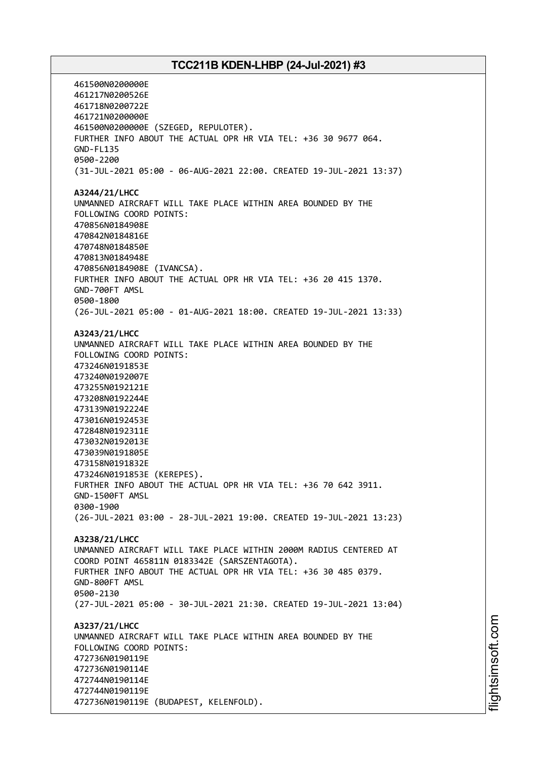461500N0200000E 461217N0200526E 461718N0200722E 461721N0200000E 461500N0200000E (SZEGED, REPULOTER). FURTHER INFO ABOUT THE ACTUAL OPR HR VIA TEL: +36 30 9677 064. GND-FL135 0500-2200 (31-JUL-2021 05:00 - 06-AUG-2021 22:00. CREATED 19-JUL-2021 13:37) **A3244/21/LHCC** UNMANNED AIRCRAFT WILL TAKE PLACE WITHIN AREA BOUNDED BY THE FOLLOWING COORD POINTS: 470856N0184908E 470842N0184816E 470748N0184850E 470813N0184948E 470856N0184908E (IVANCSA). FURTHER INFO ABOUT THE ACTUAL OPR HR VIA TEL: +36 20 415 1370. GND-700FT AMSL 0500-1800 (26-JUL-2021 05:00 - 01-AUG-2021 18:00. CREATED 19-JUL-2021 13:33) **A3243/21/LHCC** UNMANNED AIRCRAFT WILL TAKE PLACE WITHIN AREA BOUNDED BY THE FOLLOWING COORD POINTS: 473246N0191853E 473240N0192007E 473255N0192121E 473208N0192244E 473139N0192224E 473016N0192453E 472848N0192311E 473032N0192013E 473039N0191805E 473158N0191832E 473246N0191853E (KEREPES). FURTHER INFO ABOUT THE ACTUAL OPR HR VIA TEL: +36 70 642 3911. GND-1500FT AMSL 0300-1900 (26-JUL-2021 03:00 - 28-JUL-2021 19:00. CREATED 19-JUL-2021 13:23) **A3238/21/LHCC** UNMANNED AIRCRAFT WILL TAKE PLACE WITHIN 2000M RADIUS CENTERED AT COORD POINT 465811N 0183342E (SARSZENTAGOTA). FURTHER INFO ABOUT THE ACTUAL OPR HR VIA TEL: +36 30 485 0379. GND-800FT AMSL 0500-2130 (27-JUL-2021 05:00 - 30-JUL-2021 21:30. CREATED 19-JUL-2021 13:04) **A3237/21/LHCC** UNMANNED AIRCRAFT WILL TAKE PLACE WITHIN AREA BOUNDED BY THE FOLLOWING COORD POINTS: 472736N0190119E 472736N0190114E 472744N0190114E 472744N0190119E 472736N0190119E (BUDAPEST, KELENFOLD).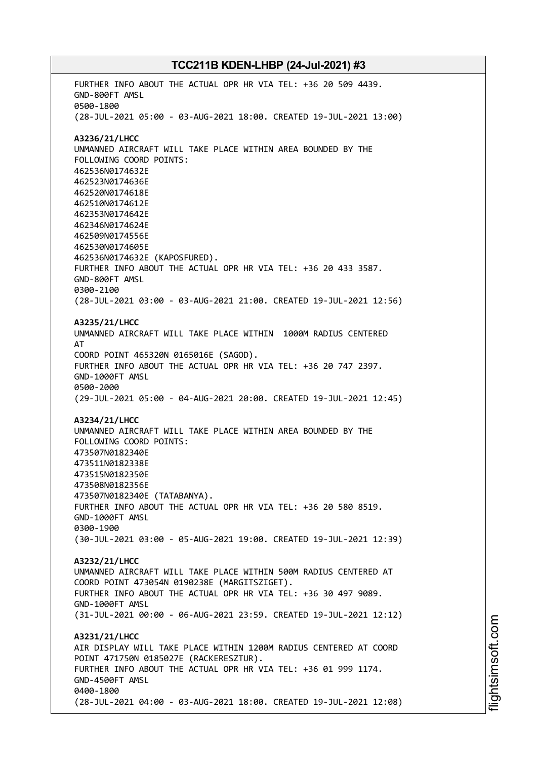FURTHER INFO ABOUT THE ACTUAL OPR HR VIA TEL: +36 20 509 4439. GND-800FT AMSL 0500-1800 (28-JUL-2021 05:00 - 03-AUG-2021 18:00. CREATED 19-JUL-2021 13:00) **A3236/21/LHCC** UNMANNED AIRCRAFT WILL TAKE PLACE WITHIN AREA BOUNDED BY THE FOLLOWING COORD POINTS: 462536N0174632E 462523N0174636E 462520N0174618E 462510N0174612E 462353N0174642E 462346N0174624E 462509N0174556E 462530N0174605E 462536N0174632E (KAPOSFURED). FURTHER INFO ABOUT THE ACTUAL OPR HR VIA TEL: +36 20 433 3587. GND-800FT AMSL 0300-2100 (28-JUL-2021 03:00 - 03-AUG-2021 21:00. CREATED 19-JUL-2021 12:56) **A3235/21/LHCC** UNMANNED AIRCRAFT WILL TAKE PLACE WITHIN 1000M RADIUS CENTERED AT COORD POINT 465320N 0165016E (SAGOD). FURTHER INFO ABOUT THE ACTUAL OPR HR VIA TEL: +36 20 747 2397. GND-1000FT AMSL 0500-2000 (29-JUL-2021 05:00 - 04-AUG-2021 20:00. CREATED 19-JUL-2021 12:45) **A3234/21/LHCC** UNMANNED AIRCRAFT WILL TAKE PLACE WITHIN AREA BOUNDED BY THE FOLLOWING COORD POINTS: 473507N0182340E 473511N0182338E 473515N0182350E 473508N0182356E 473507N0182340E (TATABANYA). FURTHER INFO ABOUT THE ACTUAL OPR HR VIA TEL: +36 20 580 8519. GND-1000FT AMSL 0300-1900 (30-JUL-2021 03:00 - 05-AUG-2021 19:00. CREATED 19-JUL-2021 12:39) **A3232/21/LHCC** UNMANNED AIRCRAFT WILL TAKE PLACE WITHIN 500M RADIUS CENTERED AT COORD POINT 473054N 0190238E (MARGITSZIGET). FURTHER INFO ABOUT THE ACTUAL OPR HR VIA TEL: +36 30 497 9089. GND-1000FT AMSL (31-JUL-2021 00:00 - 06-AUG-2021 23:59. CREATED 19-JUL-2021 12:12) **A3231/21/LHCC** AIR DISPLAY WILL TAKE PLACE WITHIN 1200M RADIUS CENTERED AT COORD POINT 471750N 0185027E (RACKERESZTUR). FURTHER INFO ABOUT THE ACTUAL OPR HR VIA TEL: +36 01 999 1174. GND-4500FT AMSL 0400-1800 (28-JUL-2021 04:00 - 03-AUG-2021 18:00. CREATED 19-JUL-2021 12:08)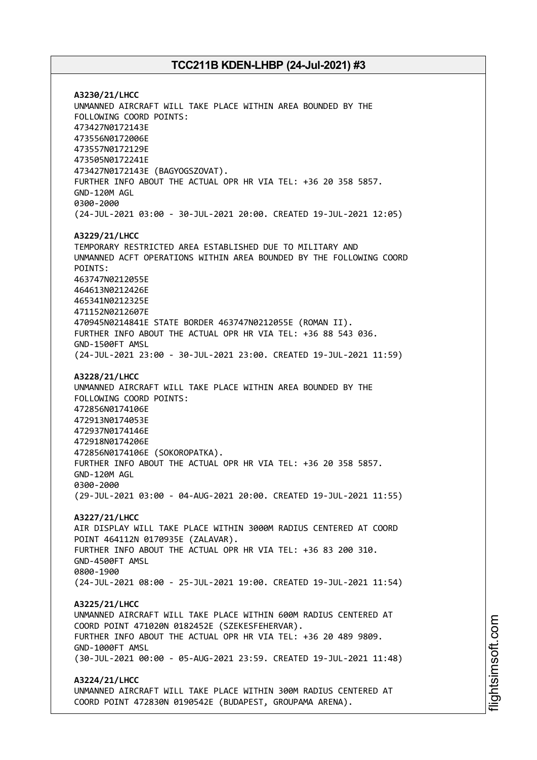**A3230/21/LHCC** UNMANNED AIRCRAFT WILL TAKE PLACE WITHIN AREA BOUNDED BY THE FOLLOWING COORD POINTS: 473427N0172143E 473556N0172006E 473557N0172129E 473505N0172241E 473427N0172143E (BAGYOGSZOVAT). FURTHER INFO ABOUT THE ACTUAL OPR HR VIA TEL: +36 20 358 5857. GND-120M AGL 0300-2000 (24-JUL-2021 03:00 - 30-JUL-2021 20:00. CREATED 19-JUL-2021 12:05) **A3229/21/LHCC** TEMPORARY RESTRICTED AREA ESTABLISHED DUE TO MILITARY AND UNMANNED ACFT OPERATIONS WITHIN AREA BOUNDED BY THE FOLLOWING COORD POINTS: 463747N0212055E 464613N0212426E 465341N0212325E 471152N0212607E 470945N0214841E STATE BORDER 463747N0212055E (ROMAN II). FURTHER INFO ABOUT THE ACTUAL OPR HR VIA TEL: +36 88 543 036. GND-1500FT AMSL (24-JUL-2021 23:00 - 30-JUL-2021 23:00. CREATED 19-JUL-2021 11:59) **A3228/21/LHCC** UNMANNED AIRCRAFT WILL TAKE PLACE WITHIN AREA BOUNDED BY THE FOLLOWING COORD POINTS: 472856N0174106E 472913N0174053E 472937N0174146E 472918N0174206E 472856N0174106E (SOKOROPATKA). FURTHER INFO ABOUT THE ACTUAL OPR HR VIA TEL: +36 20 358 5857. GND-120M AGL 0300-2000 (29-JUL-2021 03:00 - 04-AUG-2021 20:00. CREATED 19-JUL-2021 11:55) **A3227/21/LHCC** AIR DISPLAY WILL TAKE PLACE WITHIN 3000M RADIUS CENTERED AT COORD POINT 464112N 0170935E (ZALAVAR). FURTHER INFO ABOUT THE ACTUAL OPR HR VIA TEL: +36 83 200 310. GND-4500FT AMSL 0800-1900 (24-JUL-2021 08:00 - 25-JUL-2021 19:00. CREATED 19-JUL-2021 11:54) **A3225/21/LHCC** UNMANNED AIRCRAFT WILL TAKE PLACE WITHIN 600M RADIUS CENTERED AT COORD POINT 471020N 0182452E (SZEKESFEHERVAR). FURTHER INFO ABOUT THE ACTUAL OPR HR VIA TEL: +36 20 489 9809. GND-1000FT AMSL (30-JUL-2021 00:00 - 05-AUG-2021 23:59. CREATED 19-JUL-2021 11:48) **A3224/21/LHCC** UNMANNED AIRCRAFT WILL TAKE PLACE WITHIN 300M RADIUS CENTERED AT COORD POINT 472830N 0190542E (BUDAPEST, GROUPAMA ARENA).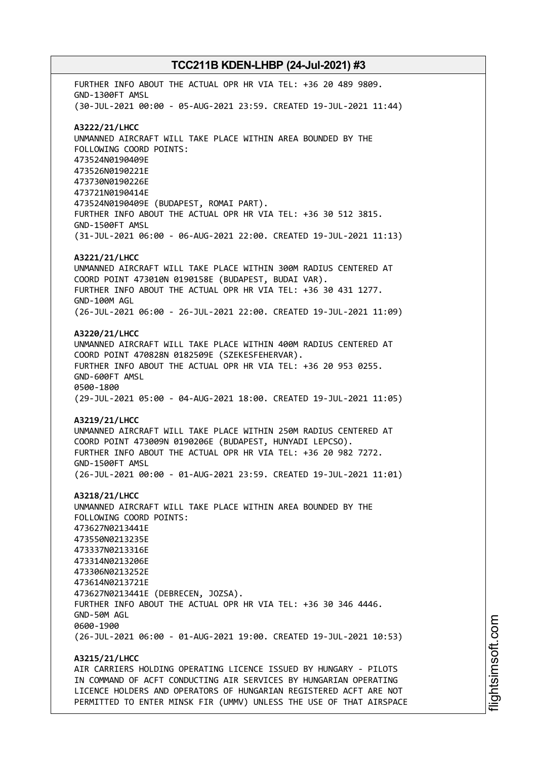FURTHER INFO ABOUT THE ACTUAL OPR HR VIA TEL: +36 20 489 9809. GND-1300FT AMSL (30-JUL-2021 00:00 - 05-AUG-2021 23:59. CREATED 19-JUL-2021 11:44) **A3222/21/LHCC** UNMANNED AIRCRAFT WILL TAKE PLACE WITHIN AREA BOUNDED BY THE FOLLOWING COORD POINTS: 473524N0190409E 473526N0190221E 473730N0190226E 473721N0190414E 473524N0190409E (BUDAPEST, ROMAI PART). FURTHER INFO ABOUT THE ACTUAL OPR HR VIA TEL: +36 30 512 3815. GND-1500FT AMSL (31-JUL-2021 06:00 - 06-AUG-2021 22:00. CREATED 19-JUL-2021 11:13) **A3221/21/LHCC** UNMANNED AIRCRAFT WILL TAKE PLACE WITHIN 300M RADIUS CENTERED AT COORD POINT 473010N 0190158E (BUDAPEST, BUDAI VAR). FURTHER INFO ABOUT THE ACTUAL OPR HR VIA TEL: +36 30 431 1277. GND-100M AGL (26-JUL-2021 06:00 - 26-JUL-2021 22:00. CREATED 19-JUL-2021 11:09) **A3220/21/LHCC** UNMANNED AIRCRAFT WILL TAKE PLACE WITHIN 400M RADIUS CENTERED AT COORD POINT 470828N 0182509E (SZEKESFEHERVAR). FURTHER INFO ABOUT THE ACTUAL OPR HR VIA TEL: +36 20 953 0255. GND-600FT AMSL 0500-1800 (29-JUL-2021 05:00 - 04-AUG-2021 18:00. CREATED 19-JUL-2021 11:05) **A3219/21/LHCC** UNMANNED AIRCRAFT WILL TAKE PLACE WITHIN 250M RADIUS CENTERED AT COORD POINT 473009N 0190206E (BUDAPEST, HUNYADI LEPCSO). FURTHER INFO ABOUT THE ACTUAL OPR HR VIA TEL: +36 20 982 7272. GND-1500FT AMSL (26-JUL-2021 00:00 - 01-AUG-2021 23:59. CREATED 19-JUL-2021 11:01) **A3218/21/LHCC** UNMANNED AIRCRAFT WILL TAKE PLACE WITHIN AREA BOUNDED BY THE FOLLOWING COORD POINTS: 473627N0213441E 473550N0213235E 473337N0213316E 473314N0213206E 473306N0213252E 473614N0213721E 473627N0213441E (DEBRECEN, JOZSA). FURTHER INFO ABOUT THE ACTUAL OPR HR VIA TEL: +36 30 346 4446. GND-50M AGL 0600-1900 (26-JUL-2021 06:00 - 01-AUG-2021 19:00. CREATED 19-JUL-2021 10:53) **A3215/21/LHCC**

AIR CARRIERS HOLDING OPERATING LICENCE ISSUED BY HUNGARY - PILOTS IN COMMAND OF ACFT CONDUCTING AIR SERVICES BY HUNGARIAN OPERATING LICENCE HOLDERS AND OPERATORS OF HUNGARIAN REGISTERED ACFT ARE NOT PERMITTED TO ENTER MINSK FIR (UMMV) UNLESS THE USE OF THAT AIRSPACE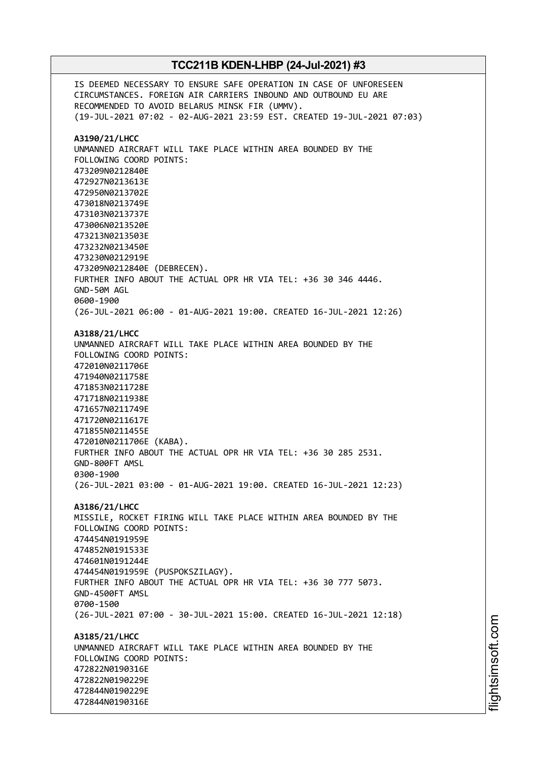IS DEEMED NECESSARY TO ENSURE SAFE OPERATION IN CASE OF UNFORESEEN CIRCUMSTANCES. FOREIGN AIR CARRIERS INBOUND AND OUTBOUND EU ARE RECOMMENDED TO AVOID BELARUS MINSK FIR (UMMV). (19-JUL-2021 07:02 - 02-AUG-2021 23:59 EST. CREATED 19-JUL-2021 07:03) **A3190/21/LHCC** UNMANNED AIRCRAFT WILL TAKE PLACE WITHIN AREA BOUNDED BY THE FOLLOWING COORD POINTS: 473209N0212840E 472927N0213613E 472950N0213702E 473018N0213749E 473103N0213737E 473006N0213520E 473213N0213503E 473232N0213450E 473230N0212919E 473209N0212840E (DEBRECEN). FURTHER INFO ABOUT THE ACTUAL OPR HR VIA TEL: +36 30 346 4446. GND-50M AGL 0600-1900 (26-JUL-2021 06:00 - 01-AUG-2021 19:00. CREATED 16-JUL-2021 12:26) **A3188/21/LHCC** UNMANNED AIRCRAFT WILL TAKE PLACE WITHIN AREA BOUNDED BY THE FOLLOWING COORD POINTS: 472010N0211706E 471940N0211758E 471853N0211728E 471718N0211938E 471657N0211749E 471720N0211617E 471855N0211455E 472010N0211706E (KABA). FURTHER INFO ABOUT THE ACTUAL OPR HR VIA TEL: +36 30 285 2531. GND-800FT AMSL 0300-1900 (26-JUL-2021 03:00 - 01-AUG-2021 19:00. CREATED 16-JUL-2021 12:23) **A3186/21/LHCC** MISSILE, ROCKET FIRING WILL TAKE PLACE WITHIN AREA BOUNDED BY THE FOLLOWING COORD POINTS: 474454N0191959E 474852N0191533E 474601N0191244E 474454N0191959E (PUSPOKSZILAGY). FURTHER INFO ABOUT THE ACTUAL OPR HR VIA TEL: +36 30 777 5073. GND-4500FT AMSL 0700-1500 (26-JUL-2021 07:00 - 30-JUL-2021 15:00. CREATED 16-JUL-2021 12:18) **A3185/21/LHCC** UNMANNED AIRCRAFT WILL TAKE PLACE WITHIN AREA BOUNDED BY THE FOLLOWING COORD POINTS: 472822N0190316E 472822N0190229E 472844N0190229E 472844N0190316E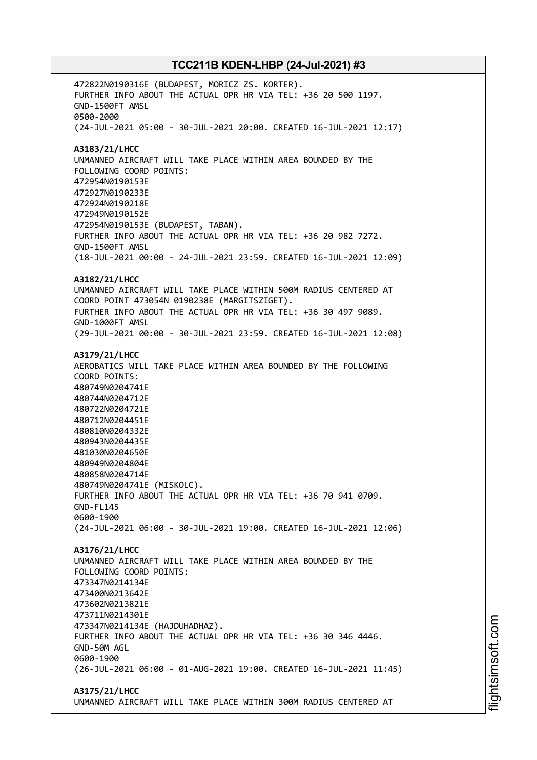472822N0190316E (BUDAPEST, MORICZ ZS. KORTER). FURTHER INFO ABOUT THE ACTUAL OPR HR VIA TEL: +36 20 500 1197. GND-1500FT AMSL 0500-2000 (24-JUL-2021 05:00 - 30-JUL-2021 20:00. CREATED 16-JUL-2021 12:17) **A3183/21/LHCC** UNMANNED AIRCRAFT WILL TAKE PLACE WITHIN AREA BOUNDED BY THE FOLLOWING COORD POINTS: 472954N0190153E 472927N0190233E 472924N0190218E 472949N0190152E 472954N0190153E (BUDAPEST, TABAN). FURTHER INFO ABOUT THE ACTUAL OPR HR VIA TEL: +36 20 982 7272. GND-1500FT AMSL (18-JUL-2021 00:00 - 24-JUL-2021 23:59. CREATED 16-JUL-2021 12:09) **A3182/21/LHCC** UNMANNED AIRCRAFT WILL TAKE PLACE WITHIN 500M RADIUS CENTERED AT COORD POINT 473054N 0190238E (MARGITSZIGET). FURTHER INFO ABOUT THE ACTUAL OPR HR VIA TEL: +36 30 497 9089. GND-1000FT AMSL (29-JUL-2021 00:00 - 30-JUL-2021 23:59. CREATED 16-JUL-2021 12:08) **A3179/21/LHCC** AEROBATICS WILL TAKE PLACE WITHIN AREA BOUNDED BY THE FOLLOWING COORD POINTS: 480749N0204741E 480744N0204712E 480722N0204721E 480712N0204451E 480810N0204332E 480943N0204435E 481030N0204650E 480949N0204804E 480858N0204714E 480749N0204741E (MISKOLC). FURTHER INFO ABOUT THE ACTUAL OPR HR VIA TEL: +36 70 941 0709. GND-FL145 0600-1900 (24-JUL-2021 06:00 - 30-JUL-2021 19:00. CREATED 16-JUL-2021 12:06) **A3176/21/LHCC** UNMANNED AIRCRAFT WILL TAKE PLACE WITHIN AREA BOUNDED BY THE FOLLOWING COORD POINTS: 473347N0214134E 473400N0213642E 473602N0213821E 473711N0214301E 473347N0214134E (HAJDUHADHAZ). FURTHER INFO ABOUT THE ACTUAL OPR HR VIA TEL: +36 30 346 4446. GND-50M AGL 0600-1900 (26-JUL-2021 06:00 - 01-AUG-2021 19:00. CREATED 16-JUL-2021 11:45) **A3175/21/LHCC**

UNMANNED AIRCRAFT WILL TAKE PLACE WITHIN 300M RADIUS CENTERED AT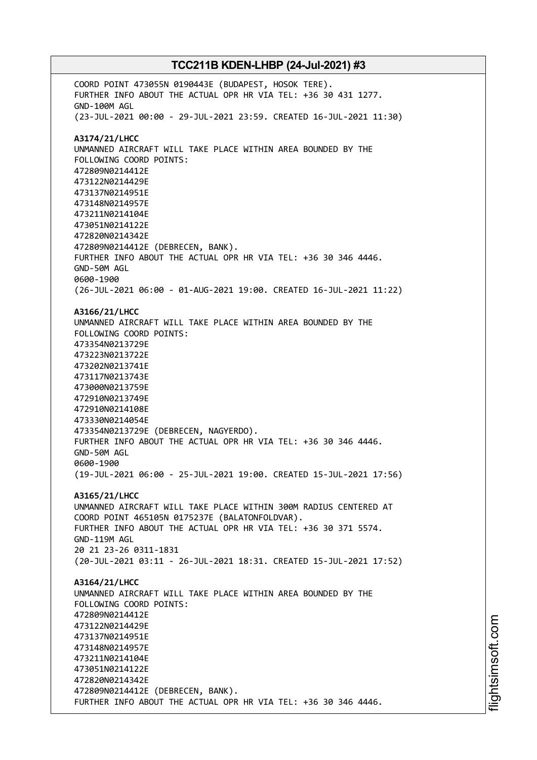COORD POINT 473055N 0190443E (BUDAPEST, HOSOK TERE). FURTHER INFO ABOUT THE ACTUAL OPR HR VIA TEL: +36 30 431 1277. GND-100M AGL (23-JUL-2021 00:00 - 29-JUL-2021 23:59. CREATED 16-JUL-2021 11:30) **A3174/21/LHCC** UNMANNED AIRCRAFT WILL TAKE PLACE WITHIN AREA BOUNDED BY THE FOLLOWING COORD POINTS: 472809N0214412E 473122N0214429E 473137N0214951E 473148N0214957E 473211N0214104E 473051N0214122E 472820N0214342E 472809N0214412E (DEBRECEN, BANK). FURTHER INFO ABOUT THE ACTUAL OPR HR VIA TEL: +36 30 346 4446. GND-50M AGL 0600-1900 (26-JUL-2021 06:00 - 01-AUG-2021 19:00. CREATED 16-JUL-2021 11:22) **A3166/21/LHCC** UNMANNED AIRCRAFT WILL TAKE PLACE WITHIN AREA BOUNDED BY THE FOLLOWING COORD POINTS: 473354N0213729E 473223N0213722E 473202N0213741E 473117N0213743E 473000N0213759E 472910N0213749E 472910N0214108E 473330N0214054E 473354N0213729E (DEBRECEN, NAGYERDO). FURTHER INFO ABOUT THE ACTUAL OPR HR VIA TEL: +36 30 346 4446. GND-50M AGL 0600-1900 (19-JUL-2021 06:00 - 25-JUL-2021 19:00. CREATED 15-JUL-2021 17:56) **A3165/21/LHCC** UNMANNED AIRCRAFT WILL TAKE PLACE WITHIN 300M RADIUS CENTERED AT COORD POINT 465105N 0175237E (BALATONFOLDVAR). FURTHER INFO ABOUT THE ACTUAL OPR HR VIA TEL: +36 30 371 5574. GND-119M AGL 20 21 23-26 0311-1831 (20-JUL-2021 03:11 - 26-JUL-2021 18:31. CREATED 15-JUL-2021 17:52) **A3164/21/LHCC** UNMANNED AIRCRAFT WILL TAKE PLACE WITHIN AREA BOUNDED BY THE FOLLOWING COORD POINTS: 472809N0214412E 473122N0214429E 473137N0214951E 473148N0214957E 473211N0214104E 473051N0214122E 472820N0214342E 472809N0214412E (DEBRECEN, BANK). FURTHER INFO ABOUT THE ACTUAL OPR HR VIA TEL: +36 30 346 4446.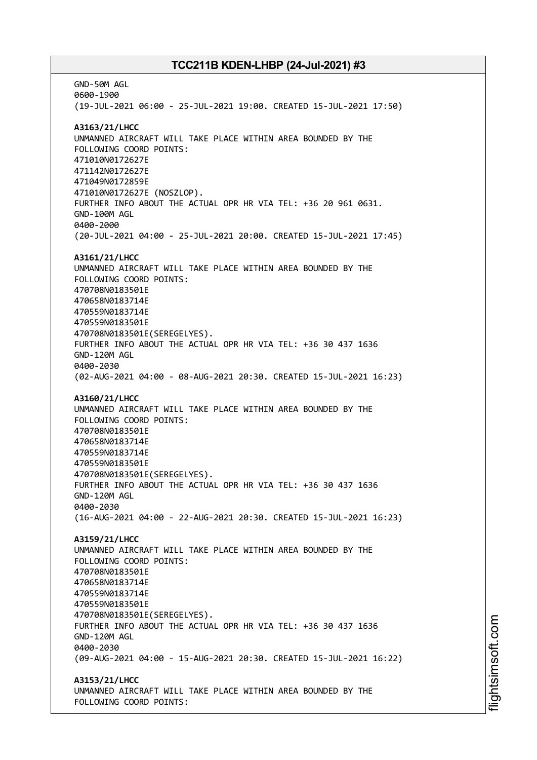GND-50M AGL 0600-1900 (19-JUL-2021 06:00 - 25-JUL-2021 19:00. CREATED 15-JUL-2021 17:50) **A3163/21/LHCC** UNMANNED AIRCRAFT WILL TAKE PLACE WITHIN AREA BOUNDED BY THE FOLLOWING COORD POINTS: 471010N0172627E 471142N0172627E 471049N0172859E 471010N0172627E (NOSZLOP). FURTHER INFO ABOUT THE ACTUAL OPR HR VIA TEL: +36 20 961 0631. GND-100M AGL 0400-2000 (20-JUL-2021 04:00 - 25-JUL-2021 20:00. CREATED 15-JUL-2021 17:45) **A3161/21/LHCC** UNMANNED AIRCRAFT WILL TAKE PLACE WITHIN AREA BOUNDED BY THE FOLLOWING COORD POINTS: 470708N0183501E 470658N0183714E 470559N0183714E 470559N0183501E 470708N0183501E(SEREGELYES). FURTHER INFO ABOUT THE ACTUAL OPR HR VIA TEL: +36 30 437 1636 GND-120M AGL 0400-2030 (02-AUG-2021 04:00 - 08-AUG-2021 20:30. CREATED 15-JUL-2021 16:23) **A3160/21/LHCC** UNMANNED AIRCRAFT WILL TAKE PLACE WITHIN AREA BOUNDED BY THE FOLLOWING COORD POINTS: 470708N0183501E 470658N0183714E 470559N0183714E 470559N0183501E 470708N0183501E(SEREGELYES). FURTHER INFO ABOUT THE ACTUAL OPR HR VIA TEL: +36 30 437 1636 GND-120M AGL 0400-2030 (16-AUG-2021 04:00 - 22-AUG-2021 20:30. CREATED 15-JUL-2021 16:23) **A3159/21/LHCC** UNMANNED AIRCRAFT WILL TAKE PLACE WITHIN AREA BOUNDED BY THE FOLLOWING COORD POINTS: 470708N0183501E 470658N0183714E 470559N0183714E 470559N0183501E 470708N0183501E(SEREGELYES). FURTHER INFO ABOUT THE ACTUAL OPR HR VIA TEL: +36 30 437 1636 GND-120M AGL 0400-2030 (09-AUG-2021 04:00 - 15-AUG-2021 20:30. CREATED 15-JUL-2021 16:22) **A3153/21/LHCC** UNMANNED AIRCRAFT WILL TAKE PLACE WITHIN AREA BOUNDED BY THE FOLLOWING COORD POINTS: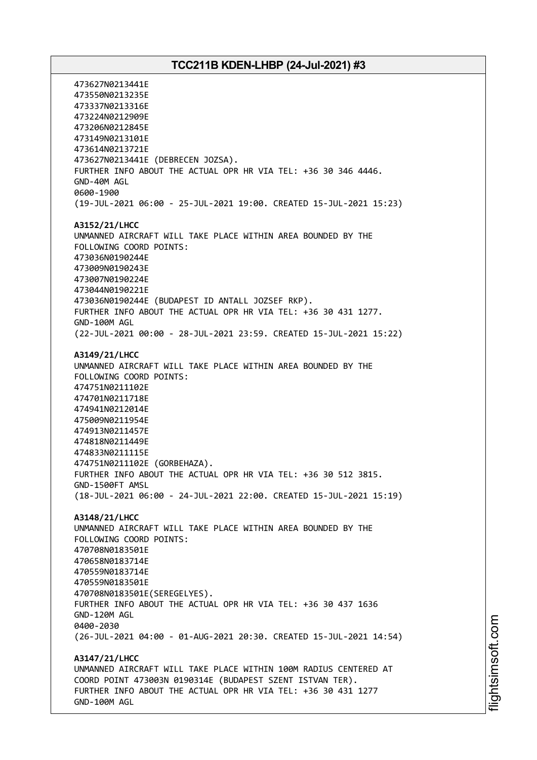473627N0213441E 473550N0213235E 473337N0213316E 473224N0212909E 473206N0212845E 473149N0213101E 473614N0213721E 473627N0213441E (DEBRECEN JOZSA). FURTHER INFO ABOUT THE ACTUAL OPR HR VIA TEL: +36 30 346 4446. GND-40M AGL 0600-1900 (19-JUL-2021 06:00 - 25-JUL-2021 19:00. CREATED 15-JUL-2021 15:23) **A3152/21/LHCC** UNMANNED AIRCRAFT WILL TAKE PLACE WITHIN AREA BOUNDED BY THE FOLLOWING COORD POINTS: 473036N0190244E 473009N0190243E 473007N0190224E 473044N0190221E 473036N0190244E (BUDAPEST ID ANTALL JOZSEF RKP). FURTHER INFO ABOUT THE ACTUAL OPR HR VIA TEL: +36 30 431 1277. GND-100M AGL (22-JUL-2021 00:00 - 28-JUL-2021 23:59. CREATED 15-JUL-2021 15:22) **A3149/21/LHCC** UNMANNED AIRCRAFT WILL TAKE PLACE WITHIN AREA BOUNDED BY THE FOLLOWING COORD POINTS: 474751N0211102E 474701N0211718E 474941N0212014E 475009N0211954E 474913N0211457E 474818N0211449E 474833N0211115E 474751N0211102E (GORBEHAZA). FURTHER INFO ABOUT THE ACTUAL OPR HR VIA TEL: +36 30 512 3815. GND-1500FT AMSL (18-JUL-2021 06:00 - 24-JUL-2021 22:00. CREATED 15-JUL-2021 15:19) **A3148/21/LHCC** UNMANNED AIRCRAFT WILL TAKE PLACE WITHIN AREA BOUNDED BY THE FOLLOWING COORD POINTS: 470708N0183501E 470658N0183714E 470559N0183714E 470559N0183501E 470708N0183501E(SEREGELYES). FURTHER INFO ABOUT THE ACTUAL OPR HR VIA TEL: +36 30 437 1636 GND-120M AGL 0400-2030 (26-JUL-2021 04:00 - 01-AUG-2021 20:30. CREATED 15-JUL-2021 14:54) **A3147/21/LHCC** UNMANNED AIRCRAFT WILL TAKE PLACE WITHIN 100M RADIUS CENTERED AT COORD POINT 473003N 0190314E (BUDAPEST SZENT ISTVAN TER). FURTHER INFO ABOUT THE ACTUAL OPR HR VIA TEL: +36 30 431 1277 GND-100M AGL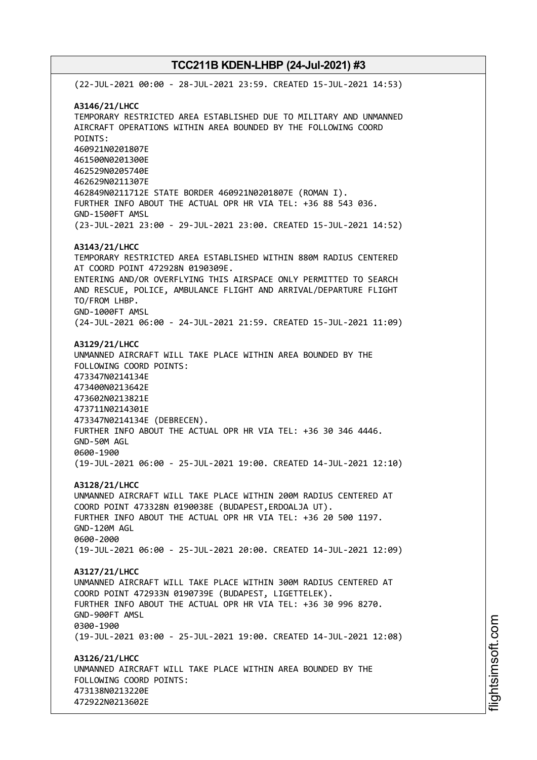(22-JUL-2021 00:00 - 28-JUL-2021 23:59. CREATED 15-JUL-2021 14:53) **A3146/21/LHCC** TEMPORARY RESTRICTED AREA ESTABLISHED DUE TO MILITARY AND UNMANNED AIRCRAFT OPERATIONS WITHIN AREA BOUNDED BY THE FOLLOWING COORD POINTS: 460921N0201807E 461500N0201300E 462529N0205740E 462629N0211307E 462849N0211712E STATE BORDER 460921N0201807E (ROMAN I). FURTHER INFO ABOUT THE ACTUAL OPR HR VIA TEL: +36 88 543 036. GND-1500FT AMSL (23-JUL-2021 23:00 - 29-JUL-2021 23:00. CREATED 15-JUL-2021 14:52) **A3143/21/LHCC** TEMPORARY RESTRICTED AREA ESTABLISHED WITHIN 880M RADIUS CENTERED AT COORD POINT 472928N 0190309E. ENTERING AND/OR OVERFLYING THIS AIRSPACE ONLY PERMITTED TO SEARCH AND RESCUE, POLICE, AMBULANCE FLIGHT AND ARRIVAL/DEPARTURE FLIGHT TO/FROM LHBP. GND-1000FT AMSL (24-JUL-2021 06:00 - 24-JUL-2021 21:59. CREATED 15-JUL-2021 11:09) **A3129/21/LHCC** UNMANNED AIRCRAFT WILL TAKE PLACE WITHIN AREA BOUNDED BY THE FOLLOWING COORD POINTS: 473347N0214134E 473400N0213642E 473602N0213821E 473711N0214301E 473347N0214134E (DEBRECEN). FURTHER INFO ABOUT THE ACTUAL OPR HR VIA TEL: +36 30 346 4446. GND-50M AGL 0600-1900 (19-JUL-2021 06:00 - 25-JUL-2021 19:00. CREATED 14-JUL-2021 12:10) **A3128/21/LHCC** UNMANNED AIRCRAFT WILL TAKE PLACE WITHIN 200M RADIUS CENTERED AT COORD POINT 473328N 0190038E (BUDAPEST,ERDOALJA UT). FURTHER INFO ABOUT THE ACTUAL OPR HR VIA TEL: +36 20 500 1197. GND-120M AGL 0600-2000 (19-JUL-2021 06:00 - 25-JUL-2021 20:00. CREATED 14-JUL-2021 12:09) **A3127/21/LHCC** UNMANNED AIRCRAFT WILL TAKE PLACE WITHIN 300M RADIUS CENTERED AT COORD POINT 472933N 0190739E (BUDAPEST, LIGETTELEK). FURTHER INFO ABOUT THE ACTUAL OPR HR VIA TEL: +36 30 996 8270. GND-900FT AMSL 0300-1900 (19-JUL-2021 03:00 - 25-JUL-2021 19:00. CREATED 14-JUL-2021 12:08) **A3126/21/LHCC** UNMANNED AIRCRAFT WILL TAKE PLACE WITHIN AREA BOUNDED BY THE FOLLOWING COORD POINTS: 473138N0213220E 472922N0213602E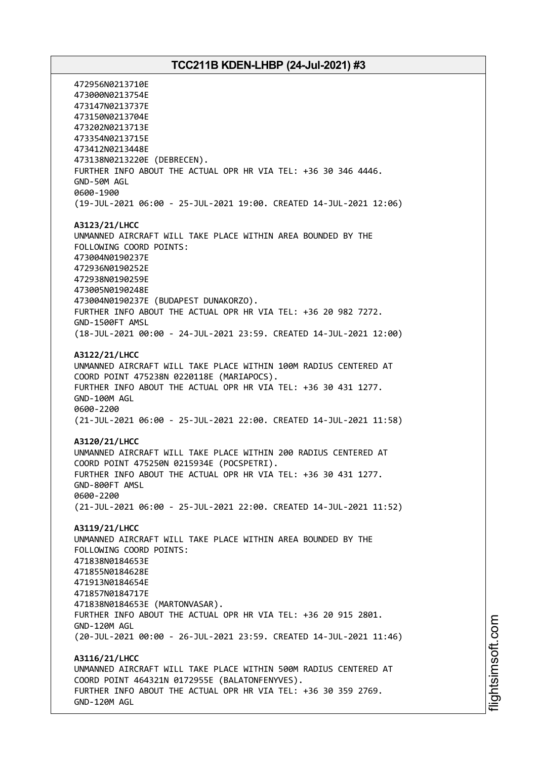472956N0213710E 473000N0213754E 473147N0213737E 473150N0213704E 473202N0213713E 473354N0213715E 473412N0213448E 473138N0213220E (DEBRECEN). FURTHER INFO ABOUT THE ACTUAL OPR HR VIA TEL: +36 30 346 4446. GND-50M AGL 0600-1900 (19-JUL-2021 06:00 - 25-JUL-2021 19:00. CREATED 14-JUL-2021 12:06) **A3123/21/LHCC** UNMANNED AIRCRAFT WILL TAKE PLACE WITHIN AREA BOUNDED BY THE FOLLOWING COORD POINTS: 473004N0190237E 472936N0190252E 472938N0190259E 473005N0190248E 473004N0190237E (BUDAPEST DUNAKORZO). FURTHER INFO ABOUT THE ACTUAL OPR HR VIA TEL: +36 20 982 7272. GND-1500FT AMSL (18-JUL-2021 00:00 - 24-JUL-2021 23:59. CREATED 14-JUL-2021 12:00) **A3122/21/LHCC** UNMANNED AIRCRAFT WILL TAKE PLACE WITHIN 100M RADIUS CENTERED AT COORD POINT 475238N 0220118E (MARIAPOCS). FURTHER INFO ABOUT THE ACTUAL OPR HR VIA TEL: +36 30 431 1277. GND-100M AGL 0600-2200 (21-JUL-2021 06:00 - 25-JUL-2021 22:00. CREATED 14-JUL-2021 11:58) **A3120/21/LHCC** UNMANNED AIRCRAFT WILL TAKE PLACE WITHIN 200 RADIUS CENTERED AT COORD POINT 475250N 0215934E (POCSPETRI). FURTHER INFO ABOUT THE ACTUAL OPR HR VIA TEL: +36 30 431 1277. GND-800FT AMSL 0600-2200 (21-JUL-2021 06:00 - 25-JUL-2021 22:00. CREATED 14-JUL-2021 11:52) **A3119/21/LHCC** UNMANNED AIRCRAFT WILL TAKE PLACE WITHIN AREA BOUNDED BY THE FOLLOWING COORD POINTS: 471838N0184653E 471855N0184628E 471913N0184654E 471857N0184717E 471838N0184653E (MARTONVASAR). FURTHER INFO ABOUT THE ACTUAL OPR HR VIA TEL: +36 20 915 2801. GND-120M AGL (20-JUL-2021 00:00 - 26-JUL-2021 23:59. CREATED 14-JUL-2021 11:46) **A3116/21/LHCC** UNMANNED AIRCRAFT WILL TAKE PLACE WITHIN 500M RADIUS CENTERED AT COORD POINT 464321N 0172955E (BALATONFENYVES). FURTHER INFO ABOUT THE ACTUAL OPR HR VIA TEL: +36 30 359 2769. GND-120M AGL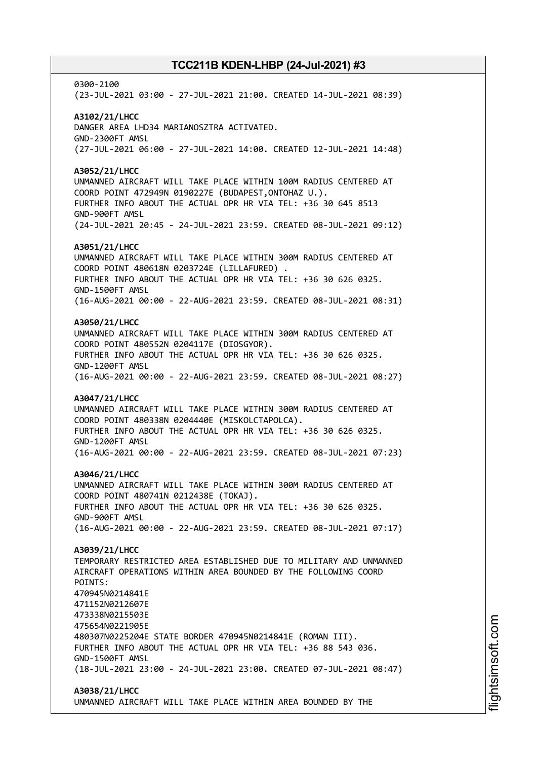0300-2100 (23-JUL-2021 03:00 - 27-JUL-2021 21:00. CREATED 14-JUL-2021 08:39) **A3102/21/LHCC** DANGER AREA LHD34 MARIANOSZTRA ACTIVATED. GND-2300FT AMSL (27-JUL-2021 06:00 - 27-JUL-2021 14:00. CREATED 12-JUL-2021 14:48) **A3052/21/LHCC** UNMANNED AIRCRAFT WILL TAKE PLACE WITHIN 100M RADIUS CENTERED AT COORD POINT 472949N 0190227E (BUDAPEST,ONTOHAZ U.). FURTHER INFO ABOUT THE ACTUAL OPR HR VIA TEL: +36 30 645 8513 GND-900FT AMSL (24-JUL-2021 20:45 - 24-JUL-2021 23:59. CREATED 08-JUL-2021 09:12) **A3051/21/LHCC** UNMANNED AIRCRAFT WILL TAKE PLACE WITHIN 300M RADIUS CENTERED AT COORD POINT 480618N 0203724E (LILLAFURED) . FURTHER INFO ABOUT THE ACTUAL OPR HR VIA TEL: +36 30 626 0325. GND-1500FT AMSL (16-AUG-2021 00:00 - 22-AUG-2021 23:59. CREATED 08-JUL-2021 08:31) **A3050/21/LHCC** UNMANNED AIRCRAFT WILL TAKE PLACE WITHIN 300M RADIUS CENTERED AT COORD POINT 480552N 0204117E (DIOSGYOR). FURTHER INFO ABOUT THE ACTUAL OPR HR VIA TEL: +36 30 626 0325. GND-1200FT AMSL (16-AUG-2021 00:00 - 22-AUG-2021 23:59. CREATED 08-JUL-2021 08:27) **A3047/21/LHCC** UNMANNED AIRCRAFT WILL TAKE PLACE WITHIN 300M RADIUS CENTERED AT COORD POINT 480338N 0204440E (MISKOLCTAPOLCA). FURTHER INFO ABOUT THE ACTUAL OPR HR VIA TEL: +36 30 626 0325. GND-1200FT AMSL (16-AUG-2021 00:00 - 22-AUG-2021 23:59. CREATED 08-JUL-2021 07:23) **A3046/21/LHCC** UNMANNED AIRCRAFT WILL TAKE PLACE WITHIN 300M RADIUS CENTERED AT COORD POINT 480741N 0212438E (TOKAJ). FURTHER INFO ABOUT THE ACTUAL OPR HR VIA TEL: +36 30 626 0325. GND-900FT AMSL (16-AUG-2021 00:00 - 22-AUG-2021 23:59. CREATED 08-JUL-2021 07:17) **A3039/21/LHCC** TEMPORARY RESTRICTED AREA ESTABLISHED DUE TO MILITARY AND UNMANNED AIRCRAFT OPERATIONS WITHIN AREA BOUNDED BY THE FOLLOWING COORD POINTS: 470945N0214841E 471152N0212607E 473338N0215503E 475654N0221905E 480307N0225204E STATE BORDER 470945N0214841E (ROMAN III). FURTHER INFO ABOUT THE ACTUAL OPR HR VIA TEL: +36 88 543 036. GND-1500FT AMSL (18-JUL-2021 23:00 - 24-JUL-2021 23:00. CREATED 07-JUL-2021 08:47) **A3038/21/LHCC**

UNMANNED AIRCRAFT WILL TAKE PLACE WITHIN AREA BOUNDED BY THE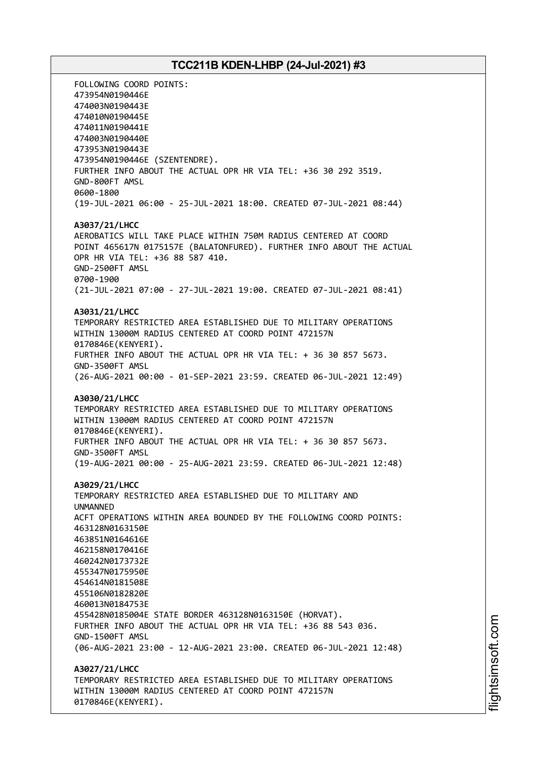FOLLOWING COORD POINTS: 473954N0190446E 474003N0190443E 474010N0190445E 474011N0190441E 474003N0190440E 473953N0190443E 473954N0190446E (SZENTENDRE). FURTHER INFO ABOUT THE ACTUAL OPR HR VIA TEL: +36 30 292 3519. GND-800FT AMSL 0600-1800 (19-JUL-2021 06:00 - 25-JUL-2021 18:00. CREATED 07-JUL-2021 08:44) **A3037/21/LHCC** AEROBATICS WILL TAKE PLACE WITHIN 750M RADIUS CENTERED AT COORD POINT 465617N 0175157E (BALATONFURED). FURTHER INFO ABOUT THE ACTUAL OPR HR VIA TEL: +36 88 587 410. GND-2500FT AMSL 0700-1900 (21-JUL-2021 07:00 - 27-JUL-2021 19:00. CREATED 07-JUL-2021 08:41) **A3031/21/LHCC** TEMPORARY RESTRICTED AREA ESTABLISHED DUE TO MILITARY OPERATIONS WITHIN 13000M RADIUS CENTERED AT COORD POINT 472157N 0170846E(KENYERI). FURTHER INFO ABOUT THE ACTUAL OPR HR VIA TEL: + 36 30 857 5673. GND-3500FT AMSL (26-AUG-2021 00:00 - 01-SEP-2021 23:59. CREATED 06-JUL-2021 12:49) **A3030/21/LHCC** TEMPORARY RESTRICTED AREA ESTABLISHED DUE TO MILITARY OPERATIONS WITHIN 13000M RADIUS CENTERED AT COORD POINT 472157N 0170846E(KENYERI). FURTHER INFO ABOUT THE ACTUAL OPR HR VIA TEL: + 36 30 857 5673. GND-3500FT AMSL (19-AUG-2021 00:00 - 25-AUG-2021 23:59. CREATED 06-JUL-2021 12:48) **A3029/21/LHCC** TEMPORARY RESTRICTED AREA ESTABLISHED DUE TO MILITARY AND UNMANNED ACFT OPERATIONS WITHIN AREA BOUNDED BY THE FOLLOWING COORD POINTS: 463128N0163150E 463851N0164616E 462158N0170416E 460242N0173732E 455347N0175950E 454614N0181508E 455106N0182820E 460013N0184753E 455428N0185004E STATE BORDER 463128N0163150E (HORVAT). FURTHER INFO ABOUT THE ACTUAL OPR HR VIA TEL: +36 88 543 036. GND-1500FT AMSL (06-AUG-2021 23:00 - 12-AUG-2021 23:00. CREATED 06-JUL-2021 12:48) **A3027/21/LHCC** TEMPORARY RESTRICTED AREA ESTABLISHED DUE TO MILITARY OPERATIONS WITHIN 13000M RADIUS CENTERED AT COORD POINT 472157N 0170846E(KENYERI).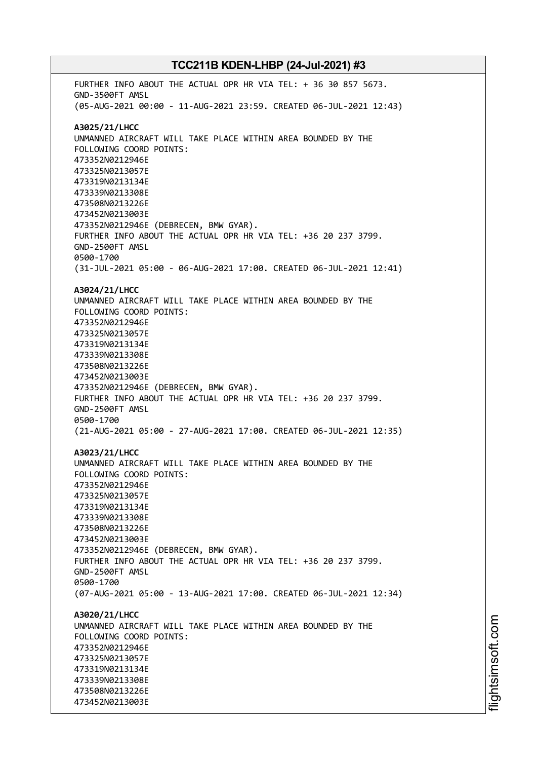FURTHER INFO ABOUT THE ACTUAL OPR HR VIA TEL: + 36 30 857 5673. GND-3500FT AMSL (05-AUG-2021 00:00 - 11-AUG-2021 23:59. CREATED 06-JUL-2021 12:43) **A3025/21/LHCC** UNMANNED AIRCRAFT WILL TAKE PLACE WITHIN AREA BOUNDED BY THE FOLLOWING COORD POINTS: 473352N0212946E 473325N0213057E 473319N0213134E 473339N0213308E 473508N0213226E 473452N0213003E 473352N0212946E (DEBRECEN, BMW GYAR). FURTHER INFO ABOUT THE ACTUAL OPR HR VIA TEL: +36 20 237 3799. GND-2500FT AMSL 0500-1700 (31-JUL-2021 05:00 - 06-AUG-2021 17:00. CREATED 06-JUL-2021 12:41) **A3024/21/LHCC** UNMANNED AIRCRAFT WILL TAKE PLACE WITHIN AREA BOUNDED BY THE FOLLOWING COORD POINTS: 473352N0212946E 473325N0213057E 473319N0213134E 473339N0213308E 473508N0213226E 473452N0213003E 473352N0212946E (DEBRECEN, BMW GYAR). FURTHER INFO ABOUT THE ACTUAL OPR HR VIA TEL: +36 20 237 3799. GND-2500FT AMSL 0500-1700 (21-AUG-2021 05:00 - 27-AUG-2021 17:00. CREATED 06-JUL-2021 12:35) **A3023/21/LHCC** UNMANNED AIRCRAFT WILL TAKE PLACE WITHIN AREA BOUNDED BY THE FOLLOWING COORD POINTS: 473352N0212946E 473325N0213057E 473319N0213134E 473339N0213308E 473508N0213226E 473452N0213003E 473352N0212946E (DEBRECEN, BMW GYAR). FURTHER INFO ABOUT THE ACTUAL OPR HR VIA TEL: +36 20 237 3799. GND-2500FT AMSL 0500-1700 (07-AUG-2021 05:00 - 13-AUG-2021 17:00. CREATED 06-JUL-2021 12:34) **A3020/21/LHCC** UNMANNED AIRCRAFT WILL TAKE PLACE WITHIN AREA BOUNDED BY THE FOLLOWING COORD POINTS: 473352N0212946E 473325N0213057E 473319N0213134E 473339N0213308E 473508N0213226E 473452N0213003E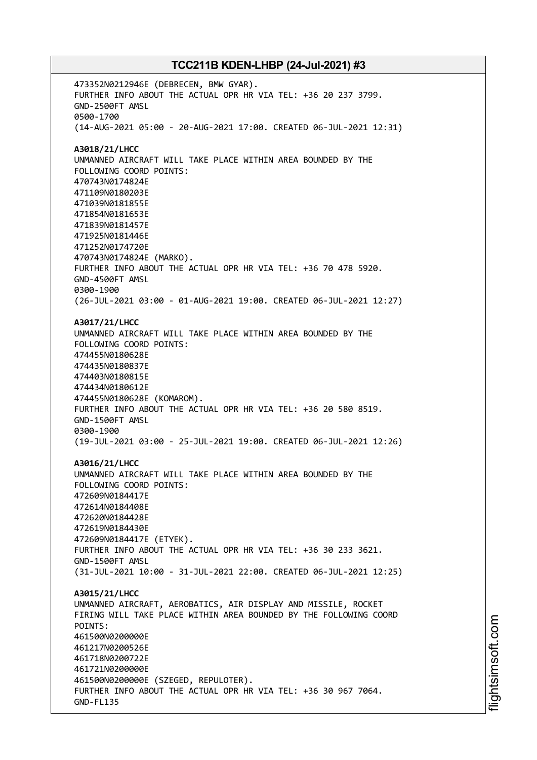473352N0212946E (DEBRECEN, BMW GYAR). FURTHER INFO ABOUT THE ACTUAL OPR HR VIA TEL: +36 20 237 3799. GND-2500FT AMSL 0500-1700 (14-AUG-2021 05:00 - 20-AUG-2021 17:00. CREATED 06-JUL-2021 12:31) **A3018/21/LHCC** UNMANNED AIRCRAFT WILL TAKE PLACE WITHIN AREA BOUNDED BY THE FOLLOWING COORD POINTS: 470743N0174824E 471109N0180203E 471039N0181855E 471854N0181653E 471839N0181457E 471925N0181446E 471252N0174720E 470743N0174824E (MARKO). FURTHER INFO ABOUT THE ACTUAL OPR HR VIA TEL: +36 70 478 5920. GND-4500FT AMSL 0300-1900 (26-JUL-2021 03:00 - 01-AUG-2021 19:00. CREATED 06-JUL-2021 12:27) **A3017/21/LHCC** UNMANNED AIRCRAFT WILL TAKE PLACE WITHIN AREA BOUNDED BY THE FOLLOWING COORD POINTS: 474455N0180628E 474435N0180837E 474403N0180815E 474434N0180612E 474455N0180628E (KOMAROM). FURTHER INFO ABOUT THE ACTUAL OPR HR VIA TEL: +36 20 580 8519. GND-1500FT AMSL 0300-1900 (19-JUL-2021 03:00 - 25-JUL-2021 19:00. CREATED 06-JUL-2021 12:26) **A3016/21/LHCC** UNMANNED AIRCRAFT WILL TAKE PLACE WITHIN AREA BOUNDED BY THE FOLLOWING COORD POINTS: 472609N0184417E 472614N0184408E 472620N0184428E 472619N0184430E 472609N0184417E (ETYEK). FURTHER INFO ABOUT THE ACTUAL OPR HR VIA TEL: +36 30 233 3621. GND-1500FT AMSL (31-JUL-2021 10:00 - 31-JUL-2021 22:00. CREATED 06-JUL-2021 12:25) **A3015/21/LHCC** UNMANNED AIRCRAFT, AEROBATICS, AIR DISPLAY AND MISSILE, ROCKET FIRING WILL TAKE PLACE WITHIN AREA BOUNDED BY THE FOLLOWING COORD POINTS: 461500N0200000E 461217N0200526E 461718N0200722E 461721N0200000E 461500N0200000E (SZEGED, REPULOTER). FURTHER INFO ABOUT THE ACTUAL OPR HR VIA TEL: +36 30 967 7064. GND-FL135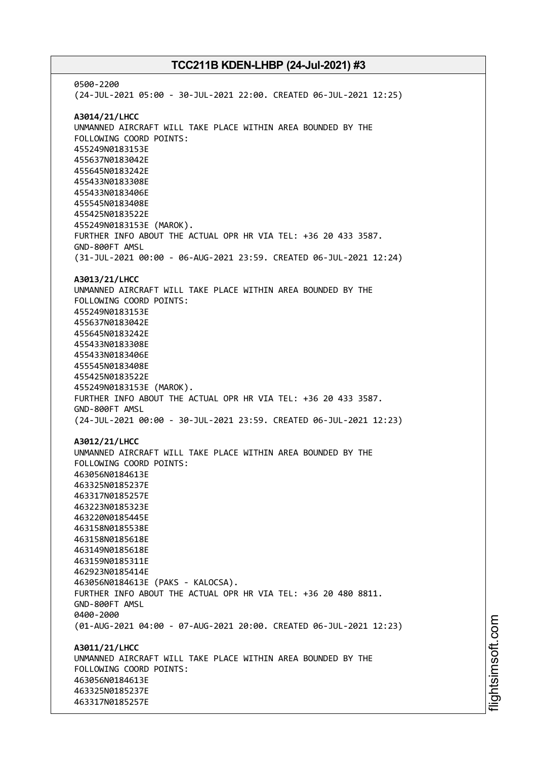0500-2200 (24-JUL-2021 05:00 - 30-JUL-2021 22:00. CREATED 06-JUL-2021 12:25) **A3014/21/LHCC** UNMANNED AIRCRAFT WILL TAKE PLACE WITHIN AREA BOUNDED BY THE FOLLOWING COORD POINTS: 455249N0183153E 455637N0183042E 455645N0183242E 455433N0183308E 455433N0183406E 455545N0183408E 455425N0183522E 455249N0183153E (MAROK). FURTHER INFO ABOUT THE ACTUAL OPR HR VIA TEL: +36 20 433 3587. GND-800FT AMSL (31-JUL-2021 00:00 - 06-AUG-2021 23:59. CREATED 06-JUL-2021 12:24) **A3013/21/LHCC** UNMANNED AIRCRAFT WILL TAKE PLACE WITHIN AREA BOUNDED BY THE FOLLOWING COORD POINTS: 455249N0183153E 455637N0183042E 455645N0183242E 455433N0183308E 455433N0183406E 455545N0183408E 455425N0183522E 455249N0183153E (MAROK). FURTHER INFO ABOUT THE ACTUAL OPR HR VIA TEL: +36 20 433 3587. GND-800FT AMSL (24-JUL-2021 00:00 - 30-JUL-2021 23:59. CREATED 06-JUL-2021 12:23) **A3012/21/LHCC** UNMANNED AIRCRAFT WILL TAKE PLACE WITHIN AREA BOUNDED BY THE FOLLOWING COORD POINTS: 463056N0184613E 463325N0185237E 463317N0185257E 463223N0185323E 463220N0185445E 463158N0185538E 463158N0185618E 463149N0185618E 463159N0185311E 462923N0185414E 463056N0184613E (PAKS - KALOCSA). FURTHER INFO ABOUT THE ACTUAL OPR HR VIA TEL: +36 20 480 8811. GND-800FT AMSL 0400-2000 (01-AUG-2021 04:00 - 07-AUG-2021 20:00. CREATED 06-JUL-2021 12:23) **A3011/21/LHCC** UNMANNED AIRCRAFT WILL TAKE PLACE WITHIN AREA BOUNDED BY THE FOLLOWING COORD POINTS: 463056N0184613E 463325N0185237E 463317N0185257E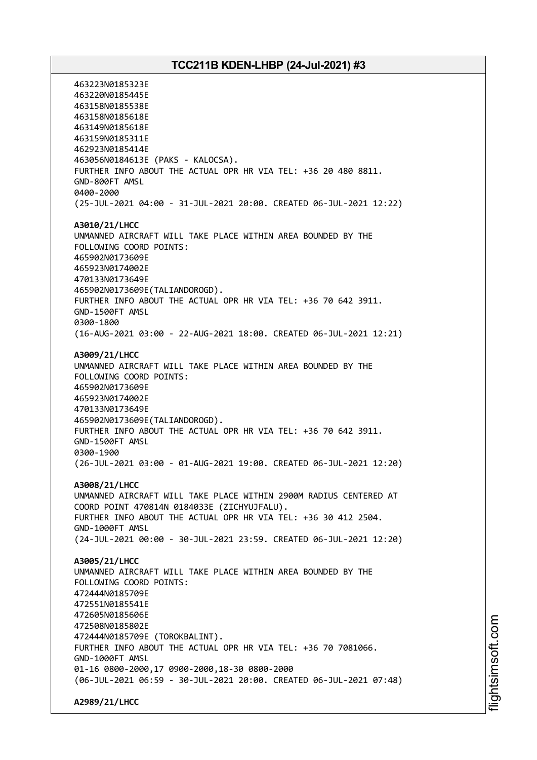463223N0185323E 463220N0185445E 463158N0185538E 463158N0185618E 463149N0185618E 463159N0185311E 462923N0185414E 463056N0184613E (PAKS - KALOCSA). FURTHER INFO ABOUT THE ACTUAL OPR HR VIA TEL: +36 20 480 8811. GND-800FT AMSL 0400-2000 (25-JUL-2021 04:00 - 31-JUL-2021 20:00. CREATED 06-JUL-2021 12:22) **A3010/21/LHCC** UNMANNED AIRCRAFT WILL TAKE PLACE WITHIN AREA BOUNDED BY THE FOLLOWING COORD POINTS: 465902N0173609E 465923N0174002E 470133N0173649E 465902N0173609E(TALIANDOROGD). FURTHER INFO ABOUT THE ACTUAL OPR HR VIA TEL: +36 70 642 3911. GND-1500FT AMSL 0300-1800 (16-AUG-2021 03:00 - 22-AUG-2021 18:00. CREATED 06-JUL-2021 12:21) **A3009/21/LHCC** UNMANNED AIRCRAFT WILL TAKE PLACE WITHIN AREA BOUNDED BY THE FOLLOWING COORD POINTS: 465902N0173609E 465923N0174002E 470133N0173649E 465902N0173609E(TALIANDOROGD). FURTHER INFO ABOUT THE ACTUAL OPR HR VIA TEL: +36 70 642 3911. GND-1500FT AMSL 0300-1900 (26-JUL-2021 03:00 - 01-AUG-2021 19:00. CREATED 06-JUL-2021 12:20) **A3008/21/LHCC** UNMANNED AIRCRAFT WILL TAKE PLACE WITHIN 2900M RADIUS CENTERED AT COORD POINT 470814N 0184033E (ZICHYUJFALU). FURTHER INFO ABOUT THE ACTUAL OPR HR VIA TEL: +36 30 412 2504. GND-1000FT AMSL (24-JUL-2021 00:00 - 30-JUL-2021 23:59. CREATED 06-JUL-2021 12:20) **A3005/21/LHCC** UNMANNED AIRCRAFT WILL TAKE PLACE WITHIN AREA BOUNDED BY THE FOLLOWING COORD POINTS: 472444N0185709E 472551N0185541E 472605N0185606E 472508N0185802E 472444N0185709E (TOROKBALINT). FURTHER INFO ABOUT THE ACTUAL OPR HR VIA TEL: +36 70 7081066. GND-1000FT AMSL 01-16 0800-2000,17 0900-2000,18-30 0800-2000 (06-JUL-2021 06:59 - 30-JUL-2021 20:00. CREATED 06-JUL-2021 07:48) **A2989/21/LHCC**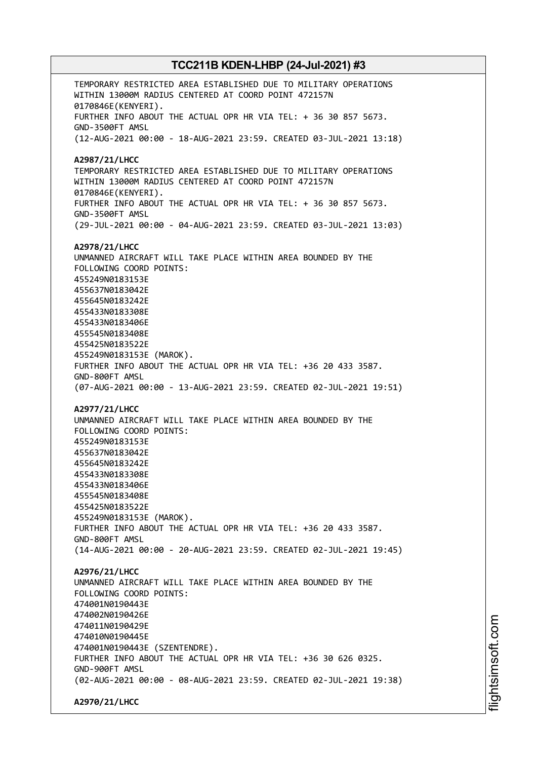TEMPORARY RESTRICTED AREA ESTABLISHED DUE TO MILITARY OPERATIONS WITHIN 13000M RADIUS CENTERED AT COORD POINT 472157N 0170846E(KENYERI). FURTHER INFO ABOUT THE ACTUAL OPR HR VIA TEL: + 36 30 857 5673. GND-3500FT AMSL (12-AUG-2021 00:00 - 18-AUG-2021 23:59. CREATED 03-JUL-2021 13:18) **A2987/21/LHCC** TEMPORARY RESTRICTED AREA ESTABLISHED DUE TO MILITARY OPERATIONS WITHIN 13000M RADIUS CENTERED AT COORD POINT 472157N 0170846E(KENYERI). FURTHER INFO ABOUT THE ACTUAL OPR HR VIA TEL: + 36 30 857 5673. GND-3500FT AMSL (29-JUL-2021 00:00 - 04-AUG-2021 23:59. CREATED 03-JUL-2021 13:03) **A2978/21/LHCC** UNMANNED AIRCRAFT WILL TAKE PLACE WITHIN AREA BOUNDED BY THE FOLLOWING COORD POINTS: 455249N0183153E 455637N0183042E 455645N0183242E 455433N0183308E 455433N0183406E 455545N0183408E 455425N0183522E 455249N0183153E (MAROK). FURTHER INFO ABOUT THE ACTUAL OPR HR VIA TEL: +36 20 433 3587. GND-800FT AMSL (07-AUG-2021 00:00 - 13-AUG-2021 23:59. CREATED 02-JUL-2021 19:51) **A2977/21/LHCC** UNMANNED AIRCRAFT WILL TAKE PLACE WITHIN AREA BOUNDED BY THE FOLLOWING COORD POINTS: 455249N0183153E 455637N0183042E 455645N0183242E 455433N0183308E 455433N0183406E 455545N0183408E 455425N0183522E 455249N0183153E (MAROK). FURTHER INFO ABOUT THE ACTUAL OPR HR VIA TEL: +36 20 433 3587. GND-800FT AMSL (14-AUG-2021 00:00 - 20-AUG-2021 23:59. CREATED 02-JUL-2021 19:45) **A2976/21/LHCC** UNMANNED AIRCRAFT WILL TAKE PLACE WITHIN AREA BOUNDED BY THE FOLLOWING COORD POINTS: 474001N0190443E 474002N0190426E 474011N0190429E 474010N0190445E 474001N0190443E (SZENTENDRE). FURTHER INFO ABOUT THE ACTUAL OPR HR VIA TEL: +36 30 626 0325. GND-900FT AMSL (02-AUG-2021 00:00 - 08-AUG-2021 23:59. CREATED 02-JUL-2021 19:38) **A2970/21/LHCC**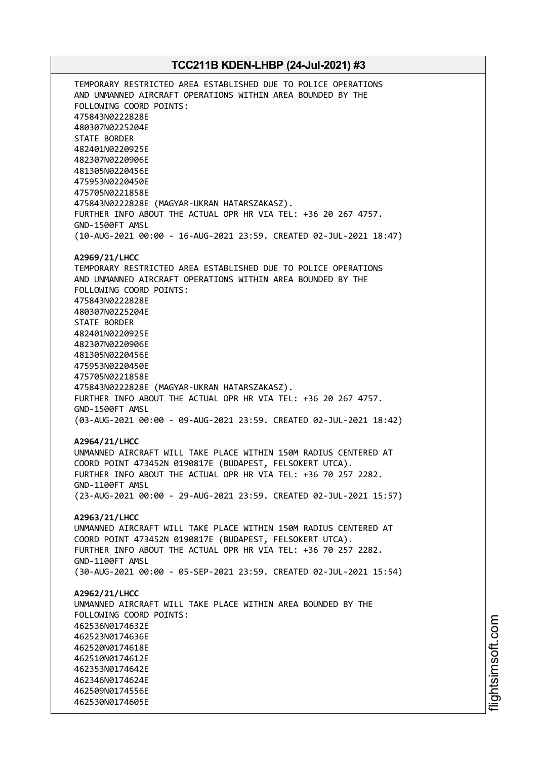TEMPORARY RESTRICTED AREA ESTABLISHED DUE TO POLICE OPERATIONS AND UNMANNED AIRCRAFT OPERATIONS WITHIN AREA BOUNDED BY THE FOLLOWING COORD POINTS: 475843N0222828E 480307N0225204E STATE BORDER 482401N0220925E 482307N0220906E 481305N0220456E 475953N0220450E 475705N0221858E 475843N0222828E (MAGYAR-UKRAN HATARSZAKASZ). FURTHER INFO ABOUT THE ACTUAL OPR HR VIA TEL: +36 20 267 4757. GND-1500FT AMSL (10-AUG-2021 00:00 - 16-AUG-2021 23:59. CREATED 02-JUL-2021 18:47) **A2969/21/LHCC** TEMPORARY RESTRICTED AREA ESTABLISHED DUE TO POLICE OPERATIONS AND UNMANNED AIRCRAFT OPERATIONS WITHIN AREA BOUNDED BY THE FOLLOWING COORD POINTS: 475843N0222828E 480307N0225204E STATE BORDER 482401N0220925E 482307N0220906E 481305N0220456E 475953N0220450E 475705N0221858E 475843N0222828E (MAGYAR-UKRAN HATARSZAKASZ). FURTHER INFO ABOUT THE ACTUAL OPR HR VIA TEL: +36 20 267 4757. GND-1500FT AMSL (03-AUG-2021 00:00 - 09-AUG-2021 23:59. CREATED 02-JUL-2021 18:42) **A2964/21/LHCC** UNMANNED AIRCRAFT WILL TAKE PLACE WITHIN 150M RADIUS CENTERED AT COORD POINT 473452N 0190817E (BUDAPEST, FELSOKERT UTCA). FURTHER INFO ABOUT THE ACTUAL OPR HR VIA TEL: +36 70 257 2282. GND-1100FT AMSL (23-AUG-2021 00:00 - 29-AUG-2021 23:59. CREATED 02-JUL-2021 15:57) **A2963/21/LHCC** UNMANNED AIRCRAFT WILL TAKE PLACE WITHIN 150M RADIUS CENTERED AT COORD POINT 473452N 0190817E (BUDAPEST, FELSOKERT UTCA). FURTHER INFO ABOUT THE ACTUAL OPR HR VIA TEL: +36 70 257 2282. GND-1100FT AMSL (30-AUG-2021 00:00 - 05-SEP-2021 23:59. CREATED 02-JUL-2021 15:54) **A2962/21/LHCC** UNMANNED AIRCRAFT WILL TAKE PLACE WITHIN AREA BOUNDED BY THE FOLLOWING COORD POINTS: 462536N0174632E 462523N0174636E 462520N0174618E 462510N0174612E 462353N0174642E 462346N0174624E 462509N0174556E 462530N0174605E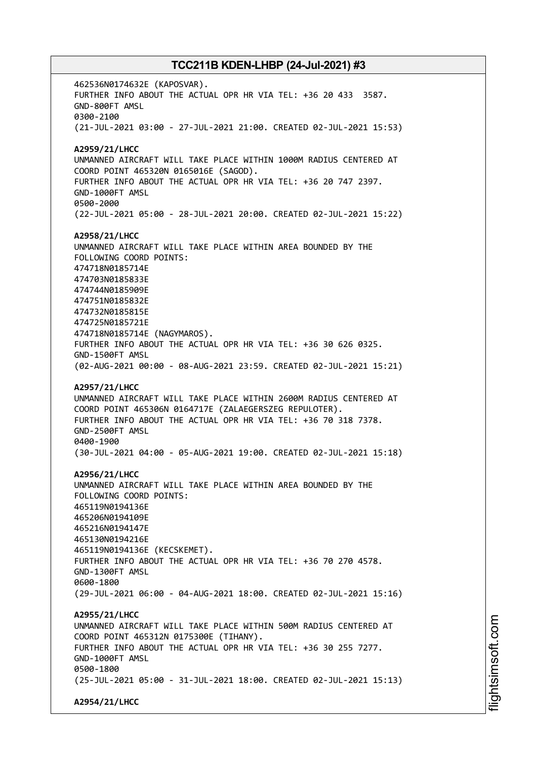462536N0174632E (KAPOSVAR). FURTHER INFO ABOUT THE ACTUAL OPR HR VIA TEL: +36 20 433 3587. GND-800FT AMSL 0300-2100 (21-JUL-2021 03:00 - 27-JUL-2021 21:00. CREATED 02-JUL-2021 15:53) **A2959/21/LHCC** UNMANNED AIRCRAFT WILL TAKE PLACE WITHIN 1000M RADIUS CENTERED AT COORD POINT 465320N 0165016E (SAGOD). FURTHER INFO ABOUT THE ACTUAL OPR HR VIA TEL: +36 20 747 2397. GND-1000FT AMSL 0500-2000 (22-JUL-2021 05:00 - 28-JUL-2021 20:00. CREATED 02-JUL-2021 15:22) **A2958/21/LHCC** UNMANNED AIRCRAFT WILL TAKE PLACE WITHIN AREA BOUNDED BY THE FOLLOWING COORD POINTS: 474718N0185714E 474703N0185833E 474744N0185909E 474751N0185832E 474732N0185815E 474725N0185721E 474718N0185714E (NAGYMAROS). FURTHER INFO ABOUT THE ACTUAL OPR HR VIA TEL: +36 30 626 0325. GND-1500FT AMSL (02-AUG-2021 00:00 - 08-AUG-2021 23:59. CREATED 02-JUL-2021 15:21) **A2957/21/LHCC** UNMANNED AIRCRAFT WILL TAKE PLACE WITHIN 2600M RADIUS CENTERED AT COORD POINT 465306N 0164717E (ZALAEGERSZEG REPULOTER). FURTHER INFO ABOUT THE ACTUAL OPR HR VIA TEL: +36 70 318 7378. GND-2500FT AMSL 0400-1900 (30-JUL-2021 04:00 - 05-AUG-2021 19:00. CREATED 02-JUL-2021 15:18) **A2956/21/LHCC** UNMANNED AIRCRAFT WILL TAKE PLACE WITHIN AREA BOUNDED BY THE FOLLOWING COORD POINTS: 465119N0194136E 465206N0194109E 465216N0194147E 465130N0194216E 465119N0194136E (KECSKEMET). FURTHER INFO ABOUT THE ACTUAL OPR HR VIA TEL: +36 70 270 4578. GND-1300FT AMSL 0600-1800 (29-JUL-2021 06:00 - 04-AUG-2021 18:00. CREATED 02-JUL-2021 15:16) **A2955/21/LHCC** UNMANNED AIRCRAFT WILL TAKE PLACE WITHIN 500M RADIUS CENTERED AT COORD POINT 465312N 0175300E (TIHANY). FURTHER INFO ABOUT THE ACTUAL OPR HR VIA TEL: +36 30 255 7277. GND-1000FT AMSL 0500-1800 (25-JUL-2021 05:00 - 31-JUL-2021 18:00. CREATED 02-JUL-2021 15:13) **A2954/21/LHCC**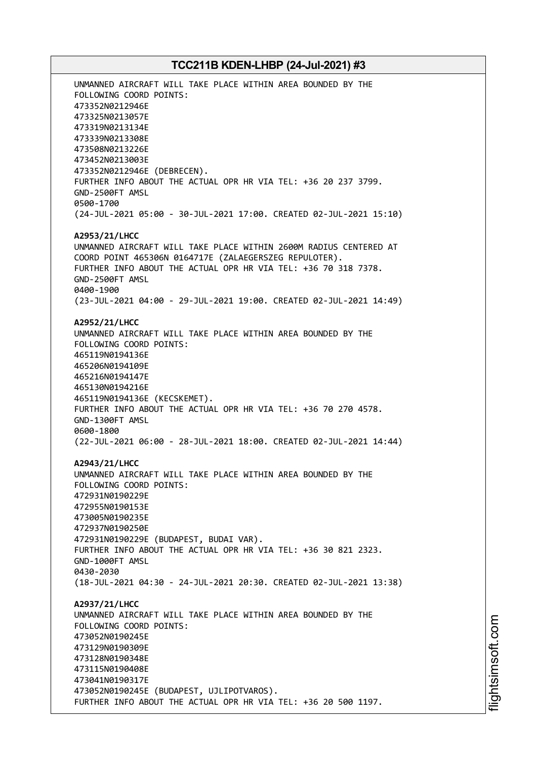UNMANNED AIRCRAFT WILL TAKE PLACE WITHIN AREA BOUNDED BY THE FOLLOWING COORD POINTS: 473352N0212946E 473325N0213057E 473319N0213134E 473339N0213308E 473508N0213226E 473452N0213003E 473352N0212946E (DEBRECEN). FURTHER INFO ABOUT THE ACTUAL OPR HR VIA TEL: +36 20 237 3799. GND-2500FT AMSL 0500-1700 (24-JUL-2021 05:00 - 30-JUL-2021 17:00. CREATED 02-JUL-2021 15:10) **A2953/21/LHCC** UNMANNED AIRCRAFT WILL TAKE PLACE WITHIN 2600M RADIUS CENTERED AT COORD POINT 465306N 0164717E (ZALAEGERSZEG REPULOTER). FURTHER INFO ABOUT THE ACTUAL OPR HR VIA TEL: +36 70 318 7378. GND-2500FT AMSL 0400-1900 (23-JUL-2021 04:00 - 29-JUL-2021 19:00. CREATED 02-JUL-2021 14:49) **A2952/21/LHCC** UNMANNED AIRCRAFT WILL TAKE PLACE WITHIN AREA BOUNDED BY THE FOLLOWING COORD POINTS: 465119N0194136E 465206N0194109E 465216N0194147E 465130N0194216E 465119N0194136E (KECSKEMET). FURTHER INFO ABOUT THE ACTUAL OPR HR VIA TEL: +36 70 270 4578. GND-1300FT AMSL 0600-1800 (22-JUL-2021 06:00 - 28-JUL-2021 18:00. CREATED 02-JUL-2021 14:44) **A2943/21/LHCC** UNMANNED AIRCRAFT WILL TAKE PLACE WITHIN AREA BOUNDED BY THE FOLLOWING COORD POINTS: 472931N0190229E 472955N0190153E 473005N0190235E 472937N0190250E 472931N0190229E (BUDAPEST, BUDAI VAR). FURTHER INFO ABOUT THE ACTUAL OPR HR VIA TEL: +36 30 821 2323. GND-1000FT AMSL 0430-2030 (18-JUL-2021 04:30 - 24-JUL-2021 20:30. CREATED 02-JUL-2021 13:38) **A2937/21/LHCC** UNMANNED AIRCRAFT WILL TAKE PLACE WITHIN AREA BOUNDED BY THE FOLLOWING COORD POINTS: 473052N0190245E 473129N0190309E 473128N0190348E 473115N0190408E 473041N0190317E 473052N0190245E (BUDAPEST, UJLIPOTVAROS). FURTHER INFO ABOUT THE ACTUAL OPR HR VIA TEL: +36 20 500 1197.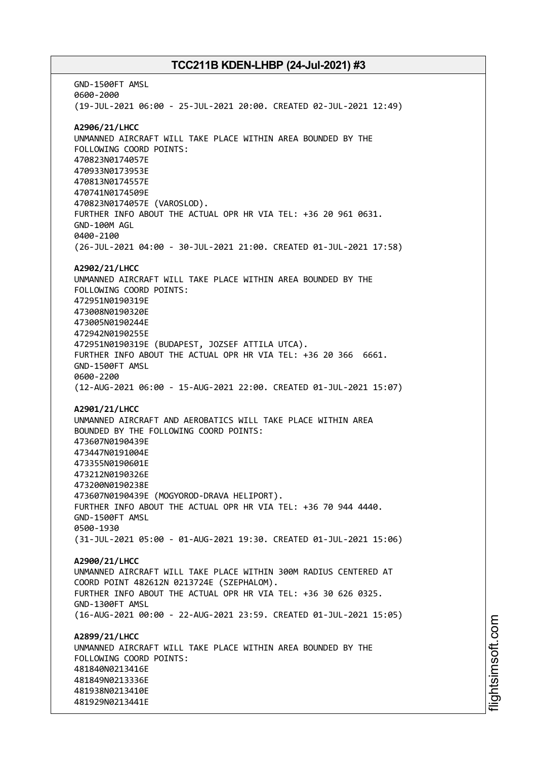GND-1500FT AMSL 0600-2000 (19-JUL-2021 06:00 - 25-JUL-2021 20:00. CREATED 02-JUL-2021 12:49) **A2906/21/LHCC** UNMANNED AIRCRAFT WILL TAKE PLACE WITHIN AREA BOUNDED BY THE FOLLOWING COORD POINTS: 470823N0174057E 470933N0173953E 470813N0174557E 470741N0174509E 470823N0174057E (VAROSLOD). FURTHER INFO ABOUT THE ACTUAL OPR HR VIA TEL: +36 20 961 0631. GND-100M AGL 0400-2100 (26-JUL-2021 04:00 - 30-JUL-2021 21:00. CREATED 01-JUL-2021 17:58) **A2902/21/LHCC** UNMANNED AIRCRAFT WILL TAKE PLACE WITHIN AREA BOUNDED BY THE FOLLOWING COORD POINTS: 472951N0190319E 473008N0190320E 473005N0190244E 472942N0190255E 472951N0190319E (BUDAPEST, JOZSEF ATTILA UTCA). FURTHER INFO ABOUT THE ACTUAL OPR HR VIA TEL: +36 20 366 6661. GND-1500FT AMSL 0600-2200 (12-AUG-2021 06:00 - 15-AUG-2021 22:00. CREATED 01-JUL-2021 15:07) **A2901/21/LHCC** UNMANNED AIRCRAFT AND AEROBATICS WILL TAKE PLACE WITHIN AREA BOUNDED BY THE FOLLOWING COORD POINTS: 473607N0190439E 473447N0191004E 473355N0190601E 473212N0190326E 473200N0190238E 473607N0190439E (MOGYOROD-DRAVA HELIPORT). FURTHER INFO ABOUT THE ACTUAL OPR HR VIA TEL: +36 70 944 4440. GND-1500FT AMSL 0500-1930 (31-JUL-2021 05:00 - 01-AUG-2021 19:30. CREATED 01-JUL-2021 15:06) **A2900/21/LHCC** UNMANNED AIRCRAFT WILL TAKE PLACE WITHIN 300M RADIUS CENTERED AT COORD POINT 482612N 0213724E (SZEPHALOM). FURTHER INFO ABOUT THE ACTUAL OPR HR VIA TEL: +36 30 626 0325. GND-1300FT AMSL (16-AUG-2021 00:00 - 22-AUG-2021 23:59. CREATED 01-JUL-2021 15:05) **A2899/21/LHCC** UNMANNED AIRCRAFT WILL TAKE PLACE WITHIN AREA BOUNDED BY THE FOLLOWING COORD POINTS: 481840N0213416E 481849N0213336E 481938N0213410E 481929N0213441E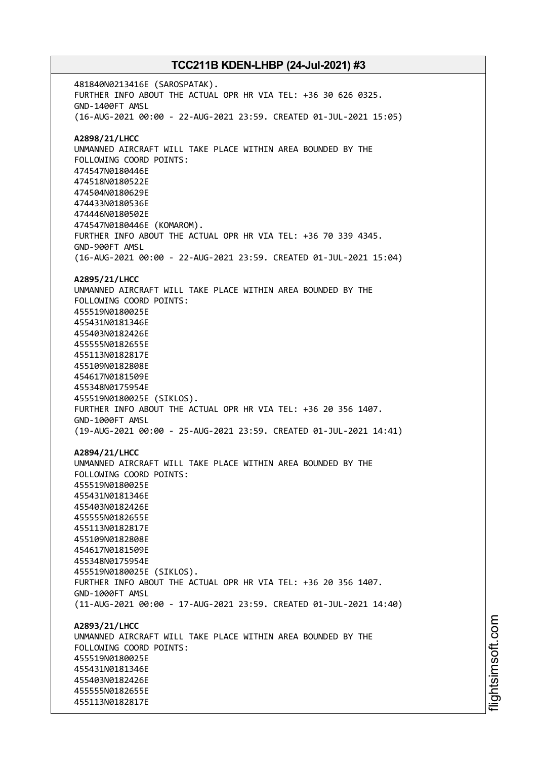481840N0213416E (SAROSPATAK). FURTHER INFO ABOUT THE ACTUAL OPR HR VIA TEL: +36 30 626 0325. GND-1400FT AMSL (16-AUG-2021 00:00 - 22-AUG-2021 23:59. CREATED 01-JUL-2021 15:05) **A2898/21/LHCC** UNMANNED AIRCRAFT WILL TAKE PLACE WITHIN AREA BOUNDED BY THE FOLLOWING COORD POINTS: 474547N0180446E 474518N0180522E 474504N0180629E 474433N0180536E 474446N0180502E 474547N0180446E (KOMAROM). FURTHER INFO ABOUT THE ACTUAL OPR HR VIA TEL: +36 70 339 4345. GND-900FT AMSL (16-AUG-2021 00:00 - 22-AUG-2021 23:59. CREATED 01-JUL-2021 15:04) **A2895/21/LHCC** UNMANNED AIRCRAFT WILL TAKE PLACE WITHIN AREA BOUNDED BY THE FOLLOWING COORD POINTS: 455519N0180025E 455431N0181346E 455403N0182426E 455555N0182655E 455113N0182817E 455109N0182808E 454617N0181509E 455348N0175954E 455519N0180025E (SIKLOS). FURTHER INFO ABOUT THE ACTUAL OPR HR VIA TEL: +36 20 356 1407. GND-1000FT AMSL (19-AUG-2021 00:00 - 25-AUG-2021 23:59. CREATED 01-JUL-2021 14:41) **A2894/21/LHCC** UNMANNED AIRCRAFT WILL TAKE PLACE WITHIN AREA BOUNDED BY THE FOLLOWING COORD POINTS: 455519N0180025E 455431N0181346E 455403N0182426E 455555N0182655E 455113N0182817E 455109N0182808E 454617N0181509E 455348N0175954E 455519N0180025E (SIKLOS). FURTHER INFO ABOUT THE ACTUAL OPR HR VIA TEL: +36 20 356 1407. GND-1000FT AMSL (11-AUG-2021 00:00 - 17-AUG-2021 23:59. CREATED 01-JUL-2021 14:40) **A2893/21/LHCC** UNMANNED AIRCRAFT WILL TAKE PLACE WITHIN AREA BOUNDED BY THE FOLLOWING COORD POINTS: 455519N0180025E 455431N0181346E 455403N0182426E 455555N0182655E 455113N0182817E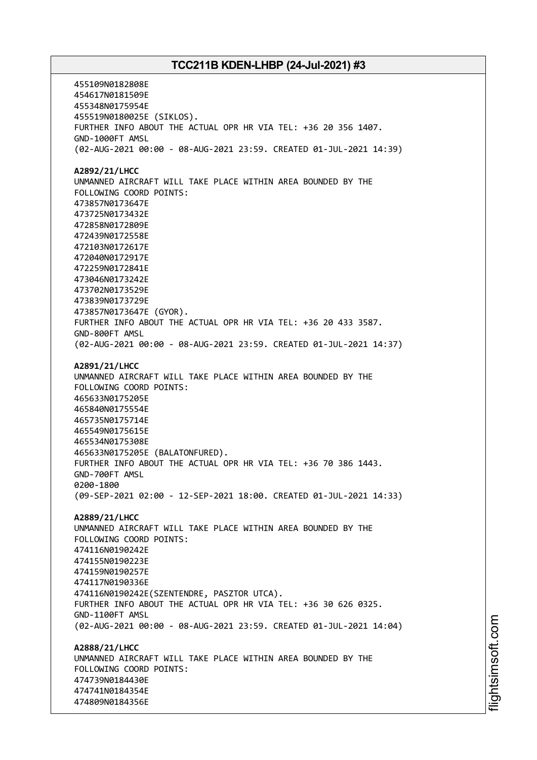455109N0182808E 454617N0181509E 455348N0175954E 455519N0180025E (SIKLOS). FURTHER INFO ABOUT THE ACTUAL OPR HR VIA TEL: +36 20 356 1407. GND-1000FT AMSL (02-AUG-2021 00:00 - 08-AUG-2021 23:59. CREATED 01-JUL-2021 14:39) **A2892/21/LHCC** UNMANNED AIRCRAFT WILL TAKE PLACE WITHIN AREA BOUNDED BY THE FOLLOWING COORD POINTS: 473857N0173647E 473725N0173432E 472858N0172809E 472439N0172558E 472103N0172617E 472040N0172917E 472259N0172841E 473046N0173242E 473702N0173529E 473839N0173729E 473857N0173647E (GYOR). FURTHER INFO ABOUT THE ACTUAL OPR HR VIA TEL: +36 20 433 3587. GND-800FT AMSL (02-AUG-2021 00:00 - 08-AUG-2021 23:59. CREATED 01-JUL-2021 14:37) **A2891/21/LHCC** UNMANNED AIRCRAFT WILL TAKE PLACE WITHIN AREA BOUNDED BY THE FOLLOWING COORD POINTS: 465633N0175205E 465840N0175554E 465735N0175714E 465549N0175615E 465534N0175308E 465633N0175205E (BALATONFURED). FURTHER INFO ABOUT THE ACTUAL OPR HR VIA TEL: +36 70 386 1443. GND-700FT AMSL 0200-1800 (09-SEP-2021 02:00 - 12-SEP-2021 18:00. CREATED 01-JUL-2021 14:33) **A2889/21/LHCC** UNMANNED AIRCRAFT WILL TAKE PLACE WITHIN AREA BOUNDED BY THE FOLLOWING COORD POINTS: 474116N0190242E 474155N0190223E 474159N0190257E 474117N0190336E 474116N0190242E(SZENTENDRE, PASZTOR UTCA). FURTHER INFO ABOUT THE ACTUAL OPR HR VIA TEL: +36 30 626 0325. GND-1100FT AMSL (02-AUG-2021 00:00 - 08-AUG-2021 23:59. CREATED 01-JUL-2021 14:04) **A2888/21/LHCC** UNMANNED AIRCRAFT WILL TAKE PLACE WITHIN AREA BOUNDED BY THE FOLLOWING COORD POINTS: 474739N0184430E 474741N0184354E 474809N0184356E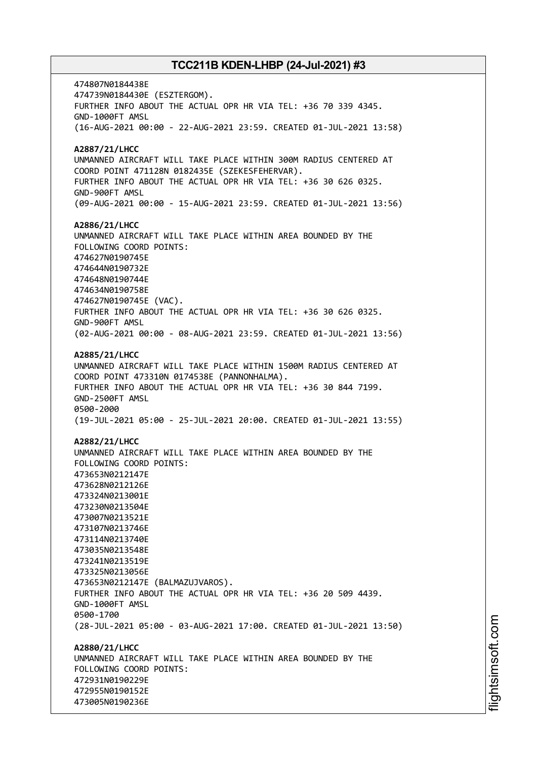474807N0184438E 474739N0184430E (ESZTERGOM). FURTHER INFO ABOUT THE ACTUAL OPR HR VIA TEL: +36 70 339 4345. GND-1000FT AMSL (16-AUG-2021 00:00 - 22-AUG-2021 23:59. CREATED 01-JUL-2021 13:58) **A2887/21/LHCC** UNMANNED AIRCRAFT WILL TAKE PLACE WITHIN 300M RADIUS CENTERED AT COORD POINT 471128N 0182435E (SZEKESFEHERVAR). FURTHER INFO ABOUT THE ACTUAL OPR HR VIA TEL: +36 30 626 0325. GND-900FT AMSL (09-AUG-2021 00:00 - 15-AUG-2021 23:59. CREATED 01-JUL-2021 13:56) **A2886/21/LHCC** UNMANNED AIRCRAFT WILL TAKE PLACE WITHIN AREA BOUNDED BY THE FOLLOWING COORD POINTS: 474627N0190745E 474644N0190732E 474648N0190744E 474634N0190758E 474627N0190745E (VAC). FURTHER INFO ABOUT THE ACTUAL OPR HR VIA TEL: +36 30 626 0325. GND-900FT AMSL (02-AUG-2021 00:00 - 08-AUG-2021 23:59. CREATED 01-JUL-2021 13:56) **A2885/21/LHCC** UNMANNED AIRCRAFT WILL TAKE PLACE WITHIN 1500M RADIUS CENTERED AT COORD POINT 473310N 0174538E (PANNONHALMA). FURTHER INFO ABOUT THE ACTUAL OPR HR VIA TEL: +36 30 844 7199. GND-2500FT AMSL 0500-2000 (19-JUL-2021 05:00 - 25-JUL-2021 20:00. CREATED 01-JUL-2021 13:55) **A2882/21/LHCC** UNMANNED AIRCRAFT WILL TAKE PLACE WITHIN AREA BOUNDED BY THE FOLLOWING COORD POINTS: 473653N0212147E 473628N0212126E 473324N0213001E 473230N0213504E 473007N0213521E 473107N0213746E 473114N0213740E 473035N0213548E 473241N0213519E 473325N0213056E 473653N0212147E (BALMAZUJVAROS). FURTHER INFO ABOUT THE ACTUAL OPR HR VIA TEL: +36 20 509 4439. GND-1000FT AMSL 0500-1700 (28-JUL-2021 05:00 - 03-AUG-2021 17:00. CREATED 01-JUL-2021 13:50) **A2880/21/LHCC** UNMANNED AIRCRAFT WILL TAKE PLACE WITHIN AREA BOUNDED BY THE FOLLOWING COORD POINTS: 472931N0190229E 472955N0190152E 473005N0190236E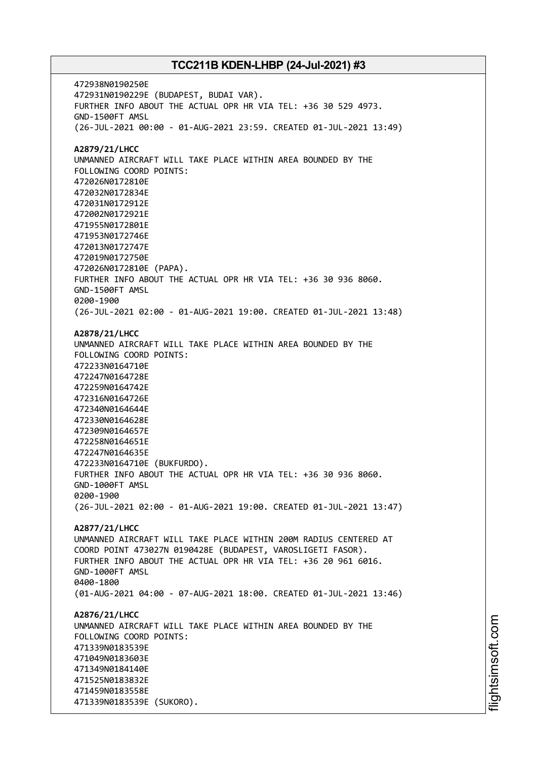472938N0190250E 472931N0190229E (BUDAPEST, BUDAI VAR). FURTHER INFO ABOUT THE ACTUAL OPR HR VIA TEL: +36 30 529 4973. GND-1500FT AMSL (26-JUL-2021 00:00 - 01-AUG-2021 23:59. CREATED 01-JUL-2021 13:49) **A2879/21/LHCC** UNMANNED AIRCRAFT WILL TAKE PLACE WITHIN AREA BOUNDED BY THE FOLLOWING COORD POINTS: 472026N0172810E 472032N0172834E 472031N0172912E 472002N0172921E 471955N0172801E 471953N0172746E 472013N0172747E 472019N0172750E 472026N0172810E (PAPA). FURTHER INFO ABOUT THE ACTUAL OPR HR VIA TEL: +36 30 936 8060. GND-1500FT AMSL 0200-1900 (26-JUL-2021 02:00 - 01-AUG-2021 19:00. CREATED 01-JUL-2021 13:48) **A2878/21/LHCC** UNMANNED AIRCRAFT WILL TAKE PLACE WITHIN AREA BOUNDED BY THE FOLLOWING COORD POINTS: 472233N0164710E 472247N0164728E 472259N0164742E 472316N0164726E 472340N0164644E 472330N0164628E 472309N0164657E 472258N0164651E 472247N0164635E 472233N0164710E (BUKFURDO). FURTHER INFO ABOUT THE ACTUAL OPR HR VIA TEL: +36 30 936 8060. GND-1000FT AMSL 0200-1900 (26-JUL-2021 02:00 - 01-AUG-2021 19:00. CREATED 01-JUL-2021 13:47) **A2877/21/LHCC** UNMANNED AIRCRAFT WILL TAKE PLACE WITHIN 200M RADIUS CENTERED AT COORD POINT 473027N 0190428E (BUDAPEST, VAROSLIGETI FASOR). FURTHER INFO ABOUT THE ACTUAL OPR HR VIA TEL: +36 20 961 6016. GND-1000FT AMSL 0400-1800 (01-AUG-2021 04:00 - 07-AUG-2021 18:00. CREATED 01-JUL-2021 13:46) **A2876/21/LHCC** UNMANNED AIRCRAFT WILL TAKE PLACE WITHIN AREA BOUNDED BY THE FOLLOWING COORD POINTS: 471339N0183539E 471049N0183603E 471349N0184140E 471525N0183832E 471459N0183558E 471339N0183539E (SUKORO).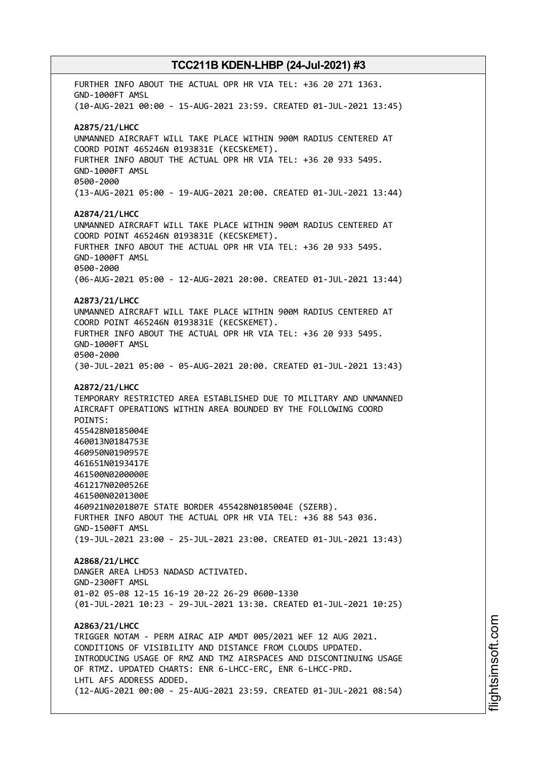FURTHER INFO ABOUT THE ACTUAL OPR HR VIA TEL: +36 20 271 1363. GND-1000FT AMSL (10-AUG-2021 00:00 - 15-AUG-2021 23:59. CREATED 01-JUL-2021 13:45) **A2875/21/LHCC** UNMANNED AIRCRAFT WILL TAKE PLACE WITHIN 900M RADIUS CENTERED AT COORD POINT 465246N 0193831E (KECSKEMET). FURTHER INFO ABOUT THE ACTUAL OPR HR VIA TEL: +36 20 933 5495. GND-1000FT AMSL 0500-2000 (13-AUG-2021 05:00 - 19-AUG-2021 20:00. CREATED 01-JUL-2021 13:44) **A2874/21/LHCC** UNMANNED AIRCRAFT WILL TAKE PLACE WITHIN 900M RADIUS CENTERED AT COORD POINT 465246N 0193831E (KECSKEMET). FURTHER INFO ABOUT THE ACTUAL OPR HR VIA TEL: +36 20 933 5495. GND-1000FT AMSL 0500-2000 (06-AUG-2021 05:00 - 12-AUG-2021 20:00. CREATED 01-JUL-2021 13:44) **A2873/21/LHCC** UNMANNED AIRCRAFT WILL TAKE PLACE WITHIN 900M RADIUS CENTERED AT COORD POINT 465246N 0193831E (KECSKEMET). FURTHER INFO ABOUT THE ACTUAL OPR HR VIA TEL: +36 20 933 5495. GND-1000FT AMSL 0500-2000 (30-JUL-2021 05:00 - 05-AUG-2021 20:00. CREATED 01-JUL-2021 13:43) **A2872/21/LHCC** TEMPORARY RESTRICTED AREA ESTABLISHED DUE TO MILITARY AND UNMANNED AIRCRAFT OPERATIONS WITHIN AREA BOUNDED BY THE FOLLOWING COORD POINTS: 455428N0185004E 460013N0184753E 460950N0190957E 461651N0193417E 461500N0200000E 461217N0200526E 461500N0201300E 460921N0201807E STATE BORDER 455428N0185004E (SZERB). FURTHER INFO ABOUT THE ACTUAL OPR HR VIA TEL: +36 88 543 036. GND-1500FT AMSL (19-JUL-2021 23:00 - 25-JUL-2021 23:00. CREATED 01-JUL-2021 13:43) **A2868/21/LHCC** DANGER AREA LHD53 NADASD ACTIVATED. GND-2300FT AMSL 01-02 05-08 12-15 16-19 20-22 26-29 0600-1330 (01-JUL-2021 10:23 - 29-JUL-2021 13:30. CREATED 01-JUL-2021 10:25) **A2863/21/LHCC** TRIGGER NOTAM - PERM AIRAC AIP AMDT 005/2021 WEF 12 AUG 2021. CONDITIONS OF VISIBILITY AND DISTANCE FROM CLOUDS UPDATED. INTRODUCING USAGE OF RMZ AND TMZ AIRSPACES AND DISCONTINUING USAGE OF RTMZ. UPDATED CHARTS: ENR 6-LHCC-ERC, ENR 6-LHCC-PRD. LHTL AFS ADDRESS ADDED. (12-AUG-2021 00:00 - 25-AUG-2021 23:59. CREATED 01-JUL-2021 08:54)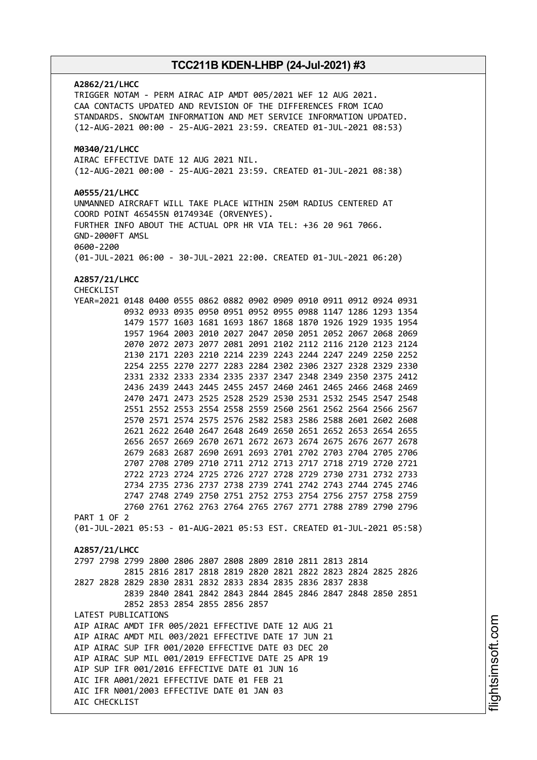# **A2862/21/LHCC** TRIGGER NOTAM - PERM AIRAC AIP AMDT 005/2021 WEF 12 AUG 2021. CAA CONTACTS UPDATED AND REVISION OF THE DIFFERENCES FROM ICAO STANDARDS. SNOWTAM INFORMATION AND MET SERVICE INFORMATION UPDATED. (12-AUG-2021 00:00 - 25-AUG-2021 23:59. CREATED 01-JUL-2021 08:53) **M0340/21/LHCC** AIRAC EFFECTIVE DATE 12 AUG 2021 NIL. (12-AUG-2021 00:00 - 25-AUG-2021 23:59. CREATED 01-JUL-2021 08:38) **A0555/21/LHCC** UNMANNED AIRCRAFT WILL TAKE PLACE WITHIN 250M RADIUS CENTERED AT COORD POINT 465455N 0174934E (ORVENYES). FURTHER INFO ABOUT THE ACTUAL OPR HR VIA TEL: +36 20 961 7066. GND-2000FT AMSL 0600-2200 (01-JUL-2021 06:00 - 30-JUL-2021 22:00. CREATED 01-JUL-2021 06:20) **A2857/21/LHCC** CHECKLIST YEAR=2021 0148 0400 0555 0862 0882 0902 0909 0910 0911 0912 0924 0931 0932 0933 0935 0950 0951 0952 0955 0988 1147 1286 1293 1354 1479 1577 1603 1681 1693 1867 1868 1870 1926 1929 1935 1954 1957 1964 2003 2010 2027 2047 2050 2051 2052 2067 2068 2069 2070 2072 2073 2077 2081 2091 2102 2112 2116 2120 2123 2124 2130 2171 2203 2210 2214 2239 2243 2244 2247 2249 2250 2252 2254 2255 2270 2277 2283 2284 2302 2306 2327 2328 2329 2330 2331 2332 2333 2334 2335 2337 2347 2348 2349 2350 2375 2412 2436 2439 2443 2445 2455 2457 2460 2461 2465 2466 2468 2469 2470 2471 2473 2525 2528 2529 2530 2531 2532 2545 2547 2548 2551 2552 2553 2554 2558 2559 2560 2561 2562 2564 2566 2567 2570 2571 2574 2575 2576 2582 2583 2586 2588 2601 2602 2608 2621 2622 2640 2647 2648 2649 2650 2651 2652 2653 2654 2655 2656 2657 2669 2670 2671 2672 2673 2674 2675 2676 2677 2678 2679 2683 2687 2690 2691 2693 2701 2702 2703 2704 2705 2706 2707 2708 2709 2710 2711 2712 2713 2717 2718 2719 2720 2721 2722 2723 2724 2725 2726 2727 2728 2729 2730 2731 2732 2733 2734 2735 2736 2737 2738 2739 2741 2742 2743 2744 2745 2746 2747 2748 2749 2750 2751 2752 2753 2754 2756 2757 2758 2759 2760 2761 2762 2763 2764 2765 2767 2771 2788 2789 2790 2796 PART 1 OF 2 (01-JUL-2021 05:53 - 01-AUG-2021 05:53 EST. CREATED 01-JUL-2021 05:58) **A2857/21/LHCC** 2797 2798 2799 2800 2806 2807 2808 2809 2810 2811 2813 2814 2815 2816 2817 2818 2819 2820 2821 2822 2823 2824 2825 2826 2827 2828 2829 2830 2831 2832 2833 2834 2835 2836 2837 2838 2839 2840 2841 2842 2843 2844 2845 2846 2847 2848 2850 2851 2852 2853 2854 2855 2856 2857 LATEST PUBLICATIONS AIP AIRAC AMDT IFR 005/2021 EFFECTIVE DATE 12 AUG 21 AIP AIRAC AMDT MIL 003/2021 EFFECTIVE DATE 17 JUN 21 AIP AIRAC SUP IFR 001/2020 EFFECTIVE DATE 03 DEC 20 AIP AIRAC SUP MIL 001/2019 EFFECTIVE DATE 25 APR 19 AIP SUP IFR 001/2016 EFFECTIVE DATE 01 JUN 16 AIC IFR A001/2021 EFFECTIVE DATE 01 FEB 21 AIC IFR N001/2003 EFFECTIVE DATE 01 JAN 03 AIC CHECKLIST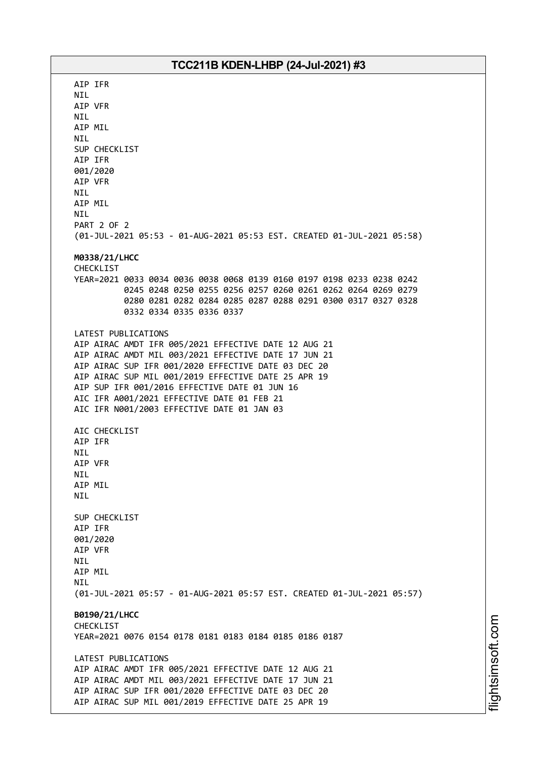AIP IFR NIL AIP VFR NIL AIP MIL NIL SUP CHECKLIST AIP IFR 001/2020 AIP VFR NIL AIP MIL NIL PART 2 OF 2 (01-JUL-2021 05:53 - 01-AUG-2021 05:53 EST. CREATED 01-JUL-2021 05:58) **M0338/21/LHCC** CHECKLIST YEAR=2021 0033 0034 0036 0038 0068 0139 0160 0197 0198 0233 0238 0242 0245 0248 0250 0255 0256 0257 0260 0261 0262 0264 0269 0279 0280 0281 0282 0284 0285 0287 0288 0291 0300 0317 0327 0328 0332 0334 0335 0336 0337 LATEST PUBLICATIONS AIP AIRAC AMDT IFR 005/2021 EFFECTIVE DATE 12 AUG 21 AIP AIRAC AMDT MIL 003/2021 EFFECTIVE DATE 17 JUN 21 AIP AIRAC SUP IFR 001/2020 EFFECTIVE DATE 03 DEC 20 AIP AIRAC SUP MIL 001/2019 EFFECTIVE DATE 25 APR 19 AIP SUP IFR 001/2016 EFFECTIVE DATE 01 JUN 16 AIC IFR A001/2021 EFFECTIVE DATE 01 FEB 21 AIC IFR N001/2003 EFFECTIVE DATE 01 JAN 03 AIC CHECKLIST AIP IFR NIL AIP VFR NIL AIP MIL NIL SUP CHECKLIST AIP IFR 001/2020 AIP VFR NIL AIP MIL **NTI** (01-JUL-2021 05:57 - 01-AUG-2021 05:57 EST. CREATED 01-JUL-2021 05:57) **B0190/21/LHCC** CHECKLIST YEAR=2021 0076 0154 0178 0181 0183 0184 0185 0186 0187 LATEST PUBLICATIONS AIP AIRAC AMDT IFR 005/2021 EFFECTIVE DATE 12 AUG 21 AIP AIRAC AMDT MIL 003/2021 EFFECTIVE DATE 17 JUN 21 AIP AIRAC SUP IFR 001/2020 EFFECTIVE DATE 03 DEC 20 AIP AIRAC SUP MIL 001/2019 EFFECTIVE DATE 25 APR 19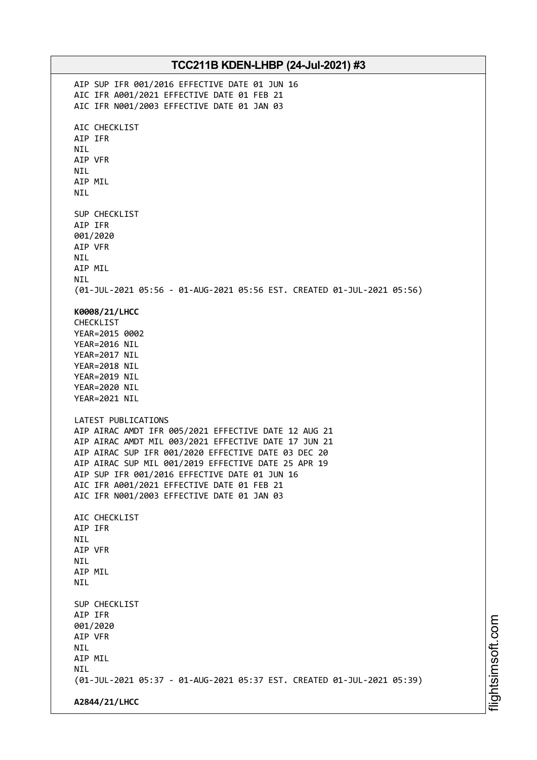| TCC211B KDEN-LHBP (24-Jul-2021) #3 |                                                                                                             |
|------------------------------------|-------------------------------------------------------------------------------------------------------------|
|                                    | AIP SUP IFR 001/2016 EFFECTIVE DATE 01 JUN 16                                                               |
|                                    | AIC IFR A001/2021 EFFECTIVE DATE 01 FEB 21<br>AIC IFR N001/2003 EFFECTIVE DATE 01 JAN 03                    |
|                                    |                                                                                                             |
|                                    | AIC CHECKLIST                                                                                               |
|                                    | AIP IFR<br><b>NIL</b>                                                                                       |
|                                    | AIP VFR                                                                                                     |
|                                    | <b>NIL</b>                                                                                                  |
|                                    | AIP MIL<br><b>NIL</b>                                                                                       |
|                                    |                                                                                                             |
|                                    | SUP CHECKLIST<br>AIP IFR                                                                                    |
|                                    | 001/2020                                                                                                    |
|                                    | AIP VFR                                                                                                     |
|                                    | <b>NIL</b><br>AIP MIL                                                                                       |
|                                    | <b>NIL</b>                                                                                                  |
|                                    | (01-JUL-2021 05:56 - 01-AUG-2021 05:56 EST. CREATED 01-JUL-2021 05:56)                                      |
|                                    | K0008/21/LHCC                                                                                               |
|                                    | CHECKLIST                                                                                                   |
|                                    | YEAR=2015 0002<br>YEAR=2016 NIL                                                                             |
|                                    | YEAR=2017 NIL                                                                                               |
|                                    | YEAR=2018 NIL                                                                                               |
|                                    | YEAR=2019 NIL<br>YEAR=2020 NIL                                                                              |
|                                    | YEAR=2021 NIL                                                                                               |
|                                    | LATEST PUBLICATIONS                                                                                         |
|                                    | AIP AIRAC AMDT IFR 005/2021 EFFECTIVE DATE 12 AUG 21                                                        |
|                                    | AIP AIRAC AMDT MIL 003/2021 EFFECTIVE DATE 17 JUN 21<br>AIP AIRAC SUP IFR 001/2020 EFFECTIVE DATE 03 DEC 20 |
|                                    | AIP AIRAC SUP MIL 001/2019 EFFECTIVE DATE 25 APR 19                                                         |
|                                    | AIP SUP IFR 001/2016 EFFECTIVE DATE 01 JUN 16                                                               |
|                                    | AIC IFR A001/2021 EFFECTIVE DATE 01 FEB 21                                                                  |
|                                    | AIC IFR N001/2003 EFFECTIVE DATE 01 JAN 03                                                                  |
|                                    | AIC CHECKLIST                                                                                               |
|                                    | AIP IFR<br><b>NIL</b>                                                                                       |
|                                    | AIP VFR                                                                                                     |
|                                    | <b>NIL</b>                                                                                                  |
|                                    | AIP MIL<br><b>NIL</b>                                                                                       |
|                                    |                                                                                                             |
|                                    | SUP CHECKLIST<br>AIP IFR                                                                                    |
|                                    | 001/2020                                                                                                    |
|                                    | AIP VFR                                                                                                     |
|                                    | NIL.<br>AIP MIL                                                                                             |
|                                    | <b>NIL</b>                                                                                                  |
|                                    | (01-JUL-2021 05:37 - 01-AUG-2021 05:37 EST. CREATED 01-JUL-2021 05:39)                                      |
|                                    | A2844/21/LHCC                                                                                               |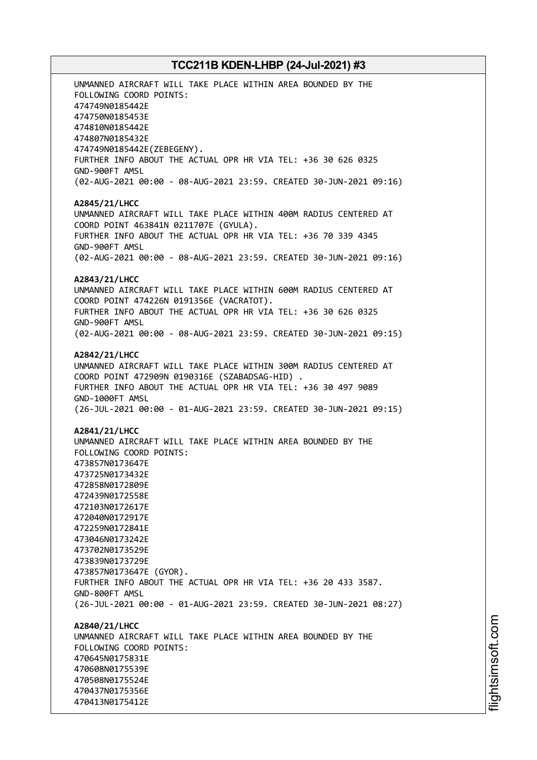UNMANNED AIRCRAFT WILL TAKE PLACE WITHIN AREA BOUNDED BY THE FOLLOWING COORD POINTS: 474749N0185442E 474750N0185453E 474810N0185442E 474807N0185432E 474749N0185442E(ZEBEGENY). FURTHER INFO ABOUT THE ACTUAL OPR HR VIA TEL: +36 30 626 0325 GND-900FT AMSL (02-AUG-2021 00:00 - 08-AUG-2021 23:59. CREATED 30-JUN-2021 09:16) **A2845/21/LHCC** UNMANNED AIRCRAFT WILL TAKE PLACE WITHIN 400M RADIUS CENTERED AT COORD POINT 463841N 0211707E (GYULA). FURTHER INFO ABOUT THE ACTUAL OPR HR VIA TEL: +36 70 339 4345 GND-900FT AMSL (02-AUG-2021 00:00 - 08-AUG-2021 23:59. CREATED 30-JUN-2021 09:16) **A2843/21/LHCC** UNMANNED AIRCRAFT WILL TAKE PLACE WITHIN 600M RADIUS CENTERED AT COORD POINT 474226N 0191356E (VACRATOT). FURTHER INFO ABOUT THE ACTUAL OPR HR VIA TEL: +36 30 626 0325 GND-900FT AMSL (02-AUG-2021 00:00 - 08-AUG-2021 23:59. CREATED 30-JUN-2021 09:15) **A2842/21/LHCC** UNMANNED AIRCRAFT WILL TAKE PLACE WITHIN 300M RADIUS CENTERED AT COORD POINT 472909N 0190316E (SZABADSAG-HID) . FURTHER INFO ABOUT THE ACTUAL OPR HR VIA TEL: +36 30 497 9089 GND-1000FT AMSL (26-JUL-2021 00:00 - 01-AUG-2021 23:59. CREATED 30-JUN-2021 09:15) **A2841/21/LHCC** UNMANNED AIRCRAFT WILL TAKE PLACE WITHIN AREA BOUNDED BY THE FOLLOWING COORD POINTS: 473857N0173647E 473725N0173432E 472858N0172809E 472439N0172558E 472103N0172617E 472040N0172917E 472259N0172841E 473046N0173242E 473702N0173529E 473839N0173729E 473857N0173647E (GYOR). FURTHER INFO ABOUT THE ACTUAL OPR HR VIA TEL: +36 20 433 3587. GND-800FT AMSL (26-JUL-2021 00:00 - 01-AUG-2021 23:59. CREATED 30-JUN-2021 08:27) **A2840/21/LHCC** UNMANNED AIRCRAFT WILL TAKE PLACE WITHIN AREA BOUNDED BY THE FOLLOWING COORD POINTS: 470645N0175831E 470608N0175539E 470508N0175524E 470437N0175356E

470413N0175412E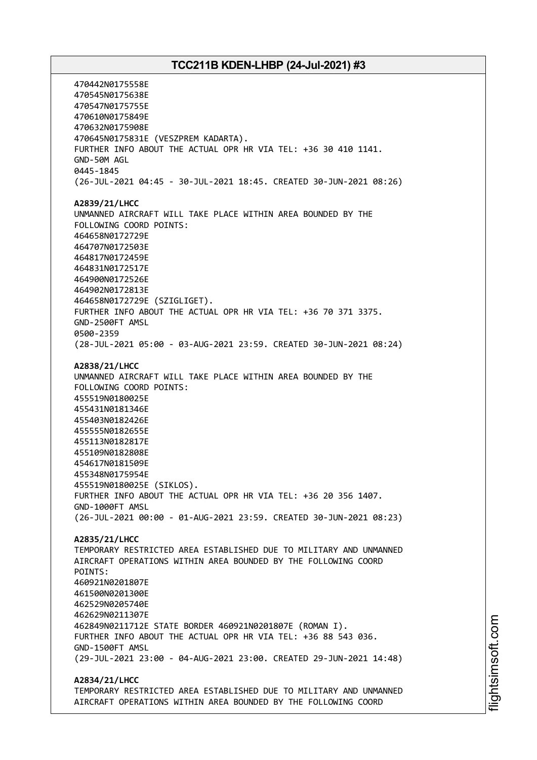470442N0175558E 470545N0175638E 470547N0175755E 470610N0175849E 470632N0175908E 470645N0175831E (VESZPREM KADARTA). FURTHER INFO ABOUT THE ACTUAL OPR HR VIA TEL: +36 30 410 1141. GND-50M AGL 0445-1845 (26-JUL-2021 04:45 - 30-JUL-2021 18:45. CREATED 30-JUN-2021 08:26) **A2839/21/LHCC** UNMANNED AIRCRAFT WILL TAKE PLACE WITHIN AREA BOUNDED BY THE FOLLOWING COORD POINTS: 464658N0172729E 464707N0172503E 464817N0172459E 464831N0172517E 464900N0172526E 464902N0172813E 464658N0172729E (SZIGLIGET). FURTHER INFO ABOUT THE ACTUAL OPR HR VIA TEL: +36 70 371 3375. GND-2500FT AMSL 0500-2359 (28-JUL-2021 05:00 - 03-AUG-2021 23:59. CREATED 30-JUN-2021 08:24) **A2838/21/LHCC** UNMANNED AIRCRAFT WILL TAKE PLACE WITHIN AREA BOUNDED BY THE FOLLOWING COORD POINTS: 455519N0180025E 455431N0181346E 455403N0182426E 455555N0182655E 455113N0182817E 455109N0182808E 454617N0181509E 455348N0175954E 455519N0180025E (SIKLOS). FURTHER INFO ABOUT THE ACTUAL OPR HR VIA TEL: +36 20 356 1407. GND-1000FT AMSL (26-JUL-2021 00:00 - 01-AUG-2021 23:59. CREATED 30-JUN-2021 08:23) **A2835/21/LHCC** TEMPORARY RESTRICTED AREA ESTABLISHED DUE TO MILITARY AND UNMANNED AIRCRAFT OPERATIONS WITHIN AREA BOUNDED BY THE FOLLOWING COORD POINTS: 460921N0201807E 461500N0201300E 462529N0205740E 462629N0211307E 462849N0211712E STATE BORDER 460921N0201807E (ROMAN I). FURTHER INFO ABOUT THE ACTUAL OPR HR VIA TEL: +36 88 543 036. GND-1500FT AMSL (29-JUL-2021 23:00 - 04-AUG-2021 23:00. CREATED 29-JUN-2021 14:48) **A2834/21/LHCC**

TEMPORARY RESTRICTED AREA ESTABLISHED DUE TO MILITARY AND UNMANNED AIRCRAFT OPERATIONS WITHIN AREA BOUNDED BY THE FOLLOWING COORD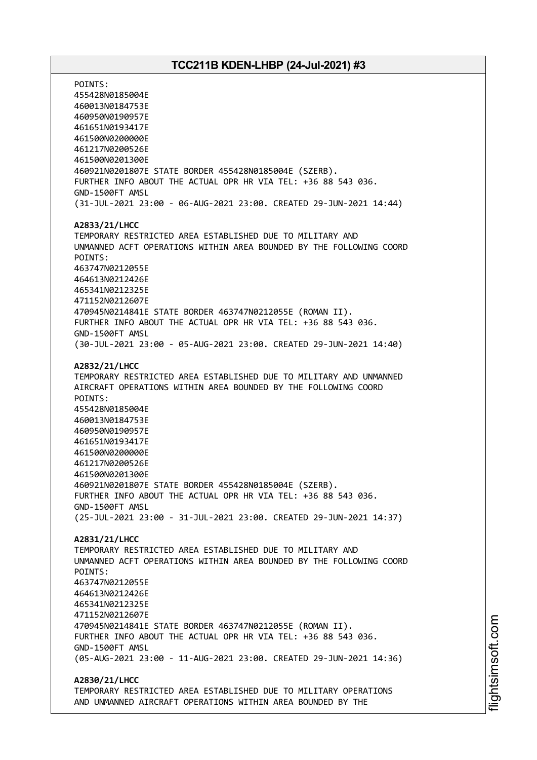POINTS: 455428N0185004E 460013N0184753E 460950N0190957E 461651N0193417E 461500N0200000E 461217N0200526E 461500N0201300E 460921N0201807E STATE BORDER 455428N0185004E (SZERB). FURTHER INFO ABOUT THE ACTUAL OPR HR VIA TEL: +36 88 543 036. GND-1500FT AMSL (31-JUL-2021 23:00 - 06-AUG-2021 23:00. CREATED 29-JUN-2021 14:44) **A2833/21/LHCC** TEMPORARY RESTRICTED AREA ESTABLISHED DUE TO MILITARY AND UNMANNED ACFT OPERATIONS WITHIN AREA BOUNDED BY THE FOLLOWING COORD POINTS: 463747N0212055E 464613N0212426E 465341N0212325E 471152N0212607E 470945N0214841E STATE BORDER 463747N0212055E (ROMAN II). FURTHER INFO ABOUT THE ACTUAL OPR HR VIA TEL: +36 88 543 036. GND-1500FT AMSL (30-JUL-2021 23:00 - 05-AUG-2021 23:00. CREATED 29-JUN-2021 14:40) **A2832/21/LHCC** TEMPORARY RESTRICTED AREA ESTABLISHED DUE TO MILITARY AND UNMANNED AIRCRAFT OPERATIONS WITHIN AREA BOUNDED BY THE FOLLOWING COORD POINTS: 455428N0185004E 460013N0184753E 460950N0190957E 461651N0193417E 461500N0200000E 461217N0200526E 461500N0201300E 460921N0201807E STATE BORDER 455428N0185004E (SZERB). FURTHER INFO ABOUT THE ACTUAL OPR HR VIA TEL: +36 88 543 036. GND-1500FT AMSL (25-JUL-2021 23:00 - 31-JUL-2021 23:00. CREATED 29-JUN-2021 14:37) **A2831/21/LHCC** TEMPORARY RESTRICTED AREA ESTABLISHED DUE TO MILITARY AND UNMANNED ACFT OPERATIONS WITHIN AREA BOUNDED BY THE FOLLOWING COORD POINTS: 463747N0212055E 464613N0212426E 465341N0212325E 471152N0212607E 470945N0214841E STATE BORDER 463747N0212055E (ROMAN II). FURTHER INFO ABOUT THE ACTUAL OPR HR VIA TEL: +36 88 543 036. GND-1500FT AMSL (05-AUG-2021 23:00 - 11-AUG-2021 23:00. CREATED 29-JUN-2021 14:36) **A2830/21/LHCC** TEMPORARY RESTRICTED AREA ESTABLISHED DUE TO MILITARY OPERATIONS

AND UNMANNED AIRCRAFT OPERATIONS WITHIN AREA BOUNDED BY THE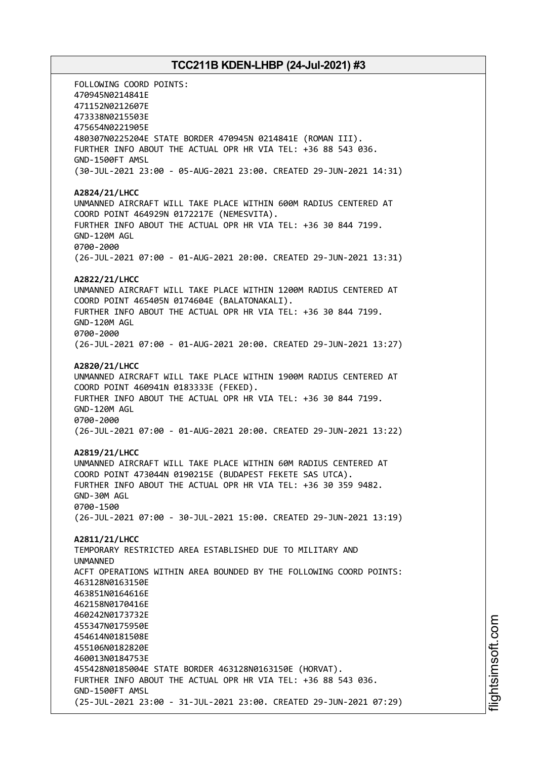FOLLOWING COORD POINTS: 470945N0214841E 471152N0212607E 473338N0215503E 475654N0221905E 480307N0225204E STATE BORDER 470945N 0214841E (ROMAN III). FURTHER INFO ABOUT THE ACTUAL OPR HR VIA TEL: +36 88 543 036. GND-1500FT AMSL (30-JUL-2021 23:00 - 05-AUG-2021 23:00. CREATED 29-JUN-2021 14:31) **A2824/21/LHCC** UNMANNED AIRCRAFT WILL TAKE PLACE WITHIN 600M RADIUS CENTERED AT COORD POINT 464929N 0172217E (NEMESVITA). FURTHER INFO ABOUT THE ACTUAL OPR HR VIA TEL: +36 30 844 7199. GND-120M AGL 0700-2000 (26-JUL-2021 07:00 - 01-AUG-2021 20:00. CREATED 29-JUN-2021 13:31) **A2822/21/LHCC** UNMANNED AIRCRAFT WILL TAKE PLACE WITHIN 1200M RADIUS CENTERED AT COORD POINT 465405N 0174604E (BALATONAKALI). FURTHER INFO ABOUT THE ACTUAL OPR HR VIA TEL: +36 30 844 7199. GND-120M AGL 0700-2000 (26-JUL-2021 07:00 - 01-AUG-2021 20:00. CREATED 29-JUN-2021 13:27) **A2820/21/LHCC** UNMANNED AIRCRAFT WILL TAKE PLACE WITHIN 1900M RADIUS CENTERED AT COORD POINT 460941N 0183333E (FEKED). FURTHER INFO ABOUT THE ACTUAL OPR HR VIA TEL: +36 30 844 7199. GND-120M AGL 0700-2000 (26-JUL-2021 07:00 - 01-AUG-2021 20:00. CREATED 29-JUN-2021 13:22) **A2819/21/LHCC** UNMANNED AIRCRAFT WILL TAKE PLACE WITHIN 60M RADIUS CENTERED AT COORD POINT 473044N 0190215E (BUDAPEST FEKETE SAS UTCA). FURTHER INFO ABOUT THE ACTUAL OPR HR VIA TEL: +36 30 359 9482. GND-30M AGL 0700-1500 (26-JUL-2021 07:00 - 30-JUL-2021 15:00. CREATED 29-JUN-2021 13:19) **A2811/21/LHCC** TEMPORARY RESTRICTED AREA ESTABLISHED DUE TO MILITARY AND UNMANNED ACFT OPERATIONS WITHIN AREA BOUNDED BY THE FOLLOWING COORD POINTS: 463128N0163150E 463851N0164616E 462158N0170416E 460242N0173732E 455347N0175950E 454614N0181508E 455106N0182820E 460013N0184753E 455428N0185004E STATE BORDER 463128N0163150E (HORVAT). FURTHER INFO ABOUT THE ACTUAL OPR HR VIA TEL: +36 88 543 036. GND-1500FT AMSL (25-JUL-2021 23:00 - 31-JUL-2021 23:00. CREATED 29-JUN-2021 07:29)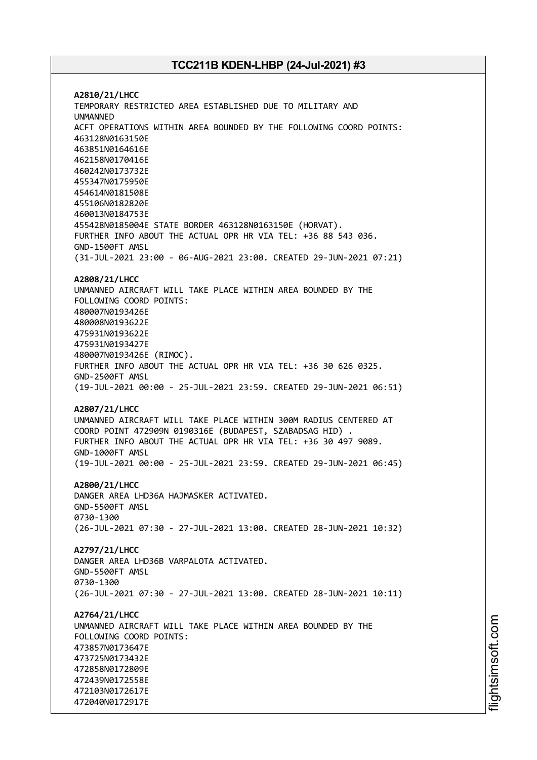**A2810/21/LHCC** TEMPORARY RESTRICTED AREA ESTABLISHED DUE TO MILITARY AND UNMANNED ACFT OPERATIONS WITHIN AREA BOUNDED BY THE FOLLOWING COORD POINTS: 463128N0163150E 463851N0164616E 462158N0170416E 460242N0173732E 455347N0175950E 454614N0181508E 455106N0182820E 460013N0184753E 455428N0185004E STATE BORDER 463128N0163150E (HORVAT). FURTHER INFO ABOUT THE ACTUAL OPR HR VIA TEL: +36 88 543 036. GND-1500FT AMSL (31-JUL-2021 23:00 - 06-AUG-2021 23:00. CREATED 29-JUN-2021 07:21) **A2808/21/LHCC** UNMANNED AIRCRAFT WILL TAKE PLACE WITHIN AREA BOUNDED BY THE FOLLOWING COORD POINTS: 480007N0193426E 480008N0193622E 475931N0193622E 475931N0193427E 480007N0193426E (RIMOC). FURTHER INFO ABOUT THE ACTUAL OPR HR VIA TEL: +36 30 626 0325. GND-2500FT AMSL (19-JUL-2021 00:00 - 25-JUL-2021 23:59. CREATED 29-JUN-2021 06:51) **A2807/21/LHCC** UNMANNED AIRCRAFT WILL TAKE PLACE WITHIN 300M RADIUS CENTERED AT COORD POINT 472909N 0190316E (BUDAPEST, SZABADSAG HID) . FURTHER INFO ABOUT THE ACTUAL OPR HR VIA TEL: +36 30 497 9089. GND-1000FT AMSL (19-JUL-2021 00:00 - 25-JUL-2021 23:59. CREATED 29-JUN-2021 06:45) **A2800/21/LHCC** DANGER AREA LHD36A HAJMASKER ACTIVATED. GND-5500FT AMSL 0730-1300 (26-JUL-2021 07:30 - 27-JUL-2021 13:00. CREATED 28-JUN-2021 10:32) **A2797/21/LHCC** DANGER AREA LHD36B VARPALOTA ACTIVATED. GND-5500FT AMSL 0730-1300 (26-JUL-2021 07:30 - 27-JUL-2021 13:00. CREATED 28-JUN-2021 10:11) **A2764/21/LHCC** UNMANNED AIRCRAFT WILL TAKE PLACE WITHIN AREA BOUNDED BY THE FOLLOWING COORD POINTS: 473857N0173647E 473725N0173432E 472858N0172809E 472439N0172558E 472103N0172617E 472040N0172917E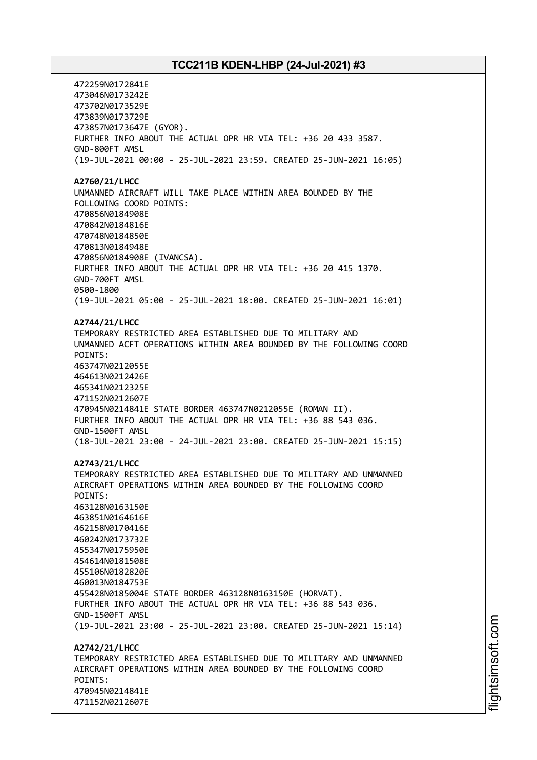472259N0172841E 473046N0173242E 473702N0173529E 473839N0173729E 473857N0173647E (GYOR). FURTHER INFO ABOUT THE ACTUAL OPR HR VIA TEL: +36 20 433 3587. GND-800FT AMSL (19-JUL-2021 00:00 - 25-JUL-2021 23:59. CREATED 25-JUN-2021 16:05) **A2760/21/LHCC** UNMANNED AIRCRAFT WILL TAKE PLACE WITHIN AREA BOUNDED BY THE FOLLOWING COORD POINTS: 470856N0184908E 470842N0184816E 470748N0184850E 470813N0184948E 470856N0184908E (IVANCSA). FURTHER INFO ABOUT THE ACTUAL OPR HR VIA TEL: +36 20 415 1370. GND-700FT AMSL 0500-1800 (19-JUL-2021 05:00 - 25-JUL-2021 18:00. CREATED 25-JUN-2021 16:01) **A2744/21/LHCC** TEMPORARY RESTRICTED AREA ESTABLISHED DUE TO MILITARY AND UNMANNED ACFT OPERATIONS WITHIN AREA BOUNDED BY THE FOLLOWING COORD POINTS: 463747N0212055E 464613N0212426E 465341N0212325E 471152N0212607E 470945N0214841E STATE BORDER 463747N0212055E (ROMAN II). FURTHER INFO ABOUT THE ACTUAL OPR HR VIA TEL: +36 88 543 036. GND-1500FT AMSL (18-JUL-2021 23:00 - 24-JUL-2021 23:00. CREATED 25-JUN-2021 15:15) **A2743/21/LHCC** TEMPORARY RESTRICTED AREA ESTABLISHED DUE TO MILITARY AND UNMANNED AIRCRAFT OPERATIONS WITHIN AREA BOUNDED BY THE FOLLOWING COORD POINTS: 463128N0163150E 463851N0164616E 462158N0170416E 460242N0173732E 455347N0175950E 454614N0181508E 455106N0182820E 460013N0184753E 455428N0185004E STATE BORDER 463128N0163150E (HORVAT). FURTHER INFO ABOUT THE ACTUAL OPR HR VIA TEL: +36 88 543 036. GND-1500FT AMSL (19-JUL-2021 23:00 - 25-JUL-2021 23:00. CREATED 25-JUN-2021 15:14) **A2742/21/LHCC** TEMPORARY RESTRICTED AREA ESTABLISHED DUE TO MILITARY AND UNMANNED AIRCRAFT OPERATIONS WITHIN AREA BOUNDED BY THE FOLLOWING COORD POINTS: 470945N0214841E 471152N0212607E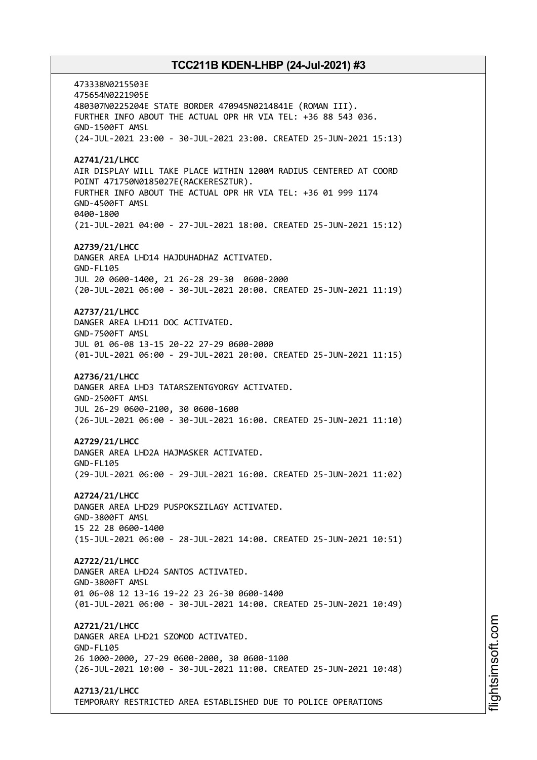473338N0215503E 475654N0221905E 480307N0225204E STATE BORDER 470945N0214841E (ROMAN III). FURTHER INFO ABOUT THE ACTUAL OPR HR VIA TEL: +36 88 543 036. GND-1500FT AMSL (24-JUL-2021 23:00 - 30-JUL-2021 23:00. CREATED 25-JUN-2021 15:13) **A2741/21/LHCC** AIR DISPLAY WILL TAKE PLACE WITHIN 1200M RADIUS CENTERED AT COORD POINT 471750N0185027E(RACKERESZTUR). FURTHER INFO ABOUT THE ACTUAL OPR HR VIA TEL: +36 01 999 1174 GND-4500FT AMSL 0400-1800 (21-JUL-2021 04:00 - 27-JUL-2021 18:00. CREATED 25-JUN-2021 15:12) **A2739/21/LHCC** DANGER AREA LHD14 HAJDUHADHAZ ACTIVATED. GND-FL105 JUL 20 0600-1400, 21 26-28 29-30 0600-2000 (20-JUL-2021 06:00 - 30-JUL-2021 20:00. CREATED 25-JUN-2021 11:19) **A2737/21/LHCC** DANGER AREA LHD11 DOC ACTIVATED. GND-7500FT AMSL JUL 01 06-08 13-15 20-22 27-29 0600-2000 (01-JUL-2021 06:00 - 29-JUL-2021 20:00. CREATED 25-JUN-2021 11:15) **A2736/21/LHCC** DANGER AREA LHD3 TATARSZENTGYORGY ACTIVATED. GND-2500FT AMSL JUL 26-29 0600-2100, 30 0600-1600 (26-JUL-2021 06:00 - 30-JUL-2021 16:00. CREATED 25-JUN-2021 11:10) **A2729/21/LHCC** DANGER AREA LHD2A HAJMASKER ACTIVATED. GND-FL105 (29-JUL-2021 06:00 - 29-JUL-2021 16:00. CREATED 25-JUN-2021 11:02) **A2724/21/LHCC** DANGER AREA LHD29 PUSPOKSZILAGY ACTIVATED. GND-3800FT AMSL 15 22 28 0600-1400 (15-JUL-2021 06:00 - 28-JUL-2021 14:00. CREATED 25-JUN-2021 10:51) **A2722/21/LHCC** DANGER AREA LHD24 SANTOS ACTIVATED. GND-3800FT AMSL 01 06-08 12 13-16 19-22 23 26-30 0600-1400 (01-JUL-2021 06:00 - 30-JUL-2021 14:00. CREATED 25-JUN-2021 10:49) **A2721/21/LHCC** DANGER AREA LHD21 SZOMOD ACTIVATED. GND-FL105 26 1000-2000, 27-29 0600-2000, 30 0600-1100 (26-JUL-2021 10:00 - 30-JUL-2021 11:00. CREATED 25-JUN-2021 10:48) **A2713/21/LHCC**

TEMPORARY RESTRICTED AREA ESTABLISHED DUE TO POLICE OPERATIONS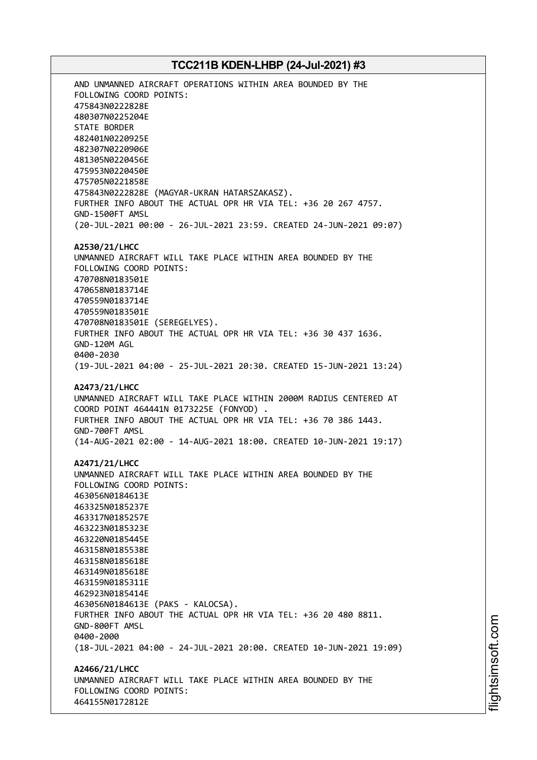AND UNMANNED AIRCRAFT OPERATIONS WITHIN AREA BOUNDED BY THE FOLLOWING COORD POINTS: 475843N0222828E 480307N0225204E STATE BORDER 482401N0220925E 482307N0220906E 481305N0220456E 475953N0220450E 475705N0221858E 475843N0222828E (MAGYAR-UKRAN HATARSZAKASZ). FURTHER INFO ABOUT THE ACTUAL OPR HR VIA TEL: +36 20 267 4757. GND-1500FT AMSL (20-JUL-2021 00:00 - 26-JUL-2021 23:59. CREATED 24-JUN-2021 09:07) **A2530/21/LHCC** UNMANNED AIRCRAFT WILL TAKE PLACE WITHIN AREA BOUNDED BY THE FOLLOWING COORD POINTS: 470708N0183501E 470658N0183714E 470559N0183714E 470559N0183501E 470708N0183501E (SEREGELYES). FURTHER INFO ABOUT THE ACTUAL OPR HR VIA TEL: +36 30 437 1636. GND-120M AGL 0400-2030 (19-JUL-2021 04:00 - 25-JUL-2021 20:30. CREATED 15-JUN-2021 13:24) **A2473/21/LHCC** UNMANNED AIRCRAFT WILL TAKE PLACE WITHIN 2000M RADIUS CENTERED AT COORD POINT 464441N 0173225E (FONYOD) . FURTHER INFO ABOUT THE ACTUAL OPR HR VIA TEL: +36 70 386 1443. GND-700FT AMSL (14-AUG-2021 02:00 - 14-AUG-2021 18:00. CREATED 10-JUN-2021 19:17) **A2471/21/LHCC** UNMANNED AIRCRAFT WILL TAKE PLACE WITHIN AREA BOUNDED BY THE FOLLOWING COORD POINTS: 463056N0184613E 463325N0185237E 463317N0185257E 463223N0185323E 463220N0185445E 463158N0185538E 463158N0185618E 463149N0185618E 463159N0185311E 462923N0185414E 463056N0184613E (PAKS - KALOCSA). FURTHER INFO ABOUT THE ACTUAL OPR HR VIA TEL: +36 20 480 8811. GND-800FT AMSL 0400-2000 (18-JUL-2021 04:00 - 24-JUL-2021 20:00. CREATED 10-JUN-2021 19:09) **A2466/21/LHCC** UNMANNED AIRCRAFT WILL TAKE PLACE WITHIN AREA BOUNDED BY THE FOLLOWING COORD POINTS: 464155N0172812E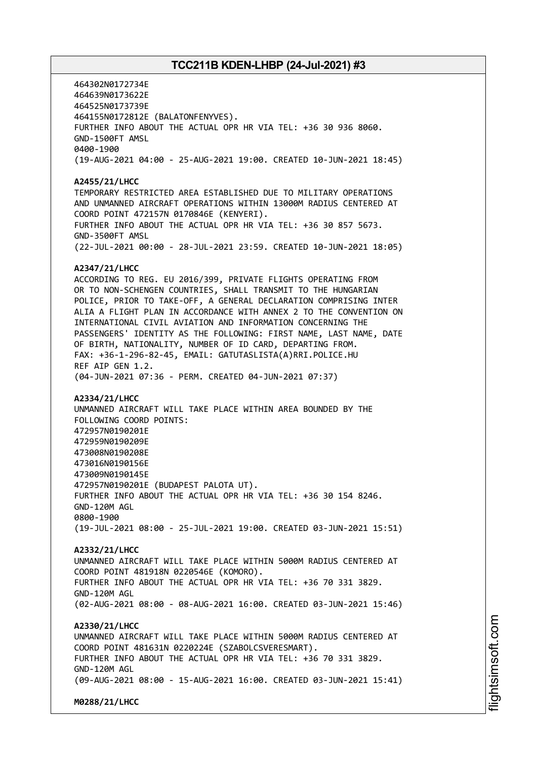464302N0172734E 464639N0173622E 464525N0173739E 464155N0172812E (BALATONFENYVES). FURTHER INFO ABOUT THE ACTUAL OPR HR VIA TEL: +36 30 936 8060. GND-1500FT AMSL 0400-1900 (19-AUG-2021 04:00 - 25-AUG-2021 19:00. CREATED 10-JUN-2021 18:45) **A2455/21/LHCC** TEMPORARY RESTRICTED AREA ESTABLISHED DUE TO MILITARY OPERATIONS AND UNMANNED AIRCRAFT OPERATIONS WITHIN 13000M RADIUS CENTERED AT COORD POINT 472157N 0170846E (KENYERI). FURTHER INFO ABOUT THE ACTUAL OPR HR VIA TEL: +36 30 857 5673. GND-3500FT AMSL (22-JUL-2021 00:00 - 28-JUL-2021 23:59. CREATED 10-JUN-2021 18:05) **A2347/21/LHCC** ACCORDING TO REG. EU 2016/399, PRIVATE FLIGHTS OPERATING FROM OR TO NON-SCHENGEN COUNTRIES, SHALL TRANSMIT TO THE HUNGARIAN POLICE, PRIOR TO TAKE-OFF, A GENERAL DECLARATION COMPRISING INTER ALIA A FLIGHT PLAN IN ACCORDANCE WITH ANNEX 2 TO THE CONVENTION ON INTERNATIONAL CIVIL AVIATION AND INFORMATION CONCERNING THE PASSENGERS' IDENTITY AS THE FOLLOWING: FIRST NAME, LAST NAME, DATE OF BIRTH, NATIONALITY, NUMBER OF ID CARD, DEPARTING FROM. FAX: +36-1-296-82-45, EMAIL: GATUTASLISTA(A)RRI.POLICE.HU REF AIP GEN 1.2. (04-JUN-2021 07:36 - PERM. CREATED 04-JUN-2021 07:37) **A2334/21/LHCC** UNMANNED AIRCRAFT WILL TAKE PLACE WITHIN AREA BOUNDED BY THE FOLLOWING COORD POINTS: 472957N0190201E 472959N0190209E 473008N0190208E 473016N0190156E 473009N0190145E 472957N0190201E (BUDAPEST PALOTA UT). FURTHER INFO ABOUT THE ACTUAL OPR HR VIA TEL: +36 30 154 8246. GND-120M AGL 0800-1900 (19-JUL-2021 08:00 - 25-JUL-2021 19:00. CREATED 03-JUN-2021 15:51) **A2332/21/LHCC** UNMANNED AIRCRAFT WILL TAKE PLACE WITHIN 5000M RADIUS CENTERED AT COORD POINT 481918N 0220546E (KOMORO). FURTHER INFO ABOUT THE ACTUAL OPR HR VIA TEL: +36 70 331 3829. GND-120M AGL (02-AUG-2021 08:00 - 08-AUG-2021 16:00. CREATED 03-JUN-2021 15:46) **A2330/21/LHCC** UNMANNED AIRCRAFT WILL TAKE PLACE WITHIN 5000M RADIUS CENTERED AT COORD POINT 481631N 0220224E (SZABOLCSVERESMART). FURTHER INFO ABOUT THE ACTUAL OPR HR VIA TEL: +36 70 331 3829. GND-120M AGL (09-AUG-2021 08:00 - 15-AUG-2021 16:00. CREATED 03-JUN-2021 15:41) **M0288/21/LHCC**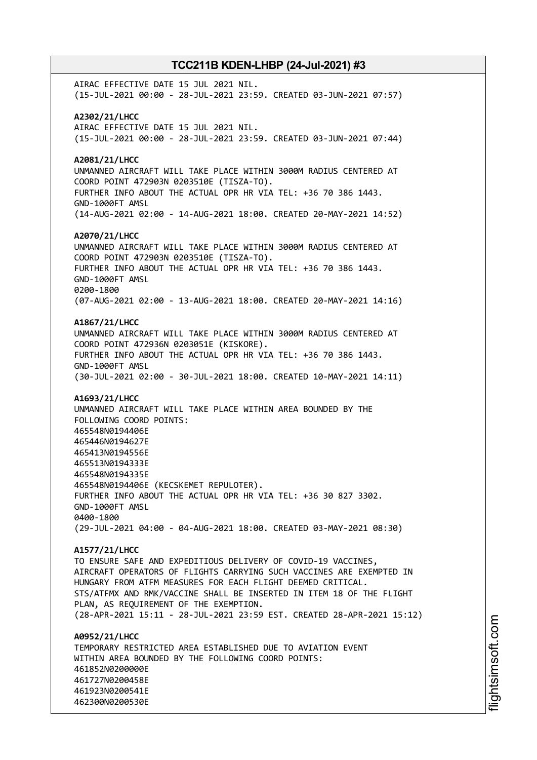AIRAC EFFECTIVE DATE 15 JUL 2021 NIL. (15-JUL-2021 00:00 - 28-JUL-2021 23:59. CREATED 03-JUN-2021 07:57) **A2302/21/LHCC** AIRAC EFFECTIVE DATE 15 JUL 2021 NIL. (15-JUL-2021 00:00 - 28-JUL-2021 23:59. CREATED 03-JUN-2021 07:44) **A2081/21/LHCC** UNMANNED AIRCRAFT WILL TAKE PLACE WITHIN 3000M RADIUS CENTERED AT COORD POINT 472903N 0203510E (TISZA-TO). FURTHER INFO ABOUT THE ACTUAL OPR HR VIA TEL: +36 70 386 1443. GND-1000FT AMSL (14-AUG-2021 02:00 - 14-AUG-2021 18:00. CREATED 20-MAY-2021 14:52) **A2070/21/LHCC** UNMANNED AIRCRAFT WILL TAKE PLACE WITHIN 3000M RADIUS CENTERED AT COORD POINT 472903N 0203510E (TISZA-TO). FURTHER INFO ABOUT THE ACTUAL OPR HR VIA TEL: +36 70 386 1443. GND-1000FT AMSL 0200-1800 (07-AUG-2021 02:00 - 13-AUG-2021 18:00. CREATED 20-MAY-2021 14:16) **A1867/21/LHCC** UNMANNED AIRCRAFT WILL TAKE PLACE WITHIN 3000M RADIUS CENTERED AT COORD POINT 472936N 0203051E (KISKORE). FURTHER INFO ABOUT THE ACTUAL OPR HR VIA TEL: +36 70 386 1443. GND-1000FT AMSL (30-JUL-2021 02:00 - 30-JUL-2021 18:00. CREATED 10-MAY-2021 14:11) **A1693/21/LHCC** UNMANNED AIRCRAFT WILL TAKE PLACE WITHIN AREA BOUNDED BY THE FOLLOWING COORD POINTS: 465548N0194406E 465446N0194627E 465413N0194556E 465513N0194333E 465548N0194335E 465548N0194406E (KECSKEMET REPULOTER). FURTHER INFO ABOUT THE ACTUAL OPR HR VIA TEL: +36 30 827 3302. GND-1000FT AMSL 0400-1800 (29-JUL-2021 04:00 - 04-AUG-2021 18:00. CREATED 03-MAY-2021 08:30) **A1577/21/LHCC** TO ENSURE SAFE AND EXPEDITIOUS DELIVERY OF COVID-19 VACCINES, AIRCRAFT OPERATORS OF FLIGHTS CARRYING SUCH VACCINES ARE EXEMPTED IN HUNGARY FROM ATFM MEASURES FOR EACH FLIGHT DEEMED CRITICAL. STS/ATFMX AND RMK/VACCINE SHALL BE INSERTED IN ITEM 18 OF THE FLIGHT PLAN, AS REQUIREMENT OF THE EXEMPTION. (28-APR-2021 15:11 - 28-JUL-2021 23:59 EST. CREATED 28-APR-2021 15:12) **A0952/21/LHCC** TEMPORARY RESTRICTED AREA ESTABLISHED DUE TO AVIATION EVENT WITHIN AREA BOUNDED BY THE FOLLOWING COORD POINTS: 461852N0200000E 461727N0200458E 461923N0200541E 462300N0200530E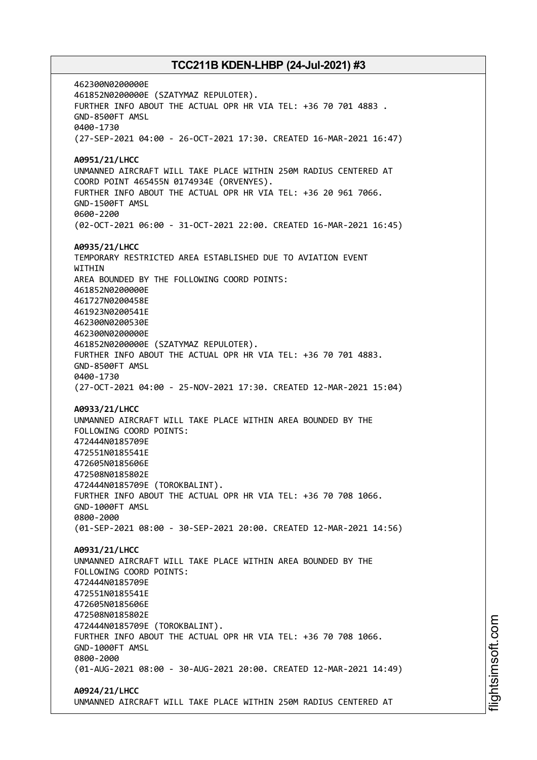462300N0200000E 461852N0200000E (SZATYMAZ REPULOTER). FURTHER INFO ABOUT THE ACTUAL OPR HR VIA TEL: +36 70 701 4883 . GND-8500FT AMSL 0400-1730 (27-SEP-2021 04:00 - 26-OCT-2021 17:30. CREATED 16-MAR-2021 16:47) **A0951/21/LHCC** UNMANNED AIRCRAFT WILL TAKE PLACE WITHIN 250M RADIUS CENTERED AT COORD POINT 465455N 0174934E (ORVENYES). FURTHER INFO ABOUT THE ACTUAL OPR HR VIA TEL: +36 20 961 7066. GND-1500FT AMSL 0600-2200 (02-OCT-2021 06:00 - 31-OCT-2021 22:00. CREATED 16-MAR-2021 16:45) **A0935/21/LHCC** TEMPORARY RESTRICTED AREA ESTABLISHED DUE TO AVIATION EVENT **WITHTN** AREA BOUNDED BY THE FOLLOWING COORD POINTS: 461852N0200000E 461727N0200458E 461923N0200541E 462300N0200530E 462300N0200000E 461852N0200000E (SZATYMAZ REPULOTER). FURTHER INFO ABOUT THE ACTUAL OPR HR VIA TEL: +36 70 701 4883. GND-8500FT AMSL 0400-1730 (27-OCT-2021 04:00 - 25-NOV-2021 17:30. CREATED 12-MAR-2021 15:04) **A0933/21/LHCC** UNMANNED AIRCRAFT WILL TAKE PLACE WITHIN AREA BOUNDED BY THE FOLLOWING COORD POINTS: 472444N0185709E 472551N0185541E 472605N0185606E 472508N0185802E 472444N0185709E (TOROKBALINT). FURTHER INFO ABOUT THE ACTUAL OPR HR VIA TEL: +36 70 708 1066. GND-1000FT AMSL 0800-2000 (01-SEP-2021 08:00 - 30-SEP-2021 20:00. CREATED 12-MAR-2021 14:56) **A0931/21/LHCC** UNMANNED AIRCRAFT WILL TAKE PLACE WITHIN AREA BOUNDED BY THE FOLLOWING COORD POINTS: 472444N0185709E 472551N0185541E 472605N0185606E 472508N0185802E 472444N0185709E (TOROKBALINT). FURTHER INFO ABOUT THE ACTUAL OPR HR VIA TEL: +36 70 708 1066. GND-1000FT AMSL 0800-2000 (01-AUG-2021 08:00 - 30-AUG-2021 20:00. CREATED 12-MAR-2021 14:49) **A0924/21/LHCC** UNMANNED AIRCRAFT WILL TAKE PLACE WITHIN 250M RADIUS CENTERED AT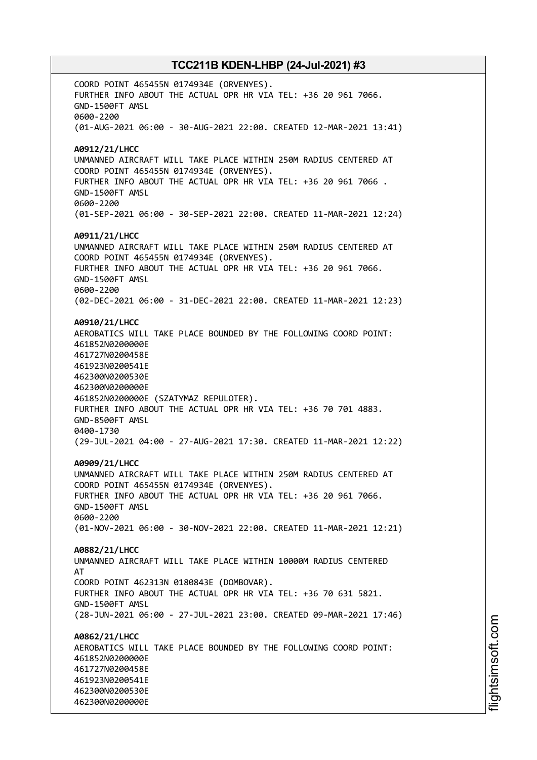COORD POINT 465455N 0174934E (ORVENYES). FURTHER INFO ABOUT THE ACTUAL OPR HR VIA TEL: +36 20 961 7066. GND-1500FT AMSL 0600-2200 (01-AUG-2021 06:00 - 30-AUG-2021 22:00. CREATED 12-MAR-2021 13:41) **A0912/21/LHCC** UNMANNED AIRCRAFT WILL TAKE PLACE WITHIN 250M RADIUS CENTERED AT COORD POINT 465455N 0174934E (ORVENYES). FURTHER INFO ABOUT THE ACTUAL OPR HR VIA TEL: +36 20 961 7066 . GND-1500FT AMSL 0600-2200 (01-SEP-2021 06:00 - 30-SEP-2021 22:00. CREATED 11-MAR-2021 12:24) **A0911/21/LHCC** UNMANNED AIRCRAFT WILL TAKE PLACE WITHIN 250M RADIUS CENTERED AT COORD POINT 465455N 0174934E (ORVENYES). FURTHER INFO ABOUT THE ACTUAL OPR HR VIA TEL: +36 20 961 7066. GND-1500FT AMSL 0600-2200 (02-DEC-2021 06:00 - 31-DEC-2021 22:00. CREATED 11-MAR-2021 12:23) **A0910/21/LHCC** AEROBATICS WILL TAKE PLACE BOUNDED BY THE FOLLOWING COORD POINT: 461852N0200000E 461727N0200458E 461923N0200541E 462300N0200530E 462300N0200000E 461852N0200000E (SZATYMAZ REPULOTER). FURTHER INFO ABOUT THE ACTUAL OPR HR VIA TEL: +36 70 701 4883. GND-8500FT AMSL 0400-1730 (29-JUL-2021 04:00 - 27-AUG-2021 17:30. CREATED 11-MAR-2021 12:22) **A0909/21/LHCC** UNMANNED AIRCRAFT WILL TAKE PLACE WITHIN 250M RADIUS CENTERED AT COORD POINT 465455N 0174934E (ORVENYES). FURTHER INFO ABOUT THE ACTUAL OPR HR VIA TEL: +36 20 961 7066. GND-1500FT AMSL 0600-2200 (01-NOV-2021 06:00 - 30-NOV-2021 22:00. CREATED 11-MAR-2021 12:21) **A0882/21/LHCC** UNMANNED AIRCRAFT WILL TAKE PLACE WITHIN 10000M RADIUS CENTERED AT COORD POINT 462313N 0180843E (DOMBOVAR). FURTHER INFO ABOUT THE ACTUAL OPR HR VIA TEL: +36 70 631 5821. GND-1500FT AMSL (28-JUN-2021 06:00 - 27-JUL-2021 23:00. CREATED 09-MAR-2021 17:46) **A0862/21/LHCC** AEROBATICS WILL TAKE PLACE BOUNDED BY THE FOLLOWING COORD POINT: 461852N0200000E 461727N0200458E 461923N0200541E 462300N0200530E 462300N0200000E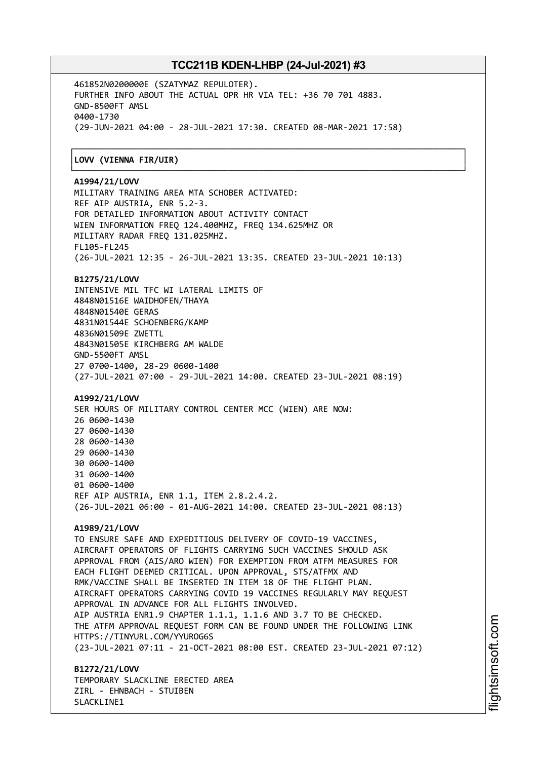┌──────────────────────────────────────────────────────────────────────────────┐

461852N0200000E (SZATYMAZ REPULOTER). FURTHER INFO ABOUT THE ACTUAL OPR HR VIA TEL: +36 70 701 4883. GND-8500FT AMSL 0400-1730 (29-JUN-2021 04:00 - 28-JUL-2021 17:30. CREATED 08-MAR-2021 17:58)

### │**LOVV (VIENNA FIR/UIR)** │

#### └──────────────────────────────────────────────────────────────────────────────┘ **A1994/21/LOVV**

MILITARY TRAINING AREA MTA SCHOBER ACTIVATED: REF AIP AUSTRIA, ENR 5.2-3. FOR DETAILED INFORMATION ABOUT ACTIVITY CONTACT WIEN INFORMATION FREQ 124.400MHZ, FREQ 134.625MHZ OR MILITARY RADAR FREQ 131.025MHZ. FL105-FL245 (26-JUL-2021 12:35 - 26-JUL-2021 13:35. CREATED 23-JUL-2021 10:13)

#### **B1275/21/LOVV**

INTENSIVE MIL TFC WI LATERAL LIMITS OF 4848N01516E WAIDHOFEN/THAYA 4848N01540E GERAS 4831N01544E SCHOENBERG/KAMP 4836N01509E ZWETTL 4843N01505E KIRCHBERG AM WALDE GND-5500FT AMSL 27 0700-1400, 28-29 0600-1400 (27-JUL-2021 07:00 - 29-JUL-2021 14:00. CREATED 23-JUL-2021 08:19)

#### **A1992/21/LOVV**

SER HOURS OF MILITARY CONTROL CENTER MCC (WIEN) ARE NOW: 0600-1430 0600-1430 0600-1430 0600-1430 0600-1400 0600-1400 0600-1400 REF AIP AUSTRIA, ENR 1.1, ITEM 2.8.2.4.2. (26-JUL-2021 06:00 - 01-AUG-2021 14:00. CREATED 23-JUL-2021 08:13)

#### **A1989/21/LOVV**

TO ENSURE SAFE AND EXPEDITIOUS DELIVERY OF COVID-19 VACCINES, AIRCRAFT OPERATORS OF FLIGHTS CARRYING SUCH VACCINES SHOULD ASK APPROVAL FROM (AIS/ARO WIEN) FOR EXEMPTION FROM ATFM MEASURES FOR EACH FLIGHT DEEMED CRITICAL. UPON APPROVAL, STS/ATFMX AND RMK/VACCINE SHALL BE INSERTED IN ITEM 18 OF THE FLIGHT PLAN. AIRCRAFT OPERATORS CARRYING COVID 19 VACCINES REGULARLY MAY REQUEST APPROVAL IN ADVANCE FOR ALL FLIGHTS INVOLVED. AIP AUSTRIA ENR1.9 CHAPTER 1.1.1, 1.1.6 AND 3.7 TO BE CHECKED. THE ATFM APPROVAL REQUEST FORM CAN BE FOUND UNDER THE FOLLOWING LINK HTTPS://TINYURL.COM/YYUROG6S (23-JUL-2021 07:11 - 21-OCT-2021 08:00 EST. CREATED 23-JUL-2021 07:12)

**B1272/21/LOVV** TEMPORARY SLACKLINE ERECTED AREA ZIRL - EHNBACH - STUIBEN SLACKLINE1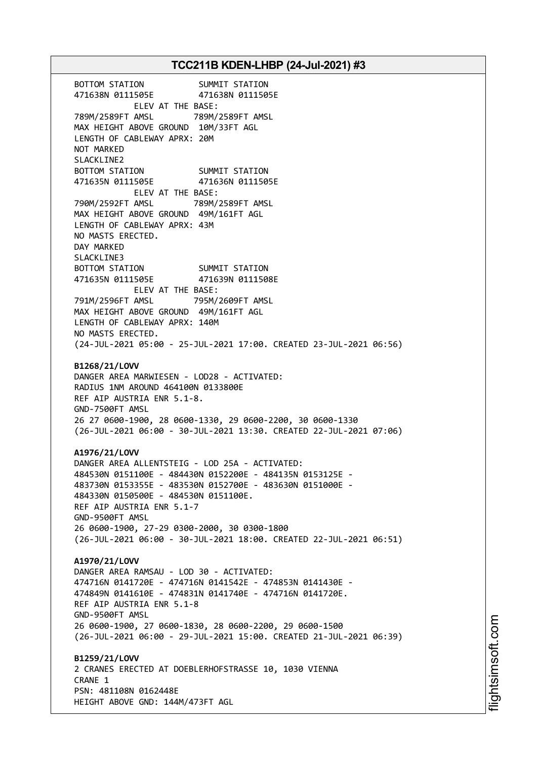BOTTOM STATION SUMMIT STATION 471638N 0111505E 471638N 0111505E ELEV AT THE BASE: 789M/2589FT AMSL 789M/2589FT AMSL MAX HEIGHT ABOVE GROUND 10M/33FT AGL LENGTH OF CABLEWAY APRX: 20M NOT MARKED SLACKLINE2 BOTTOM STATION SUMMIT STATION 471635N 0111505E 471636N 0111505E ELEV AT THE BASE: 790M/2592FT AMSL 789M/2589FT AMSL MAX HEIGHT ABOVE GROUND 49M/161FT AGL LENGTH OF CABLEWAY APRX: 43M NO MASTS ERECTED. DAY MARKED SLACKLINE3 BOTTOM STATION SUMMIT STATION 471635N 0111505E 471639N 0111508E ELEV AT THE BASE: 791M/2596FT AMSL 795M/2609FT AMSL MAX HEIGHT ABOVE GROUND 49M/161FT AGL LENGTH OF CABLEWAY APRX: 140M NO MASTS ERECTED. (24-JUL-2021 05:00 - 25-JUL-2021 17:00. CREATED 23-JUL-2021 06:56) **B1268/21/LOVV** DANGER AREA MARWIESEN - LOD28 - ACTIVATED: RADIUS 1NM AROUND 464100N 0133800E REF AIP AUSTRIA ENR 5.1-8. GND-7500FT AMSL 26 27 0600-1900, 28 0600-1330, 29 0600-2200, 30 0600-1330 (26-JUL-2021 06:00 - 30-JUL-2021 13:30. CREATED 22-JUL-2021 07:06) **A1976/21/LOVV** DANGER AREA ALLENTSTEIG - LOD 25A - ACTIVATED: 484530N 0151100E - 484430N 0152200E - 484135N 0153125E - 483730N 0153355E - 483530N 0152700E - 483630N 0151000E - 484330N 0150500E - 484530N 0151100E. REF AIP AUSTRIA ENR 5.1-7 GND-9500FT AMSL 26 0600-1900, 27-29 0300-2000, 30 0300-1800 (26-JUL-2021 06:00 - 30-JUL-2021 18:00. CREATED 22-JUL-2021 06:51) **A1970/21/LOVV** DANGER AREA RAMSAU - LOD 30 - ACTIVATED: 474716N 0141720E - 474716N 0141542E - 474853N 0141430E - 474849N 0141610E - 474831N 0141740E - 474716N 0141720E. REF AIP AUSTRIA ENR 5.1-8 GND-9500FT AMSL 26 0600-1900, 27 0600-1830, 28 0600-2200, 29 0600-1500 (26-JUL-2021 06:00 - 29-JUL-2021 15:00. CREATED 21-JUL-2021 06:39) **B1259/21/LOVV** 2 CRANES ERECTED AT DOEBLERHOFSTRASSE 10, 1030 VIENNA CRANE 1 PSN: 481108N 0162448E HEIGHT ABOVE GND: 144M/473FT AGL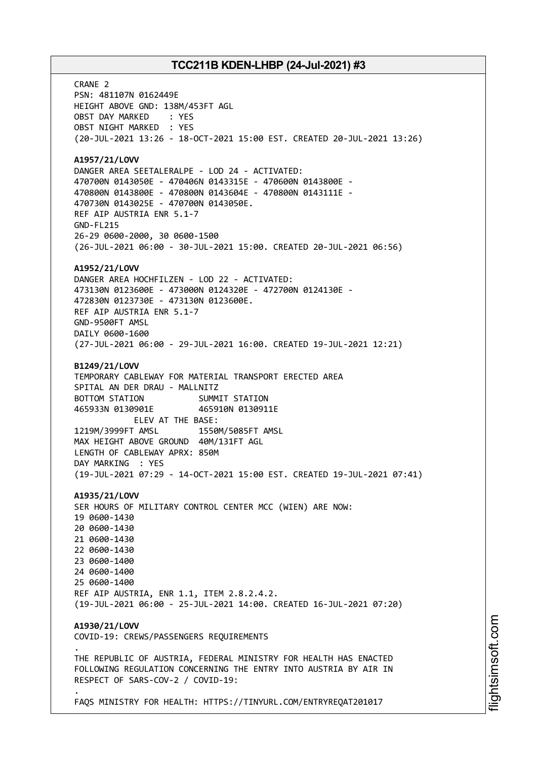CRANE 2 PSN: 481107N 0162449E HEIGHT ABOVE GND: 138M/453FT AGL OBST DAY MARKED : YES OBST NIGHT MARKED : YES (20-JUL-2021 13:26 - 18-OCT-2021 15:00 EST. CREATED 20-JUL-2021 13:26) **A1957/21/LOVV** DANGER AREA SEETALERALPE - LOD 24 - ACTIVATED: 470700N 0143050E - 470406N 0143315E - 470600N 0143800E - 470800N 0143800E - 470800N 0143604E - 470800N 0143111E - 470730N 0143025E - 470700N 0143050E. REF AIP AUSTRIA ENR 5.1-7 GND-FL215 26-29 0600-2000, 30 0600-1500 (26-JUL-2021 06:00 - 30-JUL-2021 15:00. CREATED 20-JUL-2021 06:56) **A1952/21/LOVV** DANGER AREA HOCHFILZEN - LOD 22 - ACTIVATED: 473130N 0123600E - 473000N 0124320E - 472700N 0124130E - 472830N 0123730E - 473130N 0123600E. REF AIP AUSTRIA ENR 5.1-7 GND-9500FT AMSL DAILY 0600-1600 (27-JUL-2021 06:00 - 29-JUL-2021 16:00. CREATED 19-JUL-2021 12:21) **B1249/21/LOVV** TEMPORARY CABLEWAY FOR MATERIAL TRANSPORT ERECTED AREA SPITAL AN DER DRAU - MALLNITZ BOTTOM STATION SUMMIT STATION 465933N 0130901E 465910N 0130911E ELEV AT THE BASE: 1219M/3999FT AMSL 1550M/5085FT AMSL MAX HEIGHT ABOVE GROUND 40M/131FT AGL LENGTH OF CABLEWAY APRX: 850M DAY MARKING : YES (19-JUL-2021 07:29 - 14-OCT-2021 15:00 EST. CREATED 19-JUL-2021 07:41) **A1935/21/LOVV** SER HOURS OF MILITARY CONTROL CENTER MCC (WIEN) ARE NOW: 19 0600-1430 20 0600-1430 21 0600-1430 22 0600-1430 23 0600-1400 24 0600-1400 25 0600-1400 REF AIP AUSTRIA, ENR 1.1, ITEM 2.8.2.4.2. (19-JUL-2021 06:00 - 25-JUL-2021 14:00. CREATED 16-JUL-2021 07:20) **A1930/21/LOVV** COVID-19: CREWS/PASSENGERS REQUIREMENTS . THE REPUBLIC OF AUSTRIA, FEDERAL MINISTRY FOR HEALTH HAS ENACTED FOLLOWING REGULATION CONCERNING THE ENTRY INTO AUSTRIA BY AIR IN RESPECT OF SARS-COV-2 / COVID-19: .

FAQS MINISTRY FOR HEALTH: HTTPS://TINYURL.COM/ENTRYREQAT201017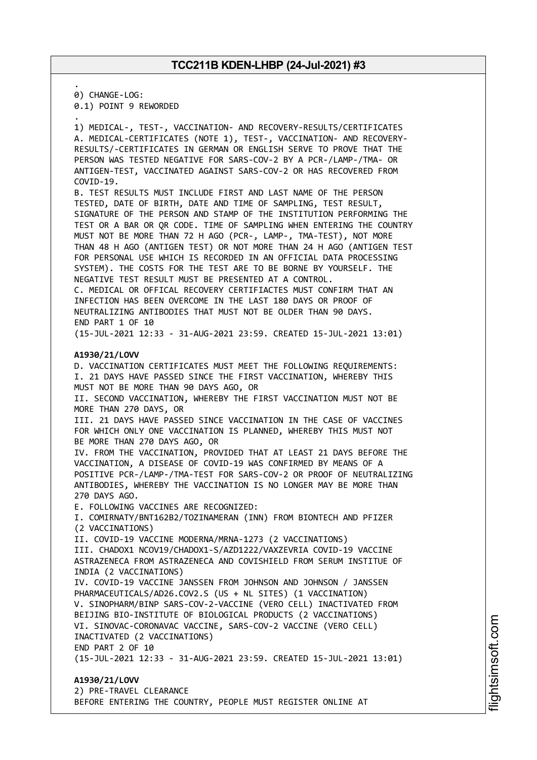. 0) CHANGE-LOG:

0.1) POINT 9 REWORDED

. 1) MEDICAL-, TEST-, VACCINATION- AND RECOVERY-RESULTS/CERTIFICATES A. MEDICAL-CERTIFICATES (NOTE 1), TEST-, VACCINATION- AND RECOVERY-RESULTS/-CERTIFICATES IN GERMAN OR ENGLISH SERVE TO PROVE THAT THE PERSON WAS TESTED NEGATIVE FOR SARS-COV-2 BY A PCR-/LAMP-/TMA- OR ANTIGEN-TEST, VACCINATED AGAINST SARS-COV-2 OR HAS RECOVERED FROM COVID-19.

B. TEST RESULTS MUST INCLUDE FIRST AND LAST NAME OF THE PERSON TESTED, DATE OF BIRTH, DATE AND TIME OF SAMPLING, TEST RESULT, SIGNATURE OF THE PERSON AND STAMP OF THE INSTITUTION PERFORMING THE TEST OR A BAR OR QR CODE. TIME OF SAMPLING WHEN ENTERING THE COUNTRY MUST NOT BE MORE THAN 72 H AGO (PCR-, LAMP-, TMA-TEST), NOT MORE THAN 48 H AGO (ANTIGEN TEST) OR NOT MORE THAN 24 H AGO (ANTIGEN TEST FOR PERSONAL USE WHICH IS RECORDED IN AN OFFICIAL DATA PROCESSING SYSTEM). THE COSTS FOR THE TEST ARE TO BE BORNE BY YOURSELF. THE NEGATIVE TEST RESULT MUST BE PRESENTED AT A CONTROL. C. MEDICAL OR OFFICAL RECOVERY CERTIFIACTES MUST CONFIRM THAT AN INFECTION HAS BEEN OVERCOME IN THE LAST 180 DAYS OR PROOF OF NEUTRALIZING ANTIBODIES THAT MUST NOT BE OLDER THAN 90 DAYS. END PART 1 OF 10

(15-JUL-2021 12:33 - 31-AUG-2021 23:59. CREATED 15-JUL-2021 13:01)

#### **A1930/21/LOVV**

D. VACCINATION CERTIFICATES MUST MEET THE FOLLOWING REQUIREMENTS: I. 21 DAYS HAVE PASSED SINCE THE FIRST VACCINATION, WHEREBY THIS MUST NOT BE MORE THAN 90 DAYS AGO, OR II. SECOND VACCINATION, WHEREBY THE FIRST VACCINATION MUST NOT BE MORE THAN 270 DAYS, OR III. 21 DAYS HAVE PASSED SINCE VACCINATION IN THE CASE OF VACCINES FOR WHICH ONLY ONE VACCINATION IS PLANNED, WHEREBY THIS MUST NOT BE MORE THAN 270 DAYS AGO, OR IV. FROM THE VACCINATION, PROVIDED THAT AT LEAST 21 DAYS BEFORE THE VACCINATION, A DISEASE OF COVID-19 WAS CONFIRMED BY MEANS OF A POSITIVE PCR-/LAMP-/TMA-TEST FOR SARS-COV-2 OR PROOF OF NEUTRALIZING ANTIBODIES, WHEREBY THE VACCINATION IS NO LONGER MAY BE MORE THAN 270 DAYS AGO. E. FOLLOWING VACCINES ARE RECOGNIZED: I. COMIRNATY/BNT162B2/TOZINAMERAN (INN) FROM BIONTECH AND PFIZER (2 VACCINATIONS) II. COVID-19 VACCINE MODERNA/MRNA-1273 (2 VACCINATIONS) III. CHADOX1 NCOV19/CHADOX1-S/AZD1222/VAXZEVRIA COVID-19 VACCINE ASTRAZENECA FROM ASTRAZENECA AND COVISHIELD FROM SERUM INSTITUE OF INDIA (2 VACCINATIONS) IV. COVID-19 VACCINE JANSSEN FROM JOHNSON AND JOHNSON / JANSSEN PHARMACEUTICALS/AD26.COV2.S (US + NL SITES) (1 VACCINATION) V. SINOPHARM/BINP SARS-COV-2-VACCINE (VERO CELL) INACTIVATED FROM BEIJING BIO-INSTITUTE OF BIOLOGICAL PRODUCTS (2 VACCINATIONS) VI. SINOVAC-CORONAVAC VACCINE, SARS-COV-2 VACCINE (VERO CELL) INACTIVATED (2 VACCINATIONS) END PART 2 OF 10 (15-JUL-2021 12:33 - 31-AUG-2021 23:59. CREATED 15-JUL-2021 13:01) **A1930/21/LOVV**

2) PRE-TRAVEL CLEARANCE BEFORE ENTERING THE COUNTRY, PEOPLE MUST REGISTER ONLINE AT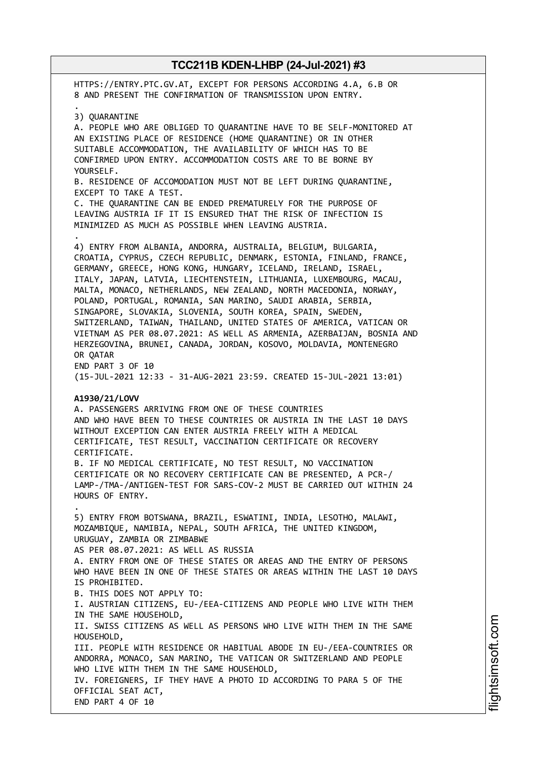HTTPS://ENTRY.PTC.GV.AT, EXCEPT FOR PERSONS ACCORDING 4.A, 6.B OR 8 AND PRESENT THE CONFIRMATION OF TRANSMISSION UPON ENTRY. . 3) QUARANTINE A. PEOPLE WHO ARE OBLIGED TO QUARANTINE HAVE TO BE SELF-MONITORED AT AN EXISTING PLACE OF RESIDENCE (HOME QUARANTINE) OR IN OTHER SUITABLE ACCOMMODATION, THE AVAILABILITY OF WHICH HAS TO BE CONFIRMED UPON ENTRY. ACCOMMODATION COSTS ARE TO BE BORNE BY YOURSELF. B. RESIDENCE OF ACCOMODATION MUST NOT BE LEFT DURING QUARANTINE, EXCEPT TO TAKE A TEST. C. THE QUARANTINE CAN BE ENDED PREMATURELY FOR THE PURPOSE OF LEAVING AUSTRIA IF IT IS ENSURED THAT THE RISK OF INFECTION IS MINIMIZED AS MUCH AS POSSIBLE WHEN LEAVING AUSTRIA. . 4) ENTRY FROM ALBANIA, ANDORRA, AUSTRALIA, BELGIUM, BULGARIA, CROATIA, CYPRUS, CZECH REPUBLIC, DENMARK, ESTONIA, FINLAND, FRANCE, GERMANY, GREECE, HONG KONG, HUNGARY, ICELAND, IRELAND, ISRAEL, ITALY, JAPAN, LATVIA, LIECHTENSTEIN, LITHUANIA, LUXEMBOURG, MACAU, MALTA, MONACO, NETHERLANDS, NEW ZEALAND, NORTH MACEDONIA, NORWAY, POLAND, PORTUGAL, ROMANIA, SAN MARINO, SAUDI ARABIA, SERBIA, SINGAPORE, SLOVAKIA, SLOVENIA, SOUTH KOREA, SPAIN, SWEDEN, SWITZERLAND, TAIWAN, THAILAND, UNITED STATES OF AMERICA, VATICAN OR VIETNAM AS PER 08.07.2021: AS WELL AS ARMENIA, AZERBAIJAN, BOSNIA AND HERZEGOVINA, BRUNEI, CANADA, JORDAN, KOSOVO, MOLDAVIA, MONTENEGRO OR QATAR END PART 3 OF 10 (15-JUL-2021 12:33 - 31-AUG-2021 23:59. CREATED 15-JUL-2021 13:01) **A1930/21/LOVV** A. PASSENGERS ARRIVING FROM ONE OF THESE COUNTRIES AND WHO HAVE BEEN TO THESE COUNTRIES OR AUSTRIA IN THE LAST 10 DAYS WITHOUT EXCEPTION CAN ENTER AUSTRIA FREELY WITH A MEDICAL CERTIFICATE, TEST RESULT, VACCINATION CERTIFICATE OR RECOVERY CERTIFICATE. B. IF NO MEDICAL CERTIFICATE, NO TEST RESULT, NO VACCINATION CERTIFICATE OR NO RECOVERY CERTIFICATE CAN BE PRESENTED, A PCR-/ LAMP-/TMA-/ANTIGEN-TEST FOR SARS-COV-2 MUST BE CARRIED OUT WITHIN 24 HOURS OF ENTRY. . 5) ENTRY FROM BOTSWANA, BRAZIL, ESWATINI, INDIA, LESOTHO, MALAWI, MOZAMBIQUE, NAMIBIA, NEPAL, SOUTH AFRICA, THE UNITED KINGDOM, URUGUAY, ZAMBIA OR ZIMBABWE AS PER 08.07.2021: AS WELL AS RUSSIA A. ENTRY FROM ONE OF THESE STATES OR AREAS AND THE ENTRY OF PERSONS WHO HAVE BEEN IN ONE OF THESE STATES OR AREAS WITHIN THE LAST 10 DAYS IS PROHIBITED. B. THIS DOES NOT APPLY TO: I. AUSTRIAN CITIZENS, EU-/EEA-CITIZENS AND PEOPLE WHO LIVE WITH THEM IN THE SAME HOUSEHOLD, II. SWISS CITIZENS AS WELL AS PERSONS WHO LIVE WITH THEM IN THE SAME HOUSEHOLD, III. PEOPLE WITH RESIDENCE OR HABITUAL ABODE IN EU-/EEA-COUNTRIES OR ANDORRA, MONACO, SAN MARINO, THE VATICAN OR SWITZERLAND AND PEOPLE WHO LIVE WITH THEM IN THE SAME HOUSEHOLD, IV. FOREIGNERS, IF THEY HAVE A PHOTO ID ACCORDING TO PARA 5 OF THE OFFICIAL SEAT ACT, END PART 4 OF 10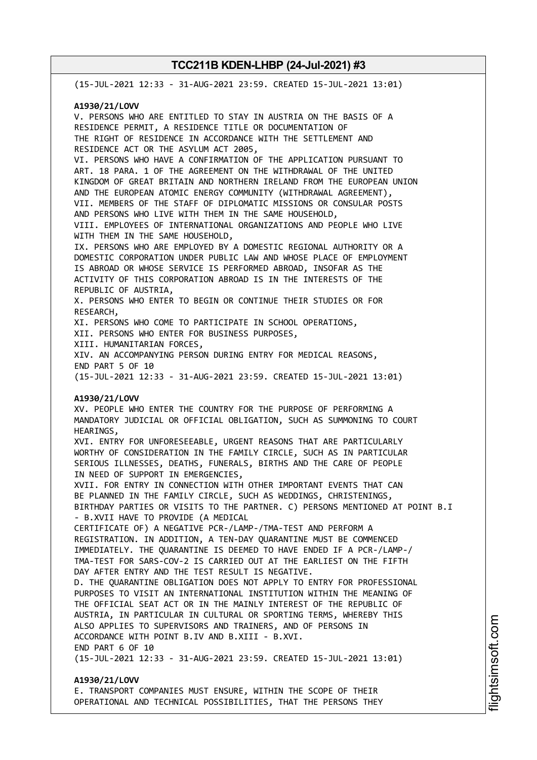(15-JUL-2021 12:33 - 31-AUG-2021 23:59. CREATED 15-JUL-2021 13:01) **A1930/21/LOVV** V. PERSONS WHO ARE ENTITLED TO STAY IN AUSTRIA ON THE BASIS OF A RESIDENCE PERMIT, A RESIDENCE TITLE OR DOCUMENTATION OF THE RIGHT OF RESIDENCE IN ACCORDANCE WITH THE SETTLEMENT AND RESIDENCE ACT OR THE ASYLUM ACT 2005, VI. PERSONS WHO HAVE A CONFIRMATION OF THE APPLICATION PURSUANT TO ART. 18 PARA. 1 OF THE AGREEMENT ON THE WITHDRAWAL OF THE UNITED KINGDOM OF GREAT BRITAIN AND NORTHERN IRELAND FROM THE EUROPEAN UNION AND THE EUROPEAN ATOMIC ENERGY COMMUNITY (WITHDRAWAL AGREEMENT), VII. MEMBERS OF THE STAFF OF DIPLOMATIC MISSIONS OR CONSULAR POSTS AND PERSONS WHO LIVE WITH THEM IN THE SAME HOUSEHOLD, VIII. EMPLOYEES OF INTERNATIONAL ORGANIZATIONS AND PEOPLE WHO LIVE WITH THEM IN THE SAME HOUSEHOLD, IX. PERSONS WHO ARE EMPLOYED BY A DOMESTIC REGIONAL AUTHORITY OR A DOMESTIC CORPORATION UNDER PUBLIC LAW AND WHOSE PLACE OF EMPLOYMENT IS ABROAD OR WHOSE SERVICE IS PERFORMED ABROAD, INSOFAR AS THE ACTIVITY OF THIS CORPORATION ABROAD IS IN THE INTERESTS OF THE REPUBLIC OF AUSTRIA, X. PERSONS WHO ENTER TO BEGIN OR CONTINUE THEIR STUDIES OR FOR RESEARCH, XI. PERSONS WHO COME TO PARTICIPATE IN SCHOOL OPERATIONS, XII. PERSONS WHO ENTER FOR BUSINESS PURPOSES, XIII. HUMANITARIAN FORCES, XIV. AN ACCOMPANYING PERSON DURING ENTRY FOR MEDICAL REASONS, END PART 5 OF 10 (15-JUL-2021 12:33 - 31-AUG-2021 23:59. CREATED 15-JUL-2021 13:01) **A1930/21/LOVV** XV. PEOPLE WHO ENTER THE COUNTRY FOR THE PURPOSE OF PERFORMING A MANDATORY JUDICIAL OR OFFICIAL OBLIGATION, SUCH AS SUMMONING TO COURT HEARINGS, XVI. ENTRY FOR UNFORESEEABLE, URGENT REASONS THAT ARE PARTICULARLY WORTHY OF CONSIDERATION IN THE FAMILY CIRCLE, SUCH AS IN PARTICULAR SERIOUS ILLNESSES, DEATHS, FUNERALS, BIRTHS AND THE CARE OF PEOPLE IN NEED OF SUPPORT IN EMERGENCIES, XVII. FOR ENTRY IN CONNECTION WITH OTHER IMPORTANT EVENTS THAT CAN BE PLANNED IN THE FAMILY CIRCLE, SUCH AS WEDDINGS, CHRISTENINGS, BIRTHDAY PARTIES OR VISITS TO THE PARTNER. C) PERSONS MENTIONED AT POINT B.I - B.XVII HAVE TO PROVIDE (A MEDICAL CERTIFICATE OF) A NEGATIVE PCR-/LAMP-/TMA-TEST AND PERFORM A REGISTRATION. IN ADDITION, A TEN-DAY QUARANTINE MUST BE COMMENCED IMMEDIATELY. THE QUARANTINE IS DEEMED TO HAVE ENDED IF A PCR-/LAMP-/ TMA-TEST FOR SARS-COV-2 IS CARRIED OUT AT THE EARLIEST ON THE FIFTH DAY AFTER ENTRY AND THE TEST RESULT IS NEGATIVE. D. THE QUARANTINE OBLIGATION DOES NOT APPLY TO ENTRY FOR PROFESSIONAL PURPOSES TO VISIT AN INTERNATIONAL INSTITUTION WITHIN THE MEANING OF THE OFFICIAL SEAT ACT OR IN THE MAINLY INTEREST OF THE REPUBLIC OF AUSTRIA, IN PARTICULAR IN CULTURAL OR SPORTING TERMS, WHEREBY THIS ALSO APPLIES TO SUPERVISORS AND TRAINERS, AND OF PERSONS IN ACCORDANCE WITH POINT B.IV AND B.XIII - B.XVI. END PART 6 OF 10 (15-JUL-2021 12:33 - 31-AUG-2021 23:59. CREATED 15-JUL-2021 13:01) **A1930/21/LOVV** E. TRANSPORT COMPANIES MUST ENSURE, WITHIN THE SCOPE OF THEIR

OPERATIONAL AND TECHNICAL POSSIBILITIES, THAT THE PERSONS THEY

m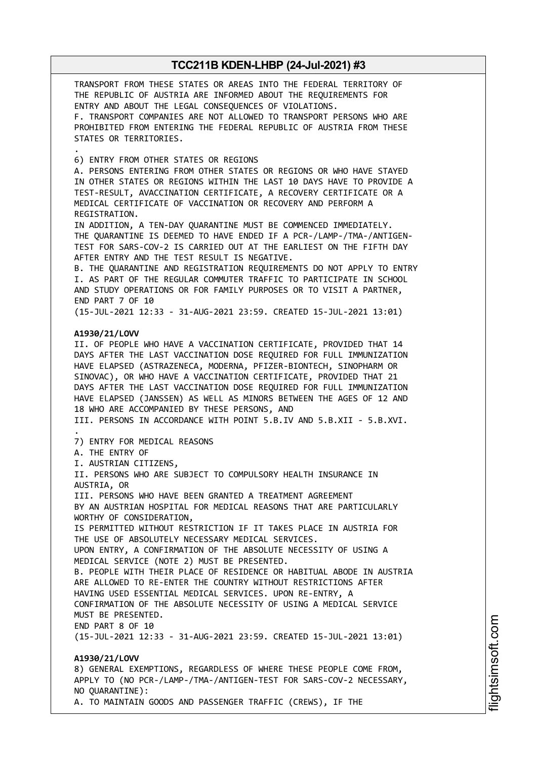TRANSPORT FROM THESE STATES OR AREAS INTO THE FEDERAL TERRITORY OF THE REPUBLIC OF AUSTRIA ARE INFORMED ABOUT THE REQUIREMENTS FOR ENTRY AND ABOUT THE LEGAL CONSEQUENCES OF VIOLATIONS. F. TRANSPORT COMPANIES ARE NOT ALLOWED TO TRANSPORT PERSONS WHO ARE PROHIBITED FROM ENTERING THE FEDERAL REPUBLIC OF AUSTRIA FROM THESE STATES OR TERRITORIES. . 6) ENTRY FROM OTHER STATES OR REGIONS A. PERSONS ENTERING FROM OTHER STATES OR REGIONS OR WHO HAVE STAYED IN OTHER STATES OR REGIONS WITHIN THE LAST 10 DAYS HAVE TO PROVIDE A TEST-RESULT, AVACCINATION CERTIFICATE, A RECOVERY CERTIFICATE OR A MEDICAL CERTIFICATE OF VACCINATION OR RECOVERY AND PERFORM A REGISTRATION. IN ADDITION, A TEN-DAY QUARANTINE MUST BE COMMENCED IMMEDIATELY. THE QUARANTINE IS DEEMED TO HAVE ENDED IF A PCR-/LAMP-/TMA-/ANTIGEN-TEST FOR SARS-COV-2 IS CARRIED OUT AT THE EARLIEST ON THE FIFTH DAY AFTER ENTRY AND THE TEST RESULT IS NEGATIVE. B. THE QUARANTINE AND REGISTRATION REQUIREMENTS DO NOT APPLY TO ENTRY I. AS PART OF THE REGULAR COMMUTER TRAFFIC TO PARTICIPATE IN SCHOOL AND STUDY OPERATIONS OR FOR FAMILY PURPOSES OR TO VISIT A PARTNER, END PART 7 OF 10 (15-JUL-2021 12:33 - 31-AUG-2021 23:59. CREATED 15-JUL-2021 13:01) **A1930/21/LOVV** II. OF PEOPLE WHO HAVE A VACCINATION CERTIFICATE, PROVIDED THAT 14 DAYS AFTER THE LAST VACCINATION DOSE REQUIRED FOR FULL IMMUNIZATION HAVE ELAPSED (ASTRAZENECA, MODERNA, PFIZER-BIONTECH, SINOPHARM OR SINOVAC), OR WHO HAVE A VACCINATION CERTIFICATE, PROVIDED THAT 21 DAYS AFTER THE LAST VACCINATION DOSE REQUIRED FOR FULL IMMUNIZATION HAVE ELAPSED (JANSSEN) AS WELL AS MINORS BETWEEN THE AGES OF 12 AND 18 WHO ARE ACCOMPANIED BY THESE PERSONS, AND III. PERSONS IN ACCORDANCE WITH POINT 5.B.IV AND 5.B.XII - 5.B.XVI. . 7) ENTRY FOR MEDICAL REASONS A. THE ENTRY OF I. AUSTRIAN CITIZENS, II. PERSONS WHO ARE SUBJECT TO COMPULSORY HEALTH INSURANCE IN AUSTRIA, OR III. PERSONS WHO HAVE BEEN GRANTED A TREATMENT AGREEMENT BY AN AUSTRIAN HOSPITAL FOR MEDICAL REASONS THAT ARE PARTICULARLY WORTHY OF CONSIDERATION, IS PERMITTED WITHOUT RESTRICTION IF IT TAKES PLACE IN AUSTRIA FOR THE USE OF ABSOLUTELY NECESSARY MEDICAL SERVICES. UPON ENTRY, A CONFIRMATION OF THE ABSOLUTE NECESSITY OF USING A MEDICAL SERVICE (NOTE 2) MUST BE PRESENTED. B. PEOPLE WITH THEIR PLACE OF RESIDENCE OR HABITUAL ABODE IN AUSTRIA ARE ALLOWED TO RE-ENTER THE COUNTRY WITHOUT RESTRICTIONS AFTER HAVING USED ESSENTIAL MEDICAL SERVICES. UPON RE-ENTRY, A CONFIRMATION OF THE ABSOLUTE NECESSITY OF USING A MEDICAL SERVICE MUST BE PRESENTED. END PART 8 OF 10 (15-JUL-2021 12:33 - 31-AUG-2021 23:59. CREATED 15-JUL-2021 13:01) **A1930/21/LOVV** 8) GENERAL EXEMPTIONS, REGARDLESS OF WHERE THESE PEOPLE COME FROM, APPLY TO (NO PCR-/LAMP-/TMA-/ANTIGEN-TEST FOR SARS-COV-2 NECESSARY, NO QUARANTINE):

A. TO MAINTAIN GOODS AND PASSENGER TRAFFIC (CREWS), IF THE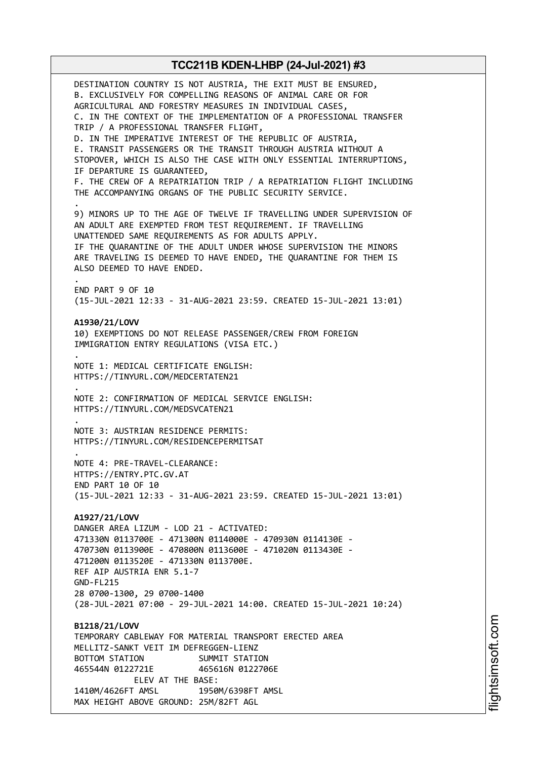DESTINATION COUNTRY IS NOT AUSTRIA, THE EXIT MUST BE ENSURED, B. EXCLUSIVELY FOR COMPELLING REASONS OF ANIMAL CARE OR FOR AGRICULTURAL AND FORESTRY MEASURES IN INDIVIDUAL CASES, C. IN THE CONTEXT OF THE IMPLEMENTATION OF A PROFESSIONAL TRANSFER TRIP / A PROFESSIONAL TRANSFER FLIGHT, D. IN THE IMPERATIVE INTEREST OF THE REPUBLIC OF AUSTRIA, E. TRANSIT PASSENGERS OR THE TRANSIT THROUGH AUSTRIA WITHOUT A STOPOVER, WHICH IS ALSO THE CASE WITH ONLY ESSENTIAL INTERRUPTIONS, IF DEPARTURE IS GUARANTEED, F. THE CREW OF A REPATRIATION TRIP / A REPATRIATION FLIGHT INCLUDING THE ACCOMPANYING ORGANS OF THE PUBLIC SECURITY SERVICE. . 9) MINORS UP TO THE AGE OF TWELVE IF TRAVELLING UNDER SUPERVISION OF AN ADULT ARE EXEMPTED FROM TEST REQUIREMENT. IF TRAVELLING UNATTENDED SAME REQUIREMENTS AS FOR ADULTS APPLY. IF THE QUARANTINE OF THE ADULT UNDER WHOSE SUPERVISION THE MINORS ARE TRAVELING IS DEEMED TO HAVE ENDED, THE QUARANTINE FOR THEM IS ALSO DEEMED TO HAVE ENDED. . END PART 9 OF 10 (15-JUL-2021 12:33 - 31-AUG-2021 23:59. CREATED 15-JUL-2021 13:01) **A1930/21/LOVV** 10) EXEMPTIONS DO NOT RELEASE PASSENGER/CREW FROM FOREIGN IMMIGRATION ENTRY REGULATIONS (VISA ETC.) . NOTE 1: MEDICAL CERTIFICATE ENGLISH: HTTPS://TINYURL.COM/MEDCERTATEN21 . NOTE 2: CONFIRMATION OF MEDICAL SERVICE ENGLISH: HTTPS://TINYURL.COM/MEDSVCATEN21 . NOTE 3: AUSTRIAN RESIDENCE PERMITS: HTTPS://TINYURL.COM/RESIDENCEPERMITSAT . NOTE 4: PRE-TRAVEL-CLEARANCE: HTTPS://ENTRY.PTC.GV.AT END PART 10 OF 10 (15-JUL-2021 12:33 - 31-AUG-2021 23:59. CREATED 15-JUL-2021 13:01) **A1927/21/LOVV** DANGER AREA LIZUM - LOD 21 - ACTIVATED: 471330N 0113700E - 471300N 0114000E - 470930N 0114130E - 470730N 0113900E - 470800N 0113600E - 471020N 0113430E - 471200N 0113520E - 471330N 0113700E. REF AIP AUSTRIA ENR 5.1-7 GND-FL215 28 0700-1300, 29 0700-1400 (28-JUL-2021 07:00 - 29-JUL-2021 14:00. CREATED 15-JUL-2021 10:24) **B1218/21/LOVV** TEMPORARY CABLEWAY FOR MATERIAL TRANSPORT ERECTED AREA MELLITZ-SANKT VEIT IM DEFREGGEN-LIENZ BOTTOM STATION SUMMIT STATION 465544N 0122721E 465616N 0122706E ELEV AT THE BASE: 1410M/4626FT AMSL 1950M/6398FT AMSL MAX HEIGHT ABOVE GROUND: 25M/82FT AGL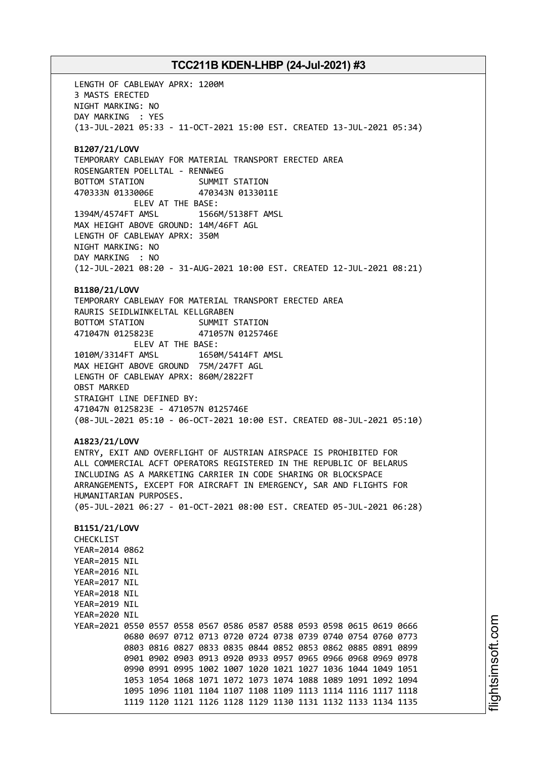LENGTH OF CABLEWAY APRX: 1200M 3 MASTS ERECTED NIGHT MARKING: NO DAY MARKING : YES (13-JUL-2021 05:33 - 11-OCT-2021 15:00 EST. CREATED 13-JUL-2021 05:34) **B1207/21/LOVV** TEMPORARY CABLEWAY FOR MATERIAL TRANSPORT ERECTED AREA ROSENGARTEN POELLTAL - RENNWEG BOTTOM STATION SUMMIT STATION 470333N 0133006E 470343N 0133011E ELEV AT THE BASE: 1394M/4574FT AMSL 1566M/5138FT AMSL MAX HEIGHT ABOVE GROUND: 14M/46FT AGL LENGTH OF CABLEWAY APRX: 350M NIGHT MARKING: NO DAY MARKING : NO (12-JUL-2021 08:20 - 31-AUG-2021 10:00 EST. CREATED 12-JUL-2021 08:21) **B1180/21/LOVV** TEMPORARY CABLEWAY FOR MATERIAL TRANSPORT ERECTED AREA RAURIS SEIDLWINKELTAL KELLGRABEN BOTTOM STATION SUMMIT STATION 471047N 0125823E 471057N 0125746E ELEV AT THE BASE: 1010M/3314FT AMSL 1650M/5414FT AMSL MAX HEIGHT ABOVE GROUND 75M/247FT AGL LENGTH OF CABLEWAY APRX: 860M/2822FT OBST MARKED STRAIGHT LINE DEFINED BY: 471047N 0125823E - 471057N 0125746E (08-JUL-2021 05:10 - 06-OCT-2021 10:00 EST. CREATED 08-JUL-2021 05:10) **A1823/21/LOVV** ENTRY, EXIT AND OVERFLIGHT OF AUSTRIAN AIRSPACE IS PROHIBITED FOR ALL COMMERCIAL ACFT OPERATORS REGISTERED IN THE REPUBLIC OF BELARUS INCLUDING AS A MARKETING CARRIER IN CODE SHARING OR BLOCKSPACE ARRANGEMENTS, EXCEPT FOR AIRCRAFT IN EMERGENCY, SAR AND FLIGHTS FOR HUMANITARIAN PURPOSES. (05-JUL-2021 06:27 - 01-OCT-2021 08:00 EST. CREATED 05-JUL-2021 06:28) **B1151/21/LOVV** CHECKLIST YEAR=2014 0862 YEAR=2015 NIL YEAR=2016 NIL YEAR=2017 NIL YEAR=2018 NIL YEAR=2019 NIL YEAR=2020 NIL YEAR=2021 0550 0557 0558 0567 0586 0587 0588 0593 0598 0615 0619 0666 0680 0697 0712 0713 0720 0724 0738 0739 0740 0754 0760 0773 0803 0816 0827 0833 0835 0844 0852 0853 0862 0885 0891 0899 0901 0902 0903 0913 0920 0933 0957 0965 0966 0968 0969 0978 0990 0991 0995 1002 1007 1020 1021 1027 1036 1044 1049 1051 1053 1054 1068 1071 1072 1073 1074 1088 1089 1091 1092 1094 1095 1096 1101 1104 1107 1108 1109 1113 1114 1116 1117 1118 1119 1120 1121 1126 1128 1129 1130 1131 1132 1133 1134 1135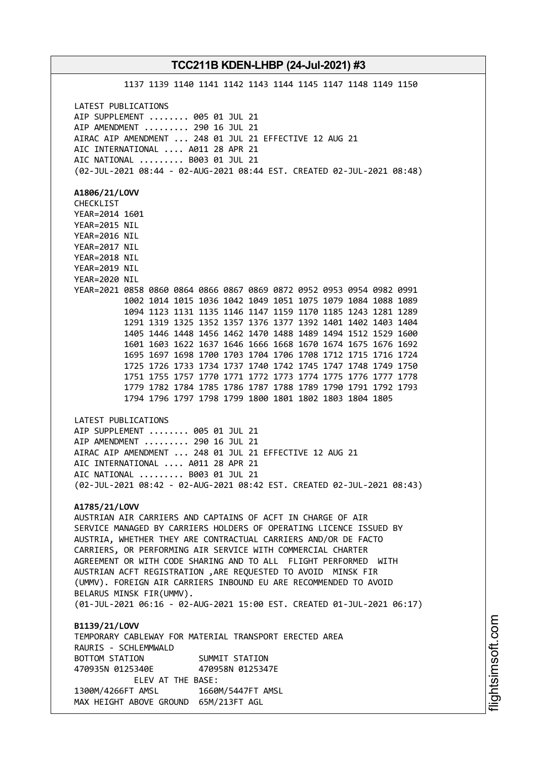1137 1139 1140 1141 1142 1143 1144 1145 1147 1148 1149 1150 LATEST PUBLICATIONS AIP SUPPLEMENT ........ 005 01 JUL 21 AIP AMENDMENT ......... 290 16 JUL 21 AIRAC AIP AMENDMENT ... 248 01 JUL 21 EFFECTIVE 12 AUG 21 AIC INTERNATIONAL .... A011 28 APR 21 AIC NATIONAL ......... B003 01 JUL 21 (02-JUL-2021 08:44 - 02-AUG-2021 08:44 EST. CREATED 02-JUL-2021 08:48) **A1806/21/LOVV** CHECKLIST YEAR=2014 1601 YEAR=2015 NIL YEAR=2016 NIL YEAR=2017 NIL YEAR=2018 NIL YEAR=2019 NIL YEAR=2020 NIL YEAR=2021 0858 0860 0864 0866 0867 0869 0872 0952 0953 0954 0982 0991 1002 1014 1015 1036 1042 1049 1051 1075 1079 1084 1088 1089 1094 1123 1131 1135 1146 1147 1159 1170 1185 1243 1281 1289 1291 1319 1325 1352 1357 1376 1377 1392 1401 1402 1403 1404 1405 1446 1448 1456 1462 1470 1488 1489 1494 1512 1529 1600 1601 1603 1622 1637 1646 1666 1668 1670 1674 1675 1676 1692 1695 1697 1698 1700 1703 1704 1706 1708 1712 1715 1716 1724 1725 1726 1733 1734 1737 1740 1742 1745 1747 1748 1749 1750 1751 1755 1757 1770 1771 1772 1773 1774 1775 1776 1777 1778 1779 1782 1784 1785 1786 1787 1788 1789 1790 1791 1792 1793 1794 1796 1797 1798 1799 1800 1801 1802 1803 1804 1805 LATEST PUBLICATIONS AIP SUPPLEMENT ........ 005 01 JUL 21 AIP AMENDMENT ......... 290 16 JUL 21 AIRAC AIP AMENDMENT ... 248 01 JUL 21 EFFECTIVE 12 AUG 21 AIC INTERNATIONAL .... A011 28 APR 21 AIC NATIONAL ......... B003 01 JUL 21 (02-JUL-2021 08:42 - 02-AUG-2021 08:42 EST. CREATED 02-JUL-2021 08:43) **A1785/21/LOVV** AUSTRIAN AIR CARRIERS AND CAPTAINS OF ACFT IN CHARGE OF AIR SERVICE MANAGED BY CARRIERS HOLDERS OF OPERATING LICENCE ISSUED BY AUSTRIA, WHETHER THEY ARE CONTRACTUAL CARRIERS AND/OR DE FACTO CARRIERS, OR PERFORMING AIR SERVICE WITH COMMERCIAL CHARTER AGREEMENT OR WITH CODE SHARING AND TO ALL FLIGHT PERFORMED WITH AUSTRIAN ACFT REGISTRATION ,ARE REQUESTED TO AVOID MINSK FIR (UMMV). FOREIGN AIR CARRIERS INBOUND EU ARE RECOMMENDED TO AVOID BELARUS MINSK FIR(UMMV). (01-JUL-2021 06:16 - 02-AUG-2021 15:00 EST. CREATED 01-JUL-2021 06:17) **B1139/21/LOVV** TEMPORARY CABLEWAY FOR MATERIAL TRANSPORT ERECTED AREA RAURIS - SCHLEMMWALD BOTTOM STATION SUMMIT STATION 470935N 0125340E 470958N 0125347E ELEV AT THE BASE: 1300M/4266FT AMSL 1660M/5447FT AMSL

MAX HEIGHT ABOVE GROUND 65M/213FT AGL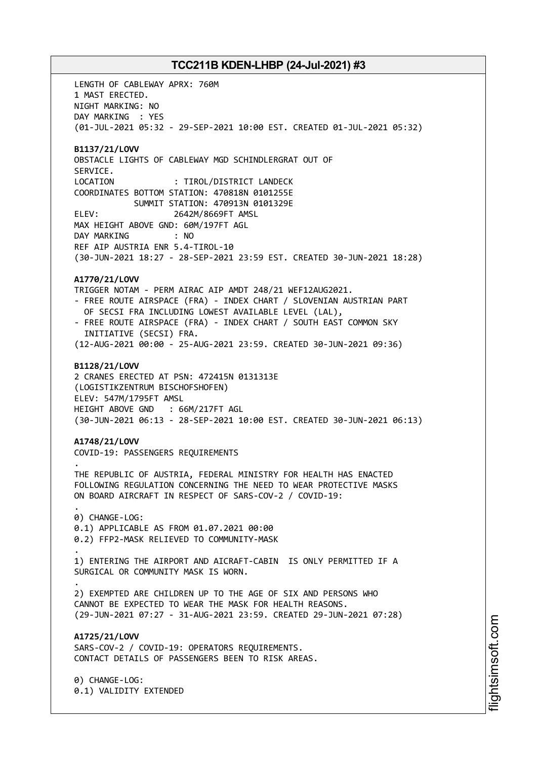LENGTH OF CABLEWAY APRX: 760M 1 MAST ERECTED. NIGHT MARKING: NO DAY MARKING : YES (01-JUL-2021 05:32 - 29-SEP-2021 10:00 EST. CREATED 01-JUL-2021 05:32) **B1137/21/LOVV** OBSTACLE LIGHTS OF CABLEWAY MGD SCHINDLERGRAT OUT OF SERVICE. LOCATION : TIROL/DISTRICT LANDECK COORDINATES BOTTOM STATION: 470818N 0101255E SUMMIT STATION: 470913N 0101329E ELEV: 2642M/8669FT AMSL MAX HEIGHT ABOVE GND: 60M/197FT AGL DAY MARKING : NO REF AIP AUSTRIA ENR 5.4-TIROL-10 (30-JUN-2021 18:27 - 28-SEP-2021 23:59 EST. CREATED 30-JUN-2021 18:28) **A1770/21/LOVV** TRIGGER NOTAM - PERM AIRAC AIP AMDT 248/21 WEF12AUG2021. - FREE ROUTE AIRSPACE (FRA) - INDEX CHART / SLOVENIAN AUSTRIAN PART OF SECSI FRA INCLUDING LOWEST AVAILABLE LEVEL (LAL), - FREE ROUTE AIRSPACE (FRA) - INDEX CHART / SOUTH EAST COMMON SKY INITIATIVE (SECSI) FRA. (12-AUG-2021 00:00 - 25-AUG-2021 23:59. CREATED 30-JUN-2021 09:36) **B1128/21/LOVV** 2 CRANES ERECTED AT PSN: 472415N 0131313E (LOGISTIKZENTRUM BISCHOFSHOFEN) ELEV: 547M/1795FT AMSL HEIGHT ABOVE GND : 66M/217FT AGL (30-JUN-2021 06:13 - 28-SEP-2021 10:00 EST. CREATED 30-JUN-2021 06:13) **A1748/21/LOVV** COVID-19: PASSENGERS REQUIREMENTS . THE REPUBLIC OF AUSTRIA, FEDERAL MINISTRY FOR HEALTH HAS ENACTED FOLLOWING REGULATION CONCERNING THE NEED TO WEAR PROTECTIVE MASKS ON BOARD AIRCRAFT IN RESPECT OF SARS-COV-2 / COVID-19: . 0) CHANGE-LOG: 0.1) APPLICABLE AS FROM 01.07.2021 00:00 0.2) FFP2-MASK RELIEVED TO COMMUNITY-MASK . 1) ENTERING THE AIRPORT AND AICRAFT-CABIN IS ONLY PERMITTED IF A SURGICAL OR COMMUNITY MASK IS WORN. . 2) EXEMPTED ARE CHILDREN UP TO THE AGE OF SIX AND PERSONS WHO CANNOT BE EXPECTED TO WEAR THE MASK FOR HEALTH REASONS. (29-JUN-2021 07:27 - 31-AUG-2021 23:59. CREATED 29-JUN-2021 07:28) **A1725/21/LOVV** SARS-COV-2 / COVID-19: OPERATORS REQUIREMENTS. CONTACT DETAILS OF PASSENGERS BEEN TO RISK AREAS. 0) CHANGE-LOG:

0.1) VALIDITY EXTENDED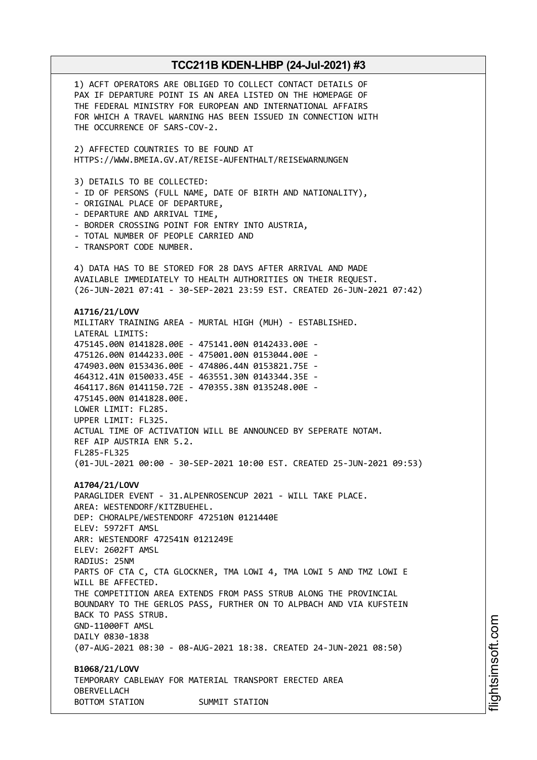1) ACFT OPERATORS ARE OBLIGED TO COLLECT CONTACT DETAILS OF PAX IF DEPARTURE POINT IS AN AREA LISTED ON THE HOMEPAGE OF THE FEDERAL MINISTRY FOR EUROPEAN AND INTERNATIONAL AFFAIRS FOR WHICH A TRAVEL WARNING HAS BEEN ISSUED IN CONNECTION WITH THE OCCURRENCE OF SARS-COV-2. 2) AFFECTED COUNTRIES TO BE FOUND AT HTTPS://WWW.BMEIA.GV.AT/REISE-AUFENTHALT/REISEWARNUNGEN 3) DETAILS TO BE COLLECTED: - ID OF PERSONS (FULL NAME, DATE OF BIRTH AND NATIONALITY), - ORIGINAL PLACE OF DEPARTURE, - DEPARTURE AND ARRIVAL TIME, - BORDER CROSSING POINT FOR ENTRY INTO AUSTRIA, - TOTAL NUMBER OF PEOPLE CARRIED AND - TRANSPORT CODE NUMBER. 4) DATA HAS TO BE STORED FOR 28 DAYS AFTER ARRIVAL AND MADE AVAILABLE IMMEDIATELY TO HEALTH AUTHORITIES ON THEIR REQUEST. (26-JUN-2021 07:41 - 30-SEP-2021 23:59 EST. CREATED 26-JUN-2021 07:42) **A1716/21/LOVV** MILITARY TRAINING AREA - MURTAL HIGH (MUH) - ESTABLISHED. LATERAL LIMITS: 475145.00N 0141828.00E - 475141.00N 0142433.00E - 475126.00N 0144233.00E - 475001.00N 0153044.00E - 474903.00N 0153436.00E - 474806.44N 0153821.75E - 464312.41N 0150033.45E - 463551.30N 0143344.35E - 464117.86N 0141150.72E - 470355.38N 0135248.00E - 475145.00N 0141828.00E. LOWER LIMIT: FL285. UPPER LIMIT: FL325. ACTUAL TIME OF ACTIVATION WILL BE ANNOUNCED BY SEPERATE NOTAM. REF AIP AUSTRIA ENR 5.2. FL285-FL325 (01-JUL-2021 00:00 - 30-SEP-2021 10:00 EST. CREATED 25-JUN-2021 09:53) **A1704/21/LOVV** PARAGLIDER EVENT - 31.ALPENROSENCUP 2021 - WILL TAKE PLACE. AREA: WESTENDORF/KITZBUEHEL. DEP: CHORALPE/WESTENDORF 472510N 0121440E ELEV: 5972FT AMSL ARR: WESTENDORF 472541N 0121249E ELEV: 2602FT AMSL RADIUS: 25NM PARTS OF CTA C, CTA GLOCKNER, TMA LOWI 4, TMA LOWI 5 AND TMZ LOWI E WILL BE AFFECTED. THE COMPETITION AREA EXTENDS FROM PASS STRUB ALONG THE PROVINCIAL BOUNDARY TO THE GERLOS PASS, FURTHER ON TO ALPBACH AND VIA KUFSTEIN BACK TO PASS STRUB. GND-11000FT AMSL DAILY 0830-1838 (07-AUG-2021 08:30 - 08-AUG-2021 18:38. CREATED 24-JUN-2021 08:50) **B1068/21/LOVV** TEMPORARY CABLEWAY FOR MATERIAL TRANSPORT ERECTED AREA OBERVELLACH BOTTOM STATION SUMMIT STATION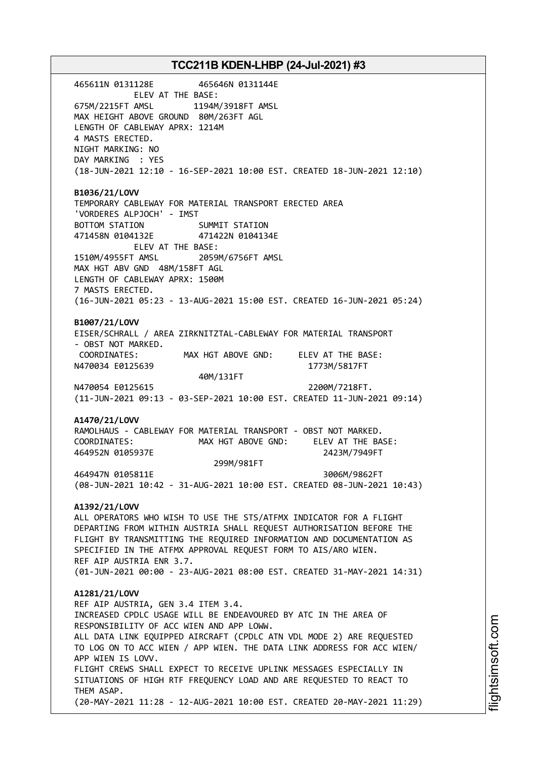465611N 0131128E 465646N 0131144E ELEV AT THE BASE: 675M/2215FT AMSL 1194M/3918FT AMSL MAX HEIGHT ABOVE GROUND 80M/263FT AGL LENGTH OF CABLEWAY APRX: 1214M 4 MASTS ERECTED. NIGHT MARKING: NO DAY MARKING : YES (18-JUN-2021 12:10 - 16-SEP-2021 10:00 EST. CREATED 18-JUN-2021 12:10) **B1036/21/LOVV** TEMPORARY CABLEWAY FOR MATERIAL TRANSPORT ERECTED AREA 'VORDERES ALPJOCH' - IMST BOTTOM STATION SUMMIT STATION 471458N 0104132E 471422N 0104134E ELEV AT THE BASE: 1510M/4955FT AMSL 2059M/6756FT AMSL MAX HGT ABV GND 48M/158FT AGL LENGTH OF CABLEWAY APRX: 1500M 7 MASTS ERECTED. (16-JUN-2021 05:23 - 13-AUG-2021 15:00 EST. CREATED 16-JUN-2021 05:24) **B1007/21/LOVV** EISER/SCHRALL / AREA ZIRKNITZTAL-CABLEWAY FOR MATERIAL TRANSPORT - OBST NOT MARKED. COORDINATES: MAX HGT ABOVE GND: ELEV AT THE BASE: N470034 E0125639 1773M/5817FT 40M/131FT N470054 E0125615 2200M/7218FT. (11-JUN-2021 09:13 - 03-SEP-2021 10:00 EST. CREATED 11-JUN-2021 09:14) **A1470/21/LOVV** RAMOLHAUS - CABLEWAY FOR MATERIAL TRANSPORT - OBST NOT MARKED. COORDINATES: MAX HGT ABOVE GND: ELEV AT THE BASE: 464952N 0105937E 2423M/7949FT 299M/981FT 464947N 0105811E 3006M/9862FT (08-JUN-2021 10:42 - 31-AUG-2021 10:00 EST. CREATED 08-JUN-2021 10:43) **A1392/21/LOVV** ALL OPERATORS WHO WISH TO USE THE STS/ATFMX INDICATOR FOR A FLIGHT DEPARTING FROM WITHIN AUSTRIA SHALL REQUEST AUTHORISATION BEFORE THE FLIGHT BY TRANSMITTING THE REQUIRED INFORMATION AND DOCUMENTATION AS SPECIFIED IN THE ATFMX APPROVAL REQUEST FORM TO AIS/ARO WIEN. REF AIP AUSTRIA ENR 3.7. (01-JUN-2021 00:00 - 23-AUG-2021 08:00 EST. CREATED 31-MAY-2021 14:31) **A1281/21/LOVV** REF AIP AUSTRIA, GEN 3.4 ITEM 3.4. INCREASED CPDLC USAGE WILL BE ENDEAVOURED BY ATC IN THE AREA OF RESPONSIBILITY OF ACC WIEN AND APP LOWW. ALL DATA LINK EQUIPPED AIRCRAFT (CPDLC ATN VDL MODE 2) ARE REQUESTED TO LOG ON TO ACC WIEN / APP WIEN. THE DATA LINK ADDRESS FOR ACC WIEN/ APP WIEN IS LOVV. FLIGHT CREWS SHALL EXPECT TO RECEIVE UPLINK MESSAGES ESPECIALLY IN SITUATIONS OF HIGH RTF FREQUENCY LOAD AND ARE REQUESTED TO REACT TO THEM ASAP. (20-MAY-2021 11:28 - 12-AUG-2021 10:00 EST. CREATED 20-MAY-2021 11:29)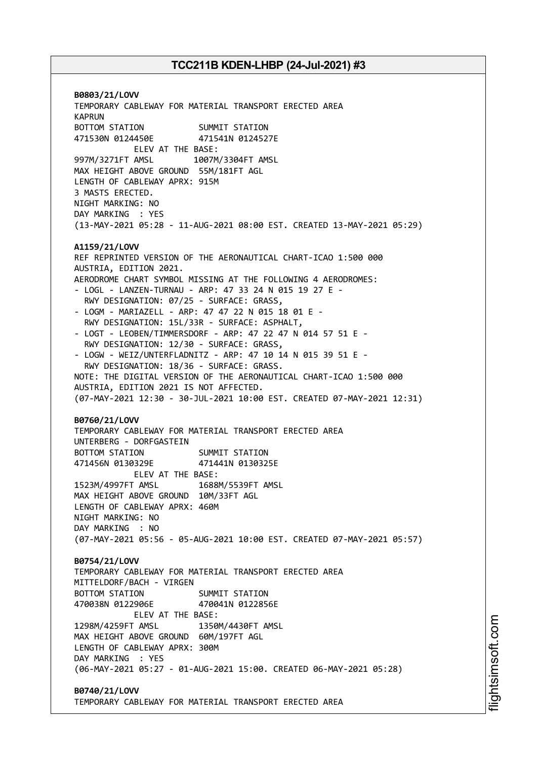**B0803/21/LOVV** TEMPORARY CABLEWAY FOR MATERIAL TRANSPORT ERECTED AREA KAPRUN BOTTOM STATION SUMMIT STATION 471530N 0124450E 471541N 0124527E ELEV AT THE BASE: 997M/3271FT AMSL 1007M/3304FT AMSL MAX HEIGHT ABOVE GROUND 55M/181FT AGL LENGTH OF CABLEWAY APRX: 915M 3 MASTS ERECTED. NIGHT MARKING: NO DAY MARKING : YES (13-MAY-2021 05:28 - 11-AUG-2021 08:00 EST. CREATED 13-MAY-2021 05:29) **A1159/21/LOVV** REF REPRINTED VERSION OF THE AERONAUTICAL CHART-ICAO 1:500 000 AUSTRIA, EDITION 2021. AERODROME CHART SYMBOL MISSING AT THE FOLLOWING 4 AERODROMES: - LOGL - LANZEN-TURNAU - ARP: 47 33 24 N 015 19 27 E - RWY DESIGNATION: 07/25 - SURFACE: GRASS, - LOGM - MARIAZELL - ARP: 47 47 22 N 015 18 01 E - RWY DESIGNATION: 15L/33R - SURFACE: ASPHALT, - LOGT - LEOBEN/TIMMERSDORF - ARP: 47 22 47 N 014 57 51 E - RWY DESIGNATION: 12/30 - SURFACE: GRASS, - LOGW - WEIZ/UNTERFLADNITZ - ARP: 47 10 14 N 015 39 51 E - RWY DESIGNATION: 18/36 - SURFACE: GRASS. NOTE: THE DIGITAL VERSION OF THE AERONAUTICAL CHART-ICAO 1:500 000 AUSTRIA, EDITION 2021 IS NOT AFFECTED. (07-MAY-2021 12:30 - 30-JUL-2021 10:00 EST. CREATED 07-MAY-2021 12:31) **B0760/21/LOVV** TEMPORARY CABLEWAY FOR MATERIAL TRANSPORT ERECTED AREA UNTERBERG - DORFGASTEIN BOTTOM STATION SUMMIT STATION 471456N 0130329E 471441N 0130325E ELEV AT THE BASE: 1523M/4997FT AMSL 1688M/5539FT AMSL MAX HEIGHT ABOVE GROUND 10M/33FT AGL LENGTH OF CABLEWAY APRX: 460M NIGHT MARKING: NO DAY MARKING : NO (07-MAY-2021 05:56 - 05-AUG-2021 10:00 EST. CREATED 07-MAY-2021 05:57) **B0754/21/LOVV** TEMPORARY CABLEWAY FOR MATERIAL TRANSPORT ERECTED AREA MITTELDORF/BACH - VIRGEN BOTTOM STATION SUMMIT STATION 470038N 0122906E 470041N 0122856E ELEV AT THE BASE: 1298M/4259FT AMSL 1350M/4430FT AMSL MAX HEIGHT ABOVE GROUND 60M/197FT AGL LENGTH OF CABLEWAY APRX: 300M DAY MARKING : YES (06-MAY-2021 05:27 - 01-AUG-2021 15:00. CREATED 06-MAY-2021 05:28) **B0740/21/LOVV**

TEMPORARY CABLEWAY FOR MATERIAL TRANSPORT ERECTED AREA